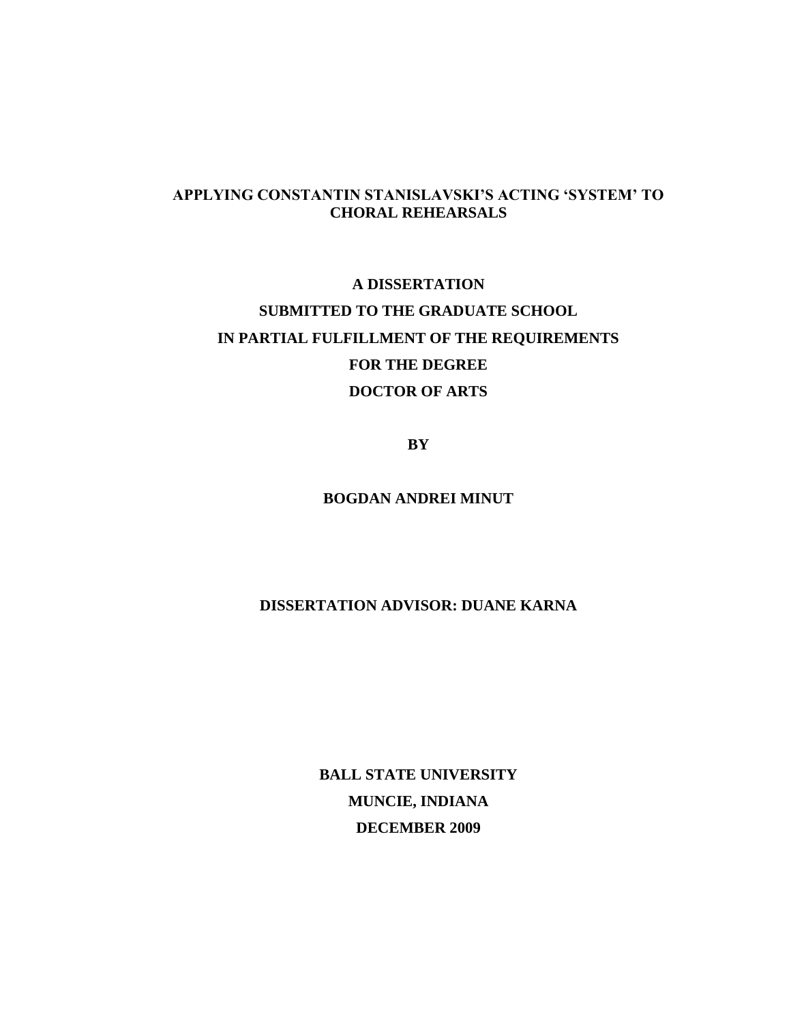#### **APPLYING CONSTANTIN STANISLAVSKI'S ACTING 'SYSTEM' TO CHORAL REHEARSALS**

# **A DISSERTATION SUBMITTED TO THE GRADUATE SCHOOL IN PARTIAL FULFILLMENT OF THE REQUIREMENTS FOR THE DEGREE DOCTOR OF ARTS**

**BY**

### **BOGDAN ANDREI MINUT**

#### **DISSERTATION ADVISOR: DUANE KARNA**

**BALL STATE UNIVERSITY MUNCIE, INDIANA DECEMBER 2009**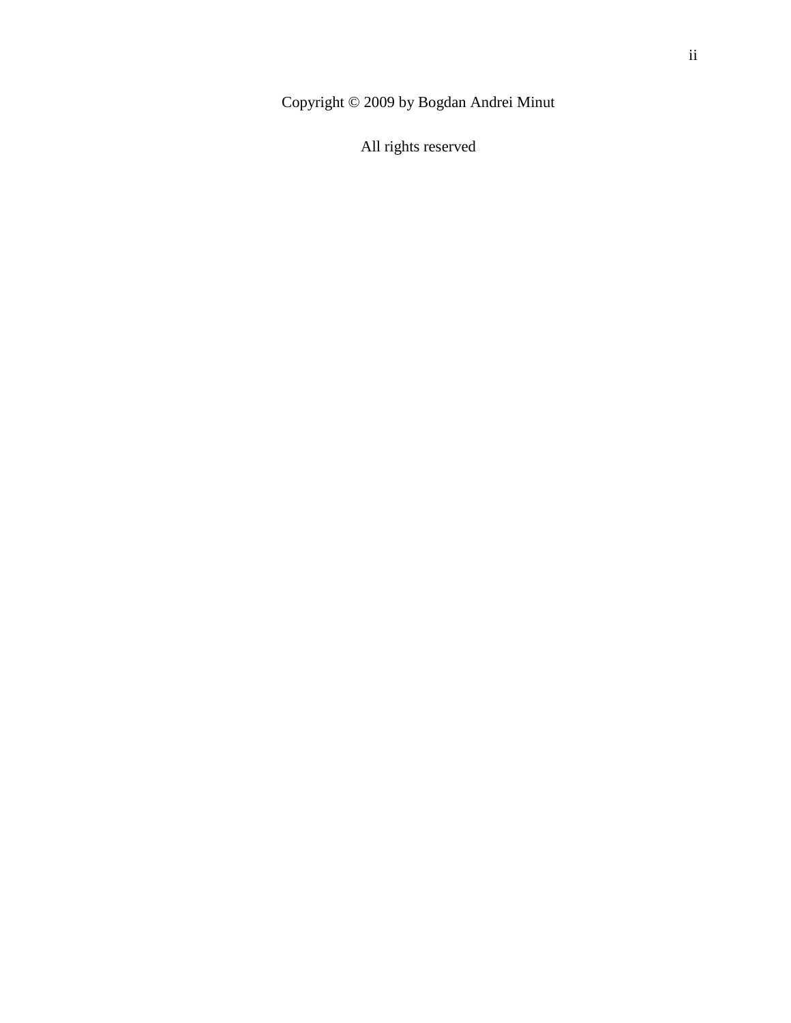Copyright © 2009 by Bogdan Andrei Minut

All rights reserved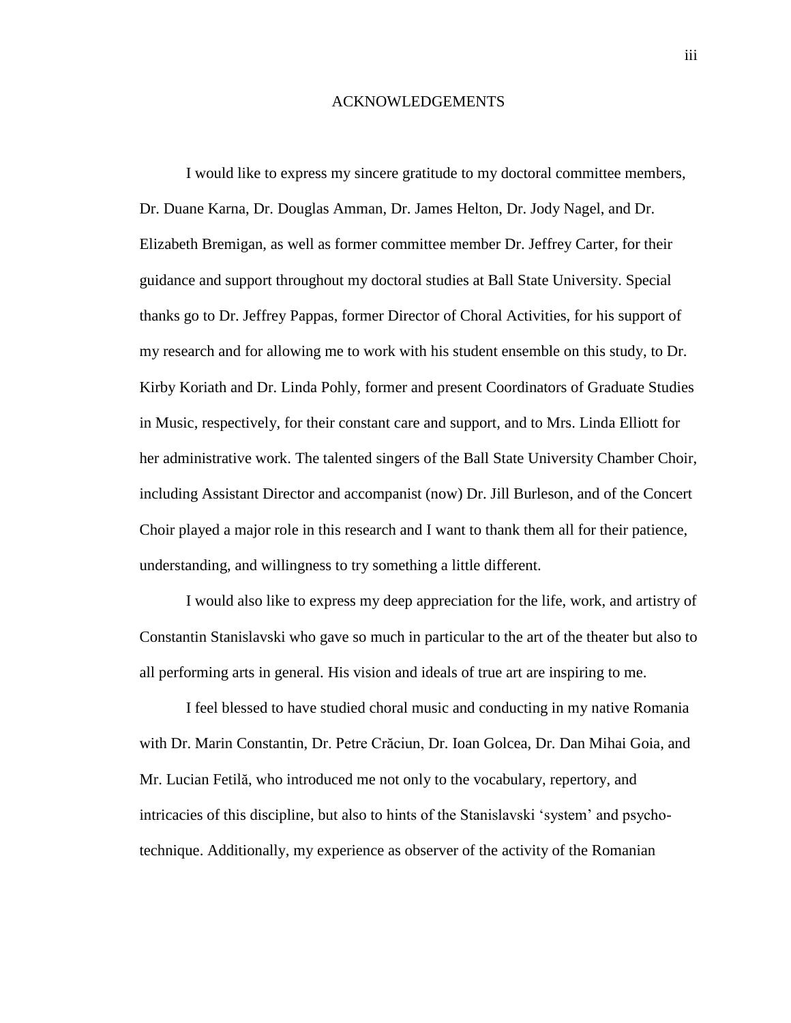#### ACKNOWLEDGEMENTS

I would like to express my sincere gratitude to my doctoral committee members, Dr. Duane Karna, Dr. Douglas Amman, Dr. James Helton, Dr. Jody Nagel, and Dr. Elizabeth Bremigan, as well as former committee member Dr. Jeffrey Carter, for their guidance and support throughout my doctoral studies at Ball State University. Special thanks go to Dr. Jeffrey Pappas, former Director of Choral Activities, for his support of my research and for allowing me to work with his student ensemble on this study, to Dr. Kirby Koriath and Dr. Linda Pohly, former and present Coordinators of Graduate Studies in Music, respectively, for their constant care and support, and to Mrs. Linda Elliott for her administrative work. The talented singers of the Ball State University Chamber Choir, including Assistant Director and accompanist (now) Dr. Jill Burleson, and of the Concert Choir played a major role in this research and I want to thank them all for their patience, understanding, and willingness to try something a little different.

I would also like to express my deep appreciation for the life, work, and artistry of Constantin Stanislavski who gave so much in particular to the art of the theater but also to all performing arts in general. His vision and ideals of true art are inspiring to me.

I feel blessed to have studied choral music and conducting in my native Romania with Dr. Marin Constantin, Dr. Petre Crăciun, Dr. Ioan Golcea, Dr. Dan Mihai Goia, and Mr. Lucian Fetilă, who introduced me not only to the vocabulary, repertory, and intricacies of this discipline, but also to hints of the Stanislavski 'system' and psychotechnique. Additionally, my experience as observer of the activity of the Romanian

iii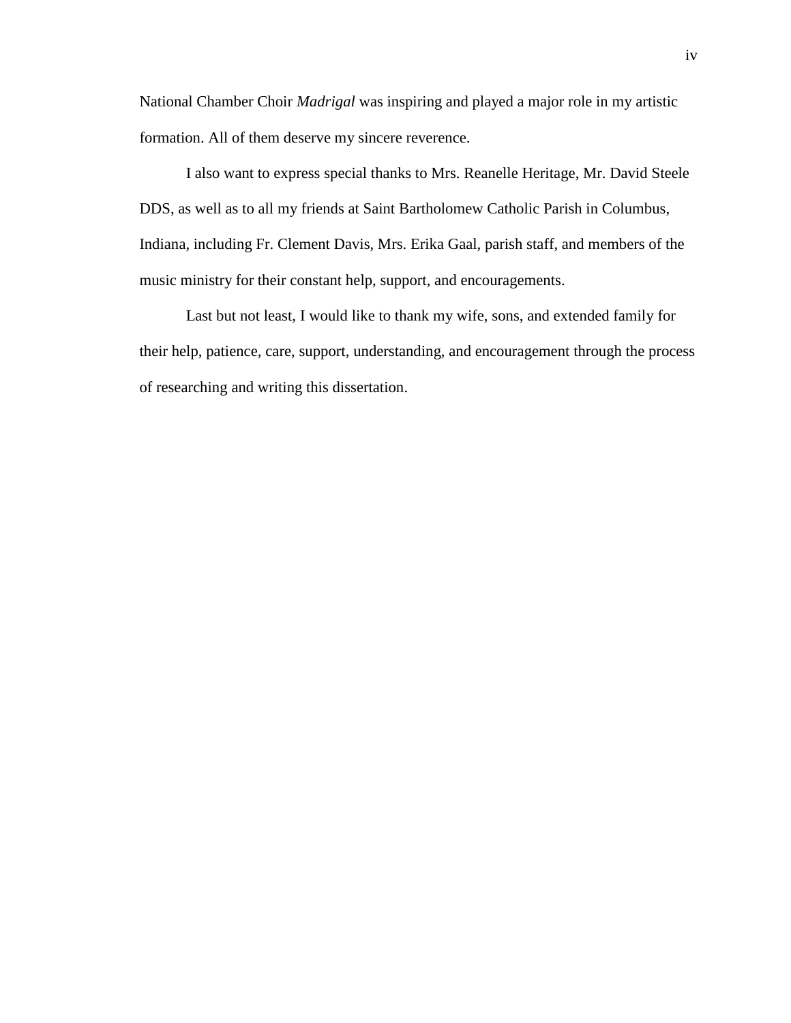National Chamber Choir *Madrigal* was inspiring and played a major role in my artistic formation. All of them deserve my sincere reverence.

I also want to express special thanks to Mrs. Reanelle Heritage, Mr. David Steele DDS, as well as to all my friends at Saint Bartholomew Catholic Parish in Columbus, Indiana, including Fr. Clement Davis, Mrs. Erika Gaal, parish staff, and members of the music ministry for their constant help, support, and encouragements.

Last but not least, I would like to thank my wife, sons, and extended family for their help, patience, care, support, understanding, and encouragement through the process of researching and writing this dissertation.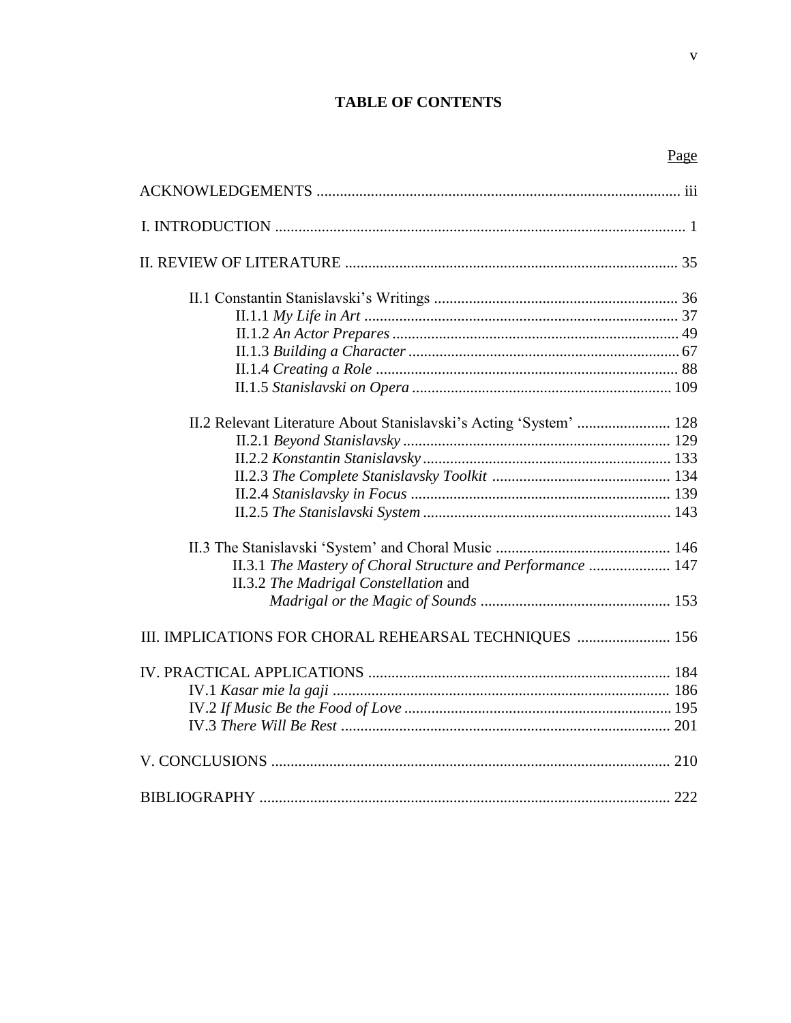## **TABLE OF CONTENTS**

| II.2 Relevant Literature About Stanislavski's Acting 'System'  128 |  |
|--------------------------------------------------------------------|--|
|                                                                    |  |
|                                                                    |  |
|                                                                    |  |
|                                                                    |  |
|                                                                    |  |
|                                                                    |  |
| II.3.1 The Mastery of Choral Structure and Performance  147        |  |
| II.3.2 The Madrigal Constellation and                              |  |
|                                                                    |  |
| III. IMPLICATIONS FOR CHORAL REHEARSAL TECHNIQUES  156             |  |
|                                                                    |  |
|                                                                    |  |
|                                                                    |  |
|                                                                    |  |
|                                                                    |  |
|                                                                    |  |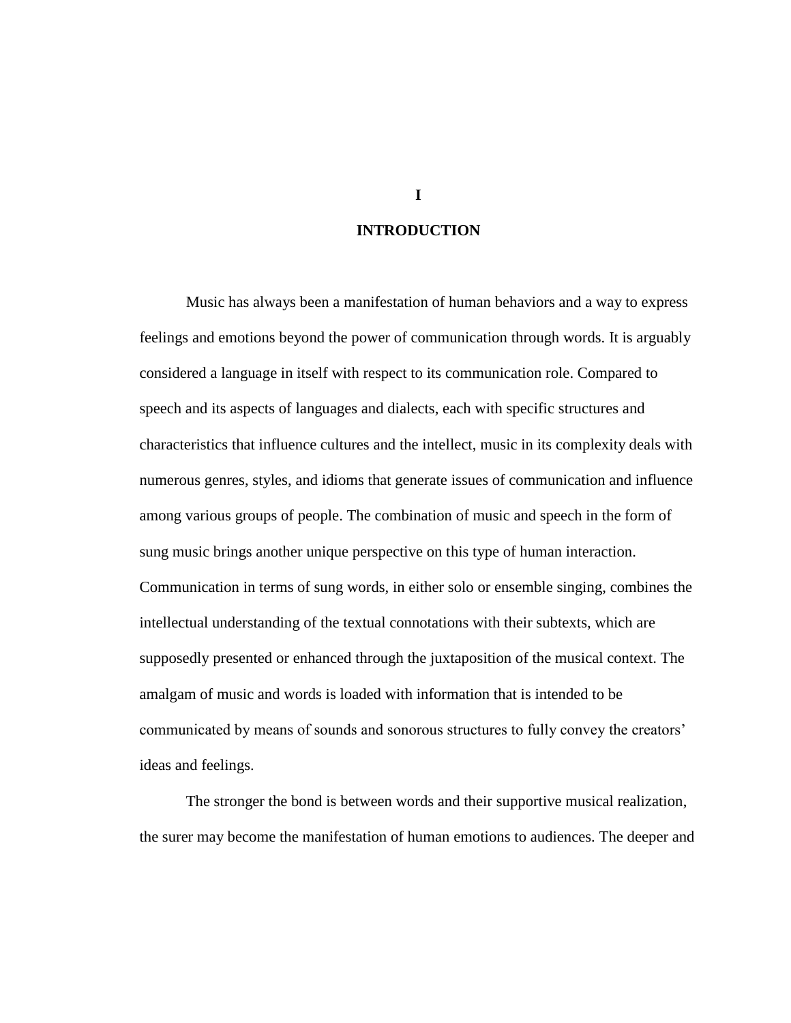#### **INTRODUCTION**

Music has always been a manifestation of human behaviors and a way to express feelings and emotions beyond the power of communication through words. It is arguably considered a language in itself with respect to its communication role. Compared to speech and its aspects of languages and dialects, each with specific structures and characteristics that influence cultures and the intellect, music in its complexity deals with numerous genres, styles, and idioms that generate issues of communication and influence among various groups of people. The combination of music and speech in the form of sung music brings another unique perspective on this type of human interaction. Communication in terms of sung words, in either solo or ensemble singing, combines the intellectual understanding of the textual connotations with their subtexts, which are supposedly presented or enhanced through the juxtaposition of the musical context. The amalgam of music and words is loaded with information that is intended to be communicated by means of sounds and sonorous structures to fully convey the creators' ideas and feelings.

The stronger the bond is between words and their supportive musical realization, the surer may become the manifestation of human emotions to audiences. The deeper and

**I**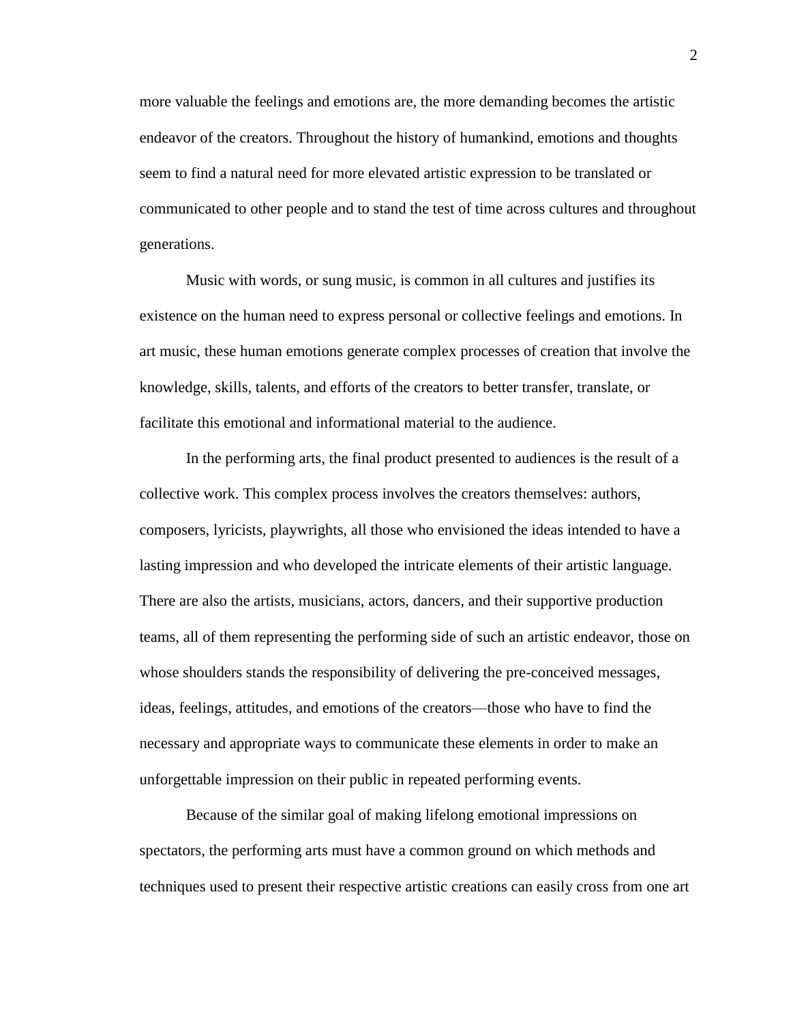more valuable the feelings and emotions are, the more demanding becomes the artistic endeavor of the creators. Throughout the history of humankind, emotions and thoughts seem to find a natural need for more elevated artistic expression to be translated or communicated to other people and to stand the test of time across cultures and throughout generations.

Music with words, or sung music, is common in all cultures and justifies its existence on the human need to express personal or collective feelings and emotions. In art music, these human emotions generate complex processes of creation that involve the knowledge, skills, talents, and efforts of the creators to better transfer, translate, or facilitate this emotional and informational material to the audience.

In the performing arts, the final product presented to audiences is the result of a collective work. This complex process involves the creators themselves: authors, composers, lyricists, playwrights, all those who envisioned the ideas intended to have a lasting impression and who developed the intricate elements of their artistic language. There are also the artists, musicians, actors, dancers, and their supportive production teams, all of them representing the performing side of such an artistic endeavor, those on whose shoulders stands the responsibility of delivering the pre-conceived messages, ideas, feelings, attitudes, and emotions of the creators—those who have to find the necessary and appropriate ways to communicate these elements in order to make an unforgettable impression on their public in repeated performing events.

Because of the similar goal of making lifelong emotional impressions on spectators, the performing arts must have a common ground on which methods and techniques used to present their respective artistic creations can easily cross from one art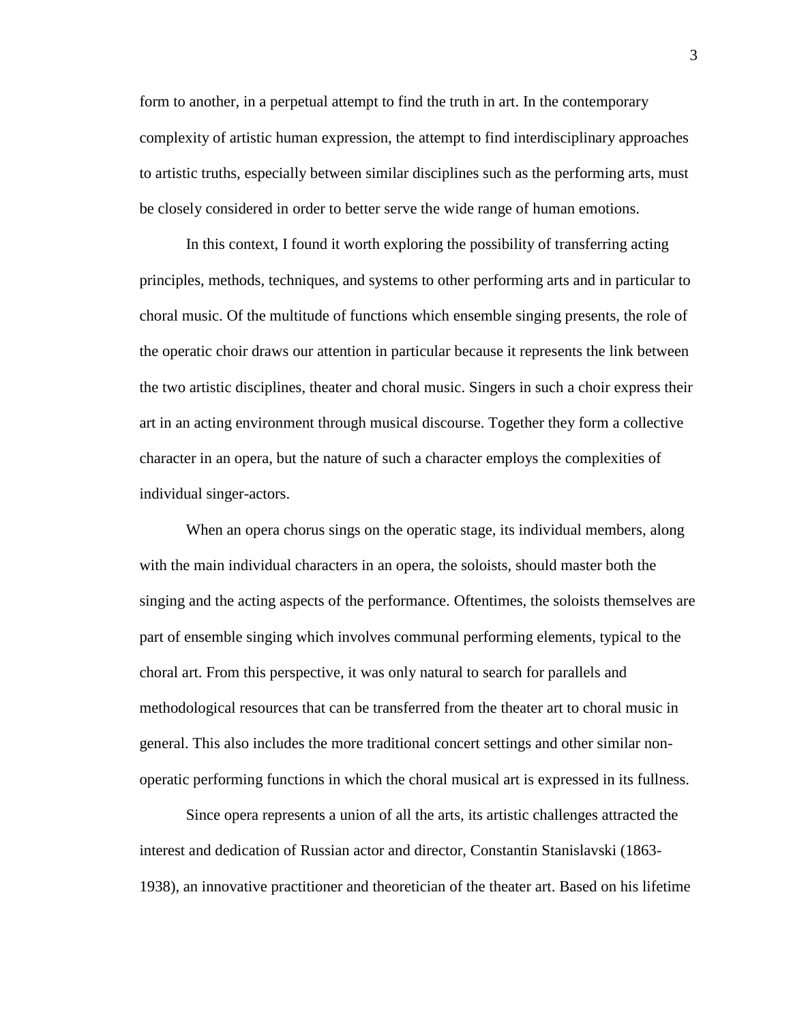form to another, in a perpetual attempt to find the truth in art. In the contemporary complexity of artistic human expression, the attempt to find interdisciplinary approaches to artistic truths, especially between similar disciplines such as the performing arts, must be closely considered in order to better serve the wide range of human emotions.

In this context, I found it worth exploring the possibility of transferring acting principles, methods, techniques, and systems to other performing arts and in particular to choral music. Of the multitude of functions which ensemble singing presents, the role of the operatic choir draws our attention in particular because it represents the link between the two artistic disciplines, theater and choral music. Singers in such a choir express their art in an acting environment through musical discourse. Together they form a collective character in an opera, but the nature of such a character employs the complexities of individual singer-actors.

When an opera chorus sings on the operatic stage, its individual members, along with the main individual characters in an opera, the soloists, should master both the singing and the acting aspects of the performance. Oftentimes, the soloists themselves are part of ensemble singing which involves communal performing elements, typical to the choral art. From this perspective, it was only natural to search for parallels and methodological resources that can be transferred from the theater art to choral music in general. This also includes the more traditional concert settings and other similar nonoperatic performing functions in which the choral musical art is expressed in its fullness.

Since opera represents a union of all the arts, its artistic challenges attracted the interest and dedication of Russian actor and director, Constantin Stanislavski (1863- 1938), an innovative practitioner and theoretician of the theater art. Based on his lifetime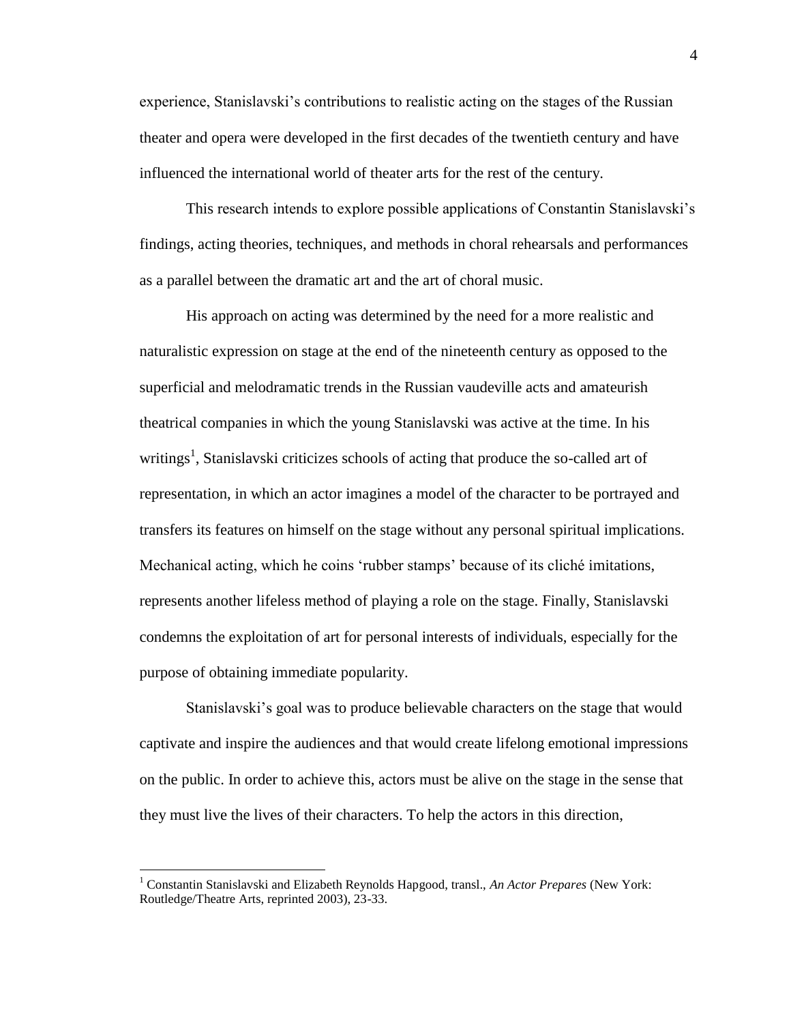experience, Stanislavski's contributions to realistic acting on the stages of the Russian theater and opera were developed in the first decades of the twentieth century and have influenced the international world of theater arts for the rest of the century.

This research intends to explore possible applications of Constantin Stanislavski's findings, acting theories, techniques, and methods in choral rehearsals and performances as a parallel between the dramatic art and the art of choral music.

His approach on acting was determined by the need for a more realistic and naturalistic expression on stage at the end of the nineteenth century as opposed to the superficial and melodramatic trends in the Russian vaudeville acts and amateurish theatrical companies in which the young Stanislavski was active at the time. In his writings<sup>1</sup>, Stanislavski criticizes schools of acting that produce the so-called art of representation, in which an actor imagines a model of the character to be portrayed and transfers its features on himself on the stage without any personal spiritual implications. Mechanical acting, which he coins 'rubber stamps' because of its cliché imitations, represents another lifeless method of playing a role on the stage. Finally, Stanislavski condemns the exploitation of art for personal interests of individuals, especially for the purpose of obtaining immediate popularity.

Stanislavski's goal was to produce believable characters on the stage that would captivate and inspire the audiences and that would create lifelong emotional impressions on the public. In order to achieve this, actors must be alive on the stage in the sense that they must live the lives of their characters. To help the actors in this direction,

<sup>1</sup> Constantin Stanislavski and Elizabeth Reynolds Hapgood, transl., *An Actor Prepares* (New York: Routledge/Theatre Arts, reprinted 2003), 23-33.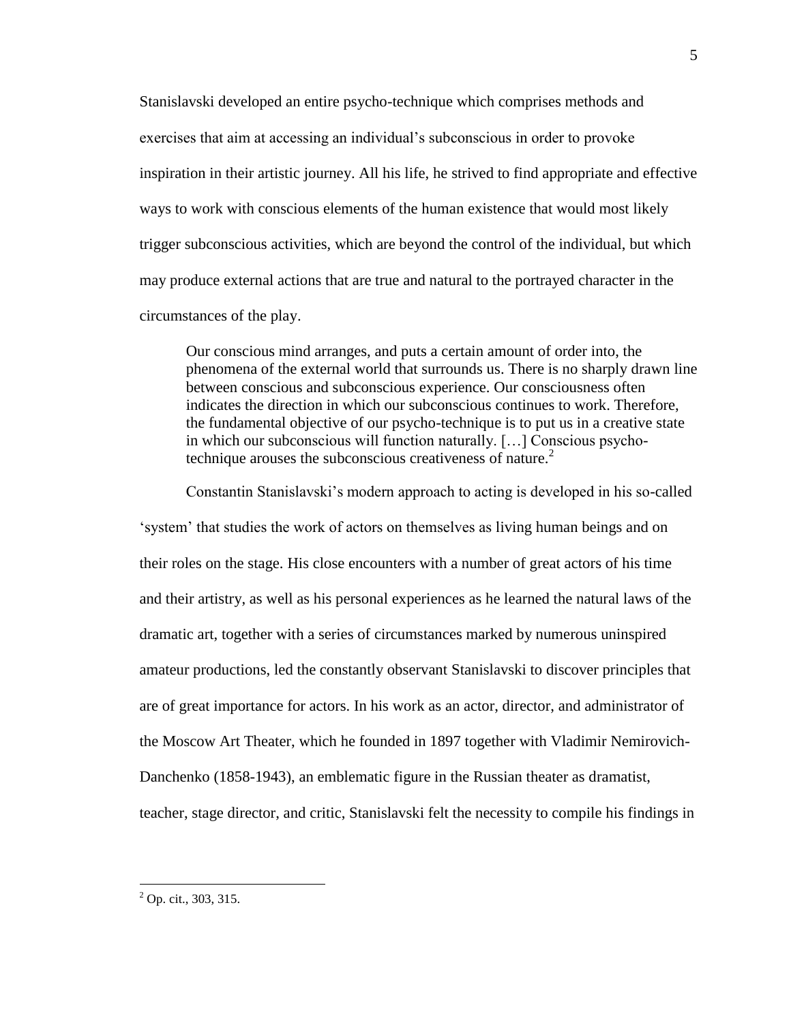Stanislavski developed an entire psycho-technique which comprises methods and exercises that aim at accessing an individual's subconscious in order to provoke inspiration in their artistic journey. All his life, he strived to find appropriate and effective ways to work with conscious elements of the human existence that would most likely trigger subconscious activities, which are beyond the control of the individual, but which may produce external actions that are true and natural to the portrayed character in the circumstances of the play.

Our conscious mind arranges, and puts a certain amount of order into, the phenomena of the external world that surrounds us. There is no sharply drawn line between conscious and subconscious experience. Our consciousness often indicates the direction in which our subconscious continues to work. Therefore, the fundamental objective of our psycho-technique is to put us in a creative state in which our subconscious will function naturally. […] Conscious psychotechnique arouses the subconscious creativeness of nature.<sup>2</sup>

Constantin Stanislavski's modern approach to acting is developed in his so-called ‗system' that studies the work of actors on themselves as living human beings and on their roles on the stage. His close encounters with a number of great actors of his time and their artistry, as well as his personal experiences as he learned the natural laws of the dramatic art, together with a series of circumstances marked by numerous uninspired amateur productions, led the constantly observant Stanislavski to discover principles that are of great importance for actors. In his work as an actor, director, and administrator of the Moscow Art Theater, which he founded in 1897 together with Vladimir Nemirovich-Danchenko (1858-1943), an emblematic figure in the Russian theater as dramatist, teacher, stage director, and critic, Stanislavski felt the necessity to compile his findings in

 $^{2}$  Op. cit., 303, 315.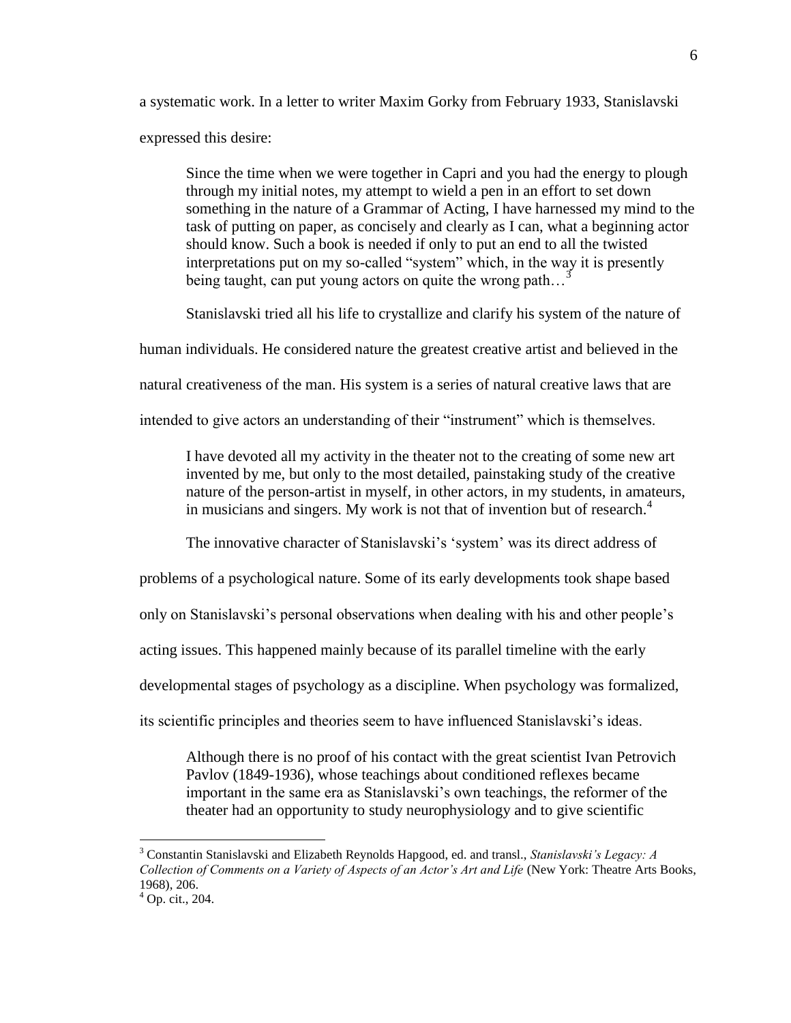a systematic work. In a letter to writer Maxim Gorky from February 1933, Stanislavski expressed this desire:

Since the time when we were together in Capri and you had the energy to plough through my initial notes, my attempt to wield a pen in an effort to set down something in the nature of a Grammar of Acting, I have harnessed my mind to the task of putting on paper, as concisely and clearly as I can, what a beginning actor should know. Such a book is needed if only to put an end to all the twisted interpretations put on my so-called "system" which, in the way it is presently being taught, can put young actors on quite the wrong path...<sup>3</sup>

Stanislavski tried all his life to crystallize and clarify his system of the nature of

human individuals. He considered nature the greatest creative artist and believed in the

natural creativeness of the man. His system is a series of natural creative laws that are

intended to give actors an understanding of their "instrument" which is themselves.

I have devoted all my activity in the theater not to the creating of some new art invented by me, but only to the most detailed, painstaking study of the creative nature of the person-artist in myself, in other actors, in my students, in amateurs, in musicians and singers. My work is not that of invention but of research.<sup>4</sup>

The innovative character of Stanislavski's 'system' was its direct address of

problems of a psychological nature. Some of its early developments took shape based

only on Stanislavski's personal observations when dealing with his and other people's

acting issues. This happened mainly because of its parallel timeline with the early

developmental stages of psychology as a discipline. When psychology was formalized,

its scientific principles and theories seem to have influenced Stanislavski's ideas.

Although there is no proof of his contact with the great scientist Ivan Petrovich Pavlov (1849-1936), whose teachings about conditioned reflexes became important in the same era as Stanislavski's own teachings, the reformer of the theater had an opportunity to study neurophysiology and to give scientific

<sup>3</sup> Constantin Stanislavski and Elizabeth Reynolds Hapgood, ed. and transl., *Stanislavski's Legacy: A Collection of Comments on a Variety of Aspects of an Actor's Art and Life* (New York: Theatre Arts Books, 1968), 206.

 $^{4}$  Op. cit., 204.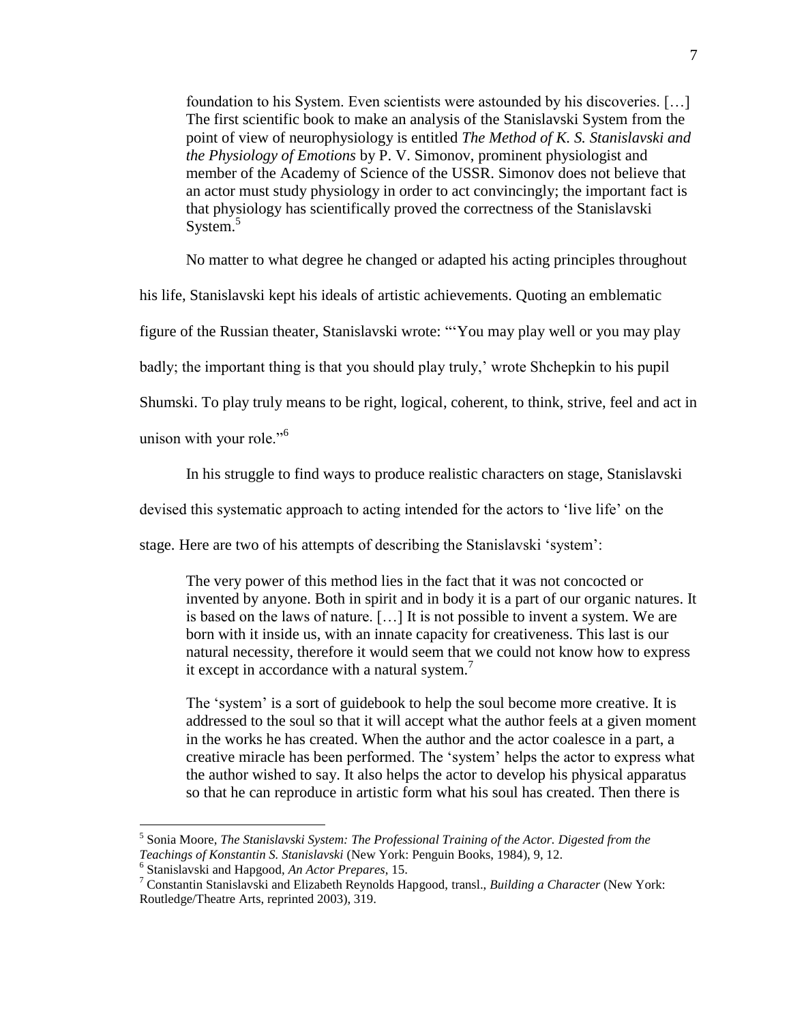foundation to his System. Even scientists were astounded by his discoveries. […] The first scientific book to make an analysis of the Stanislavski System from the point of view of neurophysiology is entitled *The Method of K. S. Stanislavski and the Physiology of Emotions* by P. V. Simonov, prominent physiologist and member of the Academy of Science of the USSR. Simonov does not believe that an actor must study physiology in order to act convincingly; the important fact is that physiology has scientifically proved the correctness of the Stanislavski System.<sup>5</sup>

No matter to what degree he changed or adapted his acting principles throughout

his life, Stanislavski kept his ideals of artistic achievements. Quoting an emblematic

figure of the Russian theater, Stanislavski wrote: "You may play well or you may play

badly; the important thing is that you should play truly,' wrote Shchepkin to his pupil

Shumski. To play truly means to be right, logical, coherent, to think, strive, feel and act in

unison with your role." $6$ 

In his struggle to find ways to produce realistic characters on stage, Stanislavski

devised this systematic approach to acting intended for the actors to 'live life' on the

stage. Here are two of his attempts of describing the Stanislavski 'system':

The very power of this method lies in the fact that it was not concocted or invented by anyone. Both in spirit and in body it is a part of our organic natures. It is based on the laws of nature. […] It is not possible to invent a system. We are born with it inside us, with an innate capacity for creativeness. This last is our natural necessity, therefore it would seem that we could not know how to express it except in accordance with a natural system.<sup>7</sup>

The 'system' is a sort of guidebook to help the soul become more creative. It is addressed to the soul so that it will accept what the author feels at a given moment in the works he has created. When the author and the actor coalesce in a part, a creative miracle has been performed. The 'system' helps the actor to express what the author wished to say. It also helps the actor to develop his physical apparatus so that he can reproduce in artistic form what his soul has created. Then there is

<sup>5</sup> Sonia Moore, *The Stanislavski System: The Professional Training of the Actor. Digested from the Teachings of Konstantin S. Stanislavski* (New York: Penguin Books, 1984), 9, 12.

<sup>6</sup> Stanislavski and Hapgood, *An Actor Prepares*, 15.

<sup>7</sup> Constantin Stanislavski and Elizabeth Reynolds Hapgood, transl., *Building a Character* (New York: Routledge/Theatre Arts, reprinted 2003), 319.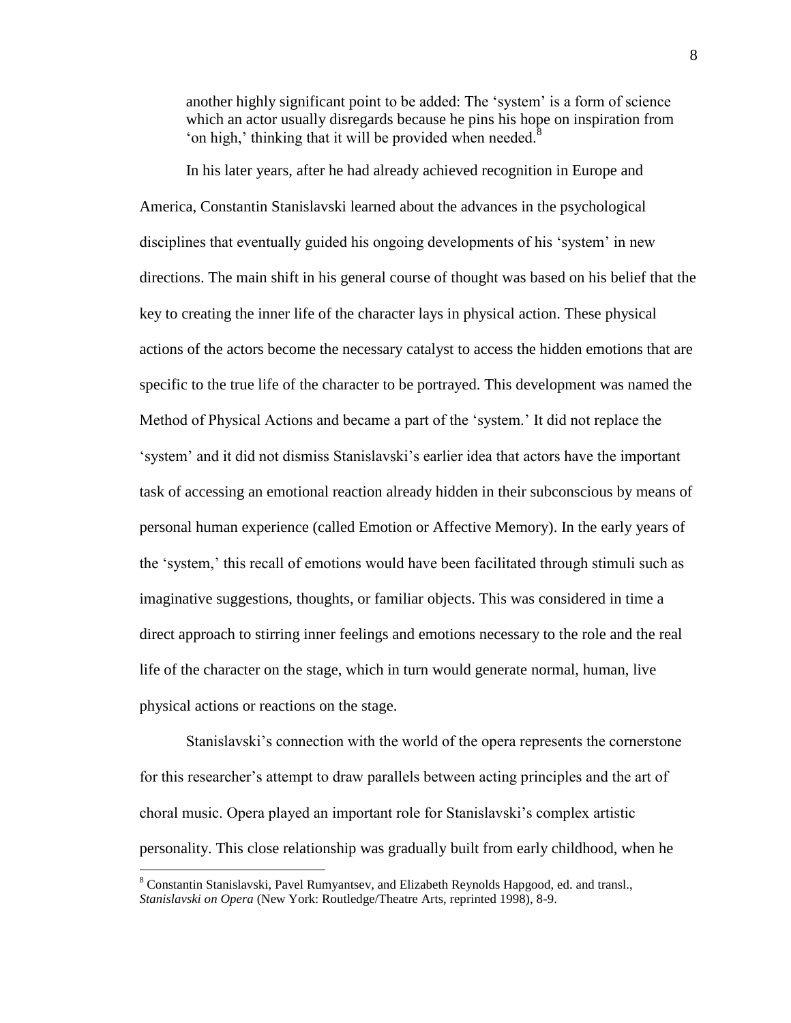another highly significant point to be added: The 'system' is a form of science which an actor usually disregards because he pins his hope on inspiration from 'on high,' thinking that it will be provided when needed. $8$ 

In his later years, after he had already achieved recognition in Europe and America, Constantin Stanislavski learned about the advances in the psychological disciplines that eventually guided his ongoing developments of his 'system' in new directions. The main shift in his general course of thought was based on his belief that the key to creating the inner life of the character lays in physical action. These physical actions of the actors become the necessary catalyst to access the hidden emotions that are specific to the true life of the character to be portrayed. This development was named the Method of Physical Actions and became a part of the 'system.' It did not replace the ‗system' and it did not dismiss Stanislavski's earlier idea that actors have the important task of accessing an emotional reaction already hidden in their subconscious by means of personal human experience (called Emotion or Affective Memory). In the early years of the 'system,' this recall of emotions would have been facilitated through stimuli such as imaginative suggestions, thoughts, or familiar objects. This was considered in time a direct approach to stirring inner feelings and emotions necessary to the role and the real life of the character on the stage, which in turn would generate normal, human, live physical actions or reactions on the stage.

Stanislavski's connection with the world of the opera represents the cornerstone for this researcher's attempt to draw parallels between acting principles and the art of choral music. Opera played an important role for Stanislavski's complex artistic personality. This close relationship was gradually built from early childhood, when he

<sup>&</sup>lt;sup>8</sup> Constantin Stanislavski, Pavel Rumyantsev, and Elizabeth Reynolds Hapgood, ed. and transl., *Stanislavski on Opera* (New York: Routledge/Theatre Arts, reprinted 1998), 8-9.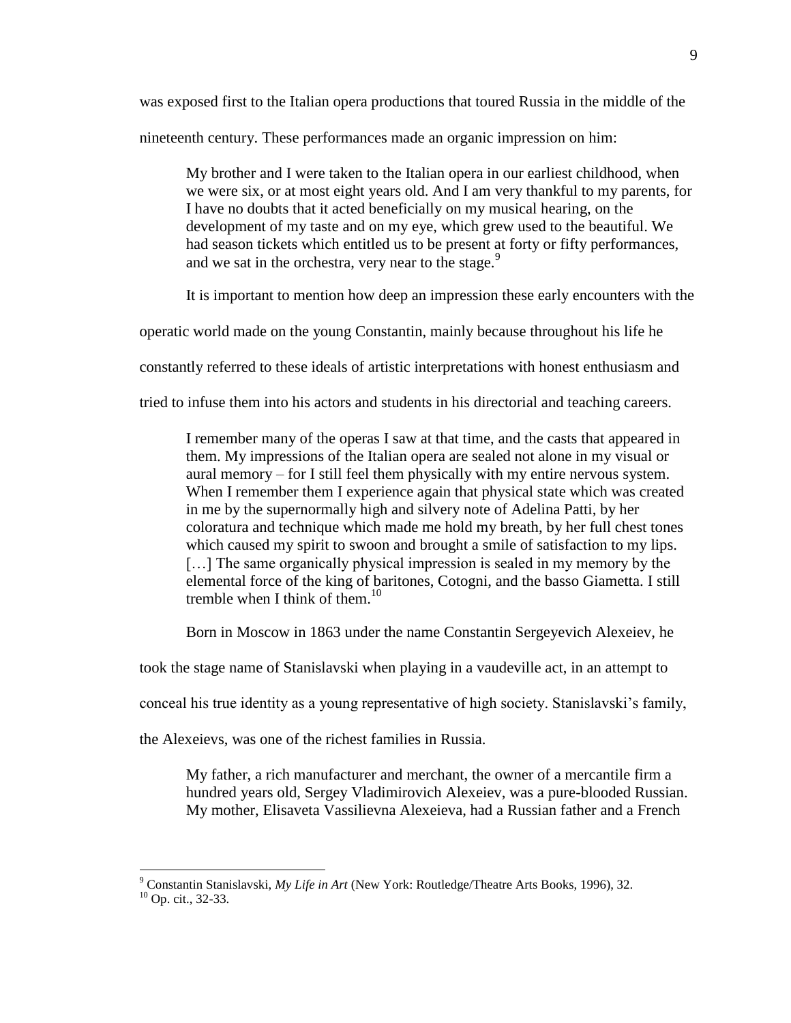was exposed first to the Italian opera productions that toured Russia in the middle of the

nineteenth century. These performances made an organic impression on him:

My brother and I were taken to the Italian opera in our earliest childhood, when we were six, or at most eight years old. And I am very thankful to my parents, for I have no doubts that it acted beneficially on my musical hearing, on the development of my taste and on my eye, which grew used to the beautiful. We had season tickets which entitled us to be present at forty or fifty performances, and we sat in the orchestra, very near to the stage.<sup>9</sup>

It is important to mention how deep an impression these early encounters with the

operatic world made on the young Constantin, mainly because throughout his life he

constantly referred to these ideals of artistic interpretations with honest enthusiasm and

tried to infuse them into his actors and students in his directorial and teaching careers.

I remember many of the operas I saw at that time, and the casts that appeared in them. My impressions of the Italian opera are sealed not alone in my visual or aural memory – for I still feel them physically with my entire nervous system. When I remember them I experience again that physical state which was created in me by the supernormally high and silvery note of Adelina Patti, by her coloratura and technique which made me hold my breath, by her full chest tones which caused my spirit to swoon and brought a smile of satisfaction to my lips. [...] The same organically physical impression is sealed in my memory by the elemental force of the king of baritones, Cotogni, and the basso Giametta. I still tremble when I think of them.<sup>10</sup>

Born in Moscow in 1863 under the name Constantin Sergeyevich Alexeiev, he

took the stage name of Stanislavski when playing in a vaudeville act, in an attempt to

conceal his true identity as a young representative of high society. Stanislavski's family,

the Alexeievs, was one of the richest families in Russia.

My father, a rich manufacturer and merchant, the owner of a mercantile firm a hundred years old, Sergey Vladimirovich Alexeiev, was a pure-blooded Russian. My mother, Elisaveta Vassilievna Alexeieva, had a Russian father and a French

 $\overline{a}$ <sup>9</sup> Constantin Stanislavski, *My Life in Art* (New York: Routledge/Theatre Arts Books, 1996), 32.

 $10$  Op. cit., 32-33.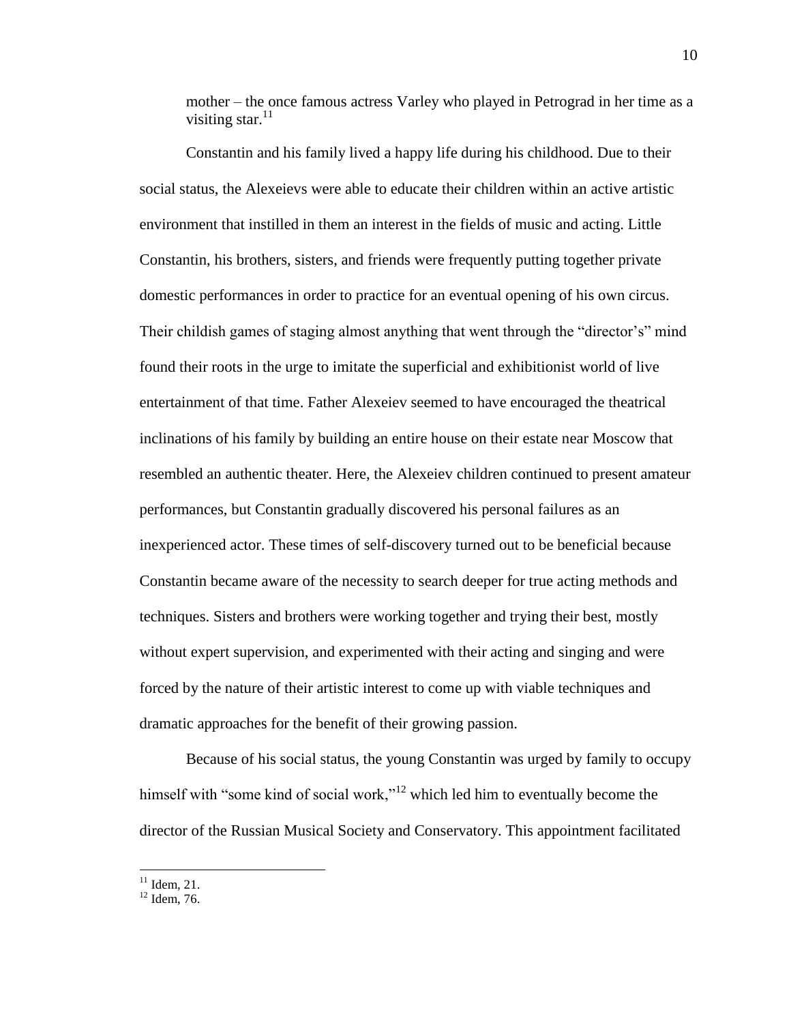mother – the once famous actress Varley who played in Petrograd in her time as a visiting star. $11$ 

Constantin and his family lived a happy life during his childhood. Due to their social status, the Alexeievs were able to educate their children within an active artistic environment that instilled in them an interest in the fields of music and acting. Little Constantin, his brothers, sisters, and friends were frequently putting together private domestic performances in order to practice for an eventual opening of his own circus. Their childish games of staging almost anything that went through the "director's" mind found their roots in the urge to imitate the superficial and exhibitionist world of live entertainment of that time. Father Alexeiev seemed to have encouraged the theatrical inclinations of his family by building an entire house on their estate near Moscow that resembled an authentic theater. Here, the Alexeiev children continued to present amateur performances, but Constantin gradually discovered his personal failures as an inexperienced actor. These times of self-discovery turned out to be beneficial because Constantin became aware of the necessity to search deeper for true acting methods and techniques. Sisters and brothers were working together and trying their best, mostly without expert supervision, and experimented with their acting and singing and were forced by the nature of their artistic interest to come up with viable techniques and dramatic approaches for the benefit of their growing passion.

Because of his social status, the young Constantin was urged by family to occupy himself with "some kind of social work,"<sup>12</sup> which led him to eventually become the director of the Russian Musical Society and Conservatory. This appointment facilitated

 $11$  Idem, 21.

 $12$  Idem, 76.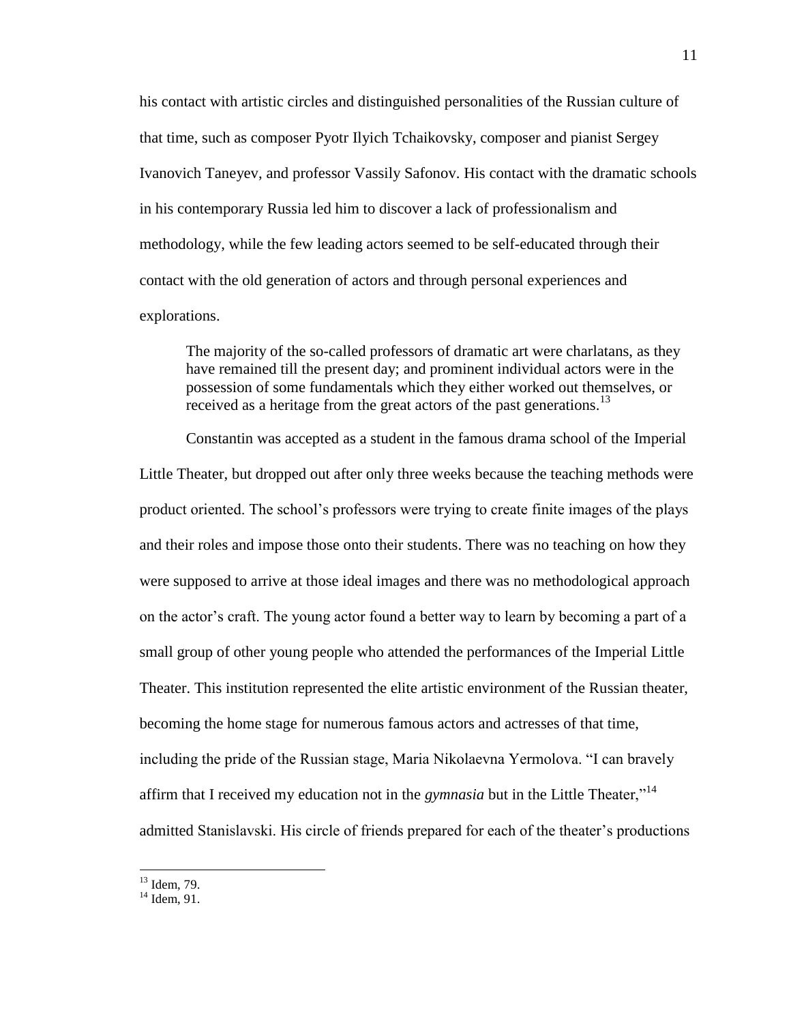his contact with artistic circles and distinguished personalities of the Russian culture of that time, such as composer Pyotr Ilyich Tchaikovsky, composer and pianist Sergey Ivanovich Taneyev, and professor Vassily Safonov. His contact with the dramatic schools in his contemporary Russia led him to discover a lack of professionalism and methodology, while the few leading actors seemed to be self-educated through their contact with the old generation of actors and through personal experiences and explorations.

The majority of the so-called professors of dramatic art were charlatans, as they have remained till the present day; and prominent individual actors were in the possession of some fundamentals which they either worked out themselves, or received as a heritage from the great actors of the past generations.<sup>13</sup>

Constantin was accepted as a student in the famous drama school of the Imperial Little Theater, but dropped out after only three weeks because the teaching methods were product oriented. The school's professors were trying to create finite images of the plays and their roles and impose those onto their students. There was no teaching on how they were supposed to arrive at those ideal images and there was no methodological approach on the actor's craft. The young actor found a better way to learn by becoming a part of a small group of other young people who attended the performances of the Imperial Little Theater. This institution represented the elite artistic environment of the Russian theater, becoming the home stage for numerous famous actors and actresses of that time, including the pride of the Russian stage, Maria Nikolaevna Yermolova. "I can bravely affirm that I received my education not in the *gymnasia* but in the Little Theater,"<sup>14</sup> admitted Stanislavski. His circle of friends prepared for each of the theater's productions

<sup>13</sup> Idem, 79.

 $14$  Idem, 91.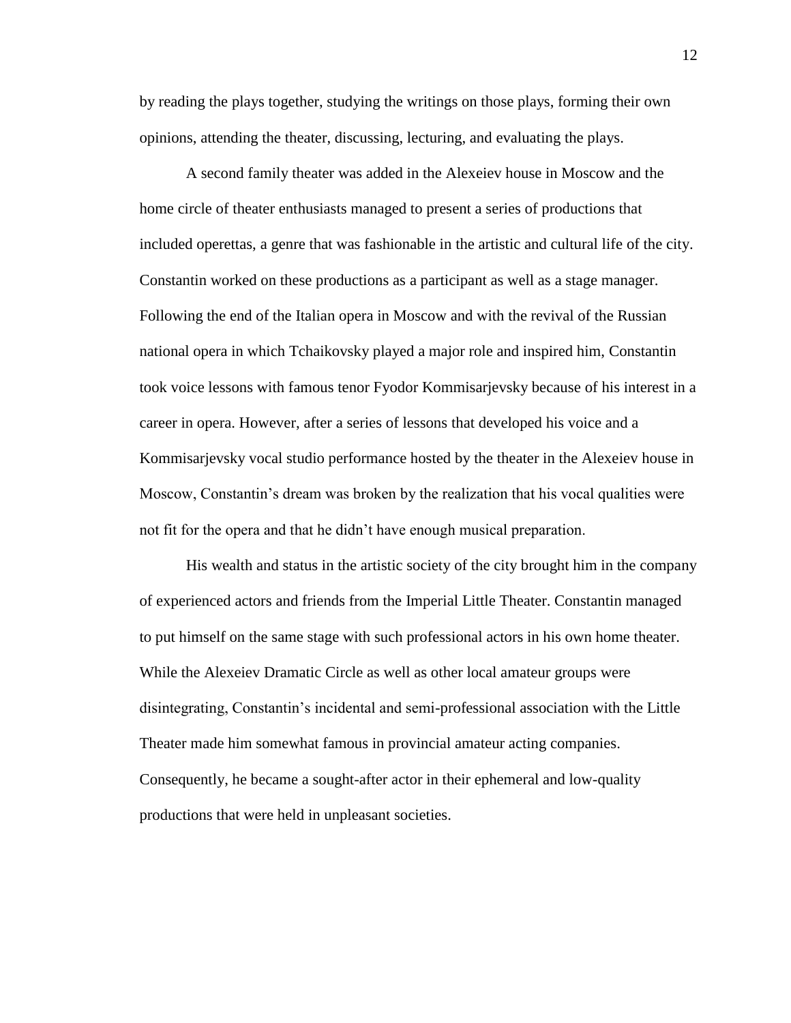by reading the plays together, studying the writings on those plays, forming their own opinions, attending the theater, discussing, lecturing, and evaluating the plays.

A second family theater was added in the Alexeiev house in Moscow and the home circle of theater enthusiasts managed to present a series of productions that included operettas, a genre that was fashionable in the artistic and cultural life of the city. Constantin worked on these productions as a participant as well as a stage manager. Following the end of the Italian opera in Moscow and with the revival of the Russian national opera in which Tchaikovsky played a major role and inspired him, Constantin took voice lessons with famous tenor Fyodor Kommisarjevsky because of his interest in a career in opera. However, after a series of lessons that developed his voice and a Kommisarjevsky vocal studio performance hosted by the theater in the Alexeiev house in Moscow, Constantin's dream was broken by the realization that his vocal qualities were not fit for the opera and that he didn't have enough musical preparation.

His wealth and status in the artistic society of the city brought him in the company of experienced actors and friends from the Imperial Little Theater. Constantin managed to put himself on the same stage with such professional actors in his own home theater. While the Alexeiev Dramatic Circle as well as other local amateur groups were disintegrating, Constantin's incidental and semi-professional association with the Little Theater made him somewhat famous in provincial amateur acting companies. Consequently, he became a sought-after actor in their ephemeral and low-quality productions that were held in unpleasant societies.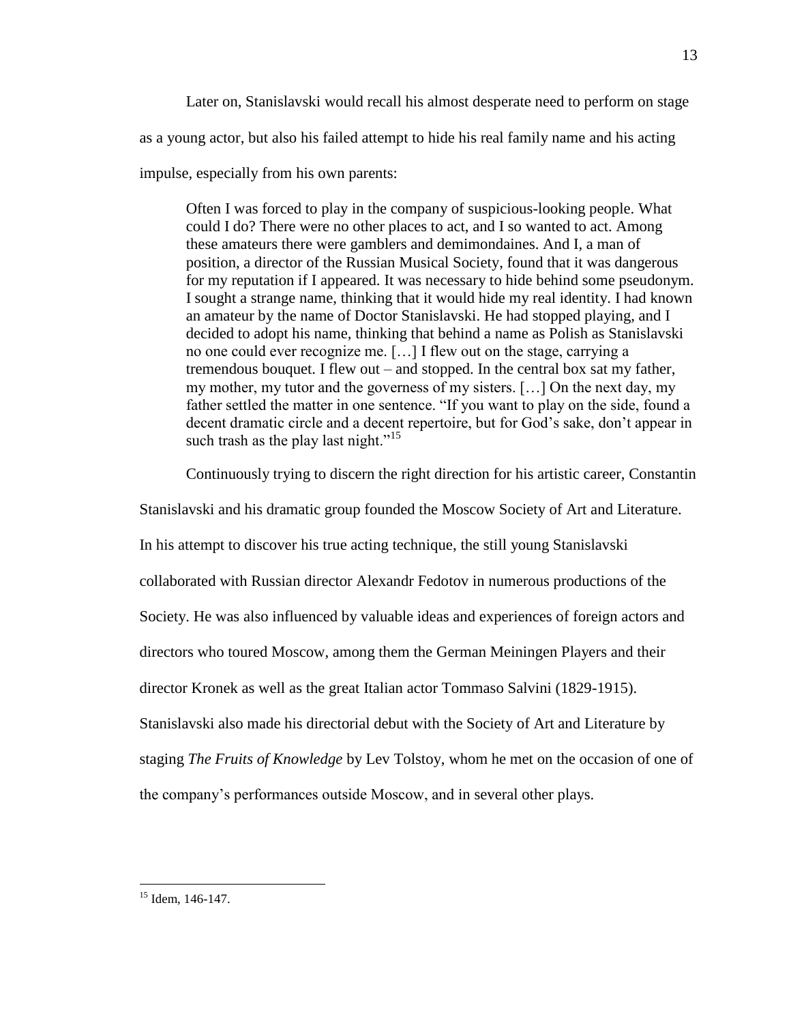Later on, Stanislavski would recall his almost desperate need to perform on stage as a young actor, but also his failed attempt to hide his real family name and his acting impulse, especially from his own parents:

Often I was forced to play in the company of suspicious-looking people. What could I do? There were no other places to act, and I so wanted to act. Among these amateurs there were gamblers and demimondaines. And I, a man of position, a director of the Russian Musical Society, found that it was dangerous for my reputation if I appeared. It was necessary to hide behind some pseudonym. I sought a strange name, thinking that it would hide my real identity. I had known an amateur by the name of Doctor Stanislavski. He had stopped playing, and I decided to adopt his name, thinking that behind a name as Polish as Stanislavski no one could ever recognize me. […] I flew out on the stage, carrying a tremendous bouquet. I flew out – and stopped. In the central box sat my father, my mother, my tutor and the governess of my sisters. […] On the next day, my father settled the matter in one sentence. "If you want to play on the side, found a decent dramatic circle and a decent repertoire, but for God's sake, don't appear in such trash as the play last night." $15$ 

Continuously trying to discern the right direction for his artistic career, Constantin

Stanislavski and his dramatic group founded the Moscow Society of Art and Literature.

In his attempt to discover his true acting technique, the still young Stanislavski

collaborated with Russian director Alexandr Fedotov in numerous productions of the

Society. He was also influenced by valuable ideas and experiences of foreign actors and

directors who toured Moscow, among them the German Meiningen Players and their

director Kronek as well as the great Italian actor Tommaso Salvini (1829-1915).

Stanislavski also made his directorial debut with the Society of Art and Literature by

staging *The Fruits of Knowledge* by Lev Tolstoy, whom he met on the occasion of one of

the company's performances outside Moscow, and in several other plays.

 $\overline{a}$  $15$  Idem, 146-147.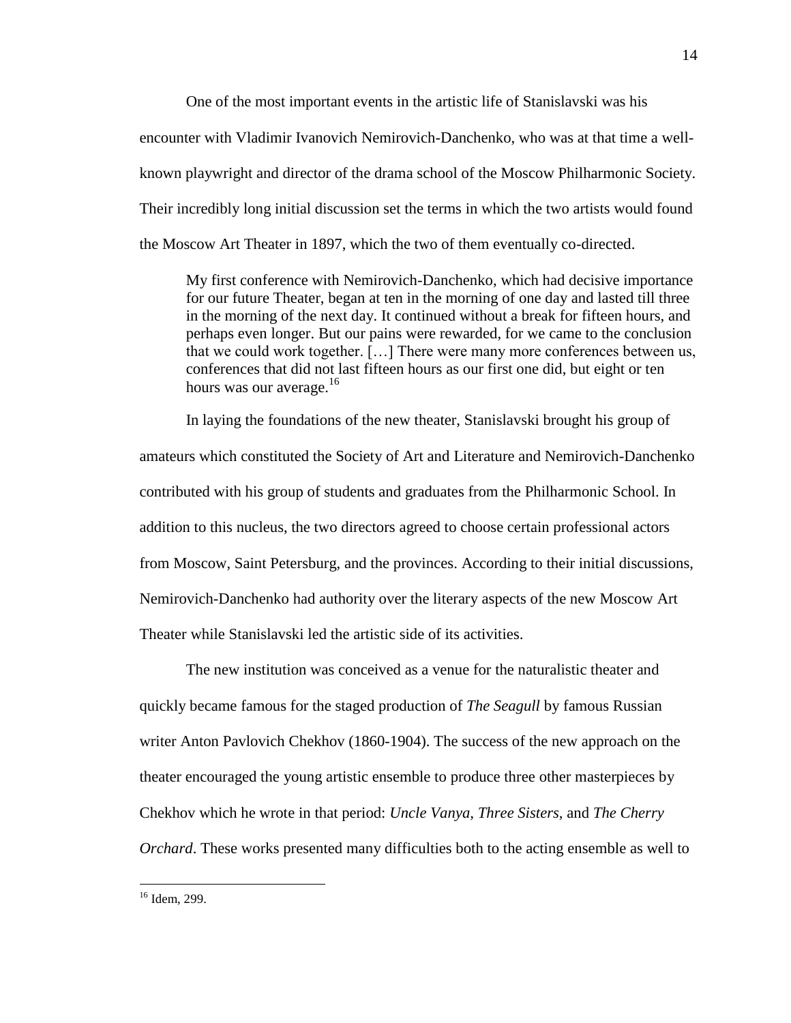One of the most important events in the artistic life of Stanislavski was his encounter with Vladimir Ivanovich Nemirovich-Danchenko, who was at that time a wellknown playwright and director of the drama school of the Moscow Philharmonic Society. Their incredibly long initial discussion set the terms in which the two artists would found the Moscow Art Theater in 1897, which the two of them eventually co-directed.

My first conference with Nemirovich-Danchenko, which had decisive importance for our future Theater, began at ten in the morning of one day and lasted till three in the morning of the next day. It continued without a break for fifteen hours, and perhaps even longer. But our pains were rewarded, for we came to the conclusion that we could work together. […] There were many more conferences between us, conferences that did not last fifteen hours as our first one did, but eight or ten hours was our average.<sup>16</sup>

In laying the foundations of the new theater, Stanislavski brought his group of amateurs which constituted the Society of Art and Literature and Nemirovich-Danchenko contributed with his group of students and graduates from the Philharmonic School. In addition to this nucleus, the two directors agreed to choose certain professional actors from Moscow, Saint Petersburg, and the provinces. According to their initial discussions, Nemirovich-Danchenko had authority over the literary aspects of the new Moscow Art Theater while Stanislavski led the artistic side of its activities.

The new institution was conceived as a venue for the naturalistic theater and quickly became famous for the staged production of *The Seagull* by famous Russian writer Anton Pavlovich Chekhov (1860-1904). The success of the new approach on the theater encouraged the young artistic ensemble to produce three other masterpieces by Chekhov which he wrote in that period: *Uncle Vanya, Three Sisters,* and *The Cherry Orchard*. These works presented many difficulties both to the acting ensemble as well to

 $16$  Idem, 299.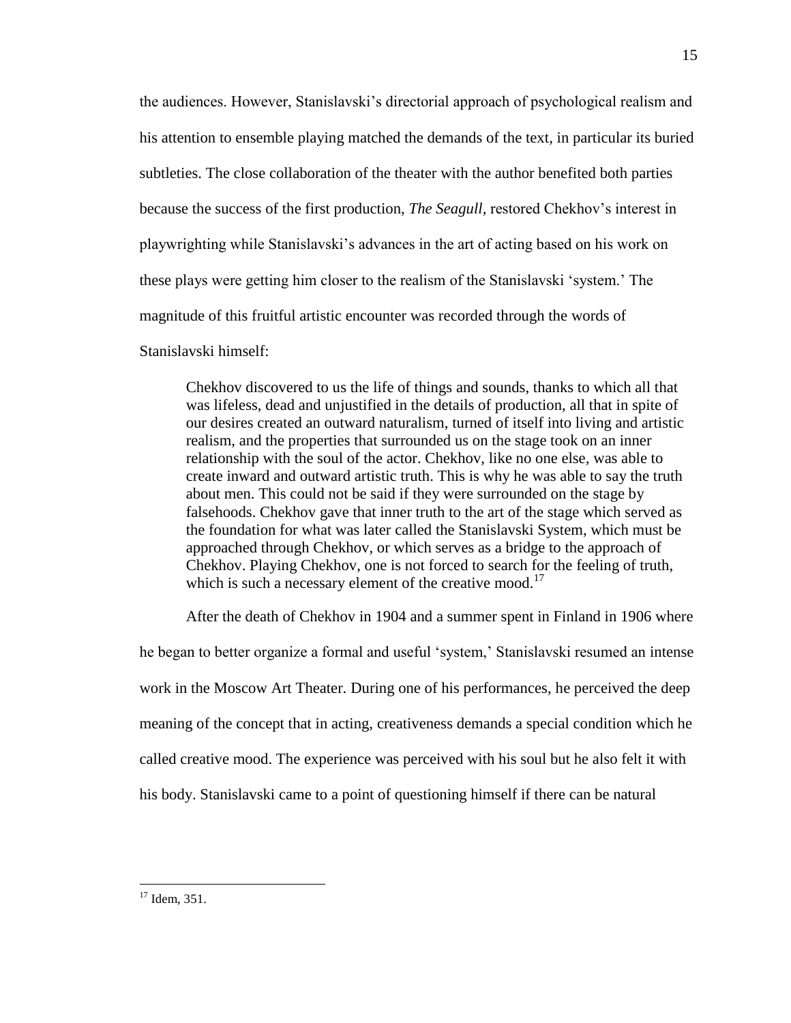the audiences. However, Stanislavski's directorial approach of psychological realism and his attention to ensemble playing matched the demands of the text, in particular its buried subtleties. The close collaboration of the theater with the author benefited both parties because the success of the first production, *The Seagull,* restored Chekhov's interest in playwrighting while Stanislavski's advances in the art of acting based on his work on these plays were getting him closer to the realism of the Stanislavski 'system.' The magnitude of this fruitful artistic encounter was recorded through the words of

Stanislavski himself:

Chekhov discovered to us the life of things and sounds, thanks to which all that was lifeless, dead and unjustified in the details of production, all that in spite of our desires created an outward naturalism, turned of itself into living and artistic realism, and the properties that surrounded us on the stage took on an inner relationship with the soul of the actor. Chekhov, like no one else, was able to create inward and outward artistic truth. This is why he was able to say the truth about men. This could not be said if they were surrounded on the stage by falsehoods. Chekhov gave that inner truth to the art of the stage which served as the foundation for what was later called the Stanislavski System, which must be approached through Chekhov, or which serves as a bridge to the approach of Chekhov. Playing Chekhov, one is not forced to search for the feeling of truth, which is such a necessary element of the creative mood.<sup>17</sup>

After the death of Chekhov in 1904 and a summer spent in Finland in 1906 where

he began to better organize a formal and useful 'system,' Stanislavski resumed an intense work in the Moscow Art Theater. During one of his performances, he perceived the deep meaning of the concept that in acting, creativeness demands a special condition which he called creative mood. The experience was perceived with his soul but he also felt it with his body. Stanislavski came to a point of questioning himself if there can be natural

 $17$  Idem, 351.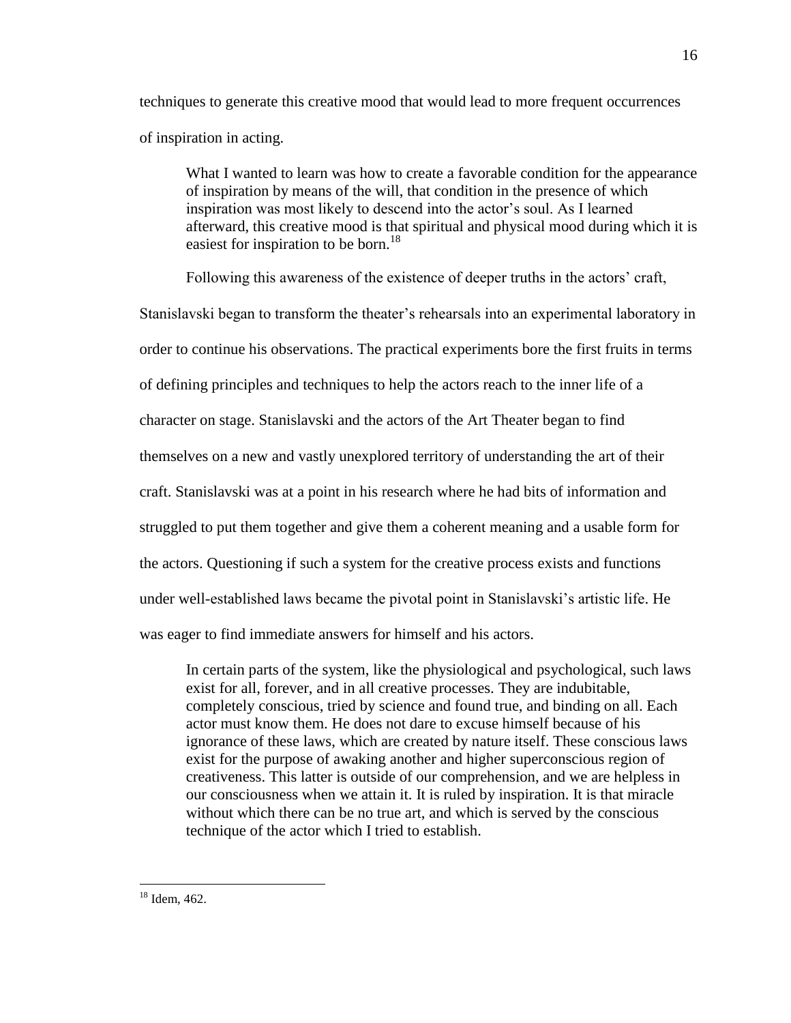techniques to generate this creative mood that would lead to more frequent occurrences of inspiration in acting.

What I wanted to learn was how to create a favorable condition for the appearance of inspiration by means of the will, that condition in the presence of which inspiration was most likely to descend into the actor's soul. As I learned afterward, this creative mood is that spiritual and physical mood during which it is easiest for inspiration to be born.<sup>18</sup>

Following this awareness of the existence of deeper truths in the actors' craft,

Stanislavski began to transform the theater's rehearsals into an experimental laboratory in order to continue his observations. The practical experiments bore the first fruits in terms of defining principles and techniques to help the actors reach to the inner life of a character on stage. Stanislavski and the actors of the Art Theater began to find themselves on a new and vastly unexplored territory of understanding the art of their craft. Stanislavski was at a point in his research where he had bits of information and struggled to put them together and give them a coherent meaning and a usable form for the actors. Questioning if such a system for the creative process exists and functions under well-established laws became the pivotal point in Stanislavski's artistic life. He was eager to find immediate answers for himself and his actors.

In certain parts of the system, like the physiological and psychological, such laws exist for all, forever, and in all creative processes. They are indubitable, completely conscious, tried by science and found true, and binding on all. Each actor must know them. He does not dare to excuse himself because of his ignorance of these laws, which are created by nature itself. These conscious laws exist for the purpose of awaking another and higher superconscious region of creativeness. This latter is outside of our comprehension, and we are helpless in our consciousness when we attain it. It is ruled by inspiration. It is that miracle without which there can be no true art, and which is served by the conscious technique of the actor which I tried to establish.

 $18$  Idem, 462.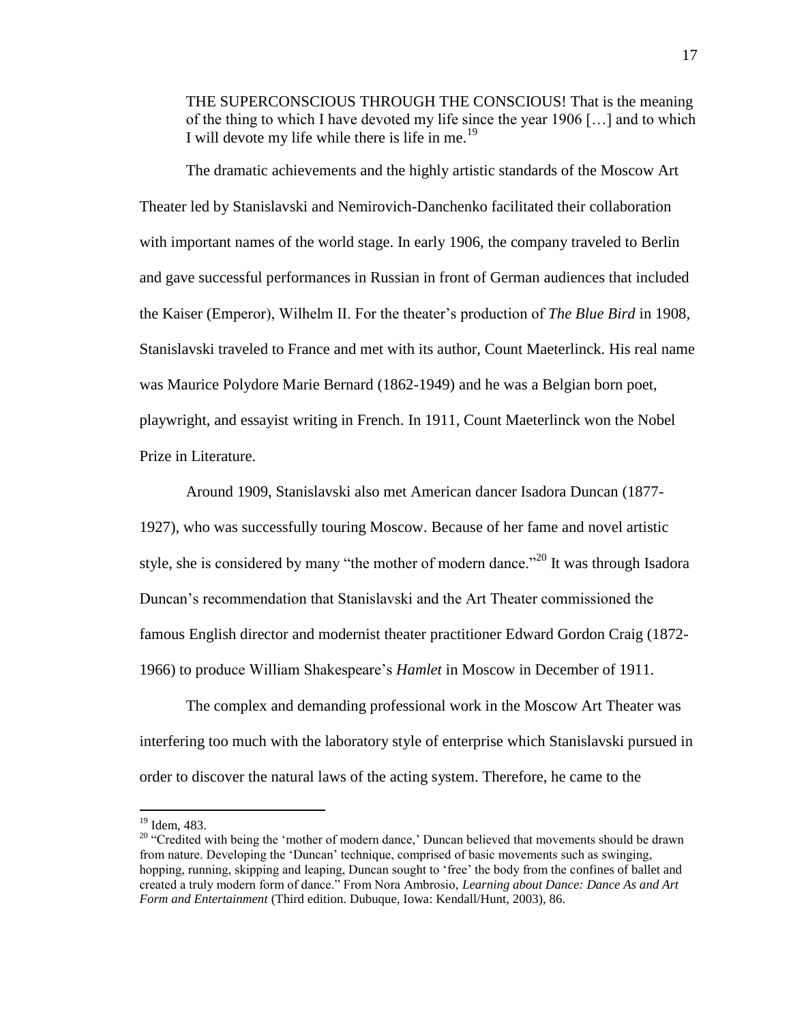THE SUPERCONSCIOUS THROUGH THE CONSCIOUS! That is the meaning of the thing to which I have devoted my life since the year 1906 […] and to which I will devote my life while there is life in me.<sup>19</sup>

The dramatic achievements and the highly artistic standards of the Moscow Art Theater led by Stanislavski and Nemirovich-Danchenko facilitated their collaboration with important names of the world stage. In early 1906, the company traveled to Berlin and gave successful performances in Russian in front of German audiences that included the Kaiser (Emperor), Wilhelm II. For the theater's production of *The Blue Bird* in 1908, Stanislavski traveled to France and met with its author, Count Maeterlinck. His real name was Maurice Polydore Marie Bernard (1862-1949) and he was a Belgian born poet, playwright, and essayist writing in French. In 1911, Count Maeterlinck won the Nobel Prize in Literature.

Around 1909, Stanislavski also met American dancer Isadora Duncan (1877- 1927), who was successfully touring Moscow. Because of her fame and novel artistic style, she is considered by many "the mother of modern dance."<sup>20</sup> It was through Isadora Duncan's recommendation that Stanislavski and the Art Theater commissioned the famous English director and modernist theater practitioner Edward Gordon Craig (1872- 1966) to produce William Shakespeare's *Hamlet* in Moscow in December of 1911.

The complex and demanding professional work in the Moscow Art Theater was interfering too much with the laboratory style of enterprise which Stanislavski pursued in order to discover the natural laws of the acting system. Therefore, he came to the

 $19$  Idem, 483.

<sup>&</sup>lt;sup>20</sup> "Credited with being the 'mother of modern dance,' Duncan believed that movements should be drawn from nature. Developing the 'Duncan' technique, comprised of basic movements such as swinging, hopping, running, skipping and leaping. Duncan sought to 'free' the body from the confines of ballet and created a truly modern form of dance.‖ From Nora Ambrosio, *Learning about Dance: Dance As and Art Form and Entertainment* (Third edition. Dubuque, Iowa: Kendall/Hunt, 2003), 86.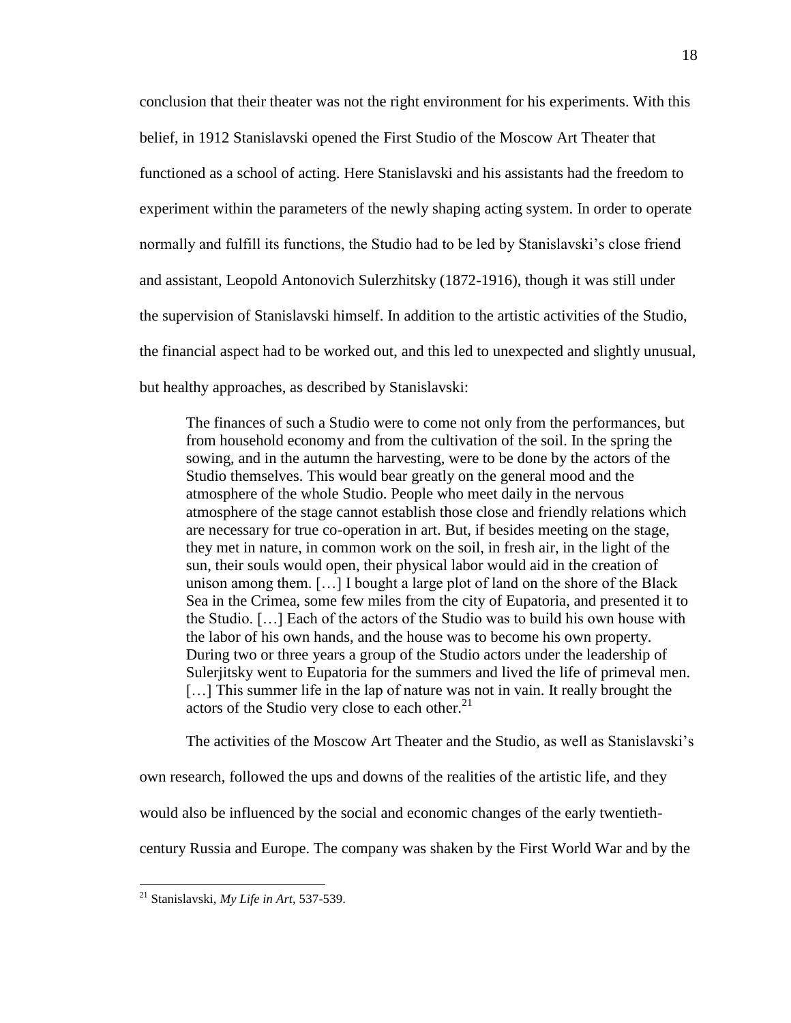conclusion that their theater was not the right environment for his experiments. With this belief, in 1912 Stanislavski opened the First Studio of the Moscow Art Theater that functioned as a school of acting. Here Stanislavski and his assistants had the freedom to experiment within the parameters of the newly shaping acting system. In order to operate normally and fulfill its functions, the Studio had to be led by Stanislavski's close friend and assistant, Leopold Antonovich Sulerzhitsky (1872-1916), though it was still under the supervision of Stanislavski himself. In addition to the artistic activities of the Studio, the financial aspect had to be worked out, and this led to unexpected and slightly unusual, but healthy approaches, as described by Stanislavski:

The finances of such a Studio were to come not only from the performances, but from household economy and from the cultivation of the soil. In the spring the sowing, and in the autumn the harvesting, were to be done by the actors of the Studio themselves. This would bear greatly on the general mood and the atmosphere of the whole Studio. People who meet daily in the nervous atmosphere of the stage cannot establish those close and friendly relations which are necessary for true co-operation in art. But, if besides meeting on the stage, they met in nature, in common work on the soil, in fresh air, in the light of the sun, their souls would open, their physical labor would aid in the creation of unison among them. […] I bought a large plot of land on the shore of the Black Sea in the Crimea, some few miles from the city of Eupatoria, and presented it to the Studio. […] Each of the actors of the Studio was to build his own house with the labor of his own hands, and the house was to become his own property. During two or three years a group of the Studio actors under the leadership of Sulerjitsky went to Eupatoria for the summers and lived the life of primeval men. [...] This summer life in the lap of nature was not in vain. It really brought the actors of the Studio very close to each other. $^{21}$ 

The activities of the Moscow Art Theater and the Studio, as well as Stanislavski's own research, followed the ups and downs of the realities of the artistic life, and they would also be influenced by the social and economic changes of the early twentiethcentury Russia and Europe. The company was shaken by the First World War and by the

<sup>21</sup> Stanislavski, *My Life in Art*, 537-539.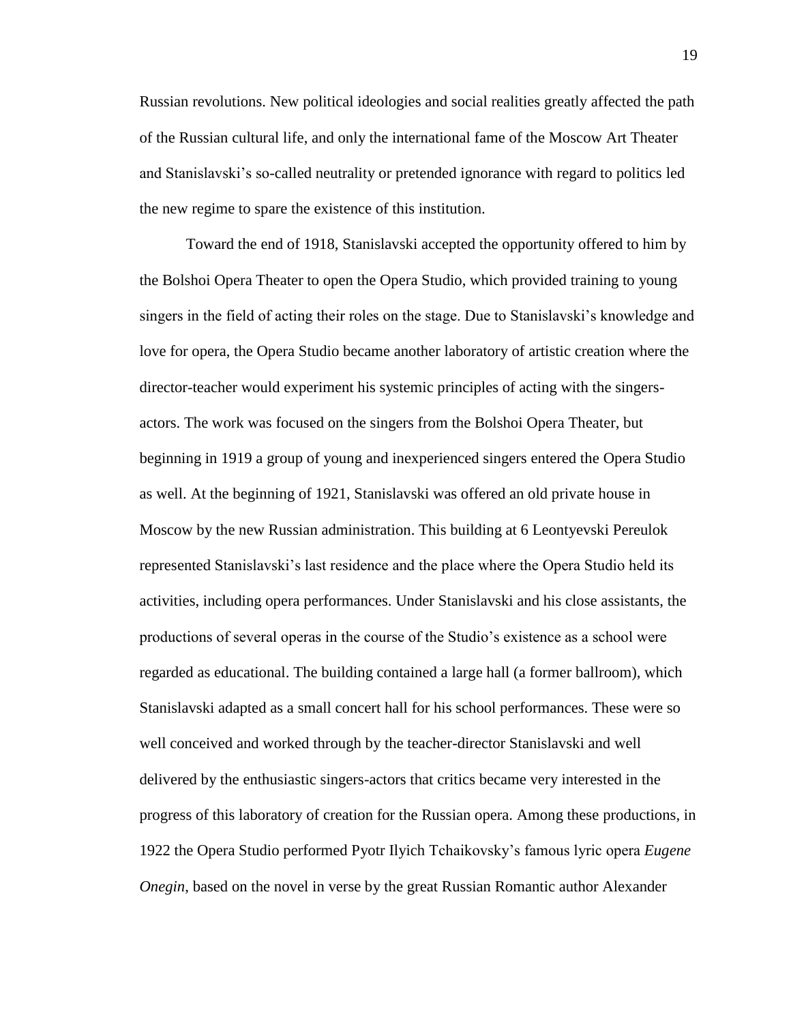Russian revolutions. New political ideologies and social realities greatly affected the path of the Russian cultural life, and only the international fame of the Moscow Art Theater and Stanislavski's so-called neutrality or pretended ignorance with regard to politics led the new regime to spare the existence of this institution.

Toward the end of 1918, Stanislavski accepted the opportunity offered to him by the Bolshoi Opera Theater to open the Opera Studio, which provided training to young singers in the field of acting their roles on the stage. Due to Stanislavski's knowledge and love for opera, the Opera Studio became another laboratory of artistic creation where the director-teacher would experiment his systemic principles of acting with the singersactors. The work was focused on the singers from the Bolshoi Opera Theater, but beginning in 1919 a group of young and inexperienced singers entered the Opera Studio as well. At the beginning of 1921, Stanislavski was offered an old private house in Moscow by the new Russian administration. This building at 6 Leontyevski Pereulok represented Stanislavski's last residence and the place where the Opera Studio held its activities, including opera performances. Under Stanislavski and his close assistants, the productions of several operas in the course of the Studio's existence as a school were regarded as educational. The building contained a large hall (a former ballroom), which Stanislavski adapted as a small concert hall for his school performances. These were so well conceived and worked through by the teacher-director Stanislavski and well delivered by the enthusiastic singers-actors that critics became very interested in the progress of this laboratory of creation for the Russian opera. Among these productions, in 1922 the Opera Studio performed Pyotr Ilyich Tchaikovsky's famous lyric opera *Eugene Onegin*, based on the novel in verse by the great Russian Romantic author Alexander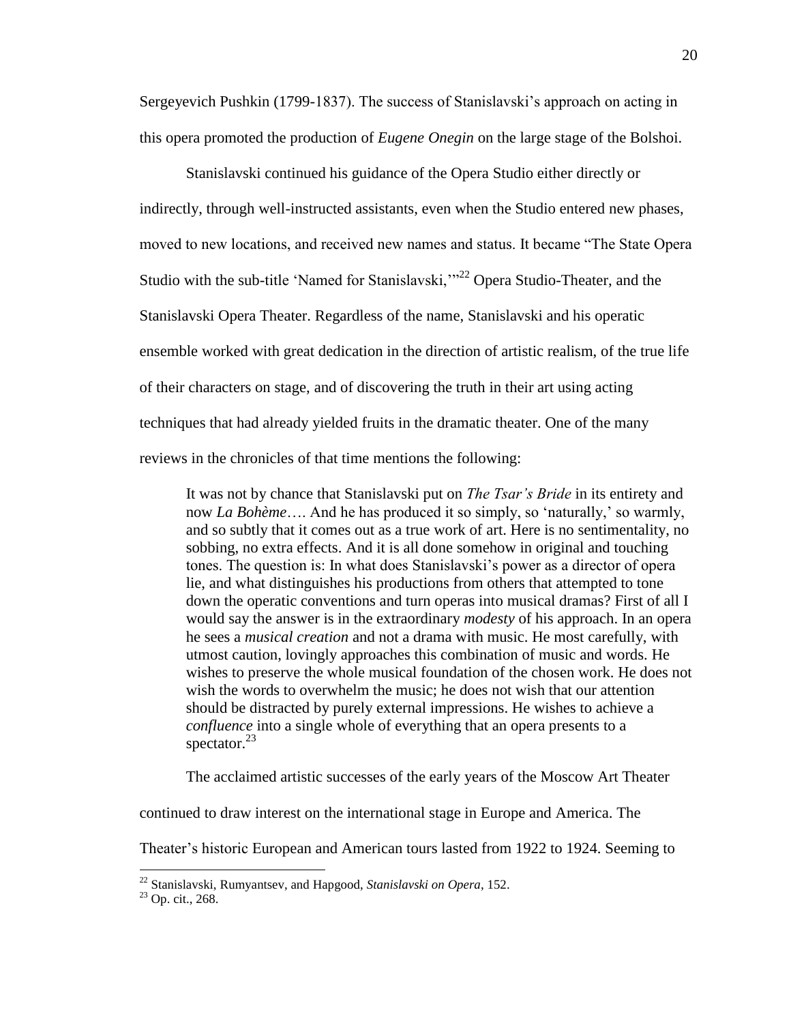Sergeyevich Pushkin (1799-1837). The success of Stanislavski's approach on acting in this opera promoted the production of *Eugene Onegin* on the large stage of the Bolshoi.

Stanislavski continued his guidance of the Opera Studio either directly or indirectly, through well-instructed assistants, even when the Studio entered new phases, moved to new locations, and received new names and status. It became "The State Opera" Studio with the sub-title 'Named for Stanislavski,'"<sup>22</sup> Opera Studio-Theater, and the Stanislavski Opera Theater. Regardless of the name, Stanislavski and his operatic ensemble worked with great dedication in the direction of artistic realism, of the true life of their characters on stage, and of discovering the truth in their art using acting techniques that had already yielded fruits in the dramatic theater. One of the many reviews in the chronicles of that time mentions the following:

It was not by chance that Stanislavski put on *The Tsar's Bride* in its entirety and now *La Bohème*…. And he has produced it so simply, so 'naturally,' so warmly, and so subtly that it comes out as a true work of art. Here is no sentimentality, no sobbing, no extra effects. And it is all done somehow in original and touching tones. The question is: In what does Stanislavski's power as a director of opera lie, and what distinguishes his productions from others that attempted to tone down the operatic conventions and turn operas into musical dramas? First of all I would say the answer is in the extraordinary *modesty* of his approach. In an opera he sees a *musical creation* and not a drama with music. He most carefully, with utmost caution, lovingly approaches this combination of music and words. He wishes to preserve the whole musical foundation of the chosen work. He does not wish the words to overwhelm the music; he does not wish that our attention should be distracted by purely external impressions. He wishes to achieve a *confluence* into a single whole of everything that an opera presents to a spectator. $^{23}$ 

The acclaimed artistic successes of the early years of the Moscow Art Theater

continued to draw interest on the international stage in Europe and America. The

Theater's historic European and American tours lasted from 1922 to 1924. Seeming to

 $23$  Op. cit., 268.

<sup>22</sup> Stanislavski, Rumyantsev, and Hapgood, *Stanislavski on Opera*, 152.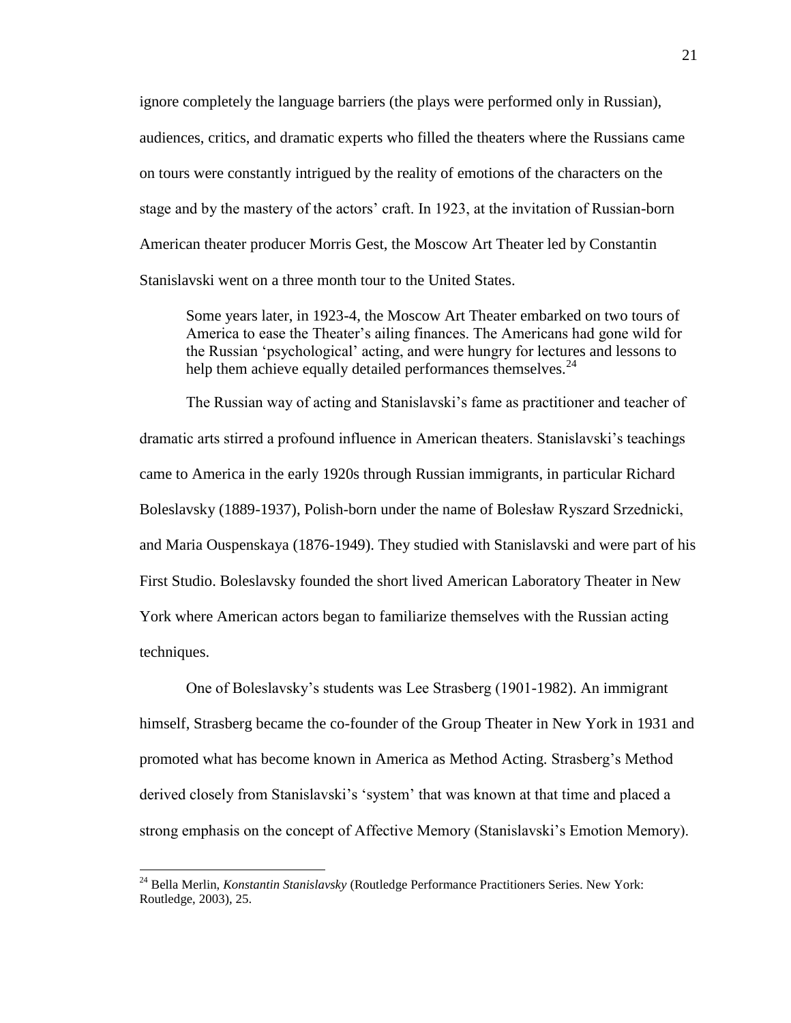ignore completely the language barriers (the plays were performed only in Russian), audiences, critics, and dramatic experts who filled the theaters where the Russians came on tours were constantly intrigued by the reality of emotions of the characters on the stage and by the mastery of the actors' craft. In 1923, at the invitation of Russian-born American theater producer Morris Gest, the Moscow Art Theater led by Constantin Stanislavski went on a three month tour to the United States.

Some years later, in 1923-4, the Moscow Art Theater embarked on two tours of America to ease the Theater's ailing finances. The Americans had gone wild for the Russian ‗psychological' acting, and were hungry for lectures and lessons to help them achieve equally detailed performances themselves.<sup>24</sup>

The Russian way of acting and Stanislavski's fame as practitioner and teacher of dramatic arts stirred a profound influence in American theaters. Stanislavski's teachings came to America in the early 1920s through Russian immigrants, in particular Richard Boleslavsky (1889-1937), Polish-born under the name of Bolesław Ryszard Srzednicki, and Maria Ouspenskaya (1876-1949). They studied with Stanislavski and were part of his First Studio. Boleslavsky founded the short lived American Laboratory Theater in New York where American actors began to familiarize themselves with the Russian acting techniques.

One of Boleslavsky's students was Lee Strasberg (1901-1982). An immigrant himself, Strasberg became the co-founder of the Group Theater in New York in 1931 and promoted what has become known in America as Method Acting. Strasberg's Method derived closely from Stanislavski's 'system' that was known at that time and placed a strong emphasis on the concept of Affective Memory (Stanislavski's Emotion Memory).

<sup>24</sup> Bella Merlin, *Konstantin Stanislavsky* (Routledge Performance Practitioners Series. New York: Routledge, 2003), 25.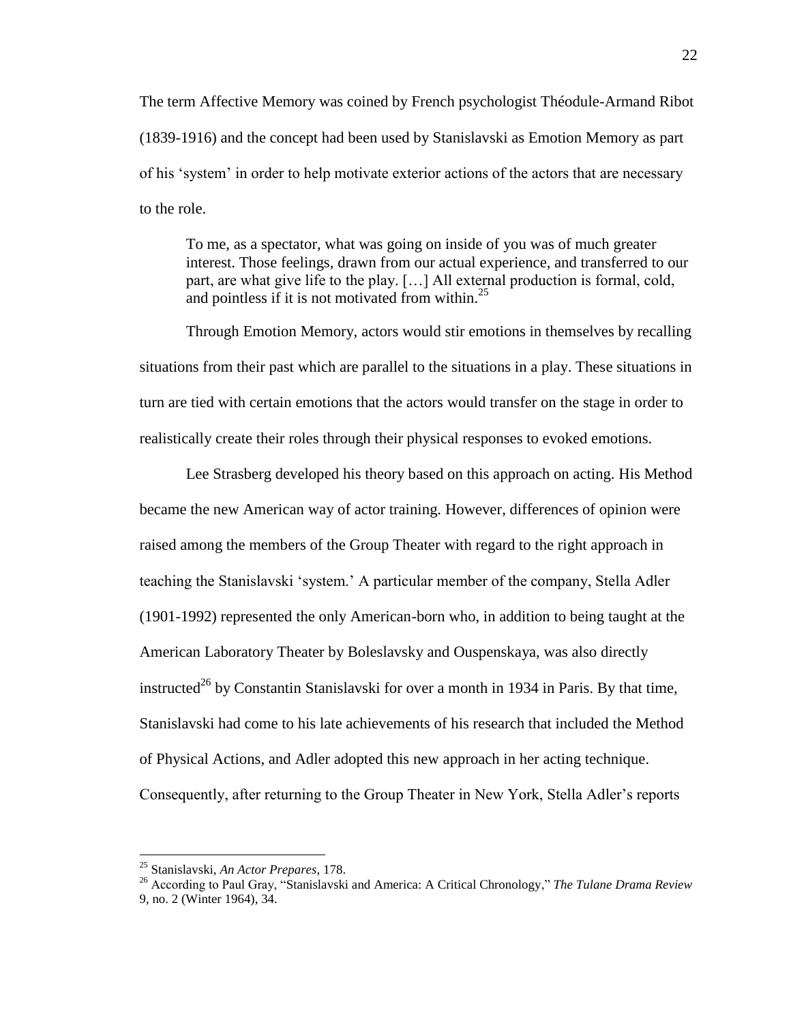The term Affective Memory was coined by French psychologist Théodule-Armand Ribot (1839-1916) and the concept had been used by Stanislavski as Emotion Memory as part of his ‗system' in order to help motivate exterior actions of the actors that are necessary to the role.

To me, as a spectator, what was going on inside of you was of much greater interest. Those feelings, drawn from our actual experience, and transferred to our part, are what give life to the play. […] All external production is formal, cold, and pointless if it is not motivated from within.<sup>25</sup>

Through Emotion Memory, actors would stir emotions in themselves by recalling situations from their past which are parallel to the situations in a play. These situations in turn are tied with certain emotions that the actors would transfer on the stage in order to realistically create their roles through their physical responses to evoked emotions.

Lee Strasberg developed his theory based on this approach on acting. His Method became the new American way of actor training. However, differences of opinion were raised among the members of the Group Theater with regard to the right approach in teaching the Stanislavski ‗system.' A particular member of the company, Stella Adler (1901-1992) represented the only American-born who, in addition to being taught at the American Laboratory Theater by Boleslavsky and Ouspenskaya, was also directly instructed<sup>26</sup> by Constantin Stanislavski for over a month in 1934 in Paris. By that time, Stanislavski had come to his late achievements of his research that included the Method of Physical Actions, and Adler adopted this new approach in her acting technique. Consequently, after returning to the Group Theater in New York, Stella Adler's reports

<sup>25</sup> Stanislavski, *An Actor Prepares*, 178.

<sup>&</sup>lt;sup>26</sup> According to Paul Gray, "Stanislavski and America: A Critical Chronology," The Tulane Drama Review 9, no. 2 (Winter 1964), 34.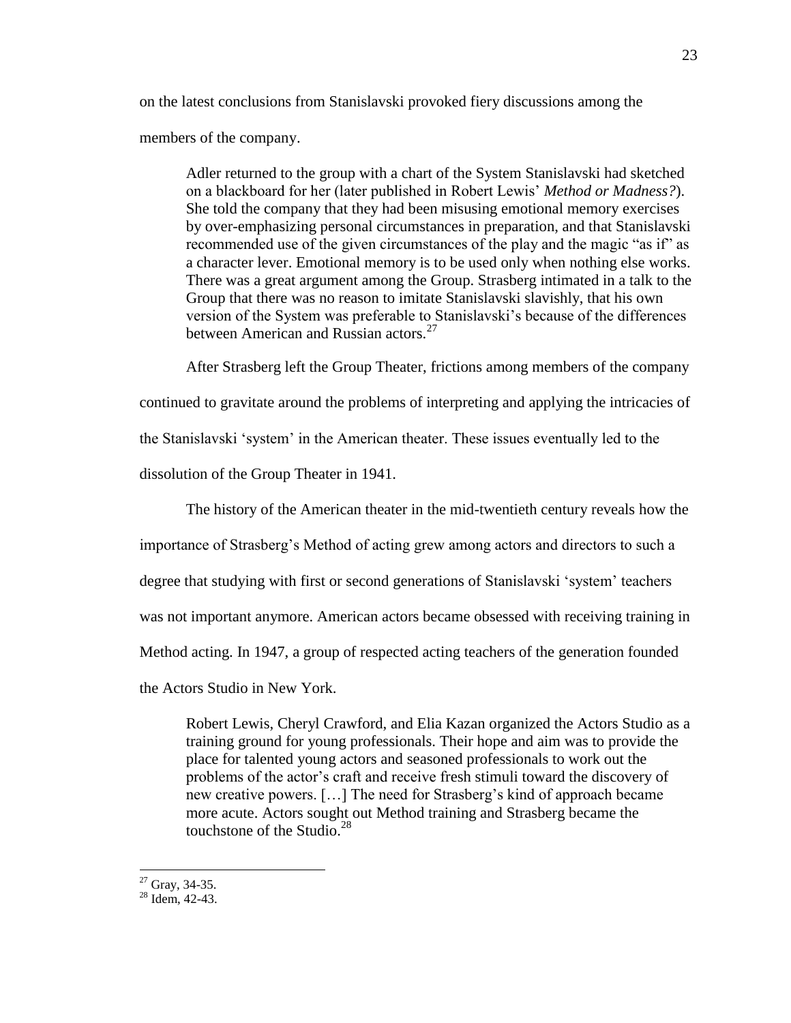on the latest conclusions from Stanislavski provoked fiery discussions among the members of the company.

Adler returned to the group with a chart of the System Stanislavski had sketched on a blackboard for her (later published in Robert Lewis' *Method or Madness?*). She told the company that they had been misusing emotional memory exercises by over-emphasizing personal circumstances in preparation, and that Stanislavski recommended use of the given circumstances of the play and the magic "as if" as a character lever. Emotional memory is to be used only when nothing else works. There was a great argument among the Group. Strasberg intimated in a talk to the Group that there was no reason to imitate Stanislavski slavishly, that his own version of the System was preferable to Stanislavski's because of the differences between American and Russian actors.<sup>27</sup>

After Strasberg left the Group Theater, frictions among members of the company

continued to gravitate around the problems of interpreting and applying the intricacies of

the Stanislavski 'system' in the American theater. These issues eventually led to the

dissolution of the Group Theater in 1941.

The history of the American theater in the mid-twentieth century reveals how the

importance of Strasberg's Method of acting grew among actors and directors to such a

degree that studying with first or second generations of Stanislavski 'system' teachers

was not important anymore. American actors became obsessed with receiving training in

Method acting. In 1947, a group of respected acting teachers of the generation founded

the Actors Studio in New York.

Robert Lewis, Cheryl Crawford, and Elia Kazan organized the Actors Studio as a training ground for young professionals. Their hope and aim was to provide the place for talented young actors and seasoned professionals to work out the problems of the actor's craft and receive fresh stimuli toward the discovery of new creative powers. […] The need for Strasberg's kind of approach became more acute. Actors sought out Method training and Strasberg became the touchstone of the Studio.<sup>28</sup>

 $\overline{a}$  $27$  Gray, 34-35.

 $28$  Idem, 42-43.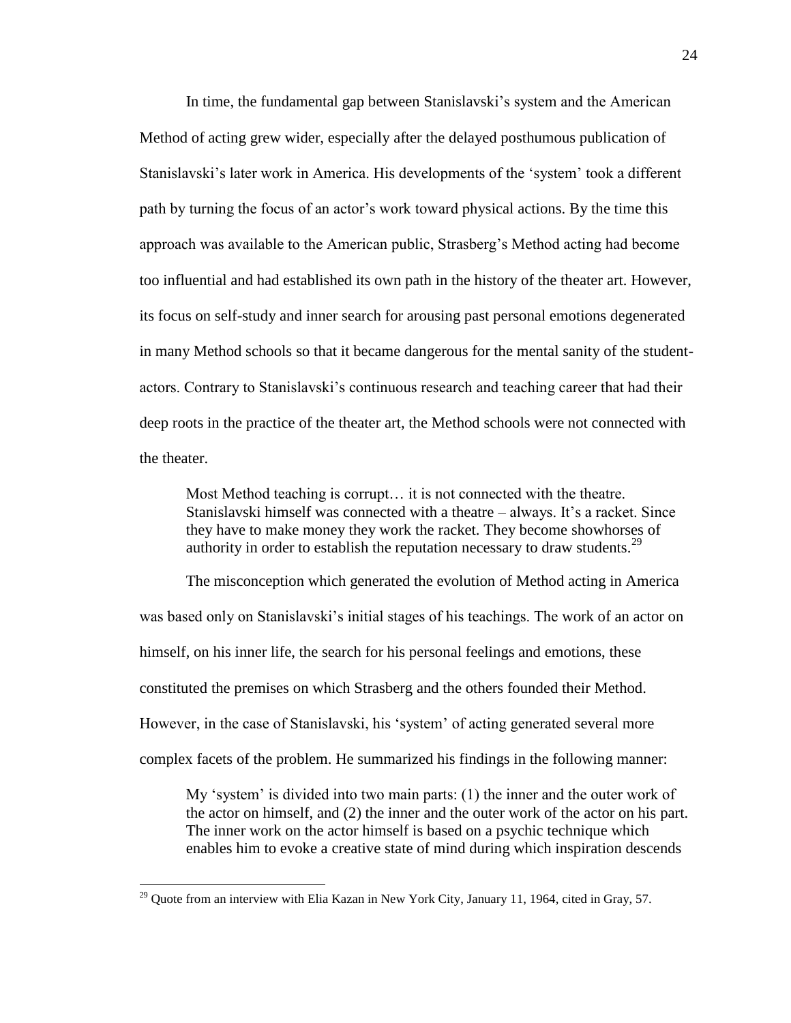In time, the fundamental gap between Stanislavski's system and the American Method of acting grew wider, especially after the delayed posthumous publication of Stanislavski's later work in America. His developments of the 'system' took a different path by turning the focus of an actor's work toward physical actions. By the time this approach was available to the American public, Strasberg's Method acting had become too influential and had established its own path in the history of the theater art. However, its focus on self-study and inner search for arousing past personal emotions degenerated in many Method schools so that it became dangerous for the mental sanity of the studentactors. Contrary to Stanislavski's continuous research and teaching career that had their deep roots in the practice of the theater art, the Method schools were not connected with the theater.

Most Method teaching is corrupt… it is not connected with the theatre. Stanislavski himself was connected with a theatre – always. It's a racket. Since they have to make money they work the racket. They become showhorses of authority in order to establish the reputation necessary to draw students.<sup>29</sup>

The misconception which generated the evolution of Method acting in America was based only on Stanislavski's initial stages of his teachings. The work of an actor on himself, on his inner life, the search for his personal feelings and emotions, these constituted the premises on which Strasberg and the others founded their Method. However, in the case of Stanislavski, his 'system' of acting generated several more complex facets of the problem. He summarized his findings in the following manner:

My 'system' is divided into two main parts: (1) the inner and the outer work of the actor on himself, and (2) the inner and the outer work of the actor on his part. The inner work on the actor himself is based on a psychic technique which enables him to evoke a creative state of mind during which inspiration descends

<sup>&</sup>lt;sup>29</sup> Quote from an interview with Elia Kazan in New York City, January 11, 1964, cited in Gray, 57.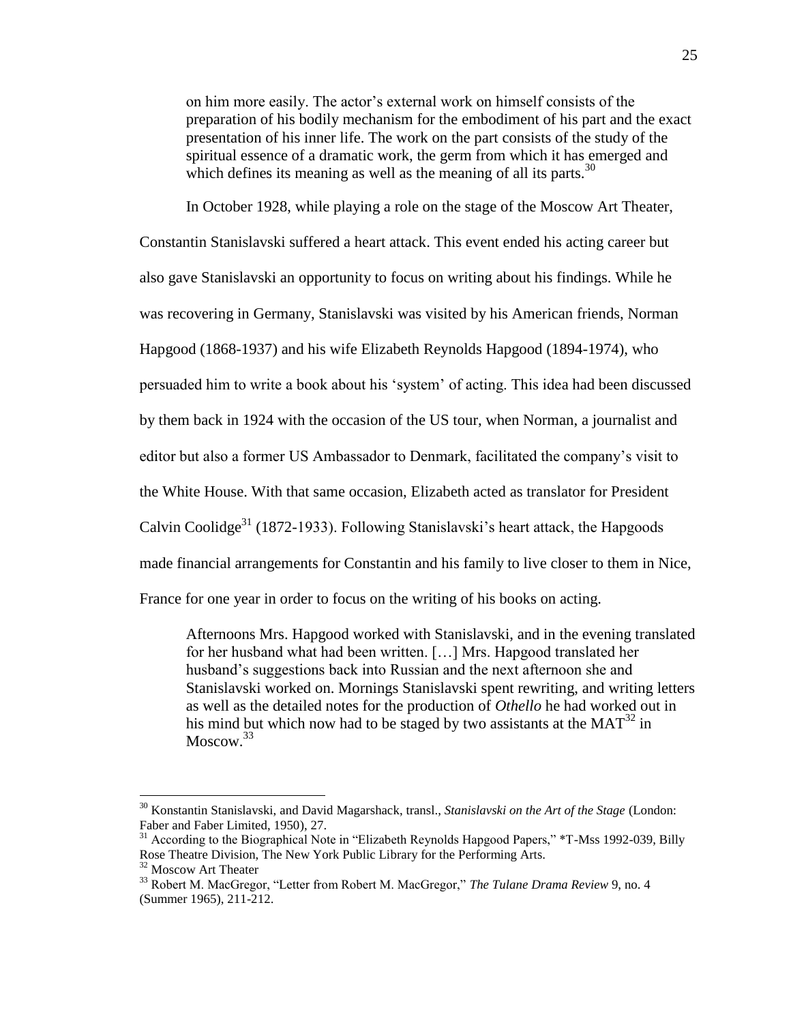on him more easily. The actor's external work on himself consists of the preparation of his bodily mechanism for the embodiment of his part and the exact presentation of his inner life. The work on the part consists of the study of the spiritual essence of a dramatic work, the germ from which it has emerged and which defines its meaning as well as the meaning of all its parts.<sup>30</sup>

In October 1928, while playing a role on the stage of the Moscow Art Theater, Constantin Stanislavski suffered a heart attack. This event ended his acting career but also gave Stanislavski an opportunity to focus on writing about his findings. While he was recovering in Germany, Stanislavski was visited by his American friends, Norman Hapgood (1868-1937) and his wife Elizabeth Reynolds Hapgood (1894-1974), who persuaded him to write a book about his ‗system' of acting. This idea had been discussed by them back in 1924 with the occasion of the US tour, when Norman, a journalist and editor but also a former US Ambassador to Denmark, facilitated the company's visit to the White House. With that same occasion, Elizabeth acted as translator for President Calvin Coolidge<sup>31</sup> (1872-1933). Following Stanislavski's heart attack, the Hapgoods made financial arrangements for Constantin and his family to live closer to them in Nice, France for one year in order to focus on the writing of his books on acting.

Afternoons Mrs. Hapgood worked with Stanislavski, and in the evening translated for her husband what had been written. […] Mrs. Hapgood translated her husband's suggestions back into Russian and the next afternoon she and Stanislavski worked on. Mornings Stanislavski spent rewriting, and writing letters as well as the detailed notes for the production of *Othello* he had worked out in his mind but which now had to be staged by two assistants at the  $MAT^{32}$  in Moscow.<sup>33</sup>

<sup>30</sup> Konstantin Stanislavski, and David Magarshack, transl., *Stanislavski on the Art of the Stage* (London: Faber and Faber Limited, 1950), 27.

<sup>&</sup>lt;sup>31</sup> According to the Biographical Note in "Elizabeth Reynolds Hapgood Papers," \*T-Mss 1992-039, Billy Rose Theatre Division, The New York Public Library for the Performing Arts.

<sup>32</sup> Moscow Art Theater

<sup>&</sup>lt;sup>33</sup> Robert M. MacGregor, "Letter from Robert M. MacGregor," *The Tulane Drama Review* 9, no. 4 (Summer 1965), 211-212.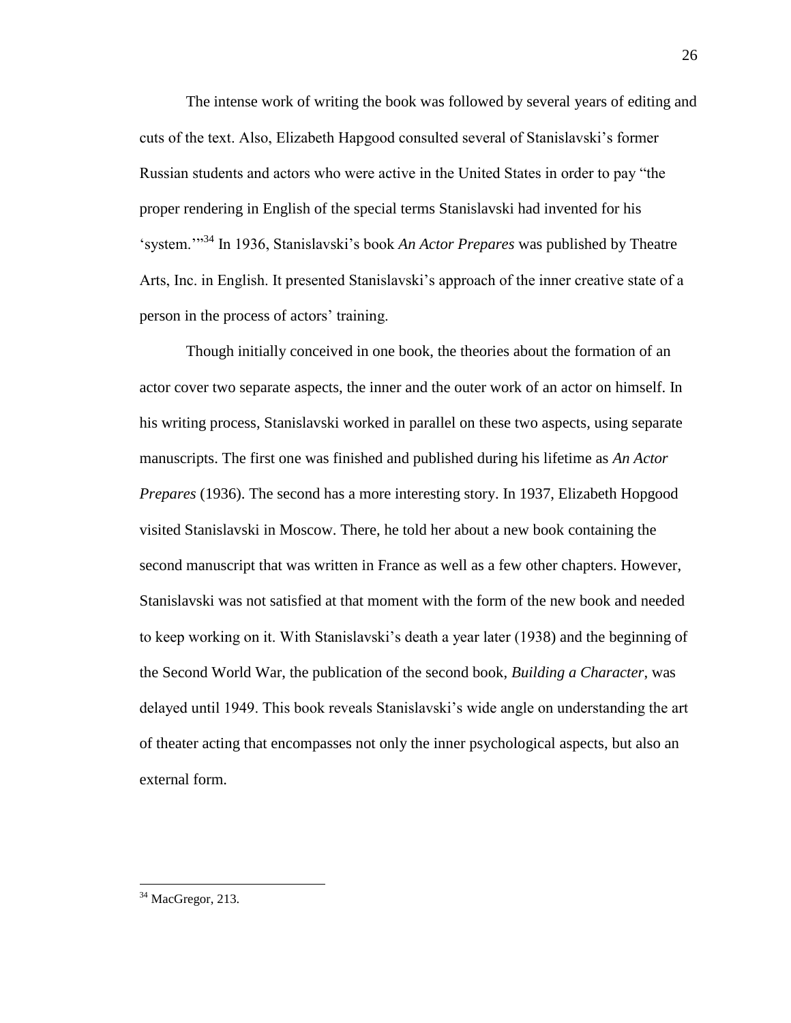The intense work of writing the book was followed by several years of editing and cuts of the text. Also, Elizabeth Hapgood consulted several of Stanislavski's former Russian students and actors who were active in the United States in order to pay "the proper rendering in English of the special terms Stanislavski had invented for his ‗system.'‖<sup>34</sup> In 1936, Stanislavski's book *An Actor Prepares* was published by Theatre Arts, Inc. in English. It presented Stanislavski's approach of the inner creative state of a person in the process of actors' training.

Though initially conceived in one book, the theories about the formation of an actor cover two separate aspects, the inner and the outer work of an actor on himself. In his writing process, Stanislavski worked in parallel on these two aspects, using separate manuscripts. The first one was finished and published during his lifetime as *An Actor Prepares* (1936). The second has a more interesting story. In 1937, Elizabeth Hopgood visited Stanislavski in Moscow. There, he told her about a new book containing the second manuscript that was written in France as well as a few other chapters. However, Stanislavski was not satisfied at that moment with the form of the new book and needed to keep working on it. With Stanislavski's death a year later (1938) and the beginning of the Second World War, the publication of the second book, *Building a Character*, was delayed until 1949. This book reveals Stanislavski's wide angle on understanding the art of theater acting that encompasses not only the inner psychological aspects, but also an external form.

 $34$  MacGregor, 213.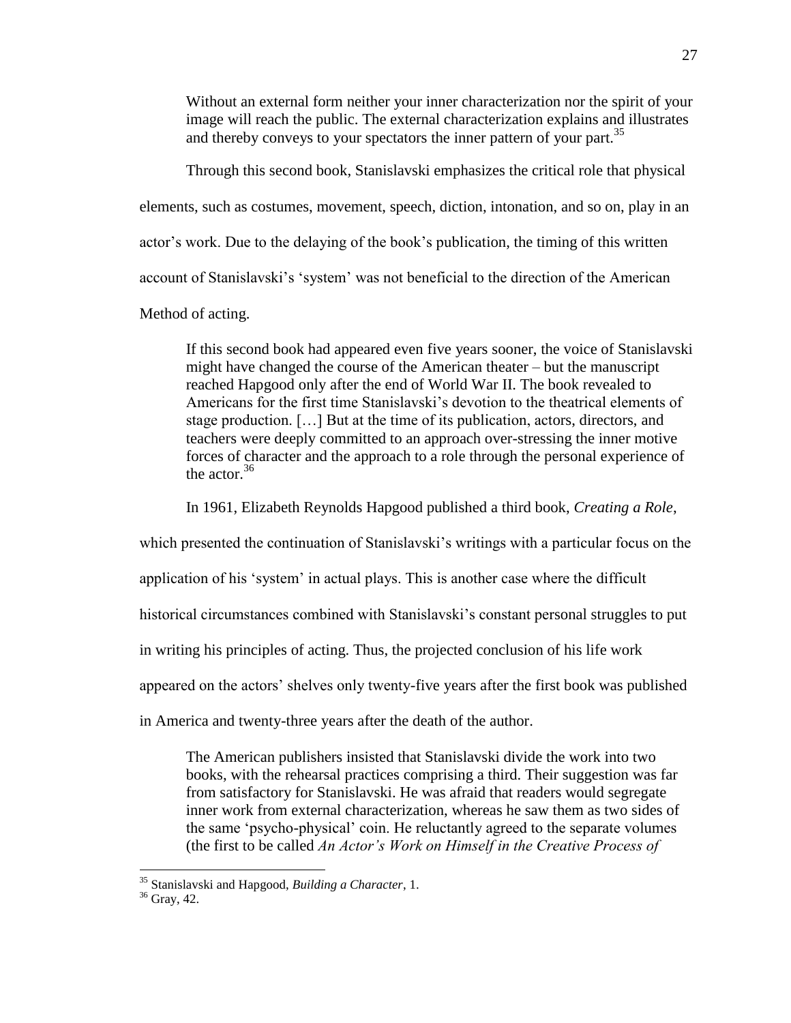Without an external form neither your inner characterization nor the spirit of your image will reach the public. The external characterization explains and illustrates and thereby conveys to your spectators the inner pattern of your part.<sup>35</sup>

Through this second book, Stanislavski emphasizes the critical role that physical elements, such as costumes, movement, speech, diction, intonation, and so on, play in an actor's work. Due to the delaying of the book's publication, the timing of this written account of Stanislavski's 'system' was not beneficial to the direction of the American Method of acting.

If this second book had appeared even five years sooner, the voice of Stanislavski might have changed the course of the American theater – but the manuscript reached Hapgood only after the end of World War II. The book revealed to Americans for the first time Stanislavski's devotion to the theatrical elements of stage production. […] But at the time of its publication, actors, directors, and teachers were deeply committed to an approach over-stressing the inner motive forces of character and the approach to a role through the personal experience of the actor.<sup>36</sup>

In 1961, Elizabeth Reynolds Hapgood published a third book, *Creating a Role*,

which presented the continuation of Stanislavski's writings with a particular focus on the

application of his ‗system' in actual plays. This is another case where the difficult

historical circumstances combined with Stanislavski's constant personal struggles to put

in writing his principles of acting. Thus, the projected conclusion of his life work

appeared on the actors' shelves only twenty-five years after the first book was published

in America and twenty-three years after the death of the author.

The American publishers insisted that Stanislavski divide the work into two books, with the rehearsal practices comprising a third. Their suggestion was far from satisfactory for Stanislavski. He was afraid that readers would segregate inner work from external characterization, whereas he saw them as two sides of the same ‗psycho-physical' coin. He reluctantly agreed to the separate volumes (the first to be called *An Actor's Work on Himself in the Creative Process of* 

<sup>35</sup> Stanislavski and Hapgood, *Building a Character*, 1.

 $36$  Gray, 42.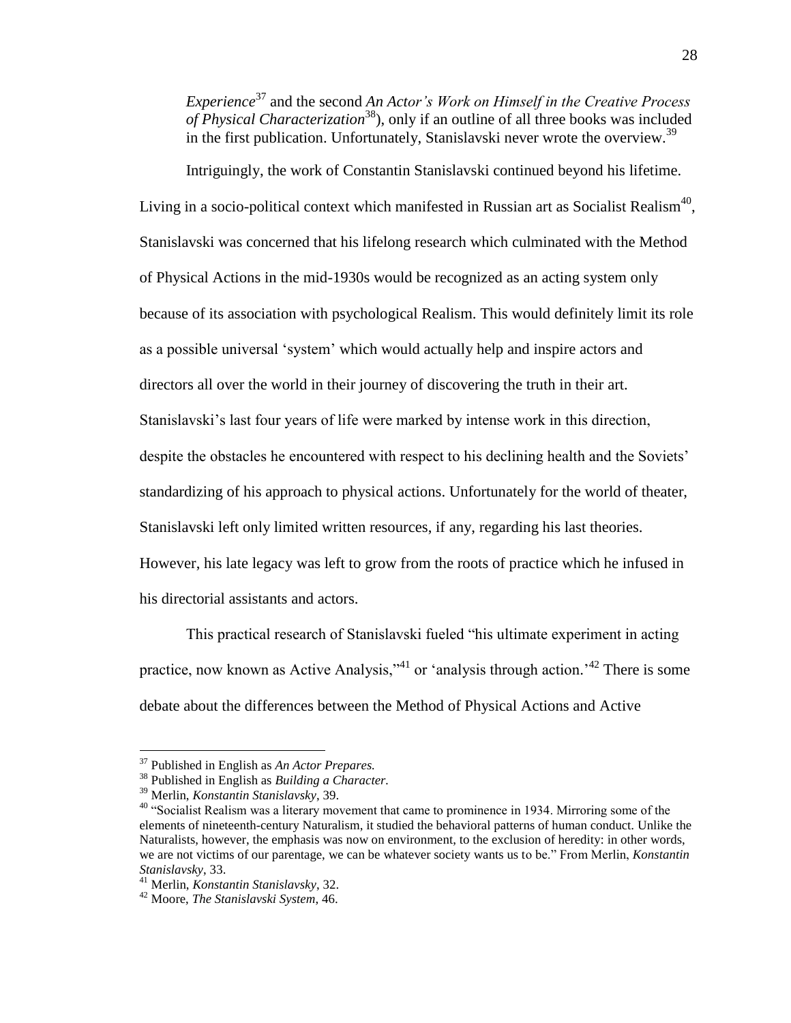*Experience*<sup>37</sup> and the second *An Actor's Work on Himself in the Creative Process of Physical Characterization*<sup>38</sup>), only if an outline of all three books was included in the first publication. Unfortunately, Stanislavski never wrote the overview.<sup>39</sup>

Intriguingly, the work of Constantin Stanislavski continued beyond his lifetime. Living in a socio-political context which manifested in Russian art as Socialist Realism<sup>40</sup>, Stanislavski was concerned that his lifelong research which culminated with the Method of Physical Actions in the mid-1930s would be recognized as an acting system only because of its association with psychological Realism. This would definitely limit its role as a possible universal ‗system' which would actually help and inspire actors and directors all over the world in their journey of discovering the truth in their art. Stanislavski's last four years of life were marked by intense work in this direction, despite the obstacles he encountered with respect to his declining health and the Soviets' standardizing of his approach to physical actions. Unfortunately for the world of theater, Stanislavski left only limited written resources, if any, regarding his last theories. However, his late legacy was left to grow from the roots of practice which he infused in his directorial assistants and actors.

This practical research of Stanislavski fueled "his ultimate experiment in acting practice, now known as Active Analysis,"<sup>41</sup> or 'analysis through action.<sup>42</sup> There is some debate about the differences between the Method of Physical Actions and Active

<sup>37</sup> Published in English as *An Actor Prepares.*

<sup>38</sup> Published in English as *Building a Character.*

<sup>39</sup> Merlin, *Konstantin Stanislavsky*, 39.

<sup>&</sup>lt;sup>40</sup> "Socialist Realism was a literary movement that came to prominence in 1934. Mirroring some of the elements of nineteenth-century Naturalism, it studied the behavioral patterns of human conduct. Unlike the Naturalists, however, the emphasis was now on environment, to the exclusion of heredity: in other words, we are not victims of our parentage, we can be whatever society wants us to be." From Merlin, *Konstantin Stanislavsky*, 33.

<sup>41</sup> Merlin, *Konstantin Stanislavsky*, 32.

<sup>42</sup> Moore, *The Stanislavski System*, 46.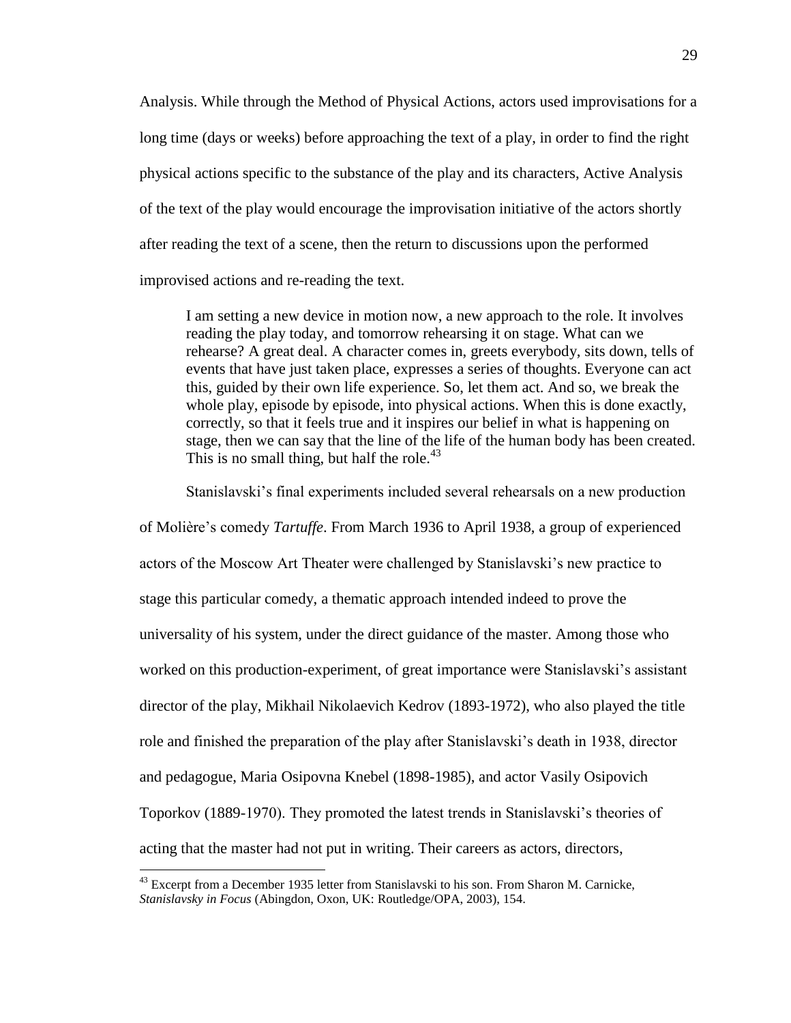Analysis. While through the Method of Physical Actions, actors used improvisations for a long time (days or weeks) before approaching the text of a play, in order to find the right physical actions specific to the substance of the play and its characters, Active Analysis of the text of the play would encourage the improvisation initiative of the actors shortly after reading the text of a scene, then the return to discussions upon the performed improvised actions and re-reading the text.

I am setting a new device in motion now, a new approach to the role. It involves reading the play today, and tomorrow rehearsing it on stage. What can we rehearse? A great deal. A character comes in, greets everybody, sits down, tells of events that have just taken place, expresses a series of thoughts. Everyone can act this, guided by their own life experience. So, let them act. And so, we break the whole play, episode by episode, into physical actions. When this is done exactly, correctly, so that it feels true and it inspires our belief in what is happening on stage, then we can say that the line of the life of the human body has been created. This is no small thing, but half the role.<sup>43</sup>

Stanislavski's final experiments included several rehearsals on a new production

of Molière's comedy *Tartuffe*. From March 1936 to April 1938, a group of experienced actors of the Moscow Art Theater were challenged by Stanislavski's new practice to stage this particular comedy, a thematic approach intended indeed to prove the universality of his system, under the direct guidance of the master. Among those who worked on this production-experiment, of great importance were Stanislavski's assistant director of the play, Mikhail Nikolaevich Kedrov (1893-1972), who also played the title role and finished the preparation of the play after Stanislavski's death in 1938, director and pedagogue, Maria Osipovna Knebel (1898-1985), and actor Vasily Osipovich Toporkov (1889-1970). They promoted the latest trends in Stanislavski's theories of acting that the master had not put in writing. Their careers as actors, directors,

<sup>&</sup>lt;sup>43</sup> Excerpt from a December 1935 letter from Stanislavski to his son. From Sharon M. Carnicke, *Stanislavsky in Focus* (Abingdon, Oxon, UK: Routledge/OPA, 2003), 154.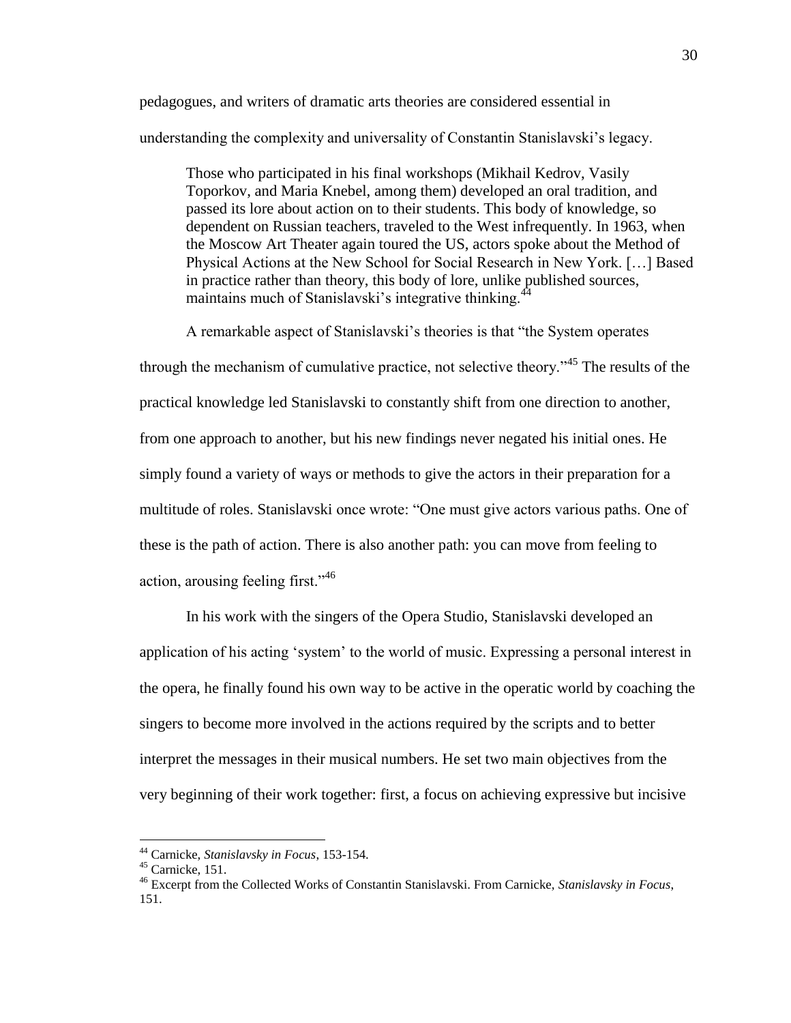pedagogues, and writers of dramatic arts theories are considered essential in understanding the complexity and universality of Constantin Stanislavski's legacy.

Those who participated in his final workshops (Mikhail Kedrov, Vasily Toporkov, and Maria Knebel, among them) developed an oral tradition, and passed its lore about action on to their students. This body of knowledge, so dependent on Russian teachers, traveled to the West infrequently. In 1963, when the Moscow Art Theater again toured the US, actors spoke about the Method of Physical Actions at the New School for Social Research in New York. […] Based in practice rather than theory, this body of lore, unlike published sources, maintains much of Stanislavski's integrative thinking.<sup>44</sup>

A remarkable aspect of Stanislavski's theories is that "the System operates"

through the mechanism of cumulative practice, not selective theory.<sup> $45$ </sup> The results of the practical knowledge led Stanislavski to constantly shift from one direction to another, from one approach to another, but his new findings never negated his initial ones. He simply found a variety of ways or methods to give the actors in their preparation for a multitude of roles. Stanislavski once wrote: "One must give actors various paths. One of these is the path of action. There is also another path: you can move from feeling to action, arousing feeling first. $146$ 

In his work with the singers of the Opera Studio, Stanislavski developed an application of his acting ‗system' to the world of music. Expressing a personal interest in the opera, he finally found his own way to be active in the operatic world by coaching the singers to become more involved in the actions required by the scripts and to better interpret the messages in their musical numbers. He set two main objectives from the very beginning of their work together: first, a focus on achieving expressive but incisive

<sup>44</sup> Carnicke, *Stanislavsky in Focus*, 153-154.

<sup>45</sup> Carnicke, 151.

<sup>46</sup> Excerpt from the Collected Works of Constantin Stanislavski. From Carnicke, *Stanislavsky in Focus*, 151.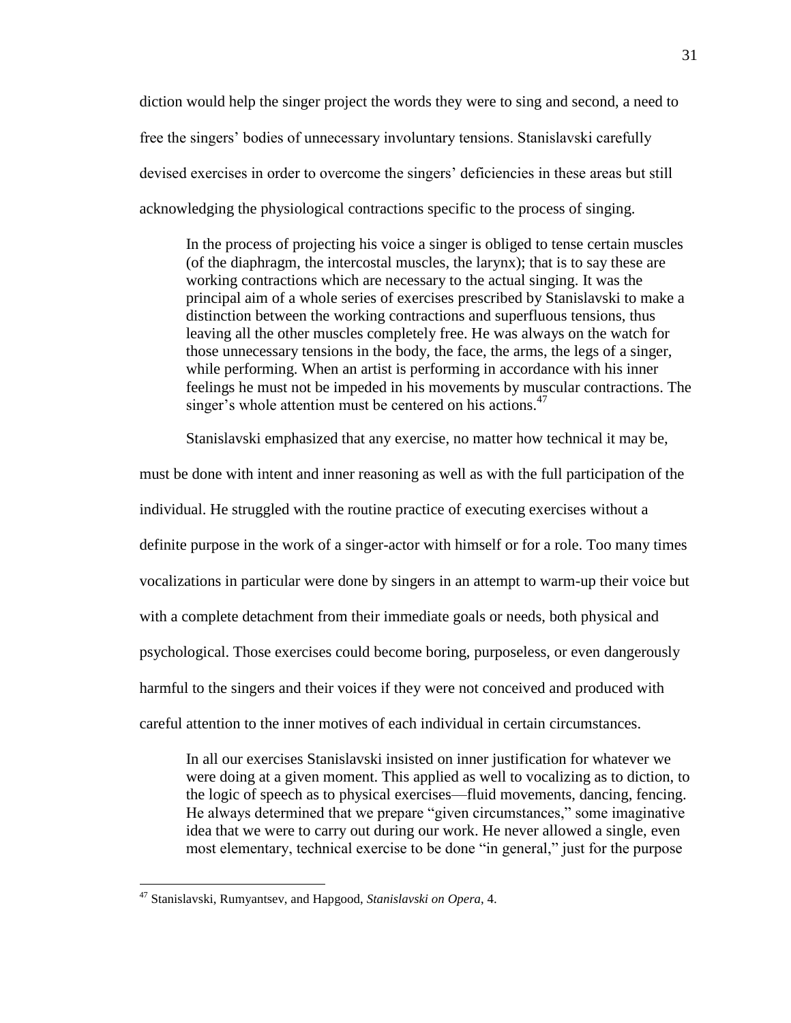diction would help the singer project the words they were to sing and second, a need to free the singers' bodies of unnecessary involuntary tensions. Stanislavski carefully devised exercises in order to overcome the singers' deficiencies in these areas but still acknowledging the physiological contractions specific to the process of singing.

In the process of projecting his voice a singer is obliged to tense certain muscles (of the diaphragm, the intercostal muscles, the larynx); that is to say these are working contractions which are necessary to the actual singing. It was the principal aim of a whole series of exercises prescribed by Stanislavski to make a distinction between the working contractions and superfluous tensions, thus leaving all the other muscles completely free. He was always on the watch for those unnecessary tensions in the body, the face, the arms, the legs of a singer, while performing. When an artist is performing in accordance with his inner feelings he must not be impeded in his movements by muscular contractions. The singer's whole attention must be centered on his actions. $47$ 

Stanislavski emphasized that any exercise, no matter how technical it may be,

must be done with intent and inner reasoning as well as with the full participation of the individual. He struggled with the routine practice of executing exercises without a definite purpose in the work of a singer-actor with himself or for a role. Too many times vocalizations in particular were done by singers in an attempt to warm-up their voice but with a complete detachment from their immediate goals or needs, both physical and psychological. Those exercises could become boring, purposeless, or even dangerously harmful to the singers and their voices if they were not conceived and produced with careful attention to the inner motives of each individual in certain circumstances.

In all our exercises Stanislavski insisted on inner justification for whatever we were doing at a given moment. This applied as well to vocalizing as to diction, to the logic of speech as to physical exercises—fluid movements, dancing, fencing. He always determined that we prepare "given circumstances," some imaginative idea that we were to carry out during our work. He never allowed a single, even most elementary, technical exercise to be done "in general," just for the purpose

<sup>47</sup> Stanislavski, Rumyantsev, and Hapgood, *Stanislavski on Opera*, 4.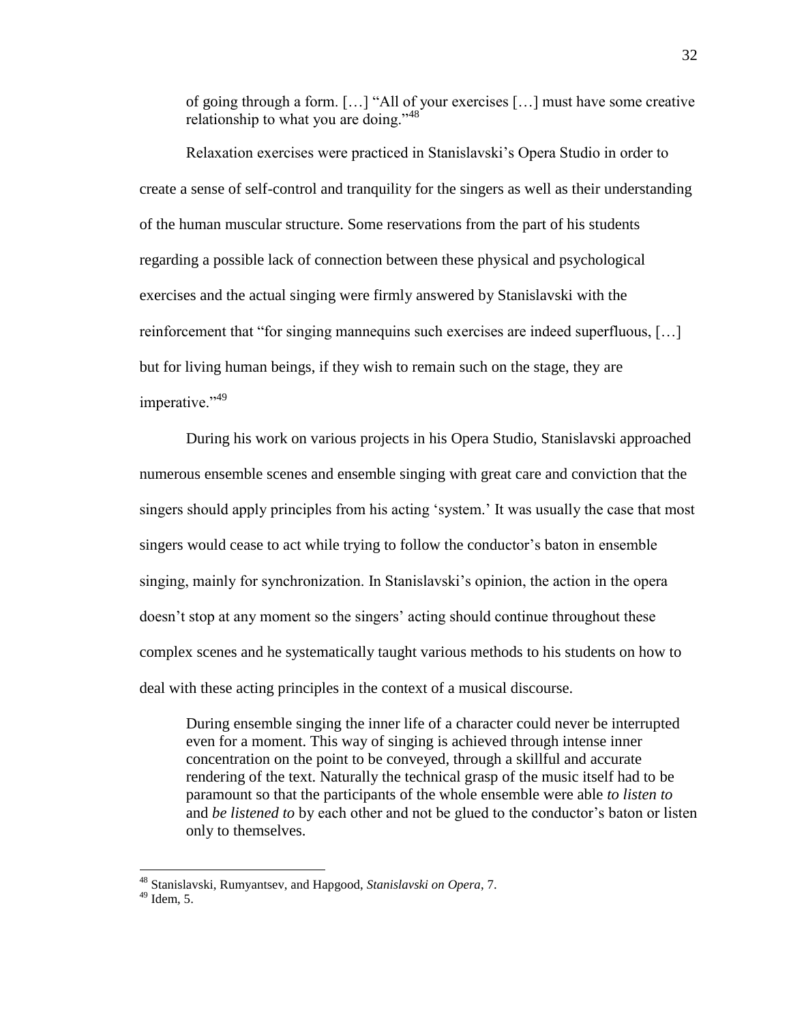of going through a form. [...] "All of your exercises [...] must have some creative relationship to what you are doing."<sup>48</sup>

Relaxation exercises were practiced in Stanislavski's Opera Studio in order to create a sense of self-control and tranquility for the singers as well as their understanding of the human muscular structure. Some reservations from the part of his students regarding a possible lack of connection between these physical and psychological exercises and the actual singing were firmly answered by Stanislavski with the reinforcement that "for singing mannequins such exercises are indeed superfluous, [...] but for living human beings, if they wish to remain such on the stage, they are imperative."<sup>49</sup>

During his work on various projects in his Opera Studio, Stanislavski approached numerous ensemble scenes and ensemble singing with great care and conviction that the singers should apply principles from his acting 'system.' It was usually the case that most singers would cease to act while trying to follow the conductor's baton in ensemble singing, mainly for synchronization. In Stanislavski's opinion, the action in the opera doesn't stop at any moment so the singers' acting should continue throughout these complex scenes and he systematically taught various methods to his students on how to deal with these acting principles in the context of a musical discourse.

During ensemble singing the inner life of a character could never be interrupted even for a moment. This way of singing is achieved through intense inner concentration on the point to be conveyed, through a skillful and accurate rendering of the text. Naturally the technical grasp of the music itself had to be paramount so that the participants of the whole ensemble were able *to listen to* and *be listened to* by each other and not be glued to the conductor's baton or listen only to themselves.

<sup>48</sup> Stanislavski, Rumyantsev, and Hapgood, *Stanislavski on Opera*, 7.

 $49$  Idem, 5.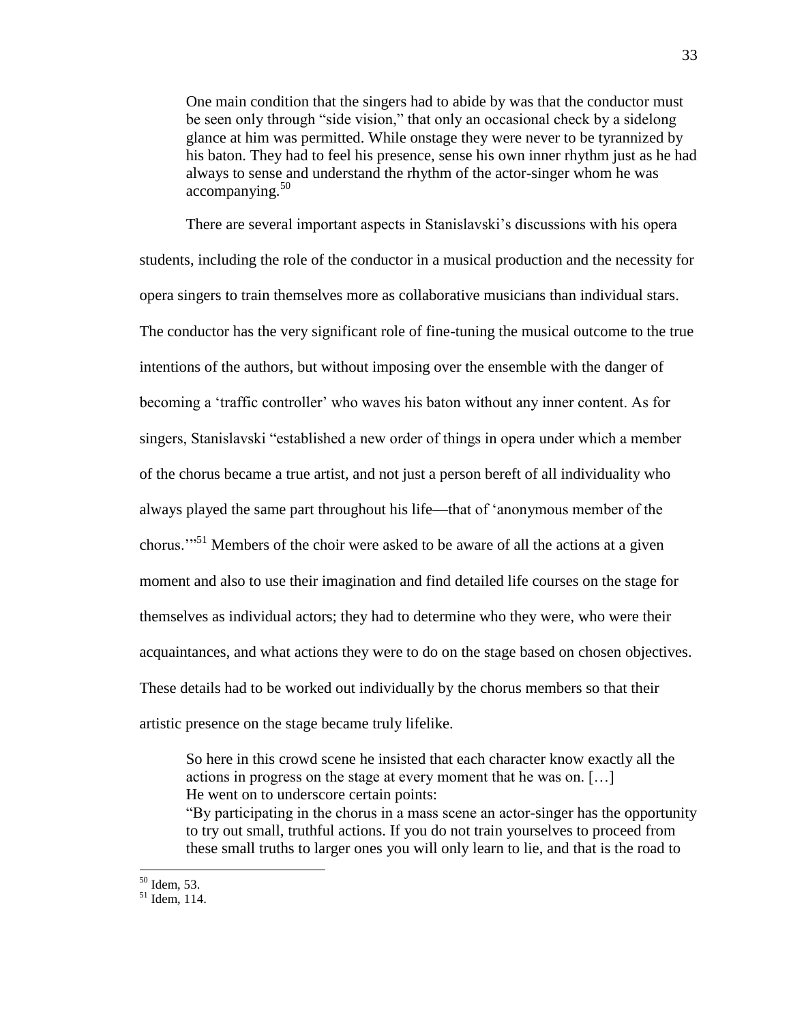One main condition that the singers had to abide by was that the conductor must be seen only through "side vision," that only an occasional check by a sidelong glance at him was permitted. While onstage they were never to be tyrannized by his baton. They had to feel his presence, sense his own inner rhythm just as he had always to sense and understand the rhythm of the actor-singer whom he was  $\arccos$ <sub>50</sub>

There are several important aspects in Stanislavski's discussions with his opera students, including the role of the conductor in a musical production and the necessity for opera singers to train themselves more as collaborative musicians than individual stars. The conductor has the very significant role of fine-tuning the musical outcome to the true intentions of the authors, but without imposing over the ensemble with the danger of becoming a 'traffic controller' who waves his baton without any inner content. As for singers, Stanislavski "established a new order of things in opera under which a member of the chorus became a true artist, and not just a person bereft of all individuality who always played the same part throughout his life—that of ‗anonymous member of the chorus.<sup>"51</sup> Members of the choir were asked to be aware of all the actions at a given moment and also to use their imagination and find detailed life courses on the stage for themselves as individual actors; they had to determine who they were, who were their acquaintances, and what actions they were to do on the stage based on chosen objectives. These details had to be worked out individually by the chorus members so that their artistic presence on the stage became truly lifelike.

So here in this crowd scene he insisted that each character know exactly all the actions in progress on the stage at every moment that he was on. […] He went on to underscore certain points:

―By participating in the chorus in a mass scene an actor-singer has the opportunity to try out small, truthful actions. If you do not train yourselves to proceed from these small truths to larger ones you will only learn to lie, and that is the road to

 $50$  Idem, 53.

<sup>51</sup> Idem, 114.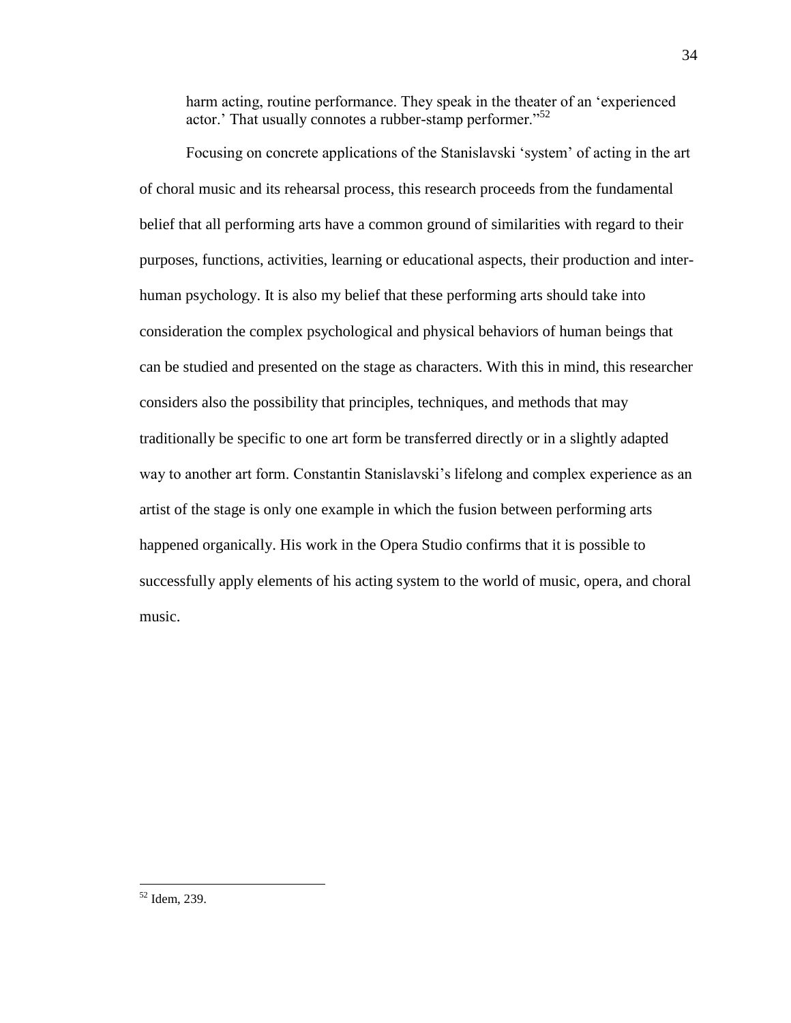harm acting, routine performance. They speak in the theater of an 'experienced actor.' That usually connotes a rubber-stamp performer."<sup>52</sup>

Focusing on concrete applications of the Stanislavski 'system' of acting in the art of choral music and its rehearsal process, this research proceeds from the fundamental belief that all performing arts have a common ground of similarities with regard to their purposes, functions, activities, learning or educational aspects, their production and interhuman psychology. It is also my belief that these performing arts should take into consideration the complex psychological and physical behaviors of human beings that can be studied and presented on the stage as characters. With this in mind, this researcher considers also the possibility that principles, techniques, and methods that may traditionally be specific to one art form be transferred directly or in a slightly adapted way to another art form. Constantin Stanislavski's lifelong and complex experience as an artist of the stage is only one example in which the fusion between performing arts happened organically. His work in the Opera Studio confirms that it is possible to successfully apply elements of his acting system to the world of music, opera, and choral music.

<sup>&</sup>lt;sup>52</sup> Idem, 239.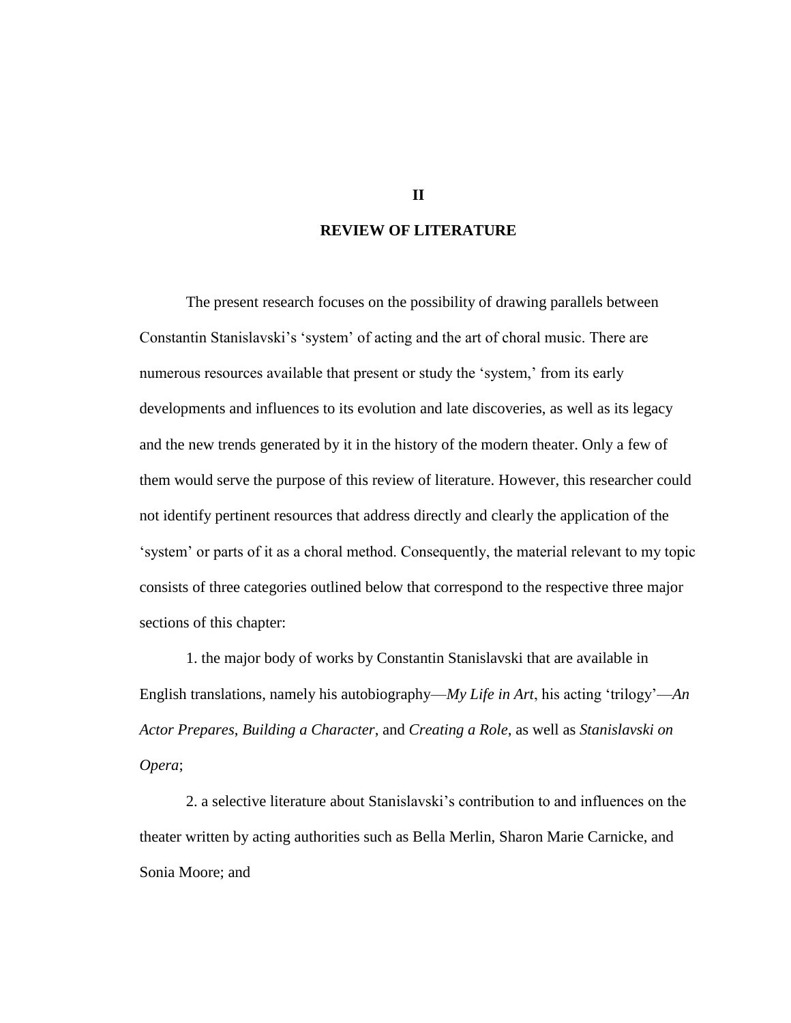# **REVIEW OF LITERATURE**

The present research focuses on the possibility of drawing parallels between Constantin Stanislavski's 'system' of acting and the art of choral music. There are numerous resources available that present or study the 'system,' from its early developments and influences to its evolution and late discoveries, as well as its legacy and the new trends generated by it in the history of the modern theater. Only a few of them would serve the purpose of this review of literature. However, this researcher could not identify pertinent resources that address directly and clearly the application of the ‗system' or parts of it as a choral method. Consequently, the material relevant to my topic consists of three categories outlined below that correspond to the respective three major sections of this chapter:

1. the major body of works by Constantin Stanislavski that are available in English translations, namely his autobiography—*My Life in Art*, his acting 'trilogy'—*An Actor Prepares*, *Building a Character*, and *Creating a Role*, as well as *Stanislavski on Opera*;

2. a selective literature about Stanislavski's contribution to and influences on the theater written by acting authorities such as Bella Merlin, Sharon Marie Carnicke, and Sonia Moore; and

**II**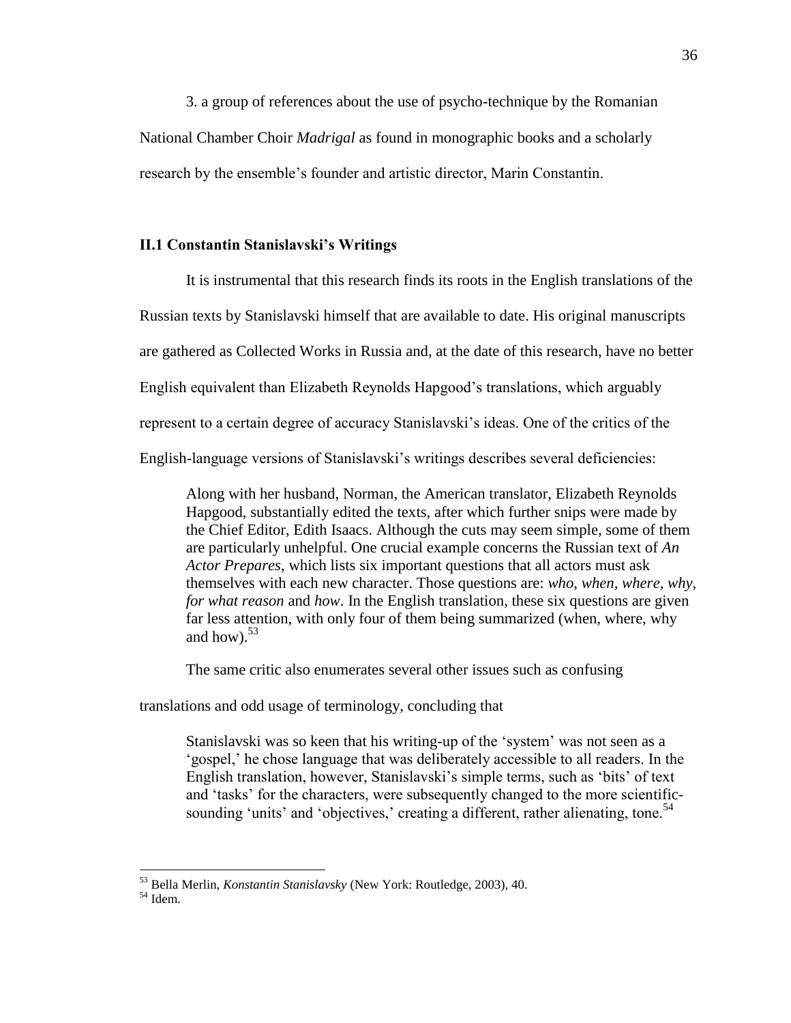3. a group of references about the use of psycho-technique by the Romanian National Chamber Choir *Madrigal* as found in monographic books and a scholarly research by the ensemble's founder and artistic director, Marin Constantin.

## **II.1 Constantin Stanislavski's Writings**

It is instrumental that this research finds its roots in the English translations of the Russian texts by Stanislavski himself that are available to date. His original manuscripts are gathered as Collected Works in Russia and, at the date of this research, have no better English equivalent than Elizabeth Reynolds Hapgood's translations, which arguably represent to a certain degree of accuracy Stanislavski's ideas. One of the critics of the English-language versions of Stanislavski's writings describes several deficiencies:

Along with her husband, Norman, the American translator, Elizabeth Reynolds Hapgood, substantially edited the texts, after which further snips were made by the Chief Editor, Edith Isaacs. Although the cuts may seem simple, some of them are particularly unhelpful. One crucial example concerns the Russian text of *An Actor Prepares*, which lists six important questions that all actors must ask themselves with each new character. Those questions are: *who, when, where, why, for what reason* and *how*. In the English translation, these six questions are given far less attention, with only four of them being summarized (when, where, why and how).  $53$ 

The same critic also enumerates several other issues such as confusing

translations and odd usage of terminology, concluding that

Stanislavski was so keen that his writing-up of the 'system' was not seen as a ‗gospel,' he chose language that was deliberately accessible to all readers. In the English translation, however, Stanislavski's simple terms, such as ‗bits' of text and 'tasks' for the characters, were subsequently changed to the more scientificsounding 'units' and 'objectives,' creating a different, rather alienating, tone.<sup>54</sup>

<sup>53</sup> Bella Merlin, *Konstantin Stanislavsky* (New York: Routledge, 2003), 40.

<sup>54</sup> Idem.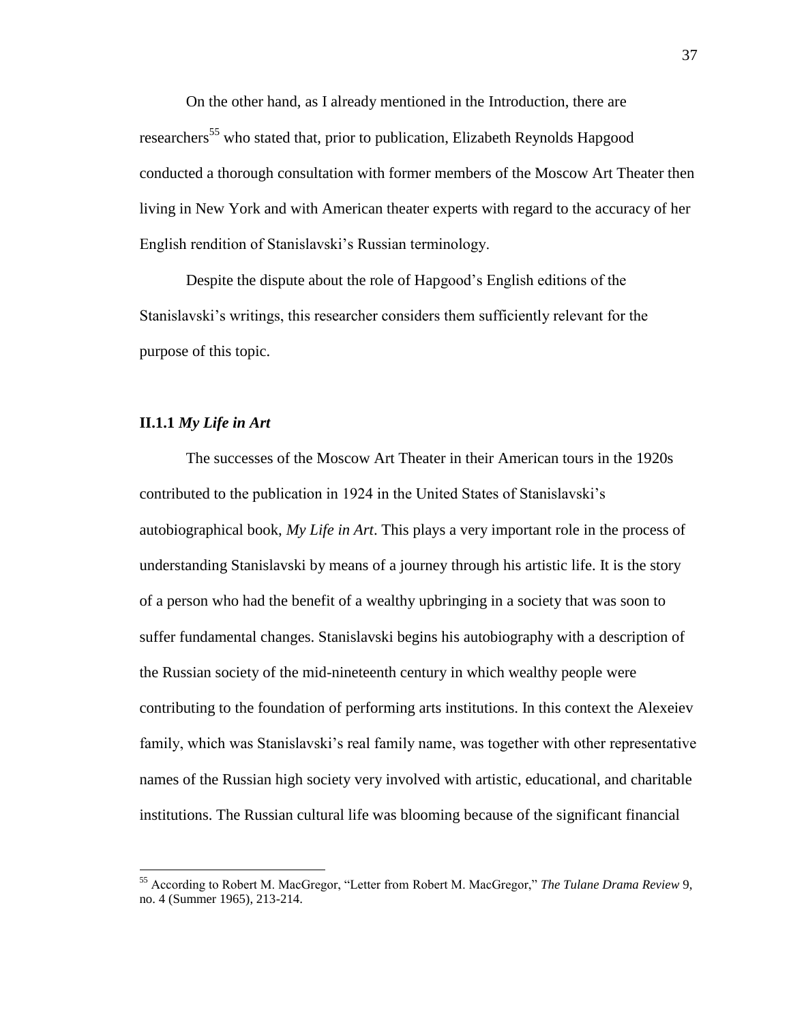On the other hand, as I already mentioned in the Introduction, there are researchers<sup>55</sup> who stated that, prior to publication, Elizabeth Reynolds Hapgood conducted a thorough consultation with former members of the Moscow Art Theater then living in New York and with American theater experts with regard to the accuracy of her English rendition of Stanislavski's Russian terminology.

Despite the dispute about the role of Hapgood's English editions of the Stanislavski's writings, this researcher considers them sufficiently relevant for the purpose of this topic.

## **II.1.1** *My Life in Art*

 $\overline{a}$ 

The successes of the Moscow Art Theater in their American tours in the 1920s contributed to the publication in 1924 in the United States of Stanislavski's autobiographical book, *My Life in Art*. This plays a very important role in the process of understanding Stanislavski by means of a journey through his artistic life. It is the story of a person who had the benefit of a wealthy upbringing in a society that was soon to suffer fundamental changes. Stanislavski begins his autobiography with a description of the Russian society of the mid-nineteenth century in which wealthy people were contributing to the foundation of performing arts institutions. In this context the Alexeiev family, which was Stanislavski's real family name, was together with other representative names of the Russian high society very involved with artistic, educational, and charitable institutions. The Russian cultural life was blooming because of the significant financial

<sup>&</sup>lt;sup>55</sup> According to Robert M. MacGregor, "Letter from Robert M. MacGregor," *The Tulane Drama Review* 9, no. 4 (Summer 1965), 213-214.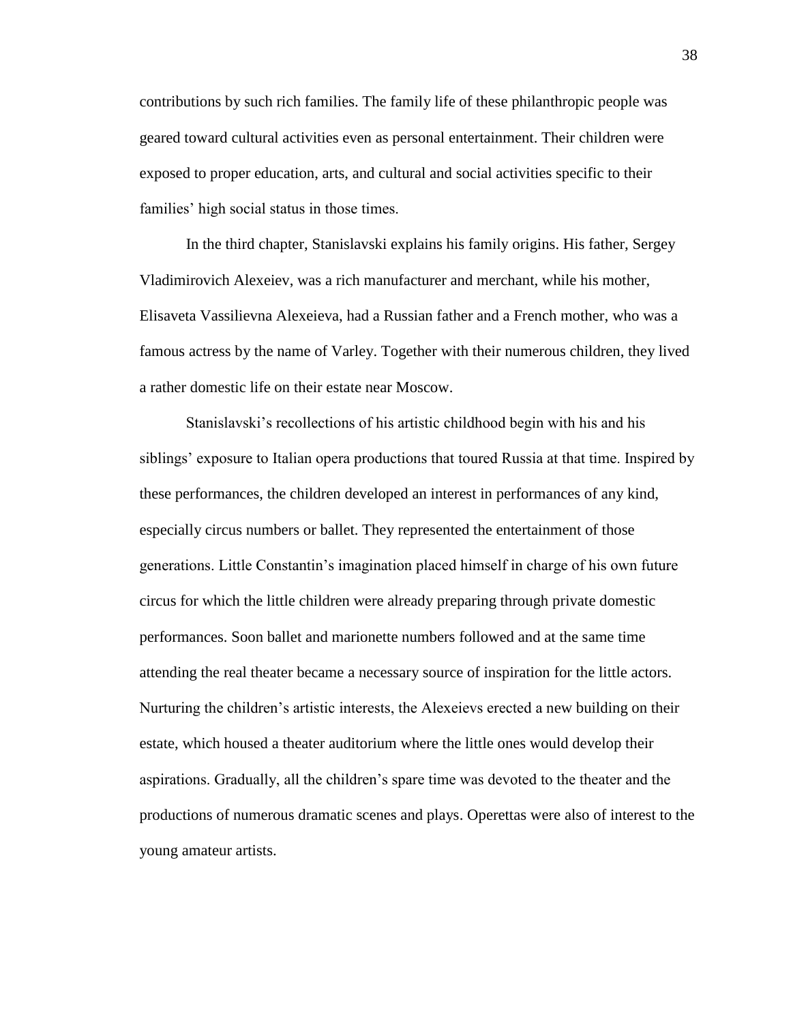contributions by such rich families. The family life of these philanthropic people was geared toward cultural activities even as personal entertainment. Their children were exposed to proper education, arts, and cultural and social activities specific to their families' high social status in those times.

In the third chapter, Stanislavski explains his family origins. His father, Sergey Vladimirovich Alexeiev, was a rich manufacturer and merchant, while his mother, Elisaveta Vassilievna Alexeieva, had a Russian father and a French mother, who was a famous actress by the name of Varley. Together with their numerous children, they lived a rather domestic life on their estate near Moscow.

Stanislavski's recollections of his artistic childhood begin with his and his siblings' exposure to Italian opera productions that toured Russia at that time. Inspired by these performances, the children developed an interest in performances of any kind, especially circus numbers or ballet. They represented the entertainment of those generations. Little Constantin's imagination placed himself in charge of his own future circus for which the little children were already preparing through private domestic performances. Soon ballet and marionette numbers followed and at the same time attending the real theater became a necessary source of inspiration for the little actors. Nurturing the children's artistic interests, the Alexeievs erected a new building on their estate, which housed a theater auditorium where the little ones would develop their aspirations. Gradually, all the children's spare time was devoted to the theater and the productions of numerous dramatic scenes and plays. Operettas were also of interest to the young amateur artists.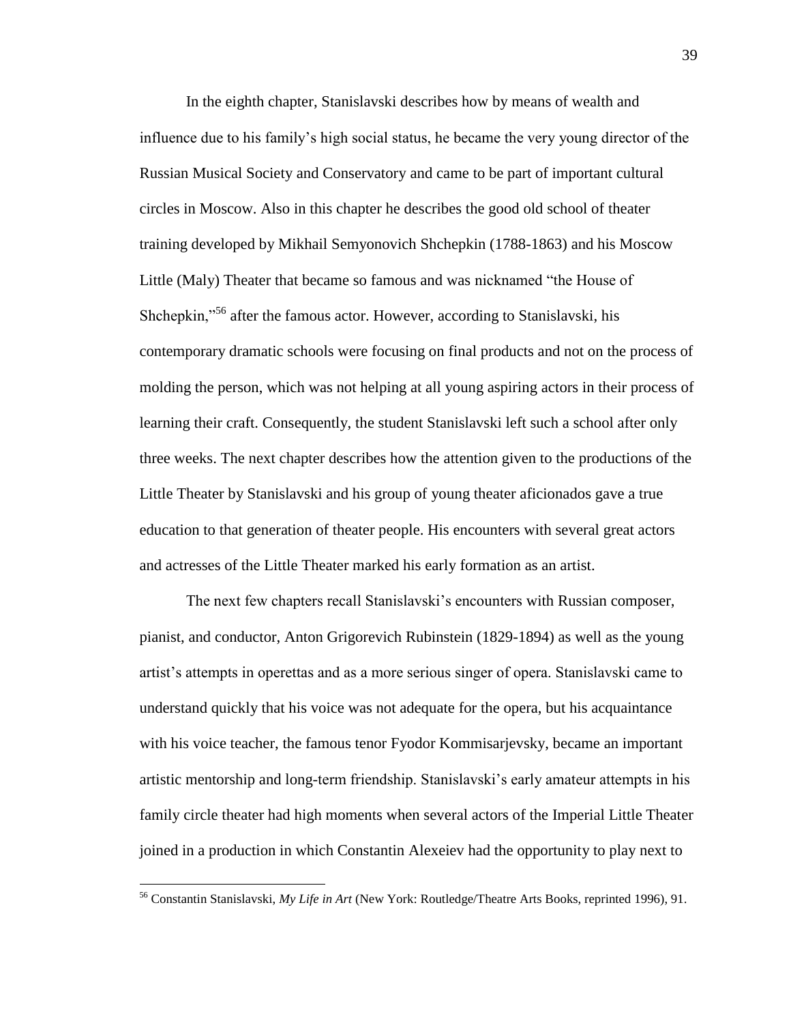In the eighth chapter, Stanislavski describes how by means of wealth and influence due to his family's high social status, he became the very young director of the Russian Musical Society and Conservatory and came to be part of important cultural circles in Moscow. Also in this chapter he describes the good old school of theater training developed by Mikhail Semyonovich Shchepkin (1788-1863) and his Moscow Little (Maly) Theater that became so famous and was nicknamed "the House of Shchepkin,<sup> $56$ </sup> after the famous actor. However, according to Stanislavski, his contemporary dramatic schools were focusing on final products and not on the process of molding the person, which was not helping at all young aspiring actors in their process of learning their craft. Consequently, the student Stanislavski left such a school after only three weeks. The next chapter describes how the attention given to the productions of the Little Theater by Stanislavski and his group of young theater aficionados gave a true education to that generation of theater people. His encounters with several great actors and actresses of the Little Theater marked his early formation as an artist.

The next few chapters recall Stanislavski's encounters with Russian composer, pianist, and conductor, Anton Grigorevich Rubinstein (1829-1894) as well as the young artist's attempts in operettas and as a more serious singer of opera. Stanislavski came to understand quickly that his voice was not adequate for the opera, but his acquaintance with his voice teacher, the famous tenor Fyodor Kommisarjevsky, became an important artistic mentorship and long-term friendship. Stanislavski's early amateur attempts in his family circle theater had high moments when several actors of the Imperial Little Theater joined in a production in which Constantin Alexeiev had the opportunity to play next to

<sup>56</sup> Constantin Stanislavski, *My Life in Art* (New York: Routledge/Theatre Arts Books, reprinted 1996), 91.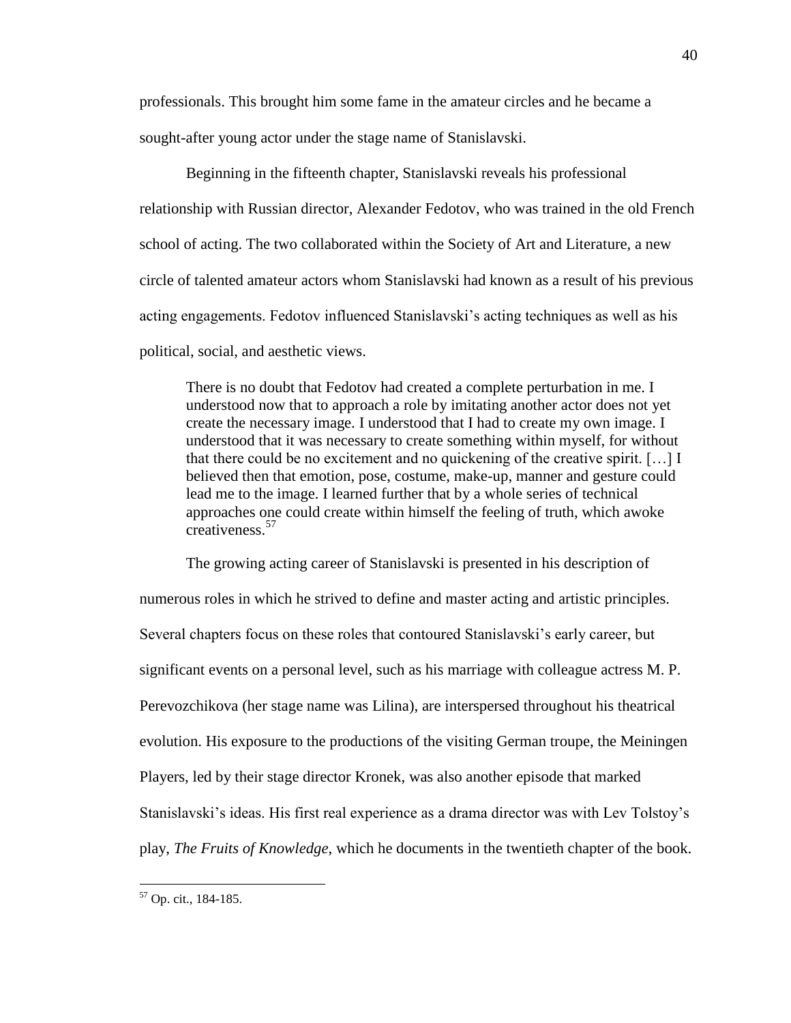professionals. This brought him some fame in the amateur circles and he became a sought-after young actor under the stage name of Stanislavski.

Beginning in the fifteenth chapter, Stanislavski reveals his professional relationship with Russian director, Alexander Fedotov, who was trained in the old French school of acting. The two collaborated within the Society of Art and Literature, a new circle of talented amateur actors whom Stanislavski had known as a result of his previous acting engagements. Fedotov influenced Stanislavski's acting techniques as well as his political, social, and aesthetic views.

There is no doubt that Fedotov had created a complete perturbation in me. I understood now that to approach a role by imitating another actor does not yet create the necessary image. I understood that I had to create my own image. I understood that it was necessary to create something within myself, for without that there could be no excitement and no quickening of the creative spirit. […] I believed then that emotion, pose, costume, make-up, manner and gesture could lead me to the image. I learned further that by a whole series of technical approaches one could create within himself the feeling of truth, which awoke creativeness.<sup>57</sup>

The growing acting career of Stanislavski is presented in his description of numerous roles in which he strived to define and master acting and artistic principles. Several chapters focus on these roles that contoured Stanislavski's early career, but significant events on a personal level, such as his marriage with colleague actress M. P. Perevozchikova (her stage name was Lilina), are interspersed throughout his theatrical evolution. His exposure to the productions of the visiting German troupe, the Meiningen Players, led by their stage director Kronek, was also another episode that marked Stanislavski's ideas. His first real experience as a drama director was with Lev Tolstoy's play, *The Fruits of Knowledge*, which he documents in the twentieth chapter of the book.

<sup>&</sup>lt;sup>57</sup> Op. cit., 184-185.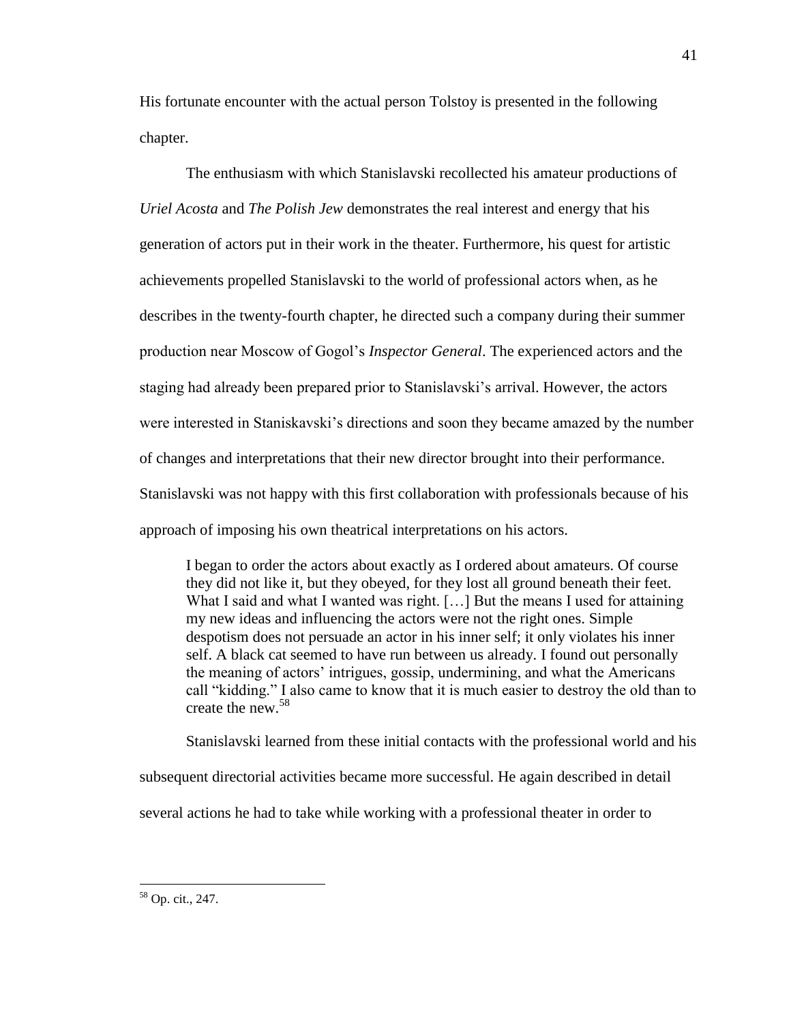His fortunate encounter with the actual person Tolstoy is presented in the following chapter.

The enthusiasm with which Stanislavski recollected his amateur productions of *Uriel Acosta* and *The Polish Jew* demonstrates the real interest and energy that his generation of actors put in their work in the theater. Furthermore, his quest for artistic achievements propelled Stanislavski to the world of professional actors when, as he describes in the twenty-fourth chapter, he directed such a company during their summer production near Moscow of Gogol's *Inspector General*. The experienced actors and the staging had already been prepared prior to Stanislavski's arrival. However, the actors were interested in Staniskavski's directions and soon they became amazed by the number of changes and interpretations that their new director brought into their performance. Stanislavski was not happy with this first collaboration with professionals because of his approach of imposing his own theatrical interpretations on his actors.

I began to order the actors about exactly as I ordered about amateurs. Of course they did not like it, but they obeyed, for they lost all ground beneath their feet. What I said and what I wanted was right. [...] But the means I used for attaining my new ideas and influencing the actors were not the right ones. Simple despotism does not persuade an actor in his inner self; it only violates his inner self. A black cat seemed to have run between us already. I found out personally the meaning of actors' intrigues, gossip, undermining, and what the Americans call "kidding." I also came to know that it is much easier to destroy the old than to create the new.<sup>58</sup>

Stanislavski learned from these initial contacts with the professional world and his subsequent directorial activities became more successful. He again described in detail several actions he had to take while working with a professional theater in order to

<sup>58</sup> Op. cit., 247.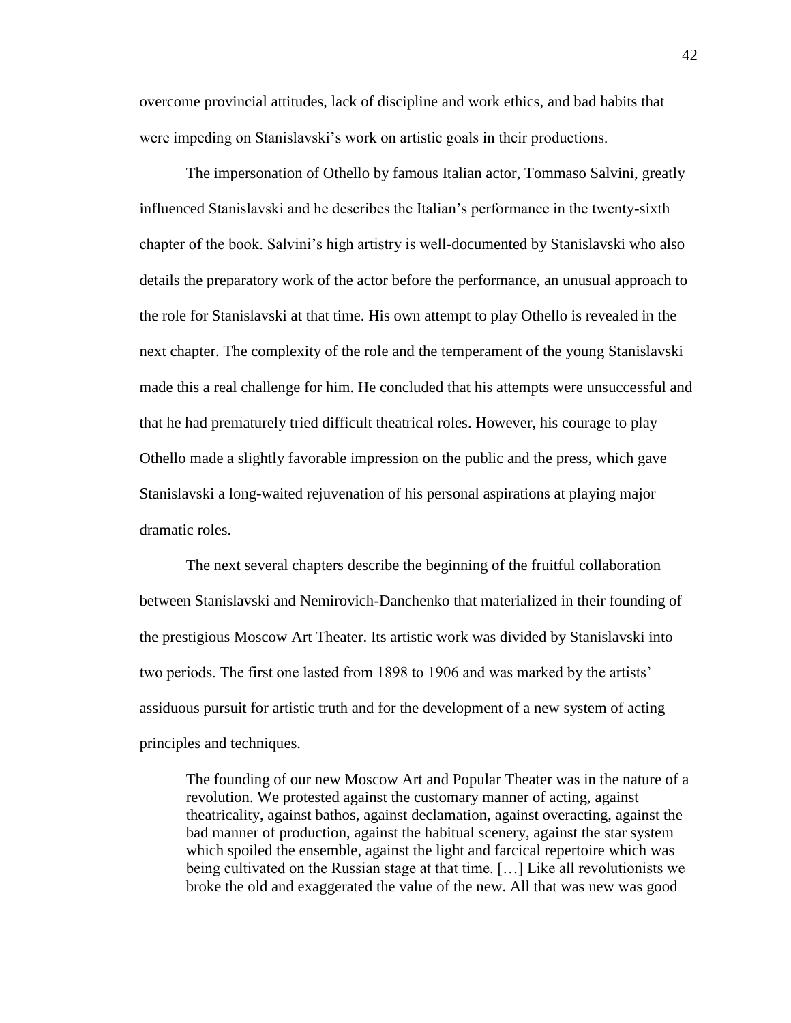overcome provincial attitudes, lack of discipline and work ethics, and bad habits that were impeding on Stanislavski's work on artistic goals in their productions.

The impersonation of Othello by famous Italian actor, Tommaso Salvini, greatly influenced Stanislavski and he describes the Italian's performance in the twenty-sixth chapter of the book. Salvini's high artistry is well-documented by Stanislavski who also details the preparatory work of the actor before the performance, an unusual approach to the role for Stanislavski at that time. His own attempt to play Othello is revealed in the next chapter. The complexity of the role and the temperament of the young Stanislavski made this a real challenge for him. He concluded that his attempts were unsuccessful and that he had prematurely tried difficult theatrical roles. However, his courage to play Othello made a slightly favorable impression on the public and the press, which gave Stanislavski a long-waited rejuvenation of his personal aspirations at playing major dramatic roles.

The next several chapters describe the beginning of the fruitful collaboration between Stanislavski and Nemirovich-Danchenko that materialized in their founding of the prestigious Moscow Art Theater. Its artistic work was divided by Stanislavski into two periods. The first one lasted from 1898 to 1906 and was marked by the artists' assiduous pursuit for artistic truth and for the development of a new system of acting principles and techniques.

The founding of our new Moscow Art and Popular Theater was in the nature of a revolution. We protested against the customary manner of acting, against theatricality, against bathos, against declamation, against overacting, against the bad manner of production, against the habitual scenery, against the star system which spoiled the ensemble, against the light and farcical repertoire which was being cultivated on the Russian stage at that time. […] Like all revolutionists we broke the old and exaggerated the value of the new. All that was new was good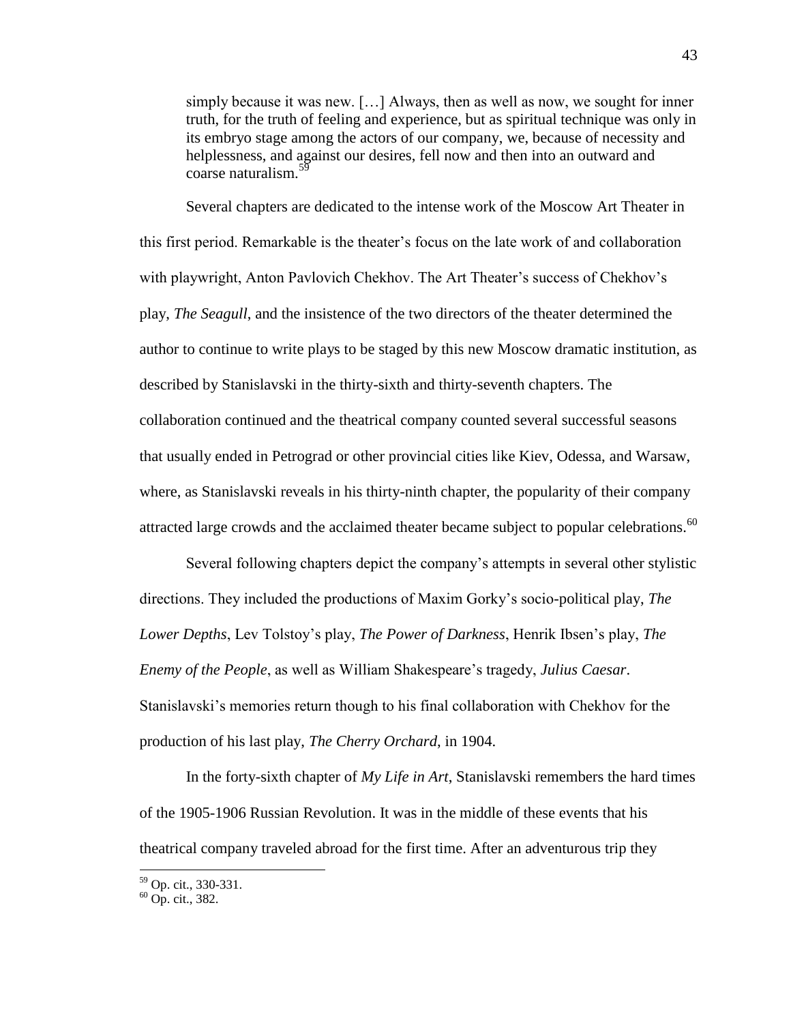simply because it was new. […] Always, then as well as now, we sought for inner truth, for the truth of feeling and experience, but as spiritual technique was only in its embryo stage among the actors of our company, we, because of necessity and helplessness, and against our desires, fell now and then into an outward and coarse naturalism.<sup>59</sup>

Several chapters are dedicated to the intense work of the Moscow Art Theater in this first period. Remarkable is the theater's focus on the late work of and collaboration with playwright, Anton Pavlovich Chekhov. The Art Theater's success of Chekhov's play, *The Seagull*, and the insistence of the two directors of the theater determined the author to continue to write plays to be staged by this new Moscow dramatic institution, as described by Stanislavski in the thirty-sixth and thirty-seventh chapters. The collaboration continued and the theatrical company counted several successful seasons that usually ended in Petrograd or other provincial cities like Kiev, Odessa, and Warsaw, where, as Stanislavski reveals in his thirty-ninth chapter, the popularity of their company attracted large crowds and the acclaimed theater became subject to popular celebrations.<sup>60</sup>

Several following chapters depict the company's attempts in several other stylistic directions. They included the productions of Maxim Gorky's socio-political play, *The Lower Depths*, Lev Tolstoy's play, *The Power of Darkness*, Henrik Ibsen's play, *The Enemy of the People*, as well as William Shakespeare's tragedy, *Julius Caesar*. Stanislavski's memories return though to his final collaboration with Chekhov for the production of his last play, *The Cherry Orchard*, in 1904.

In the forty-sixth chapter of *My Life in Art*, Stanislavski remembers the hard times of the 1905-1906 Russian Revolution. It was in the middle of these events that his theatrical company traveled abroad for the first time. After an adventurous trip they

<sup>59</sup> Op. cit., 330-331.

 $60$  Op. cit., 382.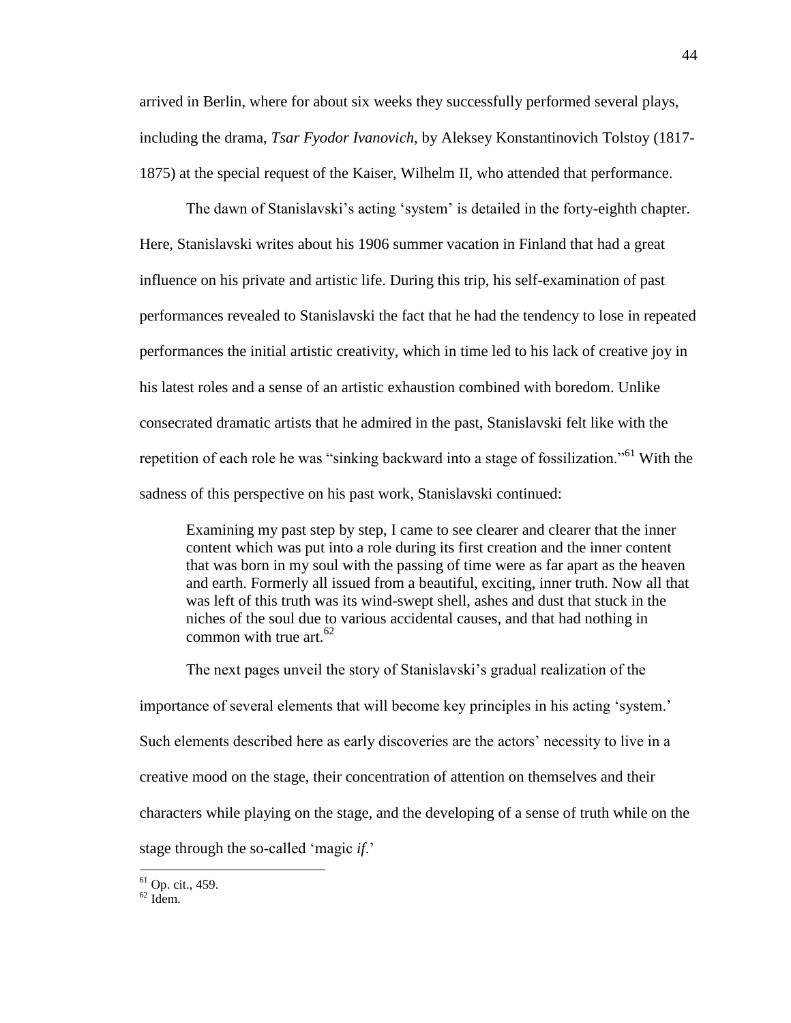arrived in Berlin, where for about six weeks they successfully performed several plays, including the drama, *Tsar Fyodor Ivanovich*, by Aleksey Konstantinovich Tolstoy (1817- 1875) at the special request of the Kaiser, Wilhelm II, who attended that performance.

The dawn of Stanislavski's acting 'system' is detailed in the forty-eighth chapter. Here, Stanislavski writes about his 1906 summer vacation in Finland that had a great influence on his private and artistic life. During this trip, his self-examination of past performances revealed to Stanislavski the fact that he had the tendency to lose in repeated performances the initial artistic creativity, which in time led to his lack of creative joy in his latest roles and a sense of an artistic exhaustion combined with boredom. Unlike consecrated dramatic artists that he admired in the past, Stanislavski felt like with the repetition of each role he was "sinking backward into a stage of fossilization."<sup>61</sup> With the sadness of this perspective on his past work, Stanislavski continued:

Examining my past step by step, I came to see clearer and clearer that the inner content which was put into a role during its first creation and the inner content that was born in my soul with the passing of time were as far apart as the heaven and earth. Formerly all issued from a beautiful, exciting, inner truth. Now all that was left of this truth was its wind-swept shell, ashes and dust that stuck in the niches of the soul due to various accidental causes, and that had nothing in common with true art.  $62$ 

The next pages unveil the story of Stanislavski's gradual realization of the importance of several elements that will become key principles in his acting 'system.' Such elements described here as early discoveries are the actors' necessity to live in a creative mood on the stage, their concentration of attention on themselves and their characters while playing on the stage, and the developing of a sense of truth while on the stage through the so-called 'magic *if*.'

 $61$  Op. cit., 459.

 $62$  Idem.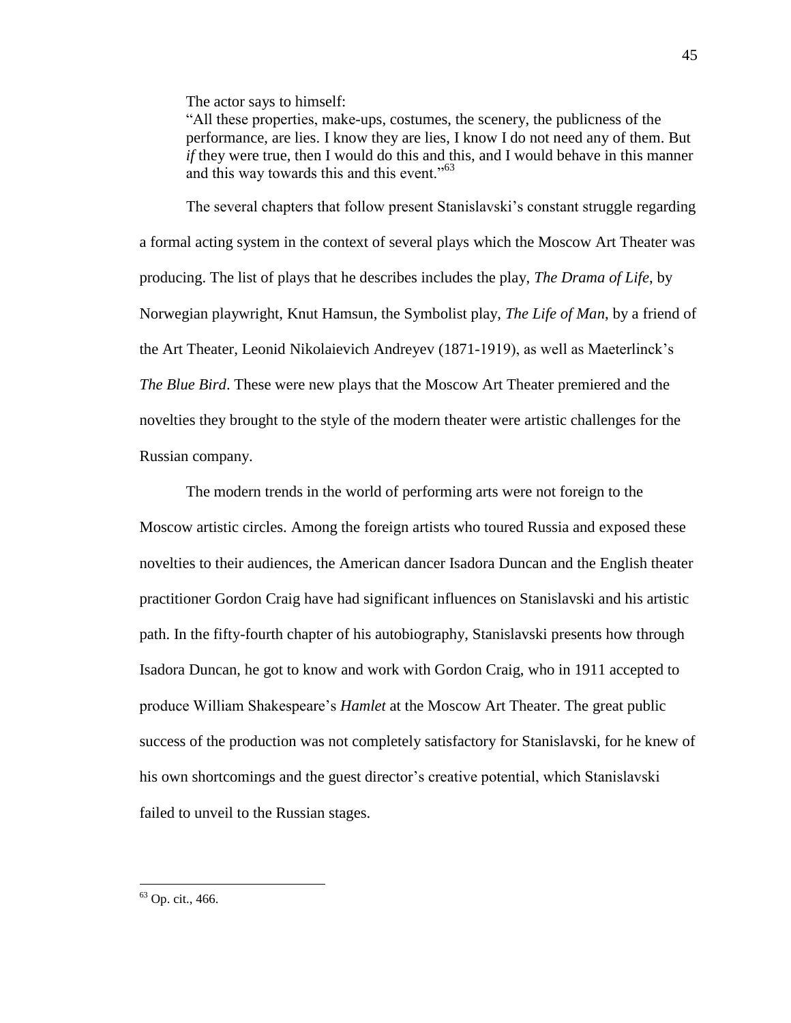The actor says to himself:

―All these properties, make-ups, costumes, the scenery, the publicness of the performance, are lies. I know they are lies, I know I do not need any of them. But *if* they were true, then I would do this and this, and I would behave in this manner and this way towards this and this event. $10^{63}$ 

The several chapters that follow present Stanislavski's constant struggle regarding a formal acting system in the context of several plays which the Moscow Art Theater was producing. The list of plays that he describes includes the play, *The Drama of Life*, by Norwegian playwright, Knut Hamsun, the Symbolist play, *The Life of Man*, by a friend of the Art Theater, Leonid Nikolaievich Andreyev (1871-1919), as well as Maeterlinck's *The Blue Bird*. These were new plays that the Moscow Art Theater premiered and the novelties they brought to the style of the modern theater were artistic challenges for the Russian company.

The modern trends in the world of performing arts were not foreign to the Moscow artistic circles. Among the foreign artists who toured Russia and exposed these novelties to their audiences, the American dancer Isadora Duncan and the English theater practitioner Gordon Craig have had significant influences on Stanislavski and his artistic path. In the fifty-fourth chapter of his autobiography, Stanislavski presents how through Isadora Duncan, he got to know and work with Gordon Craig, who in 1911 accepted to produce William Shakespeare's *Hamlet* at the Moscow Art Theater. The great public success of the production was not completely satisfactory for Stanislavski, for he knew of his own shortcomings and the guest director's creative potential, which Stanislavski failed to unveil to the Russian stages.

 $63$  Op. cit., 466.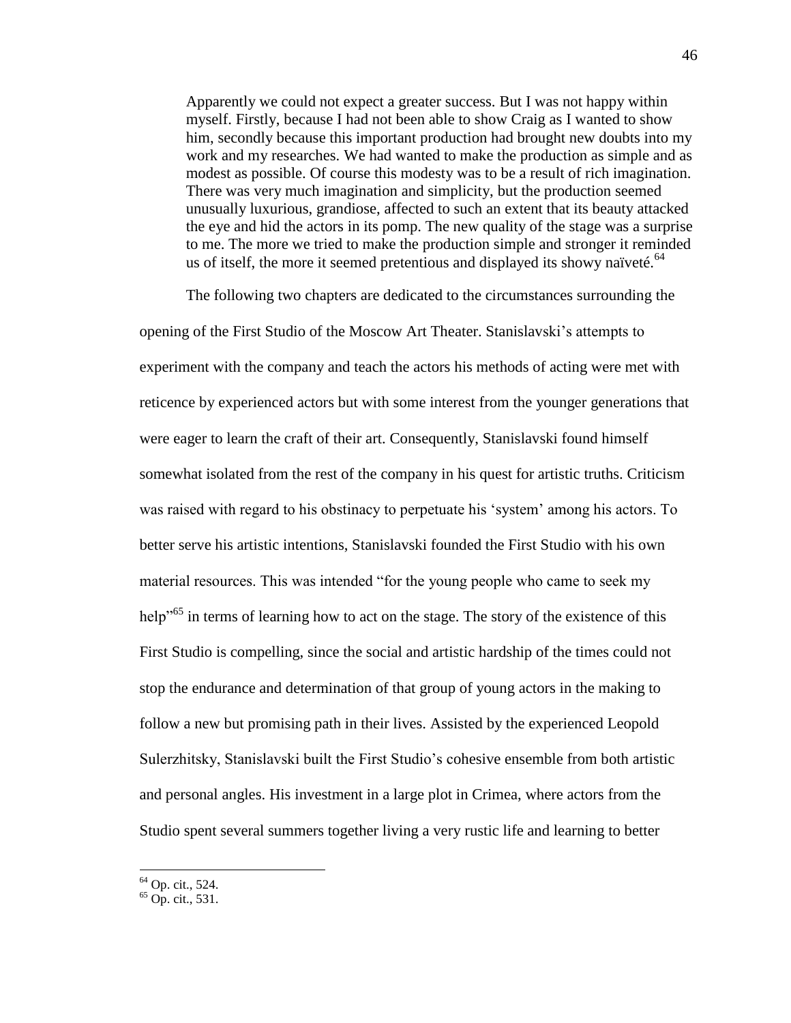Apparently we could not expect a greater success. But I was not happy within myself. Firstly, because I had not been able to show Craig as I wanted to show him, secondly because this important production had brought new doubts into my work and my researches. We had wanted to make the production as simple and as modest as possible. Of course this modesty was to be a result of rich imagination. There was very much imagination and simplicity, but the production seemed unusually luxurious, grandiose, affected to such an extent that its beauty attacked the eye and hid the actors in its pomp. The new quality of the stage was a surprise to me. The more we tried to make the production simple and stronger it reminded us of itself, the more it seemed pretentious and displayed its showy naïveté. $64$ 

The following two chapters are dedicated to the circumstances surrounding the opening of the First Studio of the Moscow Art Theater. Stanislavski's attempts to experiment with the company and teach the actors his methods of acting were met with reticence by experienced actors but with some interest from the younger generations that were eager to learn the craft of their art. Consequently, Stanislavski found himself somewhat isolated from the rest of the company in his quest for artistic truths. Criticism was raised with regard to his obstinacy to perpetuate his 'system' among his actors. To better serve his artistic intentions, Stanislavski founded the First Studio with his own material resources. This was intended "for the young people who came to seek my help<sup> $165$ </sup> in terms of learning how to act on the stage. The story of the existence of this First Studio is compelling, since the social and artistic hardship of the times could not stop the endurance and determination of that group of young actors in the making to follow a new but promising path in their lives. Assisted by the experienced Leopold Sulerzhitsky, Stanislavski built the First Studio's cohesive ensemble from both artistic and personal angles. His investment in a large plot in Crimea, where actors from the Studio spent several summers together living a very rustic life and learning to better

<sup>&</sup>lt;sup>64</sup> Op. cit., 524.

 $65$  Op. cit., 531.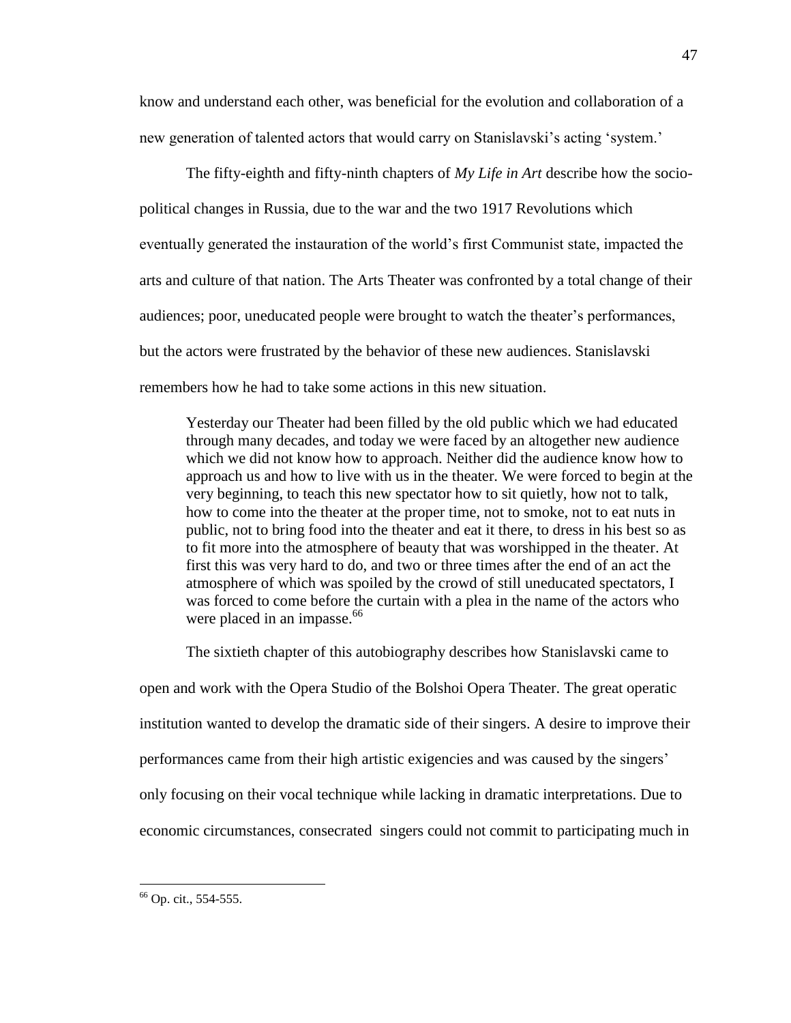know and understand each other, was beneficial for the evolution and collaboration of a new generation of talented actors that would carry on Stanislavski's acting 'system.'

The fifty-eighth and fifty-ninth chapters of *My Life in Art* describe how the sociopolitical changes in Russia, due to the war and the two 1917 Revolutions which eventually generated the instauration of the world's first Communist state, impacted the arts and culture of that nation. The Arts Theater was confronted by a total change of their audiences; poor, uneducated people were brought to watch the theater's performances, but the actors were frustrated by the behavior of these new audiences. Stanislavski remembers how he had to take some actions in this new situation.

Yesterday our Theater had been filled by the old public which we had educated through many decades, and today we were faced by an altogether new audience which we did not know how to approach. Neither did the audience know how to approach us and how to live with us in the theater. We were forced to begin at the very beginning, to teach this new spectator how to sit quietly, how not to talk, how to come into the theater at the proper time, not to smoke, not to eat nuts in public, not to bring food into the theater and eat it there, to dress in his best so as to fit more into the atmosphere of beauty that was worshipped in the theater. At first this was very hard to do, and two or three times after the end of an act the atmosphere of which was spoiled by the crowd of still uneducated spectators, I was forced to come before the curtain with a plea in the name of the actors who were placed in an impasse. $66$ 

The sixtieth chapter of this autobiography describes how Stanislavski came to open and work with the Opera Studio of the Bolshoi Opera Theater. The great operatic institution wanted to develop the dramatic side of their singers. A desire to improve their performances came from their high artistic exigencies and was caused by the singers' only focusing on their vocal technique while lacking in dramatic interpretations. Due to economic circumstances, consecrated singers could not commit to participating much in

 $66$  Op. cit., 554-555.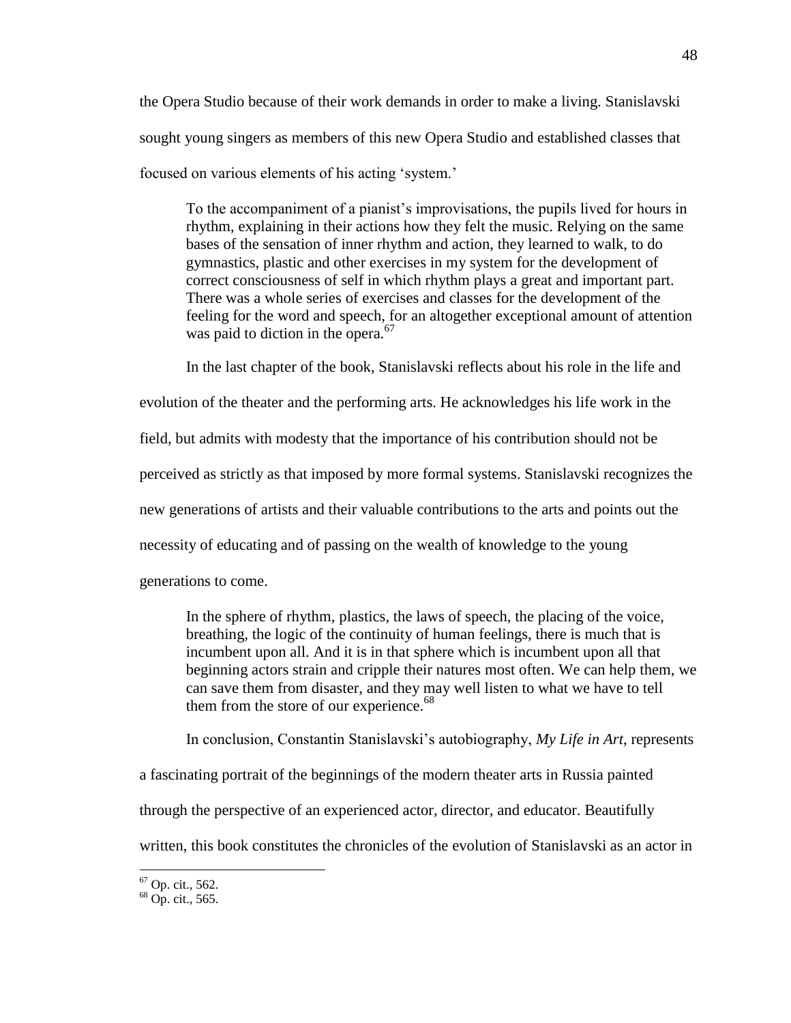the Opera Studio because of their work demands in order to make a living. Stanislavski sought young singers as members of this new Opera Studio and established classes that focused on various elements of his acting 'system.'

To the accompaniment of a pianist's improvisations, the pupils lived for hours in rhythm, explaining in their actions how they felt the music. Relying on the same bases of the sensation of inner rhythm and action, they learned to walk, to do gymnastics, plastic and other exercises in my system for the development of correct consciousness of self in which rhythm plays a great and important part. There was a whole series of exercises and classes for the development of the feeling for the word and speech, for an altogether exceptional amount of attention was paid to diction in the opera. $67$ 

In the last chapter of the book, Stanislavski reflects about his role in the life and evolution of the theater and the performing arts. He acknowledges his life work in the field, but admits with modesty that the importance of his contribution should not be perceived as strictly as that imposed by more formal systems. Stanislavski recognizes the new generations of artists and their valuable contributions to the arts and points out the necessity of educating and of passing on the wealth of knowledge to the young

generations to come.

In the sphere of rhythm, plastics, the laws of speech, the placing of the voice, breathing, the logic of the continuity of human feelings, there is much that is incumbent upon all. And it is in that sphere which is incumbent upon all that beginning actors strain and cripple their natures most often. We can help them, we can save them from disaster, and they may well listen to what we have to tell them from the store of our experience.<sup>68</sup>

In conclusion, Constantin Stanislavski's autobiography, *My Life in Art*, represents

a fascinating portrait of the beginnings of the modern theater arts in Russia painted

through the perspective of an experienced actor, director, and educator. Beautifully

written, this book constitutes the chronicles of the evolution of Stanislavski as an actor in

 $67$  Op. cit., 562.

 $68$  Op. cit., 565.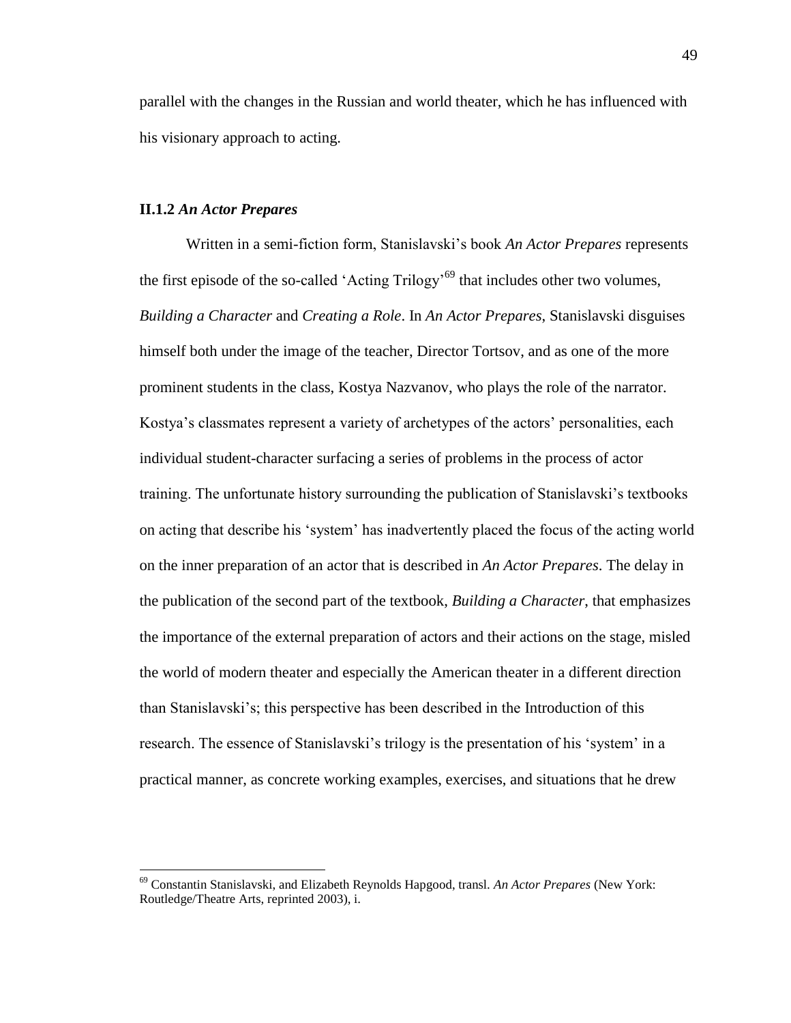parallel with the changes in the Russian and world theater, which he has influenced with his visionary approach to acting.

### **II.1.2** *An Actor Prepares*

 $\overline{a}$ 

Written in a semi-fiction form, Stanislavski's book *An Actor Prepares* represents the first episode of the so-called 'Acting  $Trilogy<sup>69</sup>$  that includes other two volumes, *Building a Character* and *Creating a Role*. In *An Actor Prepares*, Stanislavski disguises himself both under the image of the teacher, Director Tortsov, and as one of the more prominent students in the class, Kostya Nazvanov, who plays the role of the narrator. Kostya's classmates represent a variety of archetypes of the actors' personalities, each individual student-character surfacing a series of problems in the process of actor training. The unfortunate history surrounding the publication of Stanislavski's textbooks on acting that describe his ‗system' has inadvertently placed the focus of the acting world on the inner preparation of an actor that is described in *An Actor Prepares*. The delay in the publication of the second part of the textbook, *Building a Character*, that emphasizes the importance of the external preparation of actors and their actions on the stage, misled the world of modern theater and especially the American theater in a different direction than Stanislavski's; this perspective has been described in the Introduction of this research. The essence of Stanislavski's trilogy is the presentation of his 'system' in a practical manner, as concrete working examples, exercises, and situations that he drew

<sup>69</sup> Constantin Stanislavski, and Elizabeth Reynolds Hapgood, transl. *An Actor Prepares* (New York: Routledge/Theatre Arts, reprinted 2003), i.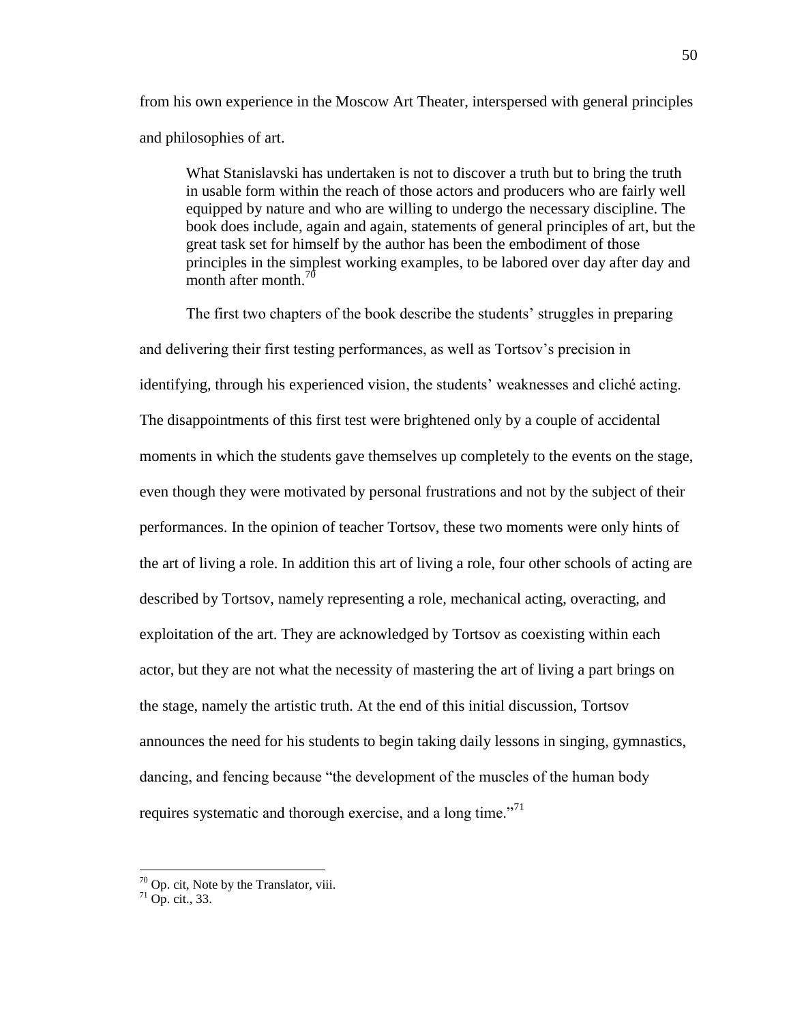from his own experience in the Moscow Art Theater, interspersed with general principles and philosophies of art.

What Stanislavski has undertaken is not to discover a truth but to bring the truth in usable form within the reach of those actors and producers who are fairly well equipped by nature and who are willing to undergo the necessary discipline. The book does include, again and again, statements of general principles of art, but the great task set for himself by the author has been the embodiment of those principles in the simplest working examples, to be labored over day after day and month after month.<sup>70</sup>

The first two chapters of the book describe the students' struggles in preparing and delivering their first testing performances, as well as Tortsov's precision in identifying, through his experienced vision, the students' weaknesses and cliché acting. The disappointments of this first test were brightened only by a couple of accidental moments in which the students gave themselves up completely to the events on the stage, even though they were motivated by personal frustrations and not by the subject of their performances. In the opinion of teacher Tortsov, these two moments were only hints of the art of living a role. In addition this art of living a role, four other schools of acting are described by Tortsov, namely representing a role, mechanical acting, overacting, and exploitation of the art. They are acknowledged by Tortsov as coexisting within each actor, but they are not what the necessity of mastering the art of living a part brings on the stage, namely the artistic truth. At the end of this initial discussion, Tortsov announces the need for his students to begin taking daily lessons in singing, gymnastics, dancing, and fencing because "the development of the muscles of the human body requires systematic and thorough exercise, and a long time."<sup>71</sup>

 $70$  Op. cit, Note by the Translator, viii.

 $71$  Op. cit., 33.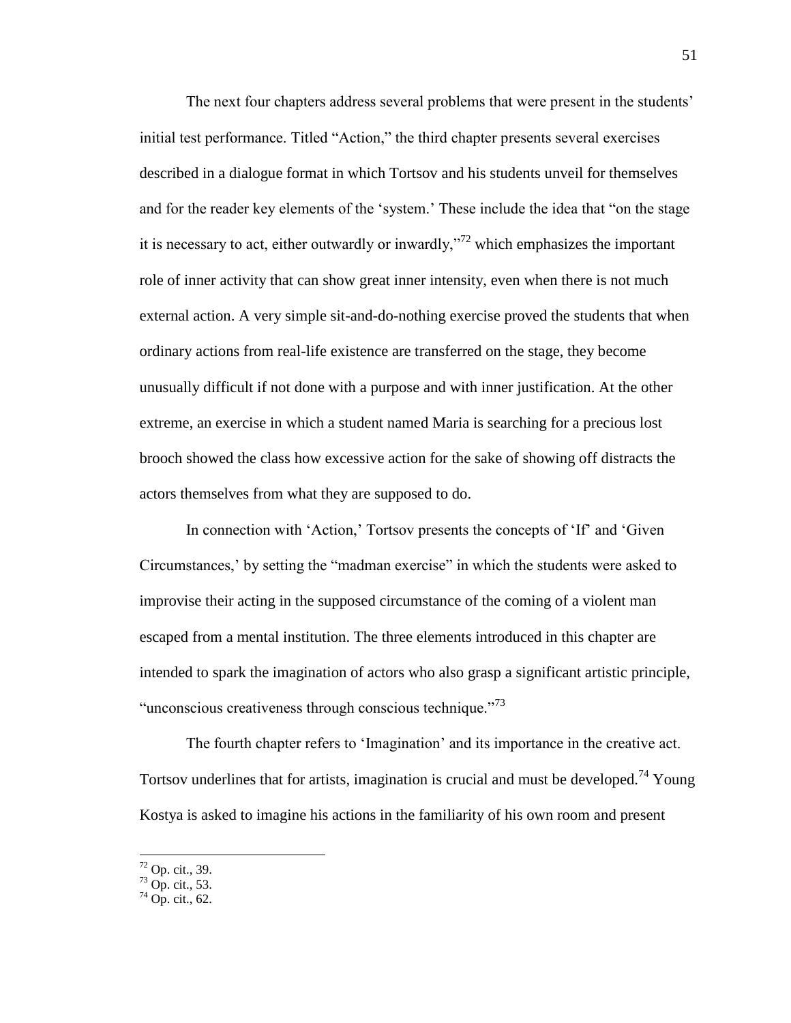The next four chapters address several problems that were present in the students' initial test performance. Titled "Action," the third chapter presents several exercises described in a dialogue format in which Tortsov and his students unveil for themselves and for the reader key elements of the 'system.' These include the idea that "on the stage it is necessary to act, either outwardly or inwardly, $\frac{1}{2}$  which emphasizes the important role of inner activity that can show great inner intensity, even when there is not much external action. A very simple sit-and-do-nothing exercise proved the students that when ordinary actions from real-life existence are transferred on the stage, they become unusually difficult if not done with a purpose and with inner justification. At the other extreme, an exercise in which a student named Maria is searching for a precious lost brooch showed the class how excessive action for the sake of showing off distracts the actors themselves from what they are supposed to do.

In connection with 'Action,' Tortsov presents the concepts of 'If' and 'Given Circumstances,' by setting the "madman exercise" in which the students were asked to improvise their acting in the supposed circumstance of the coming of a violent man escaped from a mental institution. The three elements introduced in this chapter are intended to spark the imagination of actors who also grasp a significant artistic principle, "unconscious creativeness through conscious technique."<sup>73</sup>

The fourth chapter refers to 'Imagination' and its importance in the creative act. Tortsov underlines that for artists, imagination is crucial and must be developed.<sup>74</sup> Young Kostya is asked to imagine his actions in the familiarity of his own room and present

 $72$  Op. cit., 39.

 $73$  Op. cit., 53.

 $74$  Op. cit., 62.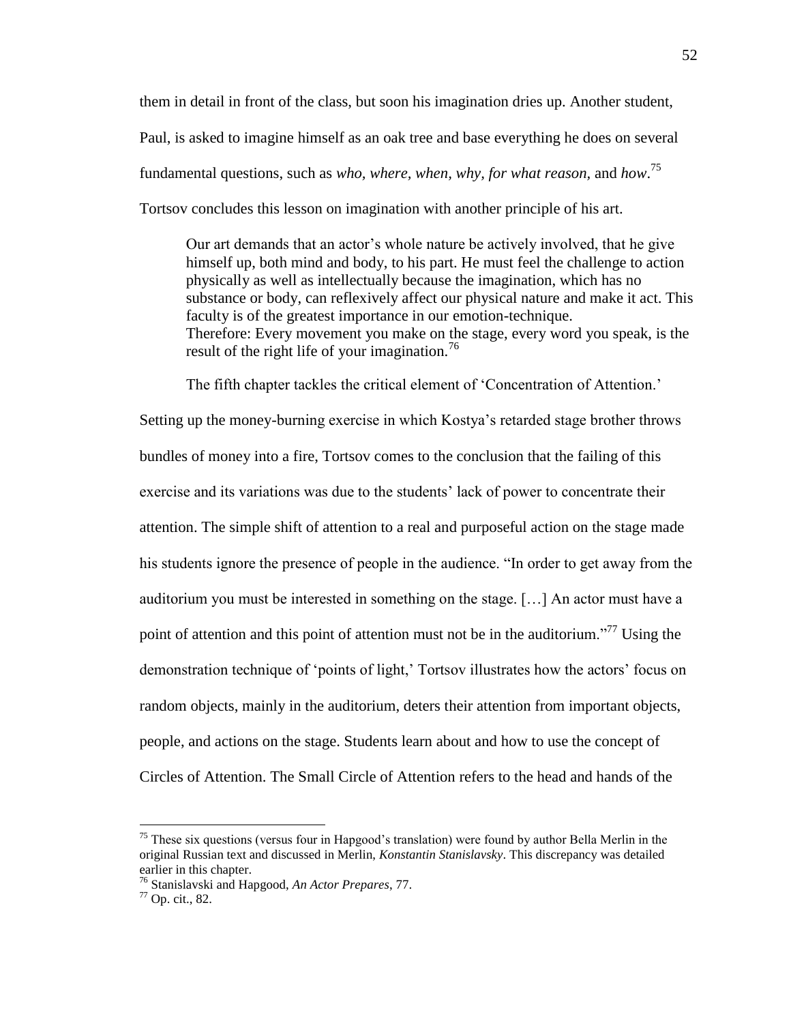them in detail in front of the class, but soon his imagination dries up. Another student,

Paul, is asked to imagine himself as an oak tree and base everything he does on several

fundamental questions, such as *who, where, when, why, for what reason,* and *how*. 75

Tortsov concludes this lesson on imagination with another principle of his art.

Our art demands that an actor's whole nature be actively involved, that he give himself up, both mind and body, to his part. He must feel the challenge to action physically as well as intellectually because the imagination, which has no substance or body, can reflexively affect our physical nature and make it act. This faculty is of the greatest importance in our emotion-technique. Therefore: Every movement you make on the stage, every word you speak, is the result of the right life of your imagination.<sup>76</sup>

The fifth chapter tackles the critical element of 'Concentration of Attention.'

Setting up the money-burning exercise in which Kostya's retarded stage brother throws bundles of money into a fire, Tortsov comes to the conclusion that the failing of this exercise and its variations was due to the students' lack of power to concentrate their attention. The simple shift of attention to a real and purposeful action on the stage made his students ignore the presence of people in the audience. "In order to get away from the auditorium you must be interested in something on the stage. […] An actor must have a point of attention and this point of attention must not be in the auditorium.<sup>777</sup> Using the demonstration technique of 'points of light,' Tortsov illustrates how the actors' focus on random objects, mainly in the auditorium, deters their attention from important objects, people, and actions on the stage. Students learn about and how to use the concept of Circles of Attention. The Small Circle of Attention refers to the head and hands of the

 $75$  These six questions (versus four in Hapgood's translation) were found by author Bella Merlin in the original Russian text and discussed in Merlin, *Konstantin Stanislavsky*. This discrepancy was detailed earlier in this chapter.

<sup>76</sup> Stanislavski and Hapgood, *An Actor Prepares*, 77.

 $77$  Op. cit., 82.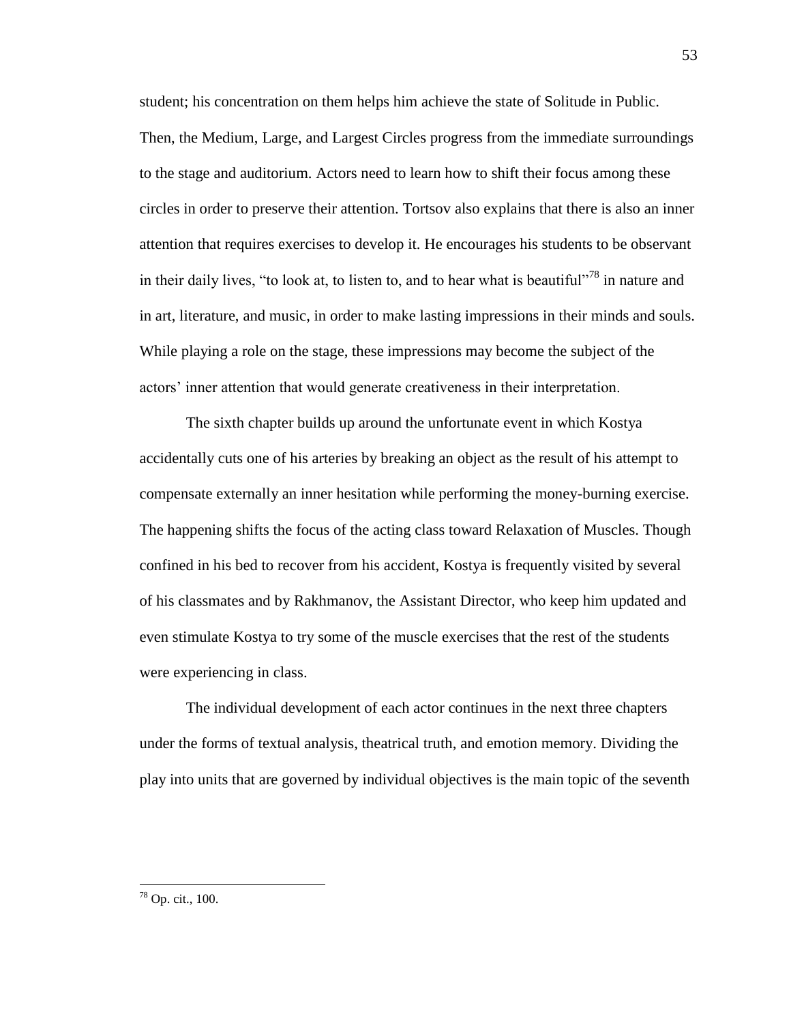student; his concentration on them helps him achieve the state of Solitude in Public. Then, the Medium, Large, and Largest Circles progress from the immediate surroundings to the stage and auditorium. Actors need to learn how to shift their focus among these circles in order to preserve their attention. Tortsov also explains that there is also an inner attention that requires exercises to develop it. He encourages his students to be observant in their daily lives, "to look at, to listen to, and to hear what is beautiful"<sup>78</sup> in nature and in art, literature, and music, in order to make lasting impressions in their minds and souls. While playing a role on the stage, these impressions may become the subject of the actors' inner attention that would generate creativeness in their interpretation.

The sixth chapter builds up around the unfortunate event in which Kostya accidentally cuts one of his arteries by breaking an object as the result of his attempt to compensate externally an inner hesitation while performing the money-burning exercise. The happening shifts the focus of the acting class toward Relaxation of Muscles. Though confined in his bed to recover from his accident, Kostya is frequently visited by several of his classmates and by Rakhmanov, the Assistant Director, who keep him updated and even stimulate Kostya to try some of the muscle exercises that the rest of the students were experiencing in class.

The individual development of each actor continues in the next three chapters under the forms of textual analysis, theatrical truth, and emotion memory. Dividing the play into units that are governed by individual objectives is the main topic of the seventh

 $78$  Op. cit., 100.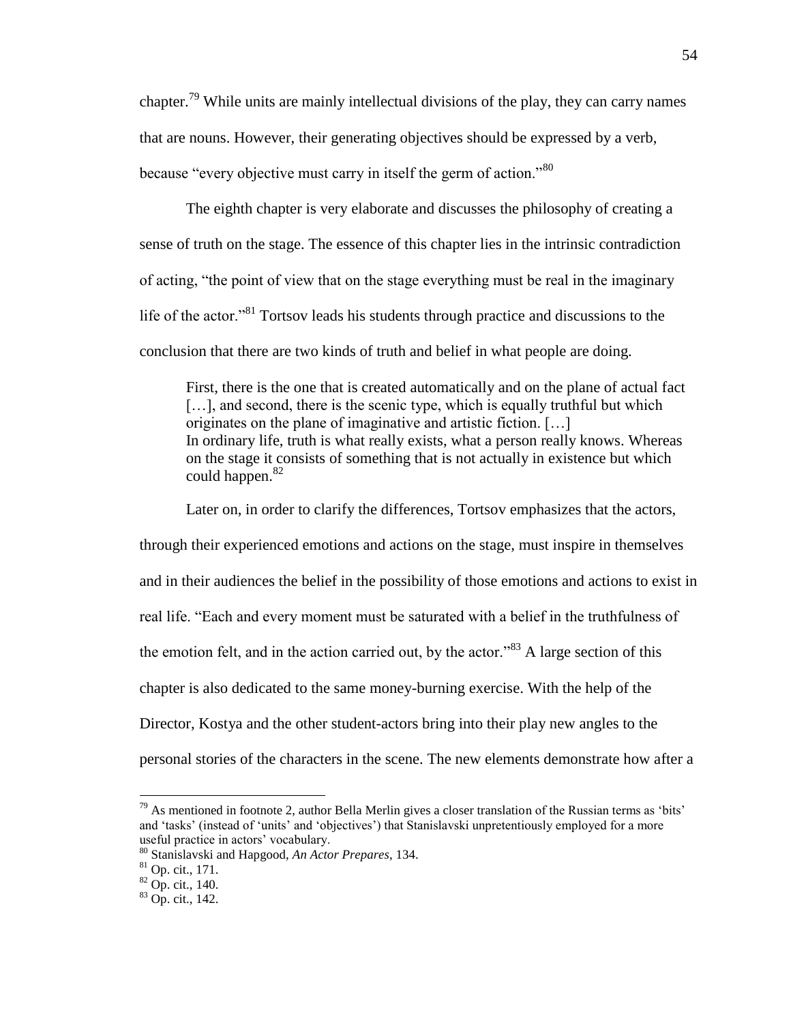chapter.<sup>79</sup> While units are mainly intellectual divisions of the play, they can carry names that are nouns. However, their generating objectives should be expressed by a verb, because "every objective must carry in itself the germ of action."<sup>80</sup>

The eighth chapter is very elaborate and discusses the philosophy of creating a sense of truth on the stage. The essence of this chapter lies in the intrinsic contradiction of acting, "the point of view that on the stage everything must be real in the imaginary life of the actor."<sup>81</sup> Tortsov leads his students through practice and discussions to the conclusion that there are two kinds of truth and belief in what people are doing.

First, there is the one that is created automatically and on the plane of actual fact [...], and second, there is the scenic type, which is equally truthful but which originates on the plane of imaginative and artistic fiction. […] In ordinary life, truth is what really exists, what a person really knows. Whereas on the stage it consists of something that is not actually in existence but which could happen.<sup>82</sup>

Later on, in order to clarify the differences, Tortsov emphasizes that the actors, through their experienced emotions and actions on the stage, must inspire in themselves and in their audiences the belief in the possibility of those emotions and actions to exist in real life. "Each and every moment must be saturated with a belief in the truthfulness of the emotion felt, and in the action carried out, by the actor.<sup>383</sup> A large section of this chapter is also dedicated to the same money-burning exercise. With the help of the Director, Kostya and the other student-actors bring into their play new angles to the personal stories of the characters in the scene. The new elements demonstrate how after a

 $79$  As mentioned in footnote 2, author Bella Merlin gives a closer translation of the Russian terms as 'bits' and 'tasks' (instead of 'units' and 'objectives') that Stanislavski unpretentiously employed for a more useful practice in actors' vocabulary.

<sup>80</sup> Stanislavski and Hapgood, *An Actor Prepares*, 134.

 $81$  Op. cit., 171.

<sup>82</sup> Op. cit., 140.

 $83$  Op. cit., 142.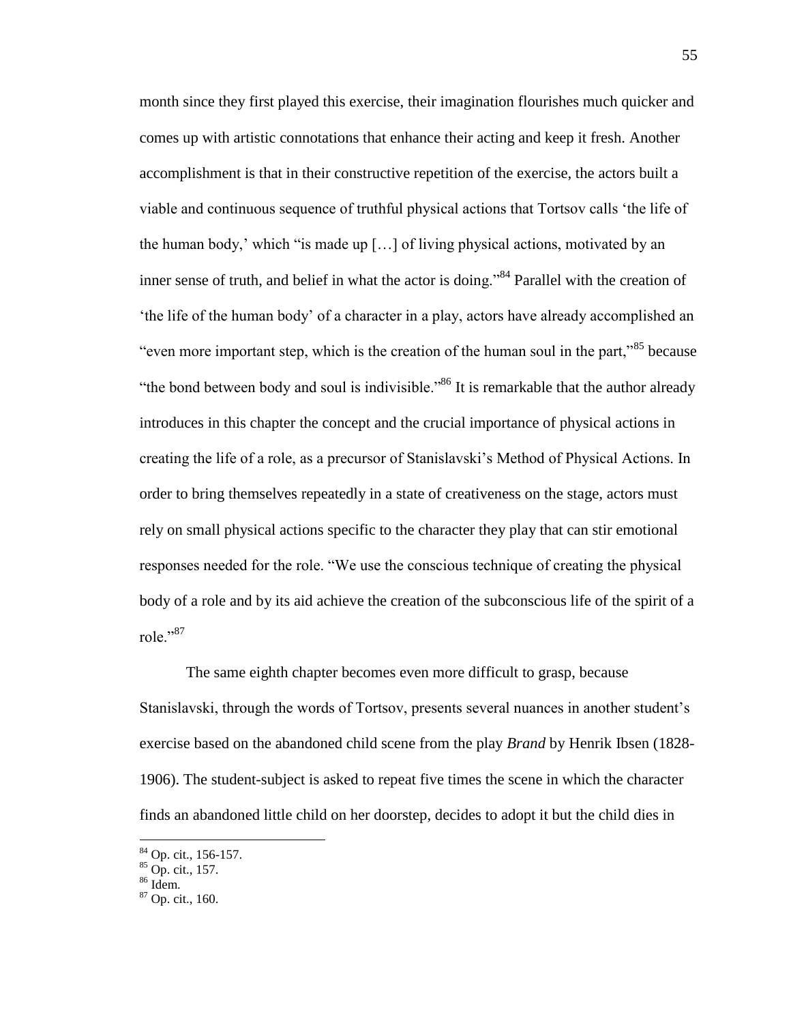month since they first played this exercise, their imagination flourishes much quicker and comes up with artistic connotations that enhance their acting and keep it fresh. Another accomplishment is that in their constructive repetition of the exercise, the actors built a viable and continuous sequence of truthful physical actions that Tortsov calls ‗the life of the human body,' which "is made up  $[\dots]$  of living physical actions, motivated by an inner sense of truth, and belief in what the actor is doing.<sup>84</sup> Parallel with the creation of ‗the life of the human body' of a character in a play, actors have already accomplished an "even more important step, which is the creation of the human soul in the part," $85$  because "the bond between body and soul is indivisible."<sup>86</sup> It is remarkable that the author already introduces in this chapter the concept and the crucial importance of physical actions in creating the life of a role, as a precursor of Stanislavski's Method of Physical Actions. In order to bring themselves repeatedly in a state of creativeness on the stage, actors must rely on small physical actions specific to the character they play that can stir emotional responses needed for the role. "We use the conscious technique of creating the physical body of a role and by its aid achieve the creation of the subconscious life of the spirit of a role."<sup>87</sup>

The same eighth chapter becomes even more difficult to grasp, because Stanislavski, through the words of Tortsov, presents several nuances in another student's exercise based on the abandoned child scene from the play *Brand* by Henrik Ibsen (1828- 1906). The student-subject is asked to repeat five times the scene in which the character finds an abandoned little child on her doorstep, decides to adopt it but the child dies in

<sup>&</sup>lt;sup>84</sup> Op. cit., 156-157.

 $85$  Op. cit., 157.

 $86 \text{ Idem.}$ 

 $87$  Op. cit., 160.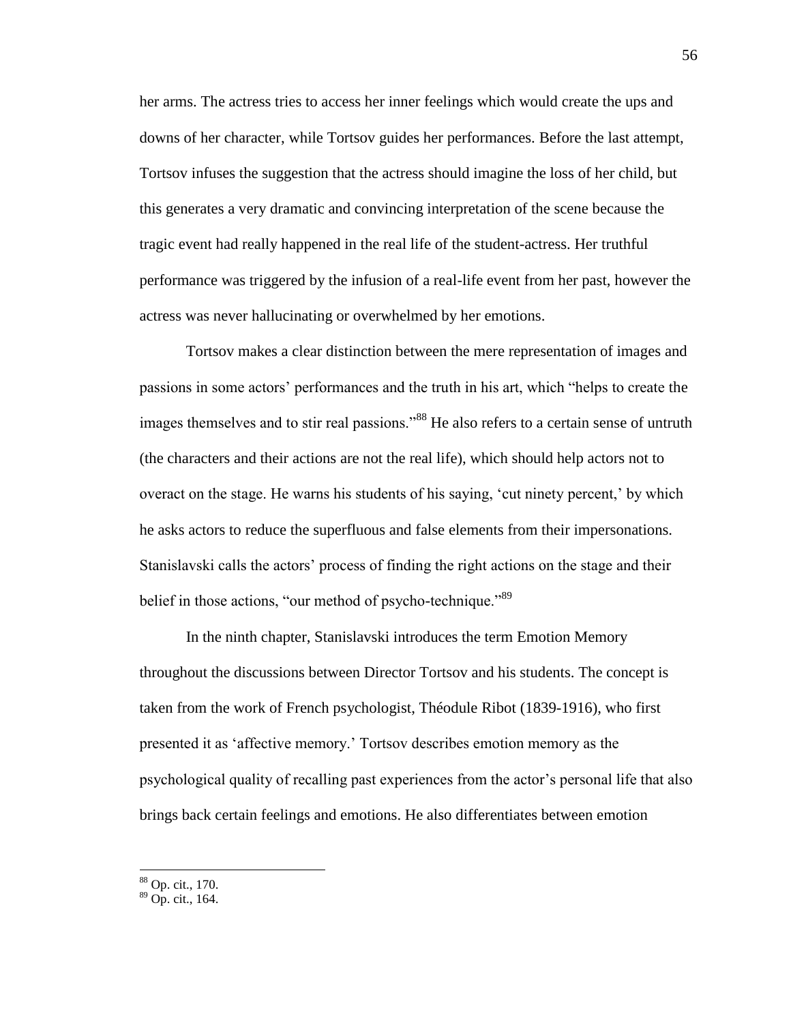her arms. The actress tries to access her inner feelings which would create the ups and downs of her character, while Tortsov guides her performances. Before the last attempt, Tortsov infuses the suggestion that the actress should imagine the loss of her child, but this generates a very dramatic and convincing interpretation of the scene because the tragic event had really happened in the real life of the student-actress. Her truthful performance was triggered by the infusion of a real-life event from her past, however the actress was never hallucinating or overwhelmed by her emotions.

Tortsov makes a clear distinction between the mere representation of images and passions in some actors' performances and the truth in his art, which "helps to create the images themselves and to stir real passions.<sup>88</sup> He also refers to a certain sense of untruth (the characters and their actions are not the real life), which should help actors not to overact on the stage. He warns his students of his saying, ‗cut ninety percent,' by which he asks actors to reduce the superfluous and false elements from their impersonations. Stanislavski calls the actors' process of finding the right actions on the stage and their belief in those actions, "our method of psycho-technique."<sup>89</sup>

In the ninth chapter, Stanislavski introduces the term Emotion Memory throughout the discussions between Director Tortsov and his students. The concept is taken from the work of French psychologist, Théodule Ribot (1839-1916), who first presented it as 'affective memory.' Tortsov describes emotion memory as the psychological quality of recalling past experiences from the actor's personal life that also brings back certain feelings and emotions. He also differentiates between emotion

<sup>88</sup> Op. cit., 170.

 $89$  Op. cit., 164.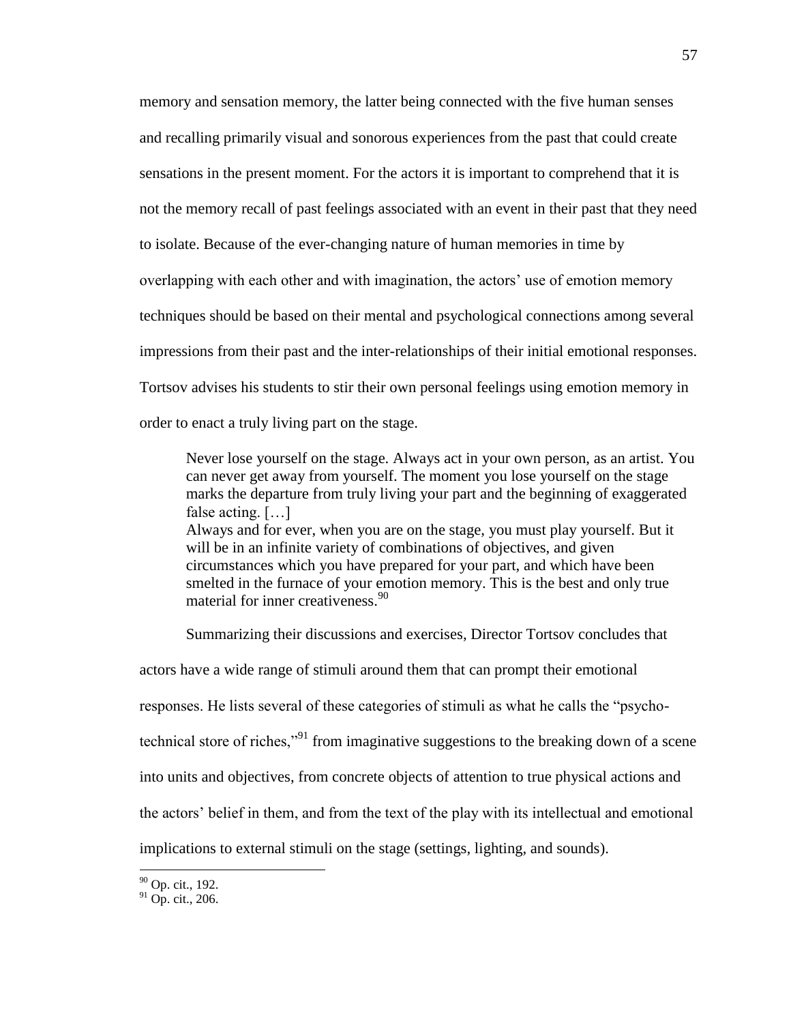memory and sensation memory, the latter being connected with the five human senses and recalling primarily visual and sonorous experiences from the past that could create sensations in the present moment. For the actors it is important to comprehend that it is not the memory recall of past feelings associated with an event in their past that they need to isolate. Because of the ever-changing nature of human memories in time by overlapping with each other and with imagination, the actors' use of emotion memory techniques should be based on their mental and psychological connections among several impressions from their past and the inter-relationships of their initial emotional responses. Tortsov advises his students to stir their own personal feelings using emotion memory in order to enact a truly living part on the stage.

Never lose yourself on the stage. Always act in your own person, as an artist. You can never get away from yourself. The moment you lose yourself on the stage marks the departure from truly living your part and the beginning of exaggerated false acting. […] Always and for ever, when you are on the stage, you must play yourself. But it will be in an infinite variety of combinations of objectives, and given circumstances which you have prepared for your part, and which have been smelted in the furnace of your emotion memory. This is the best and only true material for inner creativeness.<sup>90</sup>

Summarizing their discussions and exercises, Director Tortsov concludes that actors have a wide range of stimuli around them that can prompt their emotional responses. He lists several of these categories of stimuli as what he calls the "psychotechnical store of riches,<sup> $\frac{91}{1}$ </sup> from imaginative suggestions to the breaking down of a scene into units and objectives, from concrete objects of attention to true physical actions and the actors' belief in them, and from the text of the play with its intellectual and emotional implications to external stimuli on the stage (settings, lighting, and sounds).

<sup>&</sup>lt;sup>90</sup> Op. cit., 192.

 $91$  Op. cit., 206.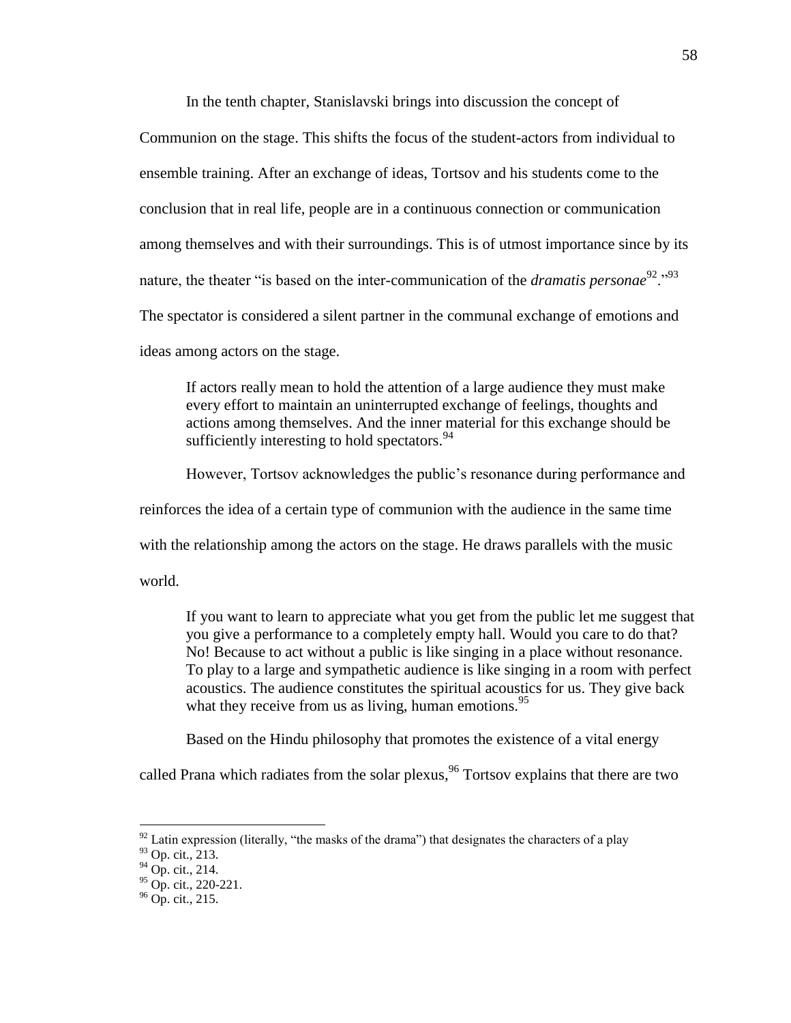In the tenth chapter, Stanislavski brings into discussion the concept of

Communion on the stage. This shifts the focus of the student-actors from individual to ensemble training. After an exchange of ideas, Tortsov and his students come to the conclusion that in real life, people are in a continuous connection or communication among themselves and with their surroundings. This is of utmost importance since by its nature, the theater "is based on the inter-communication of the *dramatis personae*<sup>92</sup>.<sup>93</sup> The spectator is considered a silent partner in the communal exchange of emotions and ideas among actors on the stage.

If actors really mean to hold the attention of a large audience they must make every effort to maintain an uninterrupted exchange of feelings, thoughts and actions among themselves. And the inner material for this exchange should be sufficiently interesting to hold spectators.<sup>94</sup>

However, Tortsov acknowledges the public's resonance during performance and

reinforces the idea of a certain type of communion with the audience in the same time

with the relationship among the actors on the stage. He draws parallels with the music

world.

If you want to learn to appreciate what you get from the public let me suggest that you give a performance to a completely empty hall. Would you care to do that? No! Because to act without a public is like singing in a place without resonance. To play to a large and sympathetic audience is like singing in a room with perfect acoustics. The audience constitutes the spiritual acoustics for us. They give back what they receive from us as living, human emotions.  $95$ 

Based on the Hindu philosophy that promotes the existence of a vital energy

called Prana which radiates from the solar plexus,  $96$  Tortsov explains that there are two

 $92$  Latin expression (literally, "the masks of the drama") that designates the characters of a play

 $93$  Op. cit., 213.

 $94$  Op. cit., 214.

<sup>95</sup> Op. cit., 220-221.

 $96$  Op. cit., 215.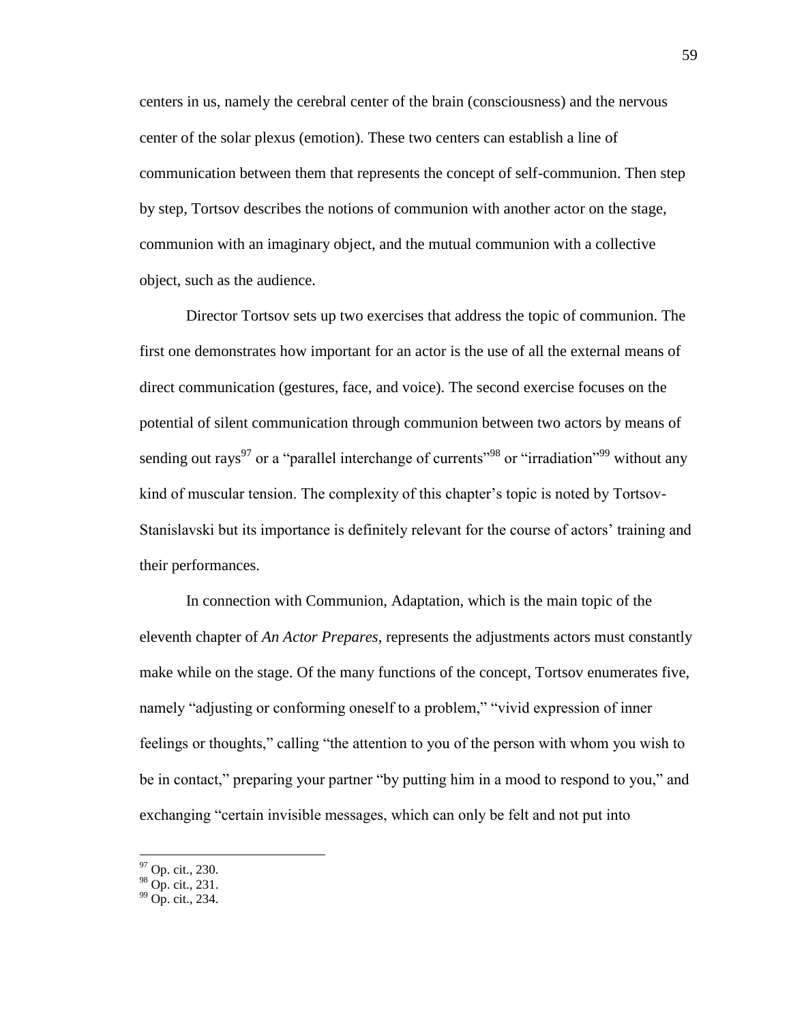centers in us, namely the cerebral center of the brain (consciousness) and the nervous center of the solar plexus (emotion). These two centers can establish a line of communication between them that represents the concept of self-communion. Then step by step, Tortsov describes the notions of communion with another actor on the stage, communion with an imaginary object, and the mutual communion with a collective object, such as the audience.

Director Tortsov sets up two exercises that address the topic of communion. The first one demonstrates how important for an actor is the use of all the external means of direct communication (gestures, face, and voice). The second exercise focuses on the potential of silent communication through communion between two actors by means of sending out rays<sup>97</sup> or a "parallel interchange of currents"<sup>98</sup> or "irradiation"<sup>99</sup> without any kind of muscular tension. The complexity of this chapter's topic is noted by Tortsov-Stanislavski but its importance is definitely relevant for the course of actors' training and their performances.

In connection with Communion, Adaptation, which is the main topic of the eleventh chapter of *An Actor Prepares*, represents the adjustments actors must constantly make while on the stage. Of the many functions of the concept, Tortsov enumerates five, namely "adjusting or conforming oneself to a problem," "vivid expression of inner feelings or thoughts," calling "the attention to you of the person with whom you wish to be in contact," preparing your partner "by putting him in a mood to respond to you," and exchanging "certain invisible messages, which can only be felt and not put into

<sup>&</sup>lt;sup>97</sup> Op. cit., 230.

<sup>&</sup>lt;sup>98</sup> Op. cit., 231.

 $99$  Op. cit., 234.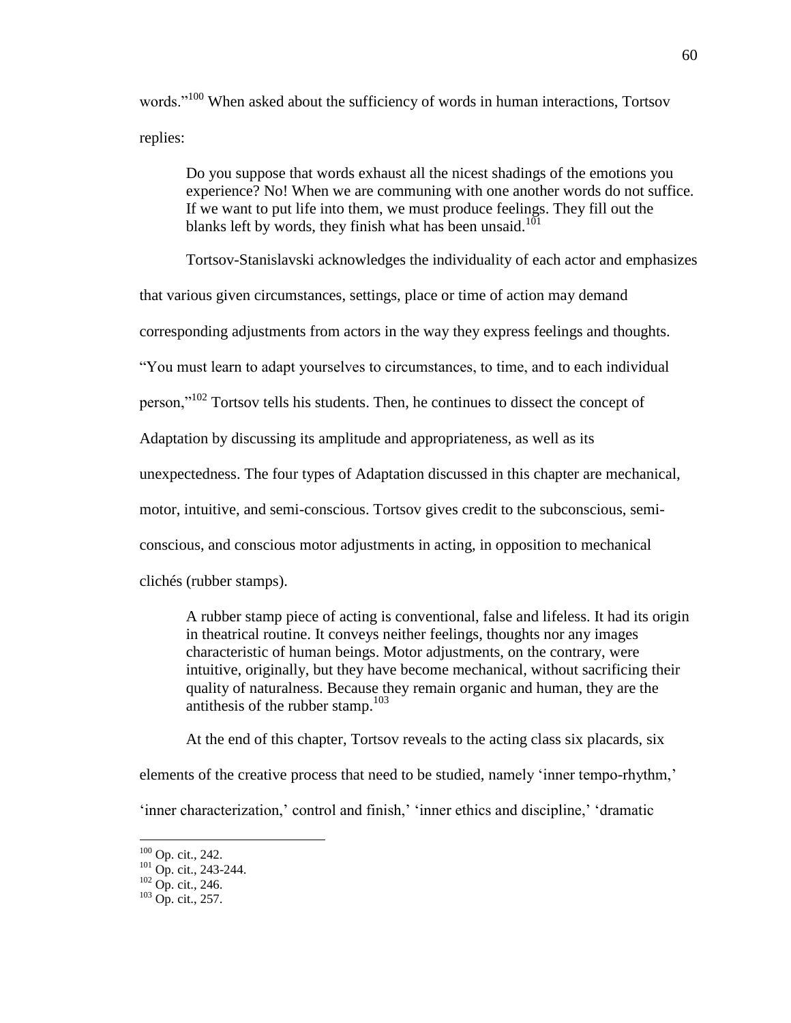words."<sup>100</sup> When asked about the sufficiency of words in human interactions, Tortsov replies:

Do you suppose that words exhaust all the nicest shadings of the emotions you experience? No! When we are communing with one another words do not suffice. If we want to put life into them, we must produce feelings. They fill out the blanks left by words, they finish what has been unsaid.<sup>101</sup>

Tortsov-Stanislavski acknowledges the individuality of each actor and emphasizes

that various given circumstances, settings, place or time of action may demand

corresponding adjustments from actors in the way they express feelings and thoughts.

―You must learn to adapt yourselves to circumstances, to time, and to each individual

person," $102$  Tortsov tells his students. Then, he continues to dissect the concept of

Adaptation by discussing its amplitude and appropriateness, as well as its

unexpectedness. The four types of Adaptation discussed in this chapter are mechanical,

motor, intuitive, and semi-conscious. Tortsov gives credit to the subconscious, semi-

conscious, and conscious motor adjustments in acting, in opposition to mechanical

clichés (rubber stamps).

A rubber stamp piece of acting is conventional, false and lifeless. It had its origin in theatrical routine. It conveys neither feelings, thoughts nor any images characteristic of human beings. Motor adjustments, on the contrary, were intuitive, originally, but they have become mechanical, without sacrificing their quality of naturalness. Because they remain organic and human, they are the antithesis of the rubber stamp. $103$ 

At the end of this chapter, Tortsov reveals to the acting class six placards, six

elements of the creative process that need to be studied, namely 'inner tempo-rhythm,'

'inner characterization,' control and finish,' 'inner ethics and discipline,' 'dramatic

 $100$  Op. cit., 242.

 $101$  Op. cit., 243-244.

 $^{102}$  Op. cit., 246.

 $103$  Op. cit., 257.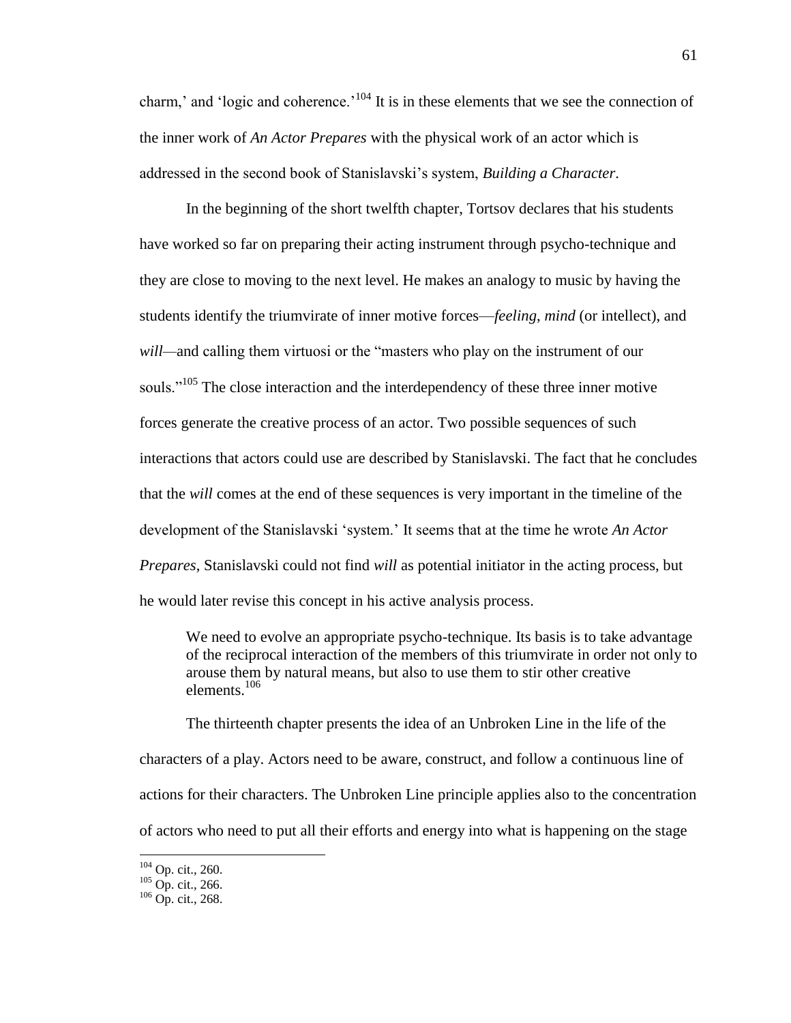charm,' and 'logic and coherence.'<sup>104</sup> It is in these elements that we see the connection of the inner work of *An Actor Prepares* with the physical work of an actor which is addressed in the second book of Stanislavski's system, *Building a Character*.

In the beginning of the short twelfth chapter, Tortsov declares that his students have worked so far on preparing their acting instrument through psycho-technique and they are close to moving to the next level. He makes an analogy to music by having the students identify the triumvirate of inner motive forces—*feeling*, *mind* (or intellect), and *will—and calling them virtuosi or the "masters who play on the instrument of our* souls."<sup>105</sup> The close interaction and the interdependency of these three inner motive forces generate the creative process of an actor. Two possible sequences of such interactions that actors could use are described by Stanislavski. The fact that he concludes that the *will* comes at the end of these sequences is very important in the timeline of the development of the Stanislavski 'system.' It seems that at the time he wrote *An Actor Prepares*, Stanislavski could not find *will* as potential initiator in the acting process, but he would later revise this concept in his active analysis process.

We need to evolve an appropriate psycho-technique. Its basis is to take advantage of the reciprocal interaction of the members of this triumvirate in order not only to arouse them by natural means, but also to use them to stir other creative elements.<sup>106</sup>

The thirteenth chapter presents the idea of an Unbroken Line in the life of the characters of a play. Actors need to be aware, construct, and follow a continuous line of actions for their characters. The Unbroken Line principle applies also to the concentration of actors who need to put all their efforts and energy into what is happening on the stage

 $104$  Op. cit., 260.

 $105$  Op. cit., 266.

 $106$  Op. cit., 268.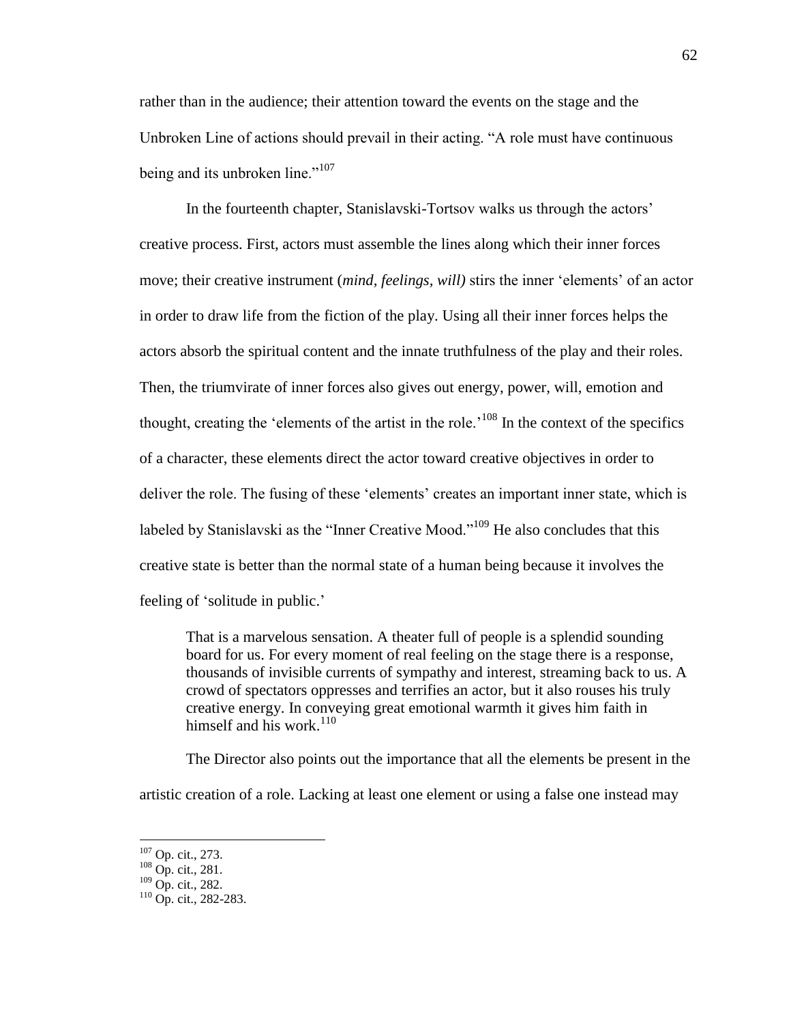rather than in the audience; their attention toward the events on the stage and the Unbroken Line of actions should prevail in their acting. "A role must have continuous being and its unbroken line." $107$ 

In the fourteenth chapter, Stanislavski-Tortsov walks us through the actors' creative process. First, actors must assemble the lines along which their inner forces move; their creative instrument (*mind, feelings, will*) stirs the inner 'elements' of an actor in order to draw life from the fiction of the play. Using all their inner forces helps the actors absorb the spiritual content and the innate truthfulness of the play and their roles. Then, the triumvirate of inner forces also gives out energy, power, will, emotion and thought, creating the 'elements of the artist in the role.'<sup>108</sup> In the context of the specifics of a character, these elements direct the actor toward creative objectives in order to deliver the role. The fusing of these 'elements' creates an important inner state, which is labeled by Stanislavski as the "Inner Creative Mood."<sup>109</sup> He also concludes that this creative state is better than the normal state of a human being because it involves the feeling of 'solitude in public.'

That is a marvelous sensation. A theater full of people is a splendid sounding board for us. For every moment of real feeling on the stage there is a response, thousands of invisible currents of sympathy and interest, streaming back to us. A crowd of spectators oppresses and terrifies an actor, but it also rouses his truly creative energy. In conveying great emotional warmth it gives him faith in himself and his work.<sup>110</sup>

The Director also points out the importance that all the elements be present in the

artistic creation of a role. Lacking at least one element or using a false one instead may

 $107$  Op. cit., 273.

 $^{108}$  Op. cit., 281.

 $^{109}$  Op. cit., 282.

 $110$  Op. cit., 282-283.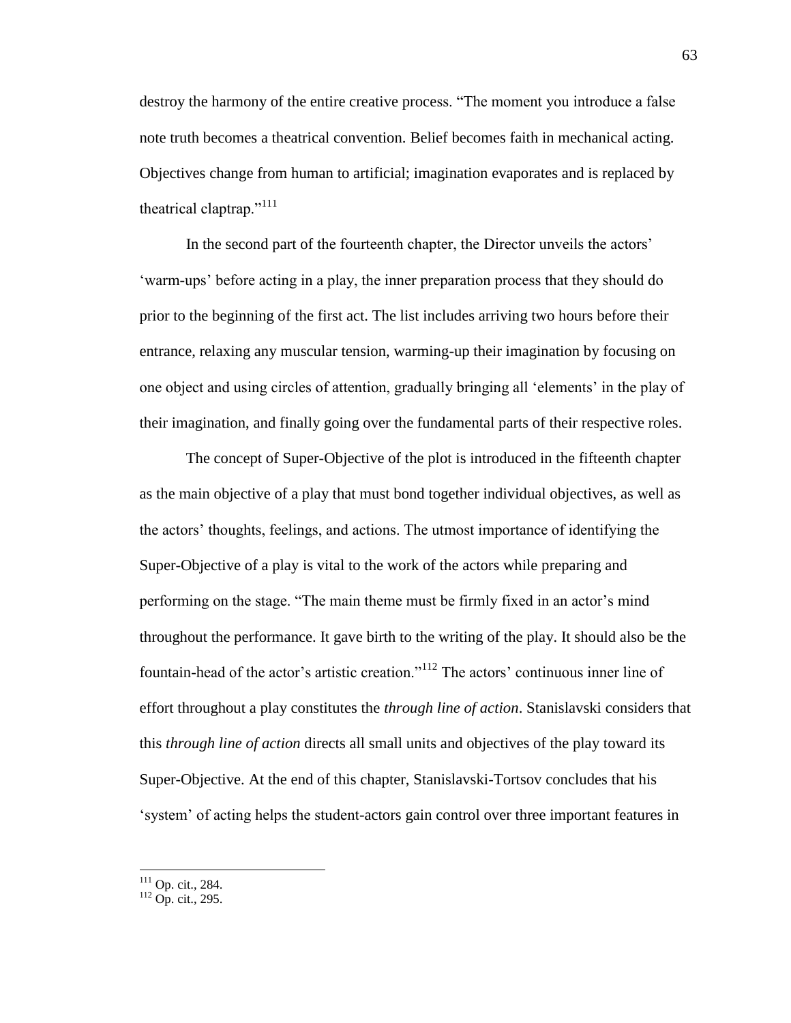destroy the harmony of the entire creative process. "The moment you introduce a false note truth becomes a theatrical convention. Belief becomes faith in mechanical acting. Objectives change from human to artificial; imagination evaporates and is replaced by theatrical claptrap." $111$ 

In the second part of the fourteenth chapter, the Director unveils the actors' ‗warm-ups' before acting in a play, the inner preparation process that they should do prior to the beginning of the first act. The list includes arriving two hours before their entrance, relaxing any muscular tension, warming-up their imagination by focusing on one object and using circles of attention, gradually bringing all ‗elements' in the play of their imagination, and finally going over the fundamental parts of their respective roles.

The concept of Super-Objective of the plot is introduced in the fifteenth chapter as the main objective of a play that must bond together individual objectives, as well as the actors' thoughts, feelings, and actions. The utmost importance of identifying the Super-Objective of a play is vital to the work of the actors while preparing and performing on the stage. "The main theme must be firmly fixed in an actor's mind throughout the performance. It gave birth to the writing of the play. It should also be the fountain-head of the actor's artistic creation."<sup>112</sup> The actors' continuous inner line of effort throughout a play constitutes the *through line of action*. Stanislavski considers that this *through line of action* directs all small units and objectives of the play toward its Super-Objective. At the end of this chapter, Stanislavski-Tortsov concludes that his ‗system' of acting helps the student-actors gain control over three important features in

<sup>&</sup>lt;sup>111</sup> Op. cit., 284.

 $112$  Op. cit., 295.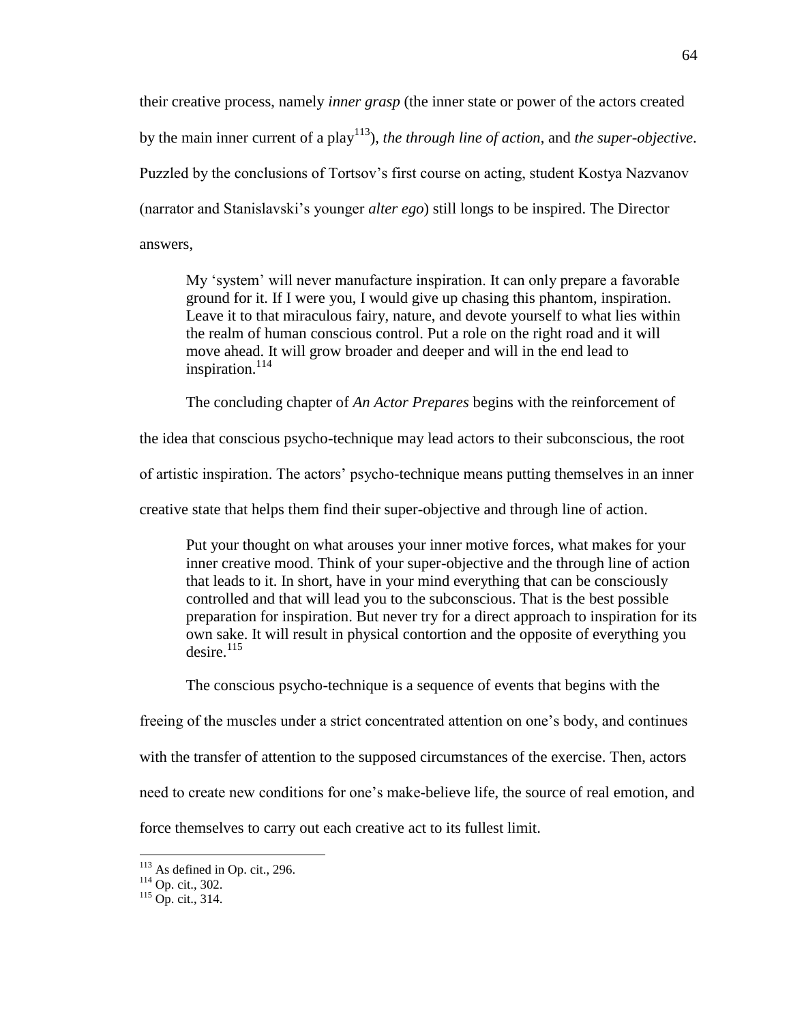their creative process, namely *inner grasp* (the inner state or power of the actors created by the main inner current of a play<sup>113</sup>), *the through line of action*, and *the super-objective*. Puzzled by the conclusions of Tortsov's first course on acting, student Kostya Nazvanov (narrator and Stanislavski's younger *alter ego*) still longs to be inspired. The Director answers,

My 'system' will never manufacture inspiration. It can only prepare a favorable ground for it. If I were you, I would give up chasing this phantom, inspiration. Leave it to that miraculous fairy, nature, and devote yourself to what lies within the realm of human conscious control. Put a role on the right road and it will move ahead. It will grow broader and deeper and will in the end lead to inspiration.<sup>114</sup>

The concluding chapter of *An Actor Prepares* begins with the reinforcement of

the idea that conscious psycho-technique may lead actors to their subconscious, the root

of artistic inspiration. The actors' psycho-technique means putting themselves in an inner

creative state that helps them find their super-objective and through line of action.

Put your thought on what arouses your inner motive forces, what makes for your inner creative mood. Think of your super-objective and the through line of action that leads to it. In short, have in your mind everything that can be consciously controlled and that will lead you to the subconscious. That is the best possible preparation for inspiration. But never try for a direct approach to inspiration for its own sake. It will result in physical contortion and the opposite of everything you  $desire<sup>.115</sup>$ 

The conscious psycho-technique is a sequence of events that begins with the

freeing of the muscles under a strict concentrated attention on one's body, and continues

with the transfer of attention to the supposed circumstances of the exercise. Then, actors

need to create new conditions for one's make-believe life, the source of real emotion, and

force themselves to carry out each creative act to its fullest limit.

 $113$  As defined in Op. cit., 296.

<sup>&</sup>lt;sup>114</sup> Op. cit., 302.

 $115$  Op. cit., 314.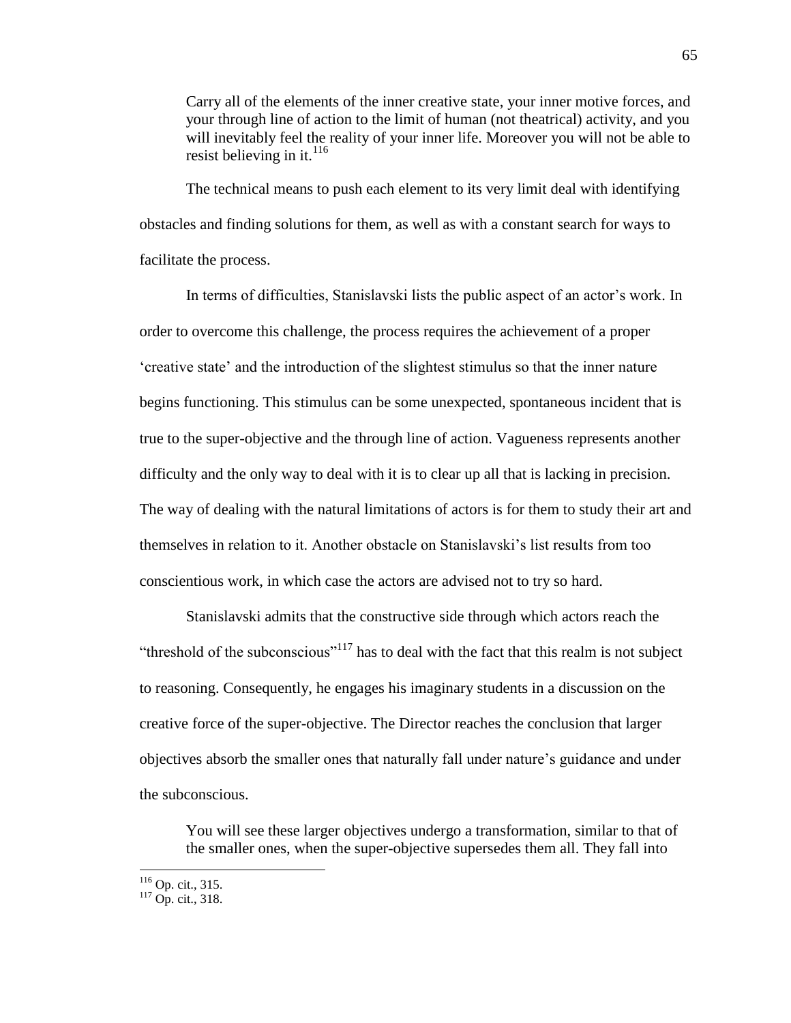Carry all of the elements of the inner creative state, your inner motive forces, and your through line of action to the limit of human (not theatrical) activity, and you will inevitably feel the reality of your inner life. Moreover you will not be able to resist believing in it.<sup>116</sup>

The technical means to push each element to its very limit deal with identifying obstacles and finding solutions for them, as well as with a constant search for ways to facilitate the process.

In terms of difficulties, Stanislavski lists the public aspect of an actor's work. In order to overcome this challenge, the process requires the achievement of a proper ‗creative state' and the introduction of the slightest stimulus so that the inner nature begins functioning. This stimulus can be some unexpected, spontaneous incident that is true to the super-objective and the through line of action. Vagueness represents another difficulty and the only way to deal with it is to clear up all that is lacking in precision. The way of dealing with the natural limitations of actors is for them to study their art and themselves in relation to it. Another obstacle on Stanislavski's list results from too conscientious work, in which case the actors are advised not to try so hard.

Stanislavski admits that the constructive side through which actors reach the "threshold of the subconscious"<sup>117</sup> has to deal with the fact that this realm is not subject to reasoning. Consequently, he engages his imaginary students in a discussion on the creative force of the super-objective. The Director reaches the conclusion that larger objectives absorb the smaller ones that naturally fall under nature's guidance and under the subconscious.

You will see these larger objectives undergo a transformation, similar to that of the smaller ones, when the super-objective supersedes them all. They fall into

 $116$  Op. cit., 315.

 $117$  Op. cit., 318.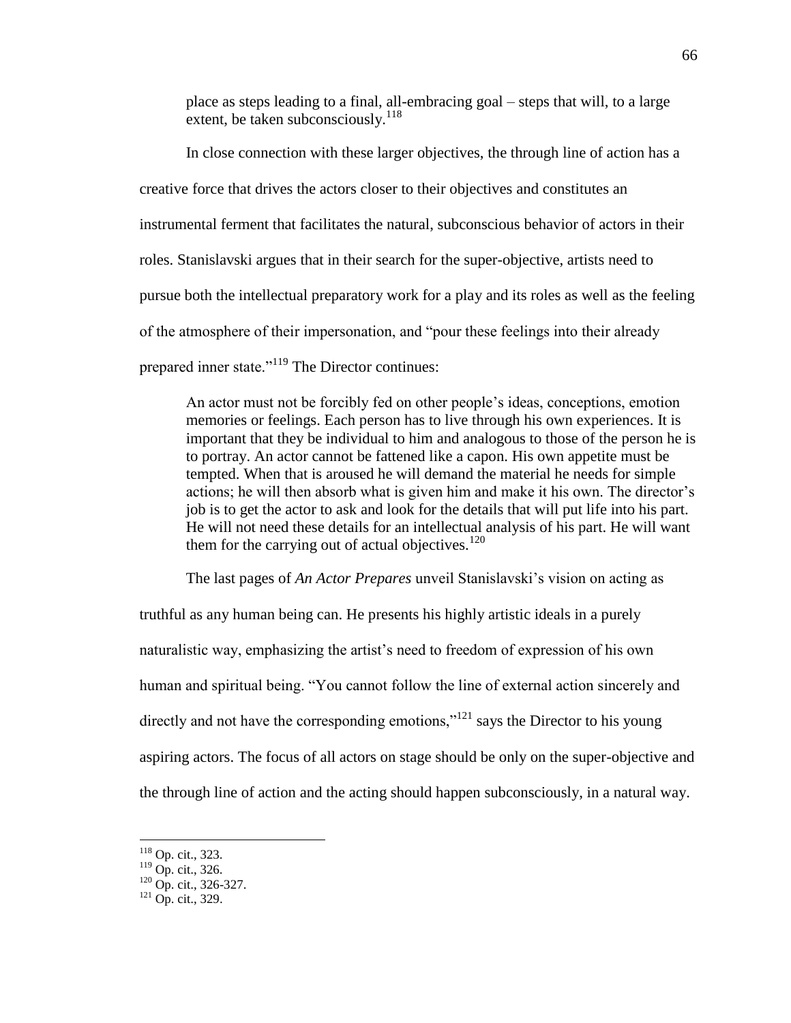place as steps leading to a final, all-embracing goal – steps that will, to a large extent, be taken subconsciously.<sup>118</sup>

In close connection with these larger objectives, the through line of action has a creative force that drives the actors closer to their objectives and constitutes an instrumental ferment that facilitates the natural, subconscious behavior of actors in their roles. Stanislavski argues that in their search for the super-objective, artists need to pursue both the intellectual preparatory work for a play and its roles as well as the feeling of the atmosphere of their impersonation, and "pour these feelings into their already prepared inner state."<sup>119</sup> The Director continues:

An actor must not be forcibly fed on other people's ideas, conceptions, emotion memories or feelings. Each person has to live through his own experiences. It is important that they be individual to him and analogous to those of the person he is to portray. An actor cannot be fattened like a capon. His own appetite must be tempted. When that is aroused he will demand the material he needs for simple actions; he will then absorb what is given him and make it his own. The director's job is to get the actor to ask and look for the details that will put life into his part. He will not need these details for an intellectual analysis of his part. He will want them for the carrying out of actual objectives.<sup>120</sup>

The last pages of *An Actor Prepares* unveil Stanislavski's vision on acting as truthful as any human being can. He presents his highly artistic ideals in a purely naturalistic way, emphasizing the artist's need to freedom of expression of his own human and spiritual being. "You cannot follow the line of external action sincerely and directly and not have the corresponding emotions,"<sup>121</sup> says the Director to his young aspiring actors. The focus of all actors on stage should be only on the super-objective and the through line of action and the acting should happen subconsciously, in a natural way.

 $118$  Op. cit., 323.

 $119$  Op. cit., 326.

 $^{120}$  Op. cit., 326-327.

 $121$  Op. cit., 329.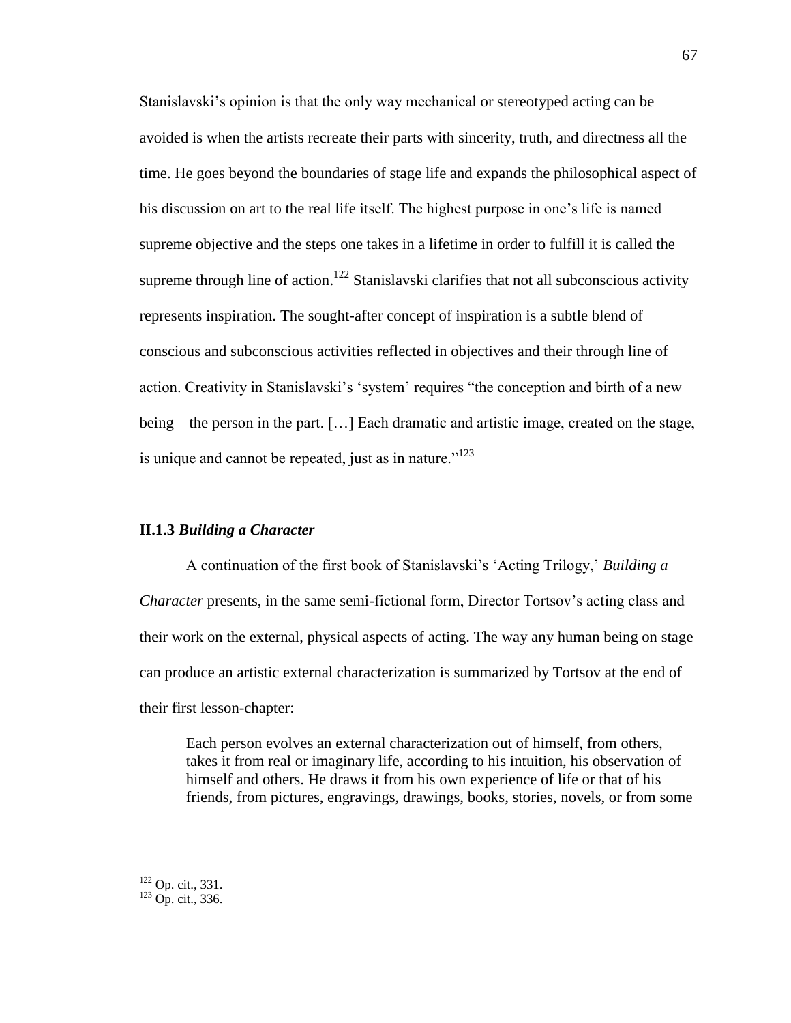Stanislavski's opinion is that the only way mechanical or stereotyped acting can be avoided is when the artists recreate their parts with sincerity, truth, and directness all the time. He goes beyond the boundaries of stage life and expands the philosophical aspect of his discussion on art to the real life itself. The highest purpose in one's life is named supreme objective and the steps one takes in a lifetime in order to fulfill it is called the supreme through line of action.<sup>122</sup> Stanislavski clarifies that not all subconscious activity represents inspiration. The sought-after concept of inspiration is a subtle blend of conscious and subconscious activities reflected in objectives and their through line of action. Creativity in Stanislavski's 'system' requires "the conception and birth of a new being – the person in the part. […] Each dramatic and artistic image, created on the stage, is unique and cannot be repeated, just as in nature. $123$ 

### **II.1.3** *Building a Character*

A continuation of the first book of Stanislavski's ‗Acting Trilogy,' *Building a Character* presents, in the same semi-fictional form, Director Tortsov's acting class and their work on the external, physical aspects of acting. The way any human being on stage can produce an artistic external characterization is summarized by Tortsov at the end of their first lesson-chapter:

Each person evolves an external characterization out of himself, from others, takes it from real or imaginary life, according to his intuition, his observation of himself and others. He draws it from his own experience of life or that of his friends, from pictures, engravings, drawings, books, stories, novels, or from some

<sup>&</sup>lt;sup>122</sup> Op. cit., 331.

 $123$  Op. cit., 336.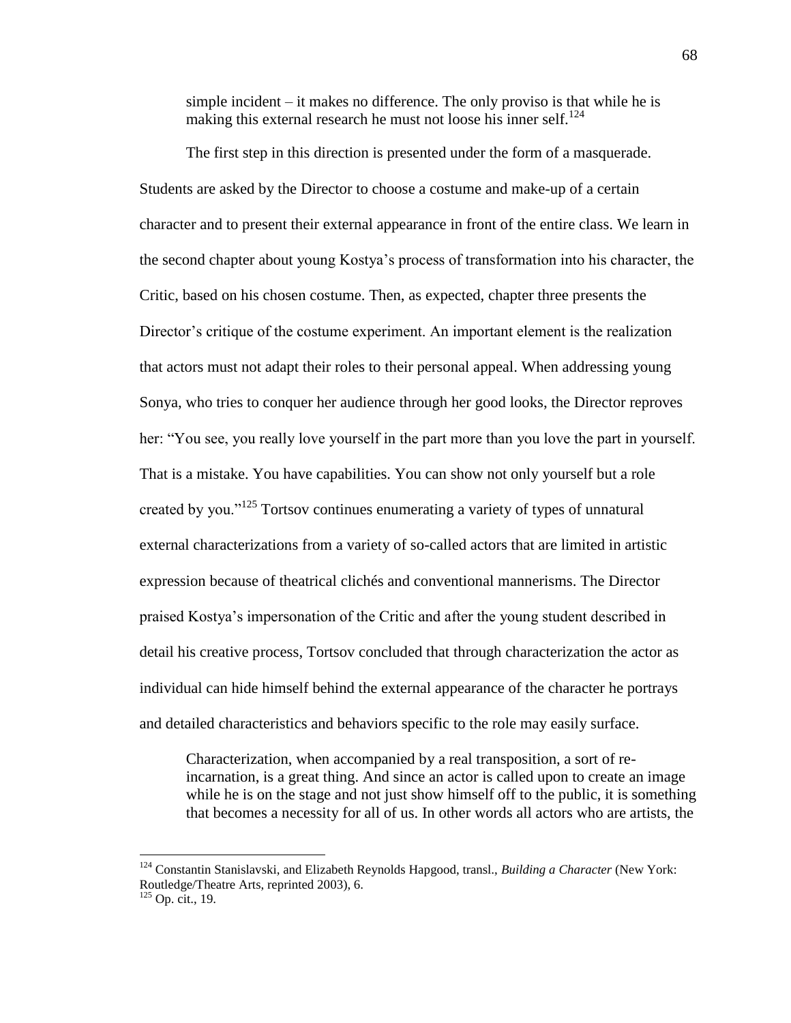simple incident – it makes no difference. The only proviso is that while he is making this external research he must not loose his inner self.<sup>124</sup>

The first step in this direction is presented under the form of a masquerade. Students are asked by the Director to choose a costume and make-up of a certain character and to present their external appearance in front of the entire class. We learn in the second chapter about young Kostya's process of transformation into his character, the Critic, based on his chosen costume. Then, as expected, chapter three presents the Director's critique of the costume experiment. An important element is the realization that actors must not adapt their roles to their personal appeal. When addressing young Sonya, who tries to conquer her audience through her good looks, the Director reproves her: "You see, you really love yourself in the part more than you love the part in yourself. That is a mistake. You have capabilities. You can show not only yourself but a role created by you."<sup>125</sup> Tortsov continues enumerating a variety of types of unnatural external characterizations from a variety of so-called actors that are limited in artistic expression because of theatrical clichés and conventional mannerisms. The Director praised Kostya's impersonation of the Critic and after the young student described in detail his creative process, Tortsov concluded that through characterization the actor as individual can hide himself behind the external appearance of the character he portrays and detailed characteristics and behaviors specific to the role may easily surface.

Characterization, when accompanied by a real transposition, a sort of reincarnation, is a great thing. And since an actor is called upon to create an image while he is on the stage and not just show himself off to the public, it is something that becomes a necessity for all of us. In other words all actors who are artists, the

<sup>124</sup> Constantin Stanislavski, and Elizabeth Reynolds Hapgood, transl., *Building a Character* (New York: Routledge/Theatre Arts, reprinted 2003), 6.

 $125$  Op. cit., 19.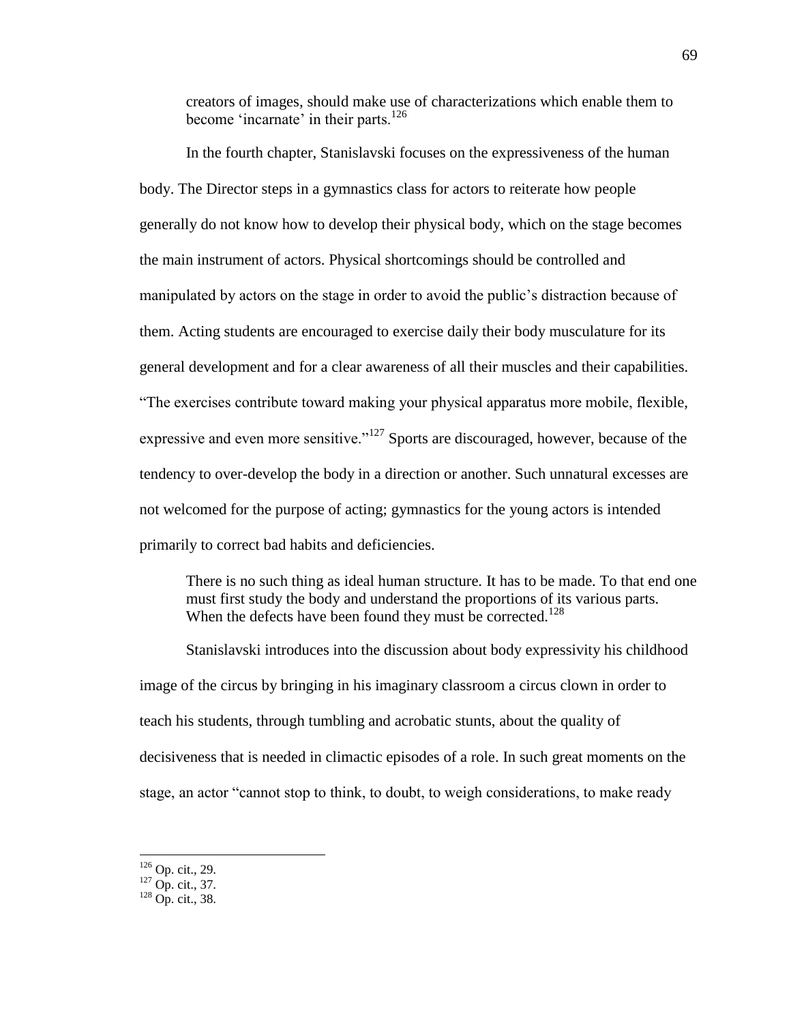creators of images, should make use of characterizations which enable them to become 'incarnate' in their parts.<sup>126</sup>

In the fourth chapter, Stanislavski focuses on the expressiveness of the human body. The Director steps in a gymnastics class for actors to reiterate how people generally do not know how to develop their physical body, which on the stage becomes the main instrument of actors. Physical shortcomings should be controlled and manipulated by actors on the stage in order to avoid the public's distraction because of them. Acting students are encouraged to exercise daily their body musculature for its general development and for a clear awareness of all their muscles and their capabilities. ―The exercises contribute toward making your physical apparatus more mobile, flexible, expressive and even more sensitive." $127$  Sports are discouraged, however, because of the tendency to over-develop the body in a direction or another. Such unnatural excesses are not welcomed for the purpose of acting; gymnastics for the young actors is intended primarily to correct bad habits and deficiencies.

There is no such thing as ideal human structure. It has to be made. To that end one must first study the body and understand the proportions of its various parts. When the defects have been found they must be corrected.<sup>128</sup>

Stanislavski introduces into the discussion about body expressivity his childhood image of the circus by bringing in his imaginary classroom a circus clown in order to teach his students, through tumbling and acrobatic stunts, about the quality of decisiveness that is needed in climactic episodes of a role. In such great moments on the stage, an actor "cannot stop to think, to doubt, to weigh considerations, to make ready

 $126$  Op. cit., 29.

 $^{127}$  Op. cit., 37.

 $128$  Op. cit., 38.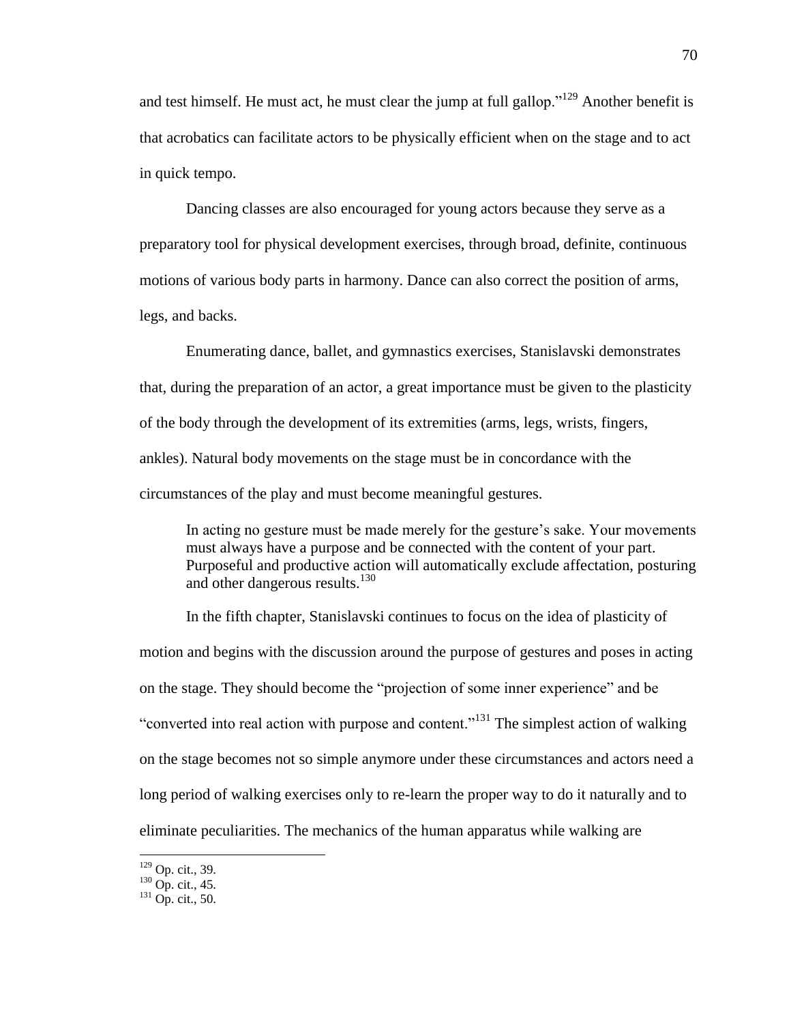and test himself. He must act, he must clear the jump at full gallop.<sup> $129$ </sup> Another benefit is that acrobatics can facilitate actors to be physically efficient when on the stage and to act in quick tempo.

Dancing classes are also encouraged for young actors because they serve as a preparatory tool for physical development exercises, through broad, definite, continuous motions of various body parts in harmony. Dance can also correct the position of arms, legs, and backs.

Enumerating dance, ballet, and gymnastics exercises, Stanislavski demonstrates that, during the preparation of an actor, a great importance must be given to the plasticity of the body through the development of its extremities (arms, legs, wrists, fingers, ankles). Natural body movements on the stage must be in concordance with the circumstances of the play and must become meaningful gestures.

In acting no gesture must be made merely for the gesture's sake. Your movements must always have a purpose and be connected with the content of your part. Purposeful and productive action will automatically exclude affectation, posturing and other dangerous results.<sup>130</sup>

In the fifth chapter, Stanislavski continues to focus on the idea of plasticity of motion and begins with the discussion around the purpose of gestures and poses in acting on the stage. They should become the "projection of some inner experience" and be "converted into real action with purpose and content."<sup>131</sup> The simplest action of walking on the stage becomes not so simple anymore under these circumstances and actors need a long period of walking exercises only to re-learn the proper way to do it naturally and to eliminate peculiarities. The mechanics of the human apparatus while walking are

 $129$  Op. cit., 39.

 $130$  Op. cit., 45.

 $131$  Op. cit., 50.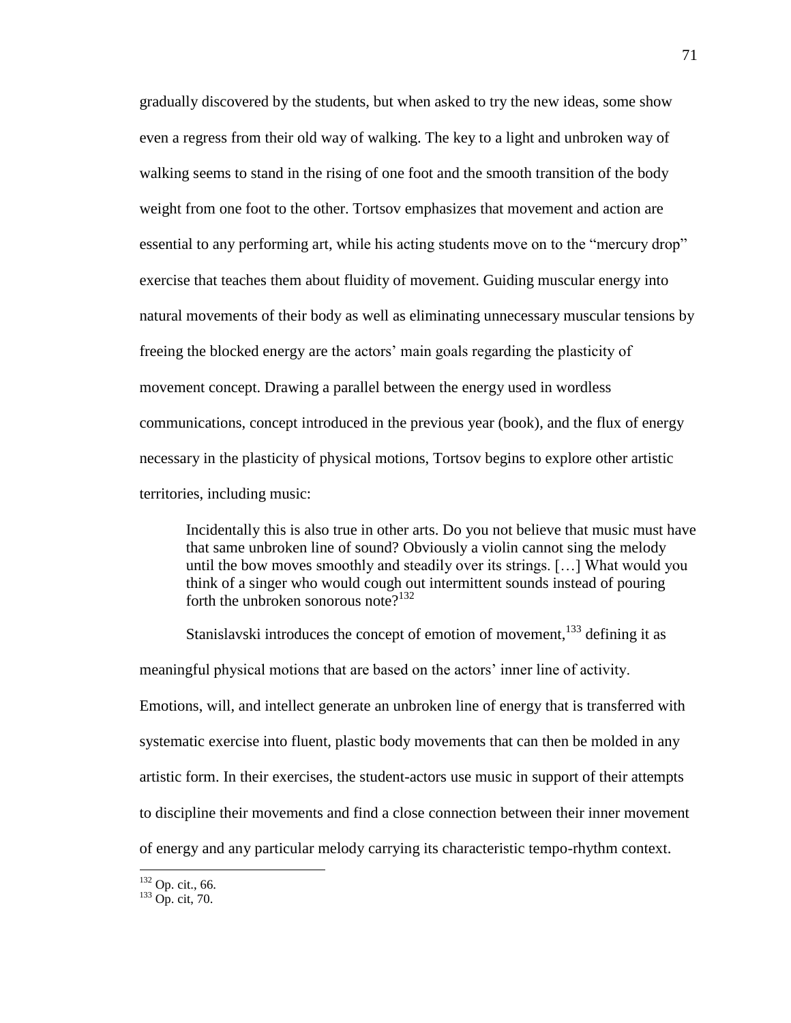gradually discovered by the students, but when asked to try the new ideas, some show even a regress from their old way of walking. The key to a light and unbroken way of walking seems to stand in the rising of one foot and the smooth transition of the body weight from one foot to the other. Tortsov emphasizes that movement and action are essential to any performing art, while his acting students move on to the "mercury drop" exercise that teaches them about fluidity of movement. Guiding muscular energy into natural movements of their body as well as eliminating unnecessary muscular tensions by freeing the blocked energy are the actors' main goals regarding the plasticity of movement concept. Drawing a parallel between the energy used in wordless communications, concept introduced in the previous year (book), and the flux of energy necessary in the plasticity of physical motions, Tortsov begins to explore other artistic territories, including music:

Incidentally this is also true in other arts. Do you not believe that music must have that same unbroken line of sound? Obviously a violin cannot sing the melody until the bow moves smoothly and steadily over its strings. […] What would you think of a singer who would cough out intermittent sounds instead of pouring forth the unbroken sonorous note? $132$ 

Stanislavski introduces the concept of emotion of movement,<sup>133</sup> defining it as meaningful physical motions that are based on the actors' inner line of activity. Emotions, will, and intellect generate an unbroken line of energy that is transferred with systematic exercise into fluent, plastic body movements that can then be molded in any artistic form. In their exercises, the student-actors use music in support of their attempts to discipline their movements and find a close connection between their inner movement of energy and any particular melody carrying its characteristic tempo-rhythm context.

<sup>132</sup> Op. cit., 66.

 $133$  Op. cit, 70.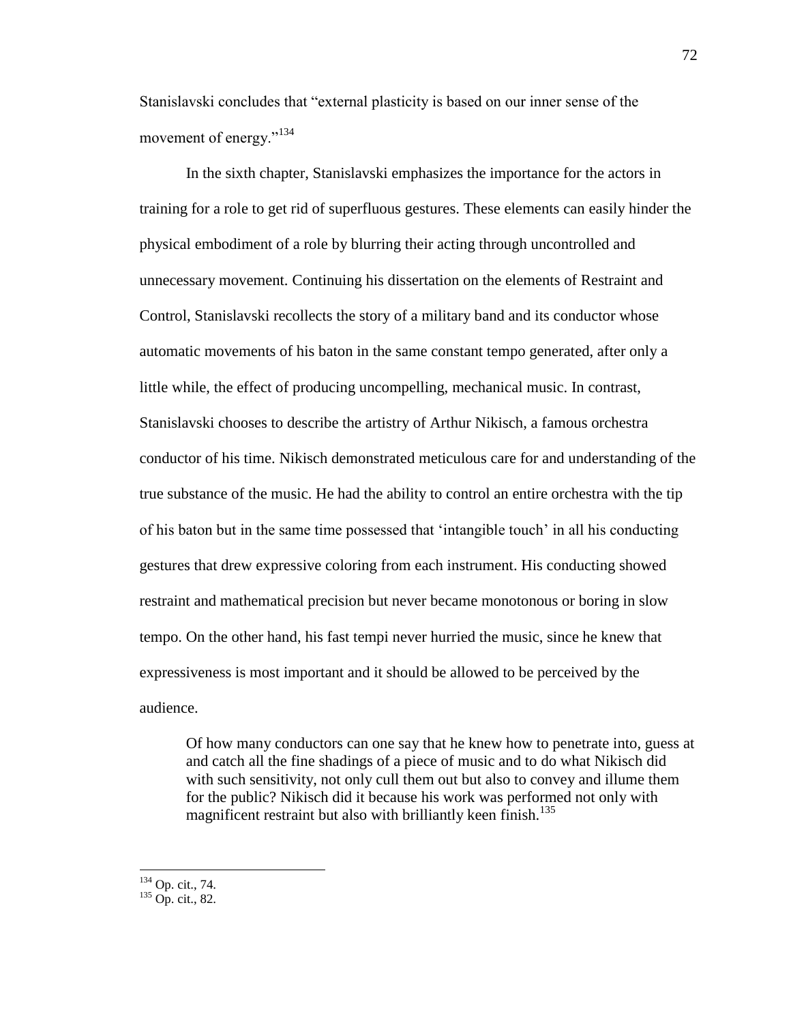Stanislavski concludes that "external plasticity is based on our inner sense of the movement of energy."<sup>134</sup>

In the sixth chapter, Stanislavski emphasizes the importance for the actors in training for a role to get rid of superfluous gestures. These elements can easily hinder the physical embodiment of a role by blurring their acting through uncontrolled and unnecessary movement. Continuing his dissertation on the elements of Restraint and Control, Stanislavski recollects the story of a military band and its conductor whose automatic movements of his baton in the same constant tempo generated, after only a little while, the effect of producing uncompelling, mechanical music. In contrast, Stanislavski chooses to describe the artistry of Arthur Nikisch, a famous orchestra conductor of his time. Nikisch demonstrated meticulous care for and understanding of the true substance of the music. He had the ability to control an entire orchestra with the tip of his baton but in the same time possessed that ‗intangible touch' in all his conducting gestures that drew expressive coloring from each instrument. His conducting showed restraint and mathematical precision but never became monotonous or boring in slow tempo. On the other hand, his fast tempi never hurried the music, since he knew that expressiveness is most important and it should be allowed to be perceived by the audience.

Of how many conductors can one say that he knew how to penetrate into, guess at and catch all the fine shadings of a piece of music and to do what Nikisch did with such sensitivity, not only cull them out but also to convey and illume them for the public? Nikisch did it because his work was performed not only with magnificent restraint but also with brilliantly keen finish.<sup>135</sup>

 $\overline{a}$ <sup>134</sup> Op. cit., 74.

 $135$  Op. cit., 82.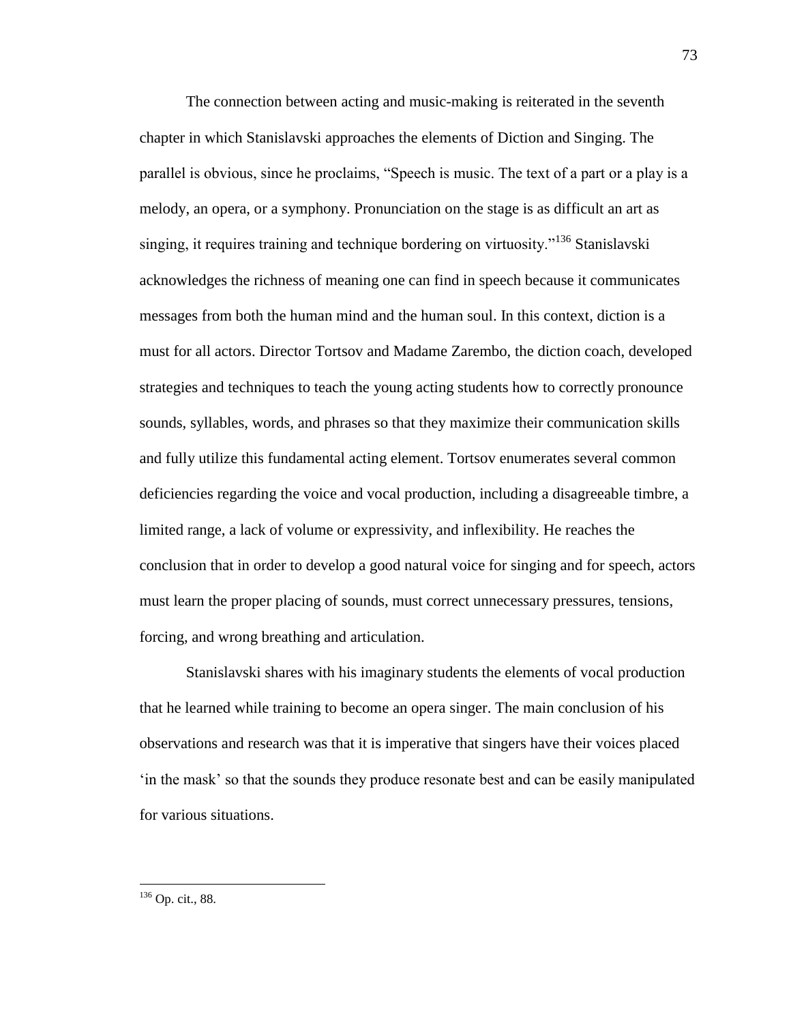The connection between acting and music-making is reiterated in the seventh chapter in which Stanislavski approaches the elements of Diction and Singing. The parallel is obvious, since he proclaims, "Speech is music. The text of a part or a play is a melody, an opera, or a symphony. Pronunciation on the stage is as difficult an art as singing, it requires training and technique bordering on virtuosity."<sup>136</sup> Stanislavski acknowledges the richness of meaning one can find in speech because it communicates messages from both the human mind and the human soul. In this context, diction is a must for all actors. Director Tortsov and Madame Zarembo, the diction coach, developed strategies and techniques to teach the young acting students how to correctly pronounce sounds, syllables, words, and phrases so that they maximize their communication skills and fully utilize this fundamental acting element. Tortsov enumerates several common deficiencies regarding the voice and vocal production, including a disagreeable timbre, a limited range, a lack of volume or expressivity, and inflexibility. He reaches the conclusion that in order to develop a good natural voice for singing and for speech, actors must learn the proper placing of sounds, must correct unnecessary pressures, tensions, forcing, and wrong breathing and articulation.

Stanislavski shares with his imaginary students the elements of vocal production that he learned while training to become an opera singer. The main conclusion of his observations and research was that it is imperative that singers have their voices placed ‗in the mask' so that the sounds they produce resonate best and can be easily manipulated for various situations.

 $136$  Op. cit., 88.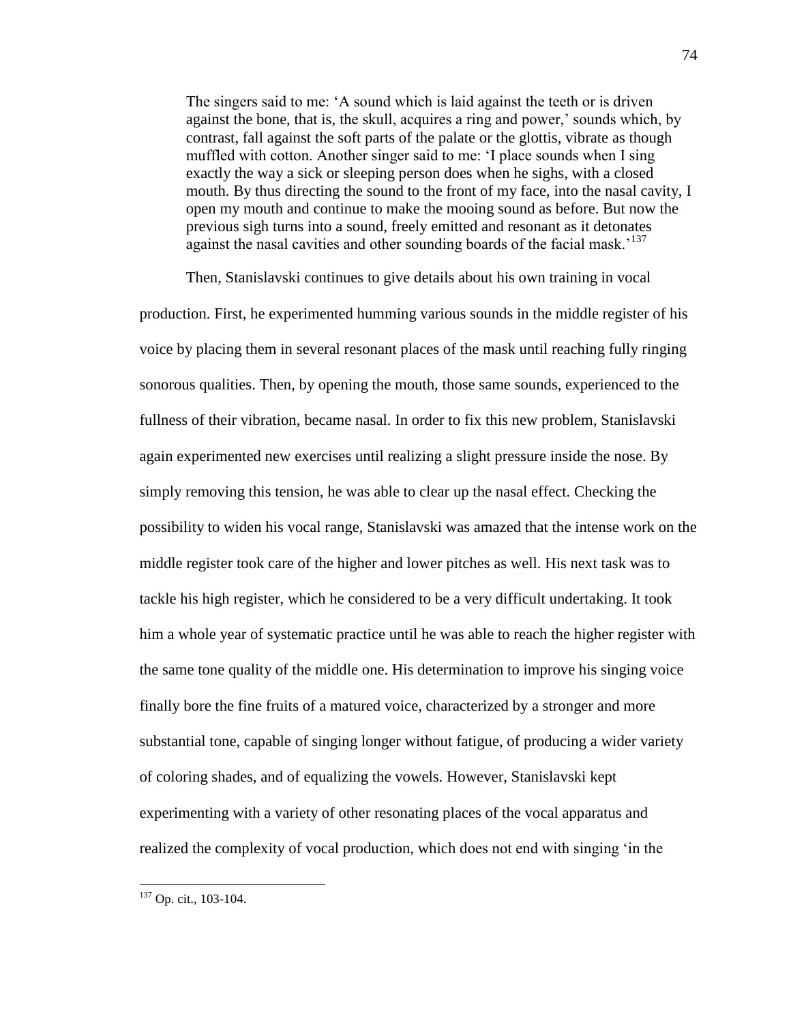The singers said to me: 'A sound which is laid against the teeth or is driven against the bone, that is, the skull, acquires a ring and power,' sounds which, by contrast, fall against the soft parts of the palate or the glottis, vibrate as though muffled with cotton. Another singer said to me: 'I place sounds when I sing exactly the way a sick or sleeping person does when he sighs, with a closed mouth. By thus directing the sound to the front of my face, into the nasal cavity, I open my mouth and continue to make the mooing sound as before. But now the previous sigh turns into a sound, freely emitted and resonant as it detonates against the nasal cavities and other sounding boards of the facial mask.<sup>'137</sup>

Then, Stanislavski continues to give details about his own training in vocal production. First, he experimented humming various sounds in the middle register of his voice by placing them in several resonant places of the mask until reaching fully ringing sonorous qualities. Then, by opening the mouth, those same sounds, experienced to the fullness of their vibration, became nasal. In order to fix this new problem, Stanislavski again experimented new exercises until realizing a slight pressure inside the nose. By simply removing this tension, he was able to clear up the nasal effect. Checking the possibility to widen his vocal range, Stanislavski was amazed that the intense work on the middle register took care of the higher and lower pitches as well. His next task was to tackle his high register, which he considered to be a very difficult undertaking. It took him a whole year of systematic practice until he was able to reach the higher register with the same tone quality of the middle one. His determination to improve his singing voice finally bore the fine fruits of a matured voice, characterized by a stronger and more substantial tone, capable of singing longer without fatigue, of producing a wider variety of coloring shades, and of equalizing the vowels. However, Stanislavski kept experimenting with a variety of other resonating places of the vocal apparatus and realized the complexity of vocal production, which does not end with singing 'in the

 $137$  Op. cit., 103-104.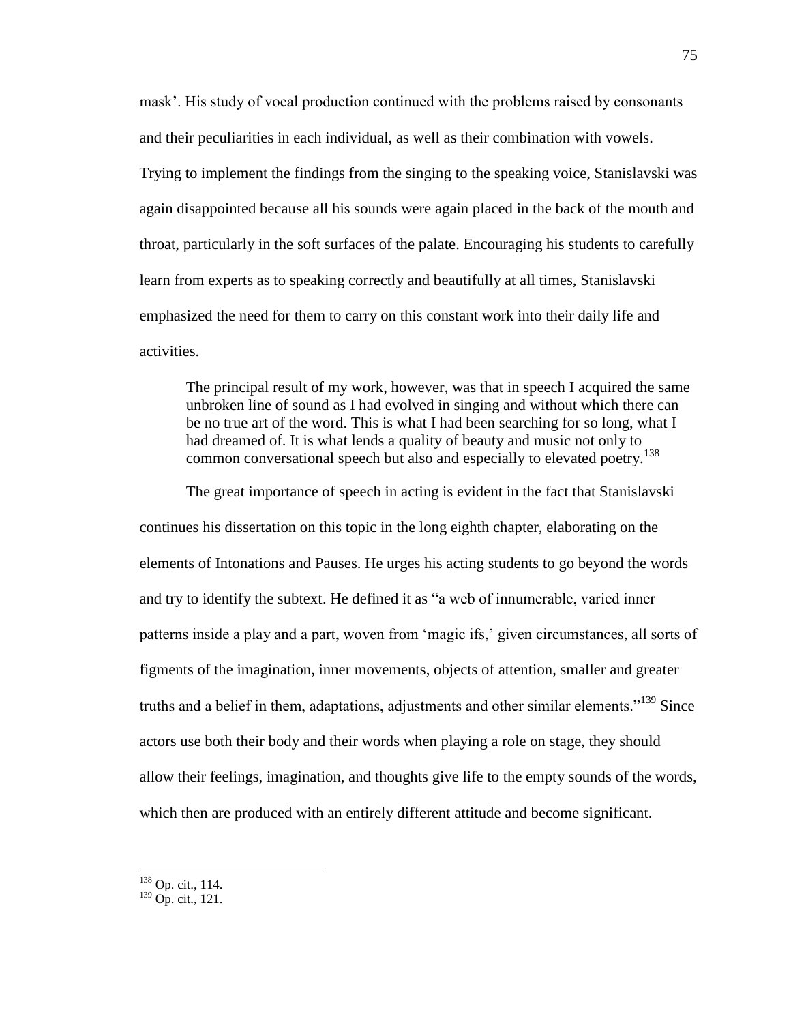mask'. His study of vocal production continued with the problems raised by consonants and their peculiarities in each individual, as well as their combination with vowels. Trying to implement the findings from the singing to the speaking voice, Stanislavski was again disappointed because all his sounds were again placed in the back of the mouth and throat, particularly in the soft surfaces of the palate. Encouraging his students to carefully learn from experts as to speaking correctly and beautifully at all times, Stanislavski emphasized the need for them to carry on this constant work into their daily life and activities.

The principal result of my work, however, was that in speech I acquired the same unbroken line of sound as I had evolved in singing and without which there can be no true art of the word. This is what I had been searching for so long, what I had dreamed of. It is what lends a quality of beauty and music not only to common conversational speech but also and especially to elevated poetry.<sup>138</sup>

The great importance of speech in acting is evident in the fact that Stanislavski continues his dissertation on this topic in the long eighth chapter, elaborating on the elements of Intonations and Pauses. He urges his acting students to go beyond the words and try to identify the subtext. He defined it as "a web of innumerable, varied inner patterns inside a play and a part, woven from ‗magic ifs,' given circumstances, all sorts of figments of the imagination, inner movements, objects of attention, smaller and greater truths and a belief in them, adaptations, adjustments and other similar elements."<sup>139</sup> Since actors use both their body and their words when playing a role on stage, they should allow their feelings, imagination, and thoughts give life to the empty sounds of the words, which then are produced with an entirely different attitude and become significant.

<sup>&</sup>lt;sup>138</sup> Op. cit., 114.

<sup>&</sup>lt;sup>139</sup> Op. cit., 121.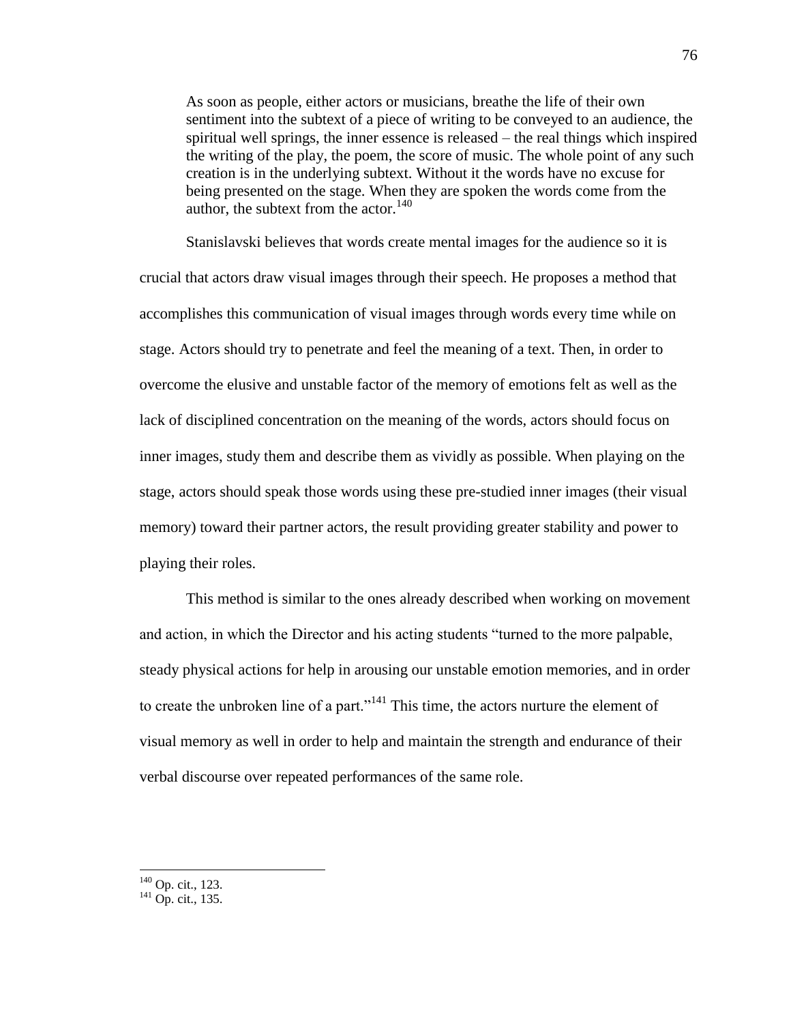As soon as people, either actors or musicians, breathe the life of their own sentiment into the subtext of a piece of writing to be conveyed to an audience, the spiritual well springs, the inner essence is released – the real things which inspired the writing of the play, the poem, the score of music. The whole point of any such creation is in the underlying subtext. Without it the words have no excuse for being presented on the stage. When they are spoken the words come from the author, the subtext from the actor. $140$ 

Stanislavski believes that words create mental images for the audience so it is crucial that actors draw visual images through their speech. He proposes a method that accomplishes this communication of visual images through words every time while on stage. Actors should try to penetrate and feel the meaning of a text. Then, in order to overcome the elusive and unstable factor of the memory of emotions felt as well as the lack of disciplined concentration on the meaning of the words, actors should focus on inner images, study them and describe them as vividly as possible. When playing on the stage, actors should speak those words using these pre-studied inner images (their visual memory) toward their partner actors, the result providing greater stability and power to playing their roles.

This method is similar to the ones already described when working on movement and action, in which the Director and his acting students "turned to the more palpable, steady physical actions for help in arousing our unstable emotion memories, and in order to create the unbroken line of a part."<sup>141</sup> This time, the actors nurture the element of visual memory as well in order to help and maintain the strength and endurance of their verbal discourse over repeated performances of the same role.

<sup>&</sup>lt;sup>140</sup> Op. cit., 123.

 $141$  Op. cit., 135.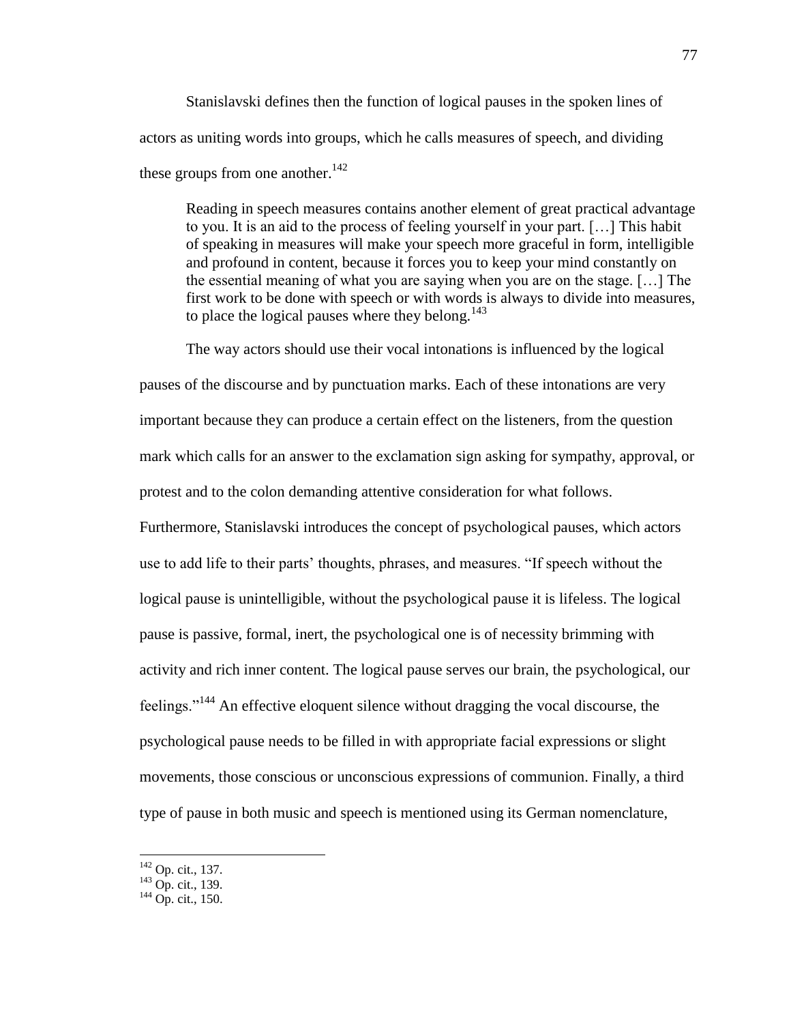Stanislavski defines then the function of logical pauses in the spoken lines of actors as uniting words into groups, which he calls measures of speech, and dividing these groups from one another. $142$ 

Reading in speech measures contains another element of great practical advantage to you. It is an aid to the process of feeling yourself in your part. […] This habit of speaking in measures will make your speech more graceful in form, intelligible and profound in content, because it forces you to keep your mind constantly on the essential meaning of what you are saying when you are on the stage. […] The first work to be done with speech or with words is always to divide into measures, to place the logical pauses where they belong.<sup>143</sup>

The way actors should use their vocal intonations is influenced by the logical pauses of the discourse and by punctuation marks. Each of these intonations are very important because they can produce a certain effect on the listeners, from the question mark which calls for an answer to the exclamation sign asking for sympathy, approval, or protest and to the colon demanding attentive consideration for what follows.

Furthermore, Stanislavski introduces the concept of psychological pauses, which actors use to add life to their parts' thoughts, phrases, and measures. "If speech without the logical pause is unintelligible, without the psychological pause it is lifeless. The logical pause is passive, formal, inert, the psychological one is of necessity brimming with activity and rich inner content. The logical pause serves our brain, the psychological, our feelings."<sup>144</sup> An effective eloquent silence without dragging the vocal discourse, the psychological pause needs to be filled in with appropriate facial expressions or slight movements, those conscious or unconscious expressions of communion. Finally, a third type of pause in both music and speech is mentioned using its German nomenclature,

 $142$  Op. cit., 137.

 $^{143}$  Op. cit., 139.

 $144$  Op. cit., 150.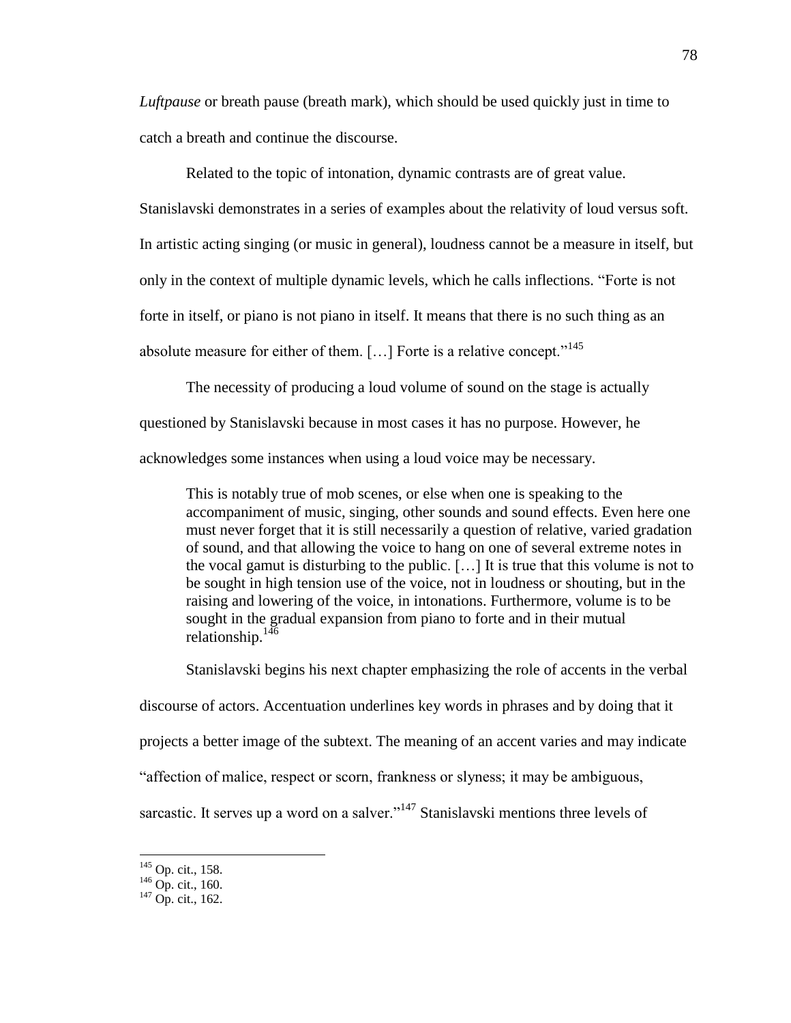*Luftpause* or breath pause (breath mark), which should be used quickly just in time to catch a breath and continue the discourse.

Related to the topic of intonation, dynamic contrasts are of great value.

Stanislavski demonstrates in a series of examples about the relativity of loud versus soft. In artistic acting singing (or music in general), loudness cannot be a measure in itself, but only in the context of multiple dynamic levels, which he calls inflections. "Forte is not forte in itself, or piano is not piano in itself. It means that there is no such thing as an absolute measure for either of them.  $[...]$  Forte is a relative concept."<sup>145</sup>

The necessity of producing a loud volume of sound on the stage is actually questioned by Stanislavski because in most cases it has no purpose. However, he acknowledges some instances when using a loud voice may be necessary.

This is notably true of mob scenes, or else when one is speaking to the accompaniment of music, singing, other sounds and sound effects. Even here one must never forget that it is still necessarily a question of relative, varied gradation of sound, and that allowing the voice to hang on one of several extreme notes in the vocal gamut is disturbing to the public. […] It is true that this volume is not to be sought in high tension use of the voice, not in loudness or shouting, but in the raising and lowering of the voice, in intonations. Furthermore, volume is to be sought in the gradual expansion from piano to forte and in their mutual relationship.<sup>146</sup>

Stanislavski begins his next chapter emphasizing the role of accents in the verbal

discourse of actors. Accentuation underlines key words in phrases and by doing that it

projects a better image of the subtext. The meaning of an accent varies and may indicate

―affection of malice, respect or scorn, frankness or slyness; it may be ambiguous,

sarcastic. It serves up a word on a salver."<sup>147</sup> Stanislavski mentions three levels of

<sup>&</sup>lt;sup>145</sup> Op. cit., 158.

 $^{146}$  Op. cit., 160.

 $147$  Op. cit., 162.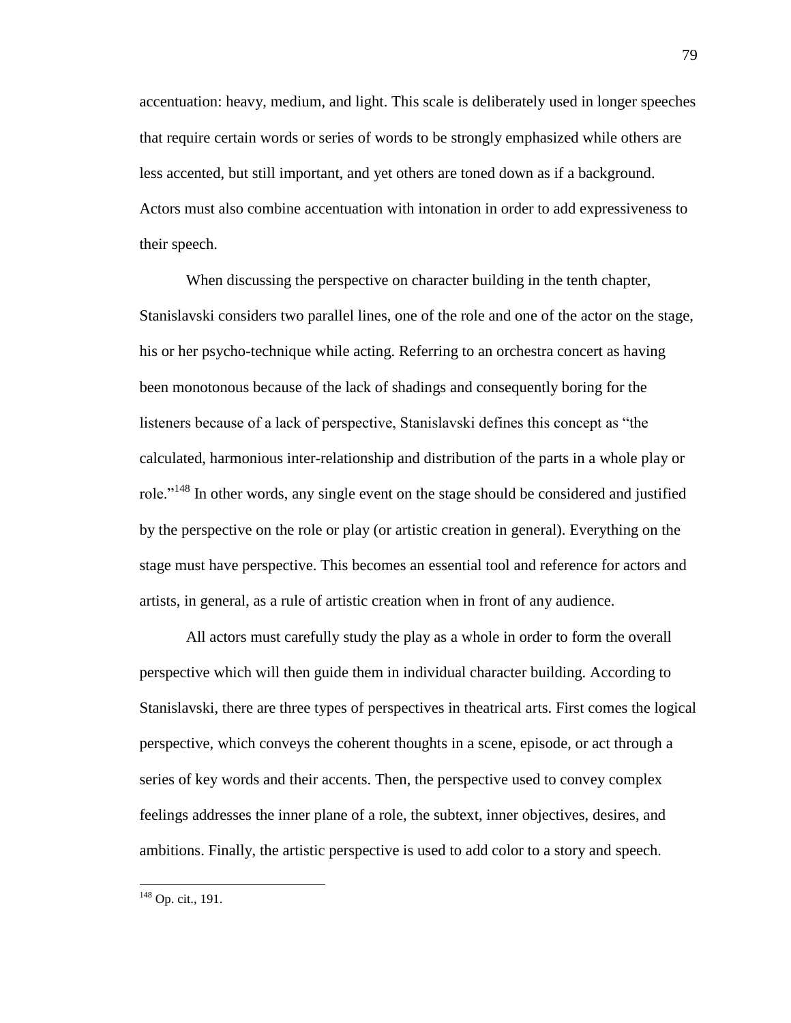accentuation: heavy, medium, and light. This scale is deliberately used in longer speeches that require certain words or series of words to be strongly emphasized while others are less accented, but still important, and yet others are toned down as if a background. Actors must also combine accentuation with intonation in order to add expressiveness to their speech.

When discussing the perspective on character building in the tenth chapter, Stanislavski considers two parallel lines, one of the role and one of the actor on the stage, his or her psycho-technique while acting. Referring to an orchestra concert as having been monotonous because of the lack of shadings and consequently boring for the listeners because of a lack of perspective, Stanislavski defines this concept as "the calculated, harmonious inter-relationship and distribution of the parts in a whole play or role."<sup>148</sup> In other words, any single event on the stage should be considered and justified by the perspective on the role or play (or artistic creation in general). Everything on the stage must have perspective. This becomes an essential tool and reference for actors and artists, in general, as a rule of artistic creation when in front of any audience.

All actors must carefully study the play as a whole in order to form the overall perspective which will then guide them in individual character building. According to Stanislavski, there are three types of perspectives in theatrical arts. First comes the logical perspective, which conveys the coherent thoughts in a scene, episode, or act through a series of key words and their accents. Then, the perspective used to convey complex feelings addresses the inner plane of a role, the subtext, inner objectives, desires, and ambitions. Finally, the artistic perspective is used to add color to a story and speech.

 $148$  Op. cit., 191.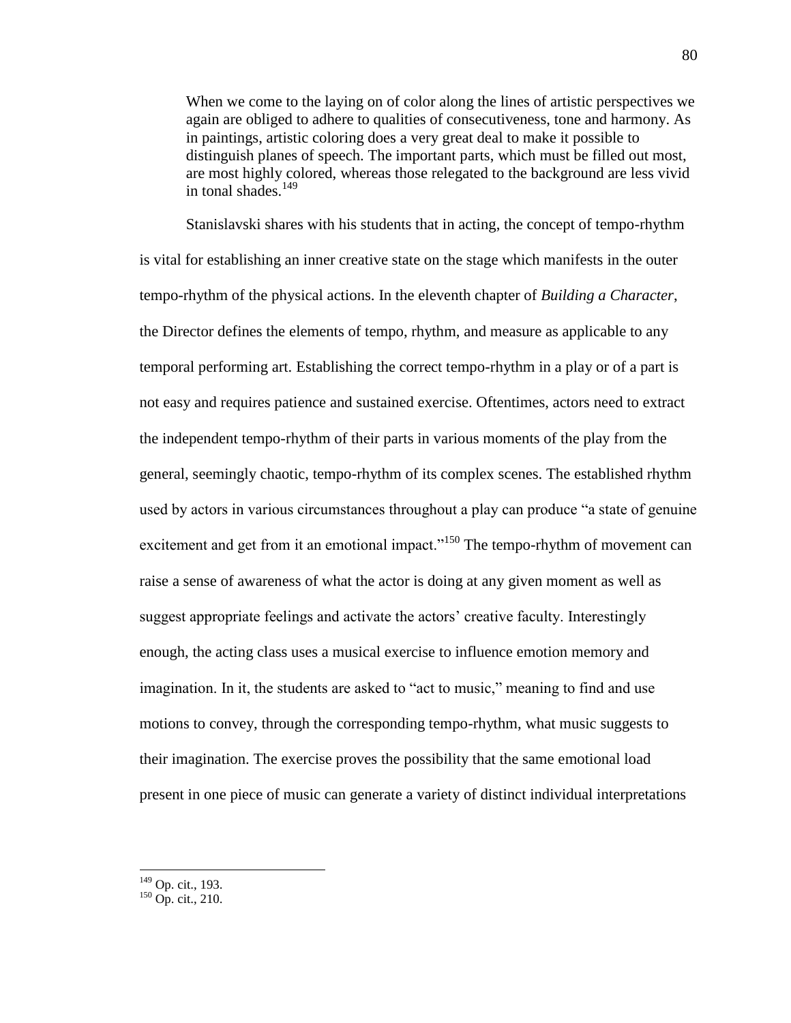When we come to the laying on of color along the lines of artistic perspectives we again are obliged to adhere to qualities of consecutiveness, tone and harmony. As in paintings, artistic coloring does a very great deal to make it possible to distinguish planes of speech. The important parts, which must be filled out most, are most highly colored, whereas those relegated to the background are less vivid in tonal shades. $149$ 

Stanislavski shares with his students that in acting, the concept of tempo-rhythm is vital for establishing an inner creative state on the stage which manifests in the outer tempo-rhythm of the physical actions. In the eleventh chapter of *Building a Character*, the Director defines the elements of tempo, rhythm, and measure as applicable to any temporal performing art. Establishing the correct tempo-rhythm in a play or of a part is not easy and requires patience and sustained exercise. Oftentimes, actors need to extract the independent tempo-rhythm of their parts in various moments of the play from the general, seemingly chaotic, tempo-rhythm of its complex scenes. The established rhythm used by actors in various circumstances throughout a play can produce "a state of genuine" excitement and get from it an emotional impact."<sup>150</sup> The tempo-rhythm of movement can raise a sense of awareness of what the actor is doing at any given moment as well as suggest appropriate feelings and activate the actors' creative faculty. Interestingly enough, the acting class uses a musical exercise to influence emotion memory and imagination. In it, the students are asked to "act to music," meaning to find and use motions to convey, through the corresponding tempo-rhythm, what music suggests to their imagination. The exercise proves the possibility that the same emotional load present in one piece of music can generate a variety of distinct individual interpretations

<sup>&</sup>lt;sup>149</sup> Op. cit., 193.

 $150$  Op. cit., 210.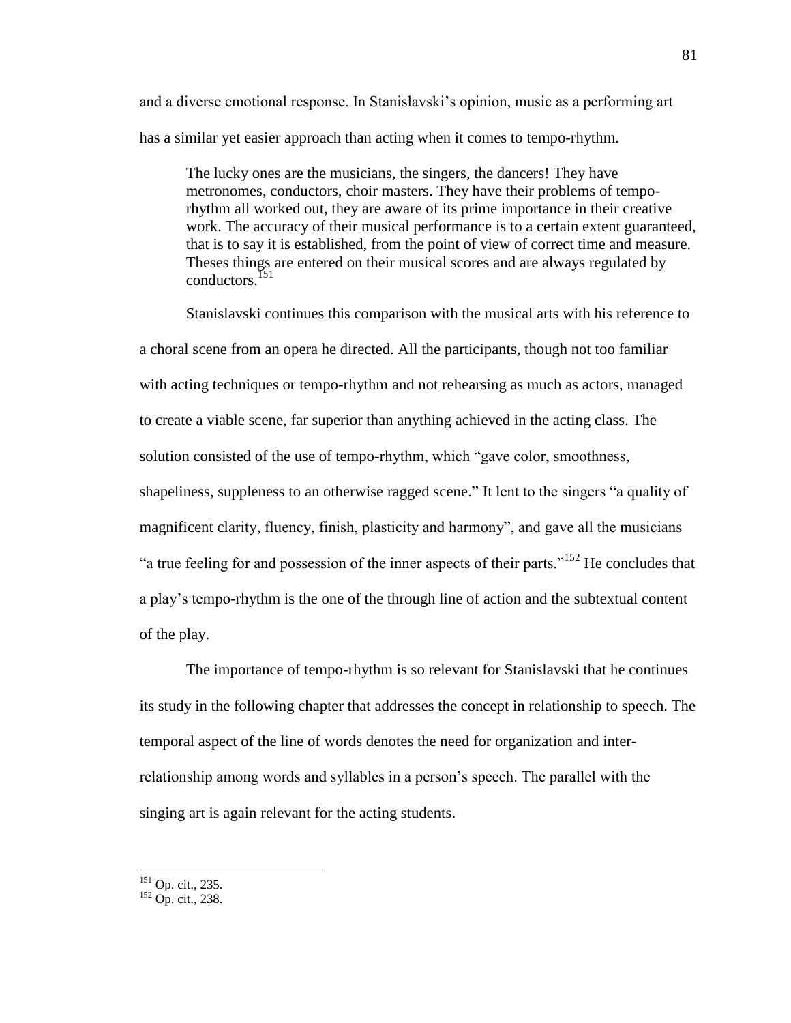and a diverse emotional response. In Stanislavski's opinion, music as a performing art has a similar yet easier approach than acting when it comes to tempo-rhythm.

The lucky ones are the musicians, the singers, the dancers! They have metronomes, conductors, choir masters. They have their problems of temporhythm all worked out, they are aware of its prime importance in their creative work. The accuracy of their musical performance is to a certain extent guaranteed, that is to say it is established, from the point of view of correct time and measure. Theses things are entered on their musical scores and are always regulated by conductors.<sup>151</sup>

Stanislavski continues this comparison with the musical arts with his reference to a choral scene from an opera he directed. All the participants, though not too familiar with acting techniques or tempo-rhythm and not rehearsing as much as actors, managed to create a viable scene, far superior than anything achieved in the acting class. The solution consisted of the use of tempo-rhythm, which "gave color, smoothness, shapeliness, suppleness to an otherwise ragged scene." It lent to the singers "a quality of magnificent clarity, fluency, finish, plasticity and harmony", and gave all the musicians "a true feeling for and possession of the inner aspects of their parts."<sup>152</sup> He concludes that a play's tempo-rhythm is the one of the through line of action and the subtextual content of the play.

The importance of tempo-rhythm is so relevant for Stanislavski that he continues its study in the following chapter that addresses the concept in relationship to speech. The temporal aspect of the line of words denotes the need for organization and interrelationship among words and syllables in a person's speech. The parallel with the singing art is again relevant for the acting students.

<sup>&</sup>lt;sup>151</sup> Op. cit., 235.

 $152$  Op. cit., 238.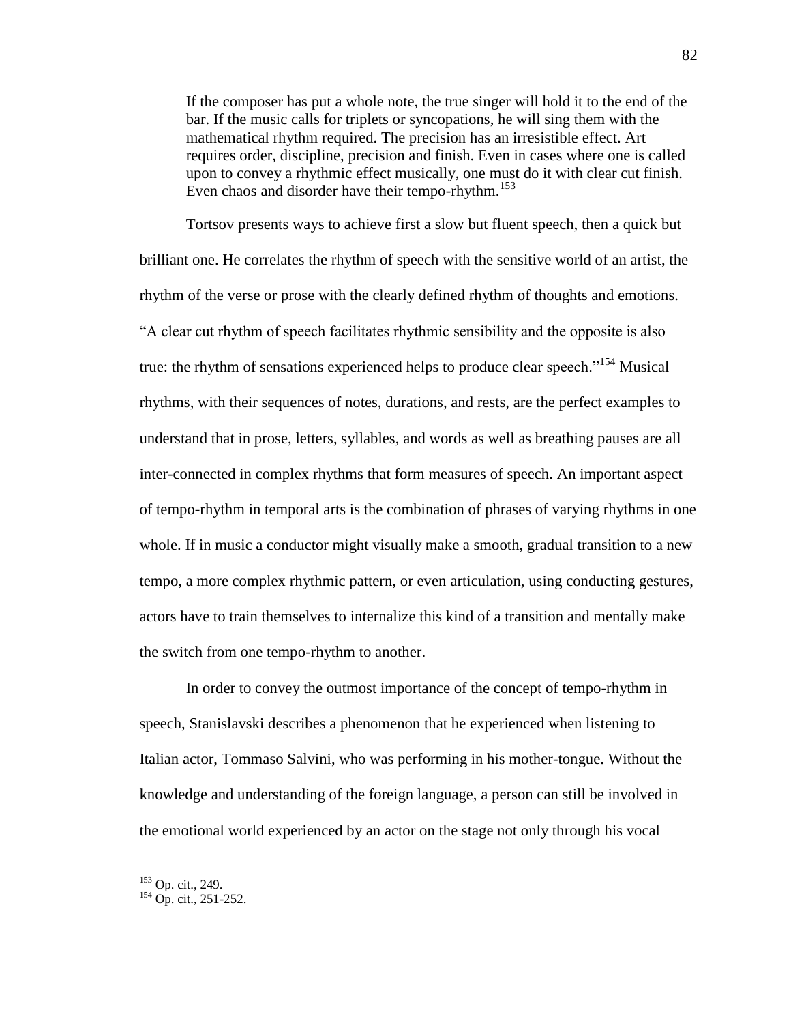If the composer has put a whole note, the true singer will hold it to the end of the bar. If the music calls for triplets or syncopations, he will sing them with the mathematical rhythm required. The precision has an irresistible effect. Art requires order, discipline, precision and finish. Even in cases where one is called upon to convey a rhythmic effect musically, one must do it with clear cut finish. Even chaos and disorder have their tempo-rhythm.<sup>153</sup>

Tortsov presents ways to achieve first a slow but fluent speech, then a quick but brilliant one. He correlates the rhythm of speech with the sensitive world of an artist, the rhythm of the verse or prose with the clearly defined rhythm of thoughts and emotions. ―A clear cut rhythm of speech facilitates rhythmic sensibility and the opposite is also true: the rhythm of sensations experienced helps to produce clear speech.<sup> $154$ </sup> Musical rhythms, with their sequences of notes, durations, and rests, are the perfect examples to understand that in prose, letters, syllables, and words as well as breathing pauses are all inter-connected in complex rhythms that form measures of speech. An important aspect of tempo-rhythm in temporal arts is the combination of phrases of varying rhythms in one whole. If in music a conductor might visually make a smooth, gradual transition to a new tempo, a more complex rhythmic pattern, or even articulation, using conducting gestures, actors have to train themselves to internalize this kind of a transition and mentally make the switch from one tempo-rhythm to another.

In order to convey the outmost importance of the concept of tempo-rhythm in speech, Stanislavski describes a phenomenon that he experienced when listening to Italian actor, Tommaso Salvini, who was performing in his mother-tongue. Without the knowledge and understanding of the foreign language, a person can still be involved in the emotional world experienced by an actor on the stage not only through his vocal

<sup>&</sup>lt;sup>153</sup> Op. cit., 249.

 $154$  Op. cit., 251-252.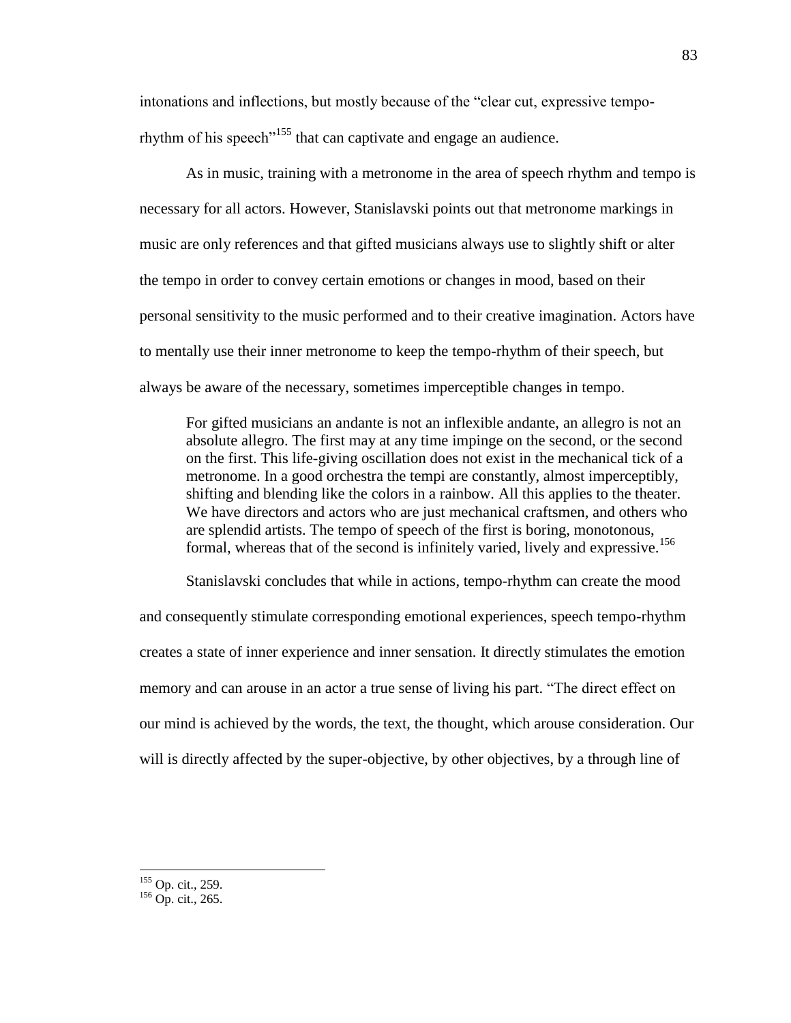intonations and inflections, but mostly because of the "clear cut, expressive temporhythm of his speech<sup> $155$ </sup> that can captivate and engage an audience.

As in music, training with a metronome in the area of speech rhythm and tempo is necessary for all actors. However, Stanislavski points out that metronome markings in music are only references and that gifted musicians always use to slightly shift or alter the tempo in order to convey certain emotions or changes in mood, based on their personal sensitivity to the music performed and to their creative imagination. Actors have to mentally use their inner metronome to keep the tempo-rhythm of their speech, but always be aware of the necessary, sometimes imperceptible changes in tempo.

For gifted musicians an andante is not an inflexible andante, an allegro is not an absolute allegro. The first may at any time impinge on the second, or the second on the first. This life-giving oscillation does not exist in the mechanical tick of a metronome. In a good orchestra the tempi are constantly, almost imperceptibly, shifting and blending like the colors in a rainbow. All this applies to the theater. We have directors and actors who are just mechanical craftsmen, and others who are splendid artists. The tempo of speech of the first is boring, monotonous, formal, whereas that of the second is infinitely varied, lively and expressive.<sup>156</sup>

Stanislavski concludes that while in actions, tempo-rhythm can create the mood and consequently stimulate corresponding emotional experiences, speech tempo-rhythm creates a state of inner experience and inner sensation. It directly stimulates the emotion memory and can arouse in an actor a true sense of living his part. "The direct effect on our mind is achieved by the words, the text, the thought, which arouse consideration. Our will is directly affected by the super-objective, by other objectives, by a through line of

<sup>&</sup>lt;sup>155</sup> Op. cit., 259.

 $156$  Op. cit., 265.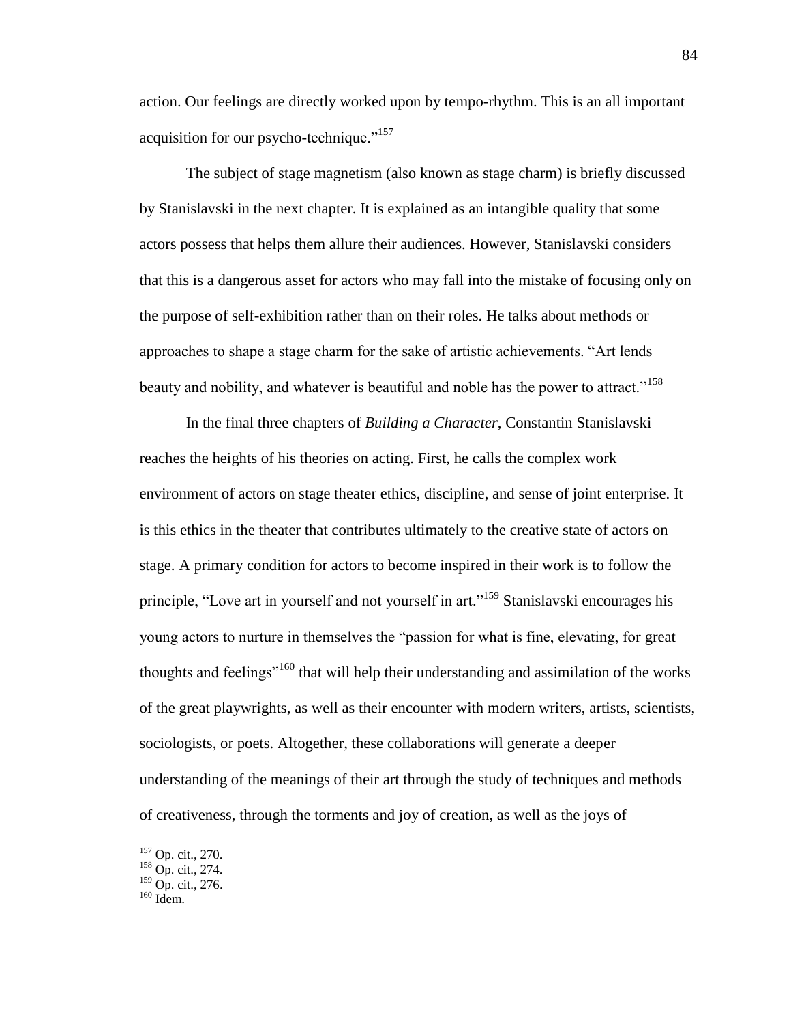action. Our feelings are directly worked upon by tempo-rhythm. This is an all important acquisition for our psycho-technique."<sup>157</sup>

The subject of stage magnetism (also known as stage charm) is briefly discussed by Stanislavski in the next chapter. It is explained as an intangible quality that some actors possess that helps them allure their audiences. However, Stanislavski considers that this is a dangerous asset for actors who may fall into the mistake of focusing only on the purpose of self-exhibition rather than on their roles. He talks about methods or approaches to shape a stage charm for the sake of artistic achievements. ―Art lends beauty and nobility, and whatever is beautiful and noble has the power to attract."<sup>158</sup>

In the final three chapters of *Building a Character*, Constantin Stanislavski reaches the heights of his theories on acting. First, he calls the complex work environment of actors on stage theater ethics, discipline, and sense of joint enterprise. It is this ethics in the theater that contributes ultimately to the creative state of actors on stage. A primary condition for actors to become inspired in their work is to follow the principle, "Love art in yourself and not yourself in art."<sup>159</sup> Stanislavski encourages his young actors to nurture in themselves the "passion for what is fine, elevating, for great thoughts and feelings<sup>"160</sup> that will help their understanding and assimilation of the works of the great playwrights, as well as their encounter with modern writers, artists, scientists, sociologists, or poets. Altogether, these collaborations will generate a deeper understanding of the meanings of their art through the study of techniques and methods of creativeness, through the torments and joy of creation, as well as the joys of

<sup>&</sup>lt;sup>157</sup> Op. cit., 270.

<sup>&</sup>lt;sup>158</sup> Op. cit., 274.

<sup>&</sup>lt;sup>159</sup> Op. cit., 276.

 $160$  Idem.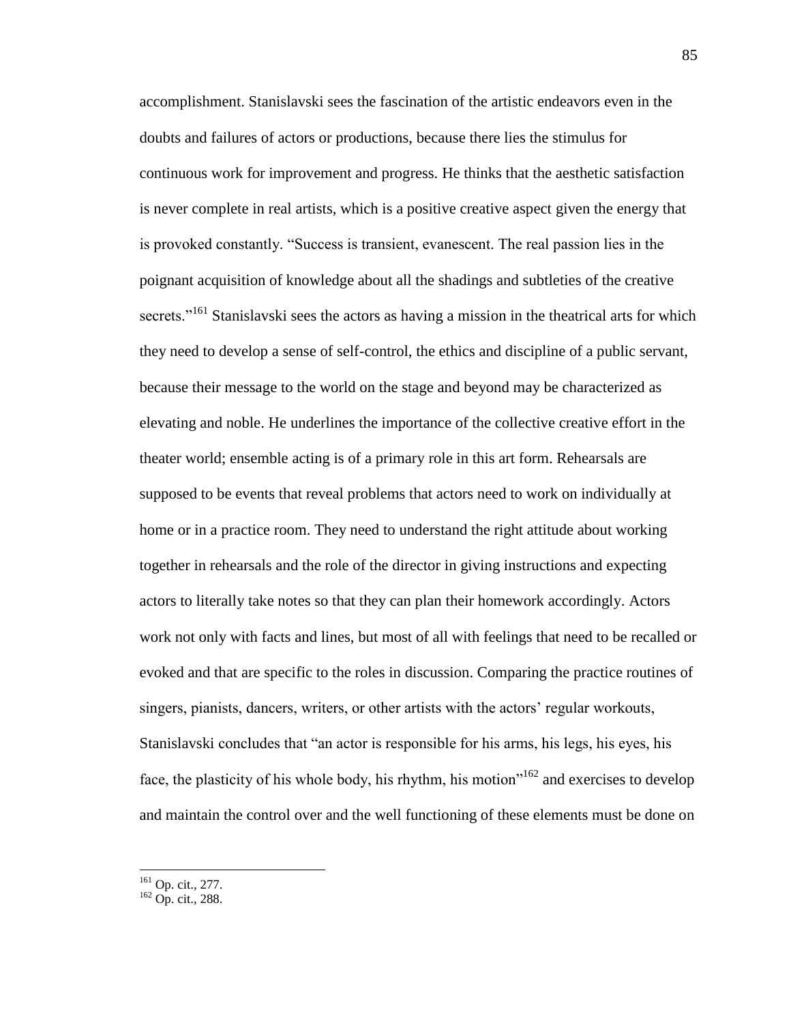accomplishment. Stanislavski sees the fascination of the artistic endeavors even in the doubts and failures of actors or productions, because there lies the stimulus for continuous work for improvement and progress. He thinks that the aesthetic satisfaction is never complete in real artists, which is a positive creative aspect given the energy that is provoked constantly. "Success is transient, evanescent. The real passion lies in the poignant acquisition of knowledge about all the shadings and subtleties of the creative secrets."<sup>161</sup> Stanislavski sees the actors as having a mission in the theatrical arts for which they need to develop a sense of self-control, the ethics and discipline of a public servant, because their message to the world on the stage and beyond may be characterized as elevating and noble. He underlines the importance of the collective creative effort in the theater world; ensemble acting is of a primary role in this art form. Rehearsals are supposed to be events that reveal problems that actors need to work on individually at home or in a practice room. They need to understand the right attitude about working together in rehearsals and the role of the director in giving instructions and expecting actors to literally take notes so that they can plan their homework accordingly. Actors work not only with facts and lines, but most of all with feelings that need to be recalled or evoked and that are specific to the roles in discussion. Comparing the practice routines of singers, pianists, dancers, writers, or other artists with the actors' regular workouts, Stanislavski concludes that "an actor is responsible for his arms, his legs, his eyes, his face, the plasticity of his whole body, his rhythm, his motion<sup> $162$ </sup> and exercises to develop and maintain the control over and the well functioning of these elements must be done on

<sup>&</sup>lt;sup>161</sup> Op. cit., 277.

 $162$  Op. cit., 288.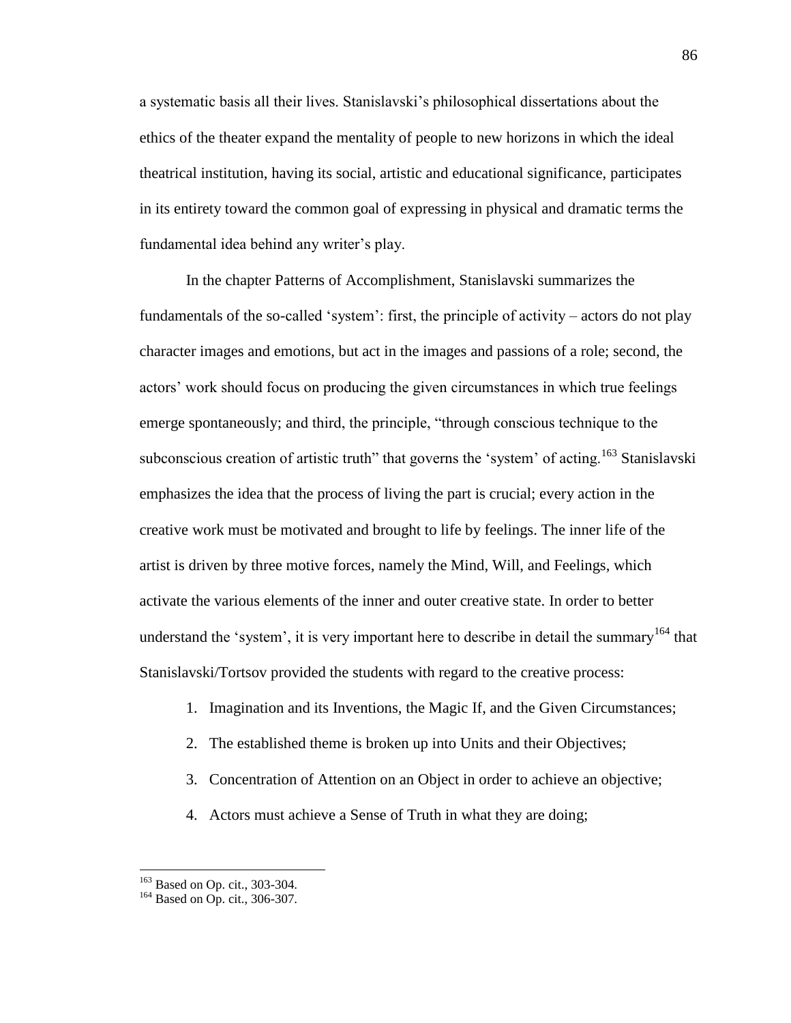a systematic basis all their lives. Stanislavski's philosophical dissertations about the ethics of the theater expand the mentality of people to new horizons in which the ideal theatrical institution, having its social, artistic and educational significance, participates in its entirety toward the common goal of expressing in physical and dramatic terms the fundamental idea behind any writer's play.

In the chapter Patterns of Accomplishment, Stanislavski summarizes the fundamentals of the so-called 'system': first, the principle of activity – actors do not play character images and emotions, but act in the images and passions of a role; second, the actors' work should focus on producing the given circumstances in which true feelings emerge spontaneously; and third, the principle, "through conscious technique to the subconscious creation of artistic truth" that governs the 'system' of acting.<sup>163</sup> Stanislavski emphasizes the idea that the process of living the part is crucial; every action in the creative work must be motivated and brought to life by feelings. The inner life of the artist is driven by three motive forces, namely the Mind, Will, and Feelings, which activate the various elements of the inner and outer creative state. In order to better understand the 'system', it is very important here to describe in detail the summary<sup>164</sup> that Stanislavski/Tortsov provided the students with regard to the creative process:

- 1. Imagination and its Inventions, the Magic If, and the Given Circumstances;
- 2. The established theme is broken up into Units and their Objectives;
- 3. Concentration of Attention on an Object in order to achieve an objective;
- 4. Actors must achieve a Sense of Truth in what they are doing;

<sup>163</sup> Based on Op. cit., 303-304.

<sup>164</sup> Based on Op. cit., 306-307.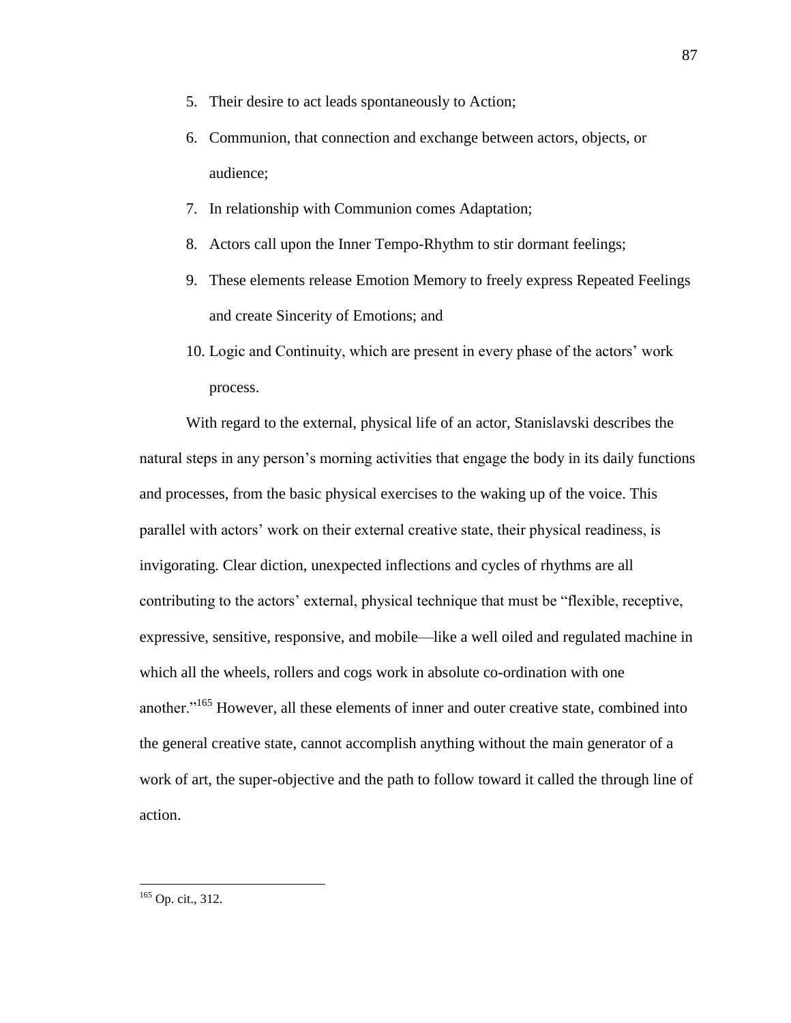- 5. Their desire to act leads spontaneously to Action;
- 6. Communion, that connection and exchange between actors, objects, or audience;
- 7. In relationship with Communion comes Adaptation;
- 8. Actors call upon the Inner Tempo-Rhythm to stir dormant feelings;
- 9. These elements release Emotion Memory to freely express Repeated Feelings and create Sincerity of Emotions; and
- 10. Logic and Continuity, which are present in every phase of the actors' work process.

With regard to the external, physical life of an actor, Stanislavski describes the natural steps in any person's morning activities that engage the body in its daily functions and processes, from the basic physical exercises to the waking up of the voice. This parallel with actors' work on their external creative state, their physical readiness, is invigorating. Clear diction, unexpected inflections and cycles of rhythms are all contributing to the actors' external, physical technique that must be "flexible, receptive, expressive, sensitive, responsive, and mobile—like a well oiled and regulated machine in which all the wheels, rollers and cogs work in absolute co-ordination with one another."<sup>165</sup> However, all these elements of inner and outer creative state, combined into the general creative state, cannot accomplish anything without the main generator of a work of art, the super-objective and the path to follow toward it called the through line of action.

 $165$  Op. cit., 312.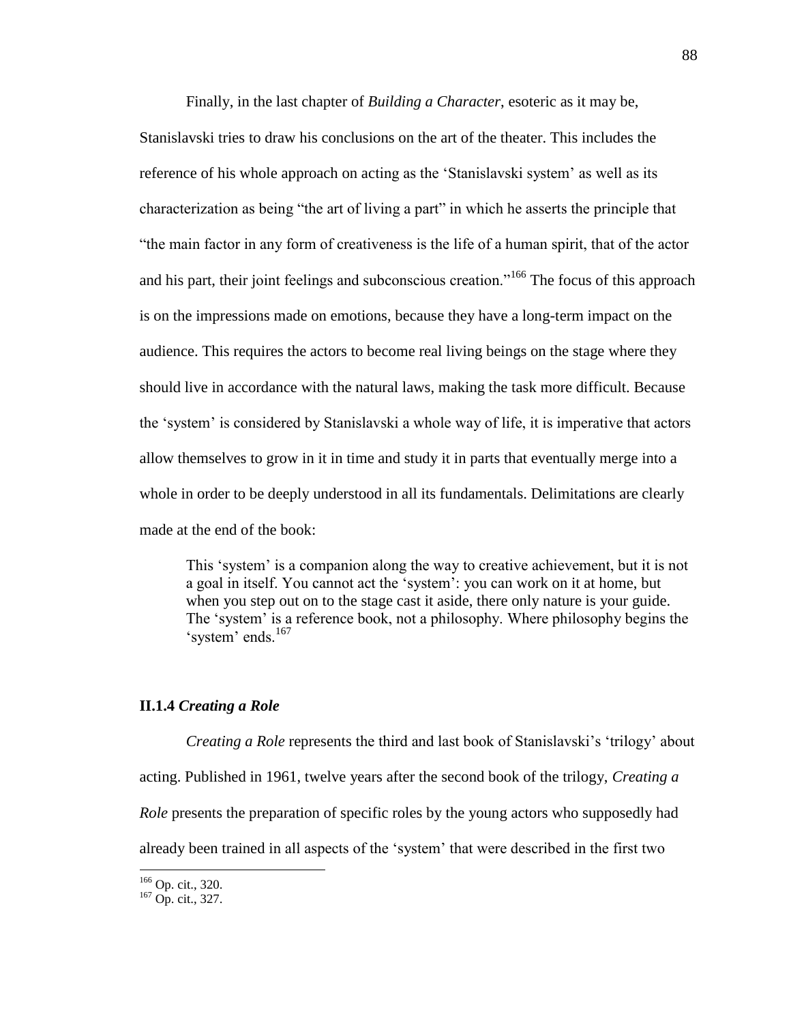Finally, in the last chapter of *Building a Character*, esoteric as it may be, Stanislavski tries to draw his conclusions on the art of the theater. This includes the reference of his whole approach on acting as the 'Stanislavski system' as well as its characterization as being "the art of living a part" in which he asserts the principle that ―the main factor in any form of creativeness is the life of a human spirit, that of the actor and his part, their joint feelings and subconscious creation."<sup>166</sup> The focus of this approach is on the impressions made on emotions, because they have a long-term impact on the audience. This requires the actors to become real living beings on the stage where they should live in accordance with the natural laws, making the task more difficult. Because the ‗system' is considered by Stanislavski a whole way of life, it is imperative that actors allow themselves to grow in it in time and study it in parts that eventually merge into a whole in order to be deeply understood in all its fundamentals. Delimitations are clearly made at the end of the book:

This 'system' is a companion along the way to creative achievement, but it is not a goal in itself. You cannot act the 'system': you can work on it at home, but when you step out on to the stage cast it aside, there only nature is your guide. The 'system' is a reference book, not a philosophy. Where philosophy begins the 'system' ends.<sup>167</sup>

## **II.1.4** *Creating a Role*

*Creating a Role* represents the third and last book of Stanislavski's 'trilogy' about acting. Published in 1961, twelve years after the second book of the trilogy, *Creating a Role* presents the preparation of specific roles by the young actors who supposedly had already been trained in all aspects of the 'system' that were described in the first two

<sup>&</sup>lt;sup>166</sup> Op. cit., 320.

 $167$  Op. cit., 327.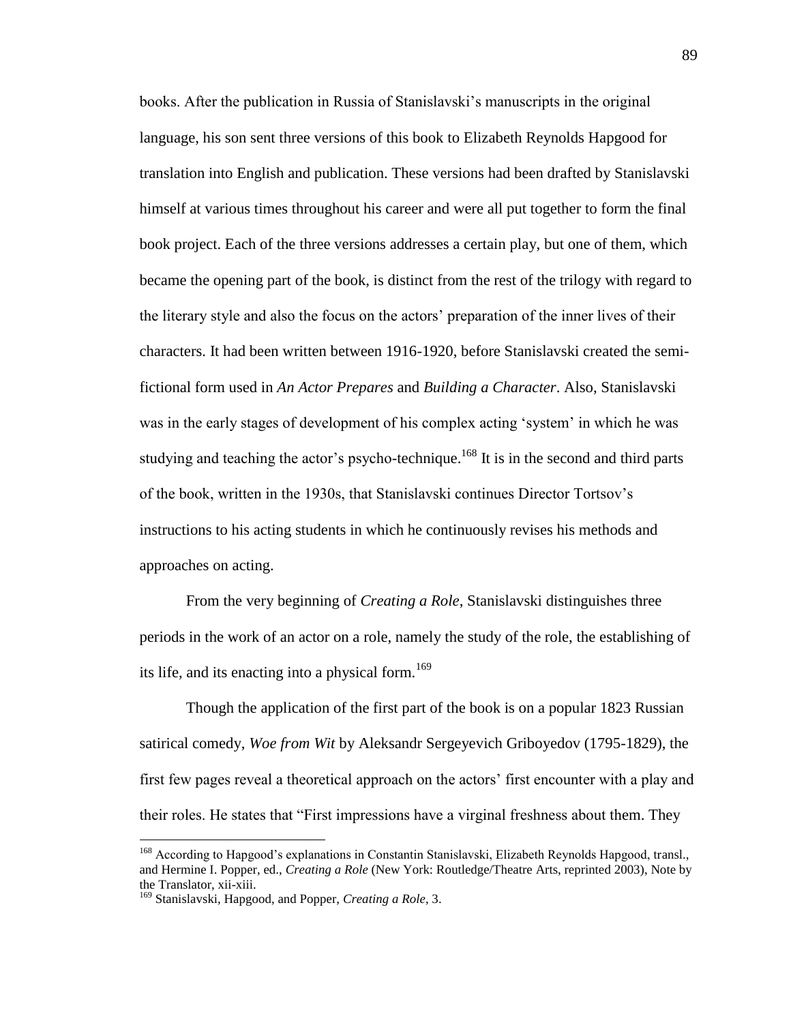books. After the publication in Russia of Stanislavski's manuscripts in the original language, his son sent three versions of this book to Elizabeth Reynolds Hapgood for translation into English and publication. These versions had been drafted by Stanislavski himself at various times throughout his career and were all put together to form the final book project. Each of the three versions addresses a certain play, but one of them, which became the opening part of the book, is distinct from the rest of the trilogy with regard to the literary style and also the focus on the actors' preparation of the inner lives of their characters. It had been written between 1916-1920, before Stanislavski created the semifictional form used in *An Actor Prepares* and *Building a Character*. Also, Stanislavski was in the early stages of development of his complex acting 'system' in which he was studying and teaching the actor's psycho-technique.<sup>168</sup> It is in the second and third parts of the book, written in the 1930s, that Stanislavski continues Director Tortsov's instructions to his acting students in which he continuously revises his methods and approaches on acting.

From the very beginning of *Creating a Role*, Stanislavski distinguishes three periods in the work of an actor on a role, namely the study of the role, the establishing of its life, and its enacting into a physical form.<sup>169</sup>

Though the application of the first part of the book is on a popular 1823 Russian satirical comedy, *Woe from Wit* by Aleksandr Sergeyevich Griboyedov (1795-1829), the first few pages reveal a theoretical approach on the actors' first encounter with a play and their roles. He states that "First impressions have a virginal freshness about them. They

<sup>&</sup>lt;sup>168</sup> According to Hapgood's explanations in Constantin Stanislavski, Elizabeth Reynolds Hapgood, transl., and Hermine I. Popper, ed., *Creating a Role* (New York: Routledge/Theatre Arts, reprinted 2003), Note by the Translator, xii-xiii.

<sup>169</sup> Stanislavski, Hapgood, and Popper, *Creating a Role*, 3.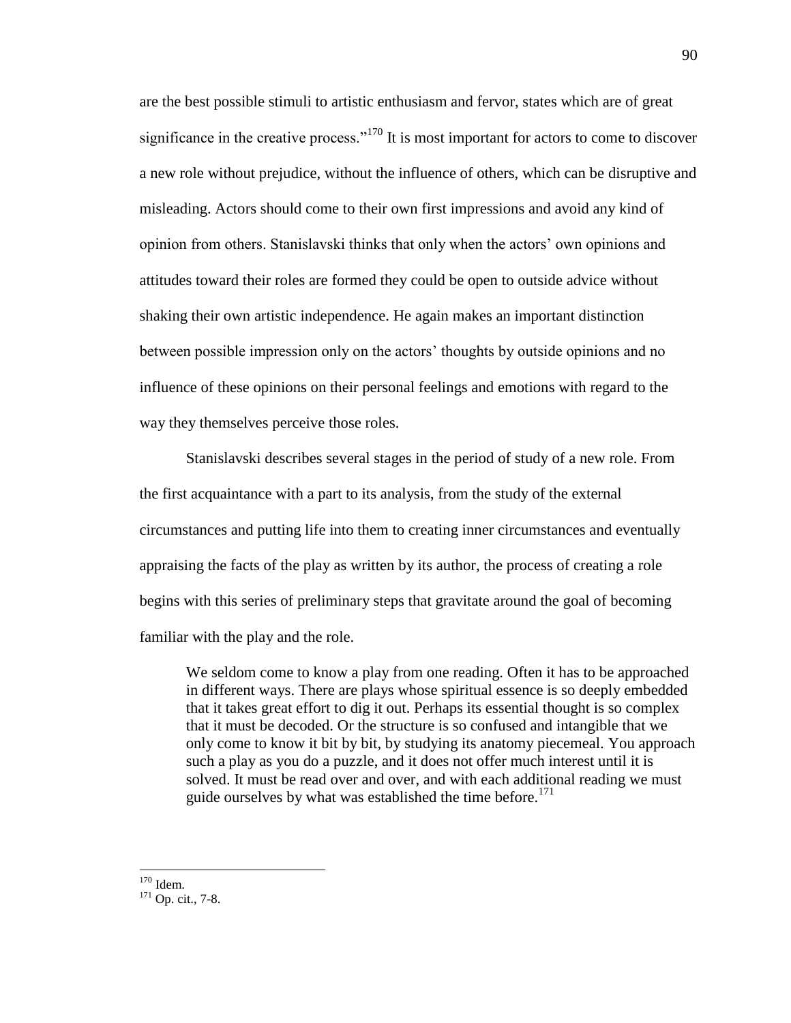are the best possible stimuli to artistic enthusiasm and fervor, states which are of great significance in the creative process."<sup>170</sup> It is most important for actors to come to discover a new role without prejudice, without the influence of others, which can be disruptive and misleading. Actors should come to their own first impressions and avoid any kind of opinion from others. Stanislavski thinks that only when the actors' own opinions and attitudes toward their roles are formed they could be open to outside advice without shaking their own artistic independence. He again makes an important distinction between possible impression only on the actors' thoughts by outside opinions and no influence of these opinions on their personal feelings and emotions with regard to the way they themselves perceive those roles.

Stanislavski describes several stages in the period of study of a new role. From the first acquaintance with a part to its analysis, from the study of the external circumstances and putting life into them to creating inner circumstances and eventually appraising the facts of the play as written by its author, the process of creating a role begins with this series of preliminary steps that gravitate around the goal of becoming familiar with the play and the role.

We seldom come to know a play from one reading. Often it has to be approached in different ways. There are plays whose spiritual essence is so deeply embedded that it takes great effort to dig it out. Perhaps its essential thought is so complex that it must be decoded. Or the structure is so confused and intangible that we only come to know it bit by bit, by studying its anatomy piecemeal. You approach such a play as you do a puzzle, and it does not offer much interest until it is solved. It must be read over and over, and with each additional reading we must guide ourselves by what was established the time before. $171$ 

 $\overline{a}$  $170$  Idem.

<sup>&</sup>lt;sup>171</sup> Op. cit., 7-8.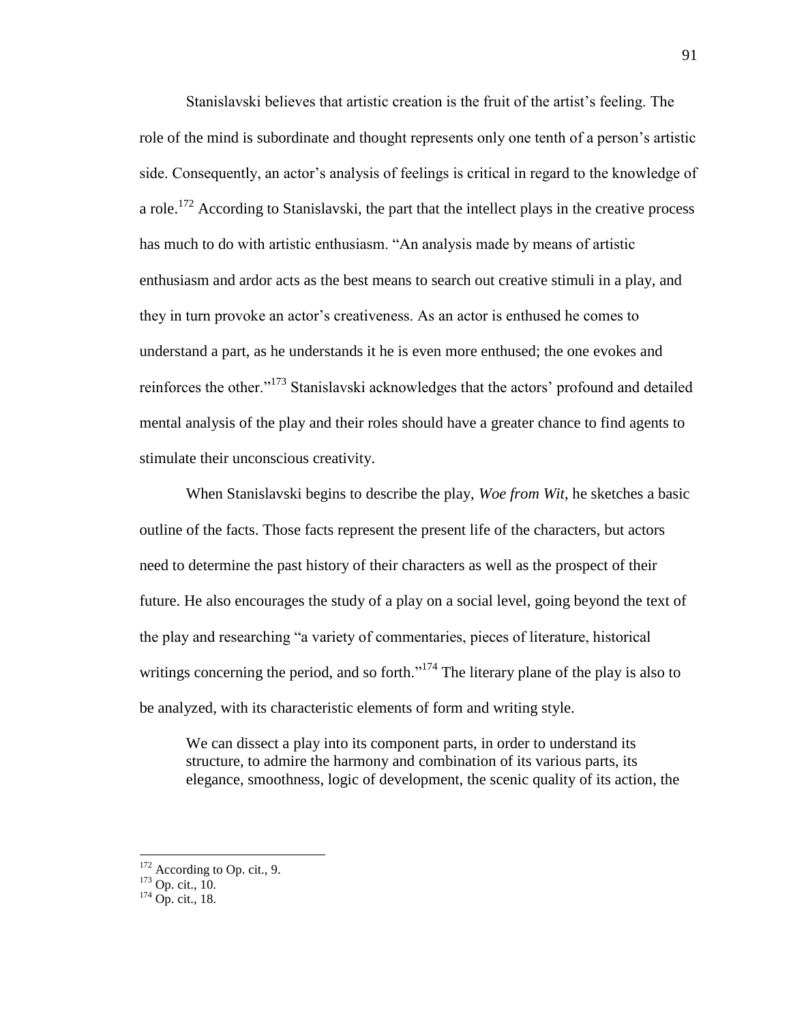Stanislavski believes that artistic creation is the fruit of the artist's feeling. The role of the mind is subordinate and thought represents only one tenth of a person's artistic side. Consequently, an actor's analysis of feelings is critical in regard to the knowledge of a role.<sup>172</sup> According to Stanislavski, the part that the intellect plays in the creative process has much to do with artistic enthusiasm. "An analysis made by means of artistic enthusiasm and ardor acts as the best means to search out creative stimuli in a play, and they in turn provoke an actor's creativeness. As an actor is enthused he comes to understand a part, as he understands it he is even more enthused; the one evokes and reinforces the other."<sup>173</sup> Stanislavski acknowledges that the actors' profound and detailed mental analysis of the play and their roles should have a greater chance to find agents to stimulate their unconscious creativity.

When Stanislavski begins to describe the play, *Woe from Wit*, he sketches a basic outline of the facts. Those facts represent the present life of the characters, but actors need to determine the past history of their characters as well as the prospect of their future. He also encourages the study of a play on a social level, going beyond the text of the play and researching "a variety of commentaries, pieces of literature, historical writings concerning the period, and so forth.<sup>174</sup> The literary plane of the play is also to be analyzed, with its characteristic elements of form and writing style.

We can dissect a play into its component parts, in order to understand its structure, to admire the harmony and combination of its various parts, its elegance, smoothness, logic of development, the scenic quality of its action, the

 $172$  According to Op. cit., 9.

<sup>&</sup>lt;sup>173</sup> Op. cit., 10.

 $174$  Op. cit., 18.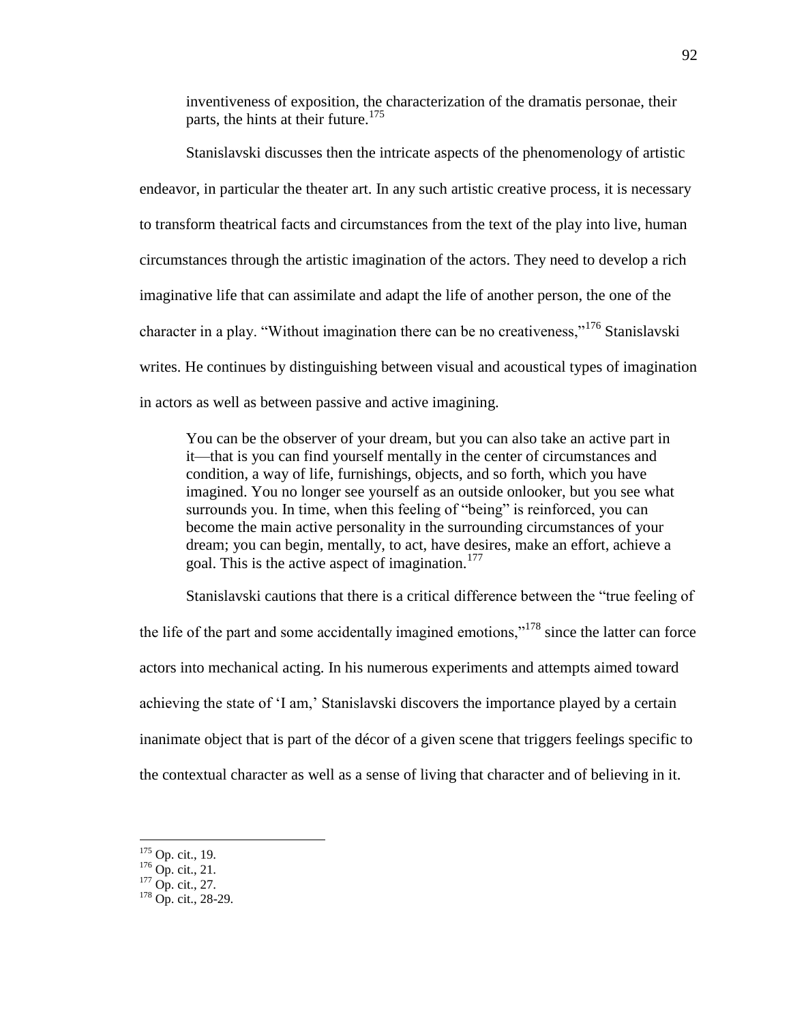inventiveness of exposition, the characterization of the dramatis personae, their parts, the hints at their future.<sup>175</sup>

Stanislavski discusses then the intricate aspects of the phenomenology of artistic endeavor, in particular the theater art. In any such artistic creative process, it is necessary to transform theatrical facts and circumstances from the text of the play into live, human circumstances through the artistic imagination of the actors. They need to develop a rich imaginative life that can assimilate and adapt the life of another person, the one of the character in a play. "Without imagination there can be no creativeness,"<sup>176</sup> Stanislavski writes. He continues by distinguishing between visual and acoustical types of imagination in actors as well as between passive and active imagining.

You can be the observer of your dream, but you can also take an active part in it—that is you can find yourself mentally in the center of circumstances and condition, a way of life, furnishings, objects, and so forth, which you have imagined. You no longer see yourself as an outside onlooker, but you see what surrounds you. In time, when this feeling of "being" is reinforced, you can become the main active personality in the surrounding circumstances of your dream; you can begin, mentally, to act, have desires, make an effort, achieve a goal. This is the active aspect of imagination.<sup>177</sup>

Stanislavski cautions that there is a critical difference between the "true feeling of the life of the part and some accidentally imagined emotions," $178$  since the latter can force actors into mechanical acting. In his numerous experiments and attempts aimed toward achieving the state of 'I am,' Stanislavski discovers the importance played by a certain inanimate object that is part of the décor of a given scene that triggers feelings specific to the contextual character as well as a sense of living that character and of believing in it.

 $175$  Op. cit., 19.

 $^{176}$  Op. cit., 21.

 $^{177}$  Op. cit., 27.

<sup>178</sup> Op. cit., 28-29.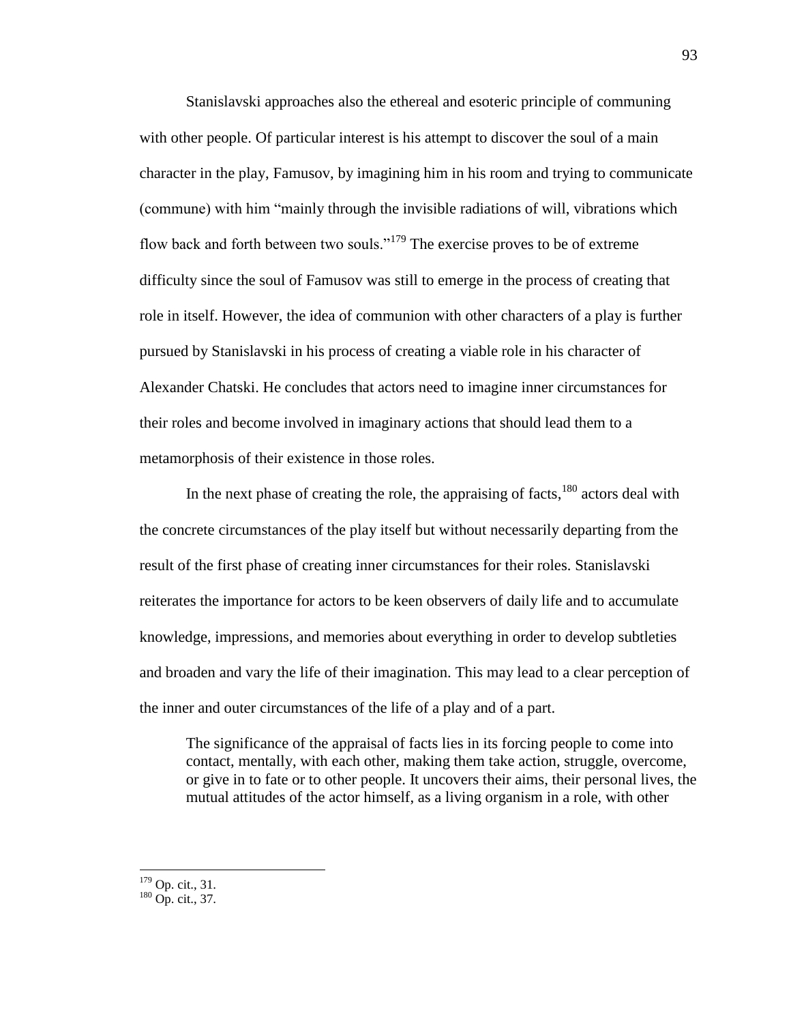Stanislavski approaches also the ethereal and esoteric principle of communing with other people. Of particular interest is his attempt to discover the soul of a main character in the play, Famusov, by imagining him in his room and trying to communicate (commune) with him "mainly through the invisible radiations of will, vibrations which flow back and forth between two souls."<sup>179</sup> The exercise proves to be of extreme difficulty since the soul of Famusov was still to emerge in the process of creating that role in itself. However, the idea of communion with other characters of a play is further pursued by Stanislavski in his process of creating a viable role in his character of Alexander Chatski. He concludes that actors need to imagine inner circumstances for their roles and become involved in imaginary actions that should lead them to a metamorphosis of their existence in those roles.

In the next phase of creating the role, the appraising of facts,  $180$  actors deal with the concrete circumstances of the play itself but without necessarily departing from the result of the first phase of creating inner circumstances for their roles. Stanislavski reiterates the importance for actors to be keen observers of daily life and to accumulate knowledge, impressions, and memories about everything in order to develop subtleties and broaden and vary the life of their imagination. This may lead to a clear perception of the inner and outer circumstances of the life of a play and of a part.

The significance of the appraisal of facts lies in its forcing people to come into contact, mentally, with each other, making them take action, struggle, overcome, or give in to fate or to other people. It uncovers their aims, their personal lives, the mutual attitudes of the actor himself, as a living organism in a role, with other

 $\overline{a}$ <sup>179</sup> Op. cit., 31.

 $180$  Op. cit., 37.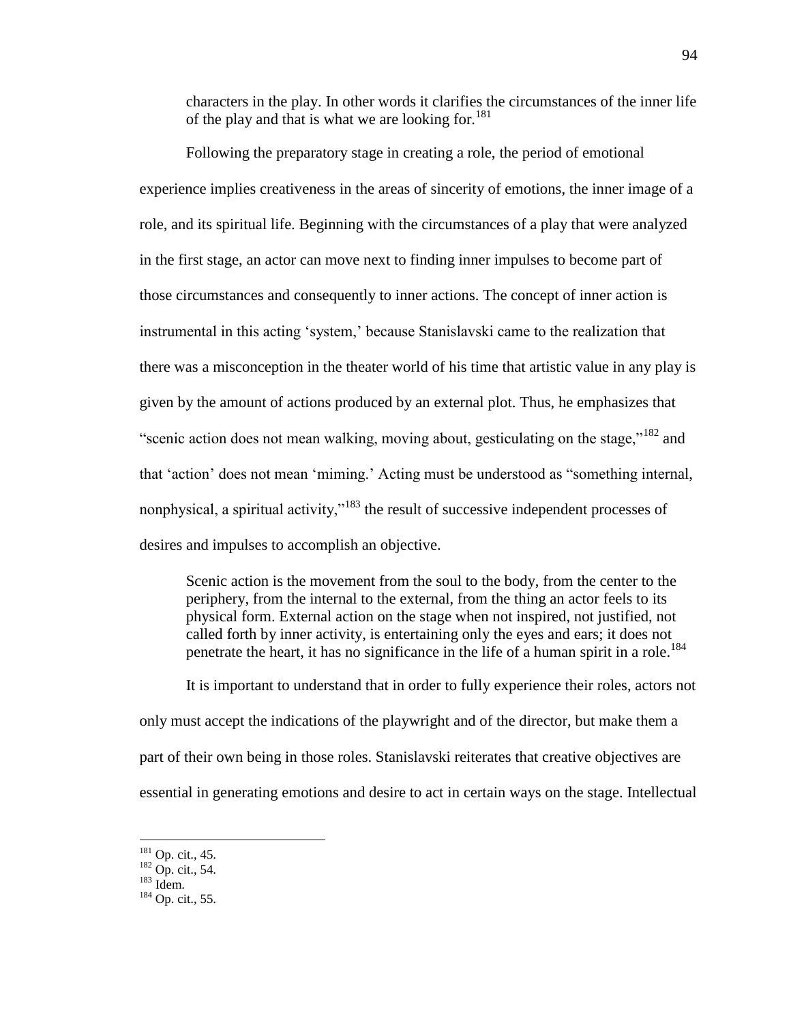characters in the play. In other words it clarifies the circumstances of the inner life of the play and that is what we are looking for.<sup>181</sup>

Following the preparatory stage in creating a role, the period of emotional experience implies creativeness in the areas of sincerity of emotions, the inner image of a role, and its spiritual life. Beginning with the circumstances of a play that were analyzed in the first stage, an actor can move next to finding inner impulses to become part of those circumstances and consequently to inner actions. The concept of inner action is instrumental in this acting 'system,' because Stanislavski came to the realization that there was a misconception in the theater world of his time that artistic value in any play is given by the amount of actions produced by an external plot. Thus, he emphasizes that "scenic action does not mean walking, moving about, gesticulating on the stage," $182$  and that 'action' does not mean 'miming.' Acting must be understood as "something internal, nonphysical, a spiritual activity, $n^{183}$  the result of successive independent processes of desires and impulses to accomplish an objective.

Scenic action is the movement from the soul to the body, from the center to the periphery, from the internal to the external, from the thing an actor feels to its physical form. External action on the stage when not inspired, not justified, not called forth by inner activity, is entertaining only the eyes and ears; it does not penetrate the heart, it has no significance in the life of a human spirit in a role.<sup>184</sup>

It is important to understand that in order to fully experience their roles, actors not only must accept the indications of the playwright and of the director, but make them a part of their own being in those roles. Stanislavski reiterates that creative objectives are essential in generating emotions and desire to act in certain ways on the stage. Intellectual

 $181$  Op. cit., 45.

 $182$  Op. cit., 54.

 $183$  Idem.

 $184$  Op. cit., 55.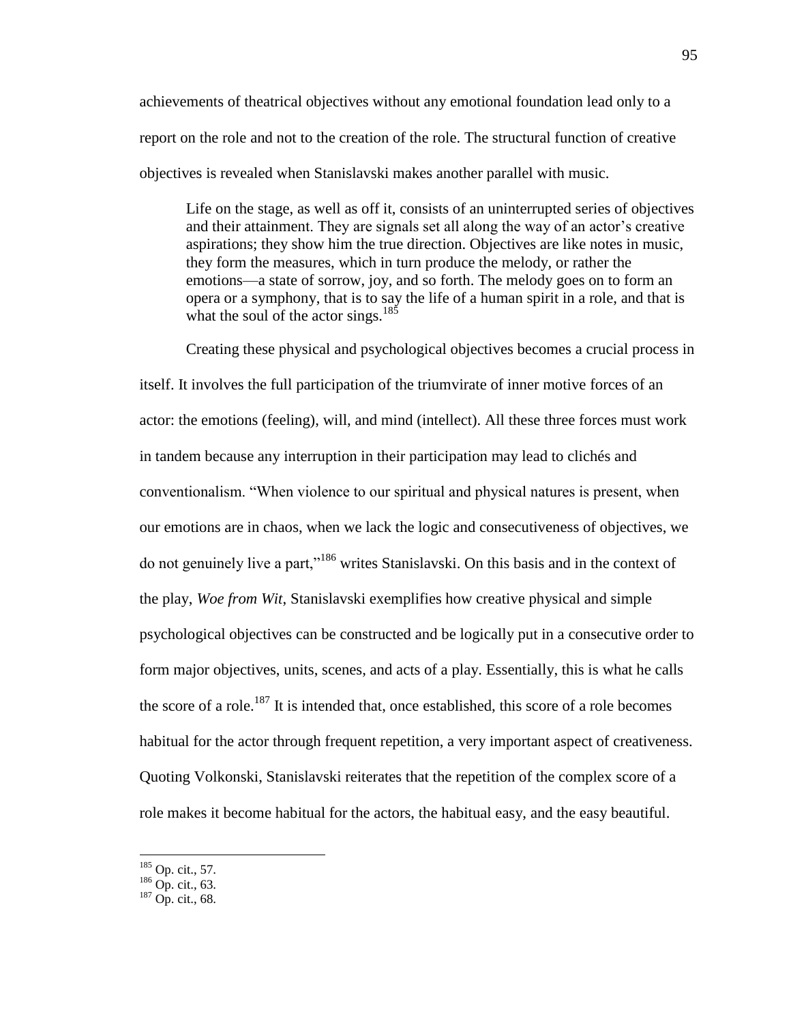achievements of theatrical objectives without any emotional foundation lead only to a report on the role and not to the creation of the role. The structural function of creative objectives is revealed when Stanislavski makes another parallel with music.

Life on the stage, as well as off it, consists of an uninterrupted series of objectives and their attainment. They are signals set all along the way of an actor's creative aspirations; they show him the true direction. Objectives are like notes in music, they form the measures, which in turn produce the melody, or rather the emotions—a state of sorrow, joy, and so forth. The melody goes on to form an opera or a symphony, that is to say the life of a human spirit in a role, and that is what the soul of the actor sings. $185$ 

Creating these physical and psychological objectives becomes a crucial process in itself. It involves the full participation of the triumvirate of inner motive forces of an actor: the emotions (feeling), will, and mind (intellect). All these three forces must work in tandem because any interruption in their participation may lead to clichés and conventionalism. ―When violence to our spiritual and physical natures is present, when our emotions are in chaos, when we lack the logic and consecutiveness of objectives, we do not genuinely live a part,"<sup>186</sup> writes Stanislavski. On this basis and in the context of the play, *Woe from Wit*, Stanislavski exemplifies how creative physical and simple psychological objectives can be constructed and be logically put in a consecutive order to form major objectives, units, scenes, and acts of a play. Essentially, this is what he calls the score of a role.<sup>187</sup> It is intended that, once established, this score of a role becomes habitual for the actor through frequent repetition, a very important aspect of creativeness. Quoting Volkonski, Stanislavski reiterates that the repetition of the complex score of a role makes it become habitual for the actors, the habitual easy, and the easy beautiful.

<sup>&</sup>lt;sup>185</sup> Op. cit., 57.

 $^{186}$  Op. cit., 63.

 $187$  Op. cit., 68.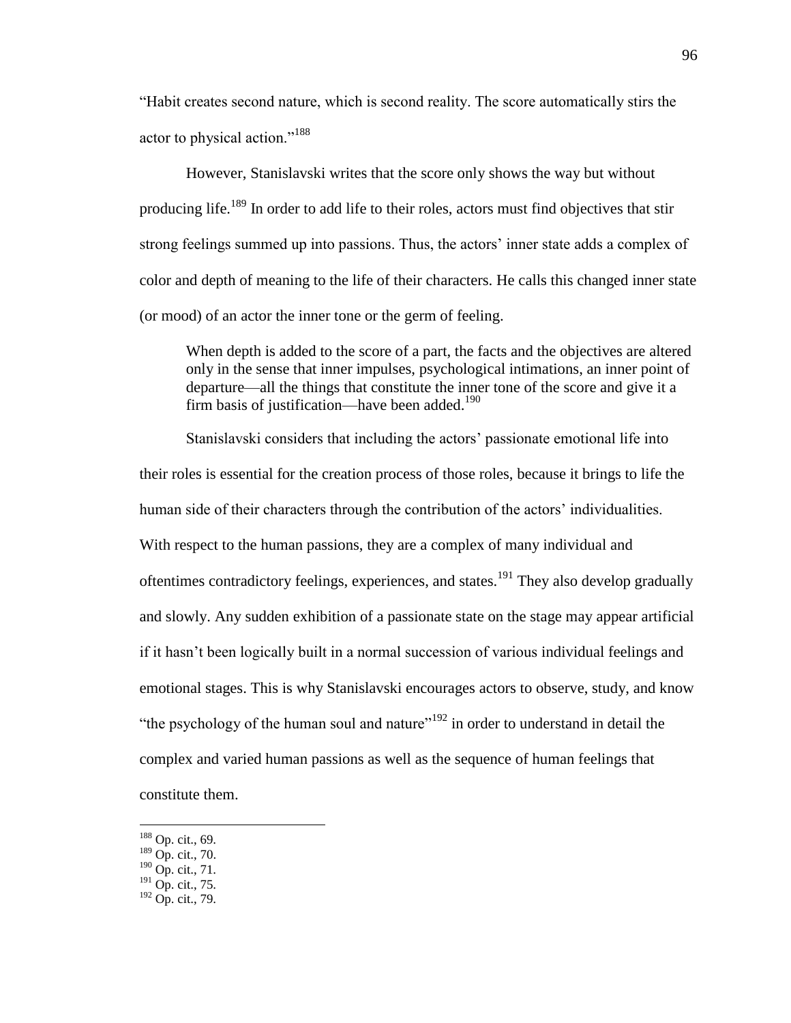―Habit creates second nature, which is second reality. The score automatically stirs the actor to physical action."<sup>188</sup>

However, Stanislavski writes that the score only shows the way but without producing life.<sup>189</sup> In order to add life to their roles, actors must find objectives that stir strong feelings summed up into passions. Thus, the actors' inner state adds a complex of color and depth of meaning to the life of their characters. He calls this changed inner state (or mood) of an actor the inner tone or the germ of feeling.

When depth is added to the score of a part, the facts and the objectives are altered only in the sense that inner impulses, psychological intimations, an inner point of departure—all the things that constitute the inner tone of the score and give it a firm basis of justification—have been added.<sup>190</sup>

Stanislavski considers that including the actors' passionate emotional life into their roles is essential for the creation process of those roles, because it brings to life the human side of their characters through the contribution of the actors' individualities. With respect to the human passions, they are a complex of many individual and oftentimes contradictory feelings, experiences, and states.<sup>191</sup> They also develop gradually and slowly. Any sudden exhibition of a passionate state on the stage may appear artificial if it hasn't been logically built in a normal succession of various individual feelings and emotional stages. This is why Stanislavski encourages actors to observe, study, and know "the psychology of the human soul and nature"<sup>192</sup> in order to understand in detail the complex and varied human passions as well as the sequence of human feelings that constitute them.

<sup>&</sup>lt;sup>188</sup> Op. cit., 69.

 $189$  Op. cit., 70.

<sup>190</sup> Op. cit., 71.

 $^{191}$  Op. cit., 75.

<sup>192</sup> Op. cit., 79.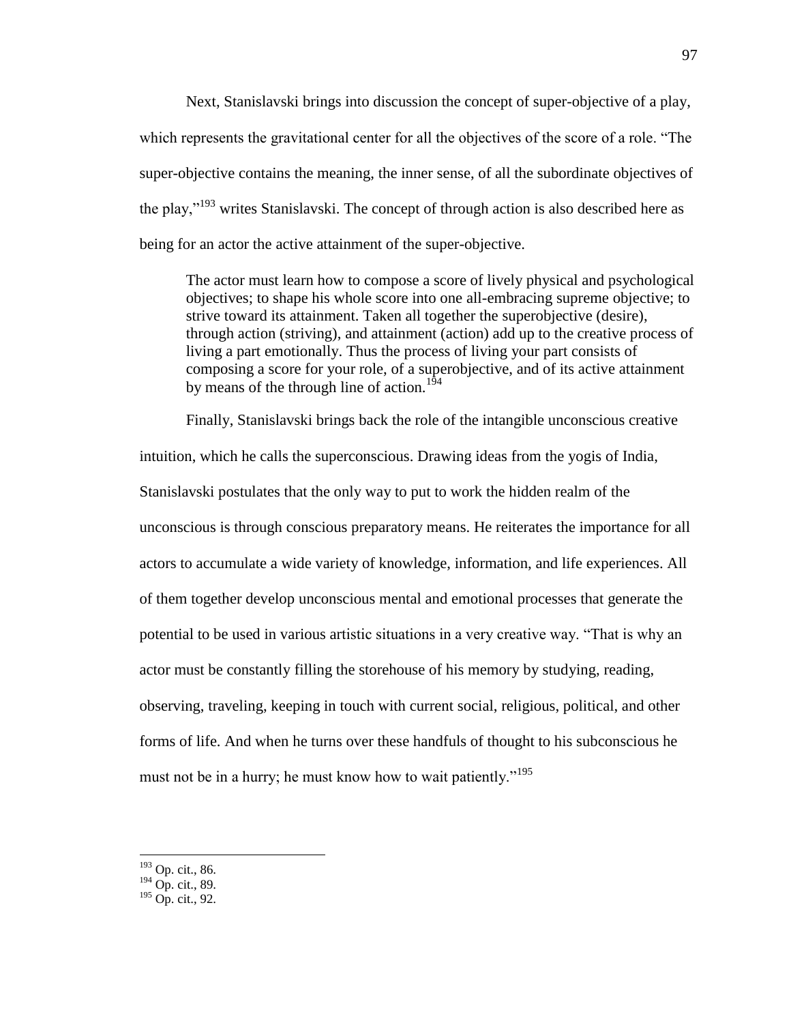Next, Stanislavski brings into discussion the concept of super-objective of a play, which represents the gravitational center for all the objectives of the score of a role. "The super-objective contains the meaning, the inner sense, of all the subordinate objectives of the play, $n^{193}$  writes Stanislavski. The concept of through action is also described here as being for an actor the active attainment of the super-objective.

The actor must learn how to compose a score of lively physical and psychological objectives; to shape his whole score into one all-embracing supreme objective; to strive toward its attainment. Taken all together the superobjective (desire), through action (striving), and attainment (action) add up to the creative process of living a part emotionally. Thus the process of living your part consists of composing a score for your role, of a superobjective, and of its active attainment by means of the through line of action.<sup>194</sup>

Finally, Stanislavski brings back the role of the intangible unconscious creative intuition, which he calls the superconscious. Drawing ideas from the yogis of India, Stanislavski postulates that the only way to put to work the hidden realm of the unconscious is through conscious preparatory means. He reiterates the importance for all actors to accumulate a wide variety of knowledge, information, and life experiences. All of them together develop unconscious mental and emotional processes that generate the potential to be used in various artistic situations in a very creative way. "That is why an actor must be constantly filling the storehouse of his memory by studying, reading, observing, traveling, keeping in touch with current social, religious, political, and other forms of life. And when he turns over these handfuls of thought to his subconscious he must not be in a hurry; he must know how to wait patiently."<sup>195</sup>

<sup>&</sup>lt;sup>193</sup> Op. cit., 86.

 $^{194}$  Op. cit., 89.

<sup>195</sup> Op. cit., 92.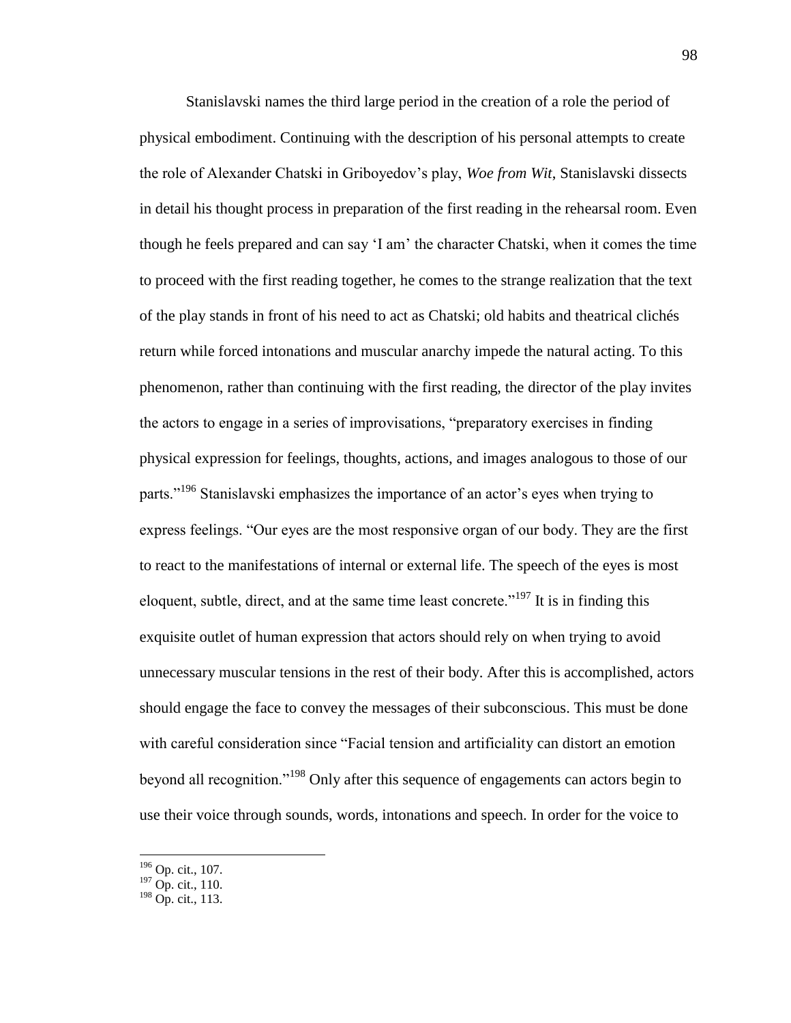Stanislavski names the third large period in the creation of a role the period of physical embodiment. Continuing with the description of his personal attempts to create the role of Alexander Chatski in Griboyedov's play, *Woe from Wit*, Stanislavski dissects in detail his thought process in preparation of the first reading in the rehearsal room. Even though he feels prepared and can say ‗I am' the character Chatski, when it comes the time to proceed with the first reading together, he comes to the strange realization that the text of the play stands in front of his need to act as Chatski; old habits and theatrical clichés return while forced intonations and muscular anarchy impede the natural acting. To this phenomenon, rather than continuing with the first reading, the director of the play invites the actors to engage in a series of improvisations, "preparatory exercises in finding physical expression for feelings, thoughts, actions, and images analogous to those of our parts."<sup>196</sup> Stanislavski emphasizes the importance of an actor's eyes when trying to express feelings. "Our eyes are the most responsive organ of our body. They are the first to react to the manifestations of internal or external life. The speech of the eyes is most eloquent, subtle, direct, and at the same time least concrete."<sup>197</sup> It is in finding this exquisite outlet of human expression that actors should rely on when trying to avoid unnecessary muscular tensions in the rest of their body. After this is accomplished, actors should engage the face to convey the messages of their subconscious. This must be done with careful consideration since "Facial tension and artificiality can distort an emotion beyond all recognition."<sup>198</sup> Only after this sequence of engagements can actors begin to use their voice through sounds, words, intonations and speech. In order for the voice to

<sup>&</sup>lt;sup>196</sup> Op. cit., 107.

<sup>&</sup>lt;sup>197</sup> Op. cit., 110.

 $198$  Op. cit., 113.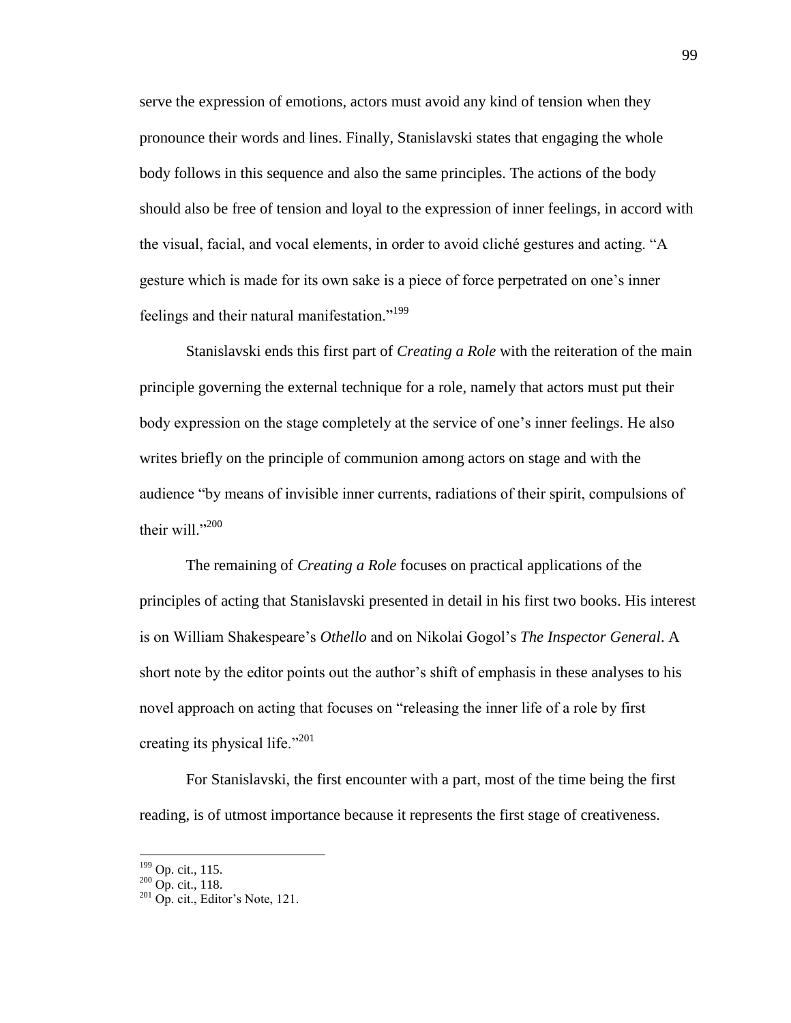serve the expression of emotions, actors must avoid any kind of tension when they pronounce their words and lines. Finally, Stanislavski states that engaging the whole body follows in this sequence and also the same principles. The actions of the body should also be free of tension and loyal to the expression of inner feelings, in accord with the visual, facial, and vocal elements, in order to avoid cliché gestures and acting. "A gesture which is made for its own sake is a piece of force perpetrated on one's inner feelings and their natural manifestation."<sup>199</sup>

Stanislavski ends this first part of *Creating a Role* with the reiteration of the main principle governing the external technique for a role, namely that actors must put their body expression on the stage completely at the service of one's inner feelings. He also writes briefly on the principle of communion among actors on stage and with the audience "by means of invisible inner currents, radiations of their spirit, compulsions of their will.<sup>3200</sup>

The remaining of *Creating a Role* focuses on practical applications of the principles of acting that Stanislavski presented in detail in his first two books. His interest is on William Shakespeare's *Othello* and on Nikolai Gogol's *The Inspector General*. A short note by the editor points out the author's shift of emphasis in these analyses to his novel approach on acting that focuses on "releasing the inner life of a role by first creating its physical life." $^{201}$ 

For Stanislavski, the first encounter with a part, most of the time being the first reading, is of utmost importance because it represents the first stage of creativeness.

<sup>&</sup>lt;sup>199</sup> Op. cit., 115.

 $200$  Op. cit., 118.

 $201$  Op. cit., Editor's Note, 121.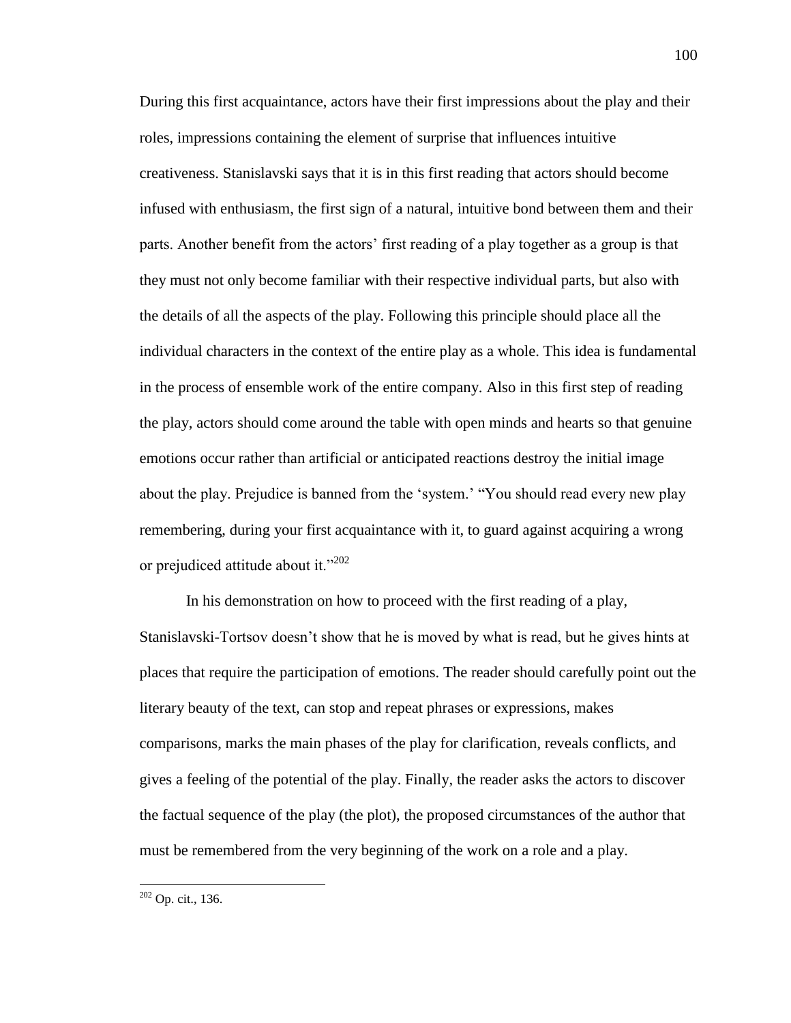During this first acquaintance, actors have their first impressions about the play and their roles, impressions containing the element of surprise that influences intuitive creativeness. Stanislavski says that it is in this first reading that actors should become infused with enthusiasm, the first sign of a natural, intuitive bond between them and their parts. Another benefit from the actors' first reading of a play together as a group is that they must not only become familiar with their respective individual parts, but also with the details of all the aspects of the play. Following this principle should place all the individual characters in the context of the entire play as a whole. This idea is fundamental in the process of ensemble work of the entire company. Also in this first step of reading the play, actors should come around the table with open minds and hearts so that genuine emotions occur rather than artificial or anticipated reactions destroy the initial image about the play. Prejudice is banned from the 'system.' "You should read every new play remembering, during your first acquaintance with it, to guard against acquiring a wrong or prejudiced attitude about it." $202$ 

In his demonstration on how to proceed with the first reading of a play, Stanislavski-Tortsov doesn't show that he is moved by what is read, but he gives hints at places that require the participation of emotions. The reader should carefully point out the literary beauty of the text, can stop and repeat phrases or expressions, makes comparisons, marks the main phases of the play for clarification, reveals conflicts, and gives a feeling of the potential of the play. Finally, the reader asks the actors to discover the factual sequence of the play (the plot), the proposed circumstances of the author that must be remembered from the very beginning of the work on a role and a play.

 $202$  Op. cit., 136.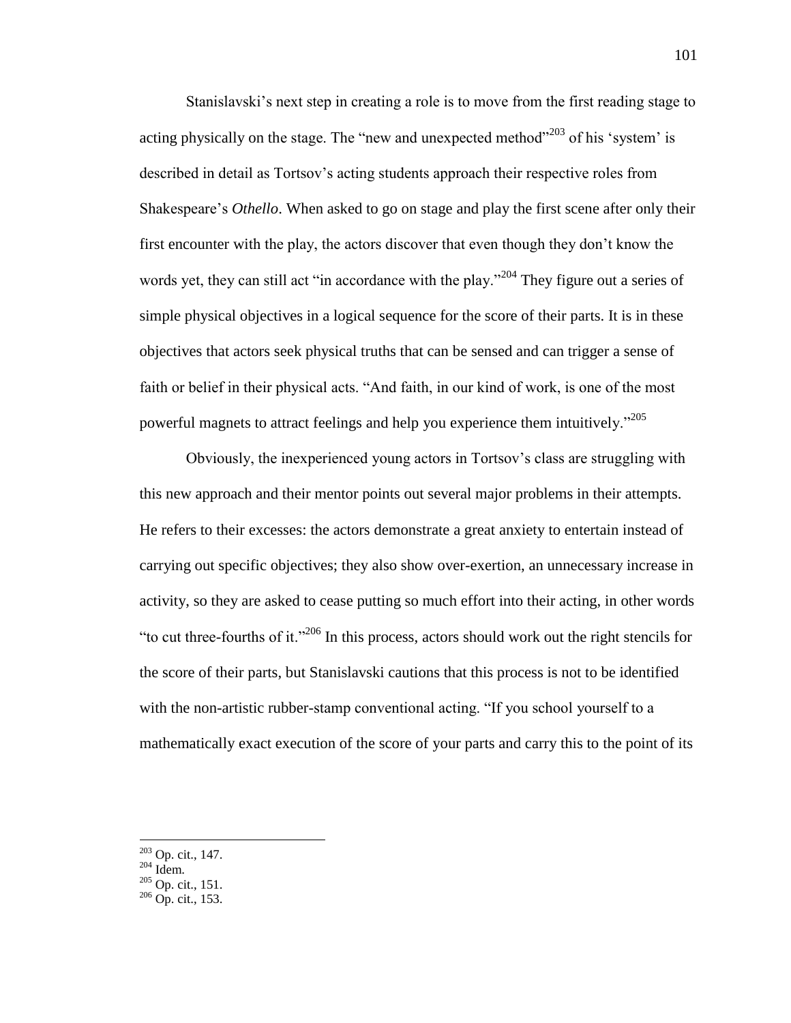Stanislavski's next step in creating a role is to move from the first reading stage to acting physically on the stage. The "new and unexpected method"<sup>203</sup> of his 'system' is described in detail as Tortsov's acting students approach their respective roles from Shakespeare's *Othello*. When asked to go on stage and play the first scene after only their first encounter with the play, the actors discover that even though they don't know the words yet, they can still act "in accordance with the play."<sup>204</sup> They figure out a series of simple physical objectives in a logical sequence for the score of their parts. It is in these objectives that actors seek physical truths that can be sensed and can trigger a sense of faith or belief in their physical acts. "And faith, in our kind of work, is one of the most powerful magnets to attract feelings and help you experience them intuitively.<sup> $205$ </sup>

Obviously, the inexperienced young actors in Tortsov's class are struggling with this new approach and their mentor points out several major problems in their attempts. He refers to their excesses: the actors demonstrate a great anxiety to entertain instead of carrying out specific objectives; they also show over-exertion, an unnecessary increase in activity, so they are asked to cease putting so much effort into their acting, in other words "to cut three-fourths of it."<sup>206</sup> In this process, actors should work out the right stencils for the score of their parts, but Stanislavski cautions that this process is not to be identified with the non-artistic rubber-stamp conventional acting. "If you school yourself to a mathematically exact execution of the score of your parts and carry this to the point of its

 $203$  Op. cit., 147.

 $204$  Idem.

 $205$  Op. cit., 151.

 $206$  Op. cit., 153.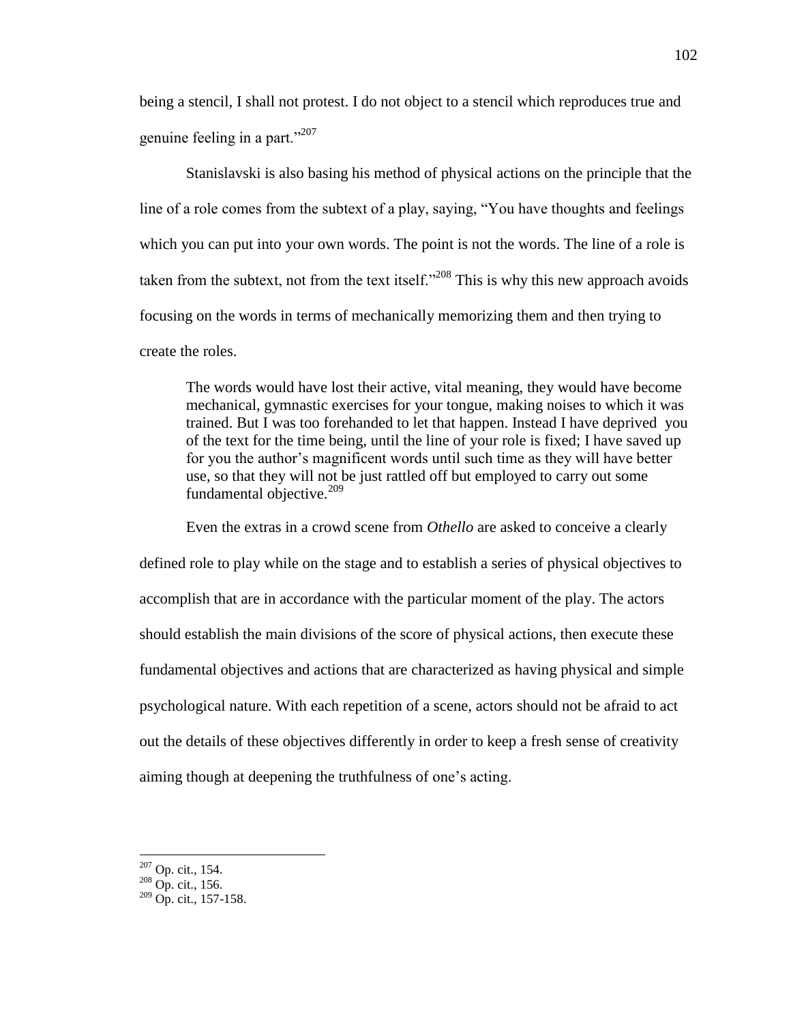being a stencil, I shall not protest. I do not object to a stencil which reproduces true and genuine feeling in a part." $^{207}$ 

Stanislavski is also basing his method of physical actions on the principle that the line of a role comes from the subtext of a play, saying, "You have thoughts and feelings which you can put into your own words. The point is not the words. The line of a role is taken from the subtext, not from the text itself.<sup>2208</sup> This is why this new approach avoids focusing on the words in terms of mechanically memorizing them and then trying to create the roles.

The words would have lost their active, vital meaning, they would have become mechanical, gymnastic exercises for your tongue, making noises to which it was trained. But I was too forehanded to let that happen. Instead I have deprived you of the text for the time being, until the line of your role is fixed; I have saved up for you the author's magnificent words until such time as they will have better use, so that they will not be just rattled off but employed to carry out some fundamental objective. $209$ 

Even the extras in a crowd scene from *Othello* are asked to conceive a clearly defined role to play while on the stage and to establish a series of physical objectives to accomplish that are in accordance with the particular moment of the play. The actors should establish the main divisions of the score of physical actions, then execute these fundamental objectives and actions that are characterized as having physical and simple psychological nature. With each repetition of a scene, actors should not be afraid to act out the details of these objectives differently in order to keep a fresh sense of creativity aiming though at deepening the truthfulness of one's acting.

<sup>&</sup>lt;sup>207</sup> Op. cit., 154.

 $^{208}$  Op. cit., 156.

 $209$  Op. cit., 157-158.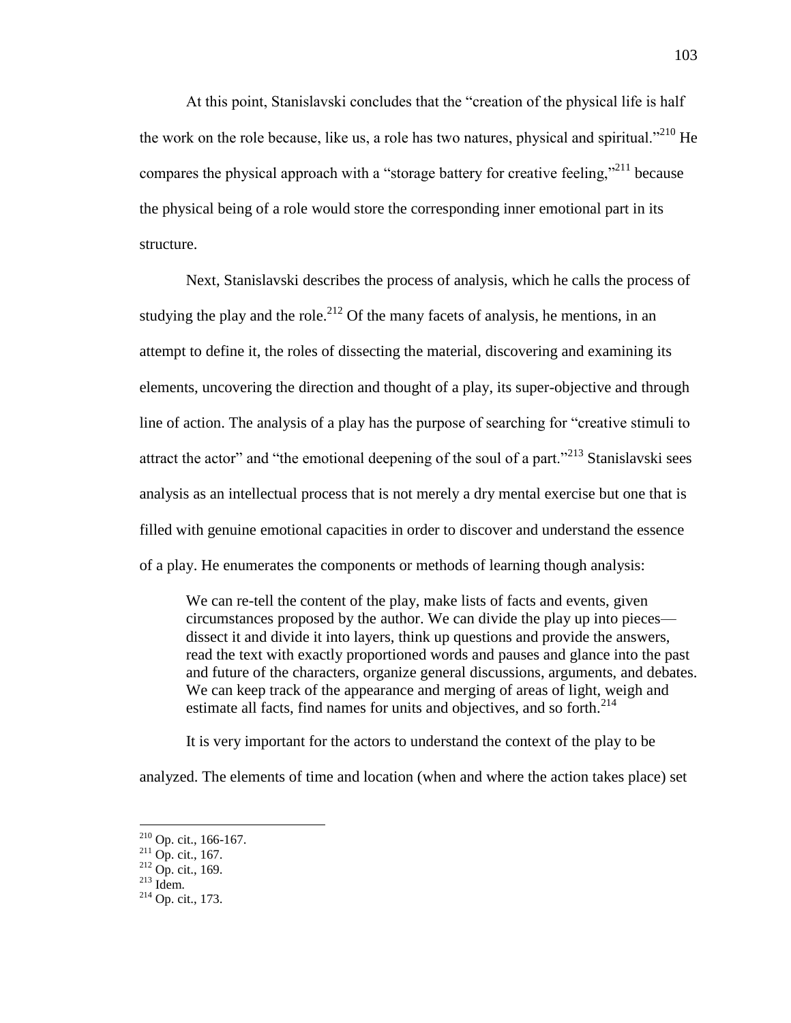At this point, Stanislavski concludes that the "creation of the physical life is half the work on the role because, like us, a role has two natures, physical and spiritual.<sup>2210</sup> He compares the physical approach with a "storage battery for creative feeling,"<sup>211</sup> because the physical being of a role would store the corresponding inner emotional part in its structure.

Next, Stanislavski describes the process of analysis, which he calls the process of studying the play and the role.<sup>212</sup> Of the many facets of analysis, he mentions, in an attempt to define it, the roles of dissecting the material, discovering and examining its elements, uncovering the direction and thought of a play, its super-objective and through line of action. The analysis of a play has the purpose of searching for "creative stimuli to attract the actor" and "the emotional deepening of the soul of a part."<sup>213</sup> Stanislavski sees analysis as an intellectual process that is not merely a dry mental exercise but one that is filled with genuine emotional capacities in order to discover and understand the essence of a play. He enumerates the components or methods of learning though analysis:

We can re-tell the content of the play, make lists of facts and events, given circumstances proposed by the author. We can divide the play up into pieces dissect it and divide it into layers, think up questions and provide the answers, read the text with exactly proportioned words and pauses and glance into the past and future of the characters, organize general discussions, arguments, and debates. We can keep track of the appearance and merging of areas of light, weigh and estimate all facts, find names for units and objectives, and so forth. $^{214}$ 

It is very important for the actors to understand the context of the play to be

analyzed. The elements of time and location (when and where the action takes place) set

 $210$  Op. cit., 166-167.

 $2^{11}$  Op. cit., 167.

 $2^{12}$  Op. cit., 169.

 $^{213}$  Idem.

<sup>214</sup> Op. cit., 173.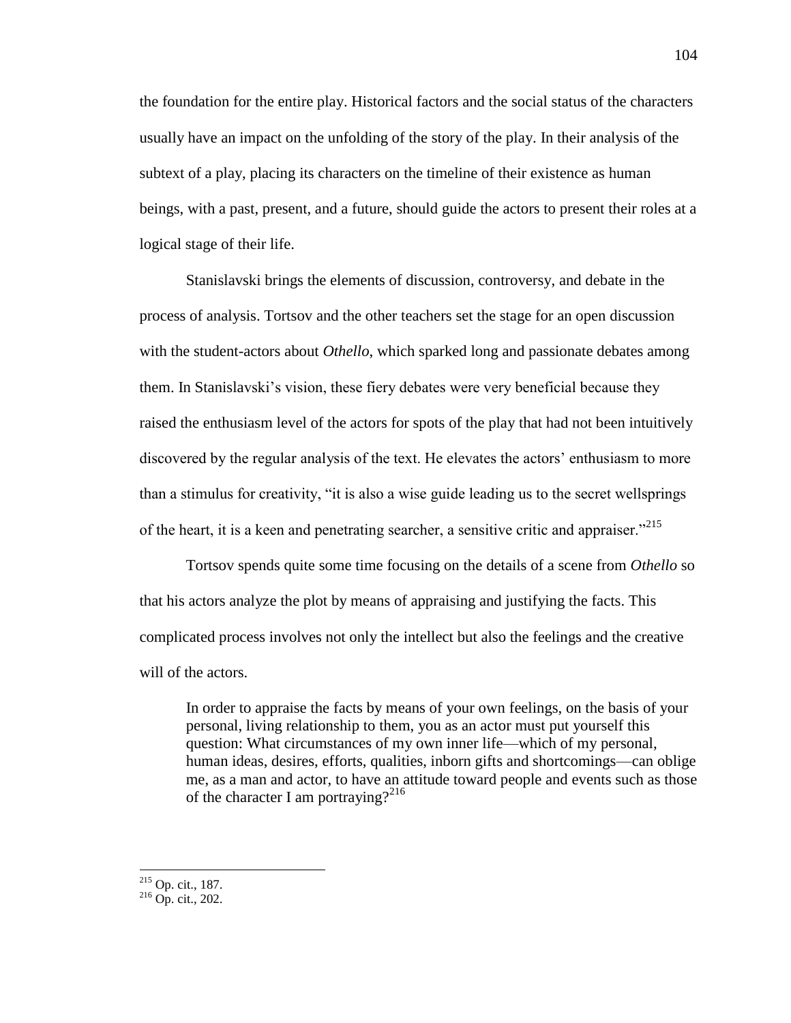the foundation for the entire play. Historical factors and the social status of the characters usually have an impact on the unfolding of the story of the play. In their analysis of the subtext of a play, placing its characters on the timeline of their existence as human beings, with a past, present, and a future, should guide the actors to present their roles at a logical stage of their life.

Stanislavski brings the elements of discussion, controversy, and debate in the process of analysis. Tortsov and the other teachers set the stage for an open discussion with the student-actors about *Othello*, which sparked long and passionate debates among them. In Stanislavski's vision, these fiery debates were very beneficial because they raised the enthusiasm level of the actors for spots of the play that had not been intuitively discovered by the regular analysis of the text. He elevates the actors' enthusiasm to more than a stimulus for creativity, "it is also a wise guide leading us to the secret wellsprings of the heart, it is a keen and penetrating searcher, a sensitive critic and appraiser.<sup>7215</sup>

Tortsov spends quite some time focusing on the details of a scene from *Othello* so that his actors analyze the plot by means of appraising and justifying the facts. This complicated process involves not only the intellect but also the feelings and the creative will of the actors.

In order to appraise the facts by means of your own feelings, on the basis of your personal, living relationship to them, you as an actor must put yourself this question: What circumstances of my own inner life—which of my personal, human ideas, desires, efforts, qualities, inborn gifts and shortcomings—can oblige me, as a man and actor, to have an attitude toward people and events such as those of the character I am portraying?<sup>216</sup>

 $\overline{a}$ <sup>215</sup> Op. cit., 187.

 $2^{16}$  Op. cit., 202.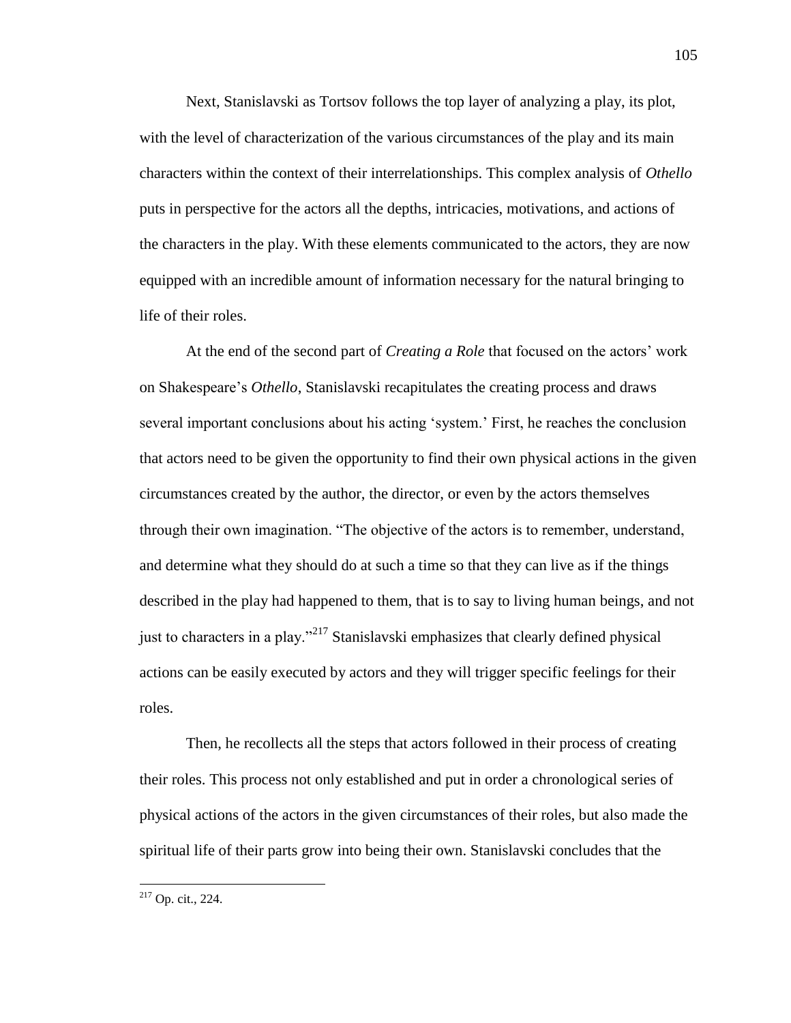Next, Stanislavski as Tortsov follows the top layer of analyzing a play, its plot, with the level of characterization of the various circumstances of the play and its main characters within the context of their interrelationships. This complex analysis of *Othello*  puts in perspective for the actors all the depths, intricacies, motivations, and actions of the characters in the play. With these elements communicated to the actors, they are now equipped with an incredible amount of information necessary for the natural bringing to life of their roles.

At the end of the second part of *Creating a Role* that focused on the actors' work on Shakespeare's *Othello*, Stanislavski recapitulates the creating process and draws several important conclusions about his acting 'system.' First, he reaches the conclusion that actors need to be given the opportunity to find their own physical actions in the given circumstances created by the author, the director, or even by the actors themselves through their own imagination. "The objective of the actors is to remember, understand, and determine what they should do at such a time so that they can live as if the things described in the play had happened to them, that is to say to living human beings, and not just to characters in a play."<sup>217</sup> Stanislavski emphasizes that clearly defined physical actions can be easily executed by actors and they will trigger specific feelings for their roles.

Then, he recollects all the steps that actors followed in their process of creating their roles. This process not only established and put in order a chronological series of physical actions of the actors in the given circumstances of their roles, but also made the spiritual life of their parts grow into being their own. Stanislavski concludes that the

 $217$  Op. cit., 224.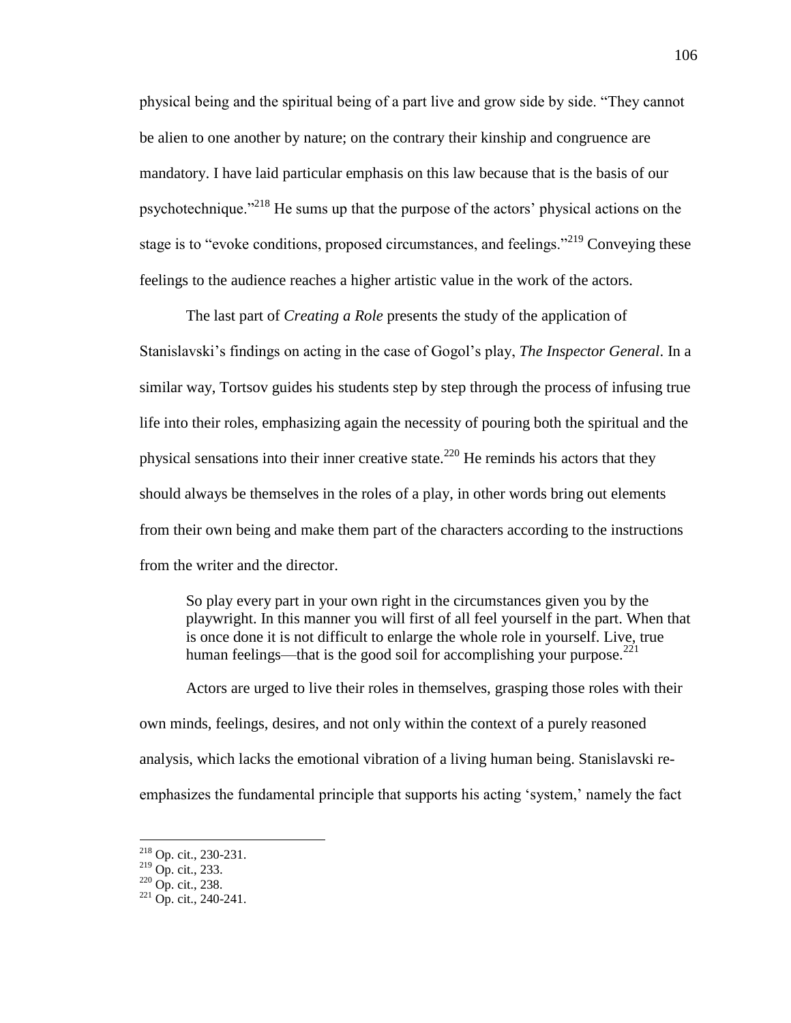physical being and the spiritual being of a part live and grow side by side. "They cannot be alien to one another by nature; on the contrary their kinship and congruence are mandatory. I have laid particular emphasis on this law because that is the basis of our psychotechnique.<sup>2218</sup> He sums up that the purpose of the actors' physical actions on the stage is to "evoke conditions, proposed circumstances, and feelings."<sup>219</sup> Conveying these feelings to the audience reaches a higher artistic value in the work of the actors.

The last part of *Creating a Role* presents the study of the application of Stanislavski's findings on acting in the case of Gogol's play, *The Inspector General*. In a similar way, Tortsov guides his students step by step through the process of infusing true life into their roles, emphasizing again the necessity of pouring both the spiritual and the physical sensations into their inner creative state.<sup>220</sup> He reminds his actors that they should always be themselves in the roles of a play, in other words bring out elements from their own being and make them part of the characters according to the instructions from the writer and the director.

So play every part in your own right in the circumstances given you by the playwright. In this manner you will first of all feel yourself in the part. When that is once done it is not difficult to enlarge the whole role in yourself. Live, true human feelings—that is the good soil for accomplishing your purpose.<sup>221</sup>

Actors are urged to live their roles in themselves, grasping those roles with their own minds, feelings, desires, and not only within the context of a purely reasoned analysis, which lacks the emotional vibration of a living human being. Stanislavski reemphasizes the fundamental principle that supports his acting 'system,' namely the fact

<sup>218</sup> Op. cit., 230-231.

<sup>219</sup> Op. cit., 233.

 $^{220}$  Op. cit., 238.

 $221$  Op. cit., 240-241.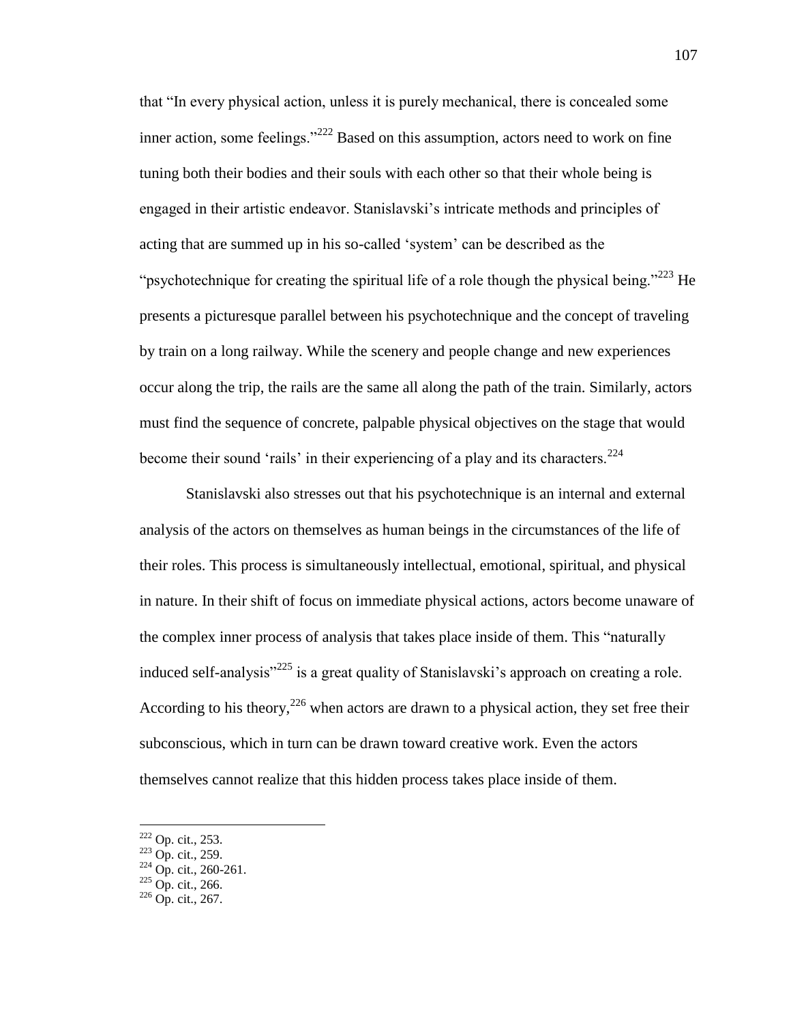that "In every physical action, unless it is purely mechanical, there is concealed some inner action, some feelings." $^{222}$  Based on this assumption, actors need to work on fine tuning both their bodies and their souls with each other so that their whole being is engaged in their artistic endeavor. Stanislavski's intricate methods and principles of acting that are summed up in his so-called 'system' can be described as the "psychotechnique for creating the spiritual life of a role though the physical being."<sup>223</sup> He presents a picturesque parallel between his psychotechnique and the concept of traveling by train on a long railway. While the scenery and people change and new experiences occur along the trip, the rails are the same all along the path of the train. Similarly, actors must find the sequence of concrete, palpable physical objectives on the stage that would become their sound 'rails' in their experiencing of a play and its characters.<sup>224</sup>

Stanislavski also stresses out that his psychotechnique is an internal and external analysis of the actors on themselves as human beings in the circumstances of the life of their roles. This process is simultaneously intellectual, emotional, spiritual, and physical in nature. In their shift of focus on immediate physical actions, actors become unaware of the complex inner process of analysis that takes place inside of them. This "naturally induced self-analysis<sup> $225$ </sup> is a great quality of Stanislavski's approach on creating a role. According to his theory,  $226$  when actors are drawn to a physical action, they set free their subconscious, which in turn can be drawn toward creative work. Even the actors themselves cannot realize that this hidden process takes place inside of them.

<sup>&</sup>lt;sup>222</sup> Op. cit., 253.

 $223$  Op. cit., 259.

 $224$  Op. cit., 260-261.

 $225$  Op. cit., 266.

 $226$  Op. cit., 267.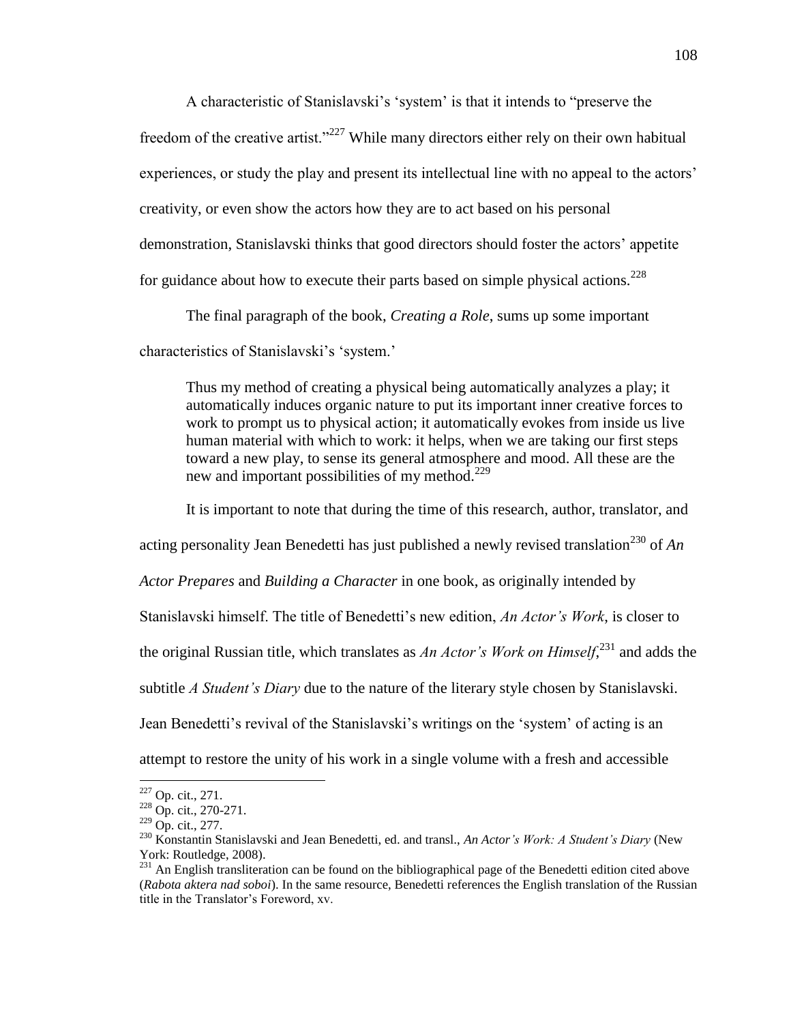A characteristic of Stanislavski's 'system' is that it intends to "preserve the freedom of the creative artist."<sup>227</sup> While many directors either rely on their own habitual experiences, or study the play and present its intellectual line with no appeal to the actors' creativity, or even show the actors how they are to act based on his personal demonstration, Stanislavski thinks that good directors should foster the actors' appetite for guidance about how to execute their parts based on simple physical actions.<sup>228</sup>

The final paragraph of the book, *Creating a Role*, sums up some important

characteristics of Stanislavski's 'system.'

Thus my method of creating a physical being automatically analyzes a play; it automatically induces organic nature to put its important inner creative forces to work to prompt us to physical action; it automatically evokes from inside us live human material with which to work: it helps, when we are taking our first steps toward a new play, to sense its general atmosphere and mood. All these are the new and important possibilities of my method.<sup>229</sup>

It is important to note that during the time of this research, author, translator, and acting personality Jean Benedetti has just published a newly revised translation<sup>230</sup> of  $An$ *Actor Prepares* and *Building a Character* in one book, as originally intended by Stanislavski himself. The title of Benedetti's new edition, *An Actor's Work*, is closer to the original Russian title, which translates as *An Actor's Work on Himself*, <sup>231</sup> and adds the subtitle *A Student's Diary* due to the nature of the literary style chosen by Stanislavski. Jean Benedetti's revival of the Stanislavski's writings on the 'system' of acting is an attempt to restore the unity of his work in a single volume with a fresh and accessible

 $227$  Op. cit., 271.

<sup>228</sup> Op. cit., 270-271.

<sup>229</sup> Op. cit., 277.

<sup>230</sup> Konstantin Stanislavski and Jean Benedetti, ed. and transl., *An Actor's Work: A Student's Diary* (New York: Routledge, 2008).

<sup>&</sup>lt;sup>231</sup> An English transliteration can be found on the bibliographical page of the Benedetti edition cited above (*Rabota aktera nad soboi*). In the same resource, Benedetti references the English translation of the Russian title in the Translator's Foreword, xv.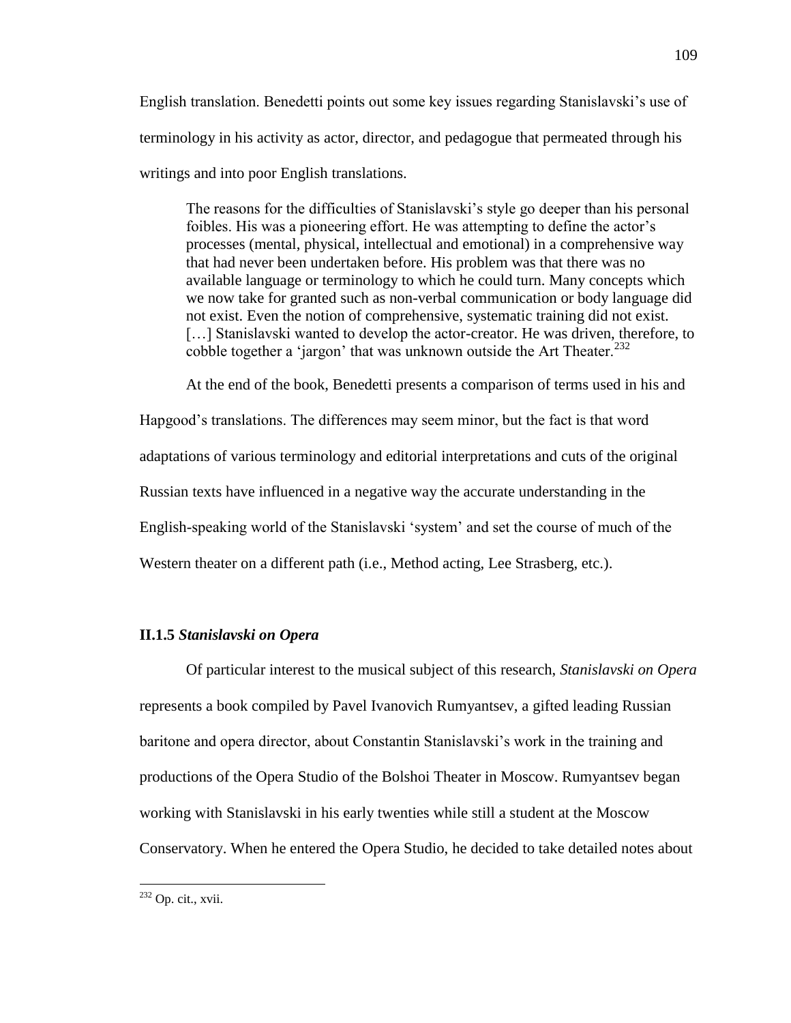English translation. Benedetti points out some key issues regarding Stanislavski's use of terminology in his activity as actor, director, and pedagogue that permeated through his writings and into poor English translations.

The reasons for the difficulties of Stanislavski's style go deeper than his personal foibles. His was a pioneering effort. He was attempting to define the actor's processes (mental, physical, intellectual and emotional) in a comprehensive way that had never been undertaken before. His problem was that there was no available language or terminology to which he could turn. Many concepts which we now take for granted such as non-verbal communication or body language did not exist. Even the notion of comprehensive, systematic training did not exist. [...] Stanislavski wanted to develop the actor-creator. He was driven, therefore, to cobble together a 'jargon' that was unknown outside the Art Theater. $^{232}$ 

At the end of the book, Benedetti presents a comparison of terms used in his and

Hapgood's translations. The differences may seem minor, but the fact is that word adaptations of various terminology and editorial interpretations and cuts of the original Russian texts have influenced in a negative way the accurate understanding in the English-speaking world of the Stanislavski ‗system' and set the course of much of the Western theater on a different path (i.e., Method acting, Lee Strasberg, etc.).

# **II.1.5** *Stanislavski on Opera*

Of particular interest to the musical subject of this research, *Stanislavski on Opera* represents a book compiled by Pavel Ivanovich Rumyantsev, a gifted leading Russian baritone and opera director, about Constantin Stanislavski's work in the training and productions of the Opera Studio of the Bolshoi Theater in Moscow. Rumyantsev began working with Stanislavski in his early twenties while still a student at the Moscow Conservatory. When he entered the Opera Studio, he decided to take detailed notes about

 $\overline{a}$  $232$  Op. cit., xvii.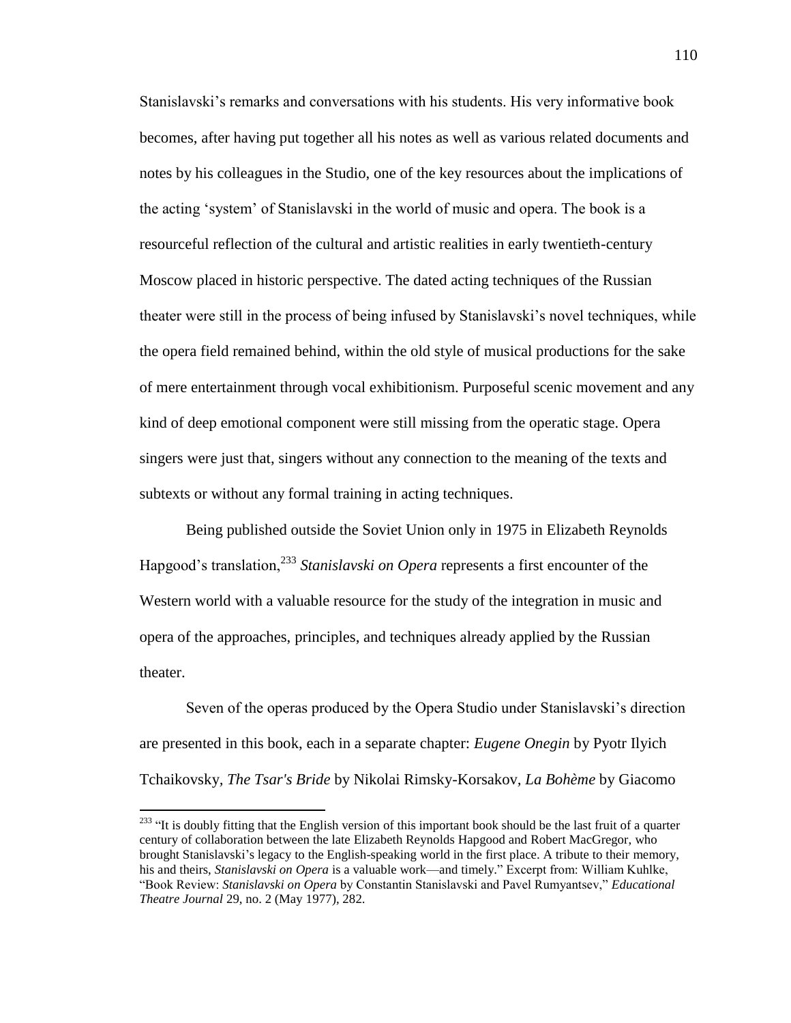Stanislavski's remarks and conversations with his students. His very informative book becomes, after having put together all his notes as well as various related documents and notes by his colleagues in the Studio, one of the key resources about the implications of the acting ‗system' of Stanislavski in the world of music and opera. The book is a resourceful reflection of the cultural and artistic realities in early twentieth-century Moscow placed in historic perspective. The dated acting techniques of the Russian theater were still in the process of being infused by Stanislavski's novel techniques, while the opera field remained behind, within the old style of musical productions for the sake of mere entertainment through vocal exhibitionism. Purposeful scenic movement and any kind of deep emotional component were still missing from the operatic stage. Opera singers were just that, singers without any connection to the meaning of the texts and subtexts or without any formal training in acting techniques.

Being published outside the Soviet Union only in 1975 in Elizabeth Reynolds Hapgood's translation,<sup>233</sup> *Stanislavski on Opera* represents a first encounter of the Western world with a valuable resource for the study of the integration in music and opera of the approaches, principles, and techniques already applied by the Russian theater.

Seven of the operas produced by the Opera Studio under Stanislavski's direction are presented in this book, each in a separate chapter: *Eugene Onegin* by Pyotr Ilyich Tchaikovsky*, The Tsar's Bride* by Nikolai Rimsky-Korsakov*, La Bohème* by Giacomo

<sup>&</sup>lt;sup>233</sup> "It is doubly fitting that the English version of this important book should be the last fruit of a quarter century of collaboration between the late Elizabeth Reynolds Hapgood and Robert MacGregor, who brought Stanislavski's legacy to the English-speaking world in the first place. A tribute to their memory, his and theirs, *Stanislavski on Opera* is a valuable work—and timely." Excerpt from: William Kuhlke, "Book Review: Stanislavski on Opera by Constantin Stanislavski and Pavel Rumyantsev," Educational *Theatre Journal* 29, no. 2 (May 1977), 282.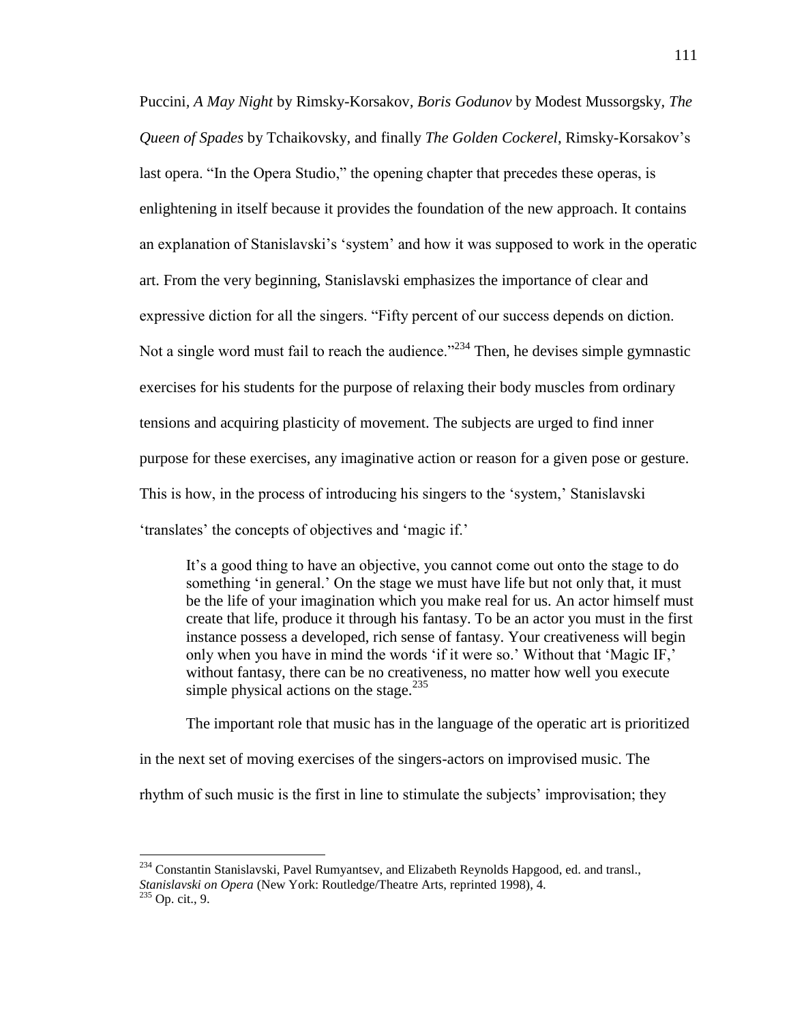Puccini*, A May Night* by Rimsky-Korsakov*, Boris Godunov* by Modest Mussorgsky*, The Queen of Spades* by Tchaikovsky*,* and finally *The Golden Cockerel*, Rimsky-Korsakov's last opera. "In the Opera Studio," the opening chapter that precedes these operas, is enlightening in itself because it provides the foundation of the new approach. It contains an explanation of Stanislavski's 'system' and how it was supposed to work in the operatic art. From the very beginning, Stanislavski emphasizes the importance of clear and expressive diction for all the singers. "Fifty percent of our success depends on diction. Not a single word must fail to reach the audience.<sup> $234$ </sup> Then, he devises simple gymnastic exercises for his students for the purpose of relaxing their body muscles from ordinary tensions and acquiring plasticity of movement. The subjects are urged to find inner purpose for these exercises, any imaginative action or reason for a given pose or gesture. This is how, in the process of introducing his singers to the 'system,' Stanislavski ‗translates' the concepts of objectives and ‗magic if.'

It's a good thing to have an objective, you cannot come out onto the stage to do something 'in general.' On the stage we must have life but not only that, it must be the life of your imagination which you make real for us. An actor himself must create that life, produce it through his fantasy. To be an actor you must in the first instance possess a developed, rich sense of fantasy. Your creativeness will begin only when you have in mind the words 'if it were so.' Without that 'Magic IF,' without fantasy, there can be no creativeness, no matter how well you execute simple physical actions on the stage. $^{235}$ 

The important role that music has in the language of the operatic art is prioritized

in the next set of moving exercises of the singers-actors on improvised music. The

rhythm of such music is the first in line to stimulate the subjects' improvisation; they

<sup>&</sup>lt;sup>234</sup> Constantin Stanislavski, Pavel Rumyantsev, and Elizabeth Reynolds Hapgood, ed. and transl., *Stanislavski on Opera* (New York: Routledge/Theatre Arts, reprinted 1998), 4.

 $235$  Op. cit., 9.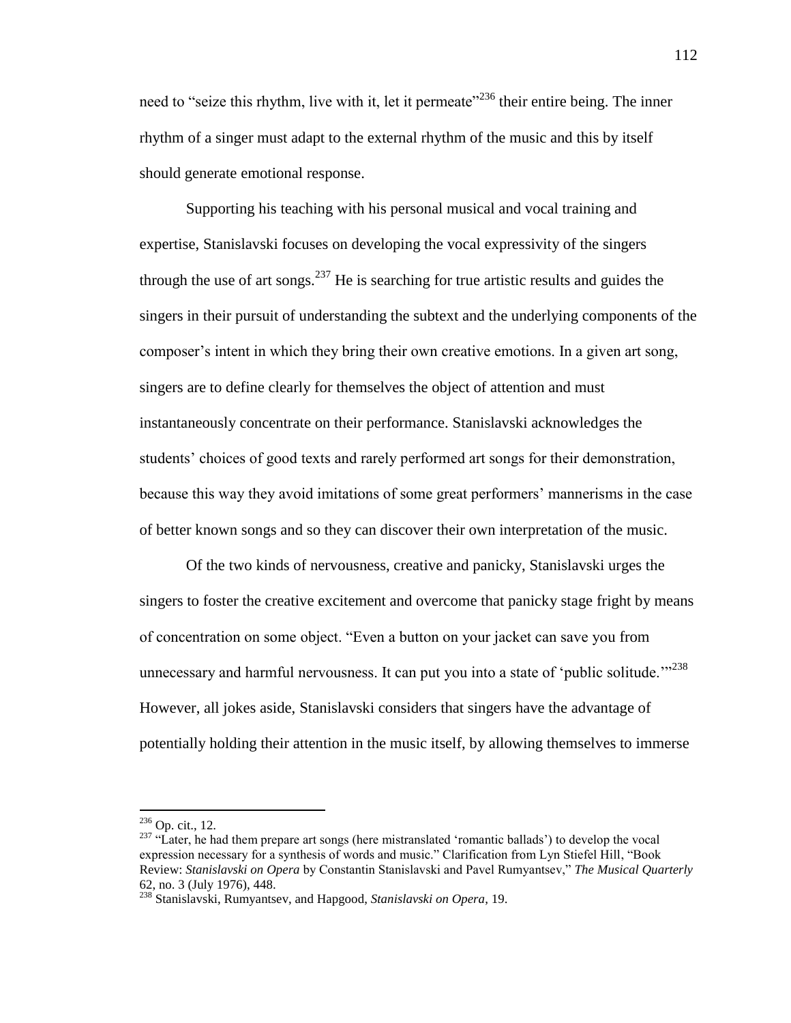need to "seize this rhythm, live with it, let it permeate"<sup>236</sup> their entire being. The inner rhythm of a singer must adapt to the external rhythm of the music and this by itself should generate emotional response.

Supporting his teaching with his personal musical and vocal training and expertise, Stanislavski focuses on developing the vocal expressivity of the singers through the use of art songs.<sup>237</sup> He is searching for true artistic results and guides the singers in their pursuit of understanding the subtext and the underlying components of the composer's intent in which they bring their own creative emotions. In a given art song, singers are to define clearly for themselves the object of attention and must instantaneously concentrate on their performance. Stanislavski acknowledges the students' choices of good texts and rarely performed art songs for their demonstration, because this way they avoid imitations of some great performers' mannerisms in the case of better known songs and so they can discover their own interpretation of the music.

Of the two kinds of nervousness, creative and panicky, Stanislavski urges the singers to foster the creative excitement and overcome that panicky stage fright by means of concentration on some object. "Even a button on your jacket can save you from unnecessary and harmful nervousness. It can put you into a state of 'public solitude.'"<sup>238</sup> However, all jokes aside, Stanislavski considers that singers have the advantage of potentially holding their attention in the music itself, by allowing themselves to immerse

 $236$  Op. cit., 12.

<sup>&</sup>lt;sup>237</sup> "Later, he had them prepare art songs (here mistranslated 'romantic ballads') to develop the vocal expression necessary for a synthesis of words and music." Clarification from Lyn Stiefel Hill, "Book Review: *Stanislavski on Opera* by Constantin Stanislavski and Pavel Rumyantsev,‖ *The Musical Quarterly* 62, no. 3 (July 1976), 448.

<sup>238</sup> Stanislavski, Rumyantsev, and Hapgood, *Stanislavski on Opera*, 19.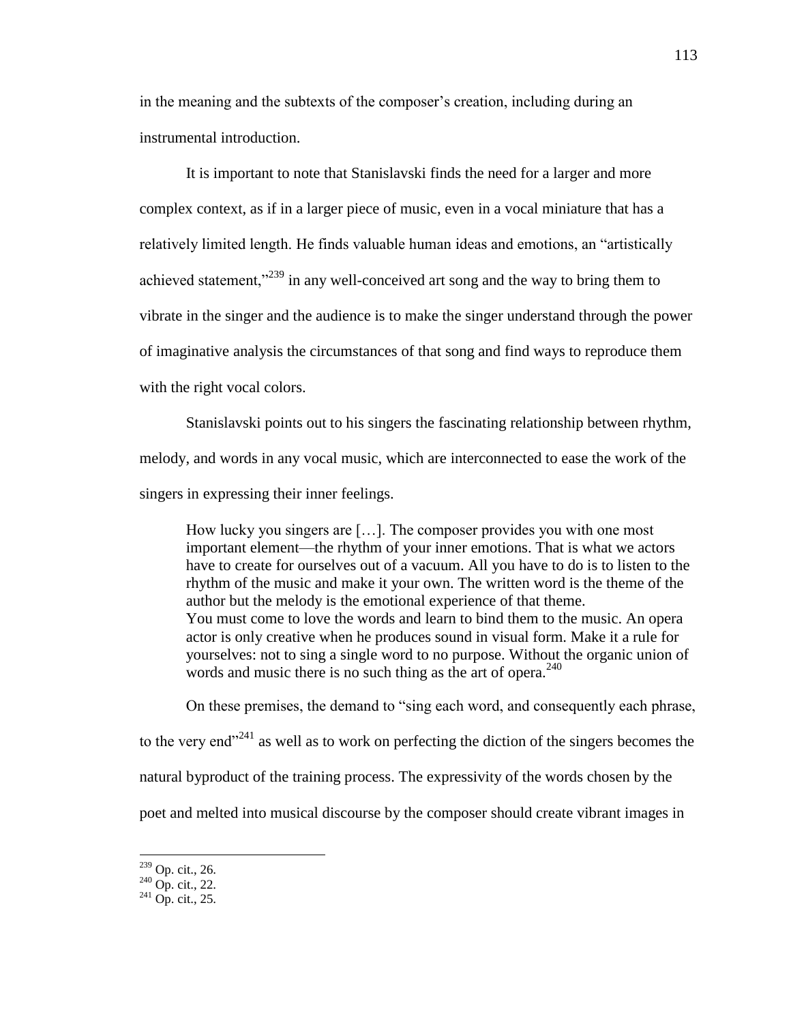in the meaning and the subtexts of the composer's creation, including during an instrumental introduction.

It is important to note that Stanislavski finds the need for a larger and more complex context, as if in a larger piece of music, even in a vocal miniature that has a relatively limited length. He finds valuable human ideas and emotions, an "artistically achieved statement,<sup>3239</sup> in any well-conceived art song and the way to bring them to vibrate in the singer and the audience is to make the singer understand through the power of imaginative analysis the circumstances of that song and find ways to reproduce them with the right vocal colors.

Stanislavski points out to his singers the fascinating relationship between rhythm, melody, and words in any vocal music, which are interconnected to ease the work of the singers in expressing their inner feelings.

How lucky you singers are […]. The composer provides you with one most important element—the rhythm of your inner emotions. That is what we actors have to create for ourselves out of a vacuum. All you have to do is to listen to the rhythm of the music and make it your own. The written word is the theme of the author but the melody is the emotional experience of that theme. You must come to love the words and learn to bind them to the music. An opera actor is only creative when he produces sound in visual form. Make it a rule for yourselves: not to sing a single word to no purpose. Without the organic union of words and music there is no such thing as the art of opera. $240$ 

On these premises, the demand to "sing each word, and consequently each phrase, to the very end $^{241}$  as well as to work on perfecting the diction of the singers becomes the natural byproduct of the training process. The expressivity of the words chosen by the poet and melted into musical discourse by the composer should create vibrant images in

<sup>&</sup>lt;sup>239</sup> Op. cit., 26.

 $2^{240}$  Op. cit., 22.

 $^{241}$  Op. cit., 25.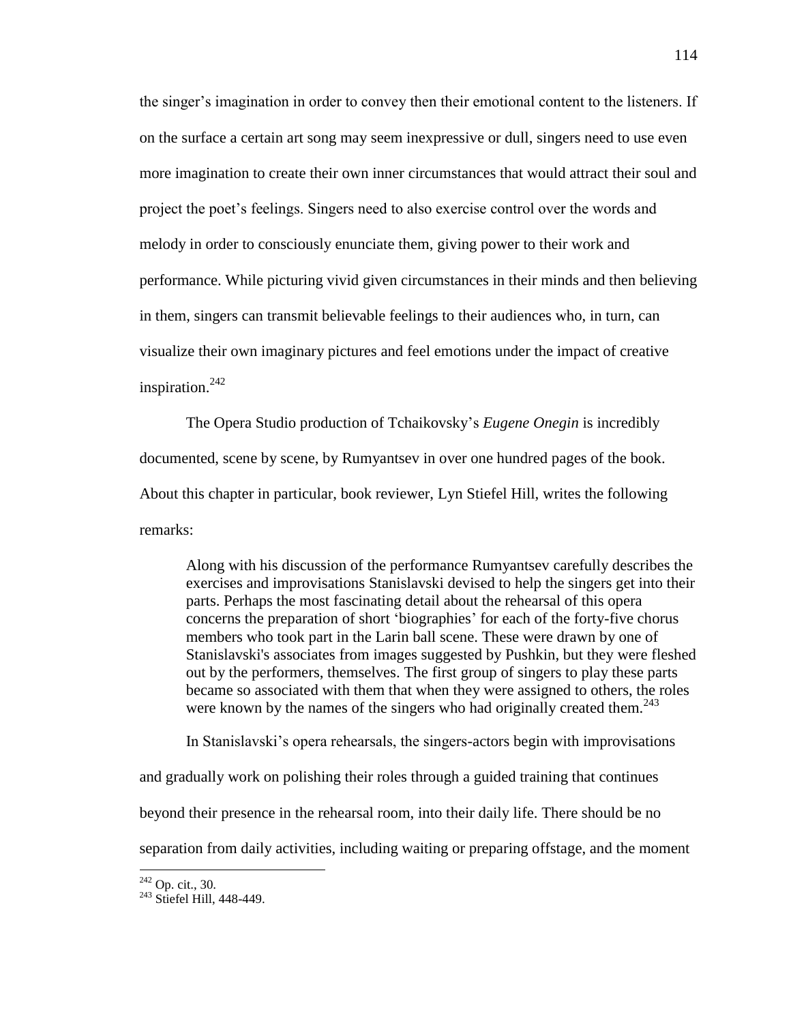the singer's imagination in order to convey then their emotional content to the listeners. If on the surface a certain art song may seem inexpressive or dull, singers need to use even more imagination to create their own inner circumstances that would attract their soul and project the poet's feelings. Singers need to also exercise control over the words and melody in order to consciously enunciate them, giving power to their work and performance. While picturing vivid given circumstances in their minds and then believing in them, singers can transmit believable feelings to their audiences who, in turn, can visualize their own imaginary pictures and feel emotions under the impact of creative inspiration. $242$ 

The Opera Studio production of Tchaikovsky's *Eugene Onegin* is incredibly documented, scene by scene, by Rumyantsev in over one hundred pages of the book. About this chapter in particular, book reviewer, Lyn Stiefel Hill, writes the following remarks:

Along with his discussion of the performance Rumyantsev carefully describes the exercises and improvisations Stanislavski devised to help the singers get into their parts. Perhaps the most fascinating detail about the rehearsal of this opera concerns the preparation of short ‗biographies' for each of the forty-five chorus members who took part in the Larin ball scene. These were drawn by one of Stanislavski's associates from images suggested by Pushkin, but they were fleshed out by the performers, themselves. The first group of singers to play these parts became so associated with them that when they were assigned to others, the roles were known by the names of the singers who had originally created them.<sup>243</sup>

In Stanislavski's opera rehearsals, the singers-actors begin with improvisations and gradually work on polishing their roles through a guided training that continues beyond their presence in the rehearsal room, into their daily life. There should be no separation from daily activities, including waiting or preparing offstage, and the moment

 $242$  Op. cit., 30.

<sup>243</sup> Stiefel Hill, 448-449.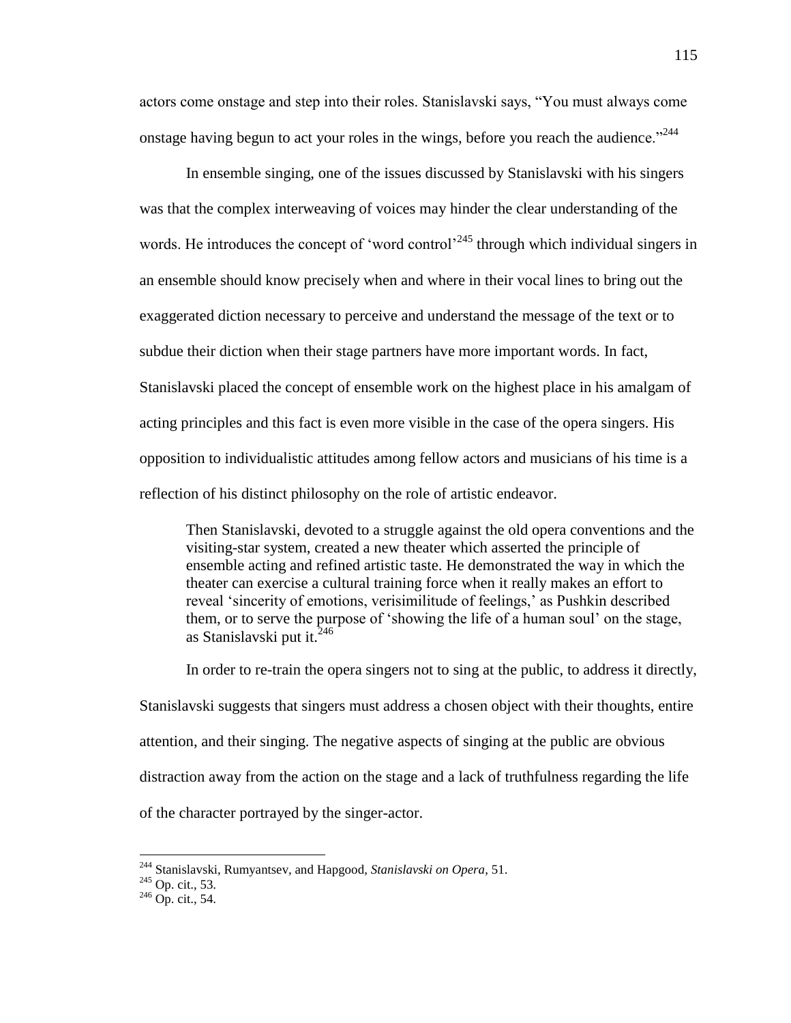actors come onstage and step into their roles. Stanislavski says, "You must always come onstage having begun to act your roles in the wings, before you reach the audience."<sup>244</sup>

In ensemble singing, one of the issues discussed by Stanislavski with his singers was that the complex interweaving of voices may hinder the clear understanding of the words. He introduces the concept of 'word control'<sup>245</sup> through which individual singers in an ensemble should know precisely when and where in their vocal lines to bring out the exaggerated diction necessary to perceive and understand the message of the text or to subdue their diction when their stage partners have more important words. In fact, Stanislavski placed the concept of ensemble work on the highest place in his amalgam of acting principles and this fact is even more visible in the case of the opera singers. His opposition to individualistic attitudes among fellow actors and musicians of his time is a reflection of his distinct philosophy on the role of artistic endeavor.

Then Stanislavski, devoted to a struggle against the old opera conventions and the visiting-star system, created a new theater which asserted the principle of ensemble acting and refined artistic taste. He demonstrated the way in which the theater can exercise a cultural training force when it really makes an effort to reveal 'sincerity of emotions, verisimilitude of feelings,' as Pushkin described them, or to serve the purpose of 'showing the life of a human soul' on the stage, as Stanislavski put it. $^{246}$ 

In order to re-train the opera singers not to sing at the public, to address it directly, Stanislavski suggests that singers must address a chosen object with their thoughts, entire attention, and their singing. The negative aspects of singing at the public are obvious distraction away from the action on the stage and a lack of truthfulness regarding the life of the character portrayed by the singer-actor.

 $^{245}$  Op. cit., 53.

<sup>244</sup> Stanislavski, Rumyantsev, and Hapgood, *Stanislavski on Opera*, 51.

 $^{246}$  Op. cit., 54.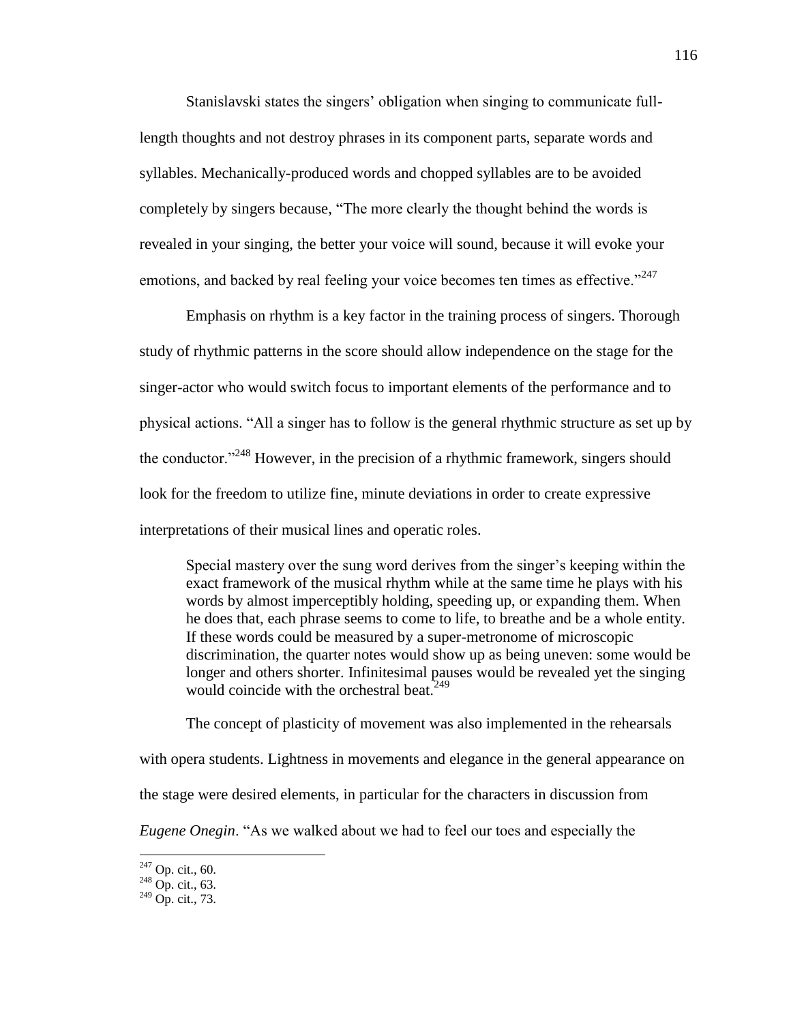Stanislavski states the singers' obligation when singing to communicate fulllength thoughts and not destroy phrases in its component parts, separate words and syllables. Mechanically-produced words and chopped syllables are to be avoided completely by singers because, "The more clearly the thought behind the words is revealed in your singing, the better your voice will sound, because it will evoke your emotions, and backed by real feeling your voice becomes ten times as effective." $247$ 

Emphasis on rhythm is a key factor in the training process of singers. Thorough study of rhythmic patterns in the score should allow independence on the stage for the singer-actor who would switch focus to important elements of the performance and to physical actions. ―All a singer has to follow is the general rhythmic structure as set up by the conductor.<sup>3248</sup> However, in the precision of a rhythmic framework, singers should look for the freedom to utilize fine, minute deviations in order to create expressive interpretations of their musical lines and operatic roles.

Special mastery over the sung word derives from the singer's keeping within the exact framework of the musical rhythm while at the same time he plays with his words by almost imperceptibly holding, speeding up, or expanding them. When he does that, each phrase seems to come to life, to breathe and be a whole entity. If these words could be measured by a super-metronome of microscopic discrimination, the quarter notes would show up as being uneven: some would be longer and others shorter. Infinitesimal pauses would be revealed yet the singing would coincide with the orchestral beat.<sup>249</sup>

The concept of plasticity of movement was also implemented in the rehearsals

with opera students. Lightness in movements and elegance in the general appearance on

the stage were desired elements, in particular for the characters in discussion from

*Eugene Onegin*. "As we walked about we had to feel our toes and especially the

 $247$  Op. cit., 60.

 $248$  Op. cit., 63.

 $249$  Op. cit., 73.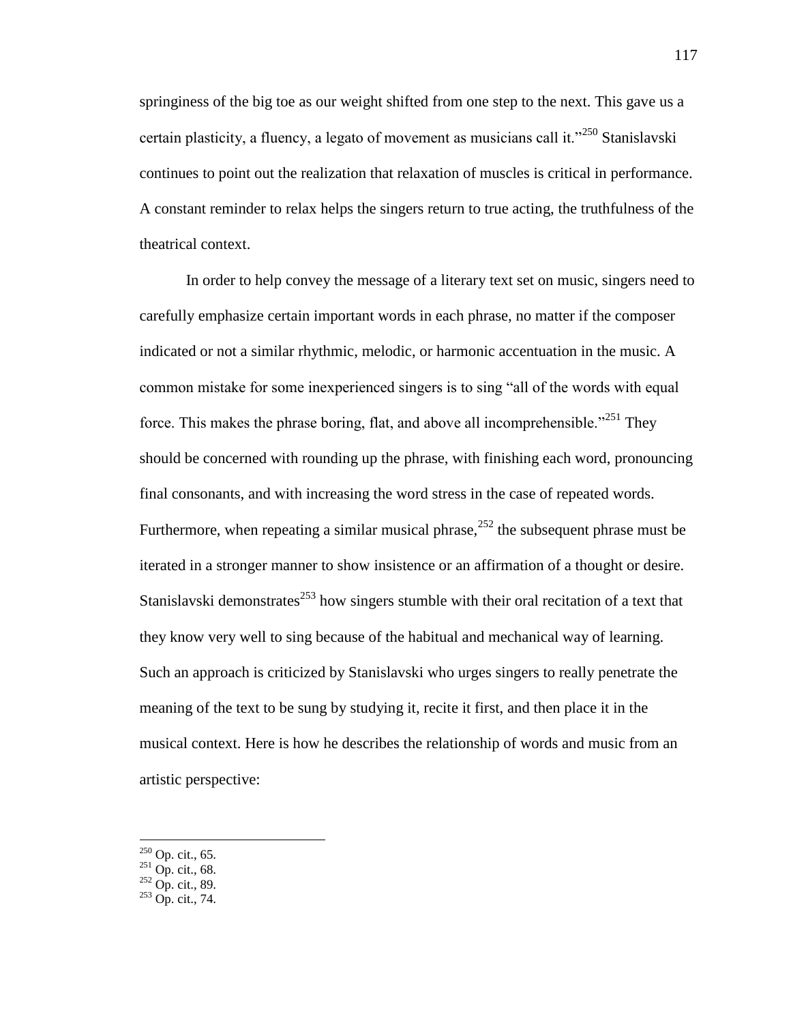springiness of the big toe as our weight shifted from one step to the next. This gave us a certain plasticity, a fluency, a legato of movement as musicians call it.<sup> $250$ </sup> Stanislavski continues to point out the realization that relaxation of muscles is critical in performance. A constant reminder to relax helps the singers return to true acting, the truthfulness of the theatrical context.

In order to help convey the message of a literary text set on music, singers need to carefully emphasize certain important words in each phrase, no matter if the composer indicated or not a similar rhythmic, melodic, or harmonic accentuation in the music. A common mistake for some inexperienced singers is to sing "all of the words with equal force. This makes the phrase boring, flat, and above all incomprehensible.<sup> $251$ </sup> They should be concerned with rounding up the phrase, with finishing each word, pronouncing final consonants, and with increasing the word stress in the case of repeated words. Furthermore, when repeating a similar musical phrase,<sup>252</sup> the subsequent phrase must be iterated in a stronger manner to show insistence or an affirmation of a thought or desire. Stanislavski demonstrates<sup>253</sup> how singers stumble with their oral recitation of a text that they know very well to sing because of the habitual and mechanical way of learning. Such an approach is criticized by Stanislavski who urges singers to really penetrate the meaning of the text to be sung by studying it, recite it first, and then place it in the musical context. Here is how he describes the relationship of words and music from an artistic perspective:

 $^{250}$  Op. cit., 65.

- $251$  Op. cit., 68.
- $252$  Op. cit., 89.
- $^{253}$  Op. cit., 74.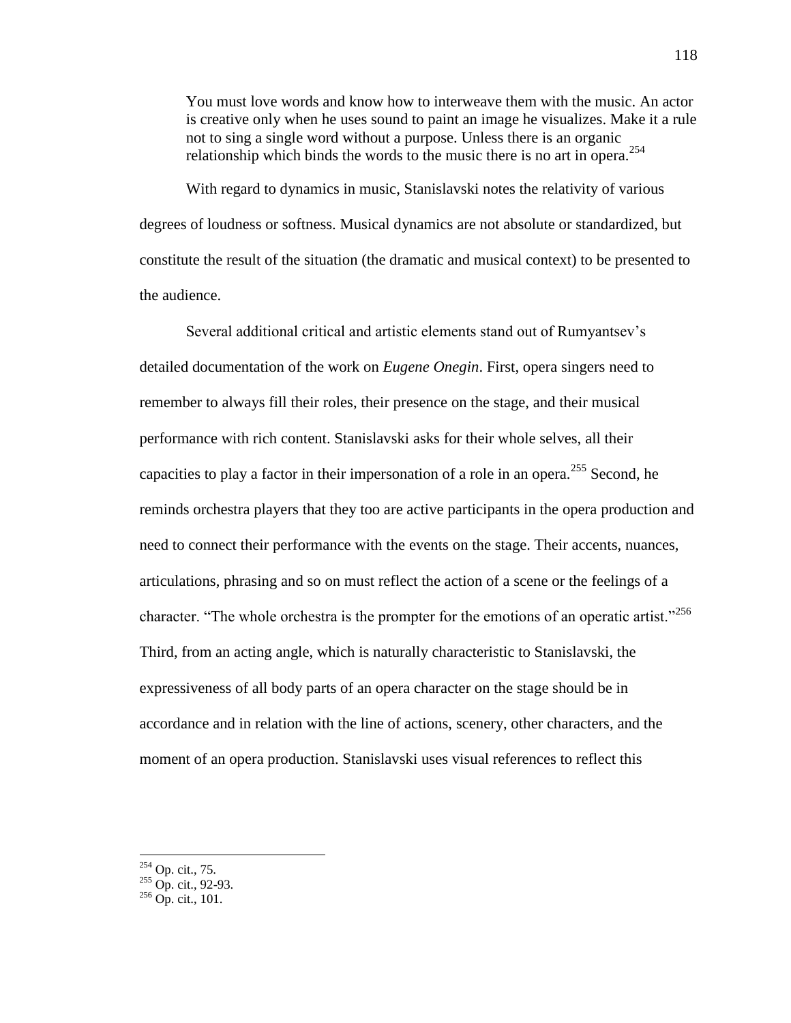You must love words and know how to interweave them with the music. An actor is creative only when he uses sound to paint an image he visualizes. Make it a rule not to sing a single word without a purpose. Unless there is an organic relationship which binds the words to the music there is no art in opera.<sup>254</sup>

With regard to dynamics in music, Stanislavski notes the relativity of various degrees of loudness or softness. Musical dynamics are not absolute or standardized, but constitute the result of the situation (the dramatic and musical context) to be presented to the audience.

Several additional critical and artistic elements stand out of Rumyantsev's detailed documentation of the work on *Eugene Onegin*. First, opera singers need to remember to always fill their roles, their presence on the stage, and their musical performance with rich content. Stanislavski asks for their whole selves, all their capacities to play a factor in their impersonation of a role in an opera.<sup>255</sup> Second, he reminds orchestra players that they too are active participants in the opera production and need to connect their performance with the events on the stage. Their accents, nuances, articulations, phrasing and so on must reflect the action of a scene or the feelings of a character. "The whole orchestra is the prompter for the emotions of an operatic artist."<sup>256</sup> Third, from an acting angle, which is naturally characteristic to Stanislavski, the expressiveness of all body parts of an opera character on the stage should be in accordance and in relation with the line of actions, scenery, other characters, and the moment of an opera production. Stanislavski uses visual references to reflect this

<sup>&</sup>lt;sup>254</sup> Op. cit., 75.

 $^{255}$  Op. cit., 92-93.

 $^{256}$  Op. cit., 101.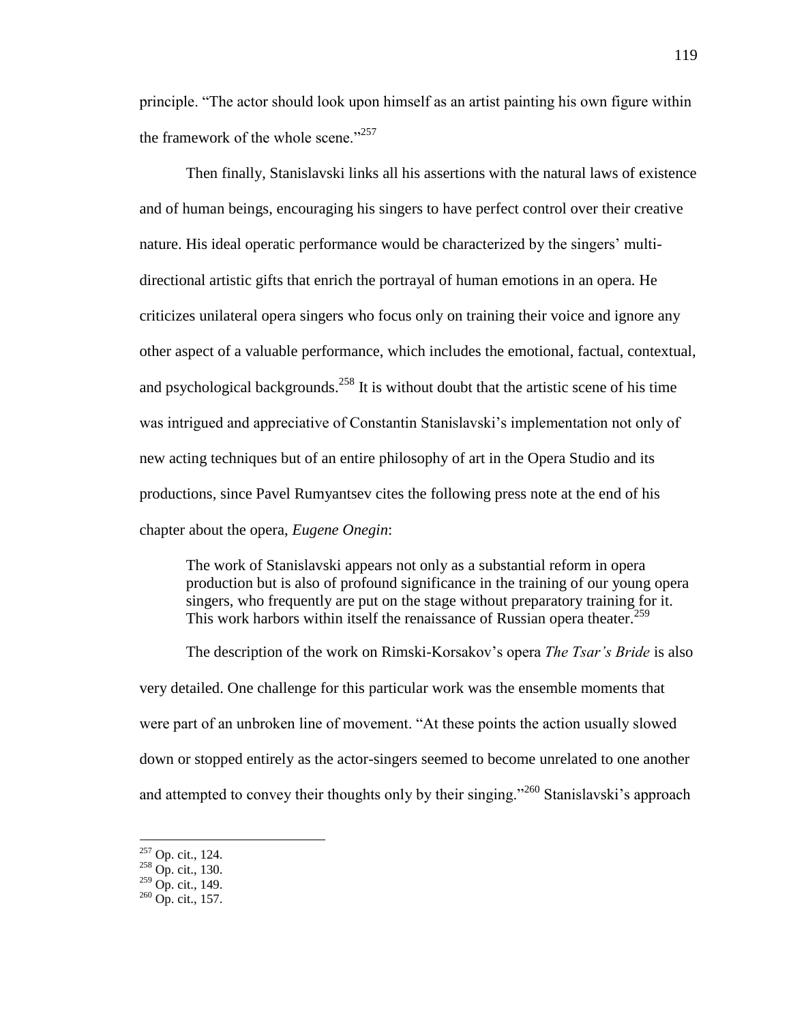principle. ―The actor should look upon himself as an artist painting his own figure within the framework of the whole scene." $257$ 

Then finally, Stanislavski links all his assertions with the natural laws of existence and of human beings, encouraging his singers to have perfect control over their creative nature. His ideal operatic performance would be characterized by the singers' multidirectional artistic gifts that enrich the portrayal of human emotions in an opera. He criticizes unilateral opera singers who focus only on training their voice and ignore any other aspect of a valuable performance, which includes the emotional, factual, contextual, and psychological backgrounds.<sup>258</sup> It is without doubt that the artistic scene of his time was intrigued and appreciative of Constantin Stanislavski's implementation not only of new acting techniques but of an entire philosophy of art in the Opera Studio and its productions, since Pavel Rumyantsev cites the following press note at the end of his chapter about the opera, *Eugene Onegin*:

The work of Stanislavski appears not only as a substantial reform in opera production but is also of profound significance in the training of our young opera singers, who frequently are put on the stage without preparatory training for it. This work harbors within itself the renaissance of Russian opera theater.<sup>259</sup>

The description of the work on Rimski-Korsakov's opera *The Tsar's Bride* is also very detailed. One challenge for this particular work was the ensemble moments that were part of an unbroken line of movement. "At these points the action usually slowed down or stopped entirely as the actor-singers seemed to become unrelated to one another and attempted to convey their thoughts only by their singing.<sup> $260$ </sup> Stanislavski's approach

 $^{257}$  Op. cit., 124.

<sup>258</sup> Op. cit., 130.

 $^{259}$  Op. cit., 149.

 $260$  Op. cit., 157.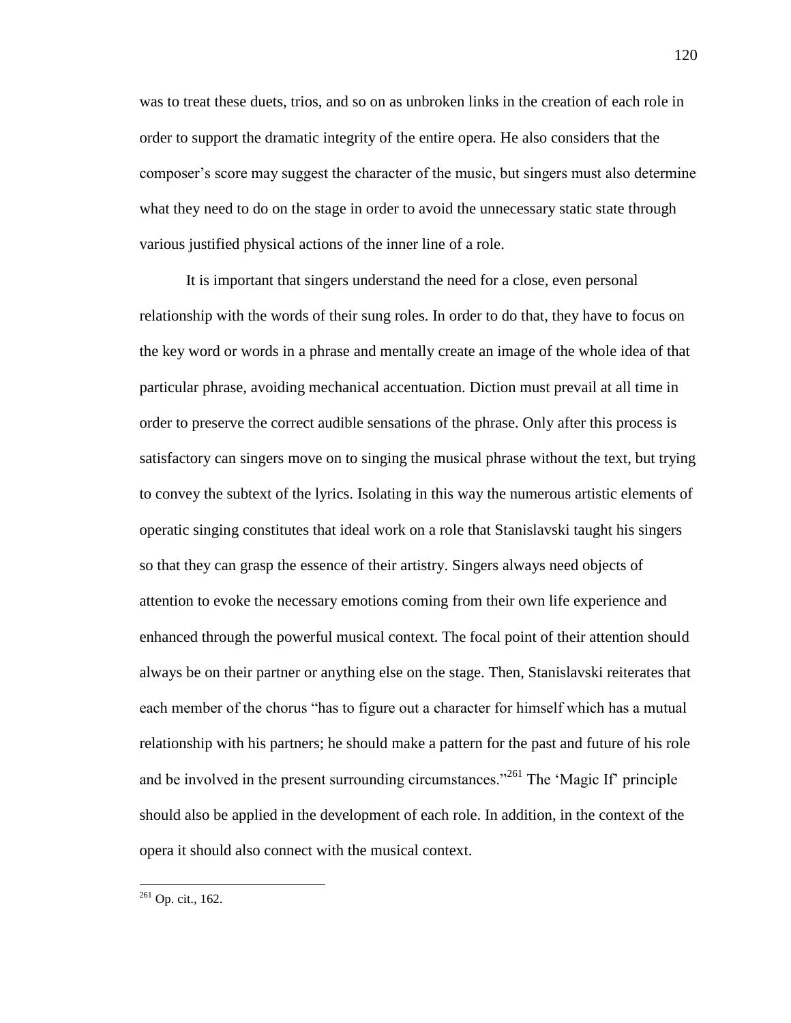was to treat these duets, trios, and so on as unbroken links in the creation of each role in order to support the dramatic integrity of the entire opera. He also considers that the composer's score may suggest the character of the music, but singers must also determine what they need to do on the stage in order to avoid the unnecessary static state through various justified physical actions of the inner line of a role.

It is important that singers understand the need for a close, even personal relationship with the words of their sung roles. In order to do that, they have to focus on the key word or words in a phrase and mentally create an image of the whole idea of that particular phrase, avoiding mechanical accentuation. Diction must prevail at all time in order to preserve the correct audible sensations of the phrase. Only after this process is satisfactory can singers move on to singing the musical phrase without the text, but trying to convey the subtext of the lyrics. Isolating in this way the numerous artistic elements of operatic singing constitutes that ideal work on a role that Stanislavski taught his singers so that they can grasp the essence of their artistry. Singers always need objects of attention to evoke the necessary emotions coming from their own life experience and enhanced through the powerful musical context. The focal point of their attention should always be on their partner or anything else on the stage. Then, Stanislavski reiterates that each member of the chorus "has to figure out a character for himself which has a mutual relationship with his partners; he should make a pattern for the past and future of his role and be involved in the present surrounding circumstances.<sup> $261$ </sup> The 'Magic If' principle should also be applied in the development of each role. In addition, in the context of the opera it should also connect with the musical context.

 $^{261}$  Op. cit., 162.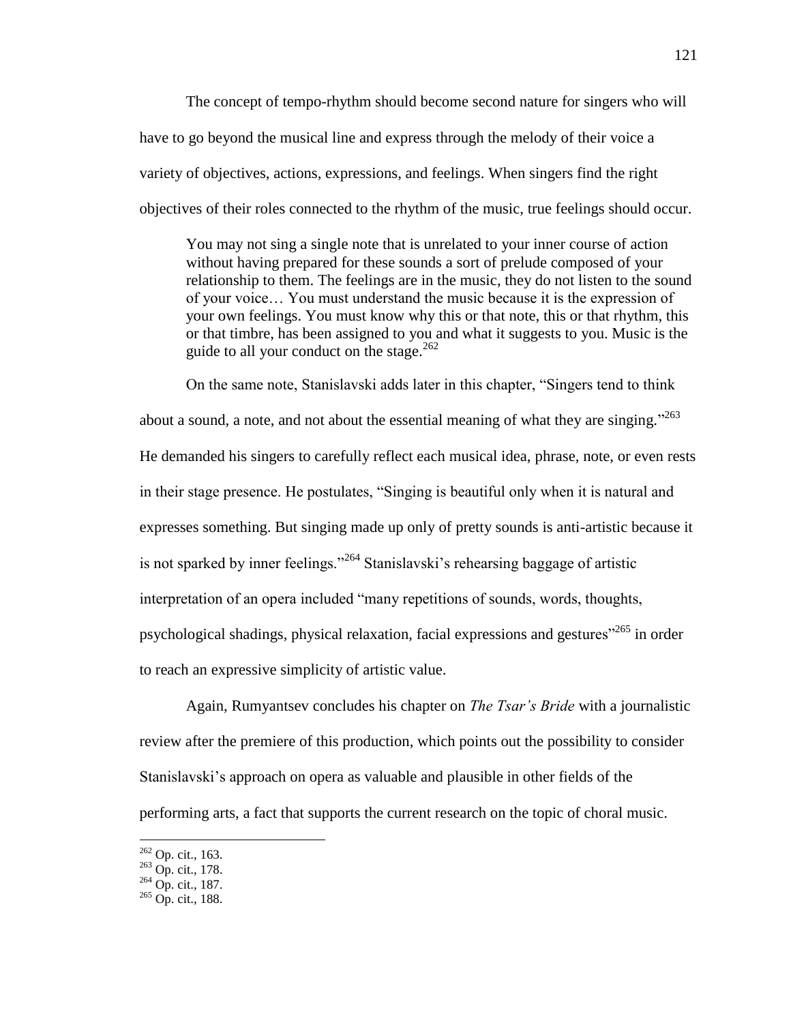The concept of tempo-rhythm should become second nature for singers who will have to go beyond the musical line and express through the melody of their voice a variety of objectives, actions, expressions, and feelings. When singers find the right objectives of their roles connected to the rhythm of the music, true feelings should occur.

You may not sing a single note that is unrelated to your inner course of action without having prepared for these sounds a sort of prelude composed of your relationship to them. The feelings are in the music, they do not listen to the sound of your voice… You must understand the music because it is the expression of your own feelings. You must know why this or that note, this or that rhythm, this or that timbre, has been assigned to you and what it suggests to you. Music is the guide to all your conduct on the stage. $^{262}$ 

On the same note, Stanislavski adds later in this chapter, "Singers tend to think about a sound, a note, and not about the essential meaning of what they are singing.<sup>263</sup> He demanded his singers to carefully reflect each musical idea, phrase, note, or even rests in their stage presence. He postulates, "Singing is beautiful only when it is natural and expresses something. But singing made up only of pretty sounds is anti-artistic because it is not sparked by inner feelings."<sup>264</sup> Stanislavski's rehearsing baggage of artistic interpretation of an opera included "many repetitions of sounds, words, thoughts, psychological shadings, physical relaxation, facial expressions and gestures<sup>3265</sup> in order to reach an expressive simplicity of artistic value.

Again, Rumyantsev concludes his chapter on *The Tsar's Bride* with a journalistic review after the premiere of this production, which points out the possibility to consider Stanislavski's approach on opera as valuable and plausible in other fields of the performing arts, a fact that supports the current research on the topic of choral music.

 $262$  Op. cit., 163.

<sup>263</sup> Op. cit., 178.

<sup>264</sup> Op. cit., 187.

<sup>265</sup> Op. cit., 188.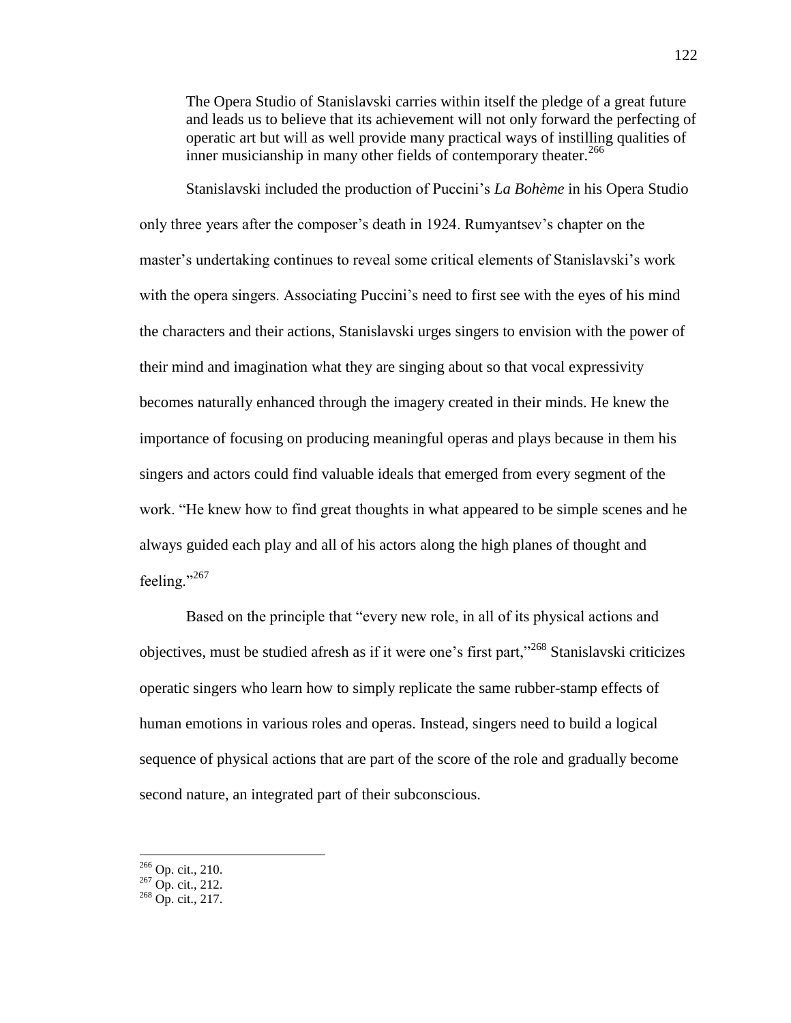The Opera Studio of Stanislavski carries within itself the pledge of a great future and leads us to believe that its achievement will not only forward the perfecting of operatic art but will as well provide many practical ways of instilling qualities of inner musicianship in many other fields of contemporary theater.<sup>266</sup>

Stanislavski included the production of Puccini's *La Bohème* in his Opera Studio only three years after the composer's death in 1924. Rumyantsev's chapter on the master's undertaking continues to reveal some critical elements of Stanislavski's work with the opera singers. Associating Puccini's need to first see with the eyes of his mind the characters and their actions, Stanislavski urges singers to envision with the power of their mind and imagination what they are singing about so that vocal expressivity becomes naturally enhanced through the imagery created in their minds. He knew the importance of focusing on producing meaningful operas and plays because in them his singers and actors could find valuable ideals that emerged from every segment of the work. "He knew how to find great thoughts in what appeared to be simple scenes and he always guided each play and all of his actors along the high planes of thought and feeling." $^{267}$ 

Based on the principle that "every new role, in all of its physical actions and objectives, must be studied afresh as if it were one's first part," $^{268}$  Stanislavski criticizes operatic singers who learn how to simply replicate the same rubber-stamp effects of human emotions in various roles and operas. Instead, singers need to build a logical sequence of physical actions that are part of the score of the role and gradually become second nature, an integrated part of their subconscious.

<sup>&</sup>lt;sup>266</sup> Op. cit., 210.

 $^{267}$  Op. cit., 212.

 $268$  Op. cit., 217.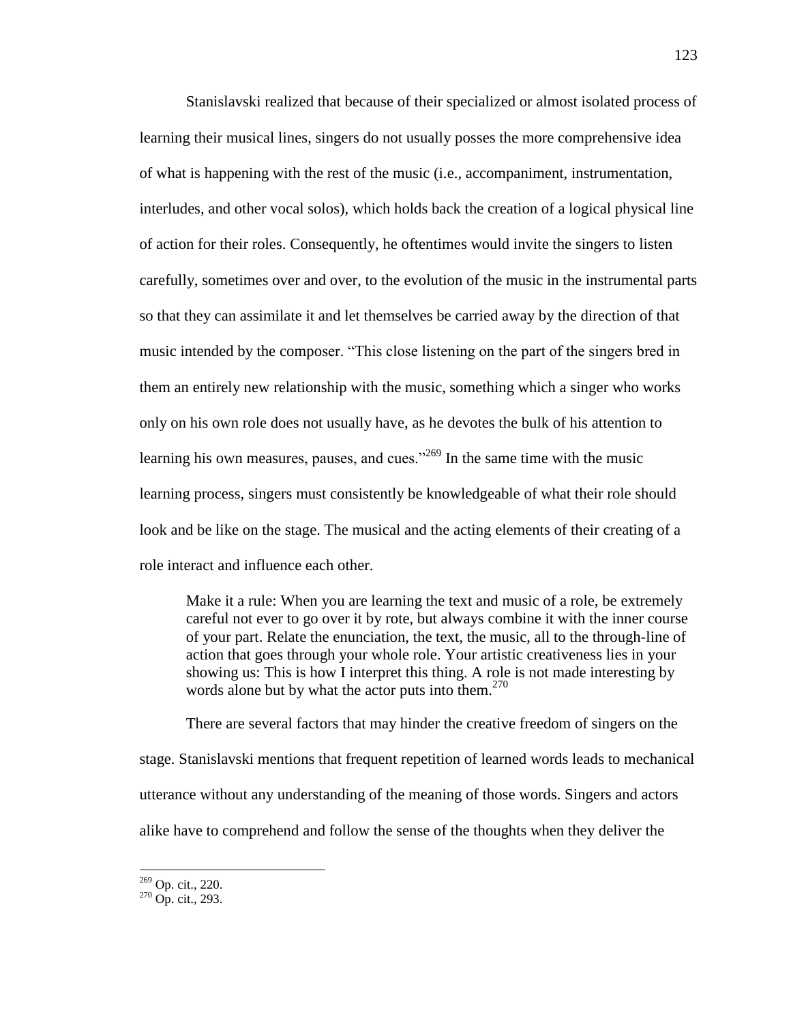Stanislavski realized that because of their specialized or almost isolated process of learning their musical lines, singers do not usually posses the more comprehensive idea of what is happening with the rest of the music (i.e., accompaniment, instrumentation, interludes, and other vocal solos), which holds back the creation of a logical physical line of action for their roles. Consequently, he oftentimes would invite the singers to listen carefully, sometimes over and over, to the evolution of the music in the instrumental parts so that they can assimilate it and let themselves be carried away by the direction of that music intended by the composer. "This close listening on the part of the singers bred in them an entirely new relationship with the music, something which a singer who works only on his own role does not usually have, as he devotes the bulk of his attention to learning his own measures, pauses, and cues. $1269$  In the same time with the music learning process, singers must consistently be knowledgeable of what their role should look and be like on the stage. The musical and the acting elements of their creating of a role interact and influence each other.

Make it a rule: When you are learning the text and music of a role, be extremely careful not ever to go over it by rote, but always combine it with the inner course of your part. Relate the enunciation, the text, the music, all to the through-line of action that goes through your whole role. Your artistic creativeness lies in your showing us: This is how I interpret this thing. A role is not made interesting by words alone but by what the actor puts into them.<sup>270</sup>

There are several factors that may hinder the creative freedom of singers on the stage. Stanislavski mentions that frequent repetition of learned words leads to mechanical utterance without any understanding of the meaning of those words. Singers and actors alike have to comprehend and follow the sense of the thoughts when they deliver the

<sup>269</sup> Op. cit., 220.

 $270$  Op. cit., 293.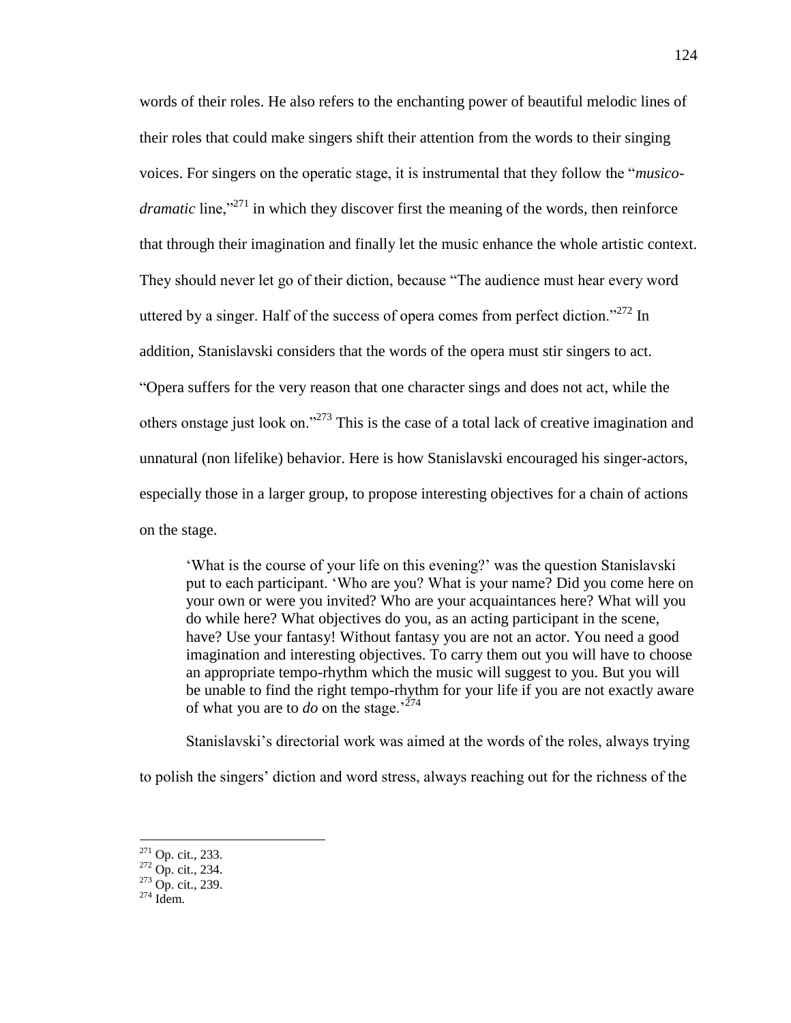words of their roles. He also refers to the enchanting power of beautiful melodic lines of their roles that could make singers shift their attention from the words to their singing voices. For singers on the operatic stage, it is instrumental that they follow the "*musicodramatic* line,"<sup>271</sup> in which they discover first the meaning of the words, then reinforce that through their imagination and finally let the music enhance the whole artistic context. They should never let go of their diction, because "The audience must hear every word uttered by a singer. Half of the success of opera comes from perfect diction.<sup>3272</sup> In addition, Stanislavski considers that the words of the opera must stir singers to act. ―Opera suffers for the very reason that one character sings and does not act, while the others onstage just look on."<sup>273</sup> This is the case of a total lack of creative imagination and unnatural (non lifelike) behavior. Here is how Stanislavski encouraged his singer-actors, especially those in a larger group, to propose interesting objectives for a chain of actions on the stage.

‗What is the course of your life on this evening?' was the question Stanislavski put to each participant. ‗Who are you? What is your name? Did you come here on your own or were you invited? Who are your acquaintances here? What will you do while here? What objectives do you, as an acting participant in the scene, have? Use your fantasy! Without fantasy you are not an actor. You need a good imagination and interesting objectives. To carry them out you will have to choose an appropriate tempo-rhythm which the music will suggest to you. But you will be unable to find the right tempo-rhythm for your life if you are not exactly aware of what you are to *do* on the stage.<sup>274</sup>

Stanislavski's directorial work was aimed at the words of the roles, always trying to polish the singers' diction and word stress, always reaching out for the richness of the

 $^{271}$  Op. cit., 233.

 $272$  Op. cit., 234.

 $273$  Op. cit., 239.

 $274$  Idem.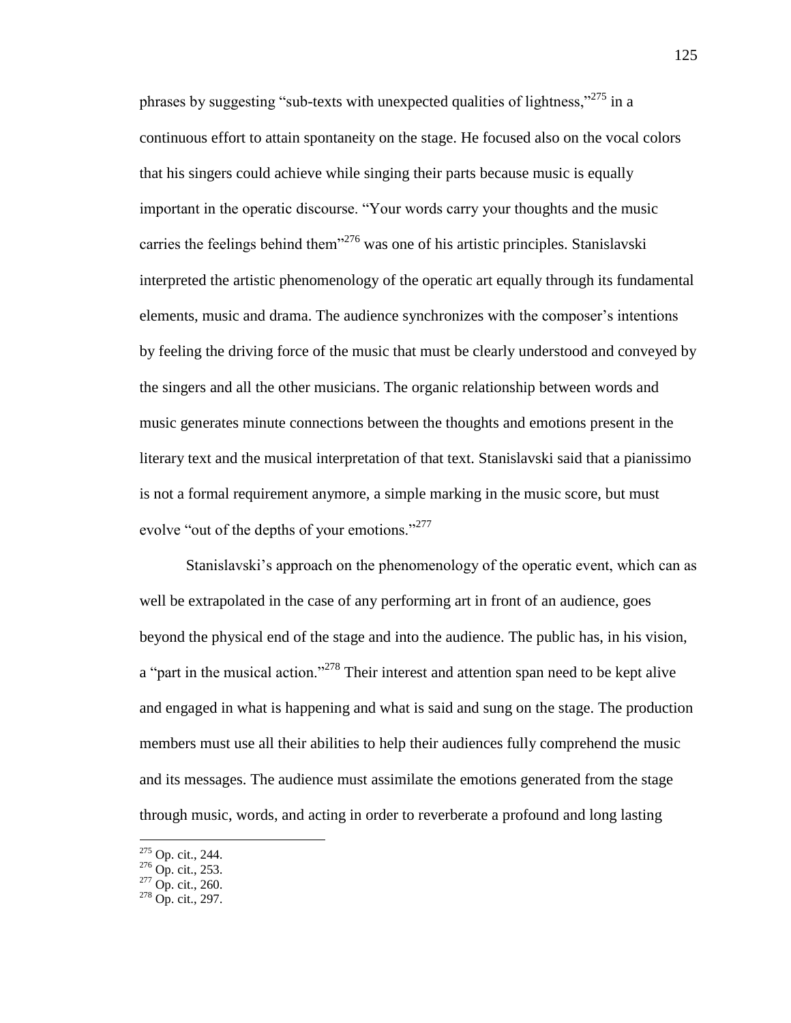phrases by suggesting "sub-texts with unexpected qualities of lightness," $^{275}$  in a continuous effort to attain spontaneity on the stage. He focused also on the vocal colors that his singers could achieve while singing their parts because music is equally important in the operatic discourse. "Your words carry your thoughts and the music carries the feelings behind them<sup>3276</sup> was one of his artistic principles. Stanislavski interpreted the artistic phenomenology of the operatic art equally through its fundamental elements, music and drama. The audience synchronizes with the composer's intentions by feeling the driving force of the music that must be clearly understood and conveyed by the singers and all the other musicians. The organic relationship between words and music generates minute connections between the thoughts and emotions present in the literary text and the musical interpretation of that text. Stanislavski said that a pianissimo is not a formal requirement anymore, a simple marking in the music score, but must evolve "out of the depths of your emotions."<sup>277</sup>

Stanislavski's approach on the phenomenology of the operatic event, which can as well be extrapolated in the case of any performing art in front of an audience, goes beyond the physical end of the stage and into the audience. The public has, in his vision, a "part in the musical action."<sup>278</sup> Their interest and attention span need to be kept alive and engaged in what is happening and what is said and sung on the stage. The production members must use all their abilities to help their audiences fully comprehend the music and its messages. The audience must assimilate the emotions generated from the stage through music, words, and acting in order to reverberate a profound and long lasting

<sup>&</sup>lt;sup>275</sup> Op. cit., 244.

 $276$  Op. cit., 253.

 $277$  Op. cit., 260.

 $278$  Op. cit., 297.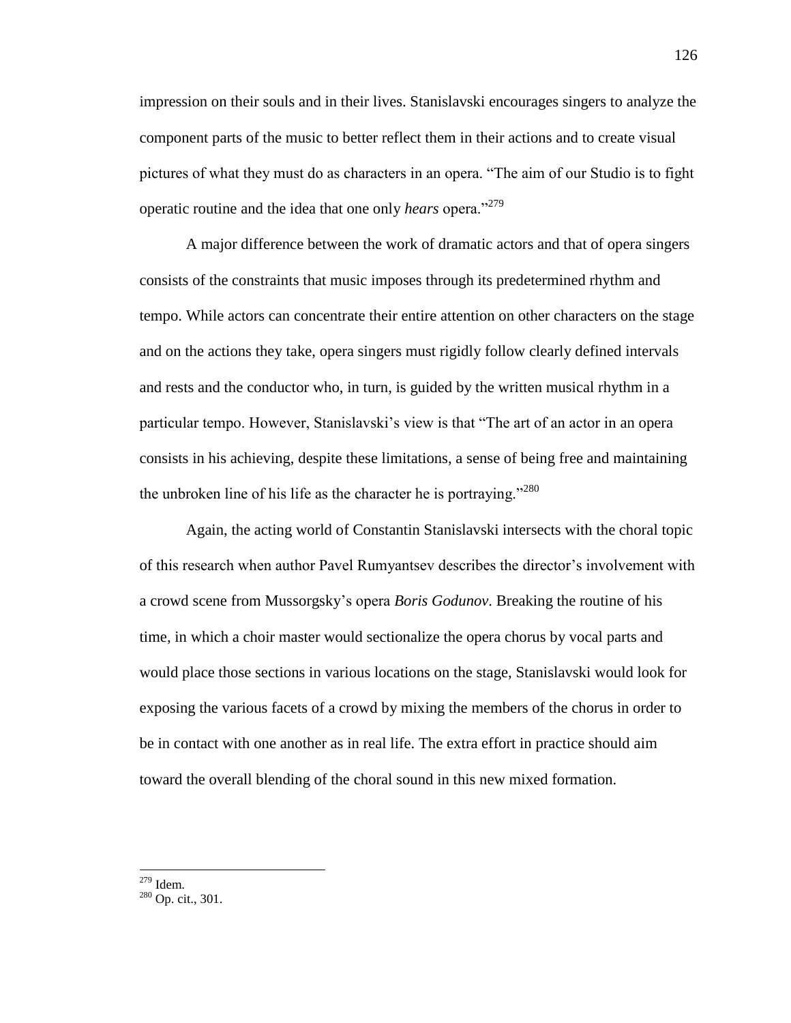impression on their souls and in their lives. Stanislavski encourages singers to analyze the component parts of the music to better reflect them in their actions and to create visual pictures of what they must do as characters in an opera. "The aim of our Studio is to fight operatic routine and the idea that one only *hears* opera."<sup>279</sup>

A major difference between the work of dramatic actors and that of opera singers consists of the constraints that music imposes through its predetermined rhythm and tempo. While actors can concentrate their entire attention on other characters on the stage and on the actions they take, opera singers must rigidly follow clearly defined intervals and rests and the conductor who, in turn, is guided by the written musical rhythm in a particular tempo. However, Stanislavski's view is that "The art of an actor in an opera consists in his achieving, despite these limitations, a sense of being free and maintaining the unbroken line of his life as the character he is portraying."<sup>280</sup>

Again, the acting world of Constantin Stanislavski intersects with the choral topic of this research when author Pavel Rumyantsev describes the director's involvement with a crowd scene from Mussorgsky's opera *Boris Godunov*. Breaking the routine of his time, in which a choir master would sectionalize the opera chorus by vocal parts and would place those sections in various locations on the stage, Stanislavski would look for exposing the various facets of a crowd by mixing the members of the chorus in order to be in contact with one another as in real life. The extra effort in practice should aim toward the overall blending of the choral sound in this new mixed formation.

 $^{279}$  Idem.

<sup>280</sup> Op. cit., 301.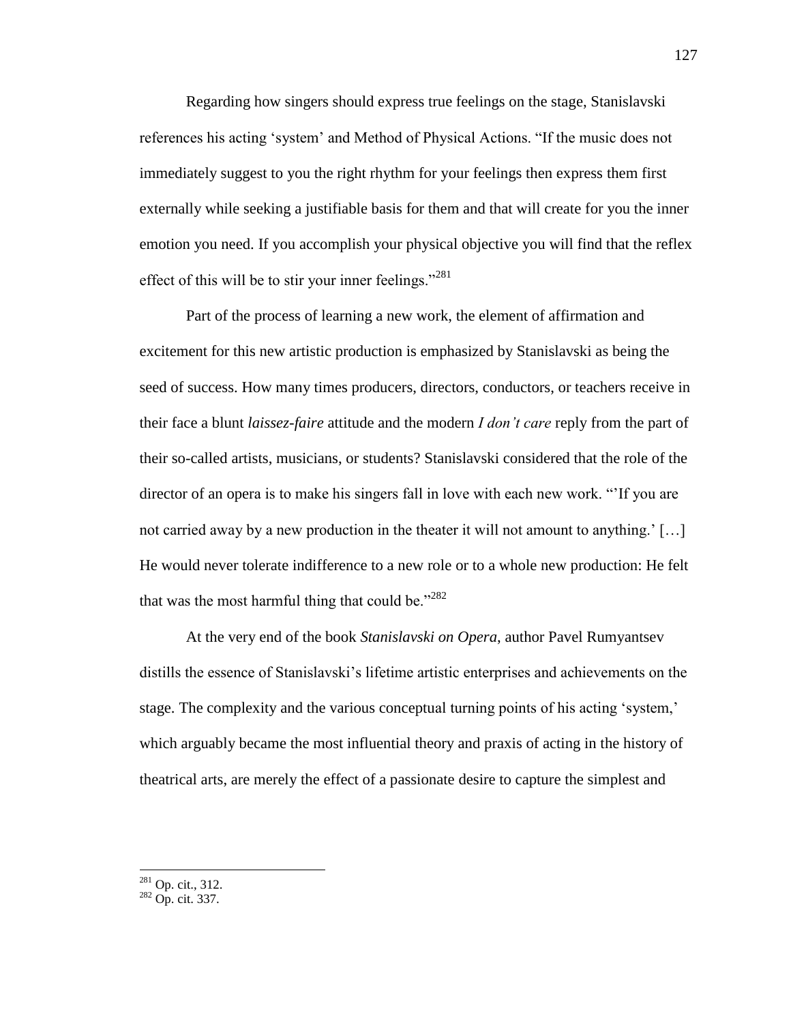Regarding how singers should express true feelings on the stage, Stanislavski references his acting 'system' and Method of Physical Actions. "If the music does not immediately suggest to you the right rhythm for your feelings then express them first externally while seeking a justifiable basis for them and that will create for you the inner emotion you need. If you accomplish your physical objective you will find that the reflex effect of this will be to stir your inner feelings."<sup>281</sup>

Part of the process of learning a new work, the element of affirmation and excitement for this new artistic production is emphasized by Stanislavski as being the seed of success. How many times producers, directors, conductors, or teachers receive in their face a blunt *laissez-faire* attitude and the modern *I don't care* reply from the part of their so-called artists, musicians, or students? Stanislavski considered that the role of the director of an opera is to make his singers fall in love with each new work. "If you are not carried away by a new production in the theater it will not amount to anything.' […] He would never tolerate indifference to a new role or to a whole new production: He felt that was the most harmful thing that could be." $282$ 

At the very end of the book *Stanislavski on Opera*, author Pavel Rumyantsev distills the essence of Stanislavski's lifetime artistic enterprises and achievements on the stage. The complexity and the various conceptual turning points of his acting 'system,' which arguably became the most influential theory and praxis of acting in the history of theatrical arts, are merely the effect of a passionate desire to capture the simplest and

 $281$  Op. cit., 312.

 $^{282}$  Op. cit. 337.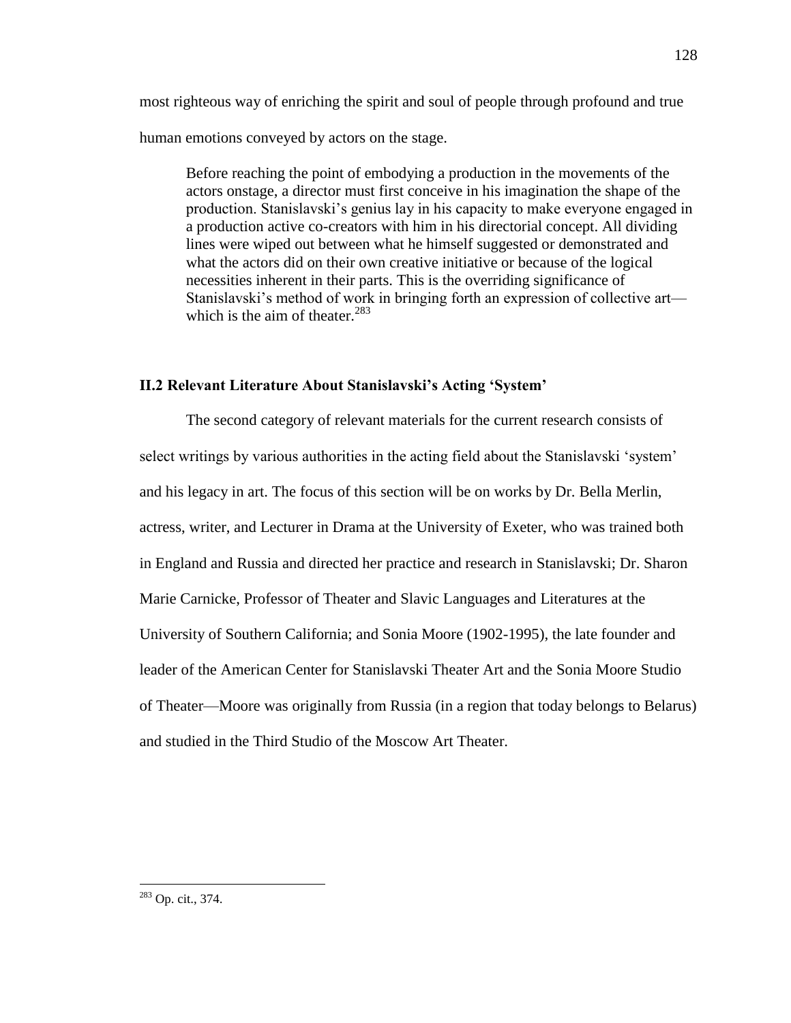most righteous way of enriching the spirit and soul of people through profound and true human emotions conveyed by actors on the stage.

Before reaching the point of embodying a production in the movements of the actors onstage, a director must first conceive in his imagination the shape of the production. Stanislavski's genius lay in his capacity to make everyone engaged in a production active co-creators with him in his directorial concept. All dividing lines were wiped out between what he himself suggested or demonstrated and what the actors did on their own creative initiative or because of the logical necessities inherent in their parts. This is the overriding significance of Stanislavski's method of work in bringing forth an expression of collective art which is the aim of theater.  $283$ 

# **II.2 Relevant Literature About Stanislavski's Acting 'System'**

The second category of relevant materials for the current research consists of select writings by various authorities in the acting field about the Stanislavski 'system' and his legacy in art. The focus of this section will be on works by Dr. Bella Merlin, actress, writer, and Lecturer in Drama at the University of Exeter, who was trained both in England and Russia and directed her practice and research in Stanislavski; Dr. Sharon Marie Carnicke, Professor of Theater and Slavic Languages and Literatures at the University of Southern California; and Sonia Moore (1902-1995), the late founder and leader of the American Center for Stanislavski Theater Art and the Sonia Moore Studio of Theater—Moore was originally from Russia (in a region that today belongs to Belarus) and studied in the Third Studio of the Moscow Art Theater.

 $\overline{a}$  $^{283}$  Op. cit., 374.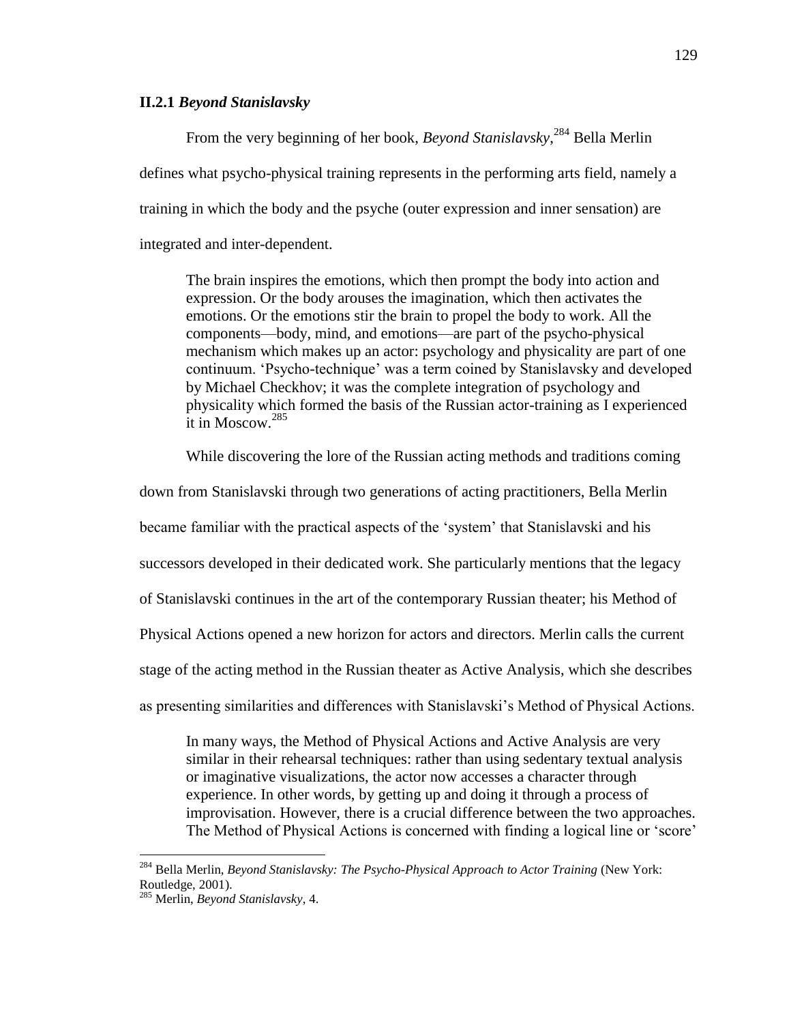## **II.2.1** *Beyond Stanislavsky*

From the very beginning of her book, *Beyond Stanislavsky*, <sup>284</sup> Bella Merlin defines what psycho-physical training represents in the performing arts field, namely a training in which the body and the psyche (outer expression and inner sensation) are integrated and inter-dependent.

The brain inspires the emotions, which then prompt the body into action and expression. Or the body arouses the imagination, which then activates the emotions. Or the emotions stir the brain to propel the body to work. All the components—body, mind, and emotions—are part of the psycho-physical mechanism which makes up an actor: psychology and physicality are part of one continuum. 'Psycho-technique' was a term coined by Stanislavsky and developed by Michael Checkhov; it was the complete integration of psychology and physicality which formed the basis of the Russian actor-training as I experienced it in Moscow.<sup>285</sup>

While discovering the lore of the Russian acting methods and traditions coming

down from Stanislavski through two generations of acting practitioners, Bella Merlin became familiar with the practical aspects of the 'system' that Stanislavski and his successors developed in their dedicated work. She particularly mentions that the legacy of Stanislavski continues in the art of the contemporary Russian theater; his Method of Physical Actions opened a new horizon for actors and directors. Merlin calls the current stage of the acting method in the Russian theater as Active Analysis, which she describes as presenting similarities and differences with Stanislavski's Method of Physical Actions.

In many ways, the Method of Physical Actions and Active Analysis are very similar in their rehearsal techniques: rather than using sedentary textual analysis or imaginative visualizations, the actor now accesses a character through experience. In other words, by getting up and doing it through a process of improvisation. However, there is a crucial difference between the two approaches. The Method of Physical Actions is concerned with finding a logical line or 'score'

<sup>284</sup> Bella Merlin, *Beyond Stanislavsky: The Psycho-Physical Approach to Actor Training* (New York: Routledge, 2001).

<sup>285</sup> Merlin, *Beyond Stanislavsky*, 4.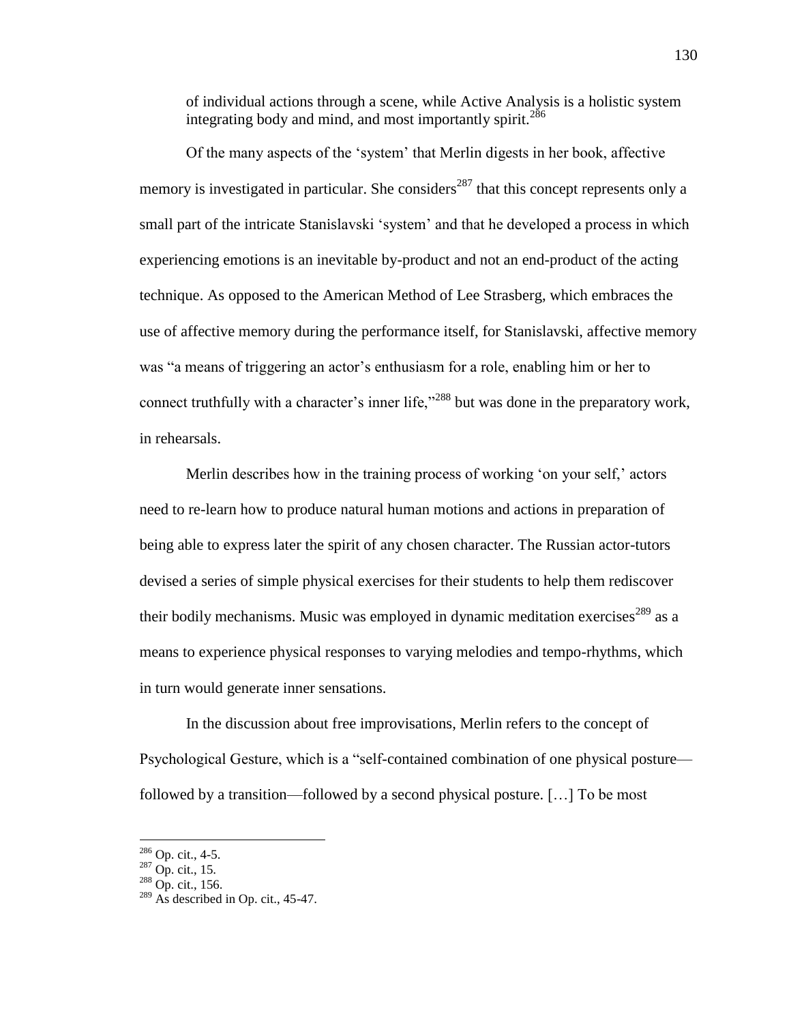of individual actions through a scene, while Active Analysis is a holistic system integrating body and mind, and most importantly spirit.<sup>286</sup>

Of the many aspects of the ‗system' that Merlin digests in her book, affective memory is investigated in particular. She considers<sup>287</sup> that this concept represents only a small part of the intricate Stanislavski 'system' and that he developed a process in which experiencing emotions is an inevitable by-product and not an end-product of the acting technique. As opposed to the American Method of Lee Strasberg, which embraces the use of affective memory during the performance itself, for Stanislavski, affective memory was "a means of triggering an actor's enthusiasm for a role, enabling him or her to connect truthfully with a character's inner life, $\frac{288}{100}$  but was done in the preparatory work, in rehearsals.

Merlin describes how in the training process of working 'on your self,' actors need to re-learn how to produce natural human motions and actions in preparation of being able to express later the spirit of any chosen character. The Russian actor-tutors devised a series of simple physical exercises for their students to help them rediscover their bodily mechanisms. Music was employed in dynamic meditation exercises<sup>289</sup> as a means to experience physical responses to varying melodies and tempo-rhythms, which in turn would generate inner sensations.

In the discussion about free improvisations, Merlin refers to the concept of Psychological Gesture, which is a "self-contained combination of one physical posture followed by a transition—followed by a second physical posture. […] To be most

 $^{286}$  Op. cit., 4-5.

 $287$  Op. cit., 15.

 $^{288}$  Op. cit., 156.

 $289$  As described in Op. cit., 45-47.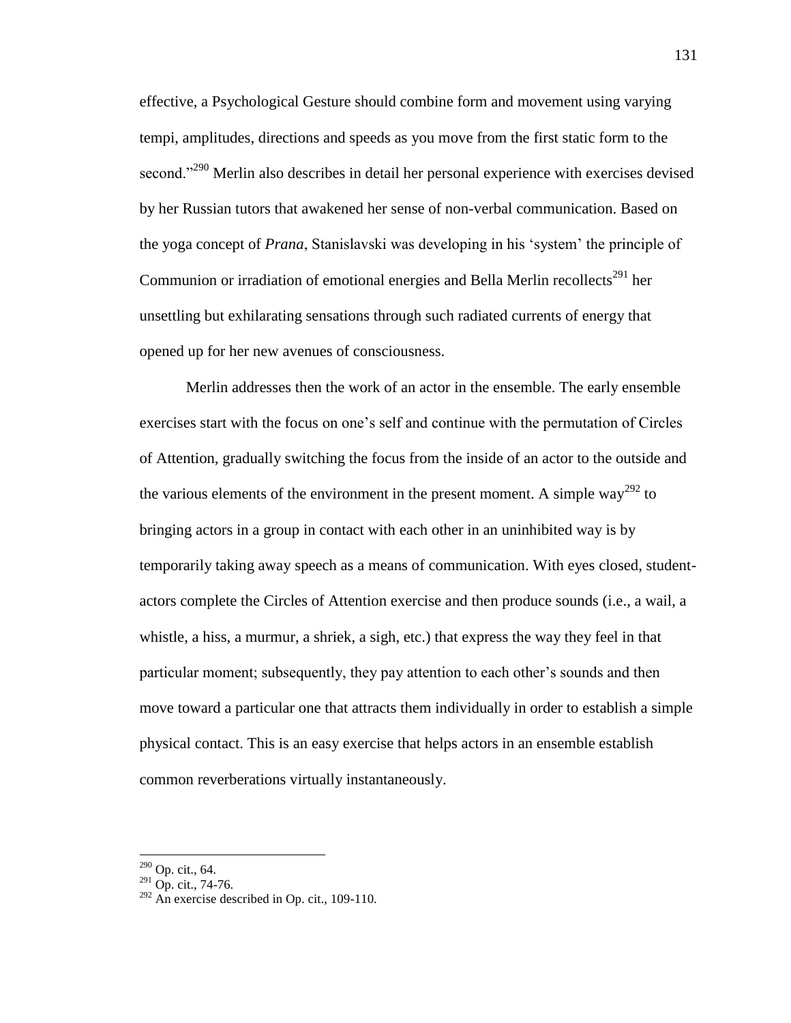effective, a Psychological Gesture should combine form and movement using varying tempi, amplitudes, directions and speeds as you move from the first static form to the second."<sup>290</sup> Merlin also describes in detail her personal experience with exercises devised by her Russian tutors that awakened her sense of non-verbal communication. Based on the yoga concept of *Prana*, Stanislavski was developing in his ‗system' the principle of Communion or irradiation of emotional energies and Bella Merlin recollects<sup>291</sup> her unsettling but exhilarating sensations through such radiated currents of energy that opened up for her new avenues of consciousness.

Merlin addresses then the work of an actor in the ensemble. The early ensemble exercises start with the focus on one's self and continue with the permutation of Circles of Attention, gradually switching the focus from the inside of an actor to the outside and the various elements of the environment in the present moment. A simple way<sup>292</sup> to bringing actors in a group in contact with each other in an uninhibited way is by temporarily taking away speech as a means of communication. With eyes closed, studentactors complete the Circles of Attention exercise and then produce sounds (i.e., a wail, a whistle, a hiss, a murmur, a shriek, a sigh, etc.) that express the way they feel in that particular moment; subsequently, they pay attention to each other's sounds and then move toward a particular one that attracts them individually in order to establish a simple physical contact. This is an easy exercise that helps actors in an ensemble establish common reverberations virtually instantaneously.

<sup>&</sup>lt;sup>290</sup> Op. cit., 64.

 $291$  Op. cit., 74-76.

 $292$  An exercise described in Op. cit., 109-110.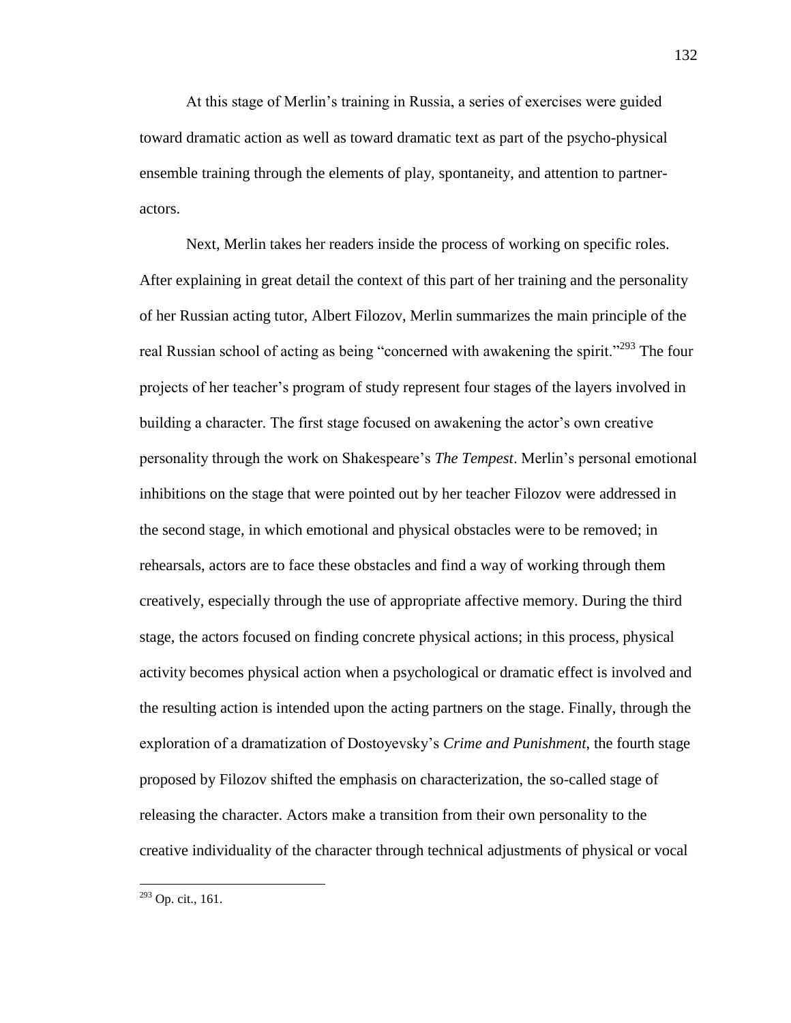At this stage of Merlin's training in Russia, a series of exercises were guided toward dramatic action as well as toward dramatic text as part of the psycho-physical ensemble training through the elements of play, spontaneity, and attention to partneractors.

Next, Merlin takes her readers inside the process of working on specific roles. After explaining in great detail the context of this part of her training and the personality of her Russian acting tutor, Albert Filozov, Merlin summarizes the main principle of the real Russian school of acting as being "concerned with awakening the spirit."<sup>293</sup> The four projects of her teacher's program of study represent four stages of the layers involved in building a character. The first stage focused on awakening the actor's own creative personality through the work on Shakespeare's *The Tempest*. Merlin's personal emotional inhibitions on the stage that were pointed out by her teacher Filozov were addressed in the second stage, in which emotional and physical obstacles were to be removed; in rehearsals, actors are to face these obstacles and find a way of working through them creatively, especially through the use of appropriate affective memory. During the third stage, the actors focused on finding concrete physical actions; in this process, physical activity becomes physical action when a psychological or dramatic effect is involved and the resulting action is intended upon the acting partners on the stage. Finally, through the exploration of a dramatization of Dostoyevsky's *Crime and Punishment*, the fourth stage proposed by Filozov shifted the emphasis on characterization, the so-called stage of releasing the character. Actors make a transition from their own personality to the creative individuality of the character through technical adjustments of physical or vocal

 $^{293}$  Op. cit., 161.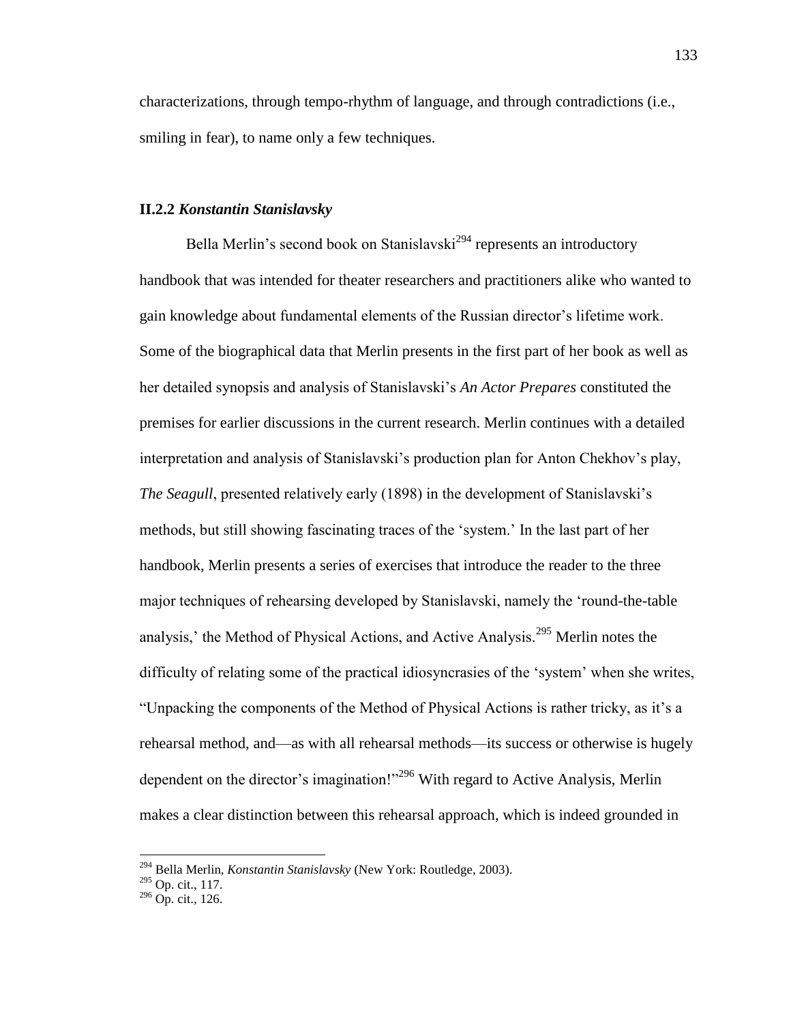characterizations, through tempo-rhythm of language, and through contradictions (i.e., smiling in fear), to name only a few techniques.

## **II.2.2** *Konstantin Stanislavsky*

Bella Merlin's second book on Stanislavski<sup>294</sup> represents an introductory handbook that was intended for theater researchers and practitioners alike who wanted to gain knowledge about fundamental elements of the Russian director's lifetime work. Some of the biographical data that Merlin presents in the first part of her book as well as her detailed synopsis and analysis of Stanislavski's *An Actor Prepares* constituted the premises for earlier discussions in the current research. Merlin continues with a detailed interpretation and analysis of Stanislavski's production plan for Anton Chekhov's play, *The Seagull*, presented relatively early (1898) in the development of Stanislavski's methods, but still showing fascinating traces of the 'system.' In the last part of her handbook, Merlin presents a series of exercises that introduce the reader to the three major techniques of rehearsing developed by Stanislavski, namely the 'round-the-table analysis,' the Method of Physical Actions, and Active Analysis.<sup>295</sup> Merlin notes the difficulty of relating some of the practical idiosyncrasies of the 'system' when she writes, ―Unpacking the components of the Method of Physical Actions is rather tricky, as it's a rehearsal method, and—as with all rehearsal methods—its success or otherwise is hugely dependent on the director's imagination!"<sup>296</sup> With regard to Active Analysis, Merlin makes a clear distinction between this rehearsal approach, which is indeed grounded in

<sup>294</sup> Bella Merlin, *Konstantin Stanislavsky* (New York: Routledge, 2003).

<sup>&</sup>lt;sup>295</sup> Op. cit., 117.

 $296$  Op. cit., 126.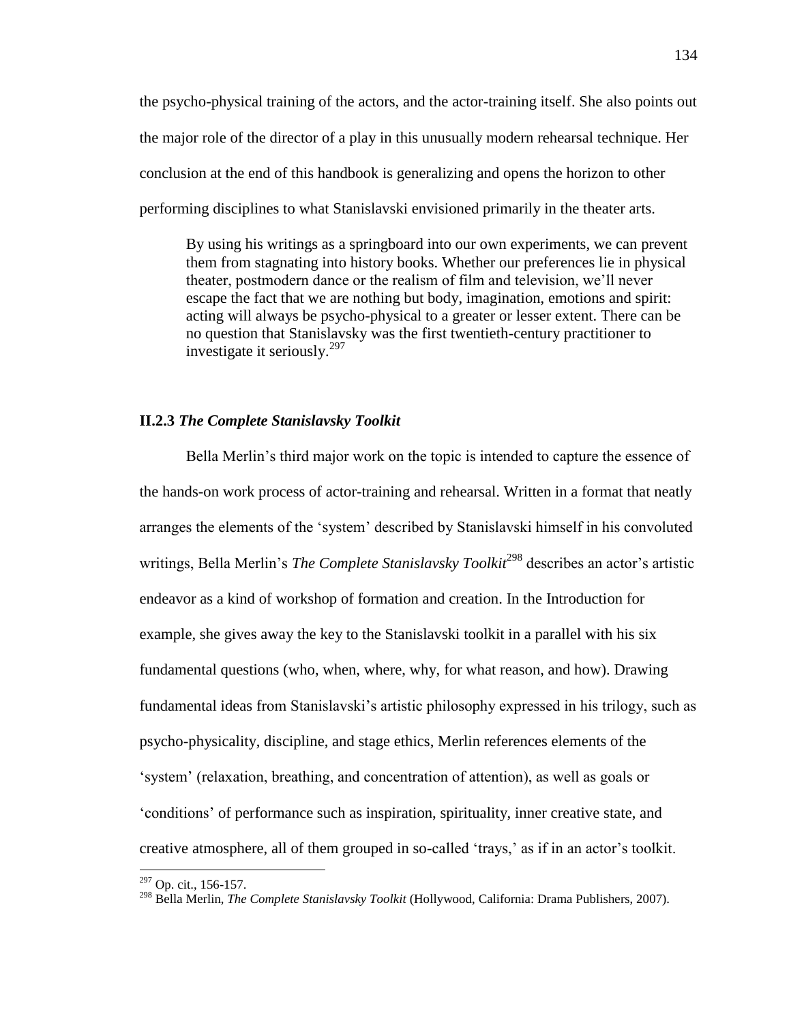the psycho-physical training of the actors, and the actor-training itself. She also points out the major role of the director of a play in this unusually modern rehearsal technique. Her conclusion at the end of this handbook is generalizing and opens the horizon to other performing disciplines to what Stanislavski envisioned primarily in the theater arts.

By using his writings as a springboard into our own experiments, we can prevent them from stagnating into history books. Whether our preferences lie in physical theater, postmodern dance or the realism of film and television, we'll never escape the fact that we are nothing but body, imagination, emotions and spirit: acting will always be psycho-physical to a greater or lesser extent. There can be no question that Stanislavsky was the first twentieth-century practitioner to investigate it seriously.<sup>297</sup>

## **II.2.3** *The Complete Stanislavsky Toolkit*

Bella Merlin's third major work on the topic is intended to capture the essence of the hands-on work process of actor-training and rehearsal. Written in a format that neatly arranges the elements of the ‗system' described by Stanislavski himself in his convoluted writings, Bella Merlin's *The Complete Stanislavsky Toolkit<sup>298</sup>* describes an actor's artistic endeavor as a kind of workshop of formation and creation. In the Introduction for example, she gives away the key to the Stanislavski toolkit in a parallel with his six fundamental questions (who, when, where, why, for what reason, and how). Drawing fundamental ideas from Stanislavski's artistic philosophy expressed in his trilogy, such as psycho-physicality, discipline, and stage ethics, Merlin references elements of the ‗system' (relaxation, breathing, and concentration of attention), as well as goals or ‗conditions' of performance such as inspiration, spirituality, inner creative state, and creative atmosphere, all of them grouped in so-called ‗trays,' as if in an actor's toolkit.

 $297$  Op. cit., 156-157.

<sup>298</sup> Bella Merlin, *The Complete Stanislavsky Toolkit* (Hollywood, California: Drama Publishers, 2007).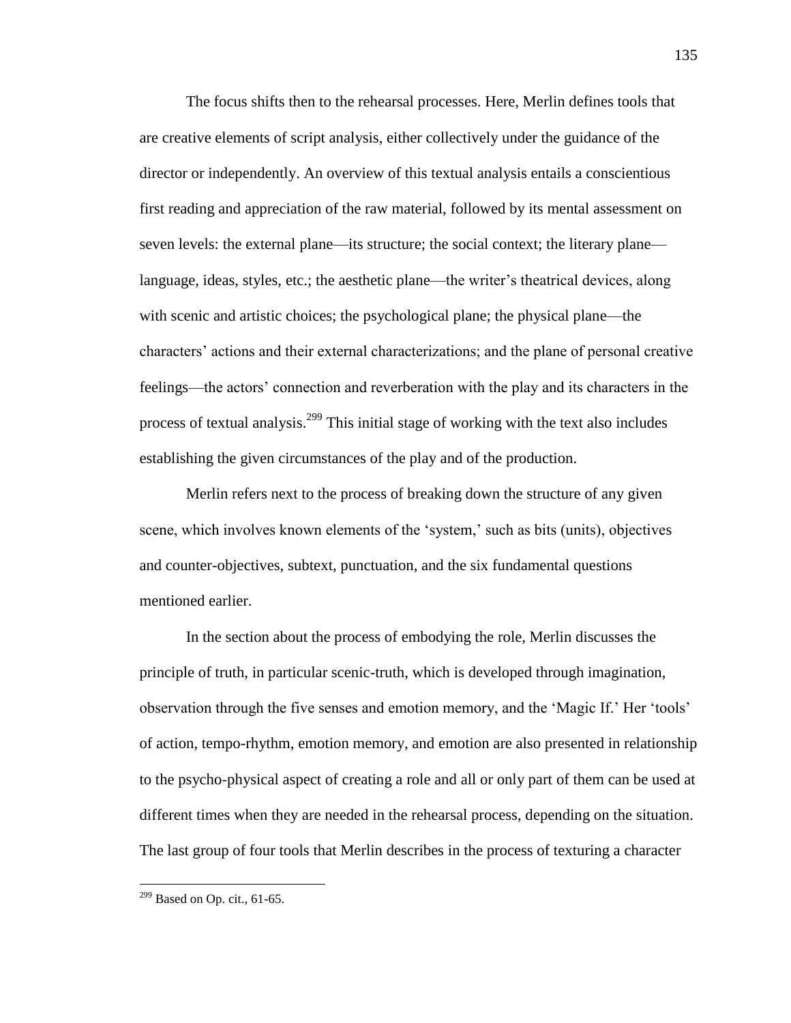The focus shifts then to the rehearsal processes. Here, Merlin defines tools that are creative elements of script analysis, either collectively under the guidance of the director or independently. An overview of this textual analysis entails a conscientious first reading and appreciation of the raw material, followed by its mental assessment on seven levels: the external plane—its structure; the social context; the literary plane language, ideas, styles, etc.; the aesthetic plane—the writer's theatrical devices, along with scenic and artistic choices; the psychological plane; the physical plane—the characters' actions and their external characterizations; and the plane of personal creative feelings—the actors' connection and reverberation with the play and its characters in the process of textual analysis.<sup>299</sup> This initial stage of working with the text also includes establishing the given circumstances of the play and of the production.

Merlin refers next to the process of breaking down the structure of any given scene, which involves known elements of the 'system,' such as bits (units), objectives and counter-objectives, subtext, punctuation, and the six fundamental questions mentioned earlier.

In the section about the process of embodying the role, Merlin discusses the principle of truth, in particular scenic-truth, which is developed through imagination, observation through the five senses and emotion memory, and the 'Magic If.' Her 'tools' of action, tempo-rhythm, emotion memory, and emotion are also presented in relationship to the psycho-physical aspect of creating a role and all or only part of them can be used at different times when they are needed in the rehearsal process, depending on the situation. The last group of four tools that Merlin describes in the process of texturing a character

 $299$  Based on Op. cit., 61-65.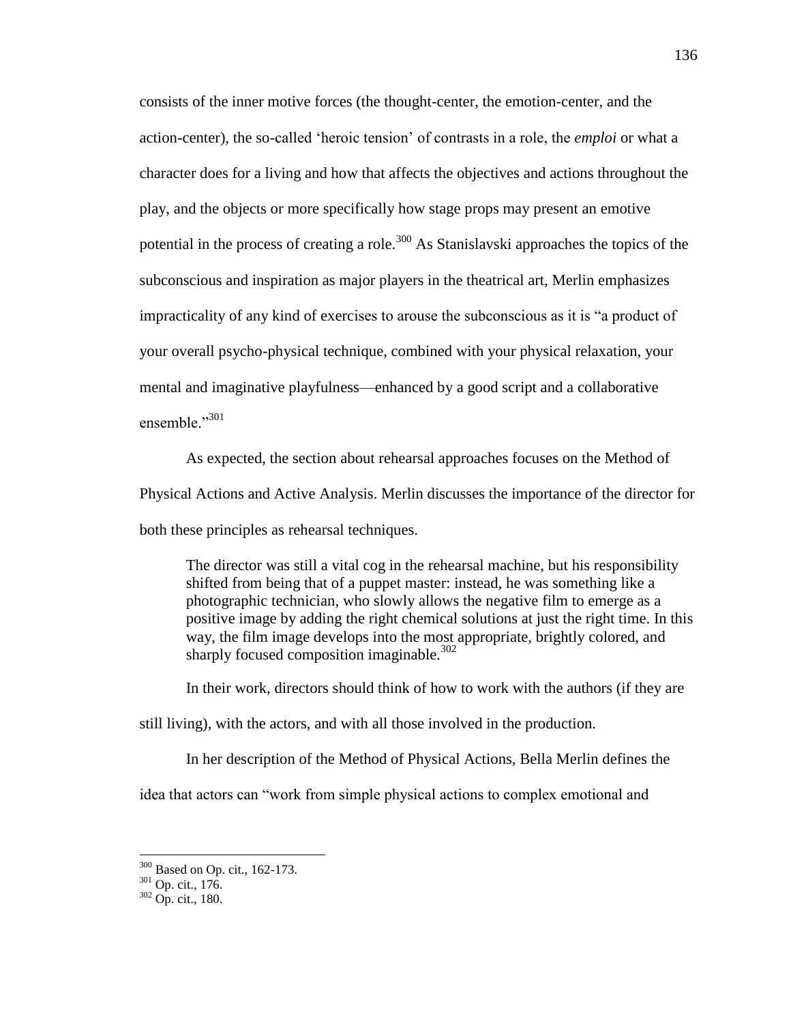consists of the inner motive forces (the thought-center, the emotion-center, and the action-center), the so-called ‗heroic tension' of contrasts in a role, the *emploi* or what a character does for a living and how that affects the objectives and actions throughout the play, and the objects or more specifically how stage props may present an emotive potential in the process of creating a role.<sup>300</sup> As Stanislavski approaches the topics of the subconscious and inspiration as major players in the theatrical art, Merlin emphasizes impracticality of any kind of exercises to arouse the subconscious as it is "a product of your overall psycho-physical technique, combined with your physical relaxation, your mental and imaginative playfulness—enhanced by a good script and a collaborative ensemble."<sup>301</sup>

As expected, the section about rehearsal approaches focuses on the Method of Physical Actions and Active Analysis. Merlin discusses the importance of the director for both these principles as rehearsal techniques.

The director was still a vital cog in the rehearsal machine, but his responsibility shifted from being that of a puppet master: instead, he was something like a photographic technician, who slowly allows the negative film to emerge as a positive image by adding the right chemical solutions at just the right time. In this way, the film image develops into the most appropriate, brightly colored, and sharply focused composition imaginable. $302$ 

In their work, directors should think of how to work with the authors (if they are

still living), with the actors, and with all those involved in the production.

In her description of the Method of Physical Actions, Bella Merlin defines the

idea that actors can "work from simple physical actions to complex emotional and

 $300$  Based on Op. cit., 162-173.

 $301$  Op. cit., 176.

 $302$  Op. cit., 180.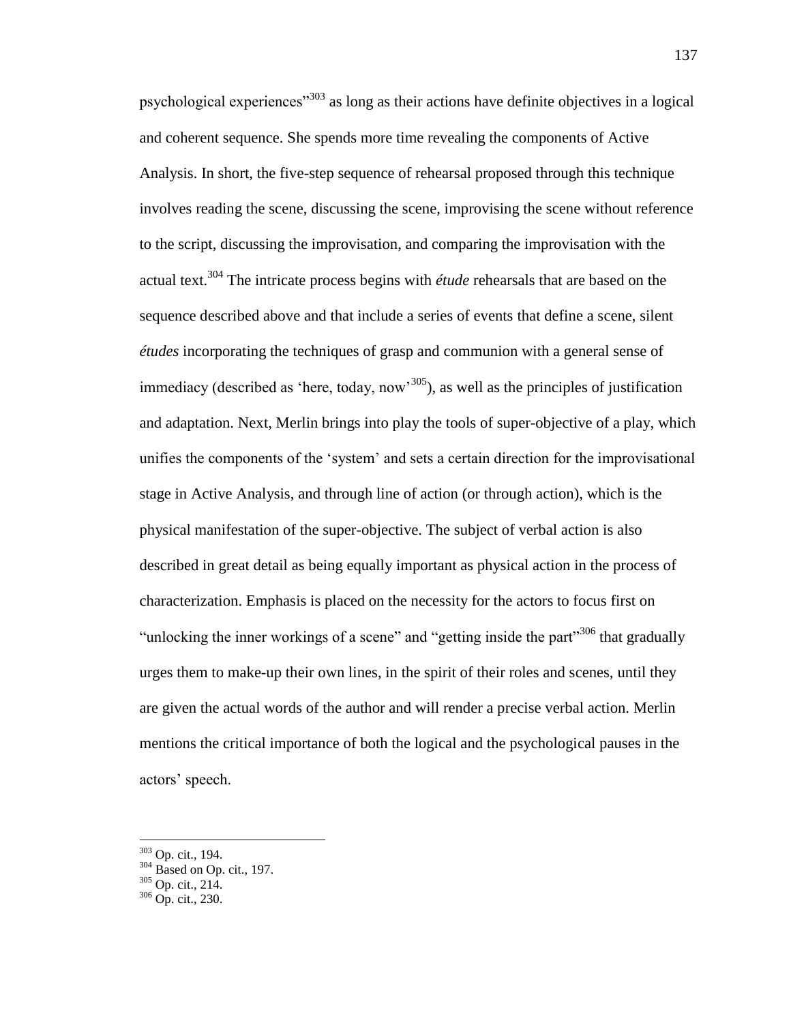psychological experiences<sup> $303$ </sup> as long as their actions have definite objectives in a logical and coherent sequence. She spends more time revealing the components of Active Analysis. In short, the five-step sequence of rehearsal proposed through this technique involves reading the scene, discussing the scene, improvising the scene without reference to the script, discussing the improvisation, and comparing the improvisation with the actual text.<sup>304</sup> The intricate process begins with *étude* rehearsals that are based on the sequence described above and that include a series of events that define a scene, silent *études* incorporating the techniques of grasp and communion with a general sense of immediacy (described as 'here, today, now'<sup>305</sup>), as well as the principles of justification and adaptation. Next, Merlin brings into play the tools of super-objective of a play, which unifies the components of the 'system' and sets a certain direction for the improvisational stage in Active Analysis, and through line of action (or through action), which is the physical manifestation of the super-objective. The subject of verbal action is also described in great detail as being equally important as physical action in the process of characterization. Emphasis is placed on the necessity for the actors to focus first on "unlocking the inner workings of a scene" and "getting inside the part"<sup>306</sup> that gradually urges them to make-up their own lines, in the spirit of their roles and scenes, until they are given the actual words of the author and will render a precise verbal action. Merlin mentions the critical importance of both the logical and the psychological pauses in the actors' speech.

<sup>&</sup>lt;sup>303</sup> Op. cit., 194.

 $304$  Based on Op. cit., 197.

<sup>&</sup>lt;sup>305</sup> Op. cit., 214.

<sup>306</sup> Op. cit., 230.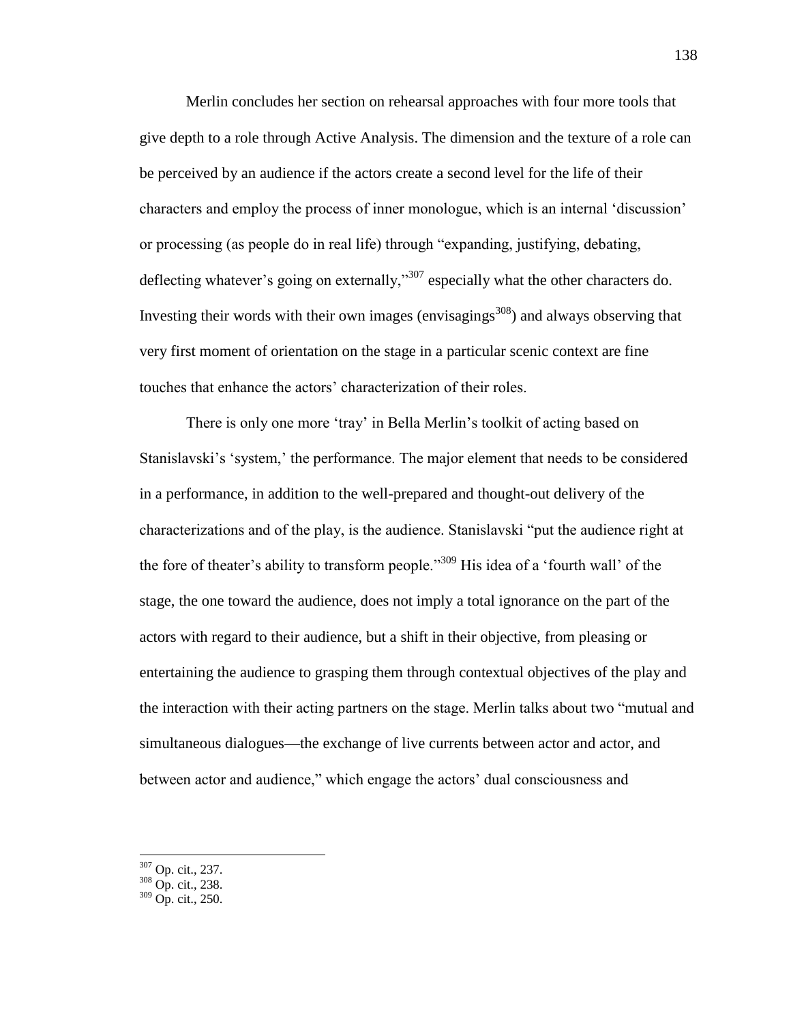Merlin concludes her section on rehearsal approaches with four more tools that give depth to a role through Active Analysis. The dimension and the texture of a role can be perceived by an audience if the actors create a second level for the life of their characters and employ the process of inner monologue, which is an internal ‗discussion' or processing (as people do in real life) through "expanding, justifying, debating, deflecting whatever's going on externally," $307$  especially what the other characters do. Investing their words with their own images (envisagings<sup>308</sup>) and always observing that very first moment of orientation on the stage in a particular scenic context are fine touches that enhance the actors' characterization of their roles.

There is only one more 'tray' in Bella Merlin's toolkit of acting based on Stanislavski's 'system,' the performance. The major element that needs to be considered in a performance, in addition to the well-prepared and thought-out delivery of the characterizations and of the play, is the audience. Stanislavski "put the audience right at the fore of theater's ability to transform people."<sup>309</sup> His idea of a 'fourth wall' of the stage, the one toward the audience, does not imply a total ignorance on the part of the actors with regard to their audience, but a shift in their objective, from pleasing or entertaining the audience to grasping them through contextual objectives of the play and the interaction with their acting partners on the stage. Merlin talks about two "mutual and simultaneous dialogues—the exchange of live currents between actor and actor, and between actor and audience," which engage the actors' dual consciousness and

<sup>&</sup>lt;sup>307</sup> Op. cit., 237.

<sup>&</sup>lt;sup>308</sup> Op. cit., 238.

 $309$  Op. cit., 250.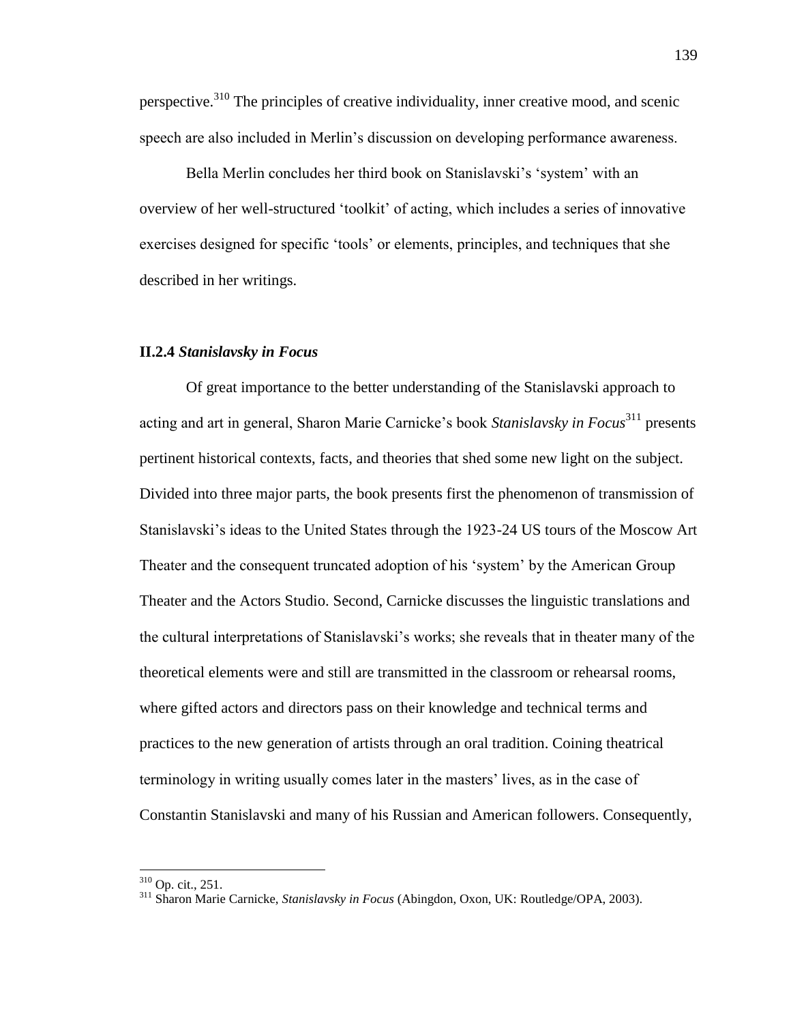perspective.<sup>310</sup> The principles of creative individuality, inner creative mood, and scenic speech are also included in Merlin's discussion on developing performance awareness.

Bella Merlin concludes her third book on Stanislavski's 'system' with an overview of her well-structured ‗toolkit' of acting, which includes a series of innovative exercises designed for specific 'tools' or elements, principles, and techniques that she described in her writings.

#### **II.2.4** *Stanislavsky in Focus*

Of great importance to the better understanding of the Stanislavski approach to acting and art in general, Sharon Marie Carnicke's book *Stanislavsky in Focus*<sup>311</sup> presents pertinent historical contexts, facts, and theories that shed some new light on the subject. Divided into three major parts, the book presents first the phenomenon of transmission of Stanislavski's ideas to the United States through the 1923-24 US tours of the Moscow Art Theater and the consequent truncated adoption of his 'system' by the American Group Theater and the Actors Studio. Second, Carnicke discusses the linguistic translations and the cultural interpretations of Stanislavski's works; she reveals that in theater many of the theoretical elements were and still are transmitted in the classroom or rehearsal rooms, where gifted actors and directors pass on their knowledge and technical terms and practices to the new generation of artists through an oral tradition. Coining theatrical terminology in writing usually comes later in the masters' lives, as in the case of Constantin Stanislavski and many of his Russian and American followers. Consequently,

 $310$  Op. cit., 251.

<sup>311</sup> Sharon Marie Carnicke, *Stanislavsky in Focus* (Abingdon, Oxon, UK: Routledge/OPA, 2003).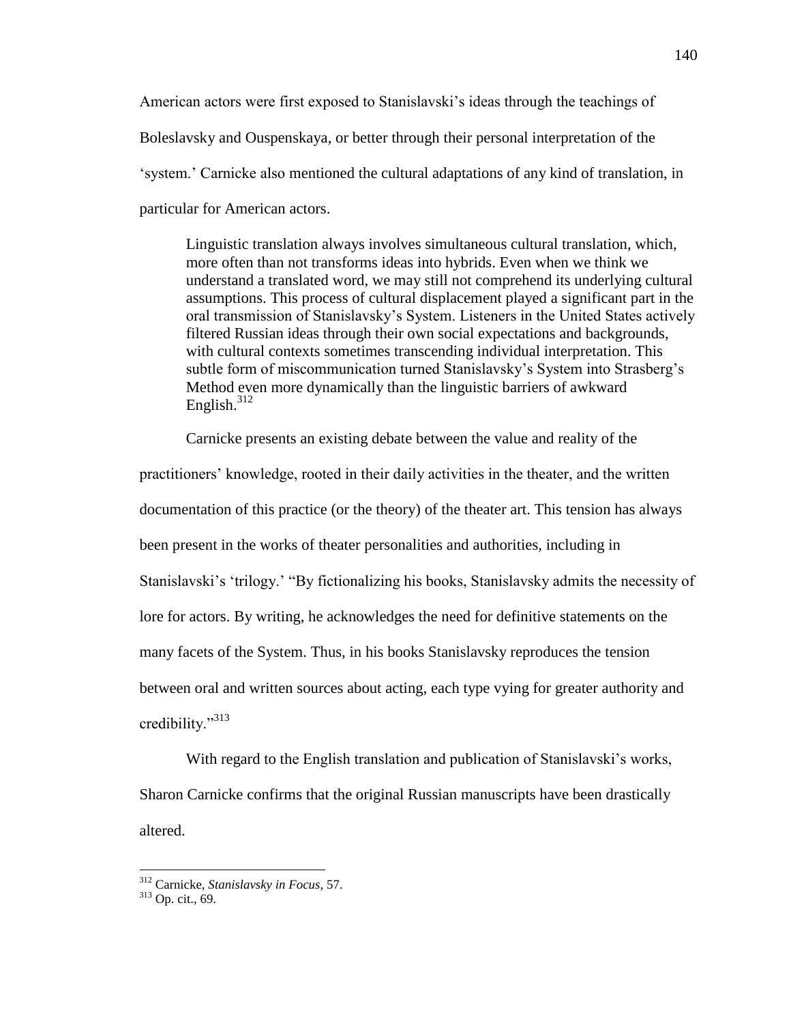American actors were first exposed to Stanislavski's ideas through the teachings of Boleslavsky and Ouspenskaya, or better through their personal interpretation of the ‗system.' Carnicke also mentioned the cultural adaptations of any kind of translation, in particular for American actors.

Linguistic translation always involves simultaneous cultural translation, which, more often than not transforms ideas into hybrids. Even when we think we understand a translated word, we may still not comprehend its underlying cultural assumptions. This process of cultural displacement played a significant part in the oral transmission of Stanislavsky's System. Listeners in the United States actively filtered Russian ideas through their own social expectations and backgrounds, with cultural contexts sometimes transcending individual interpretation. This subtle form of miscommunication turned Stanislavsky's System into Strasberg's Method even more dynamically than the linguistic barriers of awkward English. $312$ 

Carnicke presents an existing debate between the value and reality of the practitioners' knowledge, rooted in their daily activities in the theater, and the written documentation of this practice (or the theory) of the theater art. This tension has always been present in the works of theater personalities and authorities, including in Stanislavski's 'trilogy.' "By fictionalizing his books, Stanislavsky admits the necessity of lore for actors. By writing, he acknowledges the need for definitive statements on the many facets of the System. Thus, in his books Stanislavsky reproduces the tension between oral and written sources about acting, each type vying for greater authority and credibility."<sup>313</sup>

With regard to the English translation and publication of Stanislavski's works, Sharon Carnicke confirms that the original Russian manuscripts have been drastically altered.

<sup>312</sup> Carnicke, *Stanislavsky in Focus*, 57.

 $313$  Op. cit., 69.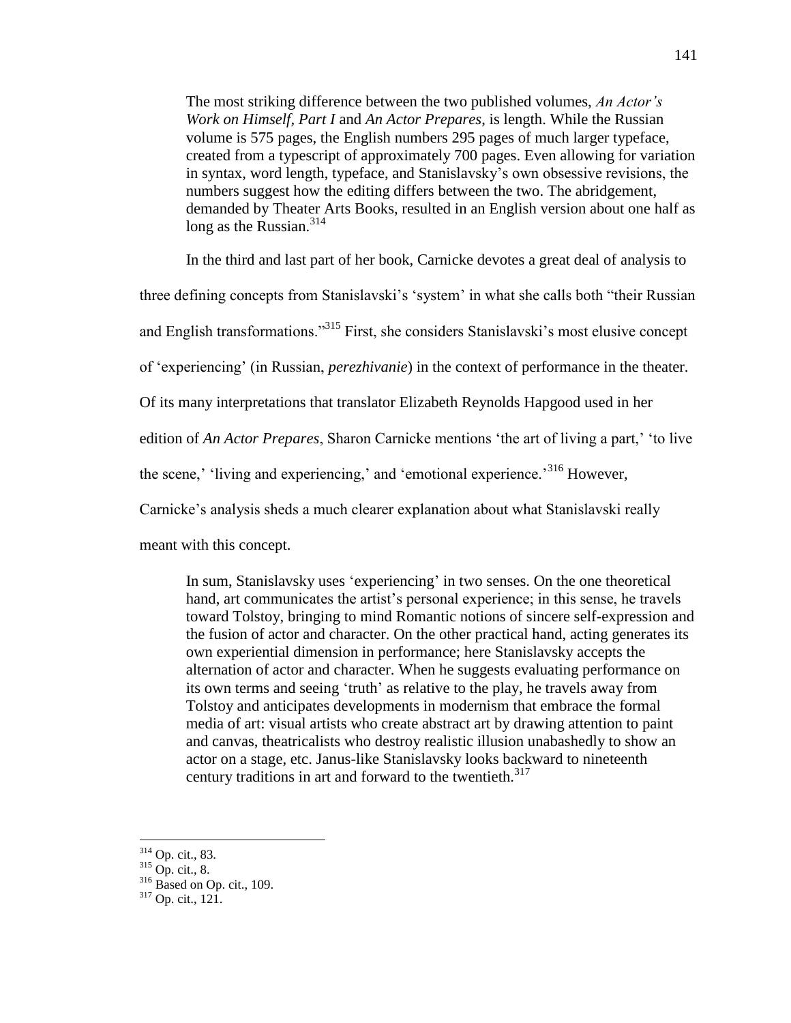The most striking difference between the two published volumes, *An Actor's Work on Himself, Part I* and *An Actor Prepares*, is length. While the Russian volume is 575 pages, the English numbers 295 pages of much larger typeface, created from a typescript of approximately 700 pages. Even allowing for variation in syntax, word length, typeface, and Stanislavsky's own obsessive revisions, the numbers suggest how the editing differs between the two. The abridgement, demanded by Theater Arts Books, resulted in an English version about one half as long as the Russian. $314$ 

In the third and last part of her book, Carnicke devotes a great deal of analysis to

three defining concepts from Stanislavski's 'system' in what she calls both "their Russian"

and English transformations.<sup>315</sup> First, she considers Stanislavski's most elusive concept

of ‗experiencing' (in Russian, *perezhivanie*) in the context of performance in the theater.

Of its many interpretations that translator Elizabeth Reynolds Hapgood used in her

edition of *An Actor Prepares*, Sharon Carnicke mentions 'the art of living a part,' 'to live

the scene,' 'living and experiencing,' and 'emotional experience.'<sup>316</sup> However,

Carnicke's analysis sheds a much clearer explanation about what Stanislavski really

meant with this concept.

In sum, Stanislavsky uses ‗experiencing' in two senses. On the one theoretical hand, art communicates the artist's personal experience; in this sense, he travels toward Tolstoy, bringing to mind Romantic notions of sincere self-expression and the fusion of actor and character. On the other practical hand, acting generates its own experiential dimension in performance; here Stanislavsky accepts the alternation of actor and character. When he suggests evaluating performance on its own terms and seeing ‗truth' as relative to the play, he travels away from Tolstoy and anticipates developments in modernism that embrace the formal media of art: visual artists who create abstract art by drawing attention to paint and canvas, theatricalists who destroy realistic illusion unabashedly to show an actor on a stage, etc. Janus-like Stanislavsky looks backward to nineteenth century traditions in art and forward to the twentieth. $317$ 

 $314$  Op. cit., 83.

 $315$  Op. cit., 8.

<sup>&</sup>lt;sup>316</sup> Based on Op. cit., 109.

<sup>317</sup> Op. cit., 121.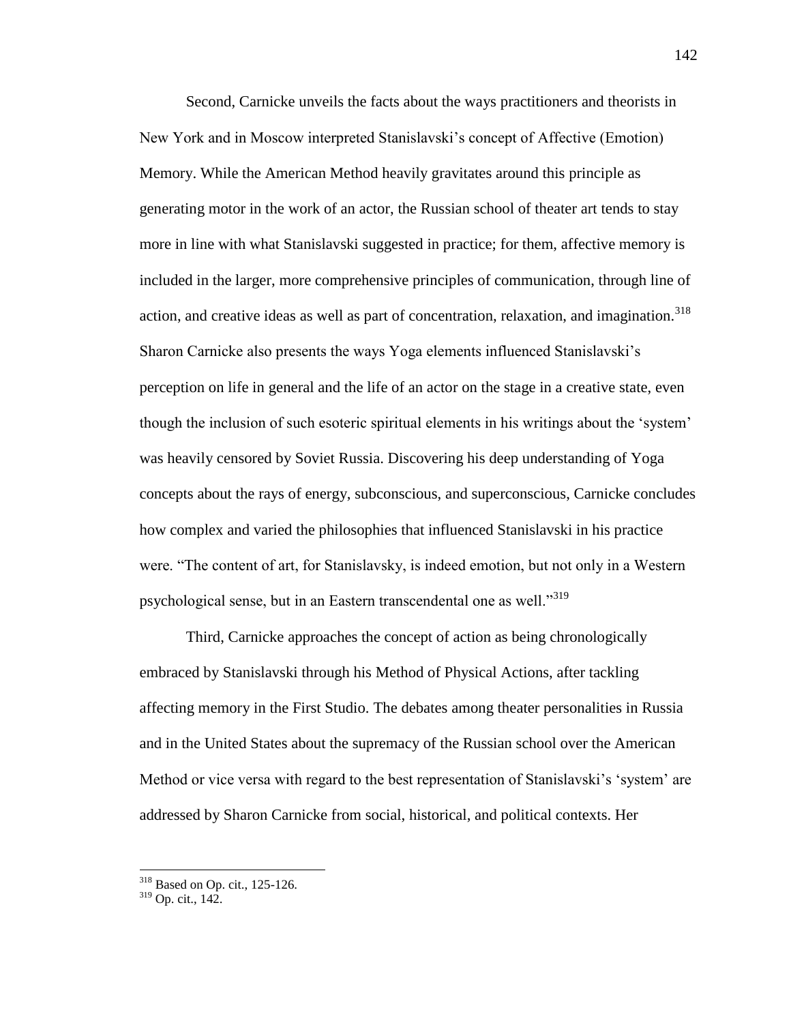Second, Carnicke unveils the facts about the ways practitioners and theorists in New York and in Moscow interpreted Stanislavski's concept of Affective (Emotion) Memory. While the American Method heavily gravitates around this principle as generating motor in the work of an actor, the Russian school of theater art tends to stay more in line with what Stanislavski suggested in practice; for them, affective memory is included in the larger, more comprehensive principles of communication, through line of action, and creative ideas as well as part of concentration, relaxation, and imagination.<sup>318</sup> Sharon Carnicke also presents the ways Yoga elements influenced Stanislavski's perception on life in general and the life of an actor on the stage in a creative state, even though the inclusion of such esoteric spiritual elements in his writings about the 'system' was heavily censored by Soviet Russia. Discovering his deep understanding of Yoga concepts about the rays of energy, subconscious, and superconscious, Carnicke concludes how complex and varied the philosophies that influenced Stanislavski in his practice were. "The content of art, for Stanislavsky, is indeed emotion, but not only in a Western psychological sense, but in an Eastern transcendental one as well."<sup>319</sup>

Third, Carnicke approaches the concept of action as being chronologically embraced by Stanislavski through his Method of Physical Actions, after tackling affecting memory in the First Studio. The debates among theater personalities in Russia and in the United States about the supremacy of the Russian school over the American Method or vice versa with regard to the best representation of Stanislavski's 'system' are addressed by Sharon Carnicke from social, historical, and political contexts. Her

<sup>318</sup> Based on Op. cit., 125-126.

<sup>319</sup> Op. cit., 142.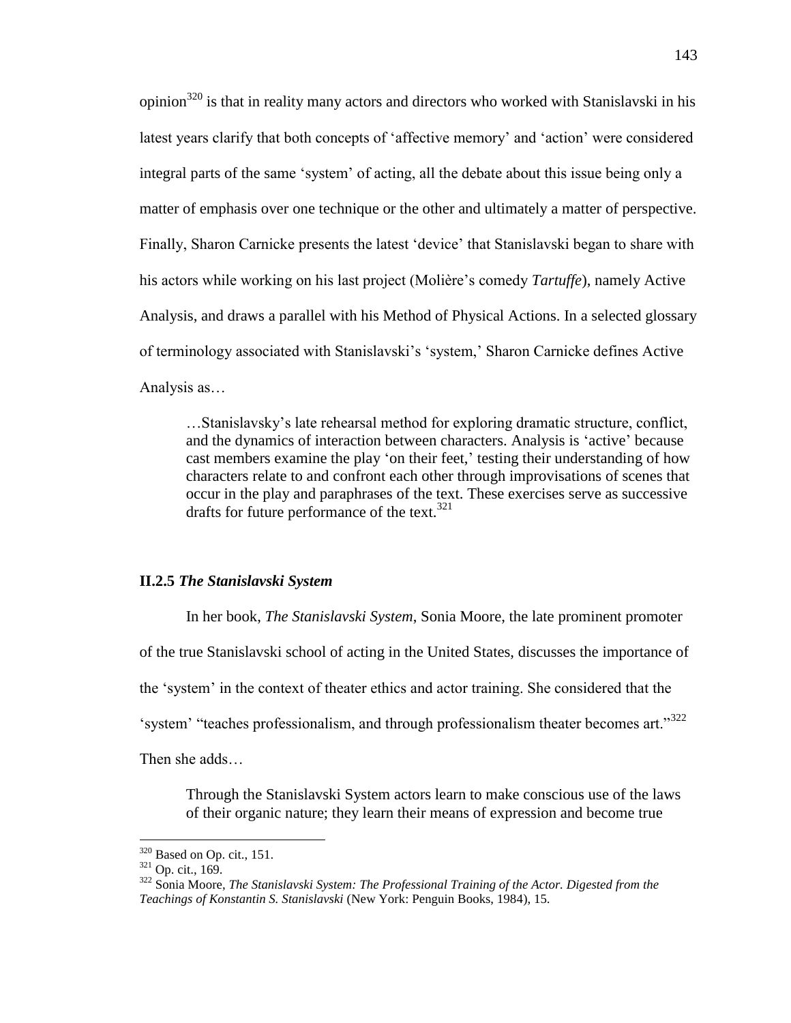opinion<sup>320</sup> is that in reality many actors and directors who worked with Stanislavski in his latest years clarify that both concepts of 'affective memory' and 'action' were considered integral parts of the same 'system' of acting, all the debate about this issue being only a matter of emphasis over one technique or the other and ultimately a matter of perspective. Finally, Sharon Carnicke presents the latest 'device' that Stanislavski began to share with his actors while working on his last project (Molière's comedy *Tartuffe*), namely Active Analysis, and draws a parallel with his Method of Physical Actions. In a selected glossary of terminology associated with Stanislavski's ‗system,' Sharon Carnicke defines Active Analysis as…

…Stanislavsky's late rehearsal method for exploring dramatic structure, conflict, and the dynamics of interaction between characters. Analysis is 'active' because cast members examine the play 'on their feet,' testing their understanding of how characters relate to and confront each other through improvisations of scenes that occur in the play and paraphrases of the text. These exercises serve as successive drafts for future performance of the text.<sup>321</sup>

# **II.2.5** *The Stanislavski System*

In her book, *The Stanislavski System*, Sonia Moore, the late prominent promoter of the true Stanislavski school of acting in the United States, discusses the importance of the ‗system' in the context of theater ethics and actor training. She considered that the 'system' "teaches professionalism, and through professionalism theater becomes art." $322$ Then she adds…

Through the Stanislavski System actors learn to make conscious use of the laws of their organic nature; they learn their means of expression and become true

 $320$  Based on Op. cit., 151.

 $321$  Op. cit., 169.

<sup>322</sup> Sonia Moore, *The Stanislavski System: The Professional Training of the Actor. Digested from the Teachings of Konstantin S. Stanislavski* (New York: Penguin Books, 1984), 15.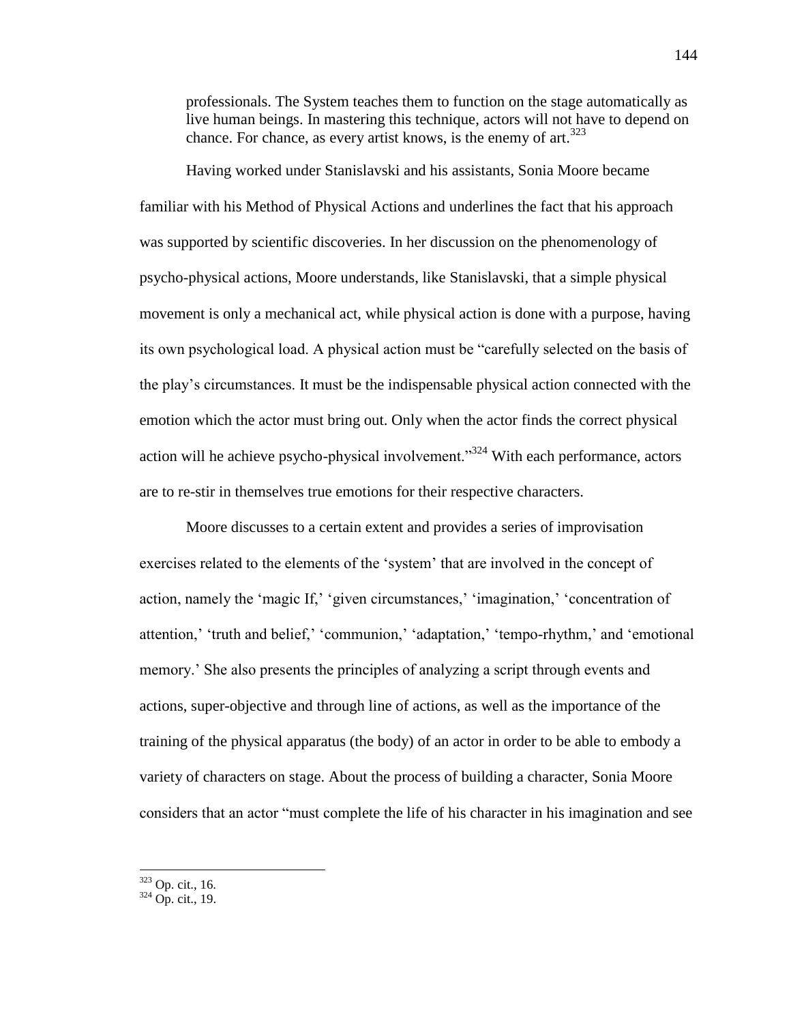professionals. The System teaches them to function on the stage automatically as live human beings. In mastering this technique, actors will not have to depend on chance. For chance, as every artist knows, is the enemy of  $art.^{323}$ .

Having worked under Stanislavski and his assistants, Sonia Moore became familiar with his Method of Physical Actions and underlines the fact that his approach was supported by scientific discoveries. In her discussion on the phenomenology of psycho-physical actions, Moore understands, like Stanislavski, that a simple physical movement is only a mechanical act, while physical action is done with a purpose, having its own psychological load. A physical action must be "carefully selected on the basis of the play's circumstances. It must be the indispensable physical action connected with the emotion which the actor must bring out. Only when the actor finds the correct physical action will he achieve psycho-physical involvement.<sup>324</sup> With each performance, actors are to re-stir in themselves true emotions for their respective characters.

Moore discusses to a certain extent and provides a series of improvisation exercises related to the elements of the 'system' that are involved in the concept of action, namely the 'magic If,' 'given circumstances,' 'imagination,' 'concentration of attention,' 'truth and belief,' 'communion,' 'adaptation,' 'tempo-rhythm,' and 'emotional memory.' She also presents the principles of analyzing a script through events and actions, super-objective and through line of actions, as well as the importance of the training of the physical apparatus (the body) of an actor in order to be able to embody a variety of characters on stage. About the process of building a character, Sonia Moore considers that an actor "must complete the life of his character in his imagination and see

<sup>&</sup>lt;sup>323</sup> Op. cit., 16.

 $324$  Op. cit., 19.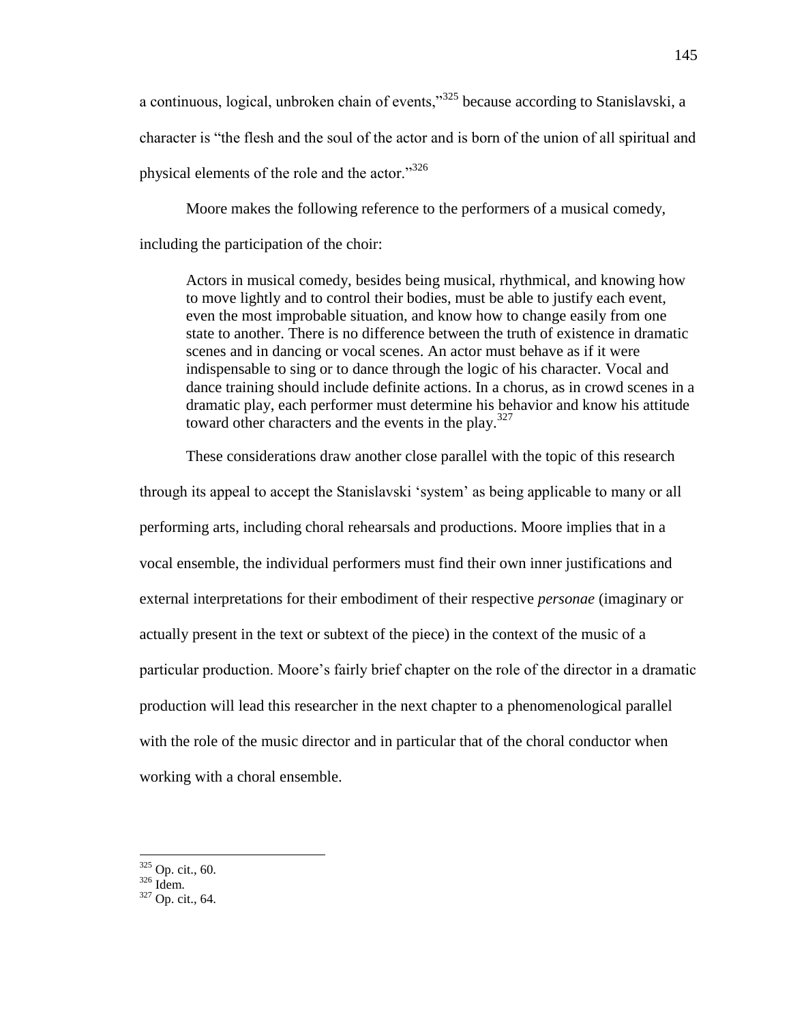a continuous, logical, unbroken chain of events,"<sup>325</sup> because according to Stanislavski, a character is "the flesh and the soul of the actor and is born of the union of all spiritual and physical elements of the role and the actor. $^{325}$ 

Moore makes the following reference to the performers of a musical comedy, including the participation of the choir:

Actors in musical comedy, besides being musical, rhythmical, and knowing how to move lightly and to control their bodies, must be able to justify each event, even the most improbable situation, and know how to change easily from one state to another. There is no difference between the truth of existence in dramatic scenes and in dancing or vocal scenes. An actor must behave as if it were indispensable to sing or to dance through the logic of his character. Vocal and dance training should include definite actions. In a chorus, as in crowd scenes in a dramatic play, each performer must determine his behavior and know his attitude toward other characters and the events in the play.<sup>327</sup>

These considerations draw another close parallel with the topic of this research

through its appeal to accept the Stanislavski ‗system' as being applicable to many or all performing arts, including choral rehearsals and productions. Moore implies that in a vocal ensemble, the individual performers must find their own inner justifications and external interpretations for their embodiment of their respective *personae* (imaginary or actually present in the text or subtext of the piece) in the context of the music of a particular production. Moore's fairly brief chapter on the role of the director in a dramatic production will lead this researcher in the next chapter to a phenomenological parallel with the role of the music director and in particular that of the choral conductor when working with a choral ensemble.

 $\overline{a}$ <sup>325</sup> Op. cit., 60.

<sup>326</sup> Idem.

<sup>327</sup> Op. cit., 64.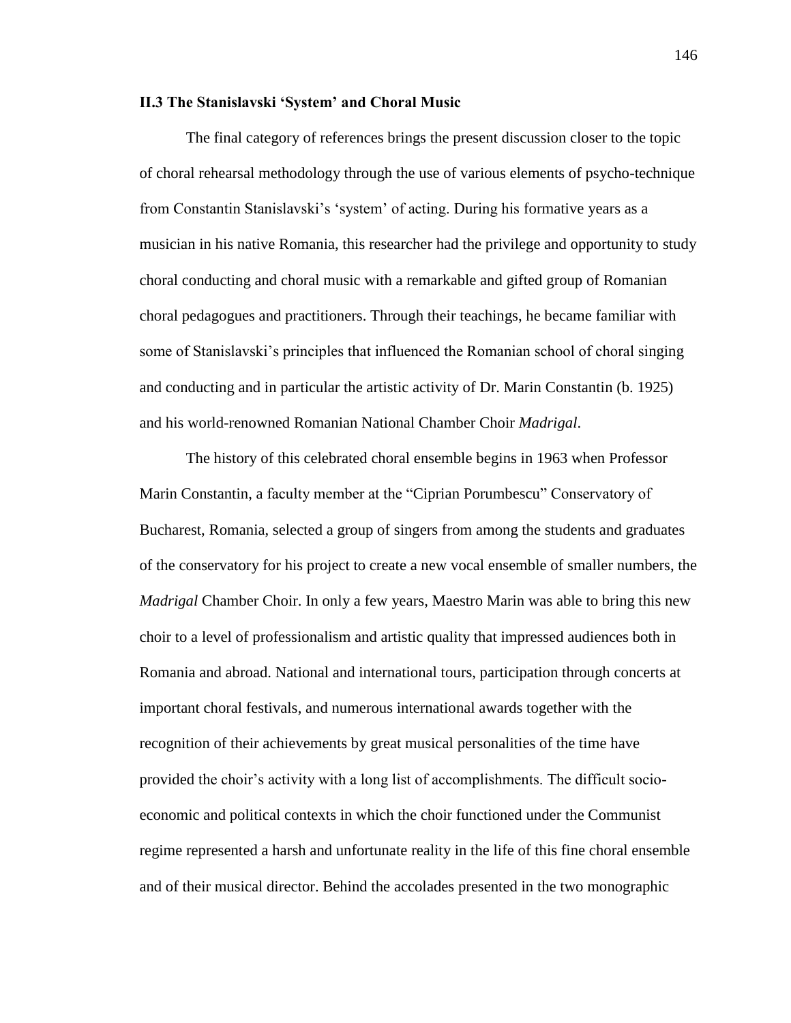#### **II.3 The Stanislavski 'System' and Choral Music**

The final category of references brings the present discussion closer to the topic of choral rehearsal methodology through the use of various elements of psycho-technique from Constantin Stanislavski's 'system' of acting. During his formative years as a musician in his native Romania, this researcher had the privilege and opportunity to study choral conducting and choral music with a remarkable and gifted group of Romanian choral pedagogues and practitioners. Through their teachings, he became familiar with some of Stanislavski's principles that influenced the Romanian school of choral singing and conducting and in particular the artistic activity of Dr. Marin Constantin (b. 1925) and his world-renowned Romanian National Chamber Choir *Madrigal*.

The history of this celebrated choral ensemble begins in 1963 when Professor Marin Constantin, a faculty member at the "Ciprian Porumbescu" Conservatory of Bucharest, Romania, selected a group of singers from among the students and graduates of the conservatory for his project to create a new vocal ensemble of smaller numbers, the *Madrigal* Chamber Choir. In only a few years, Maestro Marin was able to bring this new choir to a level of professionalism and artistic quality that impressed audiences both in Romania and abroad. National and international tours, participation through concerts at important choral festivals, and numerous international awards together with the recognition of their achievements by great musical personalities of the time have provided the choir's activity with a long list of accomplishments. The difficult socioeconomic and political contexts in which the choir functioned under the Communist regime represented a harsh and unfortunate reality in the life of this fine choral ensemble and of their musical director. Behind the accolades presented in the two monographic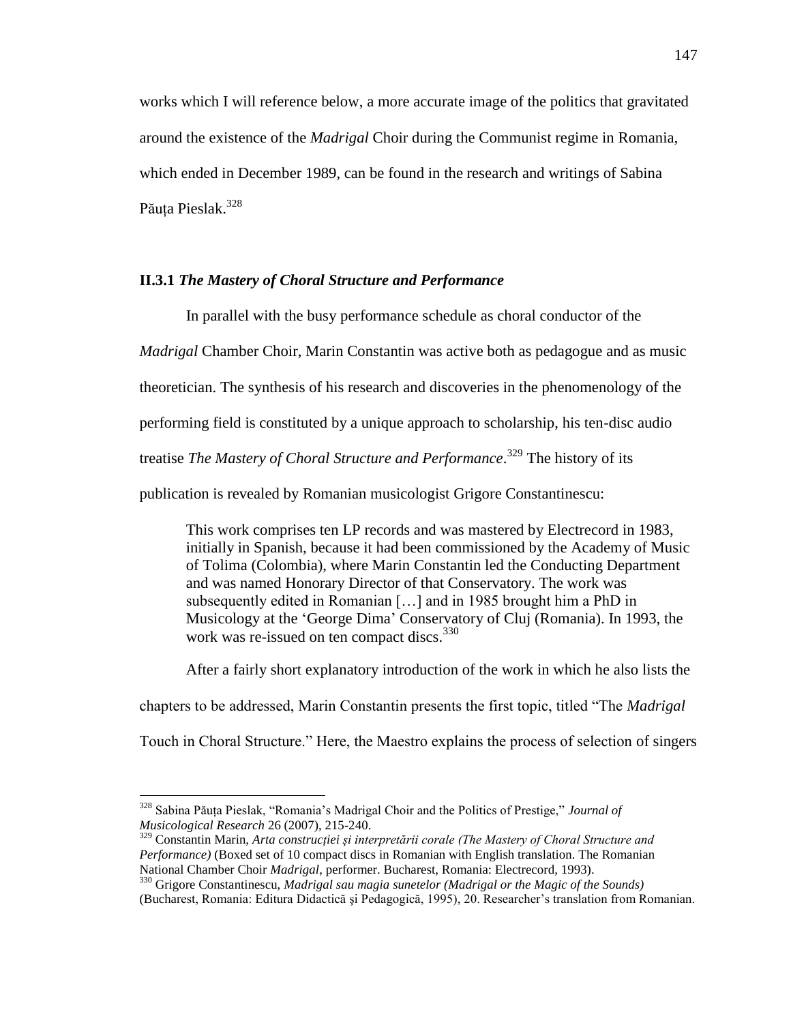works which I will reference below, a more accurate image of the politics that gravitated around the existence of the *Madrigal* Choir during the Communist regime in Romania, which ended in December 1989, can be found in the research and writings of Sabina Păuța Pieslak.<sup>328</sup>

## **II.3.1** *The Mastery of Choral Structure and Performance*

In parallel with the busy performance schedule as choral conductor of the *Madrigal* Chamber Choir, Marin Constantin was active both as pedagogue and as music theoretician. The synthesis of his research and discoveries in the phenomenology of the performing field is constituted by a unique approach to scholarship, his ten-disc audio treatise *The Mastery of Choral Structure and Performance*. <sup>329</sup> The history of its publication is revealed by Romanian musicologist Grigore Constantinescu:

This work comprises ten LP records and was mastered by Electrecord in 1983, initially in Spanish, because it had been commissioned by the Academy of Music of Tolima (Colombia), where Marin Constantin led the Conducting Department and was named Honorary Director of that Conservatory. The work was subsequently edited in Romanian […] and in 1985 brought him a PhD in Musicology at the 'George Dima' Conservatory of Cluj (Romania). In 1993, the work was re-issued on ten compact discs.<sup>330</sup>

After a fairly short explanatory introduction of the work in which he also lists the

chapters to be addressed, Marin Constantin presents the first topic, titled "The *Madrigal*"

Touch in Choral Structure." Here, the Maestro explains the process of selection of singers

<sup>&</sup>lt;sup>328</sup> Sabina Păuța Pieslak, "Romania's Madrigal Choir and the Politics of Prestige," *Journal of Musicological Research* 26 (2007), 215-240.

<sup>329</sup> Constantin Marin, *Arta construcţiei şi interpretării corale (The Mastery of Choral Structure and Performance)* (Boxed set of 10 compact discs in Romanian with English translation. The Romanian National Chamber Choir *Madrigal*, performer. Bucharest, Romania: Electrecord, 1993). <sup>330</sup> Grigore Constantinescu, *Madrigal sau magia sunetelor (Madrigal or the Magic of the Sounds)*

<sup>(</sup>Bucharest, Romania: Editura Didactică şi Pedagogică, 1995), 20. Researcher's translation from Romanian.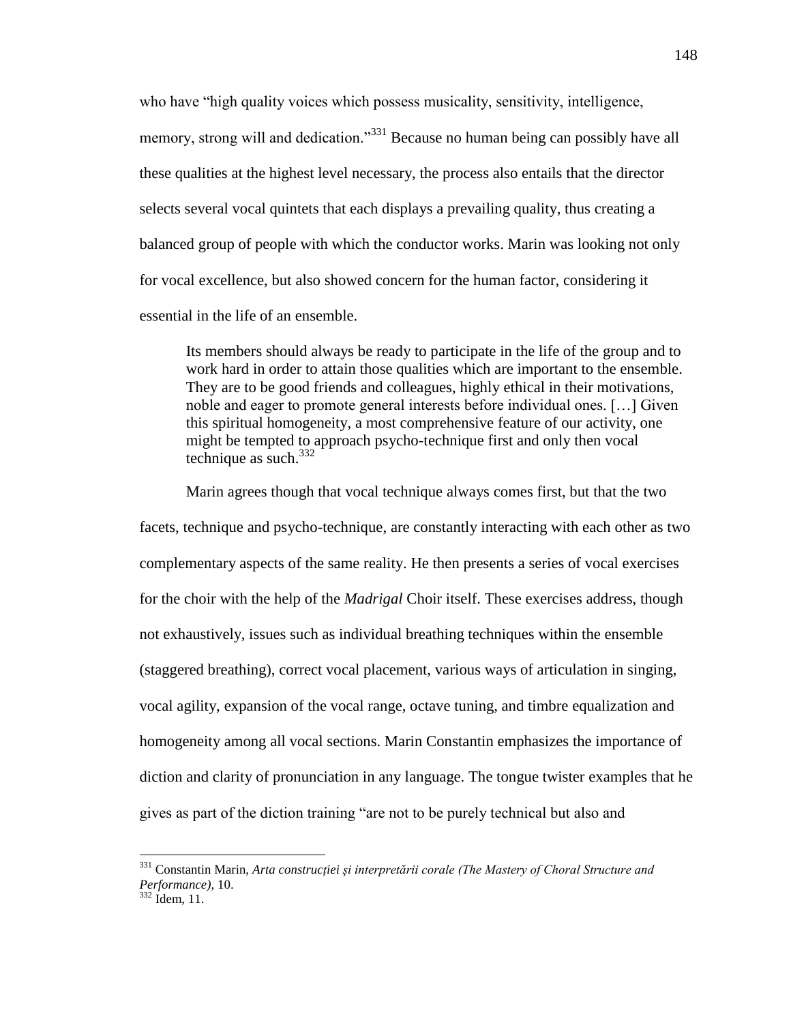who have "high quality voices which possess musicality, sensitivity, intelligence, memory, strong will and dedication.<sup>331</sup> Because no human being can possibly have all these qualities at the highest level necessary, the process also entails that the director selects several vocal quintets that each displays a prevailing quality, thus creating a balanced group of people with which the conductor works. Marin was looking not only for vocal excellence, but also showed concern for the human factor, considering it essential in the life of an ensemble.

Its members should always be ready to participate in the life of the group and to work hard in order to attain those qualities which are important to the ensemble. They are to be good friends and colleagues, highly ethical in their motivations, noble and eager to promote general interests before individual ones. […] Given this spiritual homogeneity, a most comprehensive feature of our activity, one might be tempted to approach psycho-technique first and only then vocal technique as such.<sup>332</sup>

Marin agrees though that vocal technique always comes first, but that the two facets, technique and psycho-technique, are constantly interacting with each other as two complementary aspects of the same reality. He then presents a series of vocal exercises for the choir with the help of the *Madrigal* Choir itself. These exercises address, though not exhaustively, issues such as individual breathing techniques within the ensemble (staggered breathing), correct vocal placement, various ways of articulation in singing, vocal agility, expansion of the vocal range, octave tuning, and timbre equalization and homogeneity among all vocal sections. Marin Constantin emphasizes the importance of diction and clarity of pronunciation in any language. The tongue twister examples that he gives as part of the diction training "are not to be purely technical but also and

<sup>331</sup> Constantin Marin, *Arta construcţiei şi interpretării corale (The Mastery of Choral Structure and Performance)*, 10.

 $332$  Idem, 11.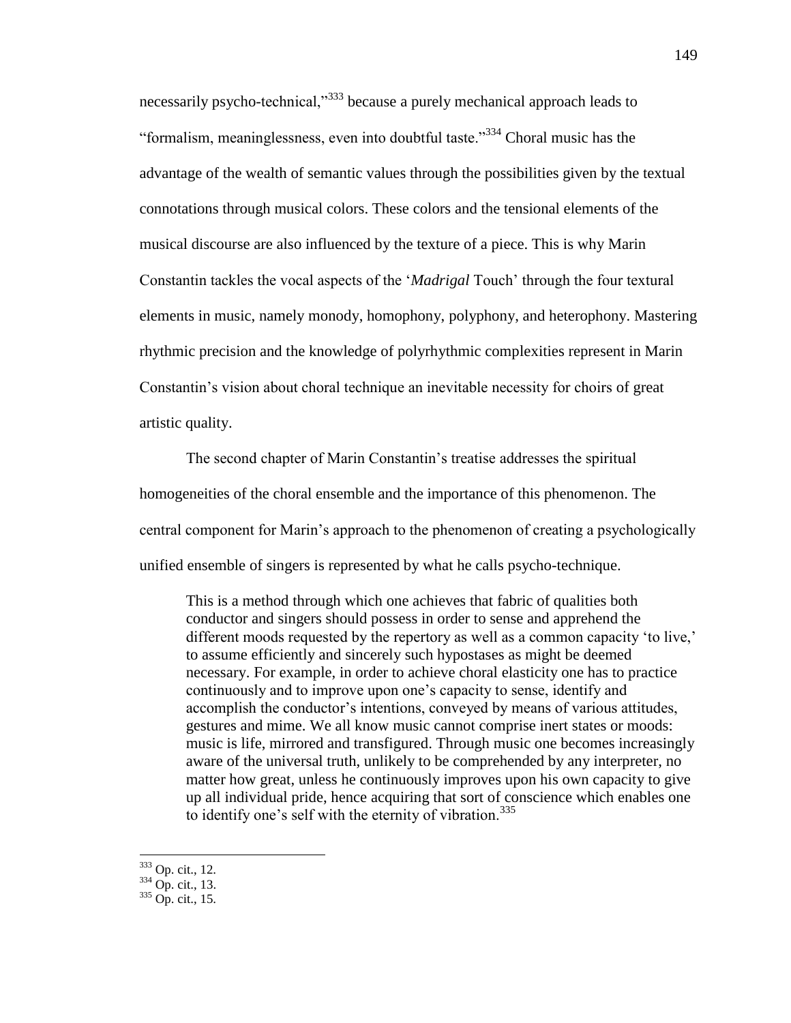necessarily psycho-technical,<sup>333</sup> because a purely mechanical approach leads to "formalism, meaninglessness, even into doubtful taste." $334$  Choral music has the advantage of the wealth of semantic values through the possibilities given by the textual connotations through musical colors. These colors and the tensional elements of the musical discourse are also influenced by the texture of a piece. This is why Marin Constantin tackles the vocal aspects of the ‗*Madrigal* Touch' through the four textural elements in music, namely monody, homophony, polyphony, and heterophony. Mastering rhythmic precision and the knowledge of polyrhythmic complexities represent in Marin Constantin's vision about choral technique an inevitable necessity for choirs of great artistic quality.

The second chapter of Marin Constantin's treatise addresses the spiritual homogeneities of the choral ensemble and the importance of this phenomenon. The central component for Marin's approach to the phenomenon of creating a psychologically unified ensemble of singers is represented by what he calls psycho-technique.

This is a method through which one achieves that fabric of qualities both conductor and singers should possess in order to sense and apprehend the different moods requested by the repertory as well as a common capacity 'to live,' to assume efficiently and sincerely such hypostases as might be deemed necessary. For example, in order to achieve choral elasticity one has to practice continuously and to improve upon one's capacity to sense, identify and accomplish the conductor's intentions, conveyed by means of various attitudes, gestures and mime. We all know music cannot comprise inert states or moods: music is life, mirrored and transfigured. Through music one becomes increasingly aware of the universal truth, unlikely to be comprehended by any interpreter, no matter how great, unless he continuously improves upon his own capacity to give up all individual pride, hence acquiring that sort of conscience which enables one to identify one's self with the eternity of vibration.<sup>335</sup>

<sup>333</sup> Op. cit., 12.

 $\overline{a}$ 

 $334$  Op. cit., 13.

<sup>335</sup> Op. cit., 15.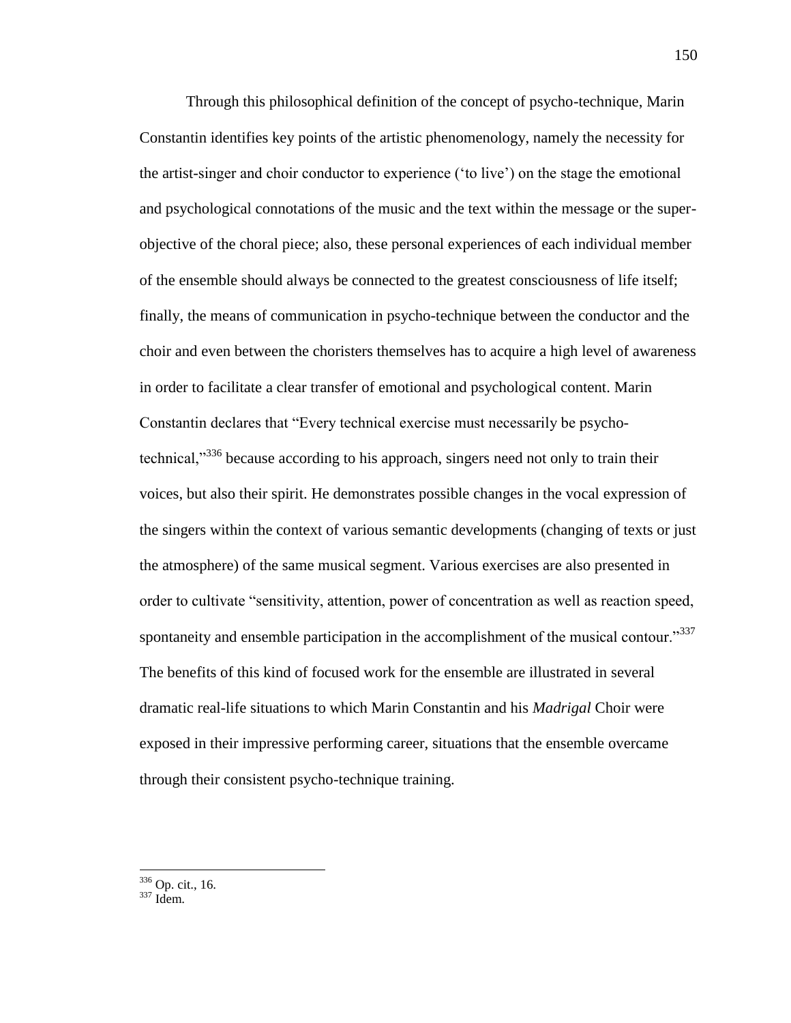Through this philosophical definition of the concept of psycho-technique, Marin Constantin identifies key points of the artistic phenomenology, namely the necessity for the artist-singer and choir conductor to experience (‗to live') on the stage the emotional and psychological connotations of the music and the text within the message or the superobjective of the choral piece; also, these personal experiences of each individual member of the ensemble should always be connected to the greatest consciousness of life itself; finally, the means of communication in psycho-technique between the conductor and the choir and even between the choristers themselves has to acquire a high level of awareness in order to facilitate a clear transfer of emotional and psychological content. Marin Constantin declares that "Every technical exercise must necessarily be psychotechnical, $\frac{3336}{ }$  because according to his approach, singers need not only to train their voices, but also their spirit. He demonstrates possible changes in the vocal expression of the singers within the context of various semantic developments (changing of texts or just the atmosphere) of the same musical segment. Various exercises are also presented in order to cultivate "sensitivity, attention, power of concentration as well as reaction speed, spontaneity and ensemble participation in the accomplishment of the musical contour."337 The benefits of this kind of focused work for the ensemble are illustrated in several dramatic real-life situations to which Marin Constantin and his *Madrigal* Choir were exposed in their impressive performing career, situations that the ensemble overcame through their consistent psycho-technique training.

<sup>&</sup>lt;sup>336</sup> Op. cit., 16.

<sup>337</sup> Idem.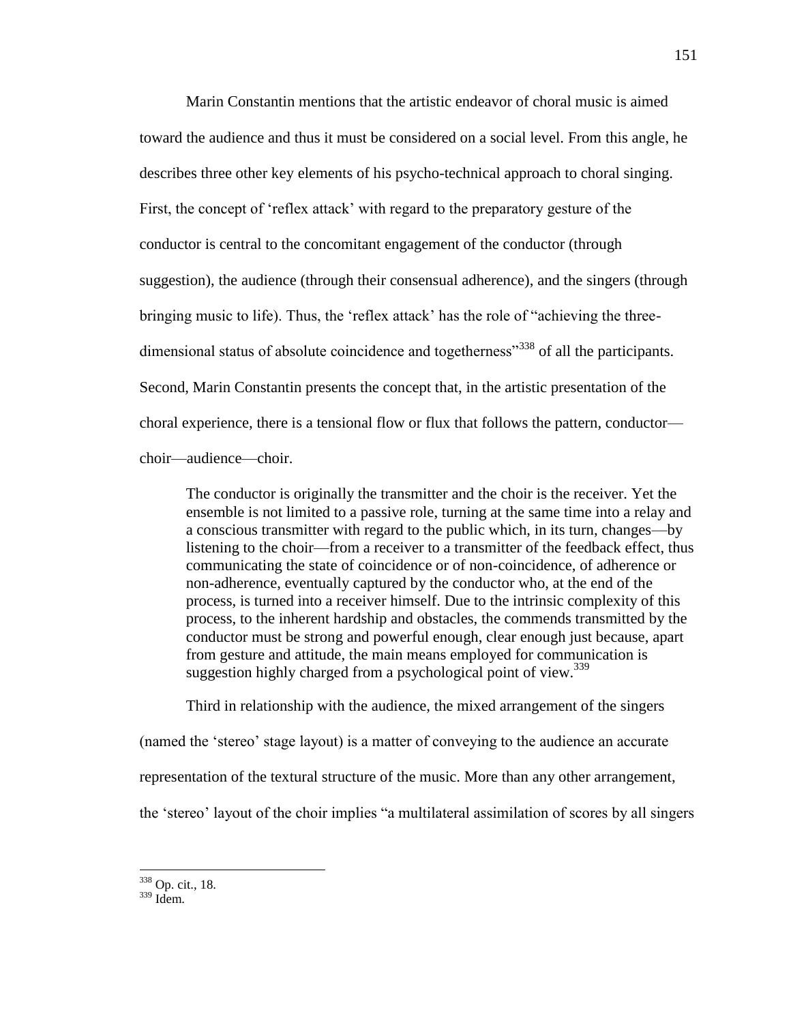Marin Constantin mentions that the artistic endeavor of choral music is aimed toward the audience and thus it must be considered on a social level. From this angle, he describes three other key elements of his psycho-technical approach to choral singing. First, the concept of 'reflex attack' with regard to the preparatory gesture of the conductor is central to the concomitant engagement of the conductor (through suggestion), the audience (through their consensual adherence), and the singers (through bringing music to life). Thus, the 'reflex attack' has the role of "achieving the threedimensional status of absolute coincidence and togetherness<sup> $3338$ </sup> of all the participants. Second, Marin Constantin presents the concept that, in the artistic presentation of the choral experience, there is a tensional flow or flux that follows the pattern, conductor choir—audience—choir.

The conductor is originally the transmitter and the choir is the receiver. Yet the ensemble is not limited to a passive role, turning at the same time into a relay and a conscious transmitter with regard to the public which, in its turn, changes—by listening to the choir—from a receiver to a transmitter of the feedback effect, thus communicating the state of coincidence or of non-coincidence, of adherence or non-adherence, eventually captured by the conductor who, at the end of the process, is turned into a receiver himself. Due to the intrinsic complexity of this process, to the inherent hardship and obstacles, the commends transmitted by the conductor must be strong and powerful enough, clear enough just because, apart from gesture and attitude, the main means employed for communication is suggestion highly charged from a psychological point of view.<sup>339</sup>

Third in relationship with the audience, the mixed arrangement of the singers

(named the ‗stereo' stage layout) is a matter of conveying to the audience an accurate

representation of the textural structure of the music. More than any other arrangement,

the 'stereo' layout of the choir implies "a multilateral assimilation of scores by all singers

<sup>338</sup> Op. cit., 18.

<sup>339</sup> Idem.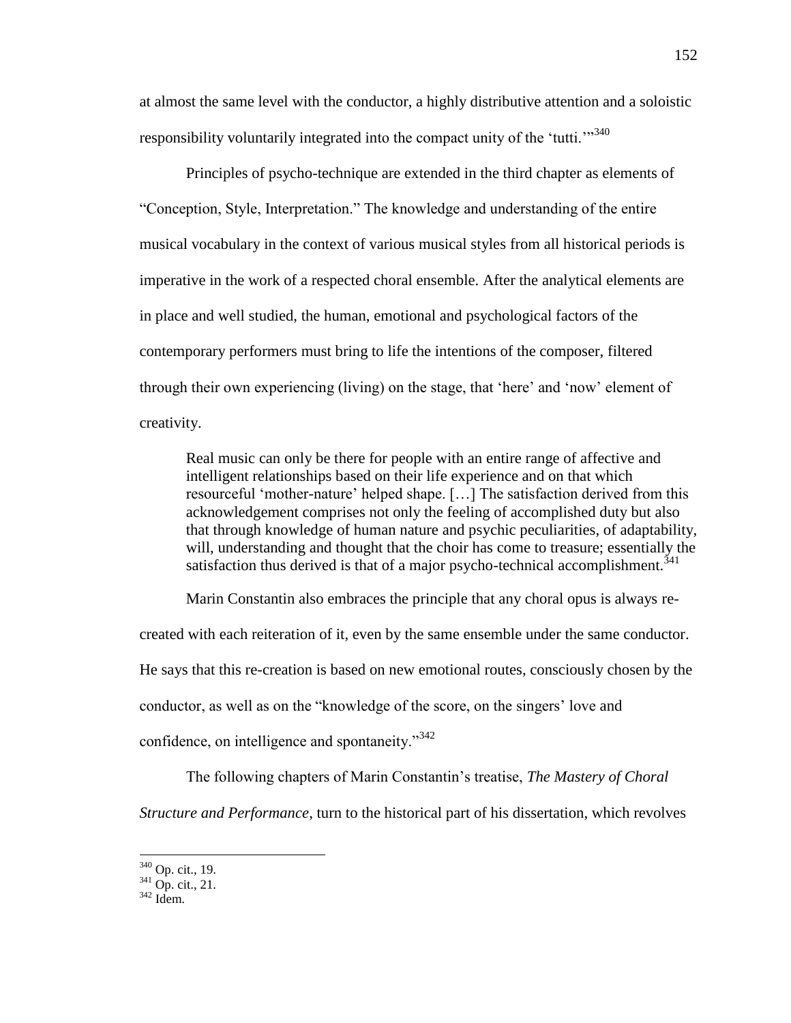at almost the same level with the conductor, a highly distributive attention and a soloistic responsibility voluntarily integrated into the compact unity of the 'tutti. $\frac{340}{2}$ 

Principles of psycho-technique are extended in the third chapter as elements of ―Conception, Style, Interpretation.‖ The knowledge and understanding of the entire musical vocabulary in the context of various musical styles from all historical periods is imperative in the work of a respected choral ensemble. After the analytical elements are in place and well studied, the human, emotional and psychological factors of the contemporary performers must bring to life the intentions of the composer, filtered through their own experiencing (living) on the stage, that 'here' and 'now' element of creativity.

Real music can only be there for people with an entire range of affective and intelligent relationships based on their life experience and on that which resourceful 'mother-nature' helped shape. [...] The satisfaction derived from this acknowledgement comprises not only the feeling of accomplished duty but also that through knowledge of human nature and psychic peculiarities, of adaptability, will, understanding and thought that the choir has come to treasure; essentially the satisfaction thus derived is that of a major psycho-technical accomplishment.<sup>341</sup>

Marin Constantin also embraces the principle that any choral opus is always re-

created with each reiteration of it, even by the same ensemble under the same conductor.

He says that this re-creation is based on new emotional routes, consciously chosen by the

conductor, as well as on the "knowledge of the score, on the singers' love and

confidence, on intelligence and spontaneity. $\frac{342}{2}$ 

The following chapters of Marin Constantin's treatise, *The Mastery of Choral* 

*Structure and Performance*, turn to the historical part of his dissertation, which revolves

<sup>&</sup>lt;sup>340</sup> Op. cit., 19.

 $341$  Op. cit., 21.

 $342$  Idem.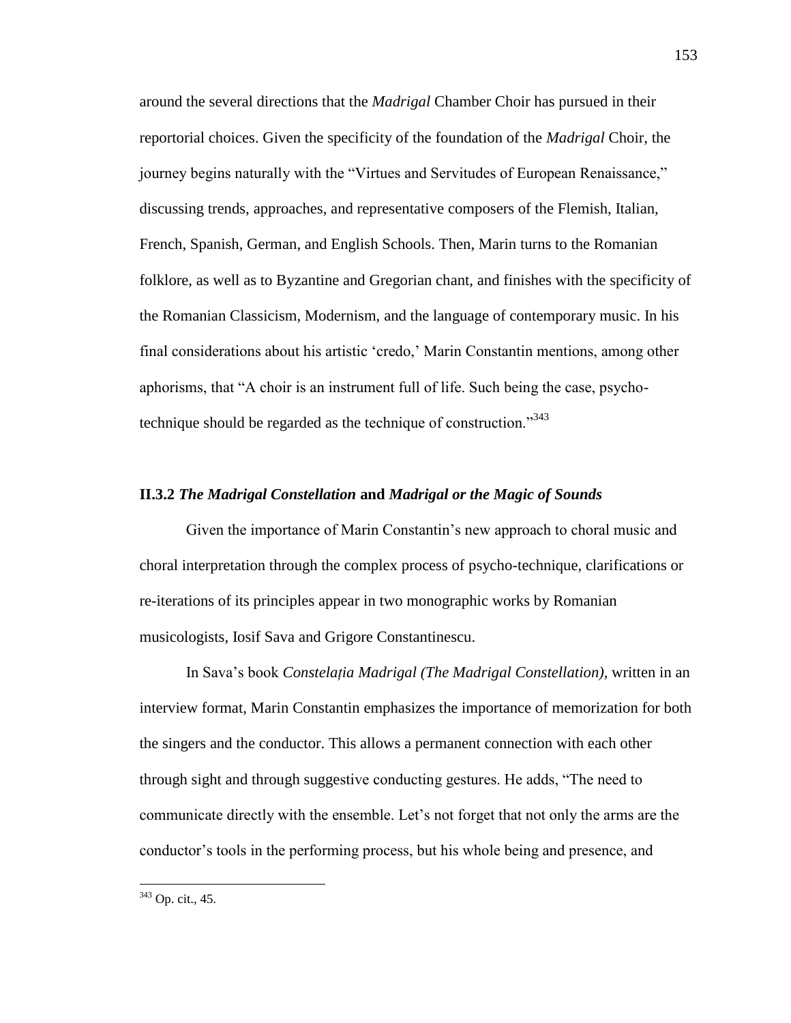around the several directions that the *Madrigal* Chamber Choir has pursued in their reportorial choices. Given the specificity of the foundation of the *Madrigal* Choir, the journey begins naturally with the "Virtues and Servitudes of European Renaissance," discussing trends, approaches, and representative composers of the Flemish, Italian, French, Spanish, German, and English Schools. Then, Marin turns to the Romanian folklore, as well as to Byzantine and Gregorian chant, and finishes with the specificity of the Romanian Classicism, Modernism, and the language of contemporary music. In his final considerations about his artistic 'credo,' Marin Constantin mentions, among other aphorisms, that "A choir is an instrument full of life. Such being the case, psychotechnique should be regarded as the technique of construction.<sup>343</sup>

## **II.3.2** *The Madrigal Constellation* **and** *Madrigal or the Magic of Sounds*

Given the importance of Marin Constantin's new approach to choral music and choral interpretation through the complex process of psycho-technique, clarifications or re-iterations of its principles appear in two monographic works by Romanian musicologists, Iosif Sava and Grigore Constantinescu.

In Sava's book *Constelaţia Madrigal (The Madrigal Constellation)*, written in an interview format, Marin Constantin emphasizes the importance of memorization for both the singers and the conductor. This allows a permanent connection with each other through sight and through suggestive conducting gestures. He adds, "The need to communicate directly with the ensemble. Let's not forget that not only the arms are the conductor's tools in the performing process, but his whole being and presence, and

 $343$  Op. cit., 45.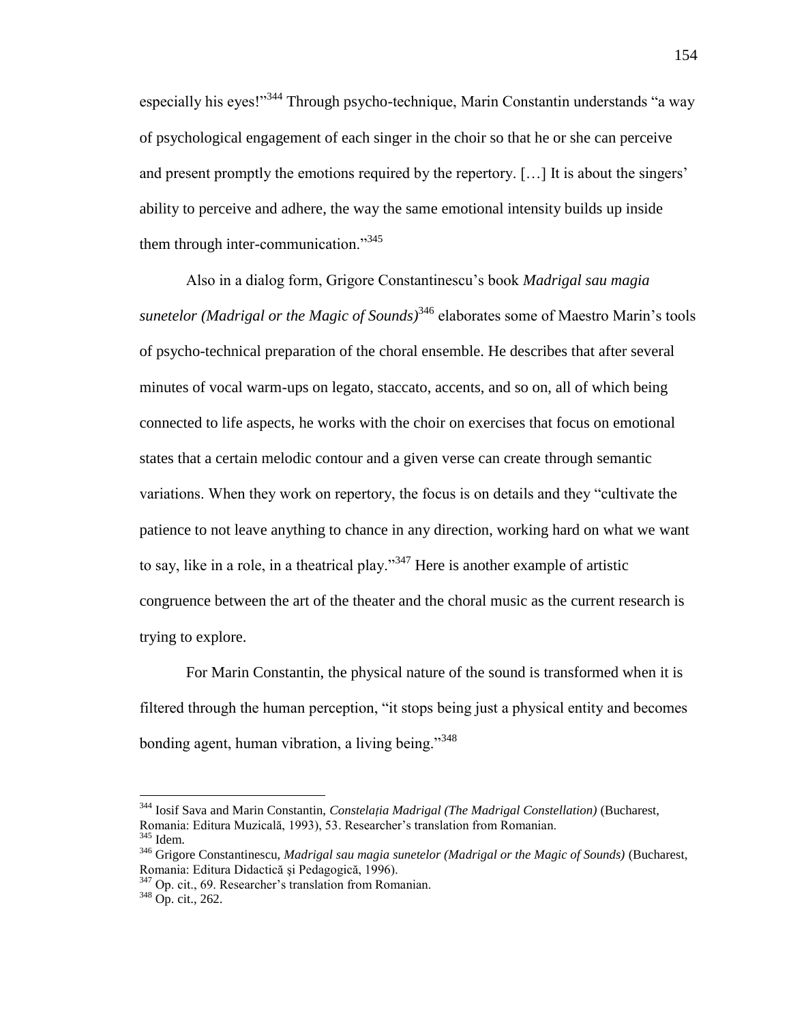especially his eyes!"<sup>344</sup> Through psycho-technique, Marin Constantin understands "a way" of psychological engagement of each singer in the choir so that he or she can perceive and present promptly the emotions required by the repertory. […] It is about the singers' ability to perceive and adhere, the way the same emotional intensity builds up inside them through inter-communication. $1345$ 

Also in a dialog form, Grigore Constantinescu's book *Madrigal sau magia sunetelor (Madrigal or the Magic of Sounds)*<sup>346</sup> elaborates some of Maestro Marin's tools of psycho-technical preparation of the choral ensemble. He describes that after several minutes of vocal warm-ups on legato, staccato, accents, and so on, all of which being connected to life aspects, he works with the choir on exercises that focus on emotional states that a certain melodic contour and a given verse can create through semantic variations. When they work on repertory, the focus is on details and they "cultivate the patience to not leave anything to chance in any direction, working hard on what we want to say, like in a role, in a theatrical play."<sup>347</sup> Here is another example of artistic congruence between the art of the theater and the choral music as the current research is trying to explore.

For Marin Constantin, the physical nature of the sound is transformed when it is filtered through the human perception, "it stops being just a physical entity and becomes bonding agent, human vibration, a living being." $348$ 

<sup>344</sup> Iosif Sava and Marin Constantin, *Constelaţia Madrigal (The Madrigal Constellation)* (Bucharest, Romania: Editura Muzicală, 1993), 53. Researcher's translation from Romanian. <sup>345</sup> Idem.

<sup>346</sup> Grigore Constantinescu, *Madrigal sau magia sunetelor (Madrigal or the Magic of Sounds)* (Bucharest, Romania: Editura Didactică şi Pedagogică, 1996).

<sup>&</sup>lt;sup>347</sup> Op. cit., 69. Researcher's translation from Romanian.

 $348$  Op. cit., 262.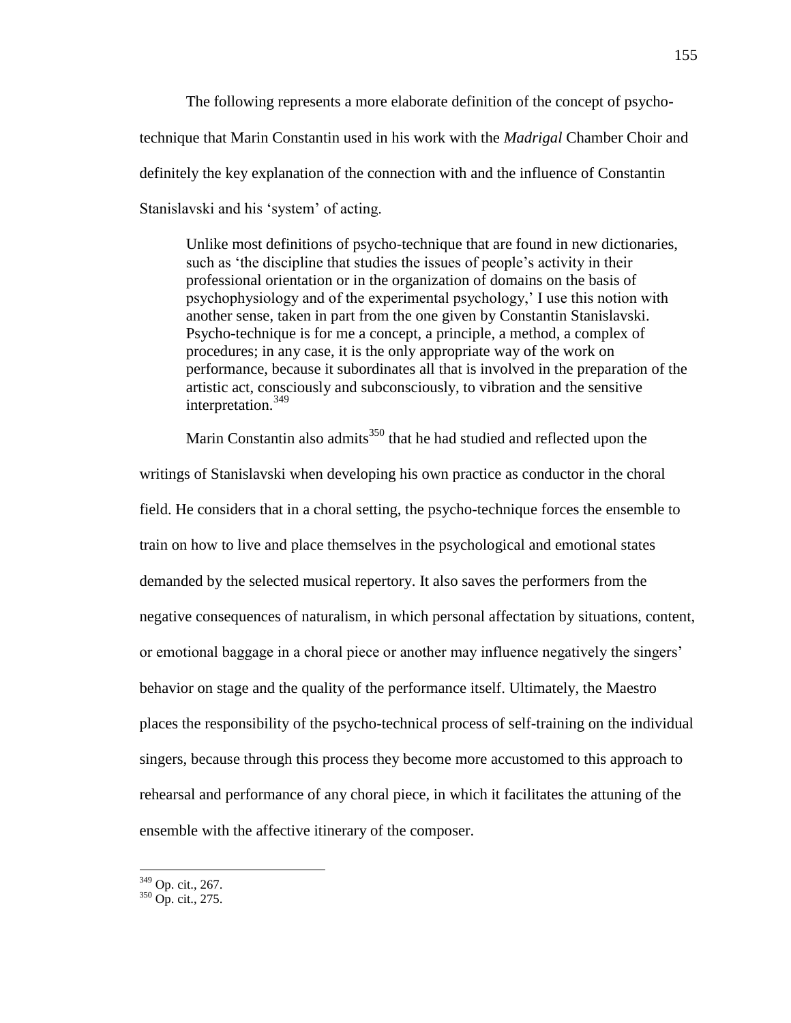The following represents a more elaborate definition of the concept of psychotechnique that Marin Constantin used in his work with the *Madrigal* Chamber Choir and definitely the key explanation of the connection with and the influence of Constantin Stanislavski and his 'system' of acting.

Unlike most definitions of psycho-technique that are found in new dictionaries, such as 'the discipline that studies the issues of people's activity in their professional orientation or in the organization of domains on the basis of psychophysiology and of the experimental psychology,' I use this notion with another sense, taken in part from the one given by Constantin Stanislavski. Psycho-technique is for me a concept, a principle, a method, a complex of procedures; in any case, it is the only appropriate way of the work on performance, because it subordinates all that is involved in the preparation of the artistic act, consciously and subconsciously, to vibration and the sensitive interpretation.<sup>349</sup>

Marin Constantin also admits $350$  that he had studied and reflected upon the writings of Stanislavski when developing his own practice as conductor in the choral field. He considers that in a choral setting, the psycho-technique forces the ensemble to train on how to live and place themselves in the psychological and emotional states demanded by the selected musical repertory. It also saves the performers from the negative consequences of naturalism, in which personal affectation by situations, content, or emotional baggage in a choral piece or another may influence negatively the singers' behavior on stage and the quality of the performance itself. Ultimately, the Maestro places the responsibility of the psycho-technical process of self-training on the individual singers, because through this process they become more accustomed to this approach to rehearsal and performance of any choral piece, in which it facilitates the attuning of the ensemble with the affective itinerary of the composer.

<sup>349</sup> Op. cit., 267.

 $350$  Op. cit., 275.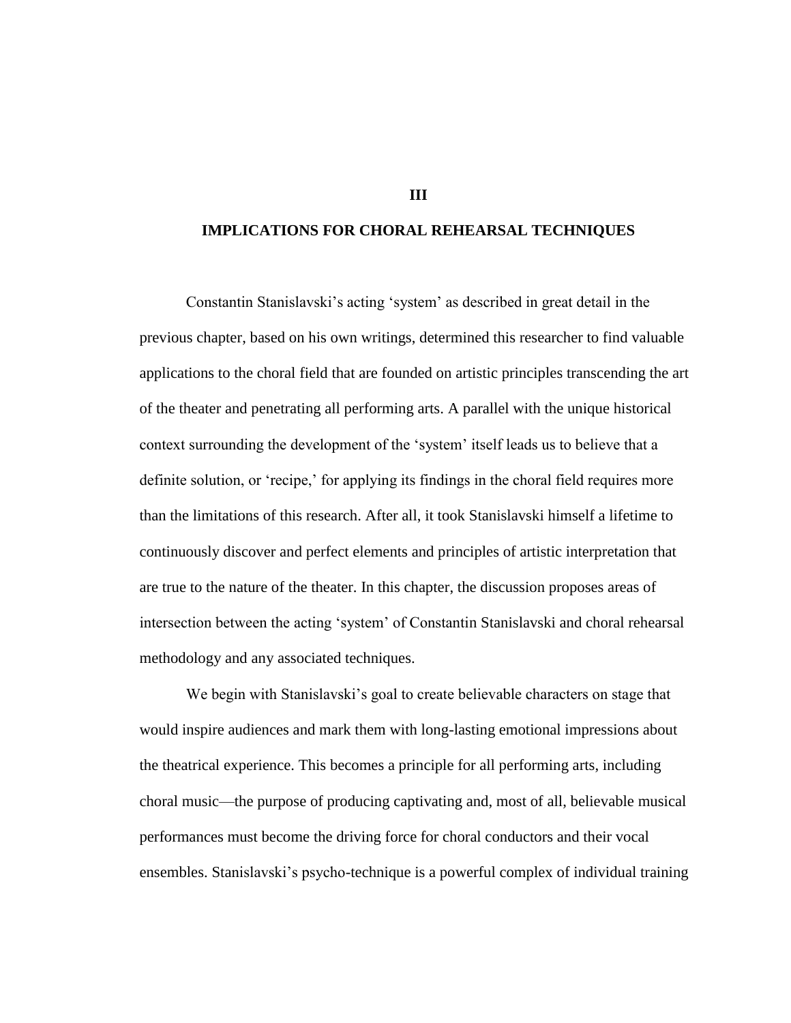### **IMPLICATIONS FOR CHORAL REHEARSAL TECHNIQUES**

Constantin Stanislavski's acting 'system' as described in great detail in the previous chapter, based on his own writings, determined this researcher to find valuable applications to the choral field that are founded on artistic principles transcending the art of the theater and penetrating all performing arts. A parallel with the unique historical context surrounding the development of the 'system' itself leads us to believe that a definite solution, or 'recipe,' for applying its findings in the choral field requires more than the limitations of this research. After all, it took Stanislavski himself a lifetime to continuously discover and perfect elements and principles of artistic interpretation that are true to the nature of the theater. In this chapter, the discussion proposes areas of intersection between the acting 'system' of Constantin Stanislavski and choral rehearsal methodology and any associated techniques.

We begin with Stanislavski's goal to create believable characters on stage that would inspire audiences and mark them with long-lasting emotional impressions about the theatrical experience. This becomes a principle for all performing arts, including choral music—the purpose of producing captivating and, most of all, believable musical performances must become the driving force for choral conductors and their vocal ensembles. Stanislavski's psycho-technique is a powerful complex of individual training

**III**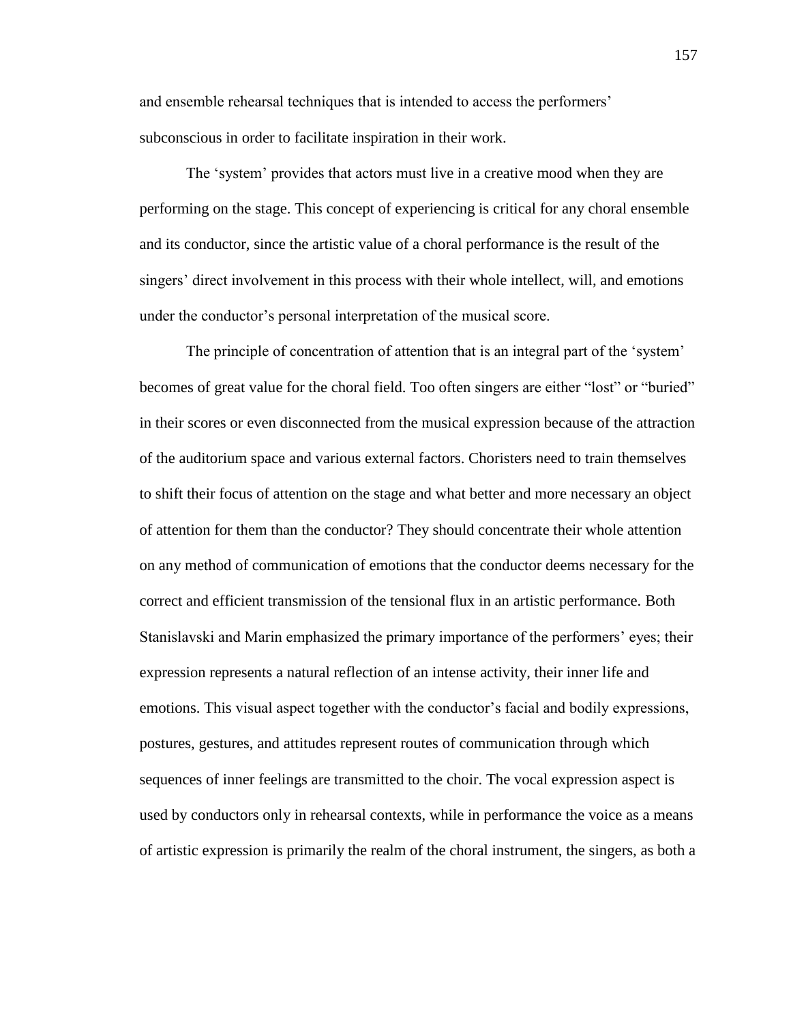and ensemble rehearsal techniques that is intended to access the performers' subconscious in order to facilitate inspiration in their work.

The 'system' provides that actors must live in a creative mood when they are performing on the stage. This concept of experiencing is critical for any choral ensemble and its conductor, since the artistic value of a choral performance is the result of the singers' direct involvement in this process with their whole intellect, will, and emotions under the conductor's personal interpretation of the musical score.

The principle of concentration of attention that is an integral part of the 'system' becomes of great value for the choral field. Too often singers are either "lost" or "buried" in their scores or even disconnected from the musical expression because of the attraction of the auditorium space and various external factors. Choristers need to train themselves to shift their focus of attention on the stage and what better and more necessary an object of attention for them than the conductor? They should concentrate their whole attention on any method of communication of emotions that the conductor deems necessary for the correct and efficient transmission of the tensional flux in an artistic performance. Both Stanislavski and Marin emphasized the primary importance of the performers' eyes; their expression represents a natural reflection of an intense activity, their inner life and emotions. This visual aspect together with the conductor's facial and bodily expressions, postures, gestures, and attitudes represent routes of communication through which sequences of inner feelings are transmitted to the choir. The vocal expression aspect is used by conductors only in rehearsal contexts, while in performance the voice as a means of artistic expression is primarily the realm of the choral instrument, the singers, as both a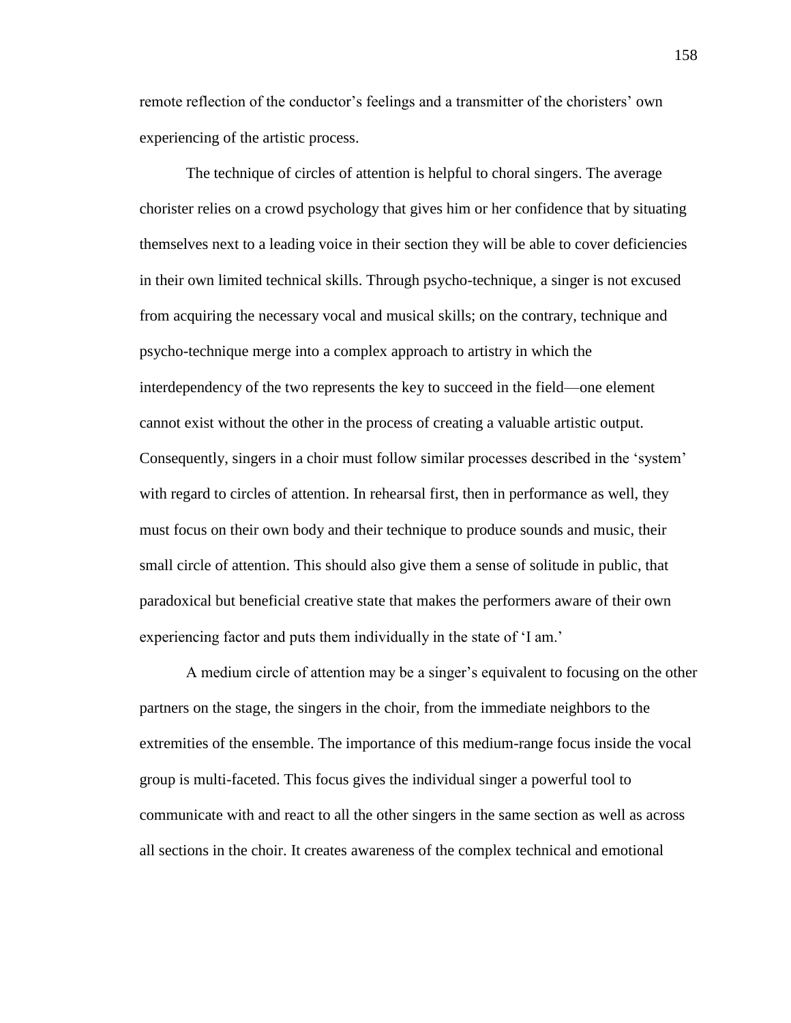remote reflection of the conductor's feelings and a transmitter of the choristers' own experiencing of the artistic process.

The technique of circles of attention is helpful to choral singers. The average chorister relies on a crowd psychology that gives him or her confidence that by situating themselves next to a leading voice in their section they will be able to cover deficiencies in their own limited technical skills. Through psycho-technique, a singer is not excused from acquiring the necessary vocal and musical skills; on the contrary, technique and psycho-technique merge into a complex approach to artistry in which the interdependency of the two represents the key to succeed in the field—one element cannot exist without the other in the process of creating a valuable artistic output. Consequently, singers in a choir must follow similar processes described in the 'system' with regard to circles of attention. In rehearsal first, then in performance as well, they must focus on their own body and their technique to produce sounds and music, their small circle of attention. This should also give them a sense of solitude in public, that paradoxical but beneficial creative state that makes the performers aware of their own experiencing factor and puts them individually in the state of 'I am.'

A medium circle of attention may be a singer's equivalent to focusing on the other partners on the stage, the singers in the choir, from the immediate neighbors to the extremities of the ensemble. The importance of this medium-range focus inside the vocal group is multi-faceted. This focus gives the individual singer a powerful tool to communicate with and react to all the other singers in the same section as well as across all sections in the choir. It creates awareness of the complex technical and emotional

158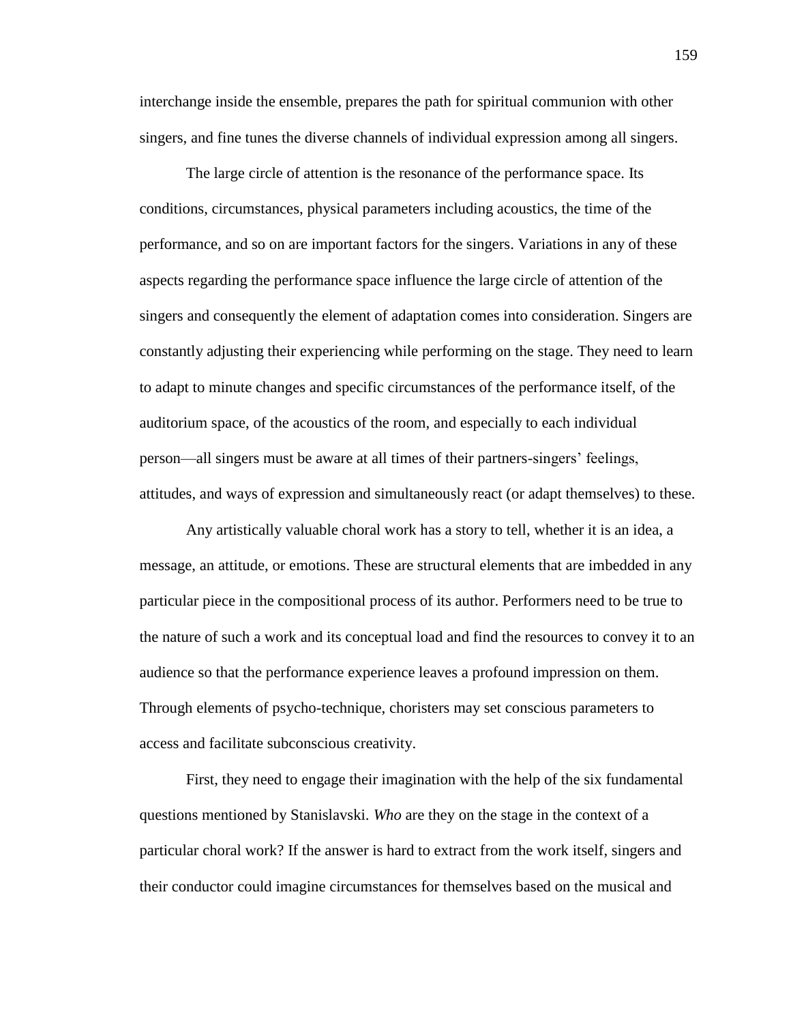interchange inside the ensemble, prepares the path for spiritual communion with other singers, and fine tunes the diverse channels of individual expression among all singers.

The large circle of attention is the resonance of the performance space. Its conditions, circumstances, physical parameters including acoustics, the time of the performance, and so on are important factors for the singers. Variations in any of these aspects regarding the performance space influence the large circle of attention of the singers and consequently the element of adaptation comes into consideration. Singers are constantly adjusting their experiencing while performing on the stage. They need to learn to adapt to minute changes and specific circumstances of the performance itself, of the auditorium space, of the acoustics of the room, and especially to each individual person—all singers must be aware at all times of their partners-singers' feelings, attitudes, and ways of expression and simultaneously react (or adapt themselves) to these.

Any artistically valuable choral work has a story to tell, whether it is an idea, a message, an attitude, or emotions. These are structural elements that are imbedded in any particular piece in the compositional process of its author. Performers need to be true to the nature of such a work and its conceptual load and find the resources to convey it to an audience so that the performance experience leaves a profound impression on them. Through elements of psycho-technique, choristers may set conscious parameters to access and facilitate subconscious creativity.

First, they need to engage their imagination with the help of the six fundamental questions mentioned by Stanislavski. *Who* are they on the stage in the context of a particular choral work? If the answer is hard to extract from the work itself, singers and their conductor could imagine circumstances for themselves based on the musical and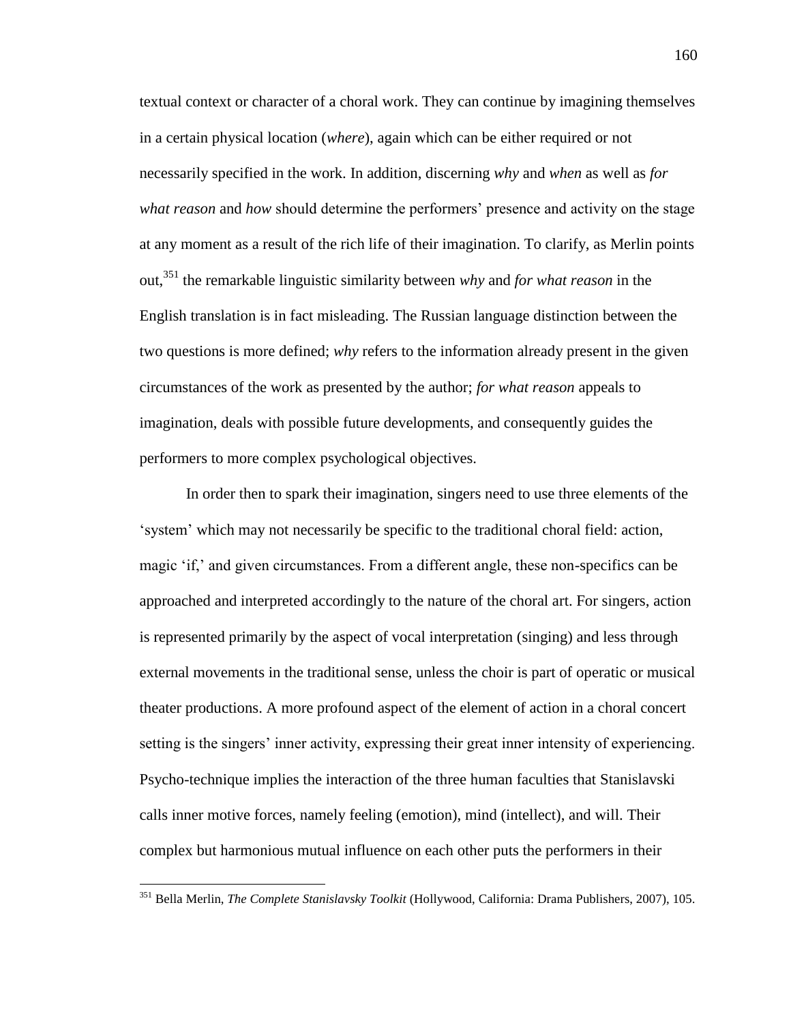textual context or character of a choral work. They can continue by imagining themselves in a certain physical location (*where*), again which can be either required or not necessarily specified in the work. In addition, discerning *why* and *when* as well as *for what reason* and *how* should determine the performers' presence and activity on the stage at any moment as a result of the rich life of their imagination. To clarify, as Merlin points out, <sup>351</sup> the remarkable linguistic similarity between *why* and *for what reason* in the English translation is in fact misleading. The Russian language distinction between the two questions is more defined; *why* refers to the information already present in the given circumstances of the work as presented by the author; *for what reason* appeals to imagination, deals with possible future developments, and consequently guides the performers to more complex psychological objectives.

In order then to spark their imagination, singers need to use three elements of the ‗system' which may not necessarily be specific to the traditional choral field: action, magic ‗if,' and given circumstances. From a different angle, these non-specifics can be approached and interpreted accordingly to the nature of the choral art. For singers, action is represented primarily by the aspect of vocal interpretation (singing) and less through external movements in the traditional sense, unless the choir is part of operatic or musical theater productions. A more profound aspect of the element of action in a choral concert setting is the singers' inner activity, expressing their great inner intensity of experiencing. Psycho-technique implies the interaction of the three human faculties that Stanislavski calls inner motive forces, namely feeling (emotion), mind (intellect), and will. Their complex but harmonious mutual influence on each other puts the performers in their

<sup>351</sup> Bella Merlin, *The Complete Stanislavsky Toolkit* (Hollywood, California: Drama Publishers, 2007), 105.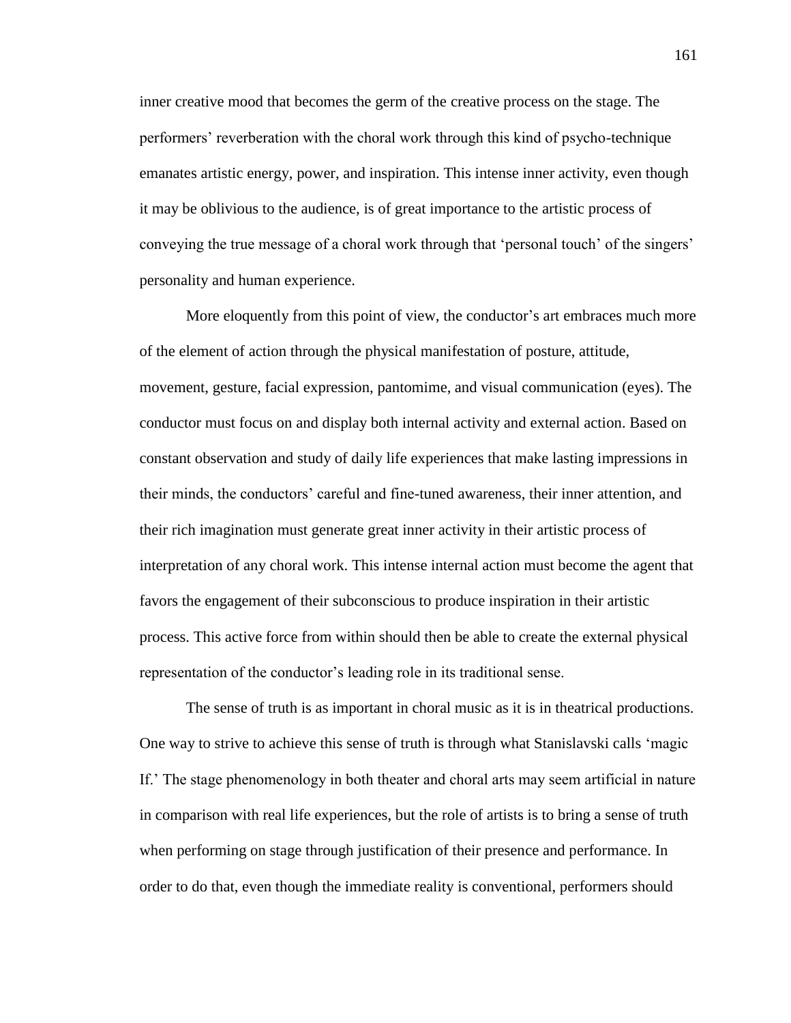inner creative mood that becomes the germ of the creative process on the stage. The performers' reverberation with the choral work through this kind of psycho-technique emanates artistic energy, power, and inspiration. This intense inner activity, even though it may be oblivious to the audience, is of great importance to the artistic process of conveying the true message of a choral work through that ‗personal touch' of the singers' personality and human experience.

More eloquently from this point of view, the conductor's art embraces much more of the element of action through the physical manifestation of posture, attitude, movement, gesture, facial expression, pantomime, and visual communication (eyes). The conductor must focus on and display both internal activity and external action. Based on constant observation and study of daily life experiences that make lasting impressions in their minds, the conductors' careful and fine-tuned awareness, their inner attention, and their rich imagination must generate great inner activity in their artistic process of interpretation of any choral work. This intense internal action must become the agent that favors the engagement of their subconscious to produce inspiration in their artistic process. This active force from within should then be able to create the external physical representation of the conductor's leading role in its traditional sense.

The sense of truth is as important in choral music as it is in theatrical productions. One way to strive to achieve this sense of truth is through what Stanislavski calls ‗magic If.' The stage phenomenology in both theater and choral arts may seem artificial in nature in comparison with real life experiences, but the role of artists is to bring a sense of truth when performing on stage through justification of their presence and performance. In order to do that, even though the immediate reality is conventional, performers should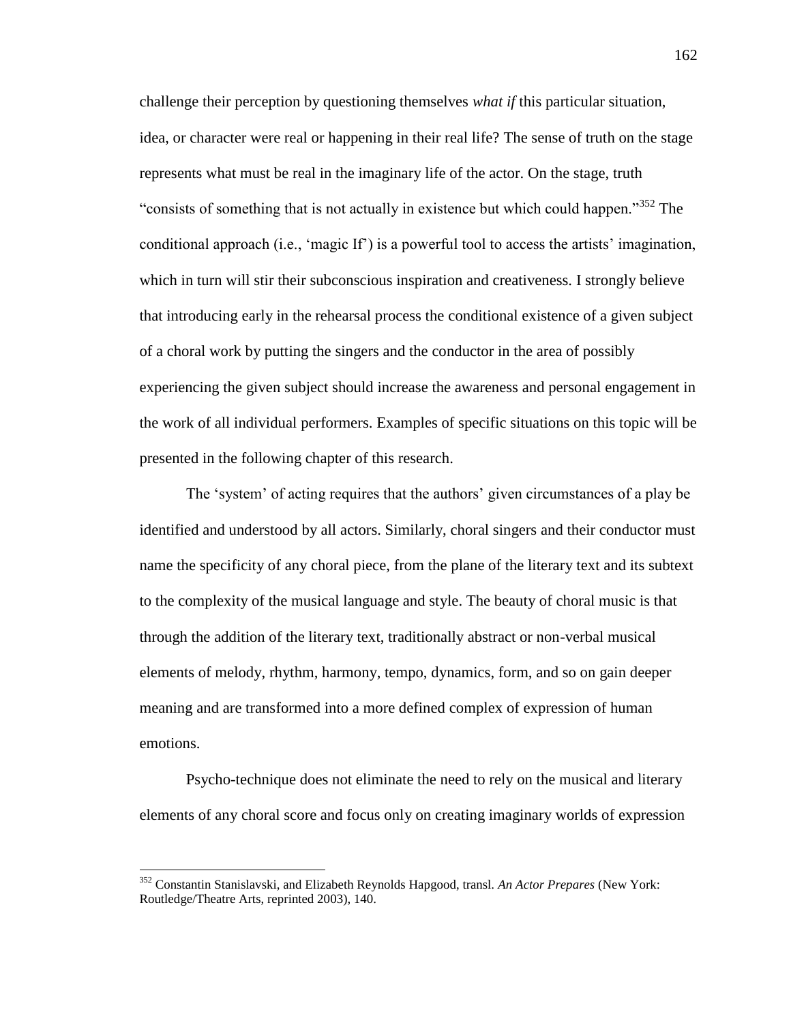challenge their perception by questioning themselves *what if* this particular situation, idea, or character were real or happening in their real life? The sense of truth on the stage represents what must be real in the imaginary life of the actor. On the stage, truth "consists of something that is not actually in existence but which could happen."<sup>352</sup> The conditional approach (i.e., 'magic If') is a powerful tool to access the artists' imagination, which in turn will stir their subconscious inspiration and creativeness. I strongly believe that introducing early in the rehearsal process the conditional existence of a given subject of a choral work by putting the singers and the conductor in the area of possibly experiencing the given subject should increase the awareness and personal engagement in the work of all individual performers. Examples of specific situations on this topic will be presented in the following chapter of this research.

The 'system' of acting requires that the authors' given circumstances of a play be identified and understood by all actors. Similarly, choral singers and their conductor must name the specificity of any choral piece, from the plane of the literary text and its subtext to the complexity of the musical language and style. The beauty of choral music is that through the addition of the literary text, traditionally abstract or non-verbal musical elements of melody, rhythm, harmony, tempo, dynamics, form, and so on gain deeper meaning and are transformed into a more defined complex of expression of human emotions.

Psycho-technique does not eliminate the need to rely on the musical and literary elements of any choral score and focus only on creating imaginary worlds of expression

<sup>352</sup> Constantin Stanislavski, and Elizabeth Reynolds Hapgood, transl. *An Actor Prepares* (New York: Routledge/Theatre Arts, reprinted 2003), 140.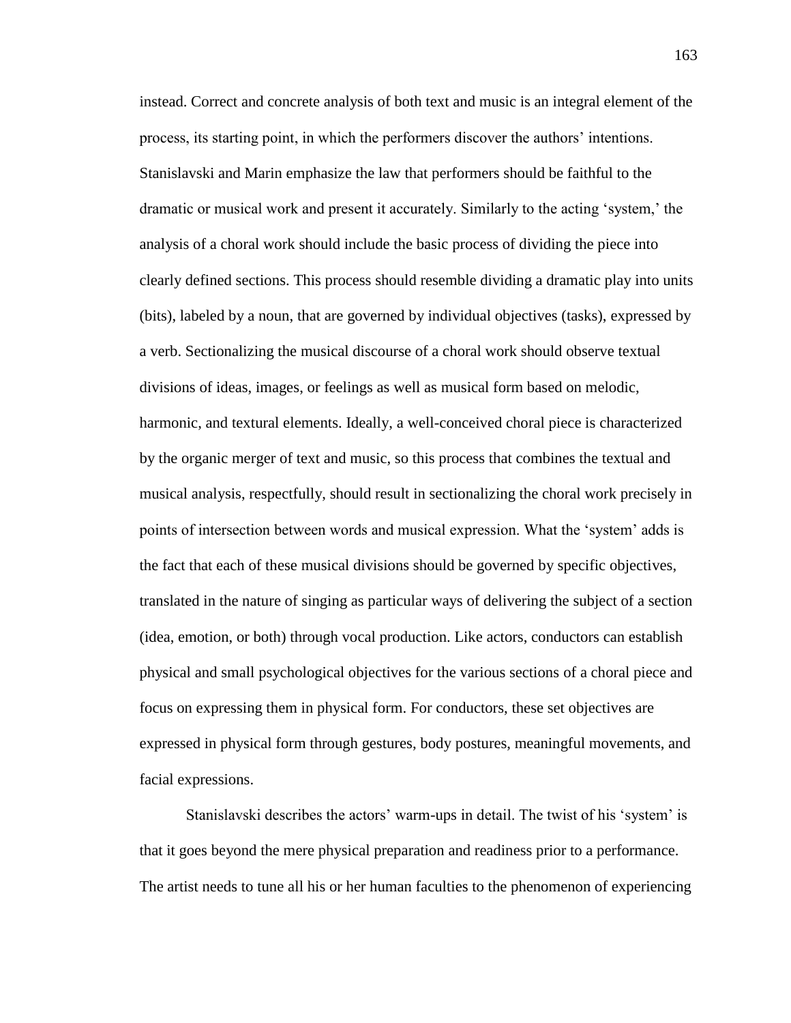instead. Correct and concrete analysis of both text and music is an integral element of the process, its starting point, in which the performers discover the authors' intentions. Stanislavski and Marin emphasize the law that performers should be faithful to the dramatic or musical work and present it accurately. Similarly to the acting 'system,' the analysis of a choral work should include the basic process of dividing the piece into clearly defined sections. This process should resemble dividing a dramatic play into units (bits), labeled by a noun, that are governed by individual objectives (tasks), expressed by a verb. Sectionalizing the musical discourse of a choral work should observe textual divisions of ideas, images, or feelings as well as musical form based on melodic, harmonic, and textural elements. Ideally, a well-conceived choral piece is characterized by the organic merger of text and music, so this process that combines the textual and musical analysis, respectfully, should result in sectionalizing the choral work precisely in points of intersection between words and musical expression. What the 'system' adds is the fact that each of these musical divisions should be governed by specific objectives, translated in the nature of singing as particular ways of delivering the subject of a section (idea, emotion, or both) through vocal production. Like actors, conductors can establish physical and small psychological objectives for the various sections of a choral piece and focus on expressing them in physical form. For conductors, these set objectives are expressed in physical form through gestures, body postures, meaningful movements, and facial expressions.

Stanislavski describes the actors' warm-ups in detail. The twist of his 'system' is that it goes beyond the mere physical preparation and readiness prior to a performance. The artist needs to tune all his or her human faculties to the phenomenon of experiencing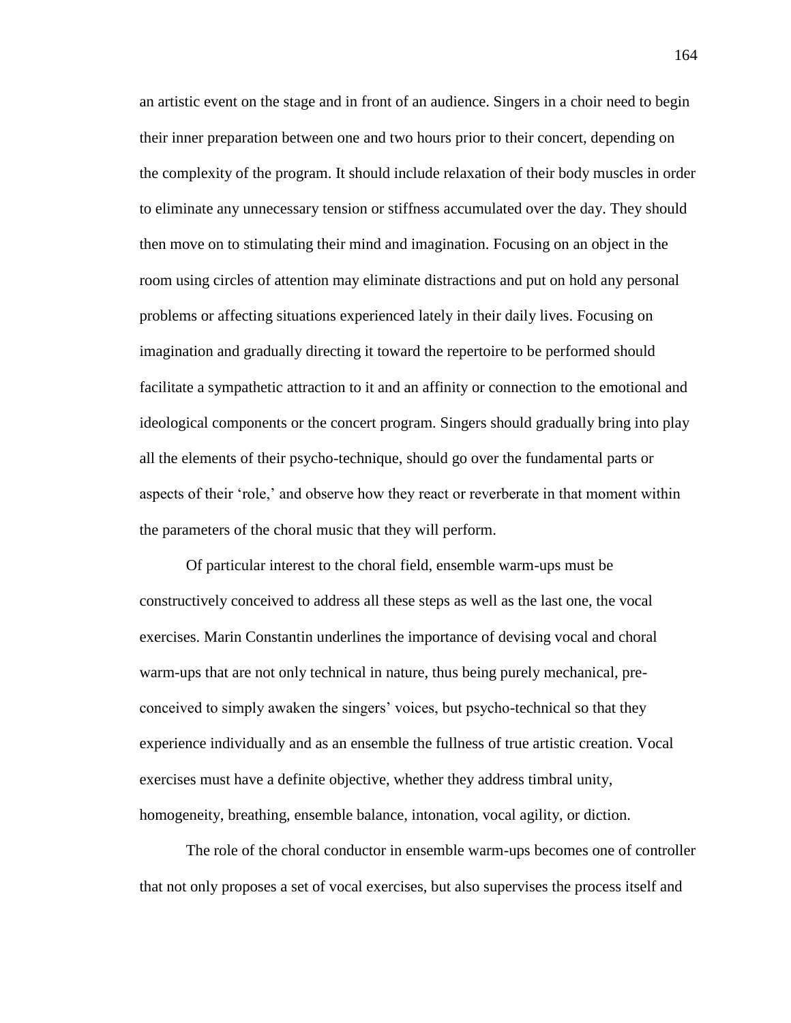an artistic event on the stage and in front of an audience. Singers in a choir need to begin their inner preparation between one and two hours prior to their concert, depending on the complexity of the program. It should include relaxation of their body muscles in order to eliminate any unnecessary tension or stiffness accumulated over the day. They should then move on to stimulating their mind and imagination. Focusing on an object in the room using circles of attention may eliminate distractions and put on hold any personal problems or affecting situations experienced lately in their daily lives. Focusing on imagination and gradually directing it toward the repertoire to be performed should facilitate a sympathetic attraction to it and an affinity or connection to the emotional and ideological components or the concert program. Singers should gradually bring into play all the elements of their psycho-technique, should go over the fundamental parts or aspects of their 'role,' and observe how they react or reverberate in that moment within the parameters of the choral music that they will perform.

Of particular interest to the choral field, ensemble warm-ups must be constructively conceived to address all these steps as well as the last one, the vocal exercises. Marin Constantin underlines the importance of devising vocal and choral warm-ups that are not only technical in nature, thus being purely mechanical, preconceived to simply awaken the singers' voices, but psycho-technical so that they experience individually and as an ensemble the fullness of true artistic creation. Vocal exercises must have a definite objective, whether they address timbral unity, homogeneity, breathing, ensemble balance, intonation, vocal agility, or diction.

The role of the choral conductor in ensemble warm-ups becomes one of controller that not only proposes a set of vocal exercises, but also supervises the process itself and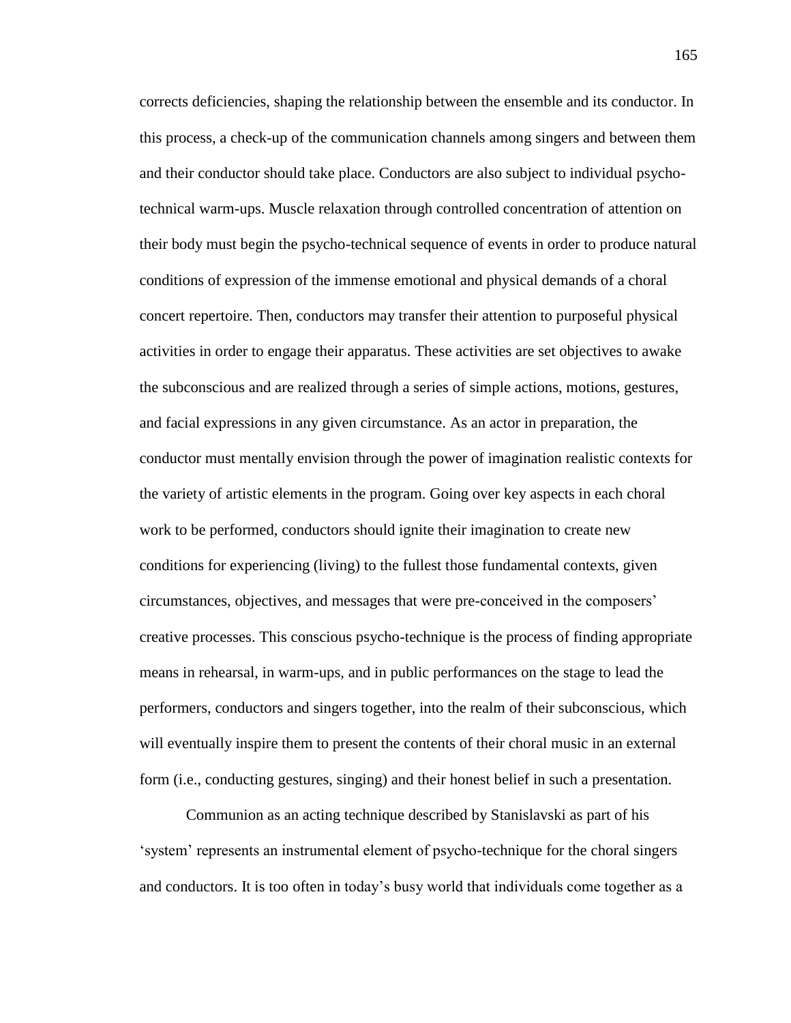corrects deficiencies, shaping the relationship between the ensemble and its conductor. In this process, a check-up of the communication channels among singers and between them and their conductor should take place. Conductors are also subject to individual psychotechnical warm-ups. Muscle relaxation through controlled concentration of attention on their body must begin the psycho-technical sequence of events in order to produce natural conditions of expression of the immense emotional and physical demands of a choral concert repertoire. Then, conductors may transfer their attention to purposeful physical activities in order to engage their apparatus. These activities are set objectives to awake the subconscious and are realized through a series of simple actions, motions, gestures, and facial expressions in any given circumstance. As an actor in preparation, the conductor must mentally envision through the power of imagination realistic contexts for the variety of artistic elements in the program. Going over key aspects in each choral work to be performed, conductors should ignite their imagination to create new conditions for experiencing (living) to the fullest those fundamental contexts, given circumstances, objectives, and messages that were pre-conceived in the composers' creative processes. This conscious psycho-technique is the process of finding appropriate means in rehearsal, in warm-ups, and in public performances on the stage to lead the performers, conductors and singers together, into the realm of their subconscious, which will eventually inspire them to present the contents of their choral music in an external form (i.e., conducting gestures, singing) and their honest belief in such a presentation.

Communion as an acting technique described by Stanislavski as part of his ‗system' represents an instrumental element of psycho-technique for the choral singers and conductors. It is too often in today's busy world that individuals come together as a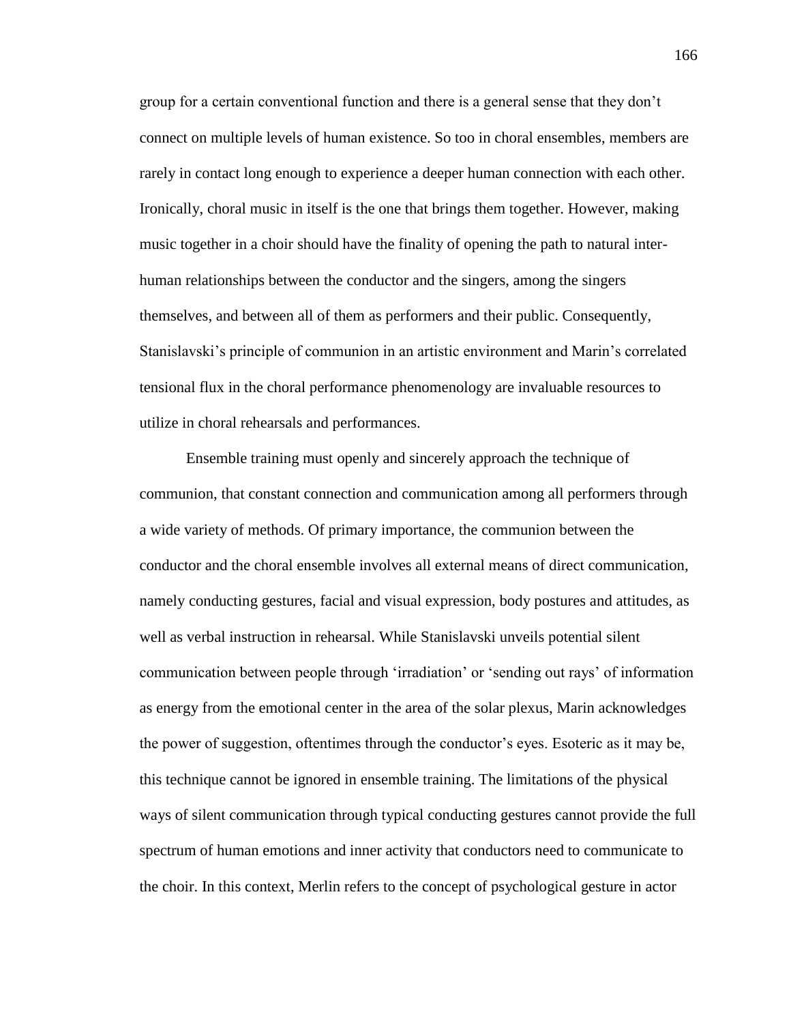group for a certain conventional function and there is a general sense that they don't connect on multiple levels of human existence. So too in choral ensembles, members are rarely in contact long enough to experience a deeper human connection with each other. Ironically, choral music in itself is the one that brings them together. However, making music together in a choir should have the finality of opening the path to natural interhuman relationships between the conductor and the singers, among the singers themselves, and between all of them as performers and their public. Consequently, Stanislavski's principle of communion in an artistic environment and Marin's correlated tensional flux in the choral performance phenomenology are invaluable resources to utilize in choral rehearsals and performances.

Ensemble training must openly and sincerely approach the technique of communion, that constant connection and communication among all performers through a wide variety of methods. Of primary importance, the communion between the conductor and the choral ensemble involves all external means of direct communication, namely conducting gestures, facial and visual expression, body postures and attitudes, as well as verbal instruction in rehearsal. While Stanislavski unveils potential silent communication between people through ‗irradiation' or ‗sending out rays' of information as energy from the emotional center in the area of the solar plexus, Marin acknowledges the power of suggestion, oftentimes through the conductor's eyes. Esoteric as it may be, this technique cannot be ignored in ensemble training. The limitations of the physical ways of silent communication through typical conducting gestures cannot provide the full spectrum of human emotions and inner activity that conductors need to communicate to the choir. In this context, Merlin refers to the concept of psychological gesture in actor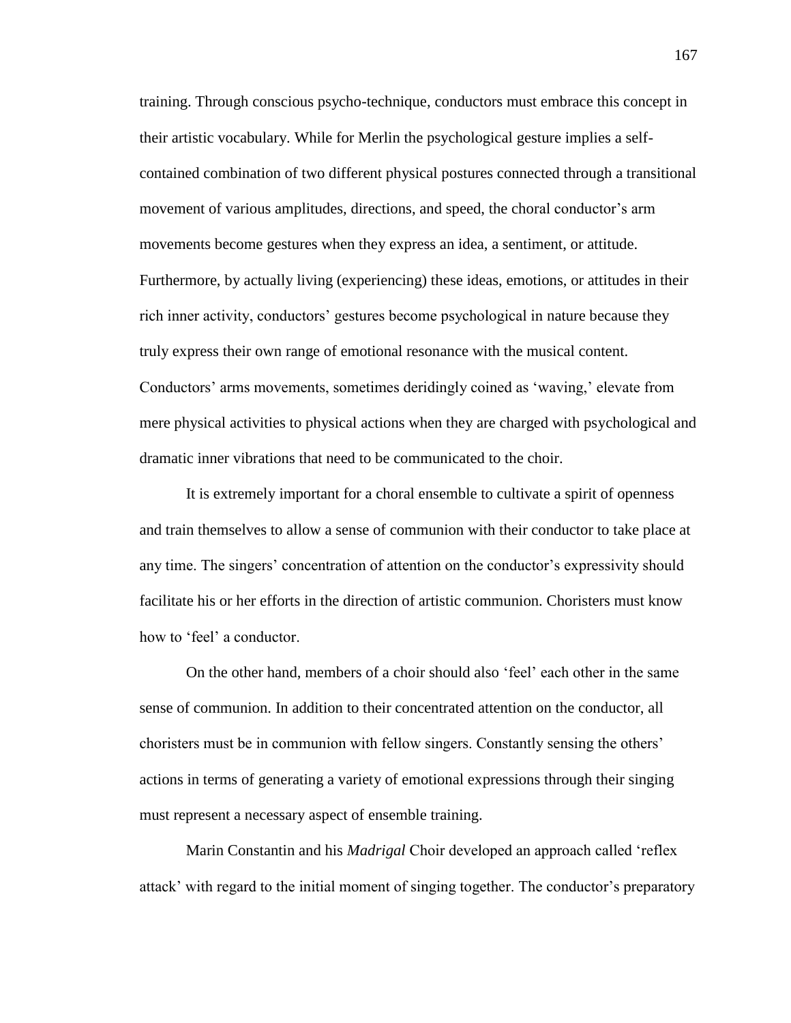training. Through conscious psycho-technique, conductors must embrace this concept in their artistic vocabulary. While for Merlin the psychological gesture implies a selfcontained combination of two different physical postures connected through a transitional movement of various amplitudes, directions, and speed, the choral conductor's arm movements become gestures when they express an idea, a sentiment, or attitude. Furthermore, by actually living (experiencing) these ideas, emotions, or attitudes in their rich inner activity, conductors' gestures become psychological in nature because they truly express their own range of emotional resonance with the musical content. Conductors' arms movements, sometimes deridingly coined as 'waving,' elevate from mere physical activities to physical actions when they are charged with psychological and dramatic inner vibrations that need to be communicated to the choir.

It is extremely important for a choral ensemble to cultivate a spirit of openness and train themselves to allow a sense of communion with their conductor to take place at any time. The singers' concentration of attention on the conductor's expressivity should facilitate his or her efforts in the direction of artistic communion. Choristers must know how to 'feel' a conductor.

On the other hand, members of a choir should also ‗feel' each other in the same sense of communion. In addition to their concentrated attention on the conductor, all choristers must be in communion with fellow singers. Constantly sensing the others' actions in terms of generating a variety of emotional expressions through their singing must represent a necessary aspect of ensemble training.

Marin Constantin and his *Madrigal* Choir developed an approach called 'reflex attack' with regard to the initial moment of singing together. The conductor's preparatory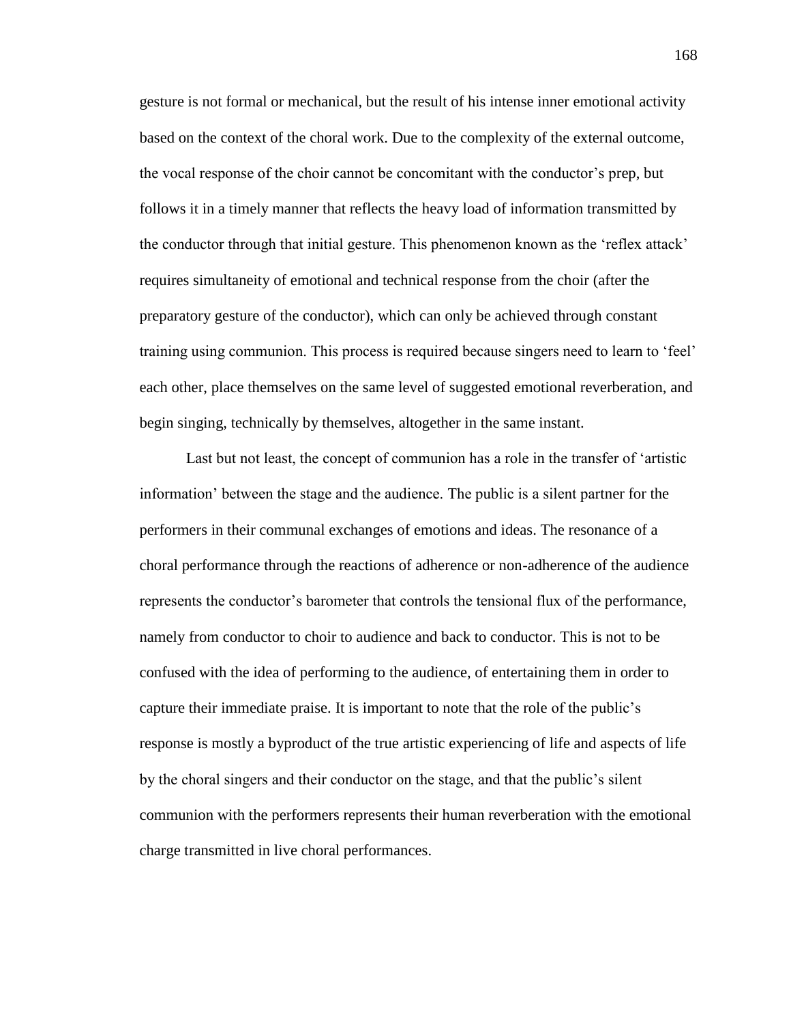gesture is not formal or mechanical, but the result of his intense inner emotional activity based on the context of the choral work. Due to the complexity of the external outcome, the vocal response of the choir cannot be concomitant with the conductor's prep, but follows it in a timely manner that reflects the heavy load of information transmitted by the conductor through that initial gesture. This phenomenon known as the 'reflex attack' requires simultaneity of emotional and technical response from the choir (after the preparatory gesture of the conductor), which can only be achieved through constant training using communion. This process is required because singers need to learn to 'feel' each other, place themselves on the same level of suggested emotional reverberation, and begin singing, technically by themselves, altogether in the same instant.

Last but not least, the concept of communion has a role in the transfer of 'artistic information' between the stage and the audience. The public is a silent partner for the performers in their communal exchanges of emotions and ideas. The resonance of a choral performance through the reactions of adherence or non-adherence of the audience represents the conductor's barometer that controls the tensional flux of the performance, namely from conductor to choir to audience and back to conductor. This is not to be confused with the idea of performing to the audience, of entertaining them in order to capture their immediate praise. It is important to note that the role of the public's response is mostly a byproduct of the true artistic experiencing of life and aspects of life by the choral singers and their conductor on the stage, and that the public's silent communion with the performers represents their human reverberation with the emotional charge transmitted in live choral performances.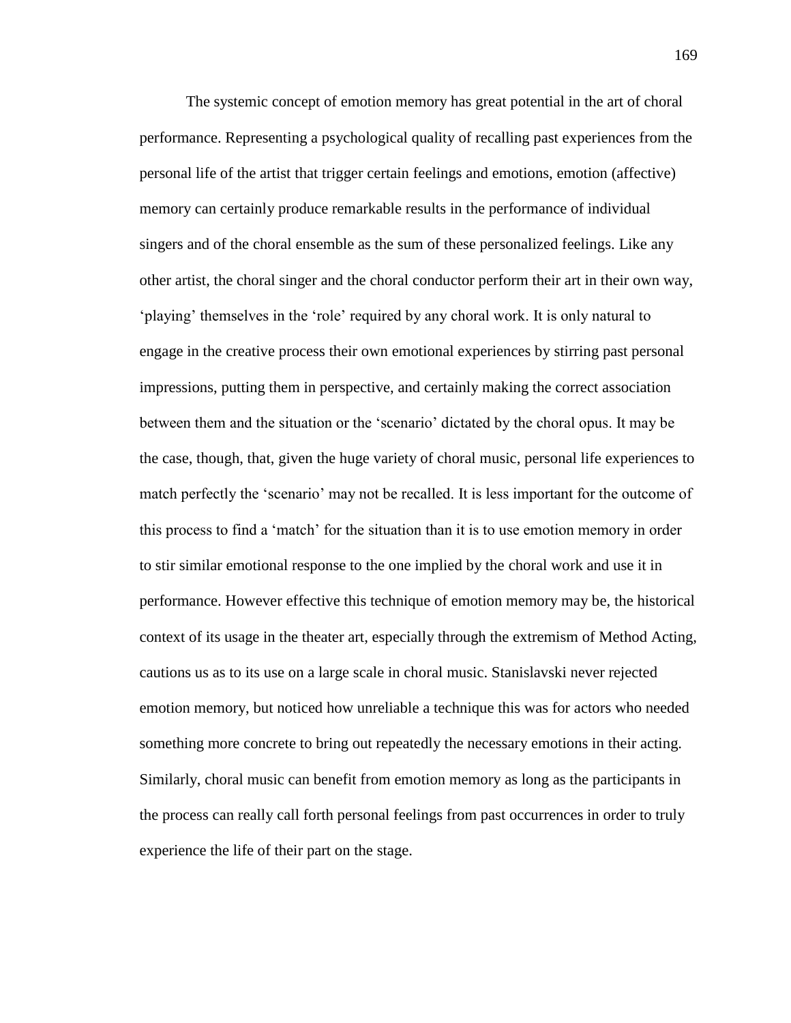The systemic concept of emotion memory has great potential in the art of choral performance. Representing a psychological quality of recalling past experiences from the personal life of the artist that trigger certain feelings and emotions, emotion (affective) memory can certainly produce remarkable results in the performance of individual singers and of the choral ensemble as the sum of these personalized feelings. Like any other artist, the choral singer and the choral conductor perform their art in their own way, ‗playing' themselves in the ‗role' required by any choral work. It is only natural to engage in the creative process their own emotional experiences by stirring past personal impressions, putting them in perspective, and certainly making the correct association between them and the situation or the 'scenario' dictated by the choral opus. It may be the case, though, that, given the huge variety of choral music, personal life experiences to match perfectly the 'scenario' may not be recalled. It is less important for the outcome of this process to find a 'match' for the situation than it is to use emotion memory in order to stir similar emotional response to the one implied by the choral work and use it in performance. However effective this technique of emotion memory may be, the historical context of its usage in the theater art, especially through the extremism of Method Acting, cautions us as to its use on a large scale in choral music. Stanislavski never rejected emotion memory, but noticed how unreliable a technique this was for actors who needed something more concrete to bring out repeatedly the necessary emotions in their acting. Similarly, choral music can benefit from emotion memory as long as the participants in the process can really call forth personal feelings from past occurrences in order to truly experience the life of their part on the stage.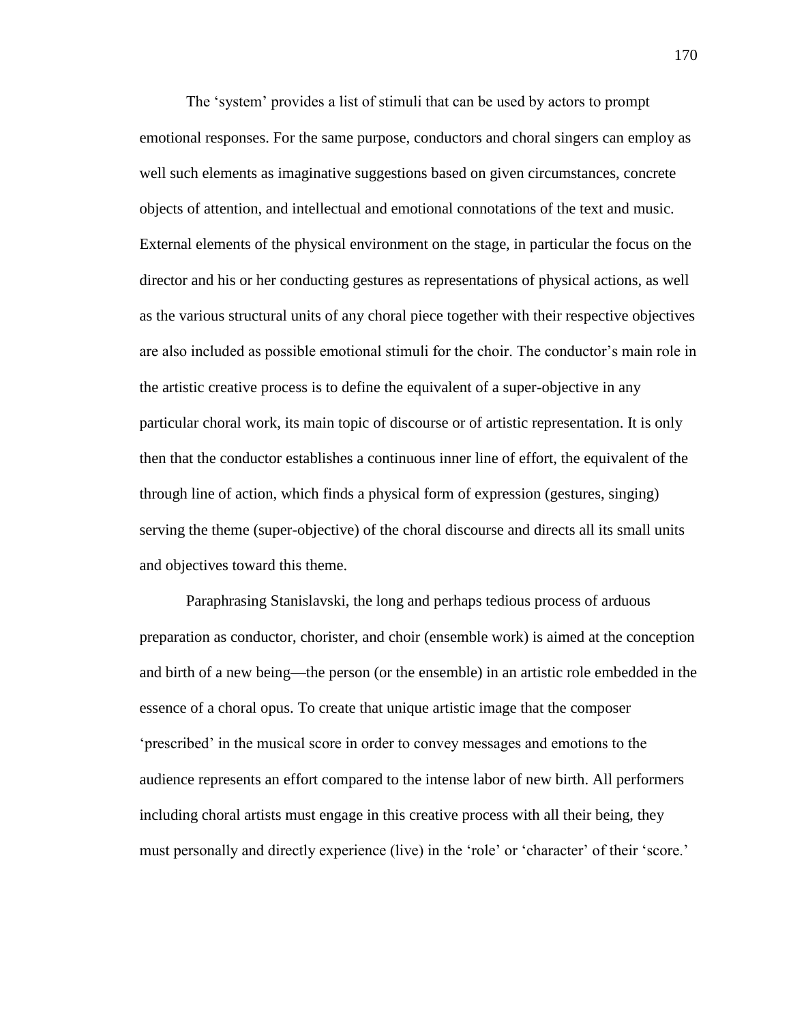The 'system' provides a list of stimuli that can be used by actors to prompt emotional responses. For the same purpose, conductors and choral singers can employ as well such elements as imaginative suggestions based on given circumstances, concrete objects of attention, and intellectual and emotional connotations of the text and music. External elements of the physical environment on the stage, in particular the focus on the director and his or her conducting gestures as representations of physical actions, as well as the various structural units of any choral piece together with their respective objectives are also included as possible emotional stimuli for the choir. The conductor's main role in the artistic creative process is to define the equivalent of a super-objective in any particular choral work, its main topic of discourse or of artistic representation. It is only then that the conductor establishes a continuous inner line of effort, the equivalent of the through line of action, which finds a physical form of expression (gestures, singing) serving the theme (super-objective) of the choral discourse and directs all its small units and objectives toward this theme.

Paraphrasing Stanislavski, the long and perhaps tedious process of arduous preparation as conductor, chorister, and choir (ensemble work) is aimed at the conception and birth of a new being—the person (or the ensemble) in an artistic role embedded in the essence of a choral opus. To create that unique artistic image that the composer ‗prescribed' in the musical score in order to convey messages and emotions to the audience represents an effort compared to the intense labor of new birth. All performers including choral artists must engage in this creative process with all their being, they must personally and directly experience (live) in the 'role' or 'character' of their 'score.'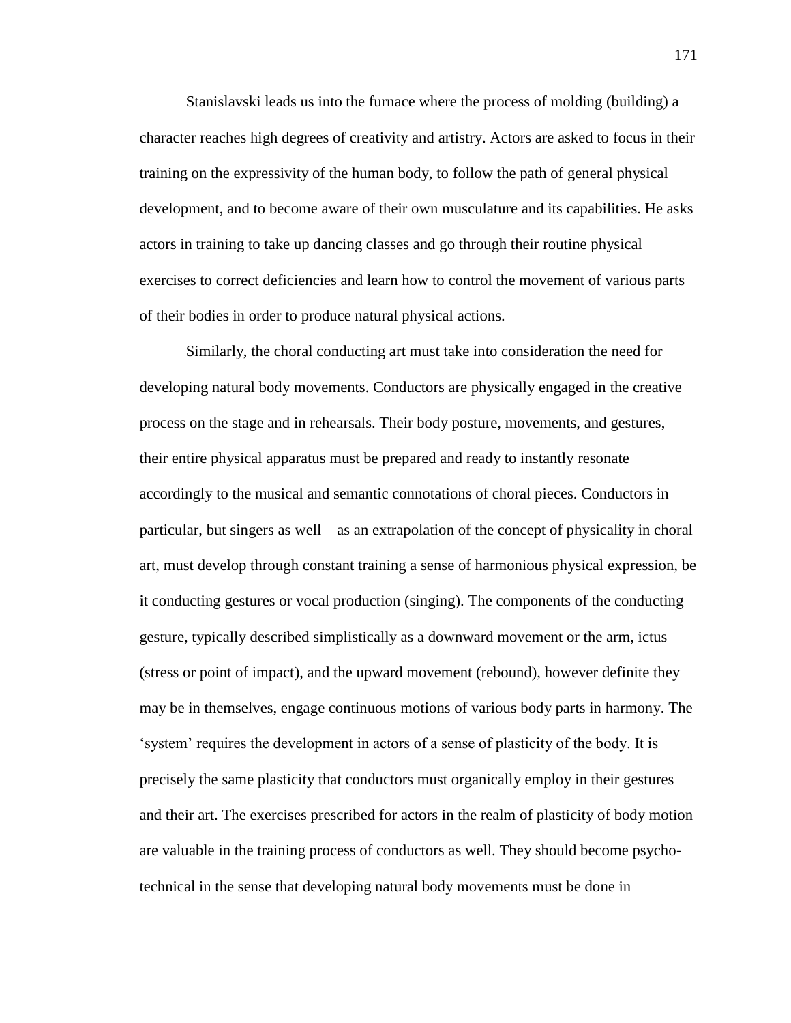Stanislavski leads us into the furnace where the process of molding (building) a character reaches high degrees of creativity and artistry. Actors are asked to focus in their training on the expressivity of the human body, to follow the path of general physical development, and to become aware of their own musculature and its capabilities. He asks actors in training to take up dancing classes and go through their routine physical exercises to correct deficiencies and learn how to control the movement of various parts of their bodies in order to produce natural physical actions.

Similarly, the choral conducting art must take into consideration the need for developing natural body movements. Conductors are physically engaged in the creative process on the stage and in rehearsals. Their body posture, movements, and gestures, their entire physical apparatus must be prepared and ready to instantly resonate accordingly to the musical and semantic connotations of choral pieces. Conductors in particular, but singers as well—as an extrapolation of the concept of physicality in choral art, must develop through constant training a sense of harmonious physical expression, be it conducting gestures or vocal production (singing). The components of the conducting gesture, typically described simplistically as a downward movement or the arm, ictus (stress or point of impact), and the upward movement (rebound), however definite they may be in themselves, engage continuous motions of various body parts in harmony. The ‗system' requires the development in actors of a sense of plasticity of the body. It is precisely the same plasticity that conductors must organically employ in their gestures and their art. The exercises prescribed for actors in the realm of plasticity of body motion are valuable in the training process of conductors as well. They should become psychotechnical in the sense that developing natural body movements must be done in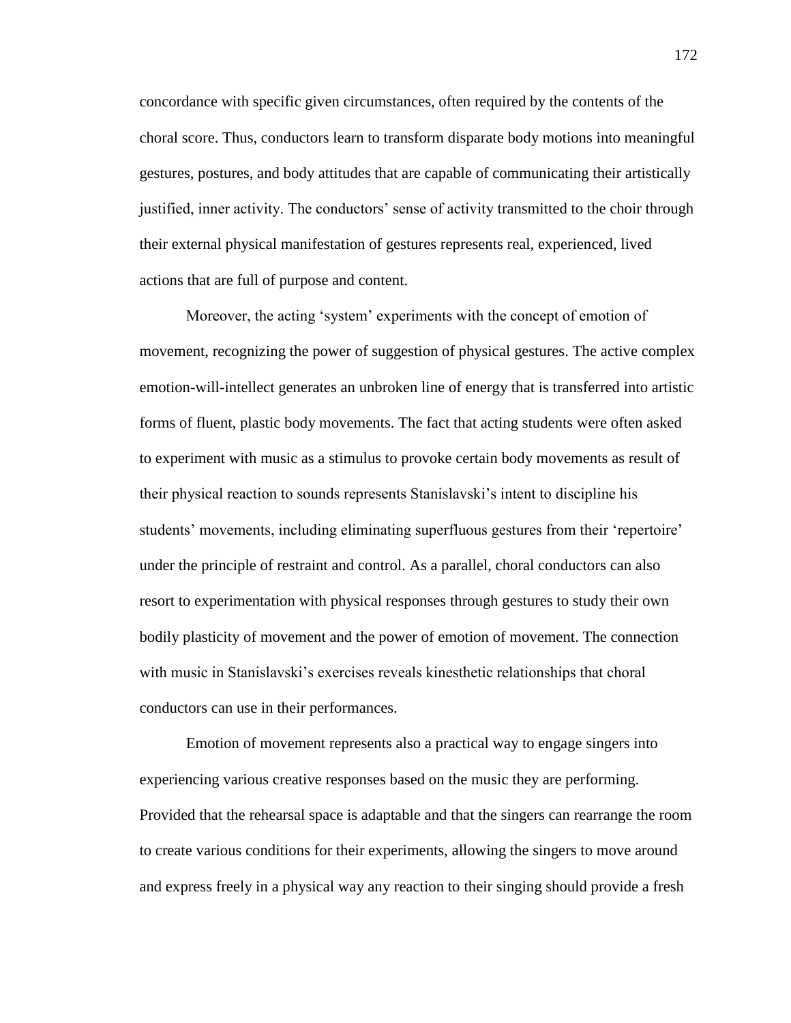concordance with specific given circumstances, often required by the contents of the choral score. Thus, conductors learn to transform disparate body motions into meaningful gestures, postures, and body attitudes that are capable of communicating their artistically justified, inner activity. The conductors' sense of activity transmitted to the choir through their external physical manifestation of gestures represents real, experienced, lived actions that are full of purpose and content.

Moreover, the acting 'system' experiments with the concept of emotion of movement, recognizing the power of suggestion of physical gestures. The active complex emotion-will-intellect generates an unbroken line of energy that is transferred into artistic forms of fluent, plastic body movements. The fact that acting students were often asked to experiment with music as a stimulus to provoke certain body movements as result of their physical reaction to sounds represents Stanislavski's intent to discipline his students' movements, including eliminating superfluous gestures from their 'repertoire' under the principle of restraint and control. As a parallel, choral conductors can also resort to experimentation with physical responses through gestures to study their own bodily plasticity of movement and the power of emotion of movement. The connection with music in Stanislavski's exercises reveals kinesthetic relationships that choral conductors can use in their performances.

Emotion of movement represents also a practical way to engage singers into experiencing various creative responses based on the music they are performing. Provided that the rehearsal space is adaptable and that the singers can rearrange the room to create various conditions for their experiments, allowing the singers to move around and express freely in a physical way any reaction to their singing should provide a fresh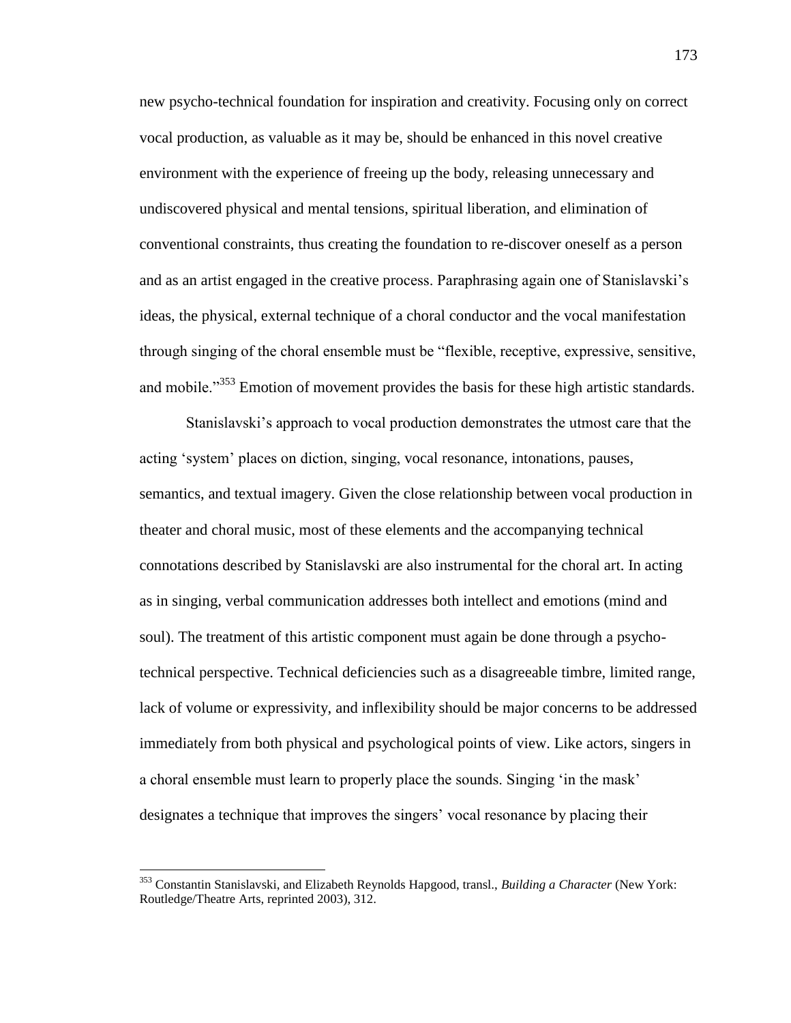new psycho-technical foundation for inspiration and creativity. Focusing only on correct vocal production, as valuable as it may be, should be enhanced in this novel creative environment with the experience of freeing up the body, releasing unnecessary and undiscovered physical and mental tensions, spiritual liberation, and elimination of conventional constraints, thus creating the foundation to re-discover oneself as a person and as an artist engaged in the creative process. Paraphrasing again one of Stanislavski's ideas, the physical, external technique of a choral conductor and the vocal manifestation through singing of the choral ensemble must be "flexible, receptive, expressive, sensitive, and mobile.<sup>353</sup> Emotion of movement provides the basis for these high artistic standards.

Stanislavski's approach to vocal production demonstrates the utmost care that the acting 'system' places on diction, singing, vocal resonance, intonations, pauses, semantics, and textual imagery. Given the close relationship between vocal production in theater and choral music, most of these elements and the accompanying technical connotations described by Stanislavski are also instrumental for the choral art. In acting as in singing, verbal communication addresses both intellect and emotions (mind and soul). The treatment of this artistic component must again be done through a psychotechnical perspective. Technical deficiencies such as a disagreeable timbre, limited range, lack of volume or expressivity, and inflexibility should be major concerns to be addressed immediately from both physical and psychological points of view. Like actors, singers in a choral ensemble must learn to properly place the sounds. Singing 'in the mask' designates a technique that improves the singers' vocal resonance by placing their

<sup>353</sup> Constantin Stanislavski, and Elizabeth Reynolds Hapgood, transl., *Building a Character* (New York: Routledge/Theatre Arts, reprinted 2003), 312.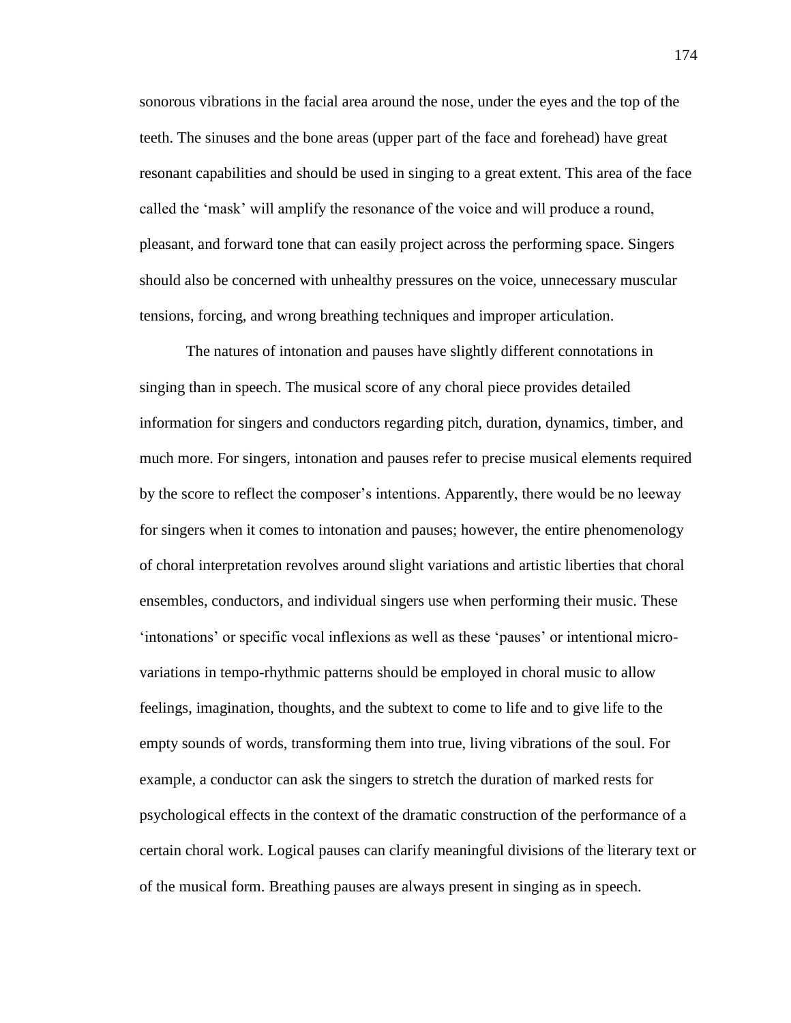sonorous vibrations in the facial area around the nose, under the eyes and the top of the teeth. The sinuses and the bone areas (upper part of the face and forehead) have great resonant capabilities and should be used in singing to a great extent. This area of the face called the 'mask' will amplify the resonance of the voice and will produce a round, pleasant, and forward tone that can easily project across the performing space. Singers should also be concerned with unhealthy pressures on the voice, unnecessary muscular tensions, forcing, and wrong breathing techniques and improper articulation.

The natures of intonation and pauses have slightly different connotations in singing than in speech. The musical score of any choral piece provides detailed information for singers and conductors regarding pitch, duration, dynamics, timber, and much more. For singers, intonation and pauses refer to precise musical elements required by the score to reflect the composer's intentions. Apparently, there would be no leeway for singers when it comes to intonation and pauses; however, the entire phenomenology of choral interpretation revolves around slight variations and artistic liberties that choral ensembles, conductors, and individual singers use when performing their music. These ‗intonations' or specific vocal inflexions as well as these ‗pauses' or intentional microvariations in tempo-rhythmic patterns should be employed in choral music to allow feelings, imagination, thoughts, and the subtext to come to life and to give life to the empty sounds of words, transforming them into true, living vibrations of the soul. For example, a conductor can ask the singers to stretch the duration of marked rests for psychological effects in the context of the dramatic construction of the performance of a certain choral work. Logical pauses can clarify meaningful divisions of the literary text or of the musical form. Breathing pauses are always present in singing as in speech.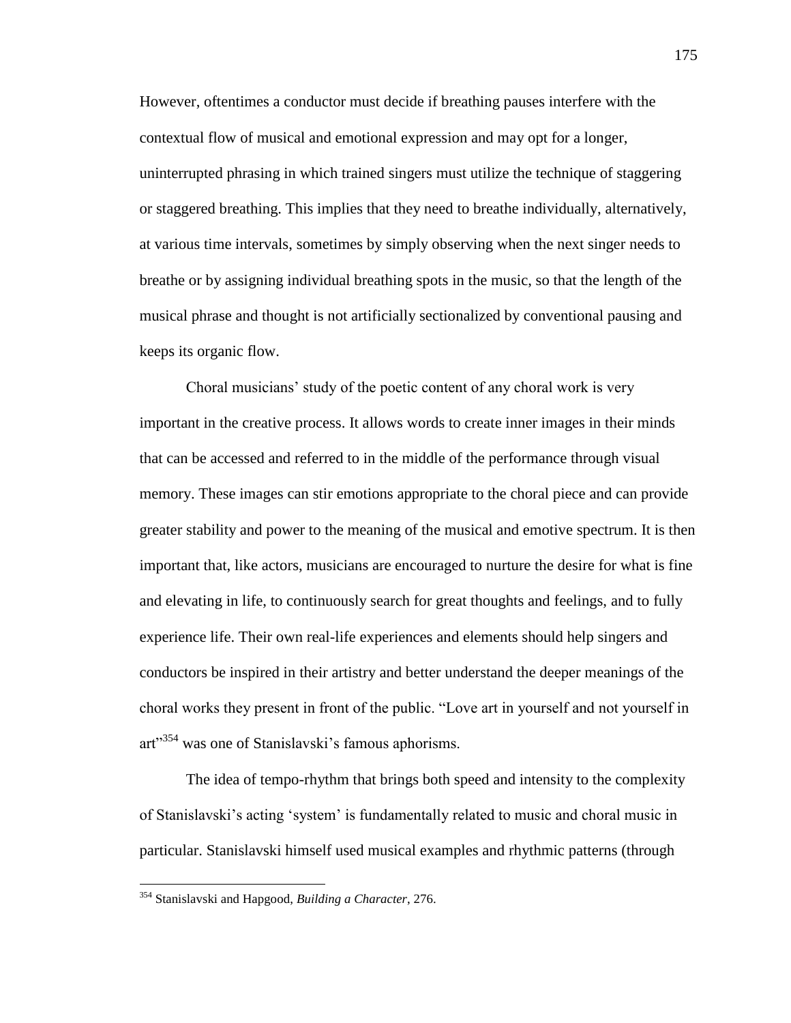However, oftentimes a conductor must decide if breathing pauses interfere with the contextual flow of musical and emotional expression and may opt for a longer, uninterrupted phrasing in which trained singers must utilize the technique of staggering or staggered breathing. This implies that they need to breathe individually, alternatively, at various time intervals, sometimes by simply observing when the next singer needs to breathe or by assigning individual breathing spots in the music, so that the length of the musical phrase and thought is not artificially sectionalized by conventional pausing and keeps its organic flow.

Choral musicians' study of the poetic content of any choral work is very important in the creative process. It allows words to create inner images in their minds that can be accessed and referred to in the middle of the performance through visual memory. These images can stir emotions appropriate to the choral piece and can provide greater stability and power to the meaning of the musical and emotive spectrum. It is then important that, like actors, musicians are encouraged to nurture the desire for what is fine and elevating in life, to continuously search for great thoughts and feelings, and to fully experience life. Their own real-life experiences and elements should help singers and conductors be inspired in their artistry and better understand the deeper meanings of the choral works they present in front of the public. ―Love art in yourself and not yourself in art"<sup>354</sup> was one of Stanislavski's famous aphorisms.

The idea of tempo-rhythm that brings both speed and intensity to the complexity of Stanislavski's acting ‗system' is fundamentally related to music and choral music in particular. Stanislavski himself used musical examples and rhythmic patterns (through

<sup>354</sup> Stanislavski and Hapgood, *Building a Character*, 276.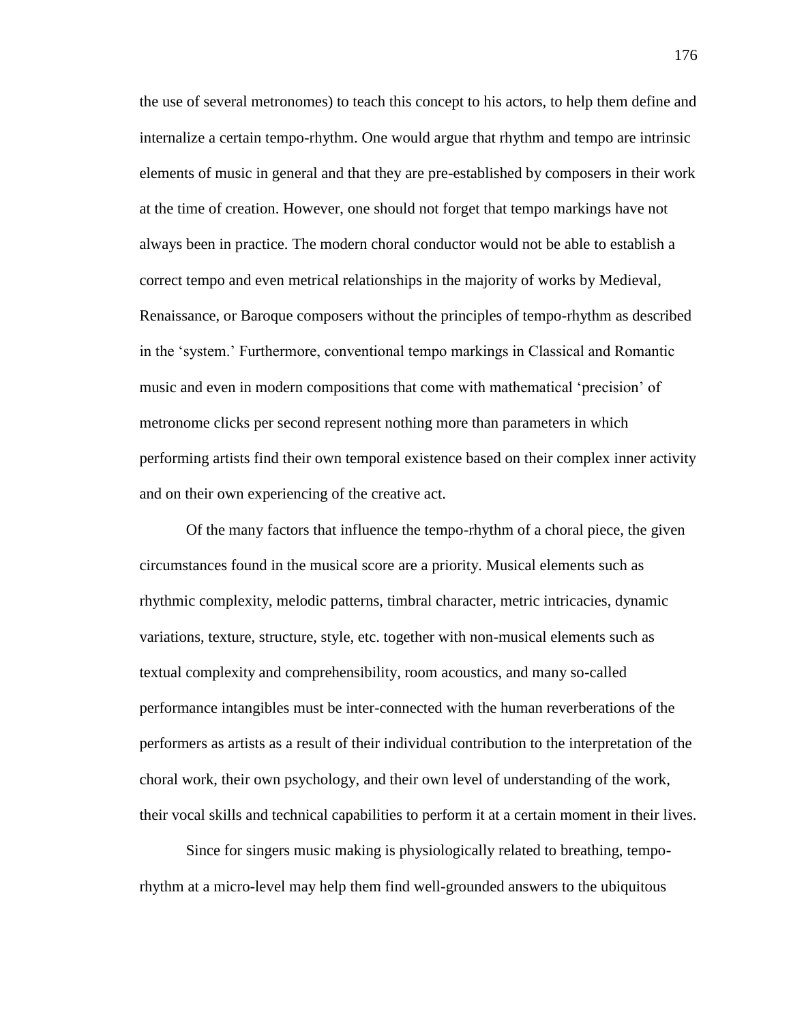the use of several metronomes) to teach this concept to his actors, to help them define and internalize a certain tempo-rhythm. One would argue that rhythm and tempo are intrinsic elements of music in general and that they are pre-established by composers in their work at the time of creation. However, one should not forget that tempo markings have not always been in practice. The modern choral conductor would not be able to establish a correct tempo and even metrical relationships in the majority of works by Medieval, Renaissance, or Baroque composers without the principles of tempo-rhythm as described in the ‗system.' Furthermore, conventional tempo markings in Classical and Romantic music and even in modern compositions that come with mathematical 'precision' of metronome clicks per second represent nothing more than parameters in which performing artists find their own temporal existence based on their complex inner activity and on their own experiencing of the creative act.

Of the many factors that influence the tempo-rhythm of a choral piece, the given circumstances found in the musical score are a priority. Musical elements such as rhythmic complexity, melodic patterns, timbral character, metric intricacies, dynamic variations, texture, structure, style, etc. together with non-musical elements such as textual complexity and comprehensibility, room acoustics, and many so-called performance intangibles must be inter-connected with the human reverberations of the performers as artists as a result of their individual contribution to the interpretation of the choral work, their own psychology, and their own level of understanding of the work, their vocal skills and technical capabilities to perform it at a certain moment in their lives.

Since for singers music making is physiologically related to breathing, temporhythm at a micro-level may help them find well-grounded answers to the ubiquitous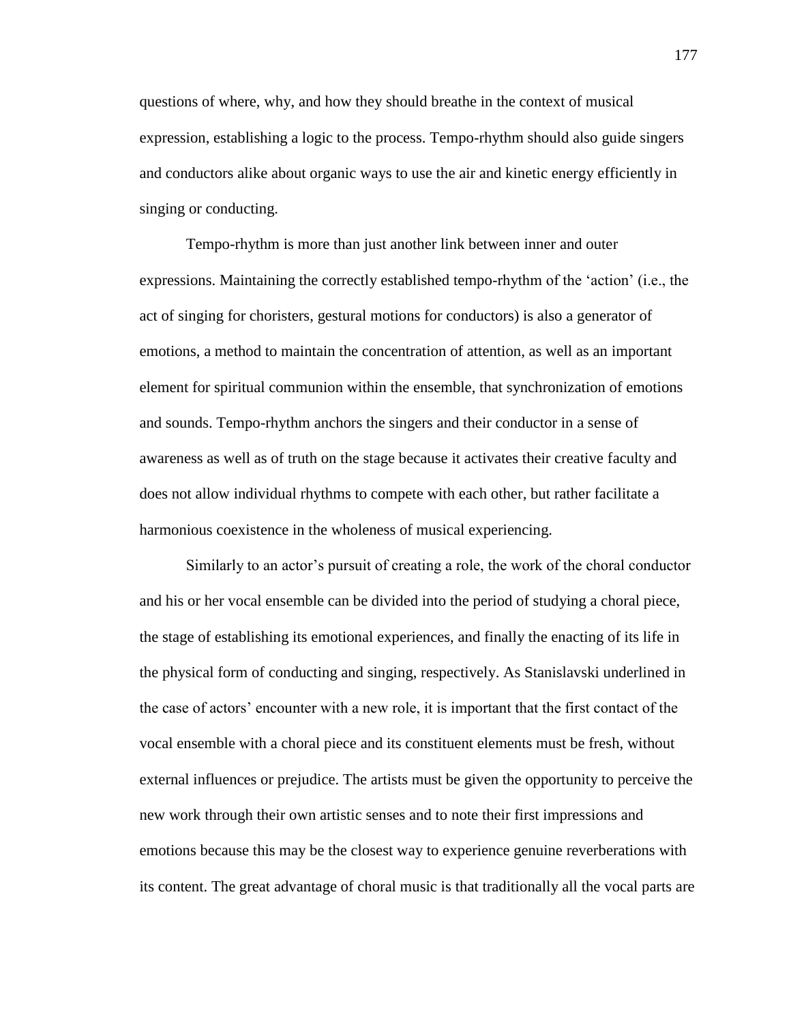questions of where, why, and how they should breathe in the context of musical expression, establishing a logic to the process. Tempo-rhythm should also guide singers and conductors alike about organic ways to use the air and kinetic energy efficiently in singing or conducting.

Tempo-rhythm is more than just another link between inner and outer expressions. Maintaining the correctly established tempo-rhythm of the 'action' (i.e., the act of singing for choristers, gestural motions for conductors) is also a generator of emotions, a method to maintain the concentration of attention, as well as an important element for spiritual communion within the ensemble, that synchronization of emotions and sounds. Tempo-rhythm anchors the singers and their conductor in a sense of awareness as well as of truth on the stage because it activates their creative faculty and does not allow individual rhythms to compete with each other, but rather facilitate a harmonious coexistence in the wholeness of musical experiencing.

Similarly to an actor's pursuit of creating a role, the work of the choral conductor and his or her vocal ensemble can be divided into the period of studying a choral piece, the stage of establishing its emotional experiences, and finally the enacting of its life in the physical form of conducting and singing, respectively. As Stanislavski underlined in the case of actors' encounter with a new role, it is important that the first contact of the vocal ensemble with a choral piece and its constituent elements must be fresh, without external influences or prejudice. The artists must be given the opportunity to perceive the new work through their own artistic senses and to note their first impressions and emotions because this may be the closest way to experience genuine reverberations with its content. The great advantage of choral music is that traditionally all the vocal parts are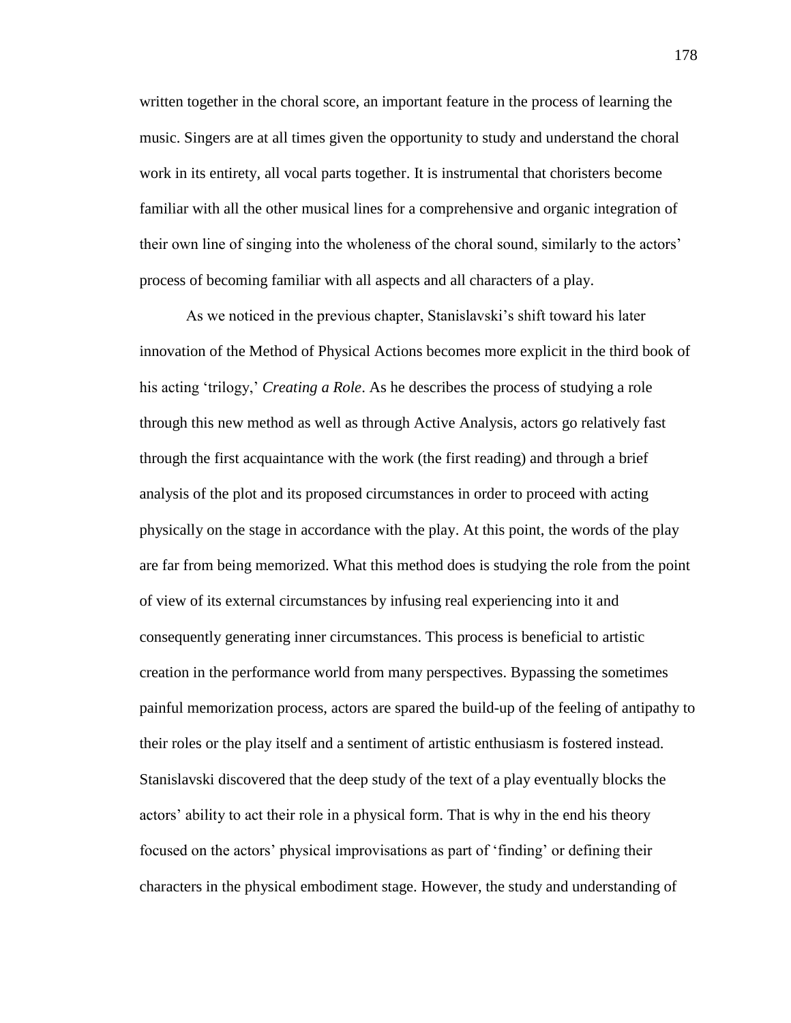written together in the choral score, an important feature in the process of learning the music. Singers are at all times given the opportunity to study and understand the choral work in its entirety, all vocal parts together. It is instrumental that choristers become familiar with all the other musical lines for a comprehensive and organic integration of their own line of singing into the wholeness of the choral sound, similarly to the actors' process of becoming familiar with all aspects and all characters of a play.

As we noticed in the previous chapter, Stanislavski's shift toward his later innovation of the Method of Physical Actions becomes more explicit in the third book of his acting 'trilogy,' *Creating a Role*. As he describes the process of studying a role through this new method as well as through Active Analysis, actors go relatively fast through the first acquaintance with the work (the first reading) and through a brief analysis of the plot and its proposed circumstances in order to proceed with acting physically on the stage in accordance with the play. At this point, the words of the play are far from being memorized. What this method does is studying the role from the point of view of its external circumstances by infusing real experiencing into it and consequently generating inner circumstances. This process is beneficial to artistic creation in the performance world from many perspectives. Bypassing the sometimes painful memorization process, actors are spared the build-up of the feeling of antipathy to their roles or the play itself and a sentiment of artistic enthusiasm is fostered instead. Stanislavski discovered that the deep study of the text of a play eventually blocks the actors' ability to act their role in a physical form. That is why in the end his theory focused on the actors' physical improvisations as part of 'finding' or defining their characters in the physical embodiment stage. However, the study and understanding of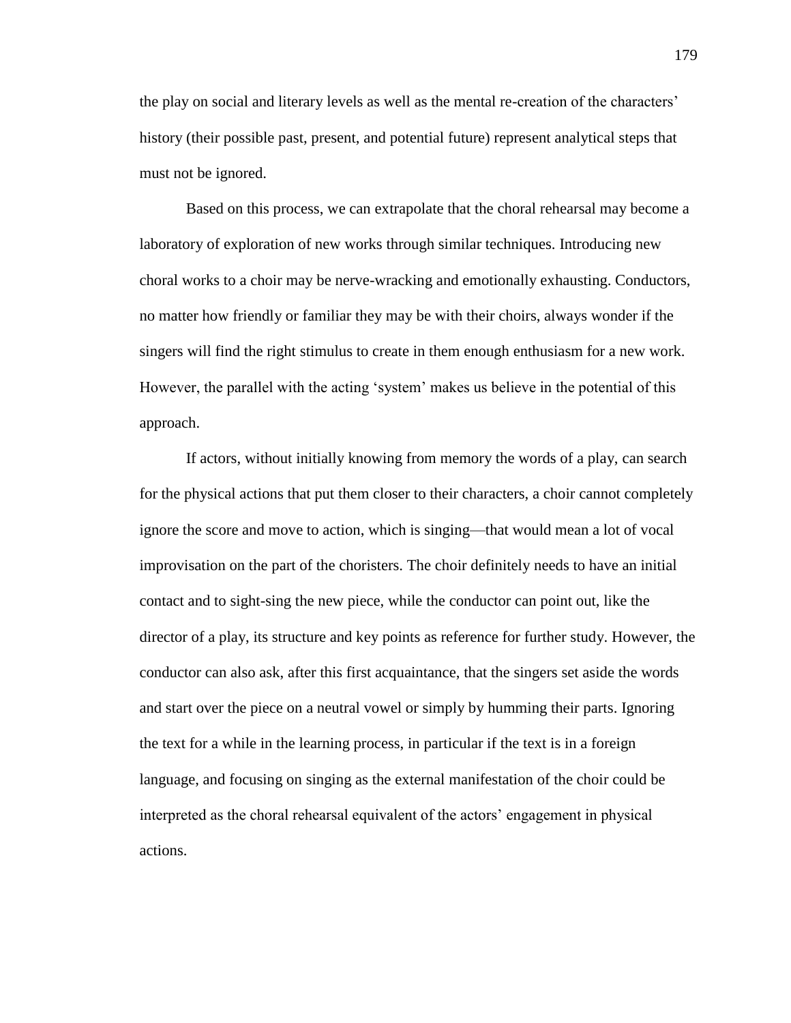the play on social and literary levels as well as the mental re-creation of the characters' history (their possible past, present, and potential future) represent analytical steps that must not be ignored.

Based on this process, we can extrapolate that the choral rehearsal may become a laboratory of exploration of new works through similar techniques. Introducing new choral works to a choir may be nerve-wracking and emotionally exhausting. Conductors, no matter how friendly or familiar they may be with their choirs, always wonder if the singers will find the right stimulus to create in them enough enthusiasm for a new work. However, the parallel with the acting 'system' makes us believe in the potential of this approach.

If actors, without initially knowing from memory the words of a play, can search for the physical actions that put them closer to their characters, a choir cannot completely ignore the score and move to action, which is singing—that would mean a lot of vocal improvisation on the part of the choristers. The choir definitely needs to have an initial contact and to sight-sing the new piece, while the conductor can point out, like the director of a play, its structure and key points as reference for further study. However, the conductor can also ask, after this first acquaintance, that the singers set aside the words and start over the piece on a neutral vowel or simply by humming their parts. Ignoring the text for a while in the learning process, in particular if the text is in a foreign language, and focusing on singing as the external manifestation of the choir could be interpreted as the choral rehearsal equivalent of the actors' engagement in physical actions.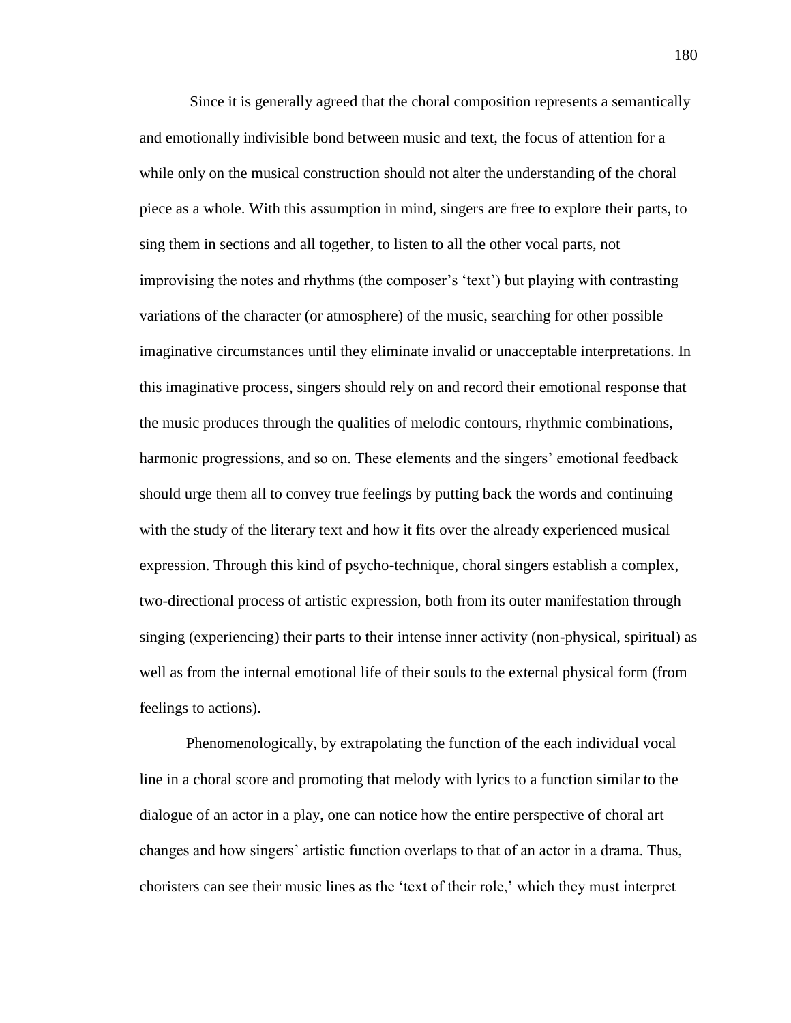Since it is generally agreed that the choral composition represents a semantically and emotionally indivisible bond between music and text, the focus of attention for a while only on the musical construction should not alter the understanding of the choral piece as a whole. With this assumption in mind, singers are free to explore their parts, to sing them in sections and all together, to listen to all the other vocal parts, not improvising the notes and rhythms (the composer's ‗text') but playing with contrasting variations of the character (or atmosphere) of the music, searching for other possible imaginative circumstances until they eliminate invalid or unacceptable interpretations. In this imaginative process, singers should rely on and record their emotional response that the music produces through the qualities of melodic contours, rhythmic combinations, harmonic progressions, and so on. These elements and the singers' emotional feedback should urge them all to convey true feelings by putting back the words and continuing with the study of the literary text and how it fits over the already experienced musical expression. Through this kind of psycho-technique, choral singers establish a complex, two-directional process of artistic expression, both from its outer manifestation through singing (experiencing) their parts to their intense inner activity (non-physical, spiritual) as well as from the internal emotional life of their souls to the external physical form (from feelings to actions).

Phenomenologically, by extrapolating the function of the each individual vocal line in a choral score and promoting that melody with lyrics to a function similar to the dialogue of an actor in a play, one can notice how the entire perspective of choral art changes and how singers' artistic function overlaps to that of an actor in a drama. Thus, choristers can see their music lines as the ‗text of their role,' which they must interpret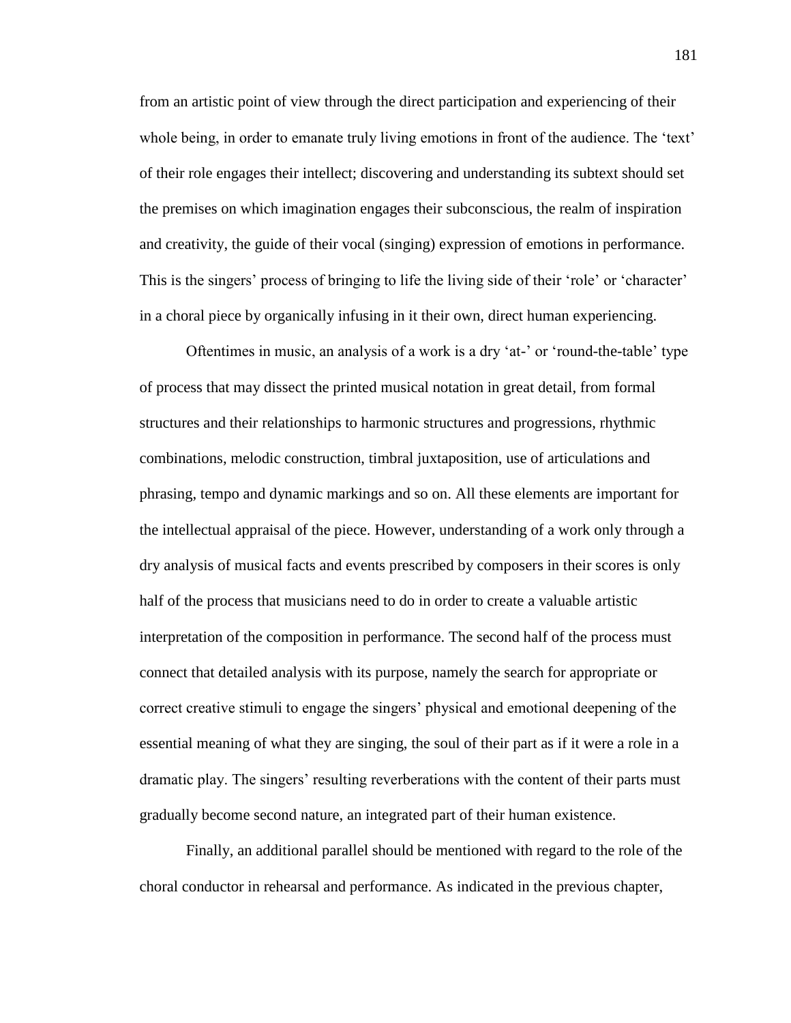from an artistic point of view through the direct participation and experiencing of their whole being, in order to emanate truly living emotions in front of the audience. The 'text' of their role engages their intellect; discovering and understanding its subtext should set the premises on which imagination engages their subconscious, the realm of inspiration and creativity, the guide of their vocal (singing) expression of emotions in performance. This is the singers' process of bringing to life the living side of their 'role' or 'character' in a choral piece by organically infusing in it their own, direct human experiencing.

Oftentimes in music, an analysis of a work is a dry 'at-' or 'round-the-table' type of process that may dissect the printed musical notation in great detail, from formal structures and their relationships to harmonic structures and progressions, rhythmic combinations, melodic construction, timbral juxtaposition, use of articulations and phrasing, tempo and dynamic markings and so on. All these elements are important for the intellectual appraisal of the piece. However, understanding of a work only through a dry analysis of musical facts and events prescribed by composers in their scores is only half of the process that musicians need to do in order to create a valuable artistic interpretation of the composition in performance. The second half of the process must connect that detailed analysis with its purpose, namely the search for appropriate or correct creative stimuli to engage the singers' physical and emotional deepening of the essential meaning of what they are singing, the soul of their part as if it were a role in a dramatic play. The singers' resulting reverberations with the content of their parts must gradually become second nature, an integrated part of their human existence.

Finally, an additional parallel should be mentioned with regard to the role of the choral conductor in rehearsal and performance. As indicated in the previous chapter,

181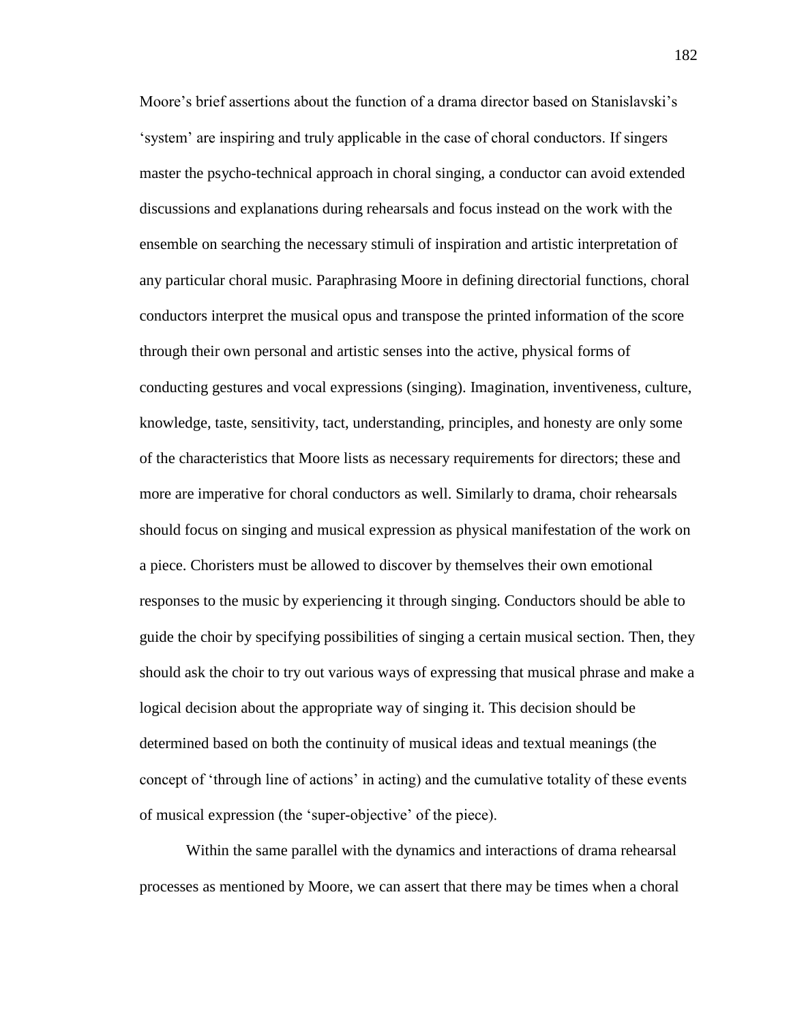Moore's brief assertions about the function of a drama director based on Stanislavski's ‗system' are inspiring and truly applicable in the case of choral conductors. If singers master the psycho-technical approach in choral singing, a conductor can avoid extended discussions and explanations during rehearsals and focus instead on the work with the ensemble on searching the necessary stimuli of inspiration and artistic interpretation of any particular choral music. Paraphrasing Moore in defining directorial functions, choral conductors interpret the musical opus and transpose the printed information of the score through their own personal and artistic senses into the active, physical forms of conducting gestures and vocal expressions (singing). Imagination, inventiveness, culture, knowledge, taste, sensitivity, tact, understanding, principles, and honesty are only some of the characteristics that Moore lists as necessary requirements for directors; these and more are imperative for choral conductors as well. Similarly to drama, choir rehearsals should focus on singing and musical expression as physical manifestation of the work on a piece. Choristers must be allowed to discover by themselves their own emotional responses to the music by experiencing it through singing. Conductors should be able to guide the choir by specifying possibilities of singing a certain musical section. Then, they should ask the choir to try out various ways of expressing that musical phrase and make a logical decision about the appropriate way of singing it. This decision should be determined based on both the continuity of musical ideas and textual meanings (the concept of ‗through line of actions' in acting) and the cumulative totality of these events of musical expression (the 'super-objective' of the piece).

Within the same parallel with the dynamics and interactions of drama rehearsal processes as mentioned by Moore, we can assert that there may be times when a choral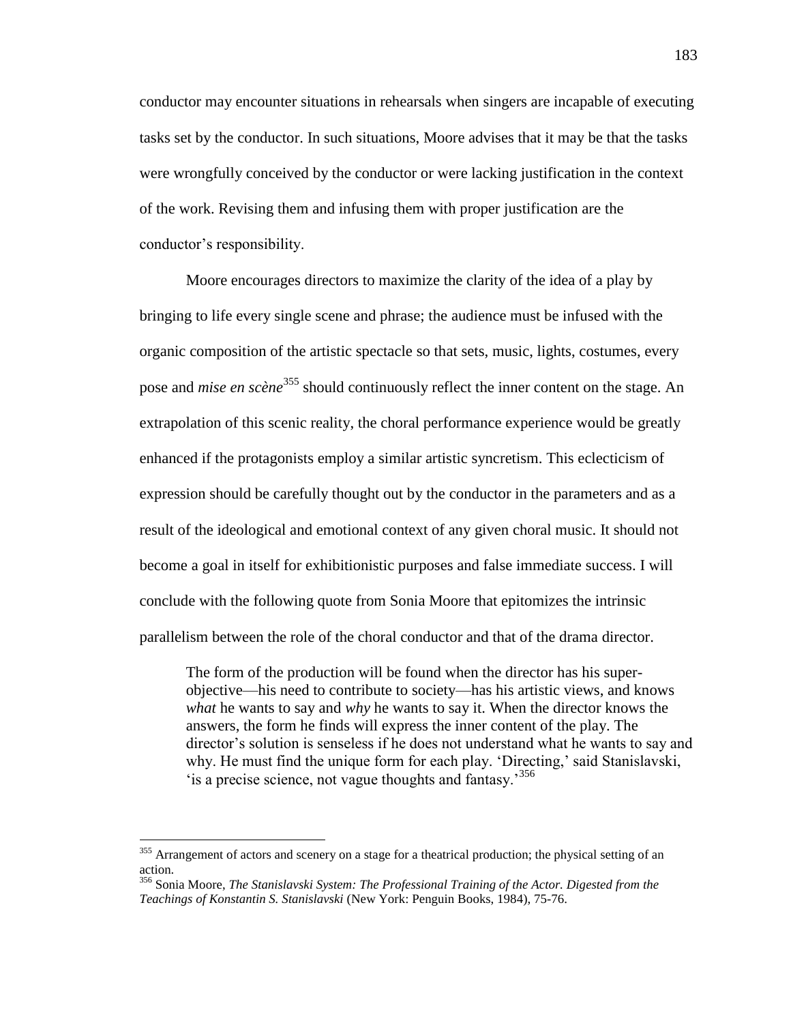conductor may encounter situations in rehearsals when singers are incapable of executing tasks set by the conductor. In such situations, Moore advises that it may be that the tasks were wrongfully conceived by the conductor or were lacking justification in the context of the work. Revising them and infusing them with proper justification are the conductor's responsibility.

Moore encourages directors to maximize the clarity of the idea of a play by bringing to life every single scene and phrase; the audience must be infused with the organic composition of the artistic spectacle so that sets, music, lights, costumes, every pose and *mise en scène*<sup>355</sup> should continuously reflect the inner content on the stage. An extrapolation of this scenic reality, the choral performance experience would be greatly enhanced if the protagonists employ a similar artistic syncretism. This eclecticism of expression should be carefully thought out by the conductor in the parameters and as a result of the ideological and emotional context of any given choral music. It should not become a goal in itself for exhibitionistic purposes and false immediate success. I will conclude with the following quote from Sonia Moore that epitomizes the intrinsic parallelism between the role of the choral conductor and that of the drama director.

The form of the production will be found when the director has his superobjective—his need to contribute to society—has his artistic views, and knows *what* he wants to say and *why* he wants to say it. When the director knows the answers, the form he finds will express the inner content of the play. The director's solution is senseless if he does not understand what he wants to say and why. He must find the unique form for each play. 'Directing,' said Stanislavski, is a precise science, not vague thoughts and fantasy.<sup>356</sup>

 $\overline{a}$ 

<sup>&</sup>lt;sup>355</sup> Arrangement of actors and scenery on a stage for a theatrical production; the physical setting of an action.

<sup>356</sup> Sonia Moore, *The Stanislavski System: The Professional Training of the Actor. Digested from the Teachings of Konstantin S. Stanislavski* (New York: Penguin Books, 1984), 75-76.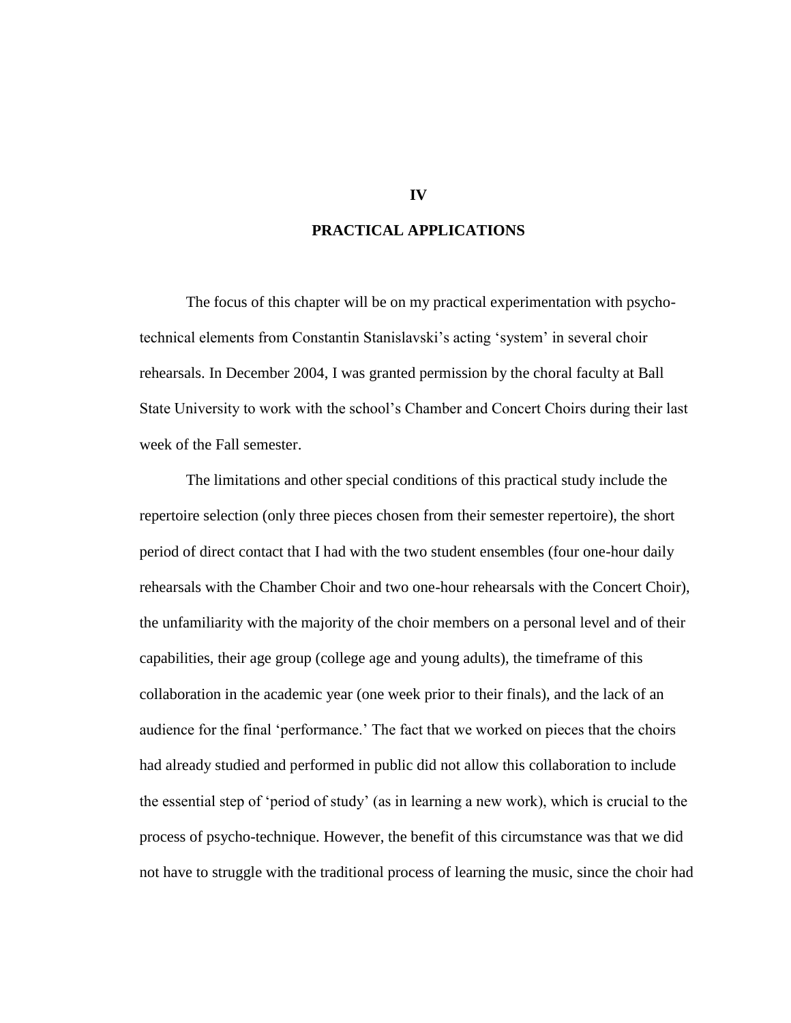# **PRACTICAL APPLICATIONS**

The focus of this chapter will be on my practical experimentation with psychotechnical elements from Constantin Stanislavski's acting ‗system' in several choir rehearsals. In December 2004, I was granted permission by the choral faculty at Ball State University to work with the school's Chamber and Concert Choirs during their last week of the Fall semester.

The limitations and other special conditions of this practical study include the repertoire selection (only three pieces chosen from their semester repertoire), the short period of direct contact that I had with the two student ensembles (four one-hour daily rehearsals with the Chamber Choir and two one-hour rehearsals with the Concert Choir), the unfamiliarity with the majority of the choir members on a personal level and of their capabilities, their age group (college age and young adults), the timeframe of this collaboration in the academic year (one week prior to their finals), and the lack of an audience for the final 'performance.' The fact that we worked on pieces that the choirs had already studied and performed in public did not allow this collaboration to include the essential step of ‗period of study' (as in learning a new work), which is crucial to the process of psycho-technique. However, the benefit of this circumstance was that we did not have to struggle with the traditional process of learning the music, since the choir had

**IV**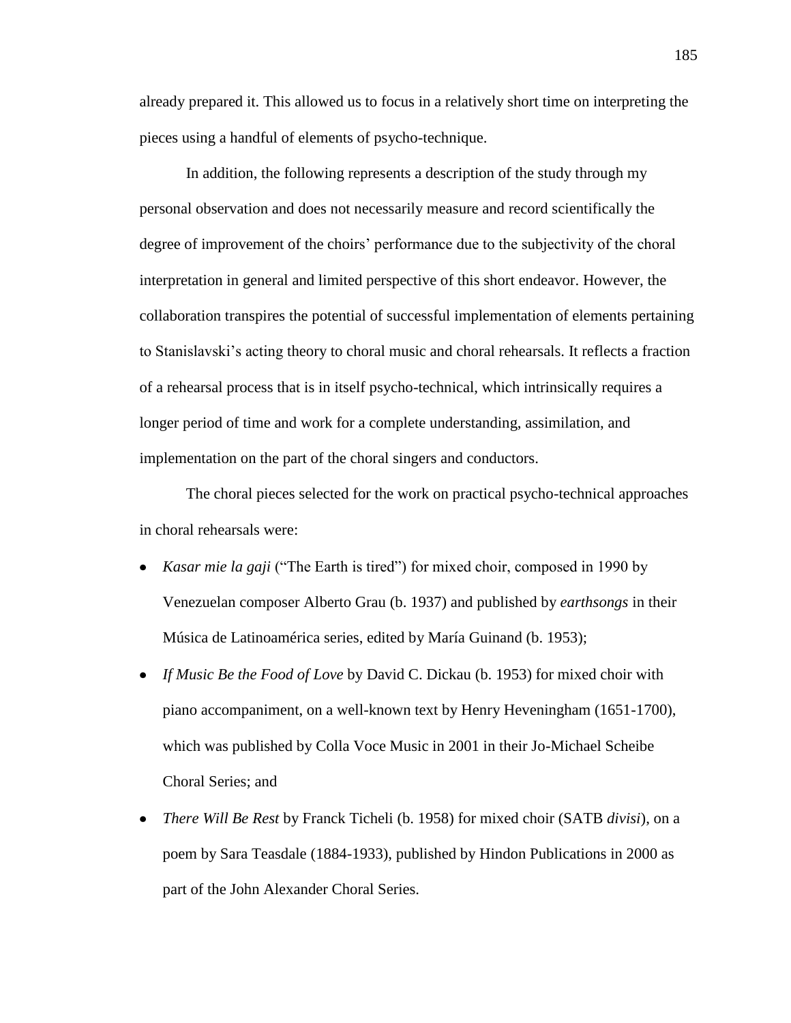already prepared it. This allowed us to focus in a relatively short time on interpreting the pieces using a handful of elements of psycho-technique.

In addition, the following represents a description of the study through my personal observation and does not necessarily measure and record scientifically the degree of improvement of the choirs' performance due to the subjectivity of the choral interpretation in general and limited perspective of this short endeavor. However, the collaboration transpires the potential of successful implementation of elements pertaining to Stanislavski's acting theory to choral music and choral rehearsals. It reflects a fraction of a rehearsal process that is in itself psycho-technical, which intrinsically requires a longer period of time and work for a complete understanding, assimilation, and implementation on the part of the choral singers and conductors.

The choral pieces selected for the work on practical psycho-technical approaches in choral rehearsals were:

- *Kasar mie la gaji* ("The Earth is tired") for mixed choir, composed in 1990 by Venezuelan composer Alberto Grau (b. 1937) and published by *earthsongs* in their Música de Latinoamérica series, edited by María Guinand (b. 1953);
- *If Music Be the Food of Love* by David C. Dickau (b. 1953) for mixed choir with piano accompaniment, on a well-known text by Henry Heveningham (1651-1700), which was published by Colla Voce Music in 2001 in their Jo-Michael Scheibe Choral Series; and
- *There Will Be Rest* by Franck Ticheli (b. 1958) for mixed choir (SATB *divisi*), on a  $\bullet$ poem by Sara Teasdale (1884-1933), published by Hindon Publications in 2000 as part of the John Alexander Choral Series.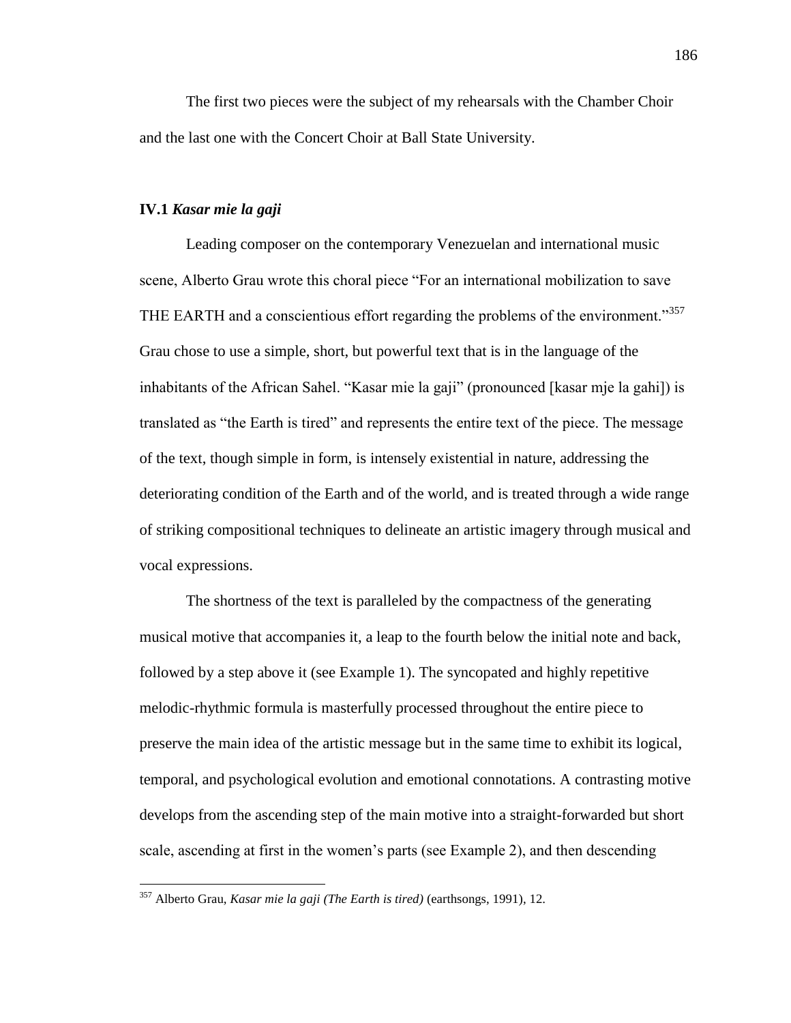The first two pieces were the subject of my rehearsals with the Chamber Choir and the last one with the Concert Choir at Ball State University.

### **IV.1** *Kasar mie la gaji*

 $\overline{a}$ 

Leading composer on the contemporary Venezuelan and international music scene, Alberto Grau wrote this choral piece "For an international mobilization to save THE EARTH and a conscientious effort regarding the problems of the environment."<sup>357</sup> Grau chose to use a simple, short, but powerful text that is in the language of the inhabitants of the African Sahel. "Kasar mie la gaji" (pronounced [kasar mje la gahi]) is translated as "the Earth is tired" and represents the entire text of the piece. The message of the text, though simple in form, is intensely existential in nature, addressing the deteriorating condition of the Earth and of the world, and is treated through a wide range of striking compositional techniques to delineate an artistic imagery through musical and vocal expressions.

The shortness of the text is paralleled by the compactness of the generating musical motive that accompanies it, a leap to the fourth below the initial note and back, followed by a step above it (see Example 1). The syncopated and highly repetitive melodic-rhythmic formula is masterfully processed throughout the entire piece to preserve the main idea of the artistic message but in the same time to exhibit its logical, temporal, and psychological evolution and emotional connotations. A contrasting motive develops from the ascending step of the main motive into a straight-forwarded but short scale, ascending at first in the women's parts (see Example 2), and then descending

<sup>357</sup> Alberto Grau, *Kasar mie la gaji (The Earth is tired)* (earthsongs, 1991), 12.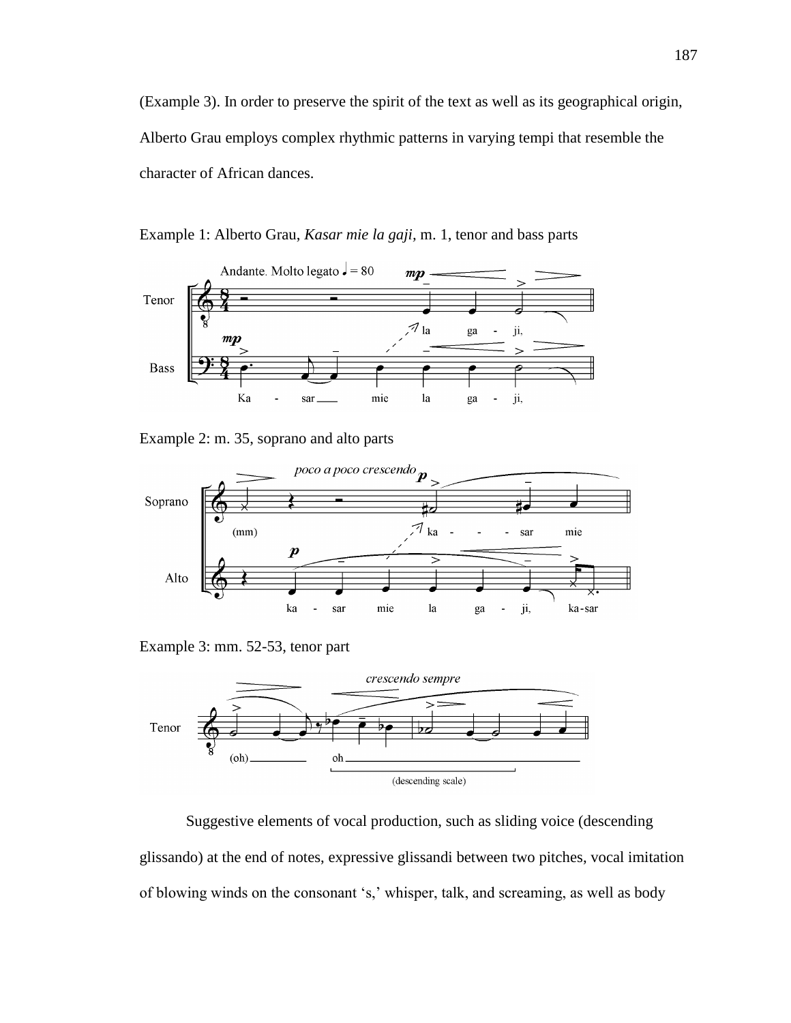(Example 3). In order to preserve the spirit of the text as well as its geographical origin, Alberto Grau employs complex rhythmic patterns in varying tempi that resemble the character of African dances.



Example 1: Alberto Grau, *Kasar mie la gaji,* m. 1, tenor and bass parts





Example 3: mm. 52-53, tenor part



Suggestive elements of vocal production, such as sliding voice (descending glissando) at the end of notes, expressive glissandi between two pitches, vocal imitation of blowing winds on the consonant 's,' whisper, talk, and screaming, as well as body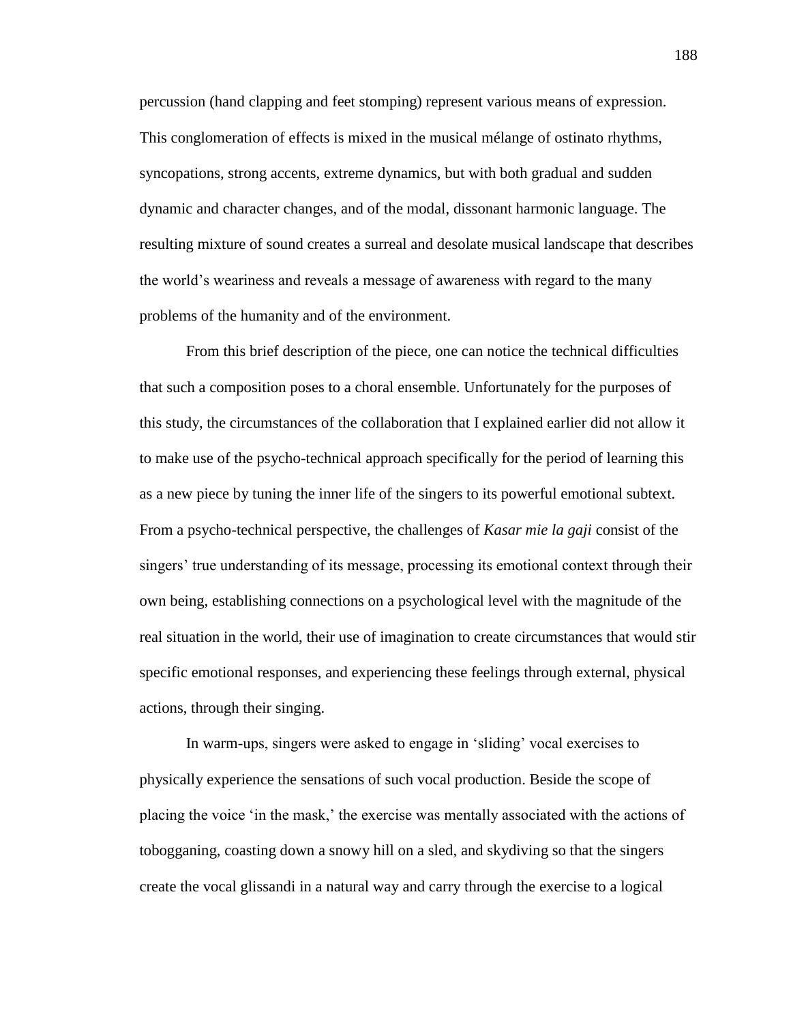percussion (hand clapping and feet stomping) represent various means of expression. This conglomeration of effects is mixed in the musical mélange of ostinato rhythms, syncopations, strong accents, extreme dynamics, but with both gradual and sudden dynamic and character changes, and of the modal, dissonant harmonic language. The resulting mixture of sound creates a surreal and desolate musical landscape that describes the world's weariness and reveals a message of awareness with regard to the many problems of the humanity and of the environment.

From this brief description of the piece, one can notice the technical difficulties that such a composition poses to a choral ensemble. Unfortunately for the purposes of this study, the circumstances of the collaboration that I explained earlier did not allow it to make use of the psycho-technical approach specifically for the period of learning this as a new piece by tuning the inner life of the singers to its powerful emotional subtext. From a psycho-technical perspective, the challenges of *Kasar mie la gaji* consist of the singers' true understanding of its message, processing its emotional context through their own being, establishing connections on a psychological level with the magnitude of the real situation in the world, their use of imagination to create circumstances that would stir specific emotional responses, and experiencing these feelings through external, physical actions, through their singing.

In warm-ups, singers were asked to engage in 'sliding' vocal exercises to physically experience the sensations of such vocal production. Beside the scope of placing the voice ‗in the mask,' the exercise was mentally associated with the actions of tobogganing, coasting down a snowy hill on a sled, and skydiving so that the singers create the vocal glissandi in a natural way and carry through the exercise to a logical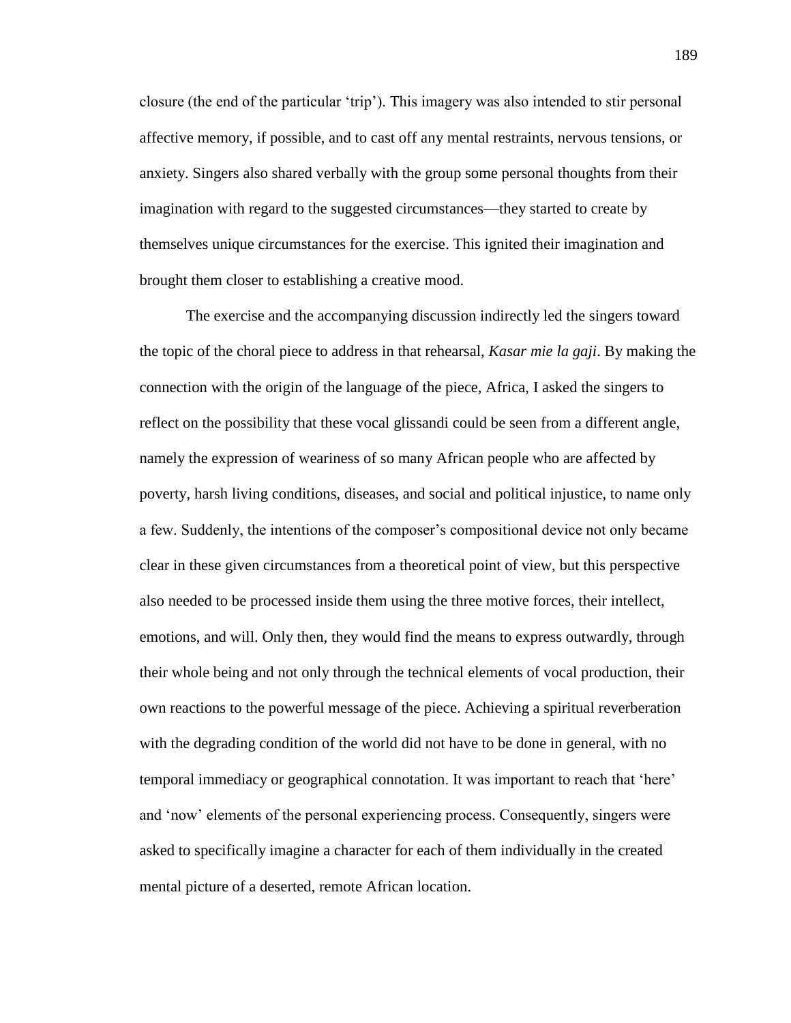closure (the end of the particular ‗trip'). This imagery was also intended to stir personal affective memory, if possible, and to cast off any mental restraints, nervous tensions, or anxiety. Singers also shared verbally with the group some personal thoughts from their imagination with regard to the suggested circumstances—they started to create by themselves unique circumstances for the exercise. This ignited their imagination and brought them closer to establishing a creative mood.

The exercise and the accompanying discussion indirectly led the singers toward the topic of the choral piece to address in that rehearsal, *Kasar mie la gaji*. By making the connection with the origin of the language of the piece, Africa, I asked the singers to reflect on the possibility that these vocal glissandi could be seen from a different angle, namely the expression of weariness of so many African people who are affected by poverty, harsh living conditions, diseases, and social and political injustice, to name only a few. Suddenly, the intentions of the composer's compositional device not only became clear in these given circumstances from a theoretical point of view, but this perspective also needed to be processed inside them using the three motive forces, their intellect, emotions, and will. Only then, they would find the means to express outwardly, through their whole being and not only through the technical elements of vocal production, their own reactions to the powerful message of the piece. Achieving a spiritual reverberation with the degrading condition of the world did not have to be done in general, with no temporal immediacy or geographical connotation. It was important to reach that ‗here' and 'now' elements of the personal experiencing process. Consequently, singers were asked to specifically imagine a character for each of them individually in the created mental picture of a deserted, remote African location.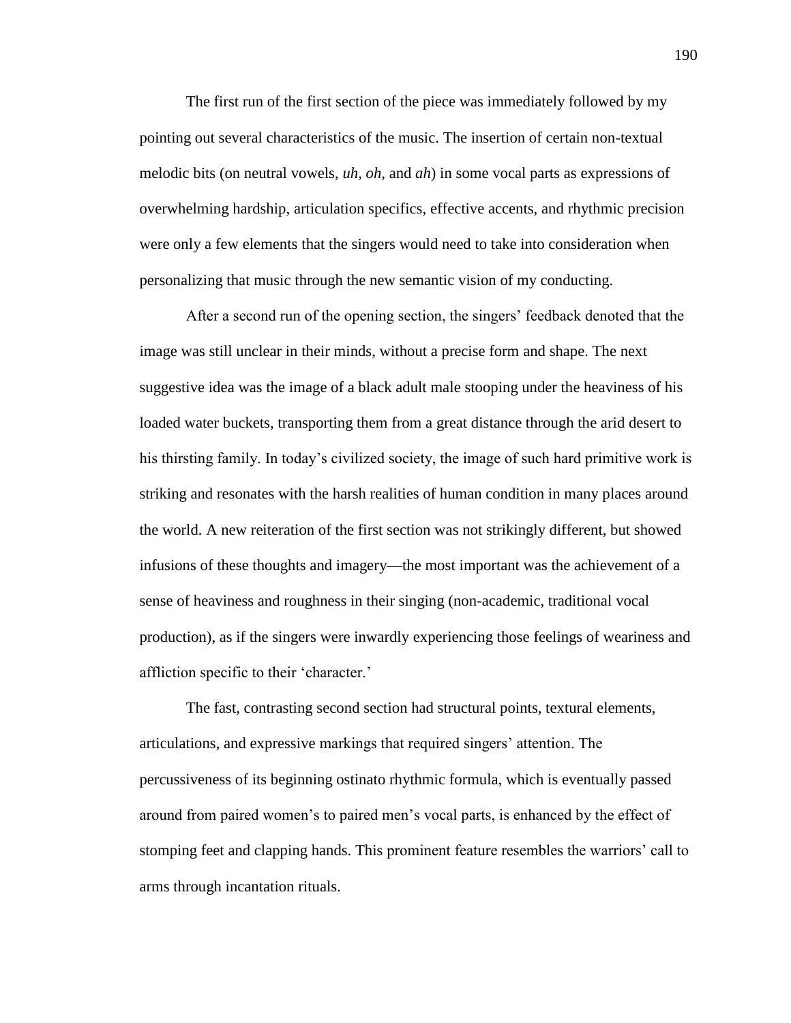The first run of the first section of the piece was immediately followed by my pointing out several characteristics of the music. The insertion of certain non-textual melodic bits (on neutral vowels, *uh, oh,* and *ah*) in some vocal parts as expressions of overwhelming hardship, articulation specifics, effective accents, and rhythmic precision were only a few elements that the singers would need to take into consideration when personalizing that music through the new semantic vision of my conducting.

After a second run of the opening section, the singers' feedback denoted that the image was still unclear in their minds, without a precise form and shape. The next suggestive idea was the image of a black adult male stooping under the heaviness of his loaded water buckets, transporting them from a great distance through the arid desert to his thirsting family. In today's civilized society, the image of such hard primitive work is striking and resonates with the harsh realities of human condition in many places around the world. A new reiteration of the first section was not strikingly different, but showed infusions of these thoughts and imagery—the most important was the achievement of a sense of heaviness and roughness in their singing (non-academic, traditional vocal production), as if the singers were inwardly experiencing those feelings of weariness and affliction specific to their 'character.'

The fast, contrasting second section had structural points, textural elements, articulations, and expressive markings that required singers' attention. The percussiveness of its beginning ostinato rhythmic formula, which is eventually passed around from paired women's to paired men's vocal parts, is enhanced by the effect of stomping feet and clapping hands. This prominent feature resembles the warriors' call to arms through incantation rituals.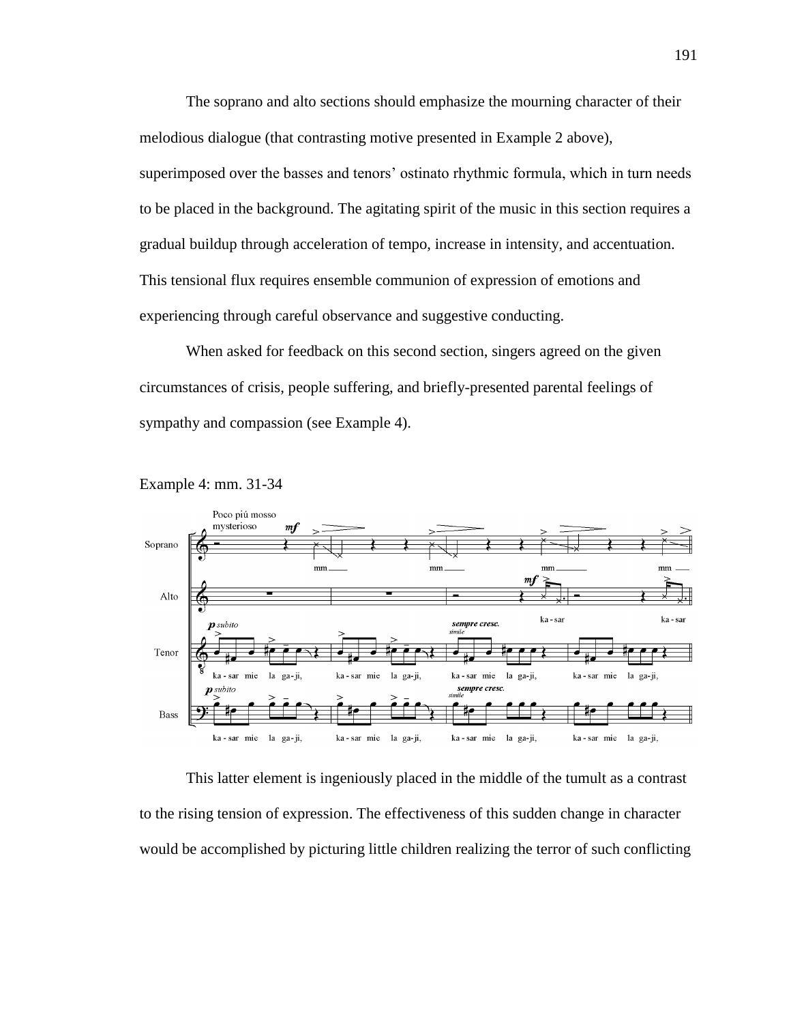The soprano and alto sections should emphasize the mourning character of their melodious dialogue (that contrasting motive presented in Example 2 above), superimposed over the basses and tenors' ostinato rhythmic formula, which in turn needs to be placed in the background. The agitating spirit of the music in this section requires a gradual buildup through acceleration of tempo, increase in intensity, and accentuation. This tensional flux requires ensemble communion of expression of emotions and experiencing through careful observance and suggestive conducting.

When asked for feedback on this second section, singers agreed on the given circumstances of crisis, people suffering, and briefly-presented parental feelings of sympathy and compassion (see Example 4).





This latter element is ingeniously placed in the middle of the tumult as a contrast to the rising tension of expression. The effectiveness of this sudden change in character would be accomplished by picturing little children realizing the terror of such conflicting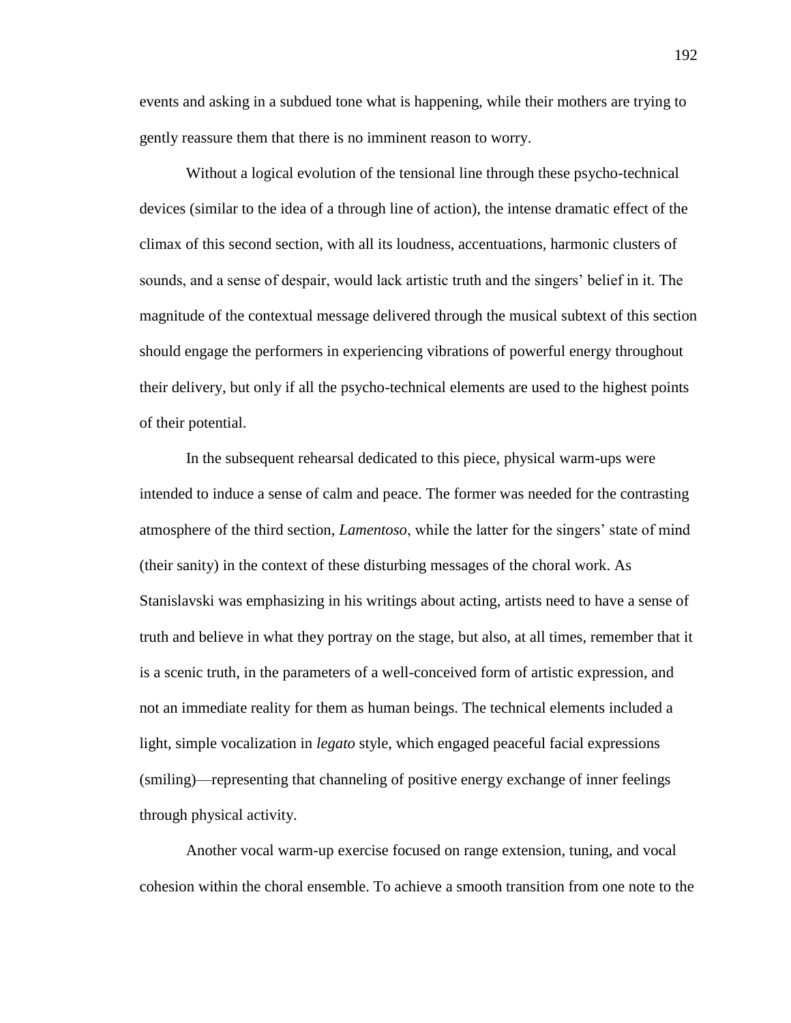events and asking in a subdued tone what is happening, while their mothers are trying to gently reassure them that there is no imminent reason to worry.

Without a logical evolution of the tensional line through these psycho-technical devices (similar to the idea of a through line of action), the intense dramatic effect of the climax of this second section, with all its loudness, accentuations, harmonic clusters of sounds, and a sense of despair, would lack artistic truth and the singers' belief in it. The magnitude of the contextual message delivered through the musical subtext of this section should engage the performers in experiencing vibrations of powerful energy throughout their delivery, but only if all the psycho-technical elements are used to the highest points of their potential.

In the subsequent rehearsal dedicated to this piece, physical warm-ups were intended to induce a sense of calm and peace. The former was needed for the contrasting atmosphere of the third section, *Lamentoso*, while the latter for the singers' state of mind (their sanity) in the context of these disturbing messages of the choral work. As Stanislavski was emphasizing in his writings about acting, artists need to have a sense of truth and believe in what they portray on the stage, but also, at all times, remember that it is a scenic truth, in the parameters of a well-conceived form of artistic expression, and not an immediate reality for them as human beings. The technical elements included a light, simple vocalization in *legato* style, which engaged peaceful facial expressions (smiling)—representing that channeling of positive energy exchange of inner feelings through physical activity.

Another vocal warm-up exercise focused on range extension, tuning, and vocal cohesion within the choral ensemble. To achieve a smooth transition from one note to the

192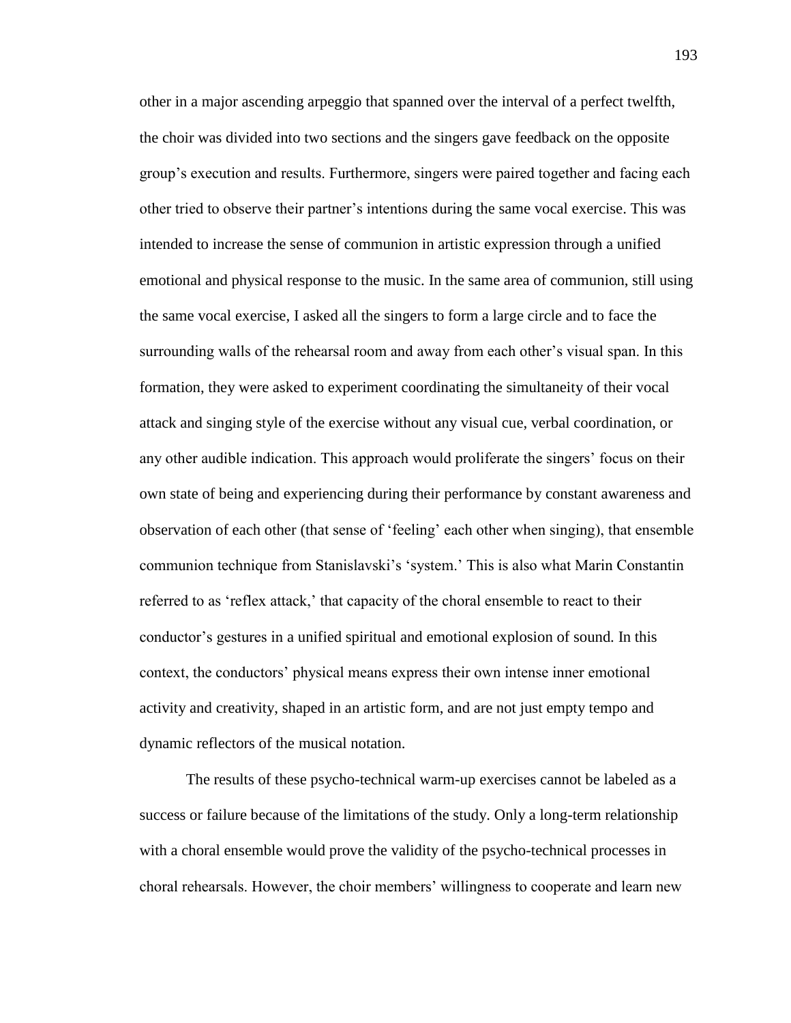other in a major ascending arpeggio that spanned over the interval of a perfect twelfth, the choir was divided into two sections and the singers gave feedback on the opposite group's execution and results. Furthermore, singers were paired together and facing each other tried to observe their partner's intentions during the same vocal exercise. This was intended to increase the sense of communion in artistic expression through a unified emotional and physical response to the music. In the same area of communion, still using the same vocal exercise, I asked all the singers to form a large circle and to face the surrounding walls of the rehearsal room and away from each other's visual span. In this formation, they were asked to experiment coordinating the simultaneity of their vocal attack and singing style of the exercise without any visual cue, verbal coordination, or any other audible indication. This approach would proliferate the singers' focus on their own state of being and experiencing during their performance by constant awareness and observation of each other (that sense of 'feeling' each other when singing), that ensemble communion technique from Stanislavski's 'system.' This is also what Marin Constantin referred to as 'reflex attack,' that capacity of the choral ensemble to react to their conductor's gestures in a unified spiritual and emotional explosion of sound. In this context, the conductors' physical means express their own intense inner emotional activity and creativity, shaped in an artistic form, and are not just empty tempo and dynamic reflectors of the musical notation.

The results of these psycho-technical warm-up exercises cannot be labeled as a success or failure because of the limitations of the study. Only a long-term relationship with a choral ensemble would prove the validity of the psycho-technical processes in choral rehearsals. However, the choir members' willingness to cooperate and learn new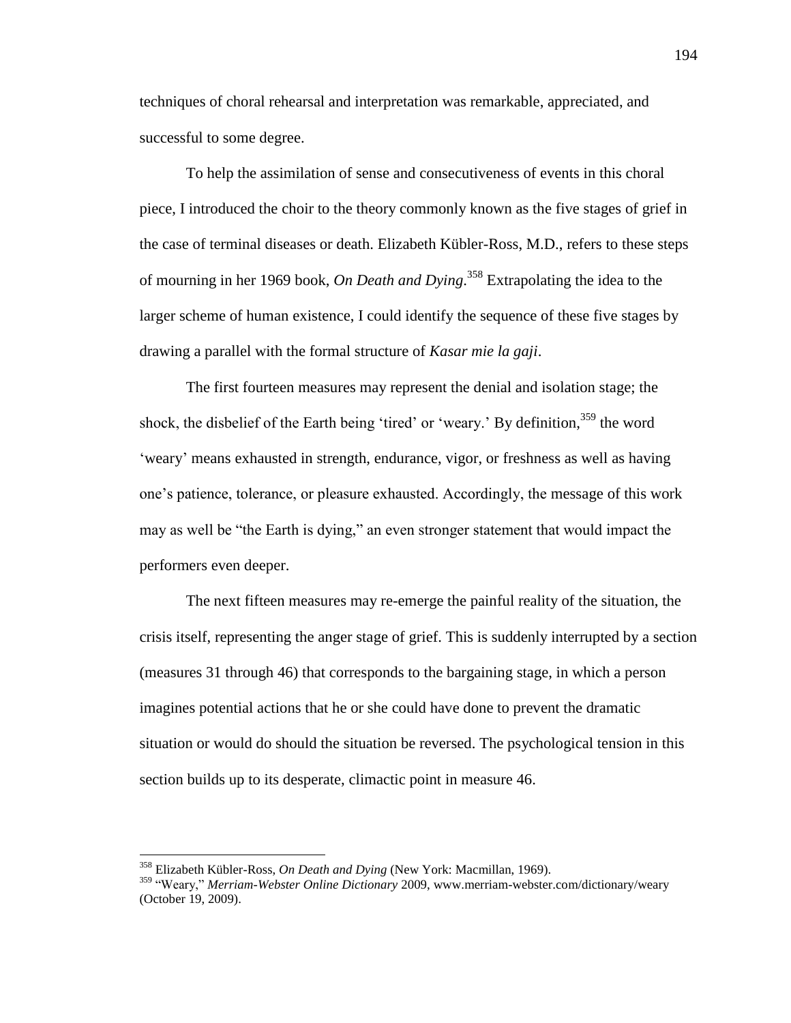techniques of choral rehearsal and interpretation was remarkable, appreciated, and successful to some degree.

To help the assimilation of sense and consecutiveness of events in this choral piece, I introduced the choir to the theory commonly known as the five stages of grief in the case of terminal diseases or death. Elizabeth Kübler-Ross, M.D., refers to these steps of mourning in her 1969 book, *On Death and Dying*. <sup>358</sup> Extrapolating the idea to the larger scheme of human existence, I could identify the sequence of these five stages by drawing a parallel with the formal structure of *Kasar mie la gaji*.

The first fourteen measures may represent the denial and isolation stage; the shock, the disbelief of the Earth being 'tired' or 'weary.' By definition,  $359$  the word ‗weary' means exhausted in strength, endurance, vigor, or freshness as well as having one's patience, tolerance, or pleasure exhausted. Accordingly, the message of this work may as well be "the Earth is dying," an even stronger statement that would impact the performers even deeper.

The next fifteen measures may re-emerge the painful reality of the situation, the crisis itself, representing the anger stage of grief. This is suddenly interrupted by a section (measures 31 through 46) that corresponds to the bargaining stage, in which a person imagines potential actions that he or she could have done to prevent the dramatic situation or would do should the situation be reversed. The psychological tension in this section builds up to its desperate, climactic point in measure 46.

 $\overline{a}$ 

<sup>358</sup> Elizabeth Kübler-Ross, *On Death and Dying* (New York: Macmillan, 1969).

<sup>&</sup>lt;sup>359</sup> "Weary," Merriam-Webster Online Dictionary 2009, www.merriam-webster.com/dictionary/weary (October 19, 2009).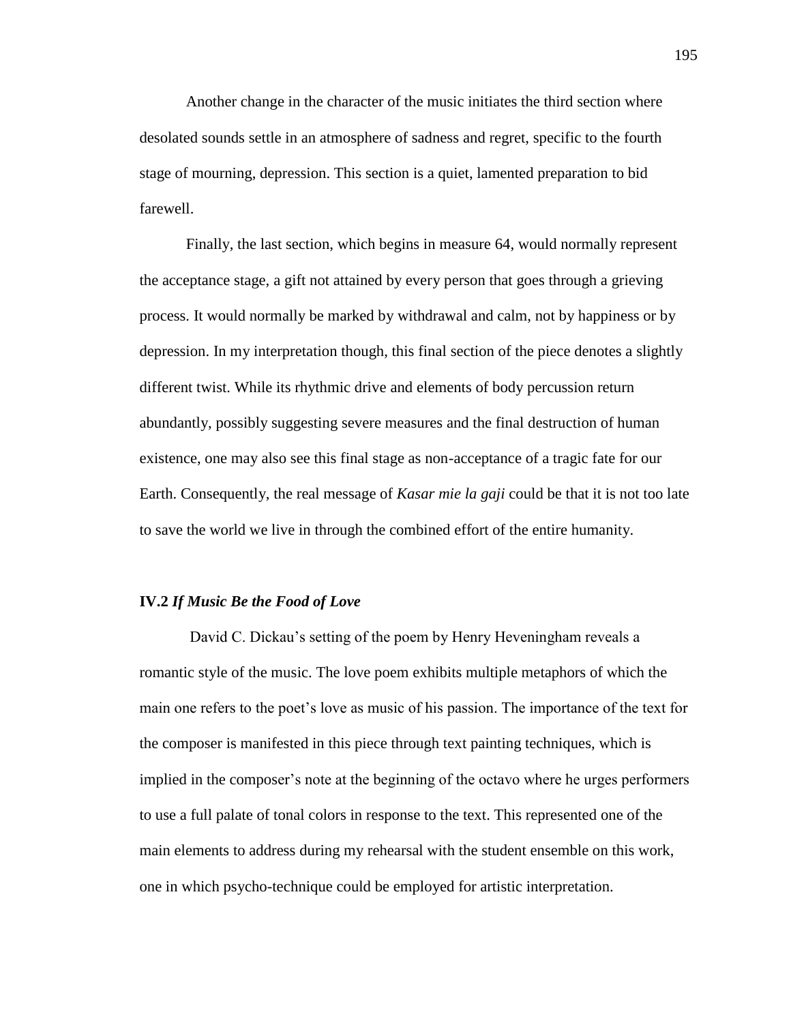Another change in the character of the music initiates the third section where desolated sounds settle in an atmosphere of sadness and regret, specific to the fourth stage of mourning, depression. This section is a quiet, lamented preparation to bid farewell.

Finally, the last section, which begins in measure 64, would normally represent the acceptance stage, a gift not attained by every person that goes through a grieving process. It would normally be marked by withdrawal and calm, not by happiness or by depression. In my interpretation though, this final section of the piece denotes a slightly different twist. While its rhythmic drive and elements of body percussion return abundantly, possibly suggesting severe measures and the final destruction of human existence, one may also see this final stage as non-acceptance of a tragic fate for our Earth. Consequently, the real message of *Kasar mie la gaji* could be that it is not too late to save the world we live in through the combined effort of the entire humanity.

#### **IV.2** *If Music Be the Food of Love*

David C. Dickau's setting of the poem by Henry Heveningham reveals a romantic style of the music. The love poem exhibits multiple metaphors of which the main one refers to the poet's love as music of his passion. The importance of the text for the composer is manifested in this piece through text painting techniques, which is implied in the composer's note at the beginning of the octavo where he urges performers to use a full palate of tonal colors in response to the text. This represented one of the main elements to address during my rehearsal with the student ensemble on this work, one in which psycho-technique could be employed for artistic interpretation.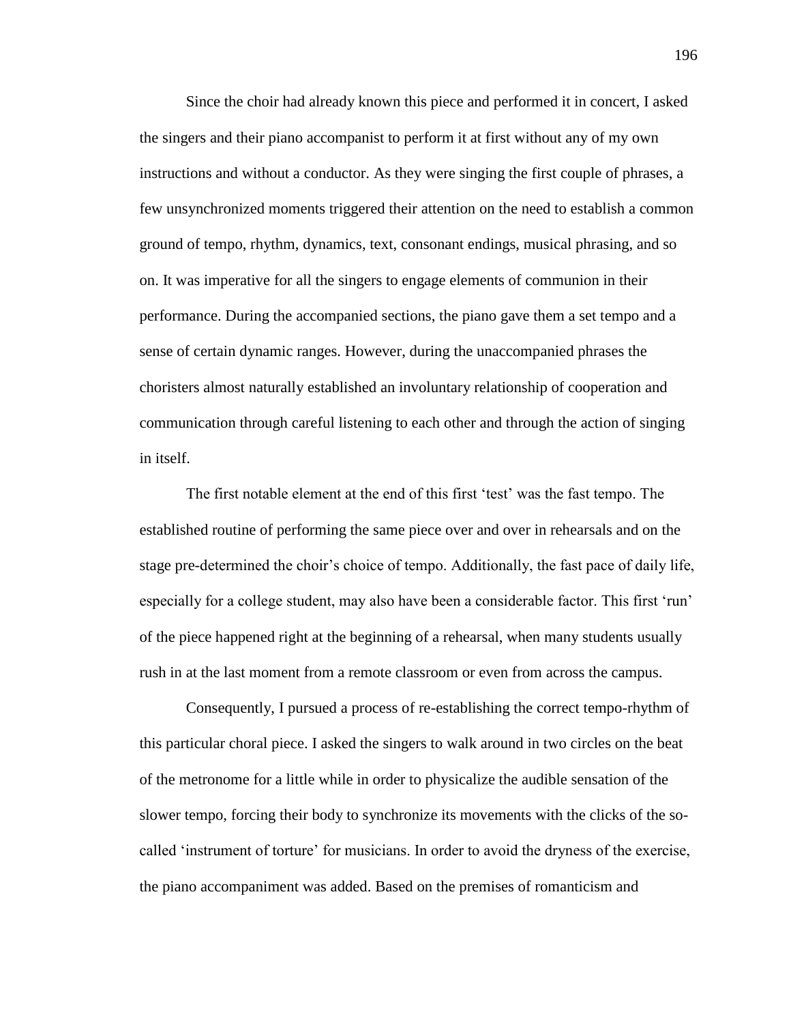Since the choir had already known this piece and performed it in concert, I asked the singers and their piano accompanist to perform it at first without any of my own instructions and without a conductor. As they were singing the first couple of phrases, a few unsynchronized moments triggered their attention on the need to establish a common ground of tempo, rhythm, dynamics, text, consonant endings, musical phrasing, and so on. It was imperative for all the singers to engage elements of communion in their performance. During the accompanied sections, the piano gave them a set tempo and a sense of certain dynamic ranges. However, during the unaccompanied phrases the choristers almost naturally established an involuntary relationship of cooperation and communication through careful listening to each other and through the action of singing in itself.

The first notable element at the end of this first 'test' was the fast tempo. The established routine of performing the same piece over and over in rehearsals and on the stage pre-determined the choir's choice of tempo. Additionally, the fast pace of daily life, especially for a college student, may also have been a considerable factor. This first 'run' of the piece happened right at the beginning of a rehearsal, when many students usually rush in at the last moment from a remote classroom or even from across the campus.

Consequently, I pursued a process of re-establishing the correct tempo-rhythm of this particular choral piece. I asked the singers to walk around in two circles on the beat of the metronome for a little while in order to physicalize the audible sensation of the slower tempo, forcing their body to synchronize its movements with the clicks of the socalled ‗instrument of torture' for musicians. In order to avoid the dryness of the exercise, the piano accompaniment was added. Based on the premises of romanticism and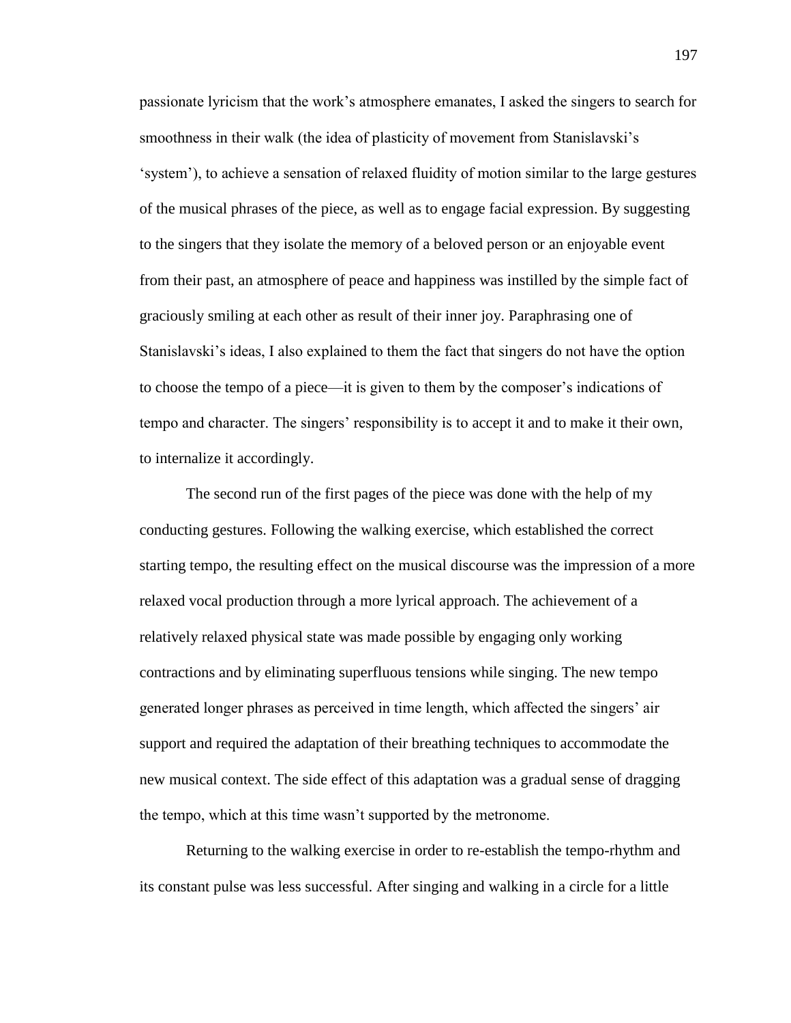passionate lyricism that the work's atmosphere emanates, I asked the singers to search for smoothness in their walk (the idea of plasticity of movement from Stanislavski's ‗system'), to achieve a sensation of relaxed fluidity of motion similar to the large gestures of the musical phrases of the piece, as well as to engage facial expression. By suggesting to the singers that they isolate the memory of a beloved person or an enjoyable event from their past, an atmosphere of peace and happiness was instilled by the simple fact of graciously smiling at each other as result of their inner joy. Paraphrasing one of Stanislavski's ideas, I also explained to them the fact that singers do not have the option to choose the tempo of a piece—it is given to them by the composer's indications of tempo and character. The singers' responsibility is to accept it and to make it their own, to internalize it accordingly.

The second run of the first pages of the piece was done with the help of my conducting gestures. Following the walking exercise, which established the correct starting tempo, the resulting effect on the musical discourse was the impression of a more relaxed vocal production through a more lyrical approach. The achievement of a relatively relaxed physical state was made possible by engaging only working contractions and by eliminating superfluous tensions while singing. The new tempo generated longer phrases as perceived in time length, which affected the singers' air support and required the adaptation of their breathing techniques to accommodate the new musical context. The side effect of this adaptation was a gradual sense of dragging the tempo, which at this time wasn't supported by the metronome.

Returning to the walking exercise in order to re-establish the tempo-rhythm and its constant pulse was less successful. After singing and walking in a circle for a little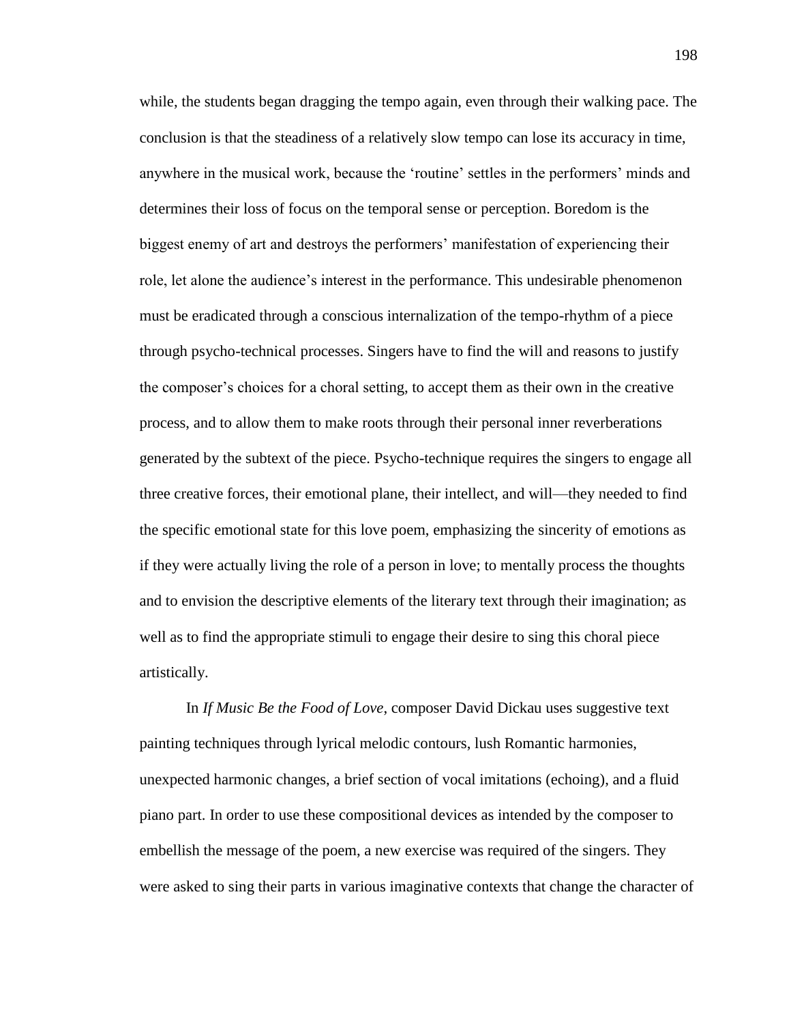while, the students began dragging the tempo again, even through their walking pace. The conclusion is that the steadiness of a relatively slow tempo can lose its accuracy in time, anywhere in the musical work, because the 'routine' settles in the performers' minds and determines their loss of focus on the temporal sense or perception. Boredom is the biggest enemy of art and destroys the performers' manifestation of experiencing their role, let alone the audience's interest in the performance. This undesirable phenomenon must be eradicated through a conscious internalization of the tempo-rhythm of a piece through psycho-technical processes. Singers have to find the will and reasons to justify the composer's choices for a choral setting, to accept them as their own in the creative process, and to allow them to make roots through their personal inner reverberations generated by the subtext of the piece. Psycho-technique requires the singers to engage all three creative forces, their emotional plane, their intellect, and will—they needed to find the specific emotional state for this love poem, emphasizing the sincerity of emotions as if they were actually living the role of a person in love; to mentally process the thoughts and to envision the descriptive elements of the literary text through their imagination; as well as to find the appropriate stimuli to engage their desire to sing this choral piece artistically.

In *If Music Be the Food of Love*, composer David Dickau uses suggestive text painting techniques through lyrical melodic contours, lush Romantic harmonies, unexpected harmonic changes, a brief section of vocal imitations (echoing), and a fluid piano part. In order to use these compositional devices as intended by the composer to embellish the message of the poem, a new exercise was required of the singers. They were asked to sing their parts in various imaginative contexts that change the character of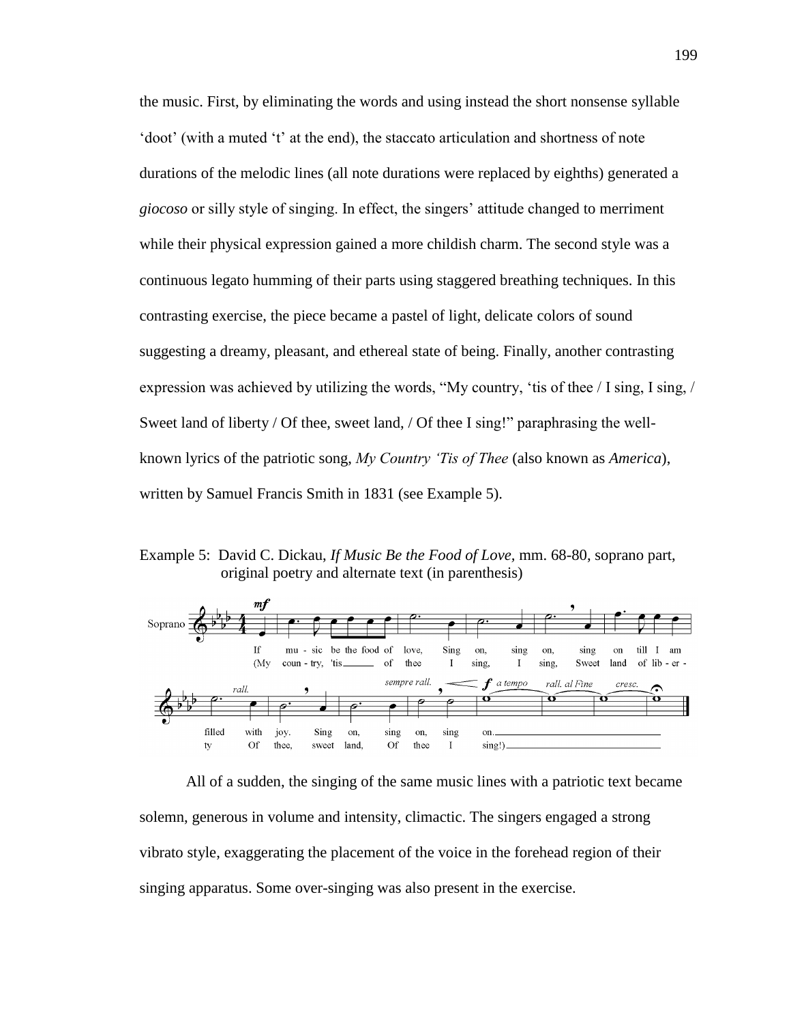the music. First, by eliminating the words and using instead the short nonsense syllable ‗doot' (with a muted ‗t' at the end), the staccato articulation and shortness of note durations of the melodic lines (all note durations were replaced by eighths) generated a *giocoso* or silly style of singing. In effect, the singers' attitude changed to merriment while their physical expression gained a more childish charm. The second style was a continuous legato humming of their parts using staggered breathing techniques. In this contrasting exercise, the piece became a pastel of light, delicate colors of sound suggesting a dreamy, pleasant, and ethereal state of being. Finally, another contrasting expression was achieved by utilizing the words, "My country, 'tis of thee  $/$  I sing, I sing,  $/$ Sweet land of liberty / Of thee, sweet land, / Of thee I sing!" paraphrasing the wellknown lyrics of the patriotic song, *My Country 'Tis of Thee* (also known as *America*), written by Samuel Francis Smith in 1831 (see Example 5).

Example 5: David C. Dickau, *If Music Be the Food of Love,* mm. 68-80, soprano part, original poetry and alternate text (in parenthesis)



All of a sudden, the singing of the same music lines with a patriotic text became solemn, generous in volume and intensity, climactic. The singers engaged a strong vibrato style, exaggerating the placement of the voice in the forehead region of their singing apparatus. Some over-singing was also present in the exercise.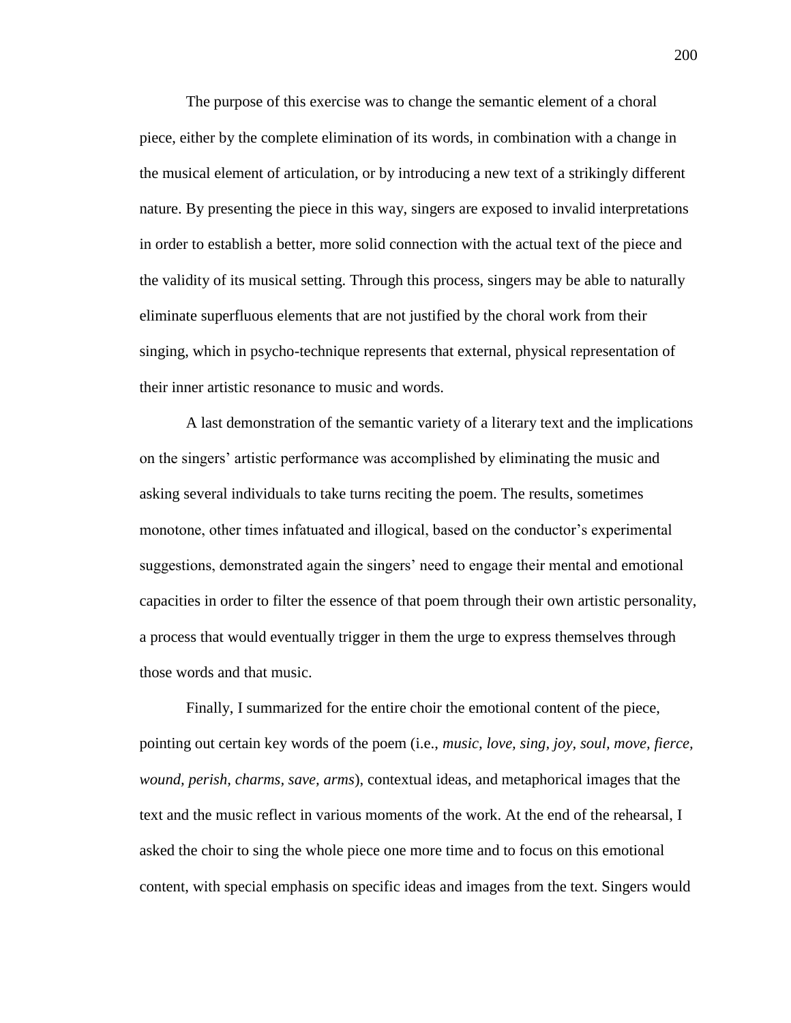The purpose of this exercise was to change the semantic element of a choral piece, either by the complete elimination of its words, in combination with a change in the musical element of articulation, or by introducing a new text of a strikingly different nature. By presenting the piece in this way, singers are exposed to invalid interpretations in order to establish a better, more solid connection with the actual text of the piece and the validity of its musical setting. Through this process, singers may be able to naturally eliminate superfluous elements that are not justified by the choral work from their singing, which in psycho-technique represents that external, physical representation of their inner artistic resonance to music and words.

A last demonstration of the semantic variety of a literary text and the implications on the singers' artistic performance was accomplished by eliminating the music and asking several individuals to take turns reciting the poem. The results, sometimes monotone, other times infatuated and illogical, based on the conductor's experimental suggestions, demonstrated again the singers' need to engage their mental and emotional capacities in order to filter the essence of that poem through their own artistic personality, a process that would eventually trigger in them the urge to express themselves through those words and that music.

Finally, I summarized for the entire choir the emotional content of the piece, pointing out certain key words of the poem (i.e., *music, love, sing, joy, soul, move, fierce, wound, perish, charms, save, arms*), contextual ideas, and metaphorical images that the text and the music reflect in various moments of the work. At the end of the rehearsal, I asked the choir to sing the whole piece one more time and to focus on this emotional content, with special emphasis on specific ideas and images from the text. Singers would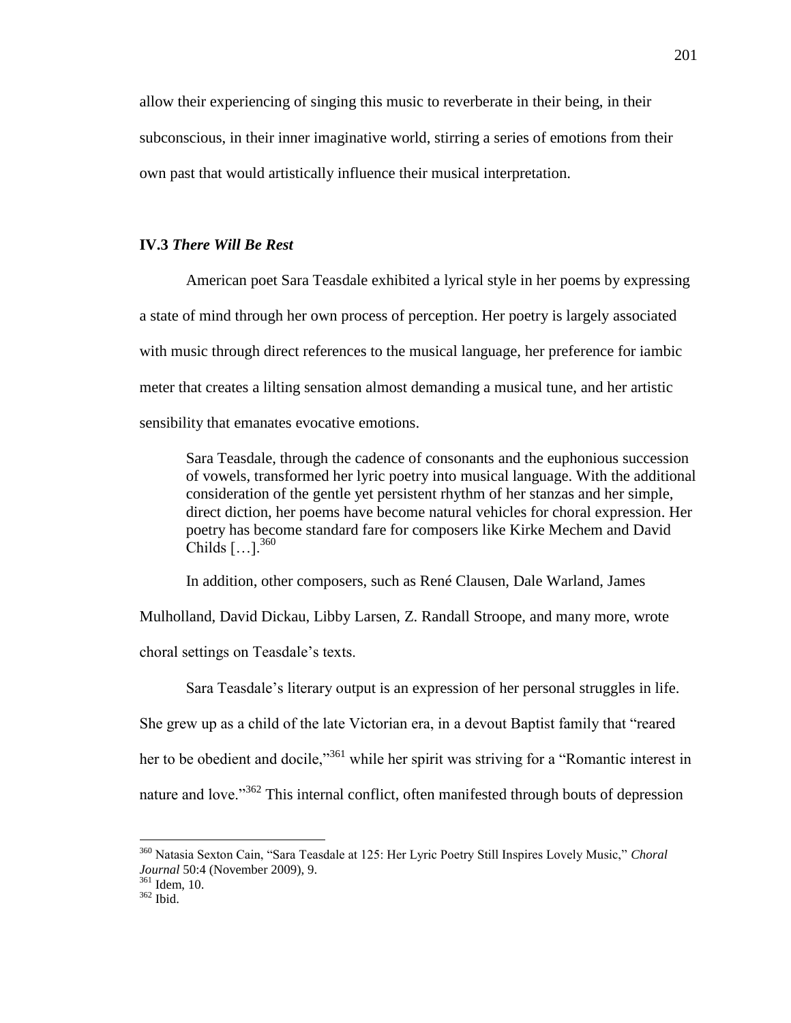allow their experiencing of singing this music to reverberate in their being, in their subconscious, in their inner imaginative world, stirring a series of emotions from their own past that would artistically influence their musical interpretation.

### **IV.3** *There Will Be Rest*

American poet Sara Teasdale exhibited a lyrical style in her poems by expressing a state of mind through her own process of perception. Her poetry is largely associated with music through direct references to the musical language, her preference for iambic meter that creates a lilting sensation almost demanding a musical tune, and her artistic sensibility that emanates evocative emotions.

Sara Teasdale, through the cadence of consonants and the euphonious succession of vowels, transformed her lyric poetry into musical language. With the additional consideration of the gentle yet persistent rhythm of her stanzas and her simple, direct diction, her poems have become natural vehicles for choral expression. Her poetry has become standard fare for composers like Kirke Mechem and David Childs  $\left[\ldots\right]$ <sup>360</sup>

In addition, other composers, such as René Clausen, Dale Warland, James

Mulholland, David Dickau, Libby Larsen, Z. Randall Stroope, and many more, wrote

choral settings on Teasdale's texts.

Sara Teasdale's literary output is an expression of her personal struggles in life. She grew up as a child of the late Victorian era, in a devout Baptist family that "reared her to be obedient and docile,<sup>361</sup> while her spirit was striving for a "Romantic interest in nature and love."<sup>362</sup> This internal conflict, often manifested through bouts of depression

 $\overline{a}$ 

<sup>&</sup>lt;sup>360</sup> Natasia Sexton Cain, "Sara Teasdale at 125: Her Lyric Poetry Still Inspires Lovely Music," Choral *Journal* 50:4 (November 2009), 9.

<sup>&</sup>lt;sup>361</sup> Idem, 10.

<sup>362</sup> Ibid.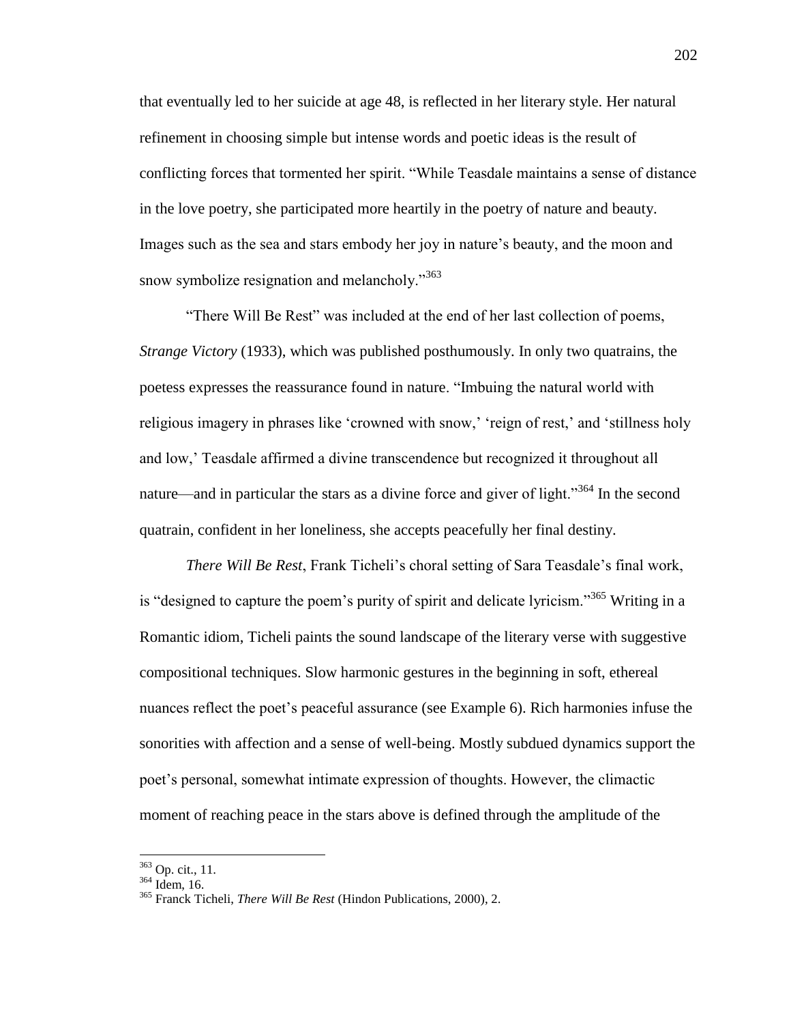that eventually led to her suicide at age 48, is reflected in her literary style. Her natural refinement in choosing simple but intense words and poetic ideas is the result of conflicting forces that tormented her spirit. "While Teasdale maintains a sense of distance in the love poetry, she participated more heartily in the poetry of nature and beauty. Images such as the sea and stars embody her joy in nature's beauty, and the moon and snow symbolize resignation and melancholy. $^{363}$ 

"There Will Be Rest" was included at the end of her last collection of poems, *Strange Victory* (1933), which was published posthumously. In only two quatrains, the poetess expresses the reassurance found in nature. "Imbuing the natural world with religious imagery in phrases like 'crowned with snow,' 'reign of rest,' and 'stillness holy and low,' Teasdale affirmed a divine transcendence but recognized it throughout all nature—and in particular the stars as a divine force and giver of light.<sup>364</sup> In the second quatrain, confident in her loneliness, she accepts peacefully her final destiny.

*There Will Be Rest*, Frank Ticheli's choral setting of Sara Teasdale's final work, is "designed to capture the poem's purity of spirit and delicate lyricism."<sup>365</sup> Writing in a Romantic idiom, Ticheli paints the sound landscape of the literary verse with suggestive compositional techniques. Slow harmonic gestures in the beginning in soft, ethereal nuances reflect the poet's peaceful assurance (see Example 6). Rich harmonies infuse the sonorities with affection and a sense of well-being. Mostly subdued dynamics support the poet's personal, somewhat intimate expression of thoughts. However, the climactic moment of reaching peace in the stars above is defined through the amplitude of the

 $\overline{a}$ 

<sup>&</sup>lt;sup>363</sup> Op. cit., 11.

<sup>364</sup> Idem, 16.

<sup>365</sup> Franck Ticheli, *There Will Be Rest* (Hindon Publications, 2000), 2.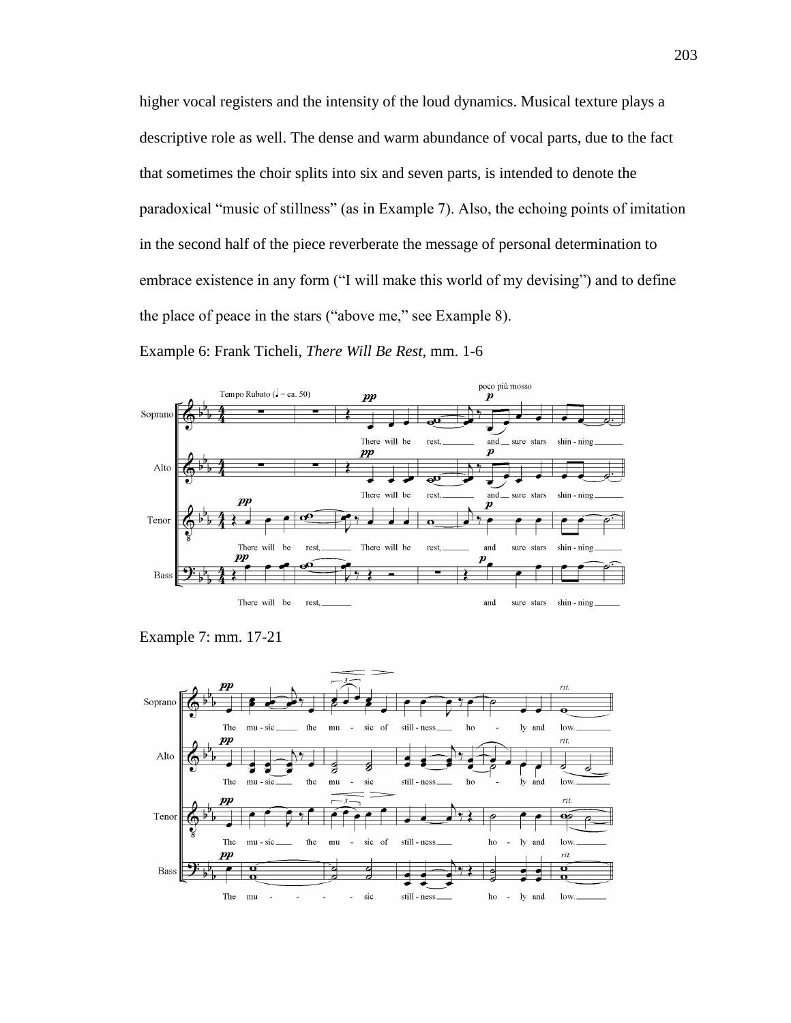higher vocal registers and the intensity of the loud dynamics. Musical texture plays a descriptive role as well. The dense and warm abundance of vocal parts, due to the fact that sometimes the choir splits into six and seven parts, is intended to denote the paradoxical "music of stillness" (as in Example 7). Also, the echoing points of imitation in the second half of the piece reverberate the message of personal determination to embrace existence in any form ("I will make this world of my devising") and to define the place of peace in the stars ("above me," see Example 8).



Example 6: Frank Ticheli, *There Will Be Rest,* mm. 1-6

Example 7: mm. 17-21

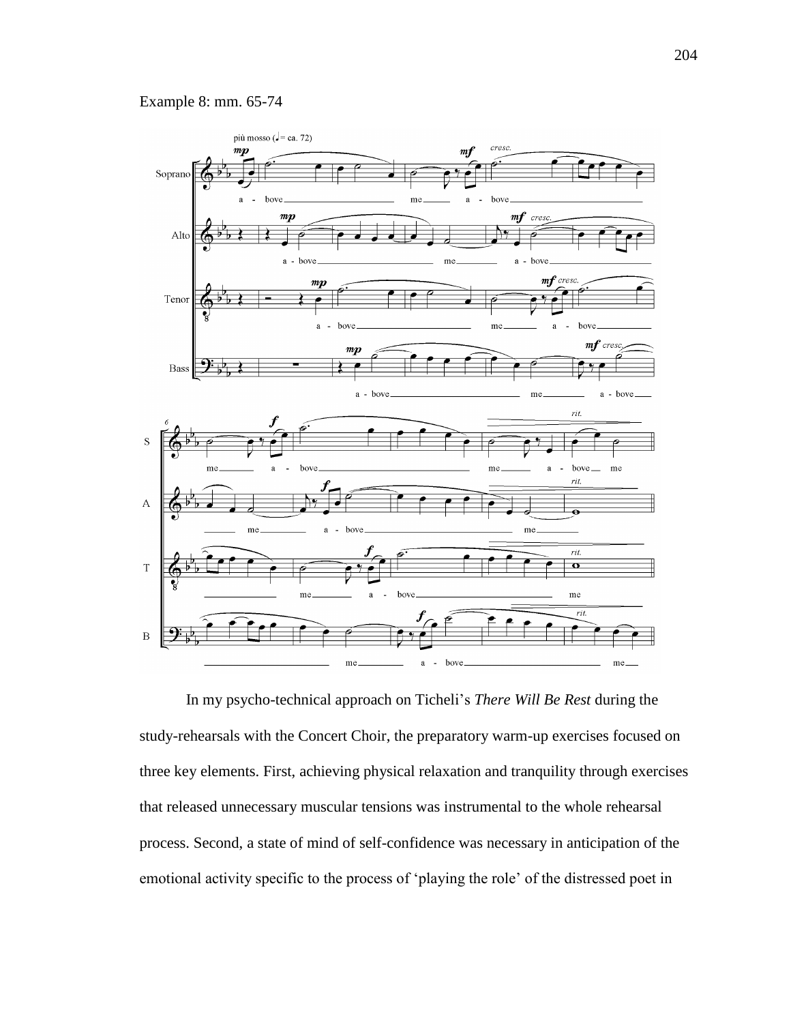# Example 8: mm. 65-74



In my psycho-technical approach on Ticheli's *There Will Be Rest* during the study-rehearsals with the Concert Choir, the preparatory warm-up exercises focused on three key elements. First, achieving physical relaxation and tranquility through exercises that released unnecessary muscular tensions was instrumental to the whole rehearsal process. Second, a state of mind of self-confidence was necessary in anticipation of the emotional activity specific to the process of 'playing the role' of the distressed poet in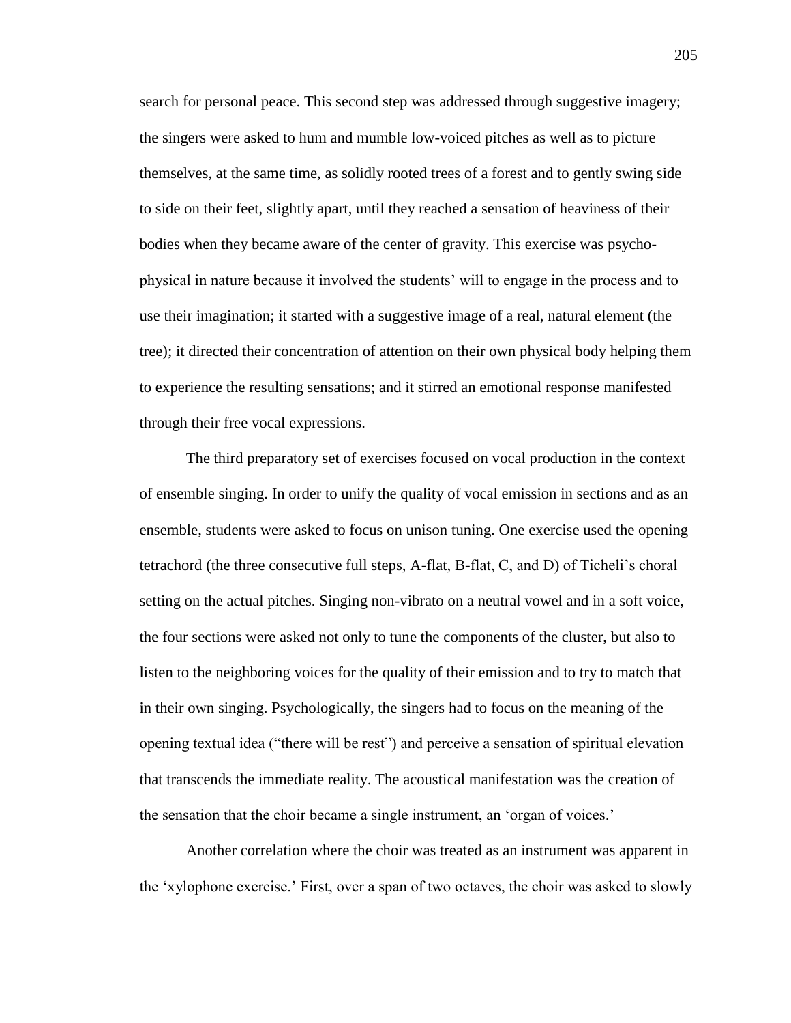search for personal peace. This second step was addressed through suggestive imagery; the singers were asked to hum and mumble low-voiced pitches as well as to picture themselves, at the same time, as solidly rooted trees of a forest and to gently swing side to side on their feet, slightly apart, until they reached a sensation of heaviness of their bodies when they became aware of the center of gravity. This exercise was psychophysical in nature because it involved the students' will to engage in the process and to use their imagination; it started with a suggestive image of a real, natural element (the tree); it directed their concentration of attention on their own physical body helping them to experience the resulting sensations; and it stirred an emotional response manifested through their free vocal expressions.

The third preparatory set of exercises focused on vocal production in the context of ensemble singing. In order to unify the quality of vocal emission in sections and as an ensemble, students were asked to focus on unison tuning. One exercise used the opening tetrachord (the three consecutive full steps, A-flat, B-flat, C, and D) of Ticheli's choral setting on the actual pitches. Singing non-vibrato on a neutral vowel and in a soft voice, the four sections were asked not only to tune the components of the cluster, but also to listen to the neighboring voices for the quality of their emission and to try to match that in their own singing. Psychologically, the singers had to focus on the meaning of the opening textual idea ("there will be rest") and perceive a sensation of spiritual elevation that transcends the immediate reality. The acoustical manifestation was the creation of the sensation that the choir became a single instrument, an 'organ of voices.'

Another correlation where the choir was treated as an instrument was apparent in the ‗xylophone exercise.' First, over a span of two octaves, the choir was asked to slowly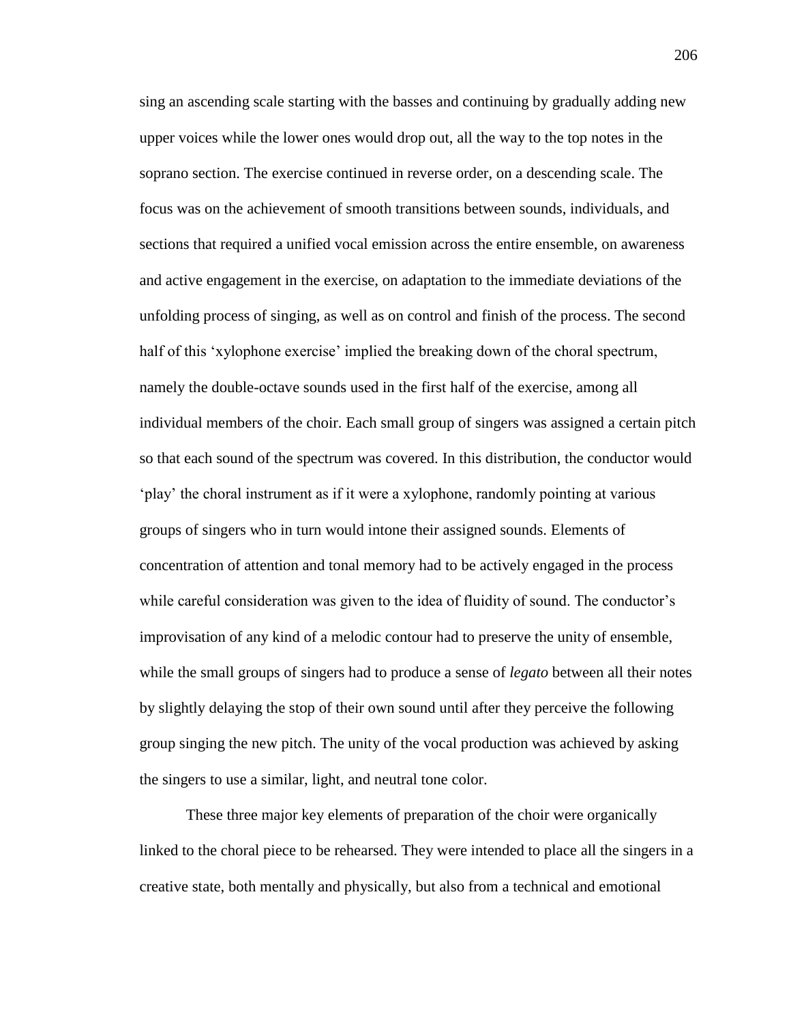sing an ascending scale starting with the basses and continuing by gradually adding new upper voices while the lower ones would drop out, all the way to the top notes in the soprano section. The exercise continued in reverse order, on a descending scale. The focus was on the achievement of smooth transitions between sounds, individuals, and sections that required a unified vocal emission across the entire ensemble, on awareness and active engagement in the exercise, on adaptation to the immediate deviations of the unfolding process of singing, as well as on control and finish of the process. The second half of this 'xylophone exercise' implied the breaking down of the choral spectrum, namely the double-octave sounds used in the first half of the exercise, among all individual members of the choir. Each small group of singers was assigned a certain pitch so that each sound of the spectrum was covered. In this distribution, the conductor would ‗play' the choral instrument as if it were a xylophone, randomly pointing at various groups of singers who in turn would intone their assigned sounds. Elements of concentration of attention and tonal memory had to be actively engaged in the process while careful consideration was given to the idea of fluidity of sound. The conductor's improvisation of any kind of a melodic contour had to preserve the unity of ensemble, while the small groups of singers had to produce a sense of *legato* between all their notes by slightly delaying the stop of their own sound until after they perceive the following group singing the new pitch. The unity of the vocal production was achieved by asking the singers to use a similar, light, and neutral tone color.

These three major key elements of preparation of the choir were organically linked to the choral piece to be rehearsed. They were intended to place all the singers in a creative state, both mentally and physically, but also from a technical and emotional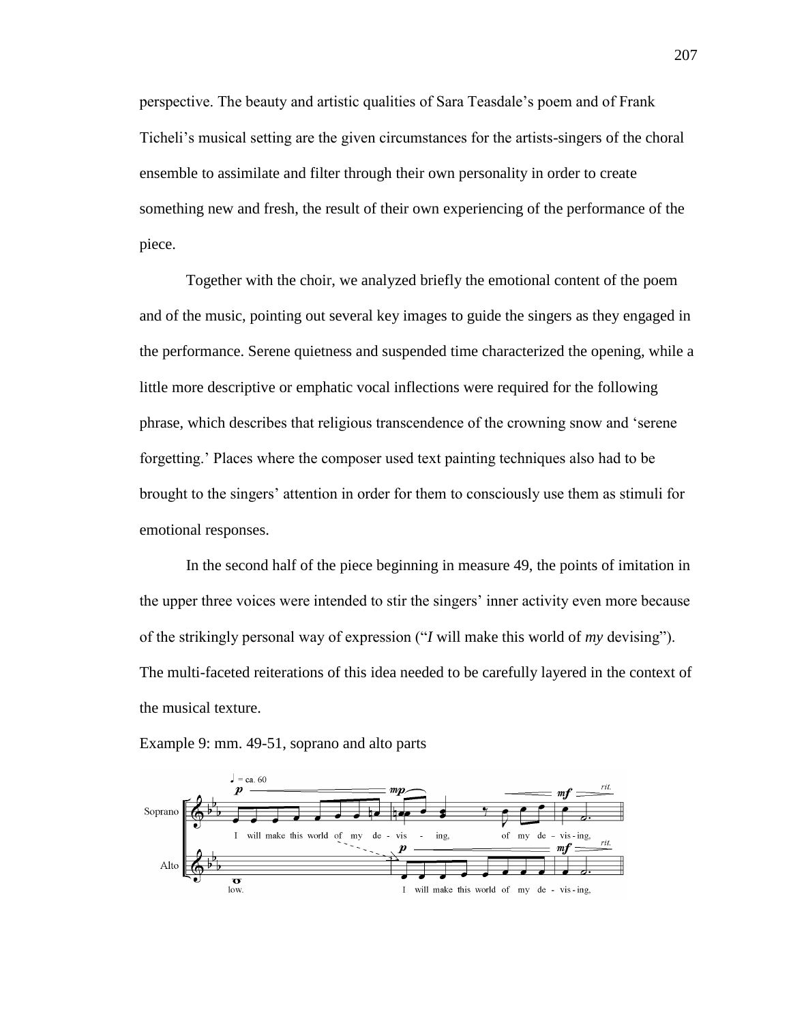perspective. The beauty and artistic qualities of Sara Teasdale's poem and of Frank Ticheli's musical setting are the given circumstances for the artists-singers of the choral ensemble to assimilate and filter through their own personality in order to create something new and fresh, the result of their own experiencing of the performance of the piece.

Together with the choir, we analyzed briefly the emotional content of the poem and of the music, pointing out several key images to guide the singers as they engaged in the performance. Serene quietness and suspended time characterized the opening, while a little more descriptive or emphatic vocal inflections were required for the following phrase, which describes that religious transcendence of the crowning snow and 'serene forgetting.' Places where the composer used text painting techniques also had to be brought to the singers' attention in order for them to consciously use them as stimuli for emotional responses.

In the second half of the piece beginning in measure 49, the points of imitation in the upper three voices were intended to stir the singers' inner activity even more because of the strikingly personal way of expression ("*I* will make this world of *my* devising"). The multi-faceted reiterations of this idea needed to be carefully layered in the context of the musical texture.



Example 9: mm. 49-51, soprano and alto parts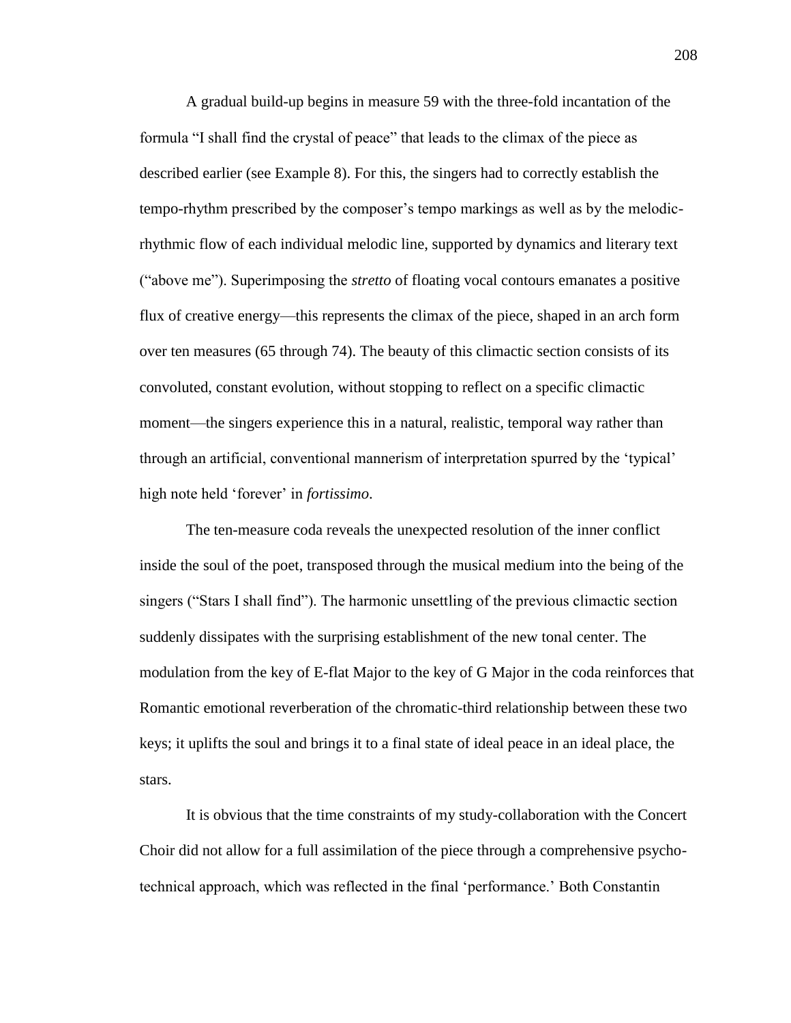A gradual build-up begins in measure 59 with the three-fold incantation of the formula "I shall find the crystal of peace" that leads to the climax of the piece as described earlier (see Example 8). For this, the singers had to correctly establish the tempo-rhythm prescribed by the composer's tempo markings as well as by the melodicrhythmic flow of each individual melodic line, supported by dynamics and literary text ("above me"). Superimposing the *stretto* of floating vocal contours emanates a positive flux of creative energy—this represents the climax of the piece, shaped in an arch form over ten measures (65 through 74). The beauty of this climactic section consists of its convoluted, constant evolution, without stopping to reflect on a specific climactic moment—the singers experience this in a natural, realistic, temporal way rather than through an artificial, conventional mannerism of interpretation spurred by the ‗typical' high note held 'forever' in *fortissimo*.

The ten-measure coda reveals the unexpected resolution of the inner conflict inside the soul of the poet, transposed through the musical medium into the being of the singers ("Stars I shall find"). The harmonic unsettling of the previous climactic section suddenly dissipates with the surprising establishment of the new tonal center. The modulation from the key of E-flat Major to the key of G Major in the coda reinforces that Romantic emotional reverberation of the chromatic-third relationship between these two keys; it uplifts the soul and brings it to a final state of ideal peace in an ideal place, the stars.

It is obvious that the time constraints of my study-collaboration with the Concert Choir did not allow for a full assimilation of the piece through a comprehensive psychotechnical approach, which was reflected in the final ‗performance.' Both Constantin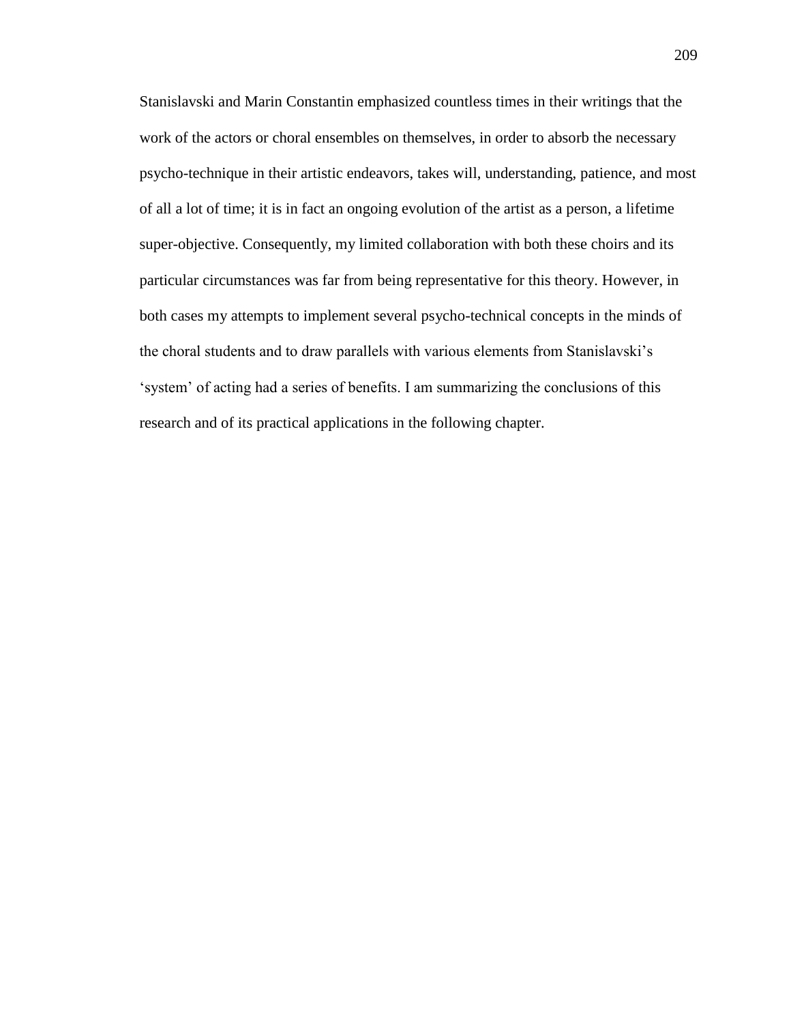Stanislavski and Marin Constantin emphasized countless times in their writings that the work of the actors or choral ensembles on themselves, in order to absorb the necessary psycho-technique in their artistic endeavors, takes will, understanding, patience, and most of all a lot of time; it is in fact an ongoing evolution of the artist as a person, a lifetime super-objective. Consequently, my limited collaboration with both these choirs and its particular circumstances was far from being representative for this theory. However, in both cases my attempts to implement several psycho-technical concepts in the minds of the choral students and to draw parallels with various elements from Stanislavski's ‗system' of acting had a series of benefits. I am summarizing the conclusions of this research and of its practical applications in the following chapter.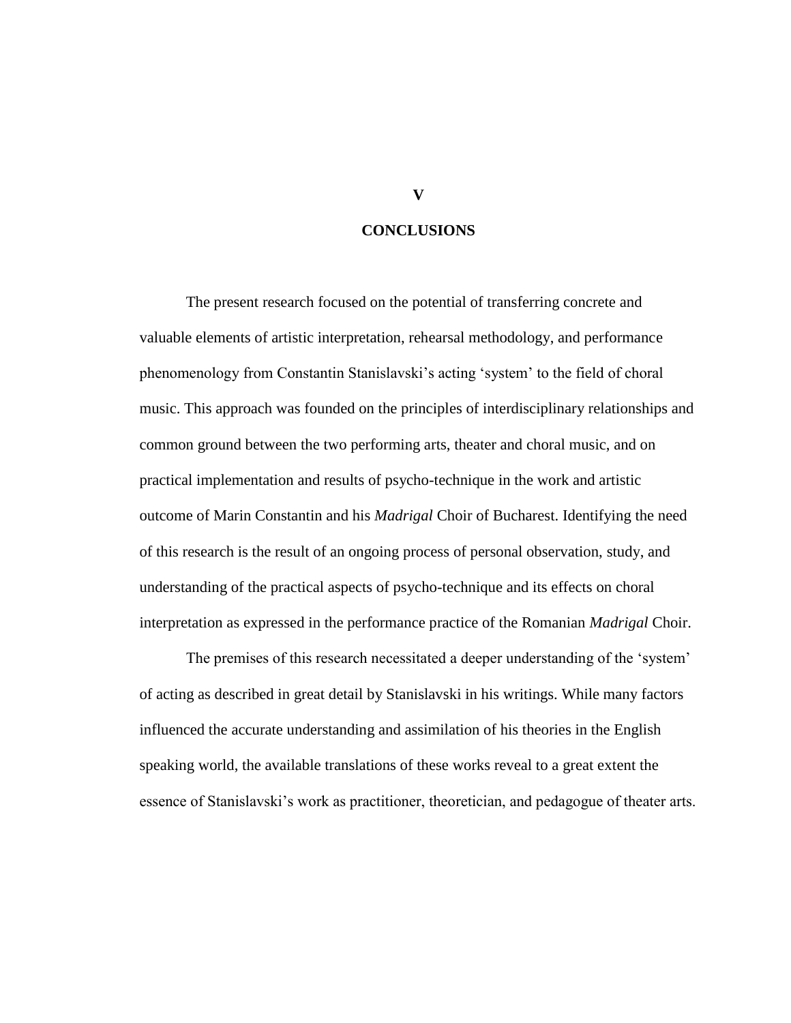# **CONCLUSIONS**

The present research focused on the potential of transferring concrete and valuable elements of artistic interpretation, rehearsal methodology, and performance phenomenology from Constantin Stanislavski's acting 'system' to the field of choral music. This approach was founded on the principles of interdisciplinary relationships and common ground between the two performing arts, theater and choral music, and on practical implementation and results of psycho-technique in the work and artistic outcome of Marin Constantin and his *Madrigal* Choir of Bucharest. Identifying the need of this research is the result of an ongoing process of personal observation, study, and understanding of the practical aspects of psycho-technique and its effects on choral interpretation as expressed in the performance practice of the Romanian *Madrigal* Choir.

The premises of this research necessitated a deeper understanding of the 'system' of acting as described in great detail by Stanislavski in his writings. While many factors influenced the accurate understanding and assimilation of his theories in the English speaking world, the available translations of these works reveal to a great extent the essence of Stanislavski's work as practitioner, theoretician, and pedagogue of theater arts.

**V**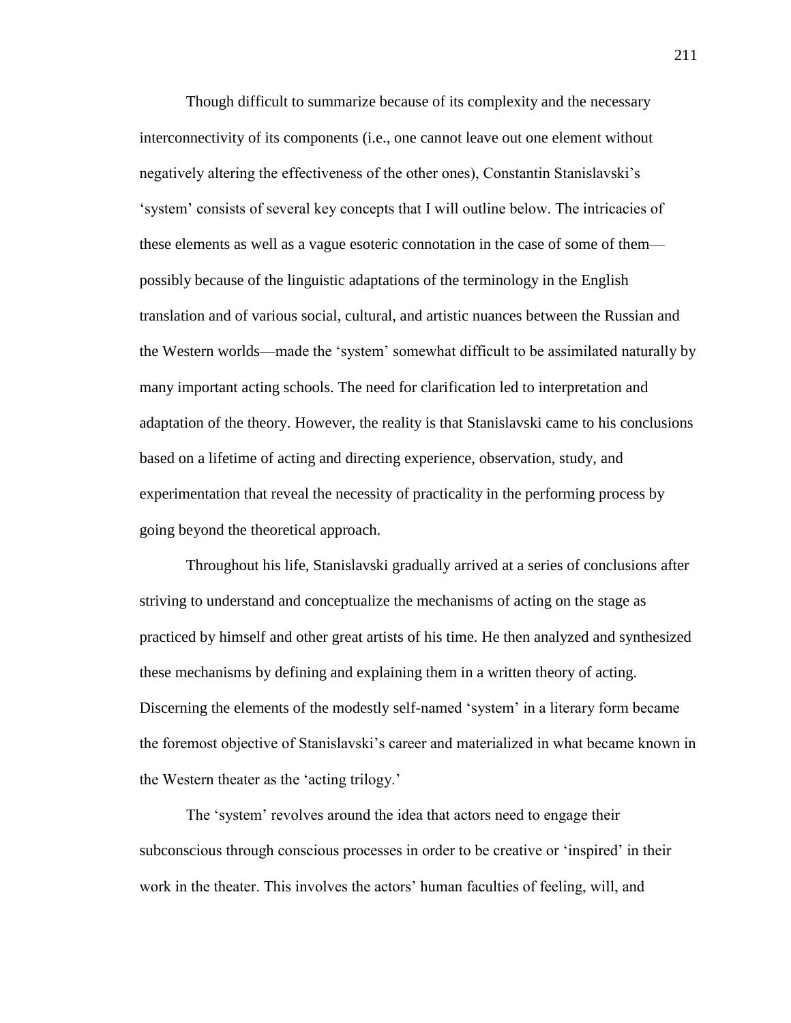Though difficult to summarize because of its complexity and the necessary interconnectivity of its components (i.e., one cannot leave out one element without negatively altering the effectiveness of the other ones), Constantin Stanislavski's ‗system' consists of several key concepts that I will outline below. The intricacies of these elements as well as a vague esoteric connotation in the case of some of them possibly because of the linguistic adaptations of the terminology in the English translation and of various social, cultural, and artistic nuances between the Russian and the Western worlds—made the ‗system' somewhat difficult to be assimilated naturally by many important acting schools. The need for clarification led to interpretation and adaptation of the theory. However, the reality is that Stanislavski came to his conclusions based on a lifetime of acting and directing experience, observation, study, and experimentation that reveal the necessity of practicality in the performing process by going beyond the theoretical approach.

Throughout his life, Stanislavski gradually arrived at a series of conclusions after striving to understand and conceptualize the mechanisms of acting on the stage as practiced by himself and other great artists of his time. He then analyzed and synthesized these mechanisms by defining and explaining them in a written theory of acting. Discerning the elements of the modestly self-named 'system' in a literary form became the foremost objective of Stanislavski's career and materialized in what became known in the Western theater as the 'acting trilogy.'

The 'system' revolves around the idea that actors need to engage their subconscious through conscious processes in order to be creative or 'inspired' in their work in the theater. This involves the actors' human faculties of feeling, will, and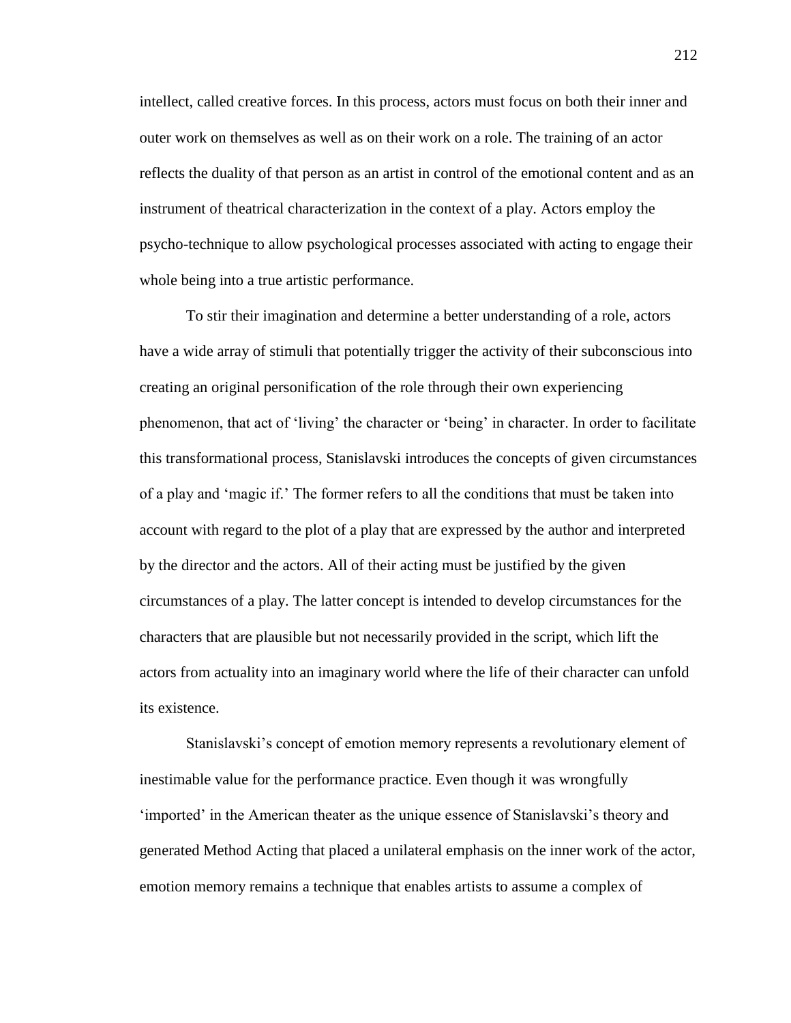intellect, called creative forces. In this process, actors must focus on both their inner and outer work on themselves as well as on their work on a role. The training of an actor reflects the duality of that person as an artist in control of the emotional content and as an instrument of theatrical characterization in the context of a play. Actors employ the psycho-technique to allow psychological processes associated with acting to engage their whole being into a true artistic performance.

To stir their imagination and determine a better understanding of a role, actors have a wide array of stimuli that potentially trigger the activity of their subconscious into creating an original personification of the role through their own experiencing phenomenon, that act of 'living' the character or 'being' in character. In order to facilitate this transformational process, Stanislavski introduces the concepts of given circumstances of a play and ‗magic if.' The former refers to all the conditions that must be taken into account with regard to the plot of a play that are expressed by the author and interpreted by the director and the actors. All of their acting must be justified by the given circumstances of a play. The latter concept is intended to develop circumstances for the characters that are plausible but not necessarily provided in the script, which lift the actors from actuality into an imaginary world where the life of their character can unfold its existence.

Stanislavski's concept of emotion memory represents a revolutionary element of inestimable value for the performance practice. Even though it was wrongfully ‗imported' in the American theater as the unique essence of Stanislavski's theory and generated Method Acting that placed a unilateral emphasis on the inner work of the actor, emotion memory remains a technique that enables artists to assume a complex of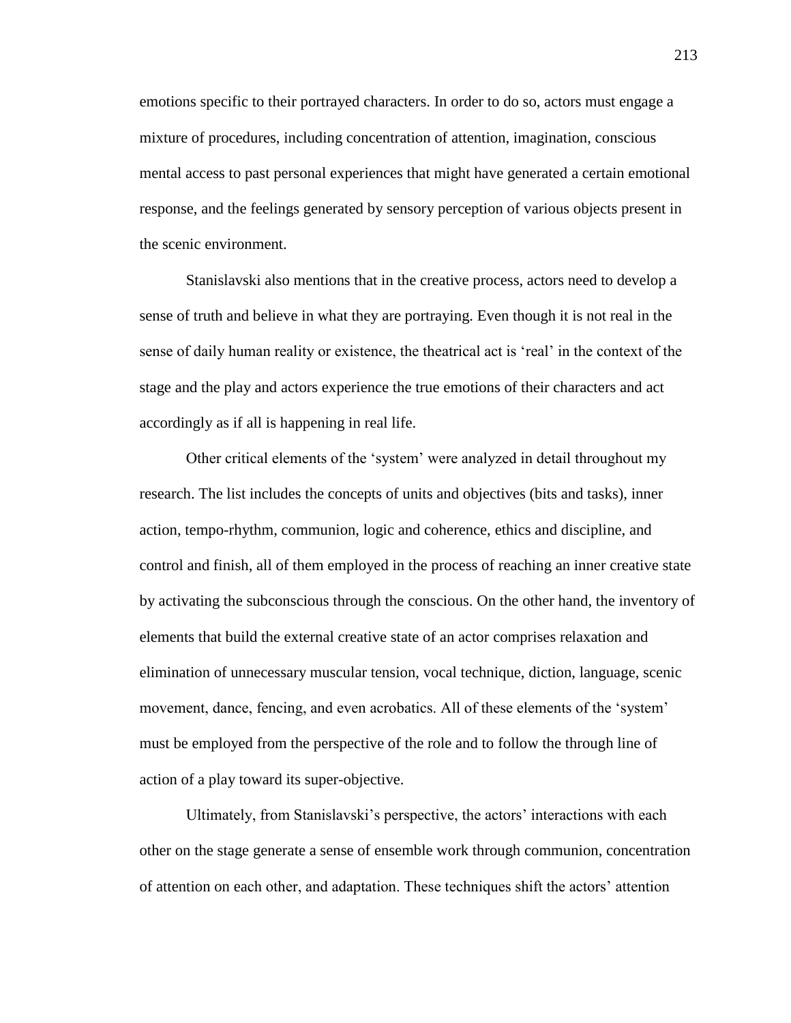emotions specific to their portrayed characters. In order to do so, actors must engage a mixture of procedures, including concentration of attention, imagination, conscious mental access to past personal experiences that might have generated a certain emotional response, and the feelings generated by sensory perception of various objects present in the scenic environment.

Stanislavski also mentions that in the creative process, actors need to develop a sense of truth and believe in what they are portraying. Even though it is not real in the sense of daily human reality or existence, the theatrical act is 'real' in the context of the stage and the play and actors experience the true emotions of their characters and act accordingly as if all is happening in real life.

Other critical elements of the 'system' were analyzed in detail throughout my research. The list includes the concepts of units and objectives (bits and tasks), inner action, tempo-rhythm, communion, logic and coherence, ethics and discipline, and control and finish, all of them employed in the process of reaching an inner creative state by activating the subconscious through the conscious. On the other hand, the inventory of elements that build the external creative state of an actor comprises relaxation and elimination of unnecessary muscular tension, vocal technique, diction, language, scenic movement, dance, fencing, and even acrobatics. All of these elements of the 'system' must be employed from the perspective of the role and to follow the through line of action of a play toward its super-objective.

Ultimately, from Stanislavski's perspective, the actors' interactions with each other on the stage generate a sense of ensemble work through communion, concentration of attention on each other, and adaptation. These techniques shift the actors' attention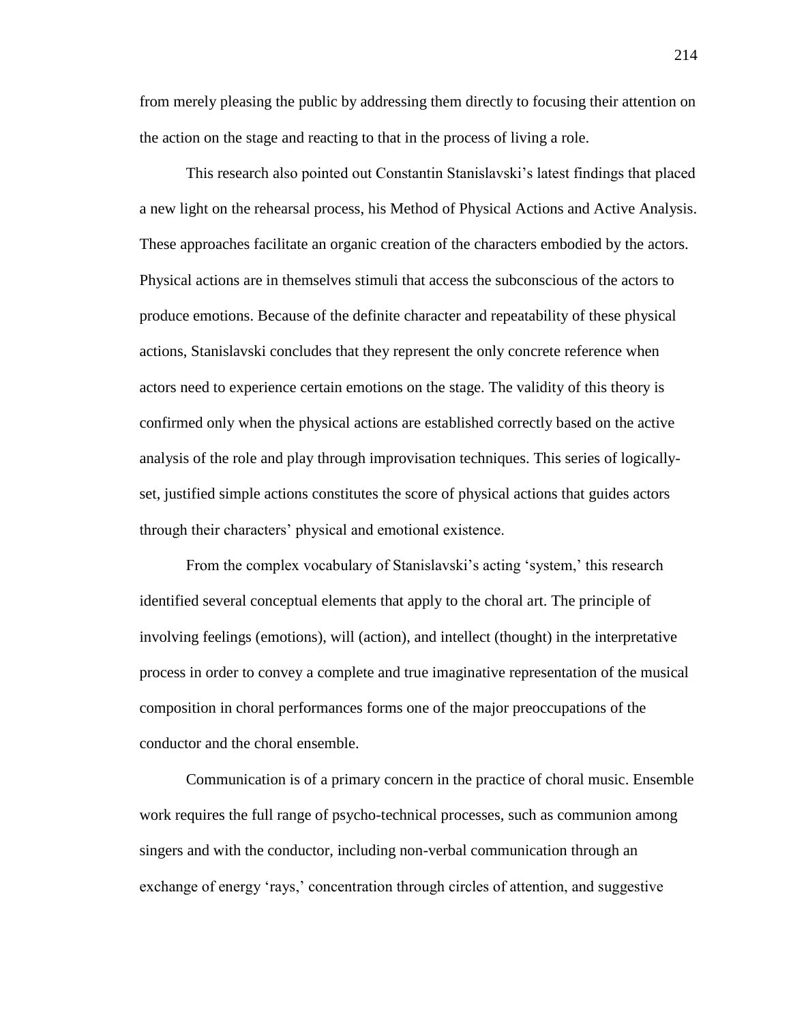from merely pleasing the public by addressing them directly to focusing their attention on the action on the stage and reacting to that in the process of living a role.

This research also pointed out Constantin Stanislavski's latest findings that placed a new light on the rehearsal process, his Method of Physical Actions and Active Analysis. These approaches facilitate an organic creation of the characters embodied by the actors. Physical actions are in themselves stimuli that access the subconscious of the actors to produce emotions. Because of the definite character and repeatability of these physical actions, Stanislavski concludes that they represent the only concrete reference when actors need to experience certain emotions on the stage. The validity of this theory is confirmed only when the physical actions are established correctly based on the active analysis of the role and play through improvisation techniques. This series of logicallyset, justified simple actions constitutes the score of physical actions that guides actors through their characters' physical and emotional existence.

From the complex vocabulary of Stanislavski's acting 'system,' this research identified several conceptual elements that apply to the choral art. The principle of involving feelings (emotions), will (action), and intellect (thought) in the interpretative process in order to convey a complete and true imaginative representation of the musical composition in choral performances forms one of the major preoccupations of the conductor and the choral ensemble.

Communication is of a primary concern in the practice of choral music. Ensemble work requires the full range of psycho-technical processes, such as communion among singers and with the conductor, including non-verbal communication through an exchange of energy 'rays,' concentration through circles of attention, and suggestive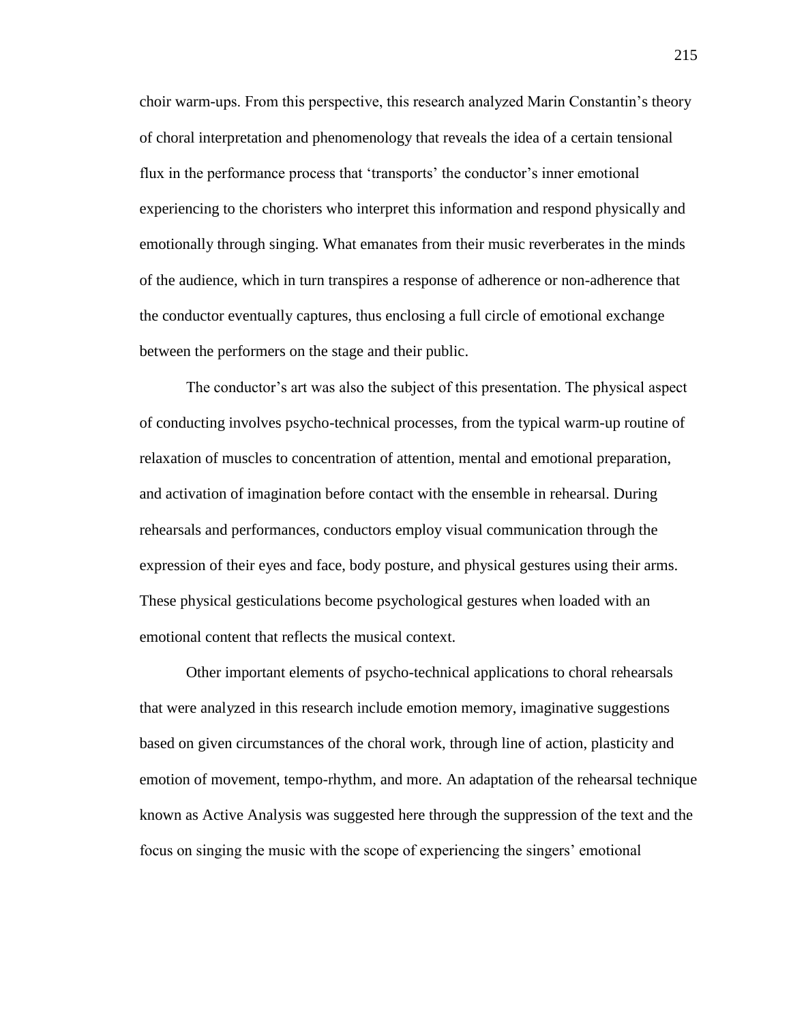choir warm-ups. From this perspective, this research analyzed Marin Constantin's theory of choral interpretation and phenomenology that reveals the idea of a certain tensional flux in the performance process that 'transports' the conductor's inner emotional experiencing to the choristers who interpret this information and respond physically and emotionally through singing. What emanates from their music reverberates in the minds of the audience, which in turn transpires a response of adherence or non-adherence that the conductor eventually captures, thus enclosing a full circle of emotional exchange between the performers on the stage and their public.

The conductor's art was also the subject of this presentation. The physical aspect of conducting involves psycho-technical processes, from the typical warm-up routine of relaxation of muscles to concentration of attention, mental and emotional preparation, and activation of imagination before contact with the ensemble in rehearsal. During rehearsals and performances, conductors employ visual communication through the expression of their eyes and face, body posture, and physical gestures using their arms. These physical gesticulations become psychological gestures when loaded with an emotional content that reflects the musical context.

Other important elements of psycho-technical applications to choral rehearsals that were analyzed in this research include emotion memory, imaginative suggestions based on given circumstances of the choral work, through line of action, plasticity and emotion of movement, tempo-rhythm, and more. An adaptation of the rehearsal technique known as Active Analysis was suggested here through the suppression of the text and the focus on singing the music with the scope of experiencing the singers' emotional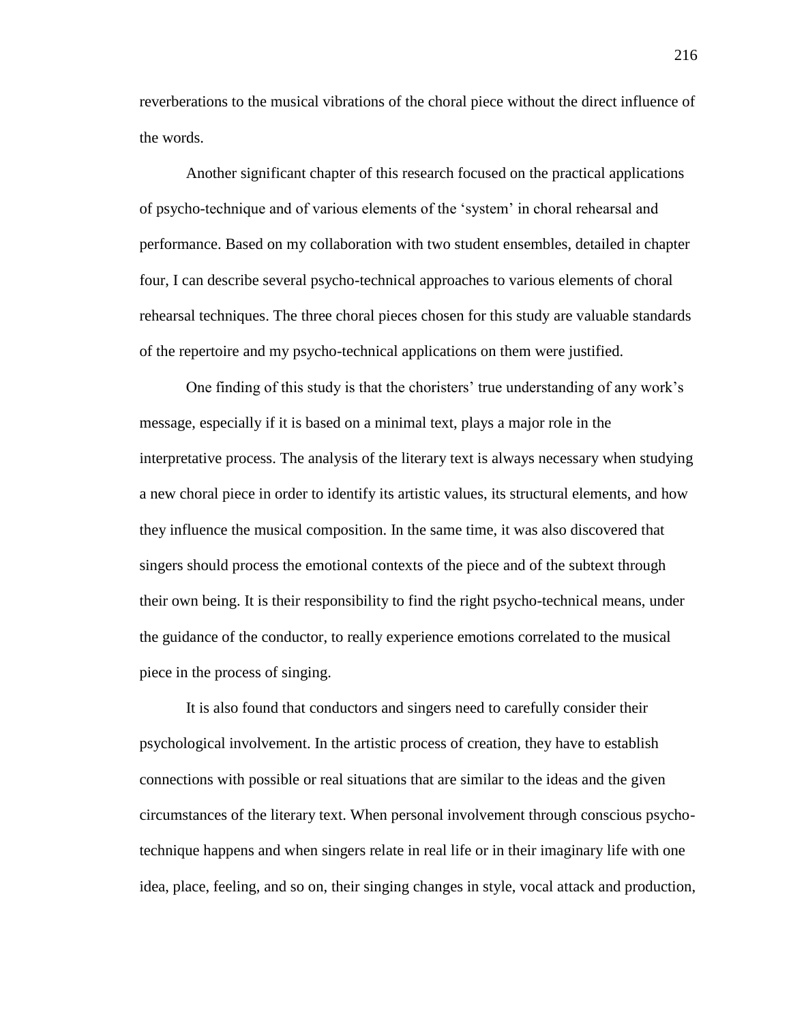reverberations to the musical vibrations of the choral piece without the direct influence of the words.

Another significant chapter of this research focused on the practical applications of psycho-technique and of various elements of the ‗system' in choral rehearsal and performance. Based on my collaboration with two student ensembles, detailed in chapter four, I can describe several psycho-technical approaches to various elements of choral rehearsal techniques. The three choral pieces chosen for this study are valuable standards of the repertoire and my psycho-technical applications on them were justified.

One finding of this study is that the choristers' true understanding of any work's message, especially if it is based on a minimal text, plays a major role in the interpretative process. The analysis of the literary text is always necessary when studying a new choral piece in order to identify its artistic values, its structural elements, and how they influence the musical composition. In the same time, it was also discovered that singers should process the emotional contexts of the piece and of the subtext through their own being. It is their responsibility to find the right psycho-technical means, under the guidance of the conductor, to really experience emotions correlated to the musical piece in the process of singing.

It is also found that conductors and singers need to carefully consider their psychological involvement. In the artistic process of creation, they have to establish connections with possible or real situations that are similar to the ideas and the given circumstances of the literary text. When personal involvement through conscious psychotechnique happens and when singers relate in real life or in their imaginary life with one idea, place, feeling, and so on, their singing changes in style, vocal attack and production,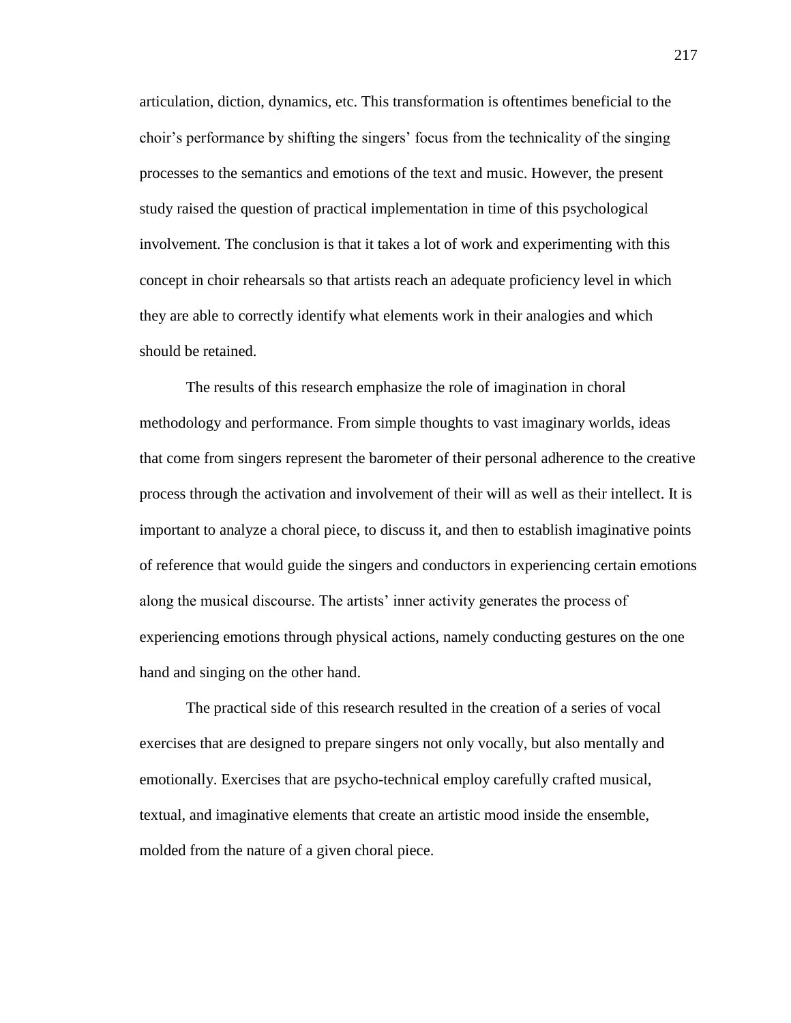articulation, diction, dynamics, etc. This transformation is oftentimes beneficial to the choir's performance by shifting the singers' focus from the technicality of the singing processes to the semantics and emotions of the text and music. However, the present study raised the question of practical implementation in time of this psychological involvement. The conclusion is that it takes a lot of work and experimenting with this concept in choir rehearsals so that artists reach an adequate proficiency level in which they are able to correctly identify what elements work in their analogies and which should be retained.

The results of this research emphasize the role of imagination in choral methodology and performance. From simple thoughts to vast imaginary worlds, ideas that come from singers represent the barometer of their personal adherence to the creative process through the activation and involvement of their will as well as their intellect. It is important to analyze a choral piece, to discuss it, and then to establish imaginative points of reference that would guide the singers and conductors in experiencing certain emotions along the musical discourse. The artists' inner activity generates the process of experiencing emotions through physical actions, namely conducting gestures on the one hand and singing on the other hand.

The practical side of this research resulted in the creation of a series of vocal exercises that are designed to prepare singers not only vocally, but also mentally and emotionally. Exercises that are psycho-technical employ carefully crafted musical, textual, and imaginative elements that create an artistic mood inside the ensemble, molded from the nature of a given choral piece.

217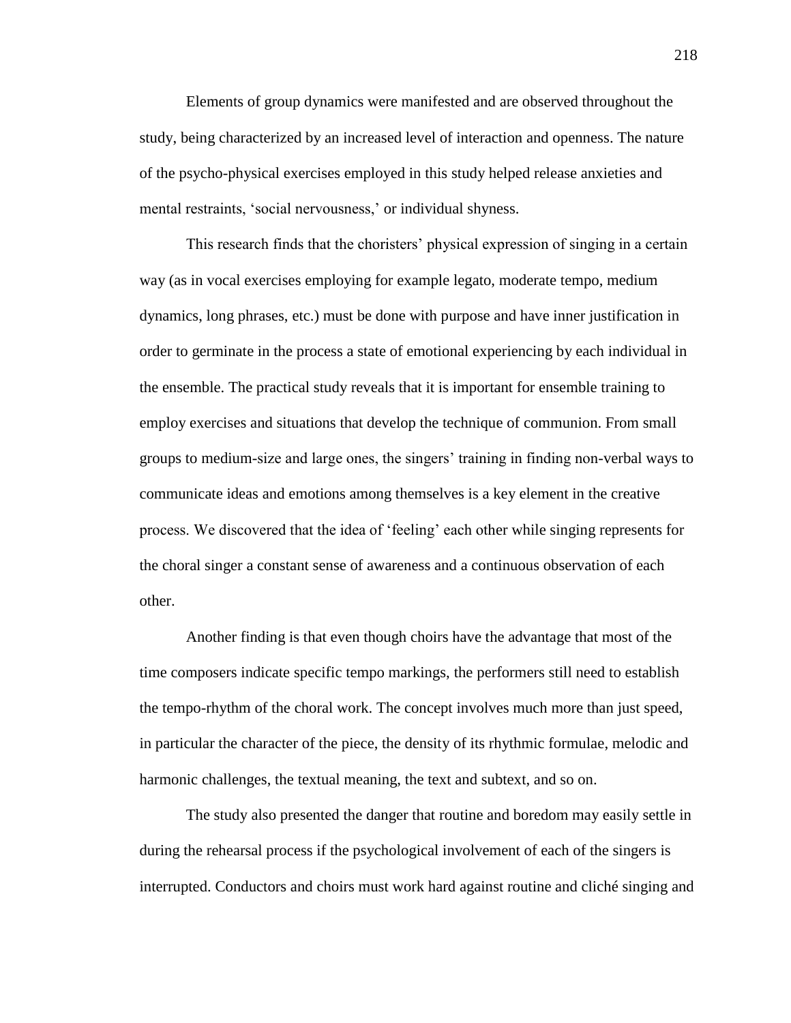Elements of group dynamics were manifested and are observed throughout the study, being characterized by an increased level of interaction and openness. The nature of the psycho-physical exercises employed in this study helped release anxieties and mental restraints, 'social nervousness,' or individual shyness.

This research finds that the choristers' physical expression of singing in a certain way (as in vocal exercises employing for example legato, moderate tempo, medium dynamics, long phrases, etc.) must be done with purpose and have inner justification in order to germinate in the process a state of emotional experiencing by each individual in the ensemble. The practical study reveals that it is important for ensemble training to employ exercises and situations that develop the technique of communion. From small groups to medium-size and large ones, the singers' training in finding non-verbal ways to communicate ideas and emotions among themselves is a key element in the creative process. We discovered that the idea of 'feeling' each other while singing represents for the choral singer a constant sense of awareness and a continuous observation of each other.

Another finding is that even though choirs have the advantage that most of the time composers indicate specific tempo markings, the performers still need to establish the tempo-rhythm of the choral work. The concept involves much more than just speed, in particular the character of the piece, the density of its rhythmic formulae, melodic and harmonic challenges, the textual meaning, the text and subtext, and so on.

The study also presented the danger that routine and boredom may easily settle in during the rehearsal process if the psychological involvement of each of the singers is interrupted. Conductors and choirs must work hard against routine and cliché singing and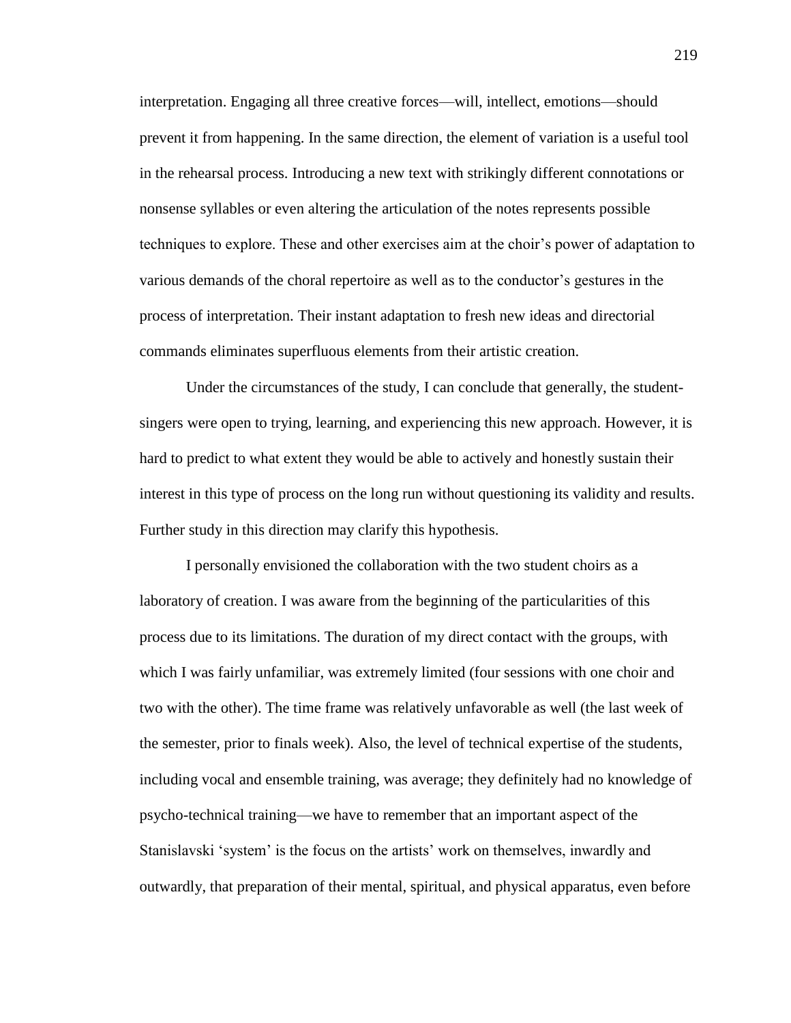interpretation. Engaging all three creative forces—will, intellect, emotions—should prevent it from happening. In the same direction, the element of variation is a useful tool in the rehearsal process. Introducing a new text with strikingly different connotations or nonsense syllables or even altering the articulation of the notes represents possible techniques to explore. These and other exercises aim at the choir's power of adaptation to various demands of the choral repertoire as well as to the conductor's gestures in the process of interpretation. Their instant adaptation to fresh new ideas and directorial commands eliminates superfluous elements from their artistic creation.

Under the circumstances of the study, I can conclude that generally, the studentsingers were open to trying, learning, and experiencing this new approach. However, it is hard to predict to what extent they would be able to actively and honestly sustain their interest in this type of process on the long run without questioning its validity and results. Further study in this direction may clarify this hypothesis.

I personally envisioned the collaboration with the two student choirs as a laboratory of creation. I was aware from the beginning of the particularities of this process due to its limitations. The duration of my direct contact with the groups, with which I was fairly unfamiliar, was extremely limited (four sessions with one choir and two with the other). The time frame was relatively unfavorable as well (the last week of the semester, prior to finals week). Also, the level of technical expertise of the students, including vocal and ensemble training, was average; they definitely had no knowledge of psycho-technical training—we have to remember that an important aspect of the Stanislavski 'system' is the focus on the artists' work on themselves, inwardly and outwardly, that preparation of their mental, spiritual, and physical apparatus, even before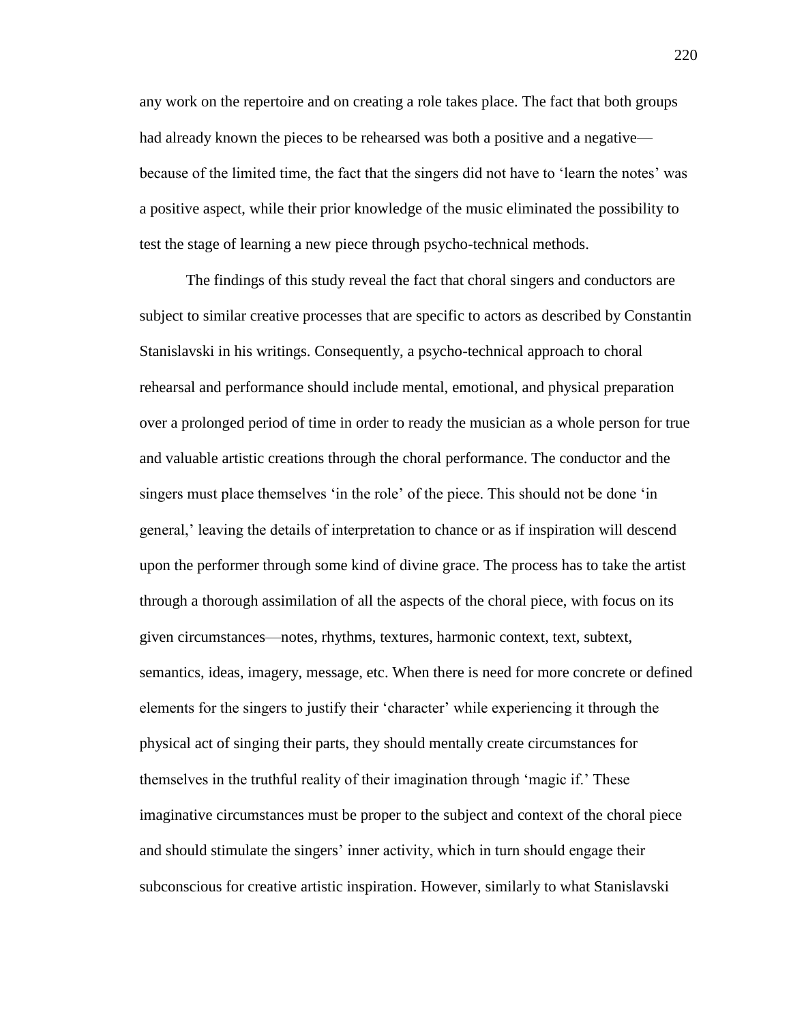any work on the repertoire and on creating a role takes place. The fact that both groups had already known the pieces to be rehearsed was both a positive and a negative because of the limited time, the fact that the singers did not have to 'learn the notes' was a positive aspect, while their prior knowledge of the music eliminated the possibility to test the stage of learning a new piece through psycho-technical methods.

The findings of this study reveal the fact that choral singers and conductors are subject to similar creative processes that are specific to actors as described by Constantin Stanislavski in his writings. Consequently, a psycho-technical approach to choral rehearsal and performance should include mental, emotional, and physical preparation over a prolonged period of time in order to ready the musician as a whole person for true and valuable artistic creations through the choral performance. The conductor and the singers must place themselves 'in the role' of the piece. This should not be done 'in general,' leaving the details of interpretation to chance or as if inspiration will descend upon the performer through some kind of divine grace. The process has to take the artist through a thorough assimilation of all the aspects of the choral piece, with focus on its given circumstances—notes, rhythms, textures, harmonic context, text, subtext, semantics, ideas, imagery, message, etc. When there is need for more concrete or defined elements for the singers to justify their 'character' while experiencing it through the physical act of singing their parts, they should mentally create circumstances for themselves in the truthful reality of their imagination through 'magic if.' These imaginative circumstances must be proper to the subject and context of the choral piece and should stimulate the singers' inner activity, which in turn should engage their subconscious for creative artistic inspiration. However, similarly to what Stanislavski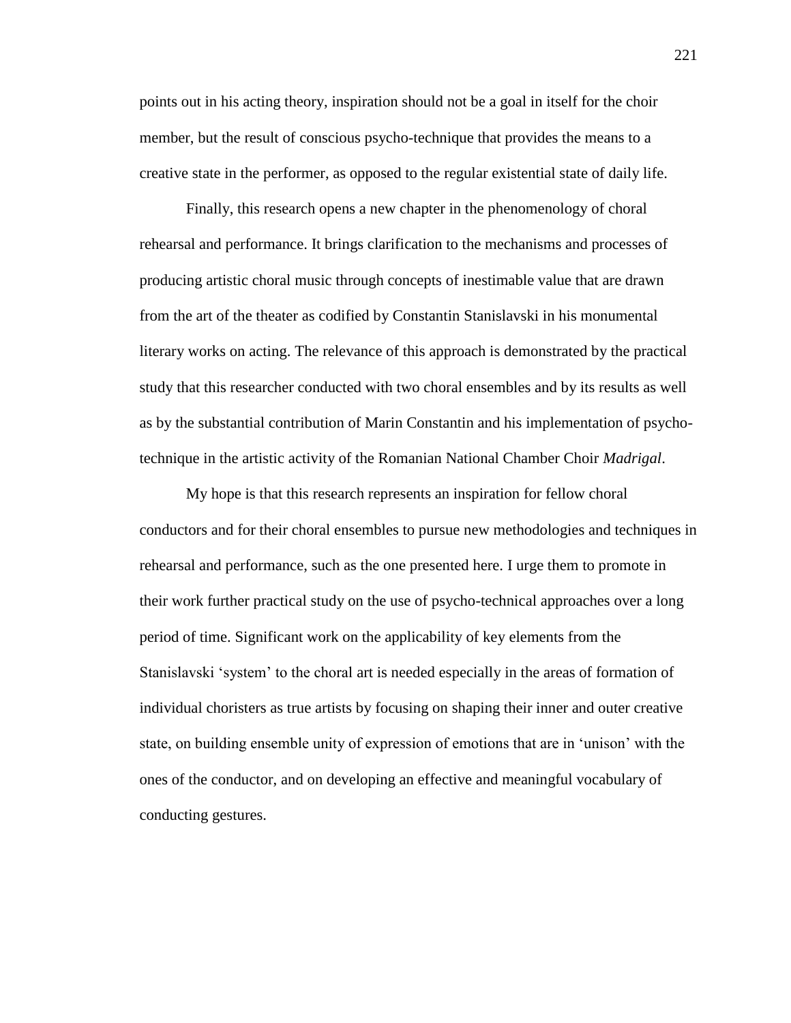points out in his acting theory, inspiration should not be a goal in itself for the choir member, but the result of conscious psycho-technique that provides the means to a creative state in the performer, as opposed to the regular existential state of daily life.

Finally, this research opens a new chapter in the phenomenology of choral rehearsal and performance. It brings clarification to the mechanisms and processes of producing artistic choral music through concepts of inestimable value that are drawn from the art of the theater as codified by Constantin Stanislavski in his monumental literary works on acting. The relevance of this approach is demonstrated by the practical study that this researcher conducted with two choral ensembles and by its results as well as by the substantial contribution of Marin Constantin and his implementation of psychotechnique in the artistic activity of the Romanian National Chamber Choir *Madrigal*.

My hope is that this research represents an inspiration for fellow choral conductors and for their choral ensembles to pursue new methodologies and techniques in rehearsal and performance, such as the one presented here. I urge them to promote in their work further practical study on the use of psycho-technical approaches over a long period of time. Significant work on the applicability of key elements from the Stanislavski 'system' to the choral art is needed especially in the areas of formation of individual choristers as true artists by focusing on shaping their inner and outer creative state, on building ensemble unity of expression of emotions that are in 'unison' with the ones of the conductor, and on developing an effective and meaningful vocabulary of conducting gestures.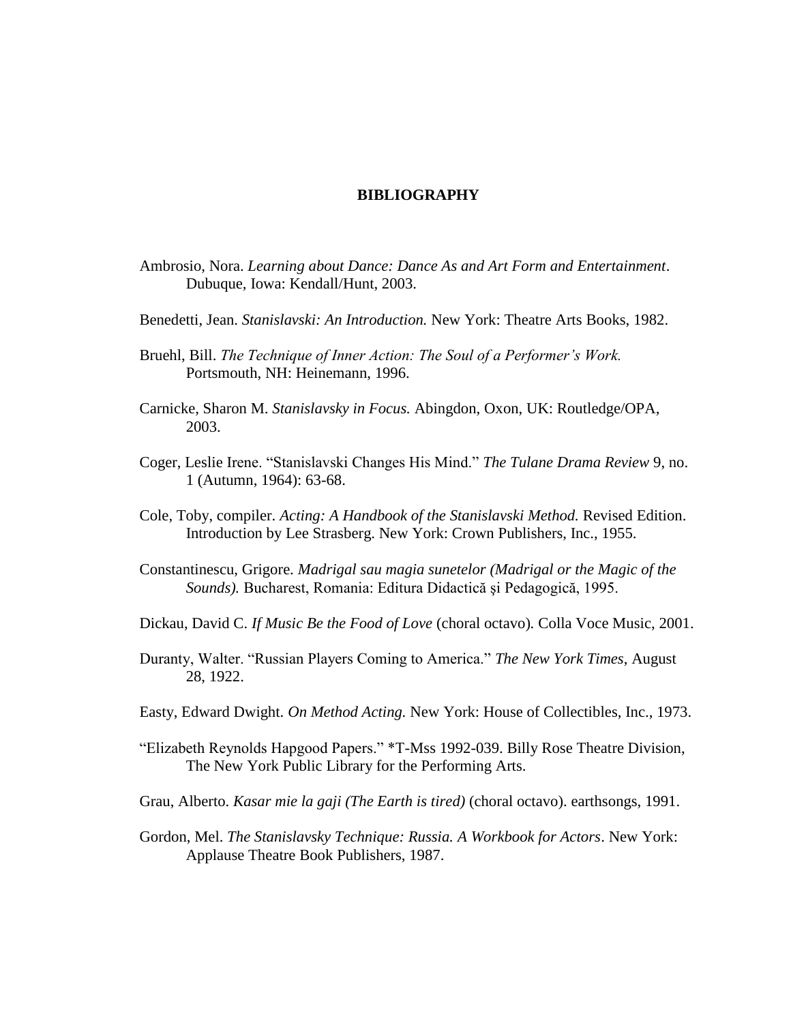## **BIBLIOGRAPHY**

- Ambrosio, Nora. *Learning about Dance: Dance As and Art Form and Entertainment*. Dubuque, Iowa: Kendall/Hunt, 2003.
- Benedetti, Jean. *Stanislavski: An Introduction.* New York: Theatre Arts Books, 1982.
- Bruehl, Bill. *The Technique of Inner Action: The Soul of a Performer's Work.* Portsmouth, NH: Heinemann, 1996.
- Carnicke, Sharon M. *Stanislavsky in Focus.* Abingdon, Oxon, UK: Routledge/OPA, 2003.
- Coger, Leslie Irene. ―Stanislavski Changes His Mind.‖ *The Tulane Drama Review* 9, no. 1 (Autumn, 1964): 63-68.
- Cole, Toby, compiler. *Acting: A Handbook of the Stanislavski Method.* Revised Edition. Introduction by Lee Strasberg. New York: Crown Publishers, Inc., 1955.
- Constantinescu, Grigore. *Madrigal sau magia sunetelor (Madrigal or the Magic of the Sounds).* Bucharest, Romania: Editura Didactică şi Pedagogică, 1995.
- Dickau, David C. *If Music Be the Food of Love* (choral octavo)*.* Colla Voce Music, 2001.
- Duranty, Walter. "Russian Players Coming to America." *The New York Times*, August 28, 1922.
- Easty, Edward Dwight. *On Method Acting.* New York: House of Collectibles, Inc., 1973.
- ―Elizabeth Reynolds Hapgood Papers.‖ \*T-Mss 1992-039. Billy Rose Theatre Division, The New York Public Library for the Performing Arts.
- Grau, Alberto. *Kasar mie la gaji (The Earth is tired)* (choral octavo). earthsongs, 1991.
- Gordon, Mel. *The Stanislavsky Technique: Russia. A Workbook for Actors*. New York: Applause Theatre Book Publishers, 1987.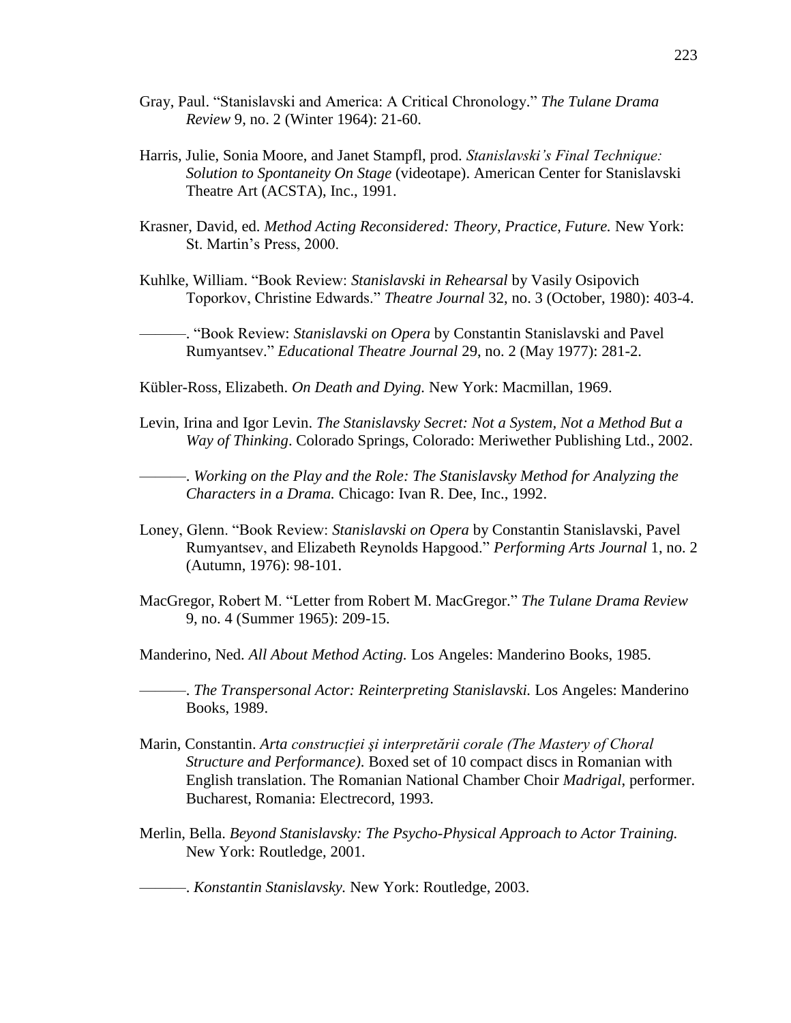- Gray, Paul. "Stanislayski and America: A Critical Chronology." *The Tulane Drama Review* 9, no. 2 (Winter 1964): 21-60.
- Harris, Julie, Sonia Moore, and Janet Stampfl, prod. *Stanislavski's Final Technique: Solution to Spontaneity On Stage* (videotape). American Center for Stanislavski Theatre Art (ACSTA), Inc., 1991.
- Krasner, David, ed. *Method Acting Reconsidered: Theory, Practice, Future.* New York: St. Martin's Press, 2000.
- Kuhlke, William. "Book Review: Stanislavski in Rehearsal by Vasily Osipovich Toporkov, Christine Edwards.‖ *Theatre Journal* 32, no. 3 (October, 1980): 403-4.

———. ―Book Review: *Stanislavski on Opera* by Constantin Stanislavski and Pavel Rumyantsev.‖ *Educational Theatre Journal* 29, no. 2 (May 1977): 281-2.

- Kübler-Ross, Elizabeth. *On Death and Dying.* New York: Macmillan, 1969.
- Levin, Irina and Igor Levin. *The Stanislavsky Secret: Not a System, Not a Method But a Way of Thinking*. Colorado Springs, Colorado: Meriwether Publishing Ltd., 2002.

———. *Working on the Play and the Role: The Stanislavsky Method for Analyzing the Characters in a Drama.* Chicago: Ivan R. Dee, Inc., 1992.

- Loney, Glenn. "Book Review: *Stanislavski on Opera* by Constantin Stanislavski, Pavel Rumyantsev, and Elizabeth Reynolds Hapgood.‖ *Performing Arts Journal* 1, no. 2 (Autumn, 1976): 98-101.
- MacGregor, Robert M. "Letter from Robert M. MacGregor." The Tulane Drama Review 9, no. 4 (Summer 1965): 209-15.

Manderino, Ned. *All About Method Acting.* Los Angeles: Manderino Books, 1985.

———. *The Transpersonal Actor: Reinterpreting Stanislavski.* Los Angeles: Manderino Books, 1989.

- Marin, Constantin. *Arta construcţiei şi interpretării corale (The Mastery of Choral Structure and Performance)*. Boxed set of 10 compact discs in Romanian with English translation. The Romanian National Chamber Choir *Madrigal*, performer. Bucharest, Romania: Electrecord, 1993.
- Merlin, Bella. *Beyond Stanislavsky: The Psycho-Physical Approach to Actor Training.*  New York: Routledge, 2001.

———. *Konstantin Stanislavsky.* New York: Routledge, 2003.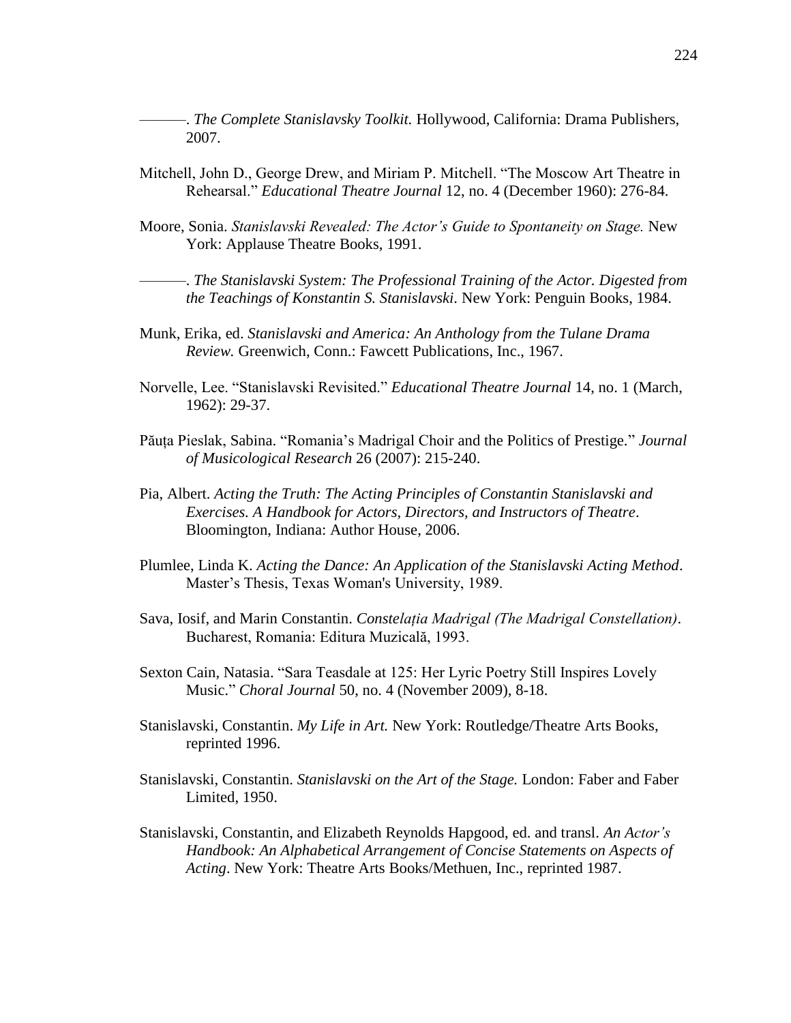- ———. *The Complete Stanislavsky Toolkit.* Hollywood, California: Drama Publishers, 2007.
- Mitchell, John D., George Drew, and Miriam P. Mitchell. "The Moscow Art Theatre in Rehearsal." *Educational Theatre Journal* 12, no. 4 (December 1960): 276-84.
- Moore, Sonia. *Stanislavski Revealed: The Actor's Guide to Spontaneity on Stage.* New York: Applause Theatre Books, 1991.

———. *The Stanislavski System: The Professional Training of the Actor. Digested from the Teachings of Konstantin S. Stanislavski.* New York: Penguin Books, 1984.

- Munk, Erika, ed. *Stanislavski and America: An Anthology from the Tulane Drama Review.* Greenwich, Conn.: Fawcett Publications, Inc., 1967.
- Norvelle, Lee. "Stanislavski Revisited." *Educational Theatre Journal* 14, no. 1 (March, 1962): 29-37.
- Păuța Pieslak, Sabina. "Romania's Madrigal Choir and the Politics of Prestige." *Journal of Musicological Research* 26 (2007): 215-240.
- Pia, Albert. *Acting the Truth: The Acting Principles of Constantin Stanislavski and Exercises. A Handbook for Actors, Directors, and Instructors of Theatre*. Bloomington, Indiana: Author House, 2006.
- Plumlee, Linda K. *Acting the Dance: An Application of the Stanislavski Acting Method*. Master's Thesis, Texas Woman's University, 1989.
- Sava, Iosif, and Marin Constantin. *Constelaţia Madrigal (The Madrigal Constellation)*. Bucharest, Romania: Editura Muzicală, 1993.
- Sexton Cain, Natasia. "Sara Teasdale at 125: Her Lyric Poetry Still Inspires Lovely Music.‖ *Choral Journal* 50, no. 4 (November 2009), 8-18.
- Stanislavski, Constantin. *My Life in Art.* New York: Routledge/Theatre Arts Books, reprinted 1996.
- Stanislavski, Constantin. *Stanislavski on the Art of the Stage.* London: Faber and Faber Limited, 1950.
- Stanislavski, Constantin, and Elizabeth Reynolds Hapgood, ed. and transl. *An Actor's Handbook: An Alphabetical Arrangement of Concise Statements on Aspects of Acting*. New York: Theatre Arts Books/Methuen, Inc., reprinted 1987.